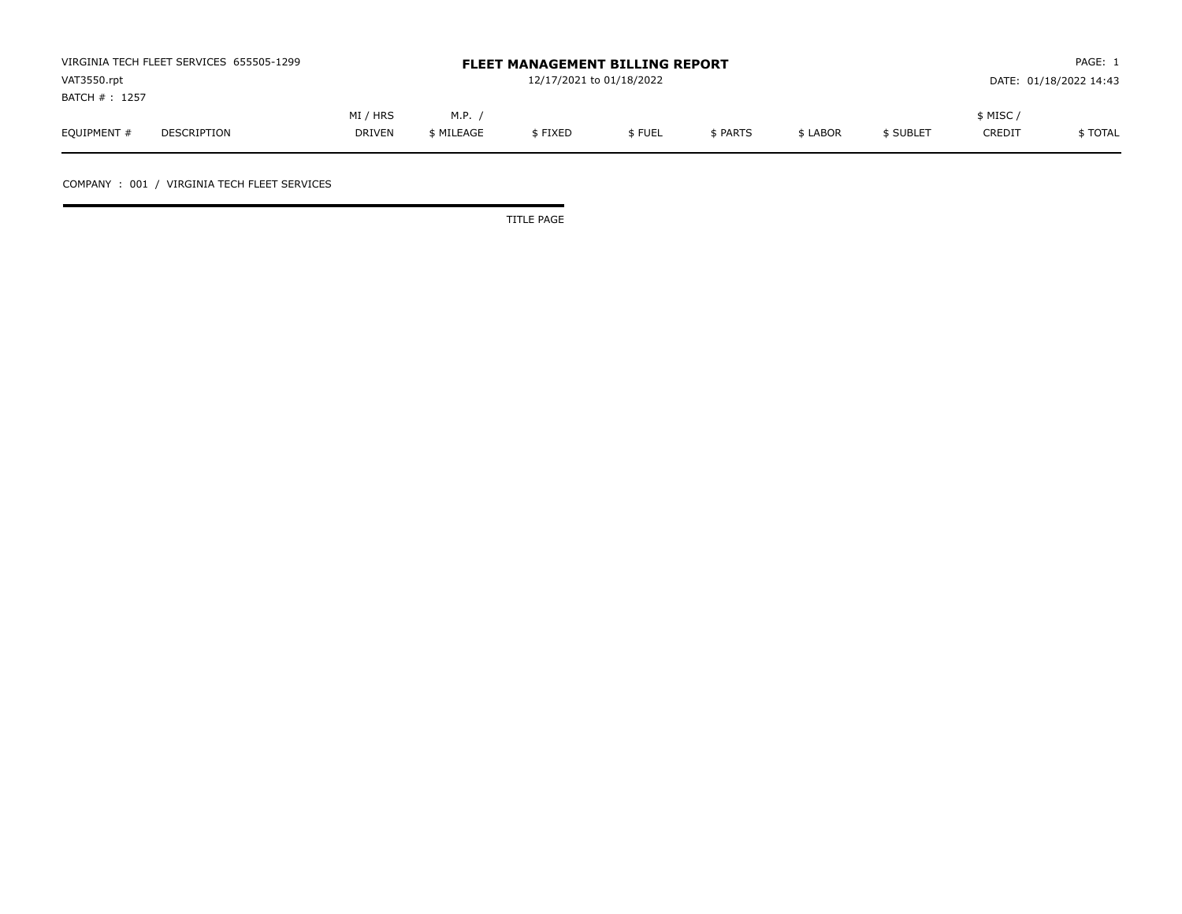| VIRGINIA TECH FLEET SERVICES 655505-1299 |             |               |            | <b>FLEET MANAGEMENT BILLING REPORT</b> |        | PAGE: 1  |          |           |               |                        |
|------------------------------------------|-------------|---------------|------------|----------------------------------------|--------|----------|----------|-----------|---------------|------------------------|
| VAT3550.rpt                              |             |               |            | 12/17/2021 to 01/18/2022               |        |          |          |           |               | DATE: 01/18/2022 14:43 |
| BATCH # : 1257                           |             |               |            |                                        |        |          |          |           |               |                        |
|                                          |             | MI / HRS      | M.P.       |                                        |        |          |          |           | $$$ MISC $/$  |                        |
| EQUIPMENT #                              | DESCRIPTION | <b>DRIVEN</b> | \$ MILEAGE | \$FIXED                                | \$FUEL | \$ PARTS | \$ LABOR | \$ SUBLET | <b>CREDIT</b> | \$ TOTAL               |

COMPANY : 001 / VIRGINIA TECH FLEET SERVICES

TITLE PAGE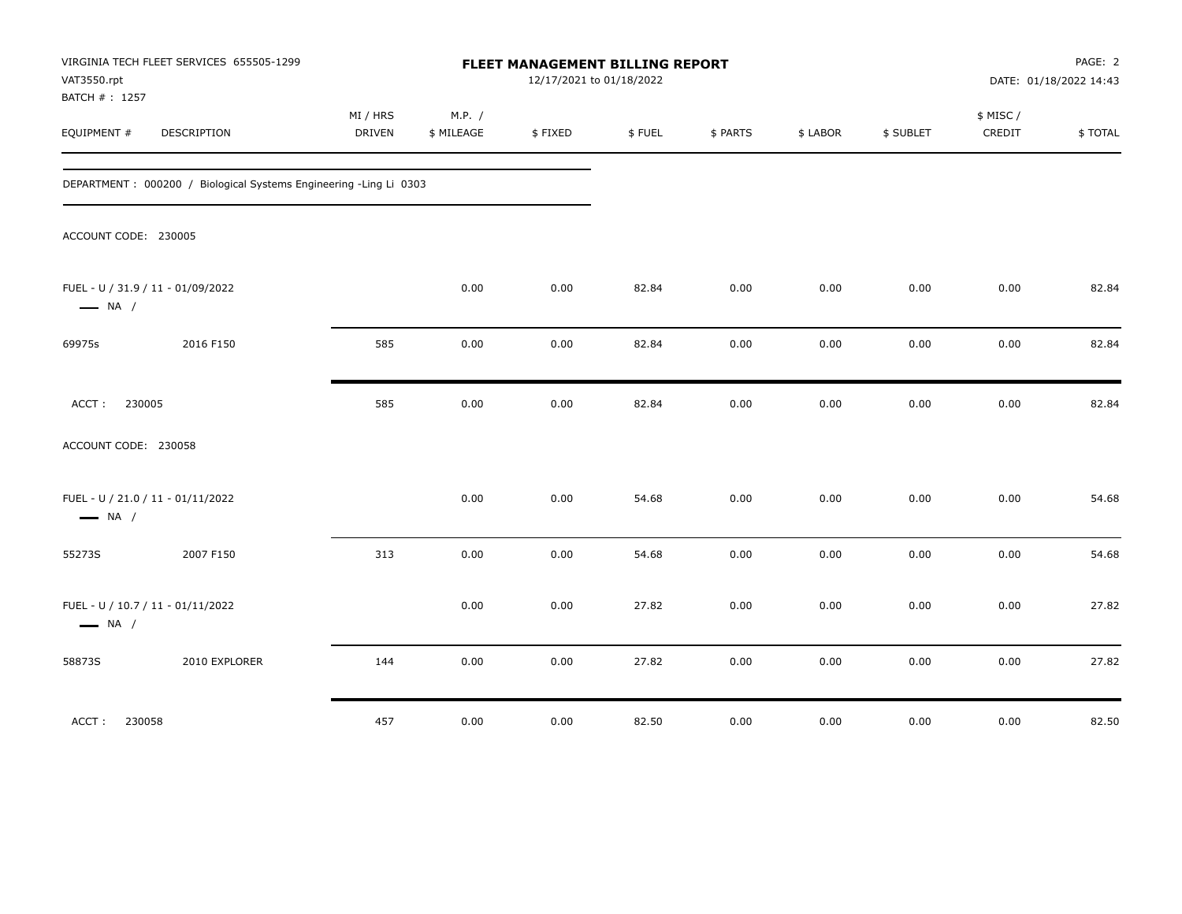| VAT3550.rpt<br>BATCH #: 1257 | VIRGINIA TECH FLEET SERVICES 655505-1299                          |                    |                      | FLEET MANAGEMENT BILLING REPORT<br>12/17/2021 to 01/18/2022 |        |          |          |           |                     | PAGE: 2<br>DATE: 01/18/2022 14:43 |
|------------------------------|-------------------------------------------------------------------|--------------------|----------------------|-------------------------------------------------------------|--------|----------|----------|-----------|---------------------|-----------------------------------|
| EQUIPMENT #                  | DESCRIPTION                                                       | MI / HRS<br>DRIVEN | M.P. /<br>\$ MILEAGE | \$FIXED                                                     | \$FUEL | \$ PARTS | \$ LABOR | \$ SUBLET | \$ MISC /<br>CREDIT | \$TOTAL                           |
|                              | DEPARTMENT: 000200 / Biological Systems Engineering -Ling Li 0303 |                    |                      |                                                             |        |          |          |           |                     |                                   |
| ACCOUNT CODE: 230005         |                                                                   |                    |                      |                                                             |        |          |          |           |                     |                                   |
| $\longrightarrow$ NA /       | FUEL - U / 31.9 / 11 - 01/09/2022                                 |                    | 0.00                 | 0.00                                                        | 82.84  | 0.00     | 0.00     | 0.00      | 0.00                | 82.84                             |
| 69975s                       | 2016 F150                                                         | 585                | 0.00                 | 0.00                                                        | 82.84  | 0.00     | 0.00     | 0.00      | 0.00                | 82.84                             |
| 230005<br>ACCT:              |                                                                   | 585                | 0.00                 | 0.00                                                        | 82.84  | 0.00     | 0.00     | 0.00      | 0.00                | 82.84                             |
| ACCOUNT CODE: 230058         |                                                                   |                    |                      |                                                             |        |          |          |           |                     |                                   |
| $\longrightarrow$ NA /       | FUEL - U / 21.0 / 11 - 01/11/2022                                 |                    | 0.00                 | 0.00                                                        | 54.68  | 0.00     | 0.00     | 0.00      | 0.00                | 54.68                             |
| 55273S                       | 2007 F150                                                         | 313                | 0.00                 | 0.00                                                        | 54.68  | 0.00     | 0.00     | 0.00      | 0.00                | 54.68                             |
| $\longrightarrow$ NA /       | FUEL - U / 10.7 / 11 - 01/11/2022                                 |                    | 0.00                 | 0.00                                                        | 27.82  | 0.00     | 0.00     | 0.00      | 0.00                | 27.82                             |
| 58873S                       | 2010 EXPLORER                                                     | 144                | 0.00                 | 0.00                                                        | 27.82  | 0.00     | 0.00     | 0.00      | 0.00                | 27.82                             |
| ACCT:<br>230058              |                                                                   | 457                | 0.00                 | 0.00                                                        | 82.50  | 0.00     | 0.00     | 0.00      | 0.00                | 82.50                             |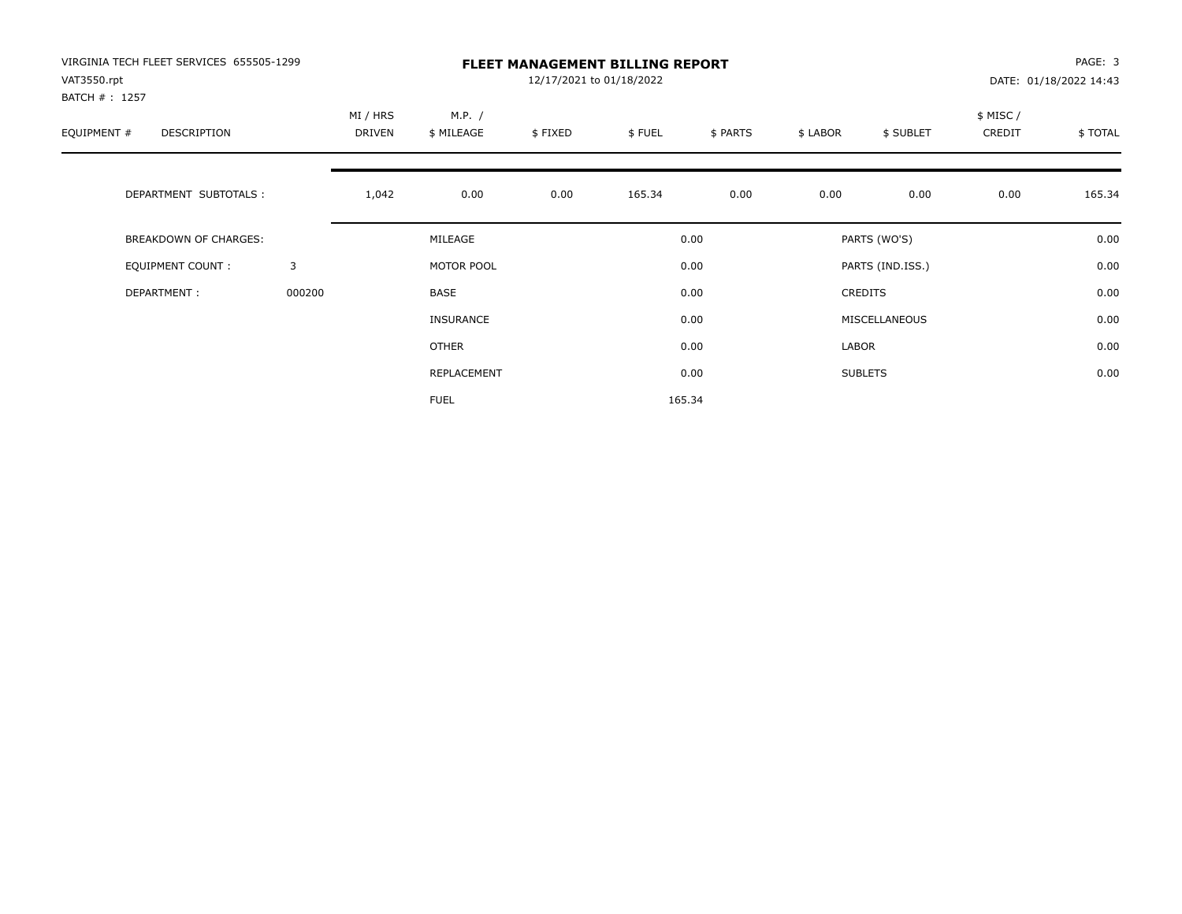| VIRGINIA TECH FLEET SERVICES 655505-1299<br>VAT3550.rpt |        |                    |                      | PAGE: 3<br>DATE: 01/18/2022 14:43 |        |          |          |                  |                    |         |
|---------------------------------------------------------|--------|--------------------|----------------------|-----------------------------------|--------|----------|----------|------------------|--------------------|---------|
| BATCH #: 1257<br>EQUIPMENT #<br>DESCRIPTION             |        | MI / HRS<br>DRIVEN | M.P. /<br>\$ MILEAGE | \$FIXED                           | \$FUEL | \$ PARTS | \$ LABOR | \$ SUBLET        | \$ MISC/<br>CREDIT | \$TOTAL |
| DEPARTMENT SUBTOTALS :                                  |        | 1,042              | 0.00                 | 0.00                              | 165.34 | 0.00     | 0.00     | 0.00             | 0.00               | 165.34  |
| <b>BREAKDOWN OF CHARGES:</b>                            |        |                    | MILEAGE              |                                   |        | 0.00     |          | PARTS (WO'S)     |                    | 0.00    |
| <b>EQUIPMENT COUNT:</b>                                 | 3      |                    | MOTOR POOL           |                                   |        | 0.00     |          | PARTS (IND.ISS.) |                    | 0.00    |
| DEPARTMENT:                                             | 000200 |                    | BASE                 |                                   |        | 0.00     |          | CREDITS          |                    | 0.00    |
|                                                         |        |                    | INSURANCE            |                                   |        | 0.00     |          | MISCELLANEOUS    |                    | 0.00    |
|                                                         |        |                    | <b>OTHER</b>         |                                   |        | 0.00     | LABOR    |                  |                    | 0.00    |
|                                                         |        |                    | REPLACEMENT          |                                   |        | 0.00     |          | <b>SUBLETS</b>   |                    | 0.00    |
|                                                         |        |                    | <b>FUEL</b>          |                                   |        | 165.34   |          |                  |                    |         |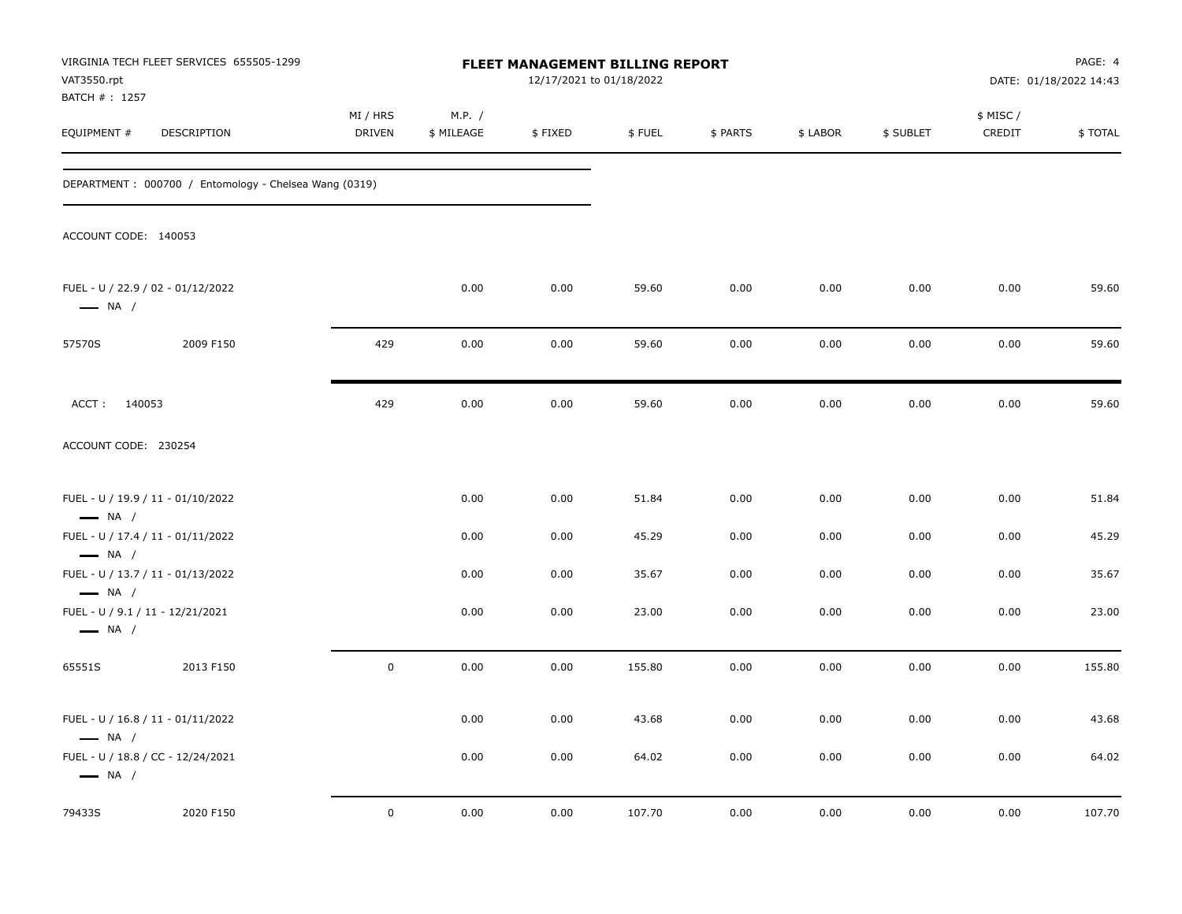| VAT3550.rpt<br>BATCH # : 1257                              | VIRGINIA TECH FLEET SERVICES 655505-1299              |                           |                      | <b>FLEET MANAGEMENT BILLING REPORT</b> | 12/17/2021 to 01/18/2022 |          | PAGE: 4<br>DATE: 01/18/2022 14:43 |           |                     |         |
|------------------------------------------------------------|-------------------------------------------------------|---------------------------|----------------------|----------------------------------------|--------------------------|----------|-----------------------------------|-----------|---------------------|---------|
| EQUIPMENT #                                                | DESCRIPTION                                           | MI / HRS<br><b>DRIVEN</b> | M.P. /<br>\$ MILEAGE | \$FIXED                                | \$FUEL                   | \$ PARTS | \$ LABOR                          | \$ SUBLET | \$ MISC /<br>CREDIT | \$TOTAL |
|                                                            | DEPARTMENT: 000700 / Entomology - Chelsea Wang (0319) |                           |                      |                                        |                          |          |                                   |           |                     |         |
| ACCOUNT CODE: 140053                                       |                                                       |                           |                      |                                        |                          |          |                                   |           |                     |         |
| $\longrightarrow$ NA /                                     | FUEL - U / 22.9 / 02 - 01/12/2022                     |                           | 0.00                 | 0.00                                   | 59.60                    | 0.00     | 0.00                              | 0.00      | 0.00                | 59.60   |
| 57570S                                                     | 2009 F150                                             | 429                       | 0.00                 | 0.00                                   | 59.60                    | 0.00     | 0.00                              | 0.00      | 0.00                | 59.60   |
| ACCT: 140053                                               |                                                       | 429                       | 0.00                 | 0.00                                   | 59.60                    | 0.00     | 0.00                              | 0.00      | 0.00                | 59.60   |
| ACCOUNT CODE: 230254                                       |                                                       |                           |                      |                                        |                          |          |                                   |           |                     |         |
| $\longrightarrow$ NA /                                     | FUEL - U / 19.9 / 11 - 01/10/2022                     |                           | 0.00                 | 0.00                                   | 51.84                    | 0.00     | 0.00                              | 0.00      | 0.00                | 51.84   |
|                                                            | FUEL - U / 17.4 / 11 - 01/11/2022                     |                           | 0.00                 | 0.00                                   | 45.29                    | 0.00     | 0.00                              | 0.00      | 0.00                | 45.29   |
| $\longrightarrow$ NA /<br>$\longrightarrow$ NA /           | FUEL - U / 13.7 / 11 - 01/13/2022                     |                           | 0.00                 | 0.00                                   | 35.67                    | 0.00     | 0.00                              | 0.00      | 0.00                | 35.67   |
| FUEL - U / 9.1 / 11 - 12/21/2021<br>$\longrightarrow$ NA / |                                                       |                           | 0.00                 | 0.00                                   | 23.00                    | 0.00     | 0.00                              | 0.00      | 0.00                | 23.00   |
| 65551S                                                     | 2013 F150                                             | $\mathbf 0$               | 0.00                 | 0.00                                   | 155.80                   | 0.00     | 0.00                              | 0.00      | 0.00                | 155.80  |
| $\longrightarrow$ NA /                                     | FUEL - U / 16.8 / 11 - 01/11/2022                     |                           | 0.00                 | 0.00                                   | 43.68                    | 0.00     | 0.00                              | 0.00      | 0.00                | 43.68   |
| $\longrightarrow$ NA /                                     | FUEL - U / 18.8 / CC - 12/24/2021                     |                           | 0.00                 | 0.00                                   | 64.02                    | 0.00     | 0.00                              | 0.00      | 0.00                | 64.02   |
| 79433S                                                     | 2020 F150                                             | $\pmb{0}$                 | 0.00                 | 0.00                                   | 107.70                   | 0.00     | 0.00                              | 0.00      | 0.00                | 107.70  |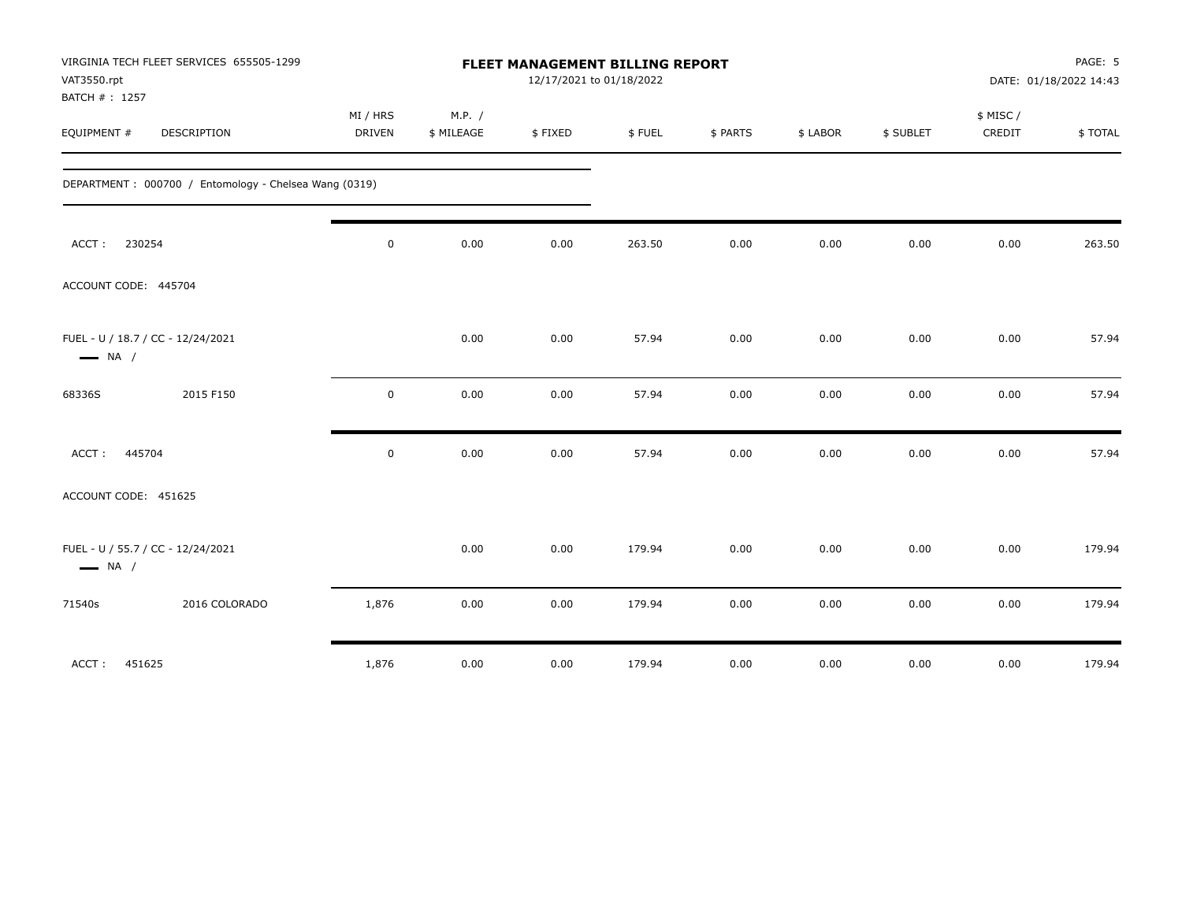|                                                             | VIRGINIA TECH FLEET SERVICES 655505-1299              |             |            |                          | PAGE: 5<br><b>FLEET MANAGEMENT BILLING REPORT</b> |          |          |           |          |                        |  |
|-------------------------------------------------------------|-------------------------------------------------------|-------------|------------|--------------------------|---------------------------------------------------|----------|----------|-----------|----------|------------------------|--|
| VAT3550.rpt                                                 |                                                       |             |            | 12/17/2021 to 01/18/2022 |                                                   |          |          |           |          | DATE: 01/18/2022 14:43 |  |
| BATCH #: 1257                                               |                                                       |             |            |                          |                                                   |          |          |           |          |                        |  |
|                                                             |                                                       | MI / HRS    | M.P. /     |                          |                                                   |          |          |           | \$ MISC/ |                        |  |
| EQUIPMENT #                                                 | DESCRIPTION                                           | DRIVEN      | \$ MILEAGE | \$FIXED                  | \$FUEL                                            | \$ PARTS | \$ LABOR | \$ SUBLET | CREDIT   | \$TOTAL                |  |
|                                                             | DEPARTMENT: 000700 / Entomology - Chelsea Wang (0319) |             |            |                          |                                                   |          |          |           |          |                        |  |
| 230254<br>ACCT:                                             |                                                       | $\mathsf 0$ | 0.00       | 0.00                     | 263.50                                            | 0.00     | 0.00     | 0.00      | 0.00     | 263.50                 |  |
| ACCOUNT CODE: 445704                                        |                                                       |             |            |                          |                                                   |          |          |           |          |                        |  |
| FUEL - U / 18.7 / CC - 12/24/2021<br>$\longrightarrow$ NA / |                                                       |             | 0.00       | 0.00                     | 57.94                                             | 0.00     | 0.00     | 0.00      | 0.00     | 57.94                  |  |
| 68336S                                                      | 2015 F150                                             | $\mathbf 0$ | 0.00       | 0.00                     | 57.94                                             | 0.00     | 0.00     | 0.00      | 0.00     | 57.94                  |  |
| ACCT: 445704                                                |                                                       | $\mathsf 0$ | 0.00       | 0.00                     | 57.94                                             | 0.00     | 0.00     | 0.00      | 0.00     | 57.94                  |  |
| ACCOUNT CODE: 451625                                        |                                                       |             |            |                          |                                                   |          |          |           |          |                        |  |
| FUEL - U / 55.7 / CC - 12/24/2021<br>$\longrightarrow$ NA / |                                                       |             | 0.00       | 0.00                     | 179.94                                            | 0.00     | 0.00     | 0.00      | 0.00     | 179.94                 |  |
| 71540s                                                      | 2016 COLORADO                                         | 1,876       | 0.00       | 0.00                     | 179.94                                            | 0.00     | 0.00     | 0.00      | 0.00     | 179.94                 |  |
| ACCT:<br>451625                                             |                                                       | 1,876       | 0.00       | 0.00                     | 179.94                                            | 0.00     | 0.00     | 0.00      | 0.00     | 179.94                 |  |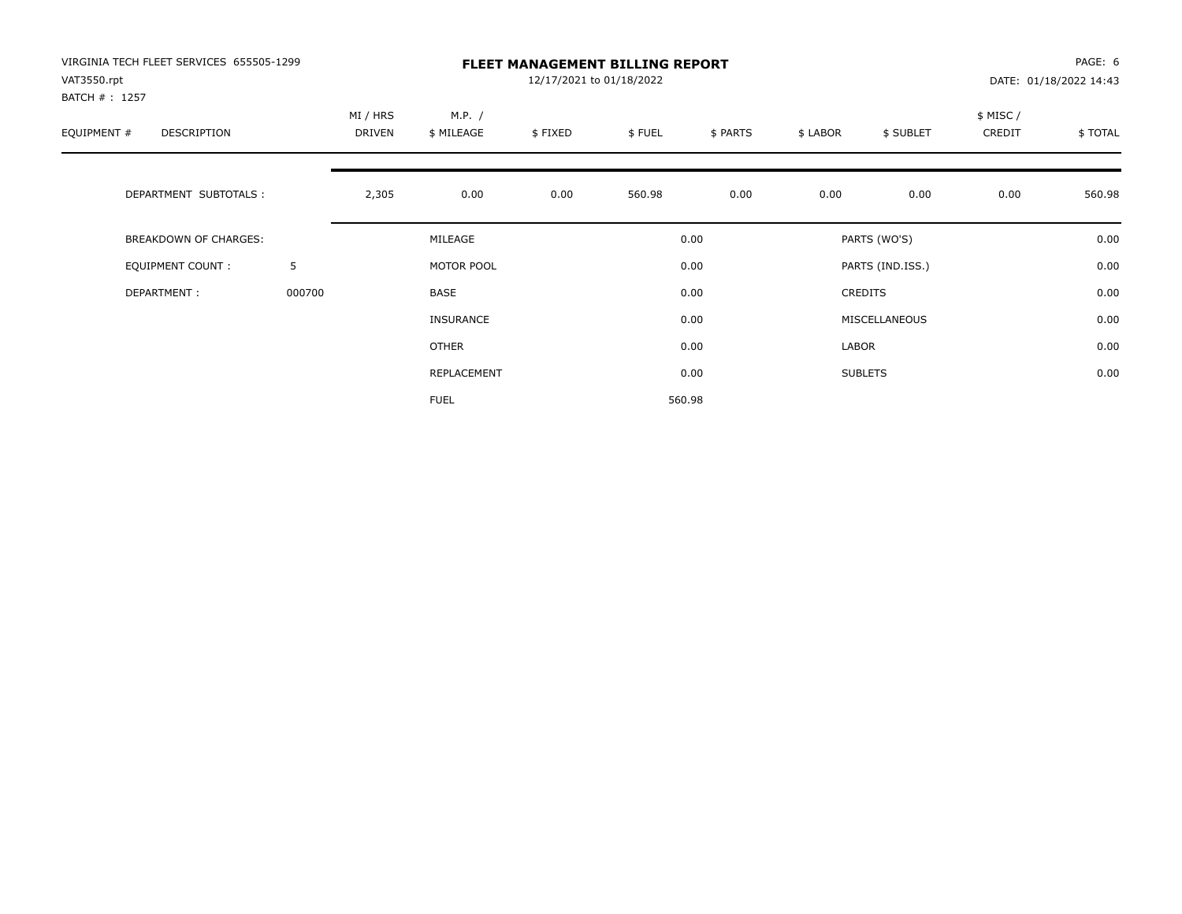| VIRGINIA TECH FLEET SERVICES 655505-1299<br>VAT3550.rpt |        | <b>FLEET MANAGEMENT BILLING REPORT</b><br>12/17/2021 to 01/18/2022<br>DATE: 01/18/2022 14:43 |              |         |        |          |          |                  |           |         |
|---------------------------------------------------------|--------|----------------------------------------------------------------------------------------------|--------------|---------|--------|----------|----------|------------------|-----------|---------|
| BATCH #: 1257                                           |        |                                                                                              |              |         |        |          |          |                  |           |         |
|                                                         |        | MI / HRS                                                                                     | M.P. /       |         |        |          |          |                  | \$ MISC / |         |
| EQUIPMENT #<br><b>DESCRIPTION</b>                       |        | <b>DRIVEN</b>                                                                                | \$ MILEAGE   | \$FIXED | \$FUEL | \$ PARTS | \$ LABOR | \$ SUBLET        | CREDIT    | \$TOTAL |
|                                                         |        |                                                                                              |              |         |        |          |          |                  |           |         |
| DEPARTMENT SUBTOTALS :                                  |        | 2,305                                                                                        | 0.00         | 0.00    | 560.98 | 0.00     | 0.00     | 0.00             | 0.00      | 560.98  |
| <b>BREAKDOWN OF CHARGES:</b>                            |        |                                                                                              | MILEAGE      |         |        | 0.00     |          | PARTS (WO'S)     |           | 0.00    |
| EQUIPMENT COUNT:                                        | 5      |                                                                                              | MOTOR POOL   |         |        | 0.00     |          | PARTS (IND.ISS.) |           | 0.00    |
| DEPARTMENT:                                             | 000700 |                                                                                              | <b>BASE</b>  |         |        | 0.00     |          | <b>CREDITS</b>   |           | 0.00    |
|                                                         |        |                                                                                              | INSURANCE    |         |        | 0.00     |          | MISCELLANEOUS    |           | 0.00    |
|                                                         |        |                                                                                              | <b>OTHER</b> |         |        | 0.00     | LABOR    |                  |           | 0.00    |
|                                                         |        |                                                                                              | REPLACEMENT  |         |        | 0.00     |          | <b>SUBLETS</b>   |           | 0.00    |
|                                                         |        |                                                                                              | <b>FUEL</b>  |         |        | 560.98   |          |                  |           |         |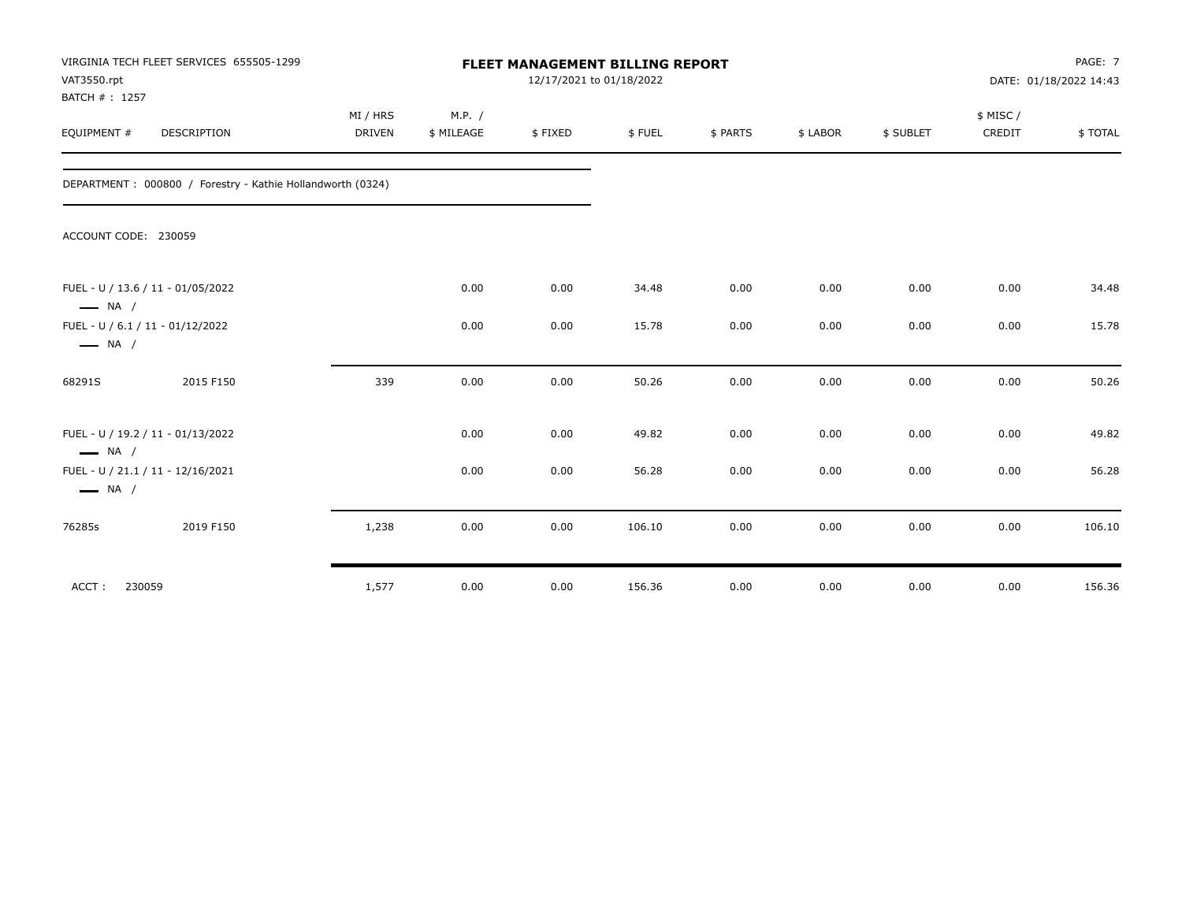| VAT3550.rpt<br>BATCH #: 1257                               | VIRGINIA TECH FLEET SERVICES 655505-1299                   |                           | <b>FLEET MANAGEMENT BILLING REPORT</b> |         | PAGE: 7<br>DATE: 01/18/2022 14:43 |          |          |           |                    |          |
|------------------------------------------------------------|------------------------------------------------------------|---------------------------|----------------------------------------|---------|-----------------------------------|----------|----------|-----------|--------------------|----------|
| EQUIPMENT #                                                | DESCRIPTION                                                | MI / HRS<br><b>DRIVEN</b> | M.P. /<br>\$ MILEAGE                   | \$FIXED | \$FUEL                            | \$ PARTS | \$ LABOR | \$ SUBLET | \$ MISC/<br>CREDIT | \$ TOTAL |
|                                                            | DEPARTMENT: 000800 / Forestry - Kathie Hollandworth (0324) |                           |                                        |         |                                   |          |          |           |                    |          |
| ACCOUNT CODE: 230059                                       |                                                            |                           |                                        |         |                                   |          |          |           |                    |          |
| $\longrightarrow$ NA /                                     | FUEL - U / 13.6 / 11 - 01/05/2022                          |                           | 0.00                                   | 0.00    | 34.48                             | 0.00     | 0.00     | 0.00      | 0.00               | 34.48    |
| FUEL - U / 6.1 / 11 - 01/12/2022<br>$\longrightarrow$ NA / |                                                            |                           | 0.00                                   | 0.00    | 15.78                             | 0.00     | 0.00     | 0.00      | 0.00               | 15.78    |
| 68291S                                                     | 2015 F150                                                  | 339                       | 0.00                                   | 0.00    | 50.26                             | 0.00     | 0.00     | 0.00      | 0.00               | 50.26    |
| $\longrightarrow$ NA /                                     | FUEL - U / 19.2 / 11 - 01/13/2022                          |                           | 0.00                                   | 0.00    | 49.82                             | 0.00     | 0.00     | 0.00      | 0.00               | 49.82    |
| $\longrightarrow$ NA /                                     | FUEL - U / 21.1 / 11 - 12/16/2021                          |                           | 0.00                                   | 0.00    | 56.28                             | 0.00     | 0.00     | 0.00      | 0.00               | 56.28    |
| 76285s                                                     | 2019 F150                                                  | 1,238                     | 0.00                                   | 0.00    | 106.10                            | 0.00     | 0.00     | 0.00      | 0.00               | 106.10   |
| ACCT:<br>230059                                            |                                                            | 1,577                     | 0.00                                   | 0.00    | 156.36                            | 0.00     | 0.00     | 0.00      | 0.00               | 156.36   |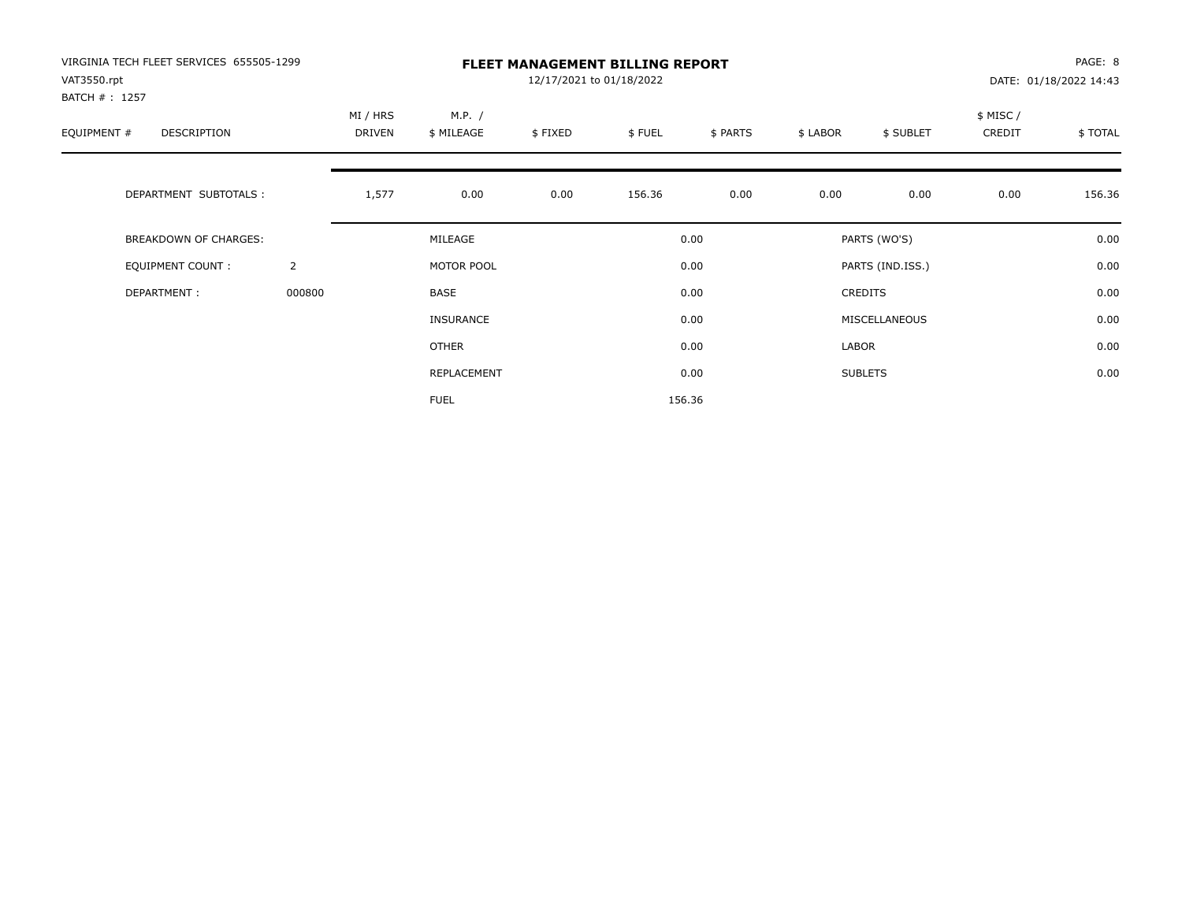| VIRGINIA TECH FLEET SERVICES 655505-1299<br>VAT3550.rpt |                |          |                  | 12/17/2021 to 01/18/2022 | <b>FLEET MANAGEMENT BILLING REPORT</b> |          |          |                  |          | PAGE: 8<br>DATE: 01/18/2022 14:43 |
|---------------------------------------------------------|----------------|----------|------------------|--------------------------|----------------------------------------|----------|----------|------------------|----------|-----------------------------------|
| BATCH #: 1257                                           |                |          |                  |                          |                                        |          |          |                  |          |                                   |
|                                                         |                | MI / HRS | M.P. /           |                          |                                        |          |          |                  | \$ MISC/ |                                   |
| EQUIPMENT #<br>DESCRIPTION                              |                | DRIVEN   | \$ MILEAGE       | \$FIXED                  | \$FUEL                                 | \$ PARTS | \$ LABOR | \$ SUBLET        | CREDIT   | \$TOTAL                           |
|                                                         |                |          |                  |                          |                                        |          |          |                  |          |                                   |
| DEPARTMENT SUBTOTALS :                                  |                | 1,577    | 0.00             | 0.00                     | 156.36                                 | 0.00     | 0.00     | 0.00             | 0.00     | 156.36                            |
| BREAKDOWN OF CHARGES:                                   |                |          | MILEAGE          |                          |                                        | 0.00     |          | PARTS (WO'S)     |          | 0.00                              |
| <b>EQUIPMENT COUNT:</b>                                 | $\overline{2}$ |          | MOTOR POOL       |                          |                                        | 0.00     |          | PARTS (IND.ISS.) |          | 0.00                              |
| DEPARTMENT:                                             | 000800         |          | BASE             |                          |                                        | 0.00     |          | <b>CREDITS</b>   |          | 0.00                              |
|                                                         |                |          | <b>INSURANCE</b> |                          |                                        | 0.00     |          | MISCELLANEOUS    |          | 0.00                              |
|                                                         |                |          | <b>OTHER</b>     |                          |                                        | 0.00     | LABOR    |                  |          | 0.00                              |
|                                                         |                |          | REPLACEMENT      |                          |                                        | 0.00     |          | <b>SUBLETS</b>   |          | 0.00                              |
|                                                         |                |          | <b>FUEL</b>      |                          |                                        | 156.36   |          |                  |          |                                   |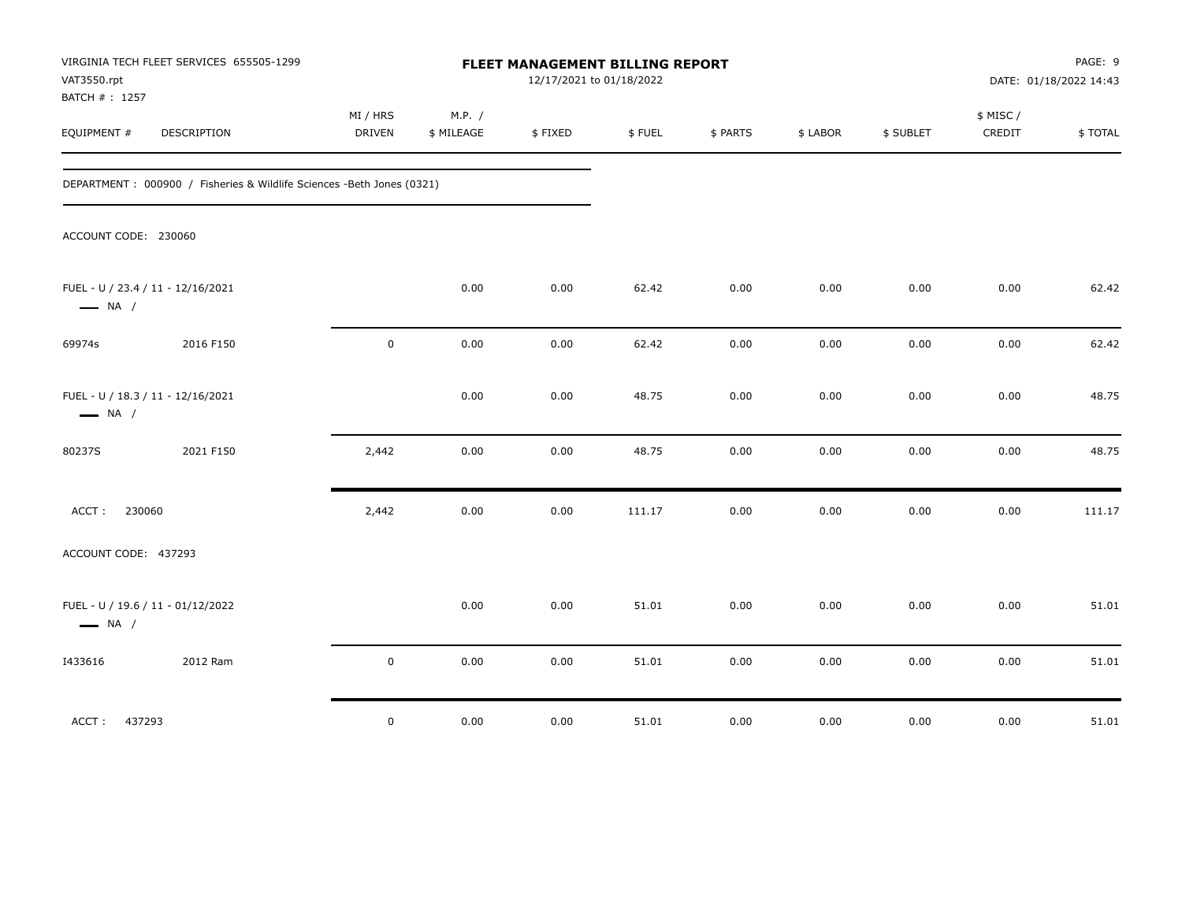| VAT3550.rpt                                                 | VIRGINIA TECH FLEET SERVICES 655505-1299                               |                    |                      | FLEET MANAGEMENT BILLING REPORT<br>12/17/2021 to 01/18/2022 |        |          |          |           |                     | PAGE: 9<br>DATE: 01/18/2022 14:43 |
|-------------------------------------------------------------|------------------------------------------------------------------------|--------------------|----------------------|-------------------------------------------------------------|--------|----------|----------|-----------|---------------------|-----------------------------------|
| BATCH #: 1257<br>EQUIPMENT #                                | DESCRIPTION                                                            | MI / HRS<br>DRIVEN | M.P. /<br>\$ MILEAGE | \$FIXED                                                     | \$FUEL | \$ PARTS | \$ LABOR | \$ SUBLET | \$ MISC /<br>CREDIT | \$TOTAL                           |
|                                                             | DEPARTMENT : 000900 / Fisheries & Wildlife Sciences -Beth Jones (0321) |                    |                      |                                                             |        |          |          |           |                     |                                   |
| ACCOUNT CODE: 230060                                        |                                                                        |                    |                      |                                                             |        |          |          |           |                     |                                   |
| FUEL - U / 23.4 / 11 - 12/16/2021<br>$\longrightarrow$ NA / |                                                                        |                    | 0.00                 | 0.00                                                        | 62.42  | 0.00     | 0.00     | 0.00      | 0.00                | 62.42                             |
| 69974s                                                      | 2016 F150                                                              | $\mathbf 0$        | 0.00                 | $0.00\,$                                                    | 62.42  | 0.00     | 0.00     | 0.00      | 0.00                | 62.42                             |
| FUEL - U / 18.3 / 11 - 12/16/2021<br>$\longrightarrow$ NA / |                                                                        |                    | 0.00                 | 0.00                                                        | 48.75  | 0.00     | 0.00     | 0.00      | 0.00                | 48.75                             |
| 80237S                                                      | 2021 F150                                                              | 2,442              | 0.00                 | 0.00                                                        | 48.75  | 0.00     | 0.00     | 0.00      | 0.00                | 48.75                             |
| ACCT:<br>230060                                             |                                                                        | 2,442              | 0.00                 | 0.00                                                        | 111.17 | $0.00\,$ | 0.00     | 0.00      | 0.00                | 111.17                            |
| ACCOUNT CODE: 437293                                        |                                                                        |                    |                      |                                                             |        |          |          |           |                     |                                   |
| FUEL - U / 19.6 / 11 - 01/12/2022<br>$\longrightarrow$ NA / |                                                                        |                    | 0.00                 | 0.00                                                        | 51.01  | 0.00     | 0.00     | 0.00      | 0.00                | 51.01                             |
| 1433616                                                     | 2012 Ram                                                               | $\mathbf 0$        | 0.00                 | 0.00                                                        | 51.01  | 0.00     | 0.00     | 0.00      | 0.00                | 51.01                             |
| ACCT:<br>437293                                             |                                                                        | $\mathbf 0$        | 0.00                 | 0.00                                                        | 51.01  | 0.00     | 0.00     | 0.00      | 0.00                | 51.01                             |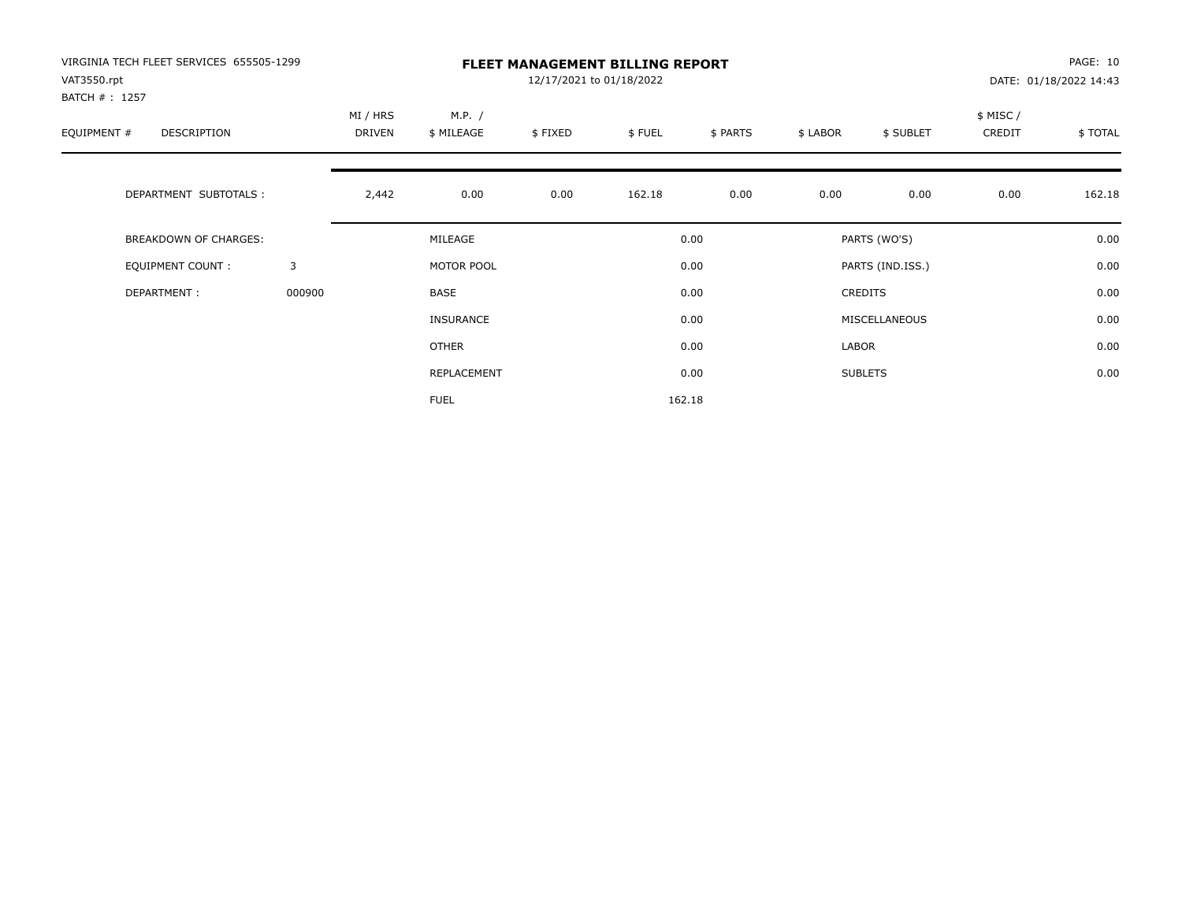| VIRGINIA TECH FLEET SERVICES 655505-1299<br>VAT3550.rpt<br>BATCH #: 1257 |        | <b>FLEET MANAGEMENT BILLING REPORT</b><br>12/17/2021 to 01/18/2022 |                      |         |        |          |          |                  |                     | PAGE: 10<br>DATE: 01/18/2022 14:43 |  |
|--------------------------------------------------------------------------|--------|--------------------------------------------------------------------|----------------------|---------|--------|----------|----------|------------------|---------------------|------------------------------------|--|
| EQUIPMENT #<br><b>DESCRIPTION</b>                                        |        | MI / HRS<br><b>DRIVEN</b>                                          | M.P. /<br>\$ MILEAGE | \$FIXED | \$FUEL | \$ PARTS | \$ LABOR | \$ SUBLET        | \$ MISC /<br>CREDIT | \$TOTAL                            |  |
| DEPARTMENT SUBTOTALS :                                                   |        | 2,442                                                              | 0.00                 | 0.00    | 162.18 | 0.00     | 0.00     | 0.00             | 0.00                | 162.18                             |  |
| <b>BREAKDOWN OF CHARGES:</b>                                             |        |                                                                    | MILEAGE              |         |        | 0.00     |          | PARTS (WO'S)     |                     | 0.00                               |  |
| EQUIPMENT COUNT:                                                         | 3      |                                                                    | MOTOR POOL           |         |        | 0.00     |          | PARTS (IND.ISS.) |                     | 0.00                               |  |
| DEPARTMENT:                                                              | 000900 |                                                                    | <b>BASE</b>          |         |        | 0.00     |          | <b>CREDITS</b>   |                     | 0.00                               |  |
|                                                                          |        |                                                                    | INSURANCE            |         |        | 0.00     |          | MISCELLANEOUS    |                     | 0.00                               |  |
|                                                                          |        |                                                                    | <b>OTHER</b>         |         |        | 0.00     | LABOR    |                  |                     | 0.00                               |  |
|                                                                          |        |                                                                    | REPLACEMENT          |         |        | 0.00     |          | <b>SUBLETS</b>   |                     | 0.00                               |  |
|                                                                          |        |                                                                    | <b>FUEL</b>          |         |        | 162.18   |          |                  |                     |                                    |  |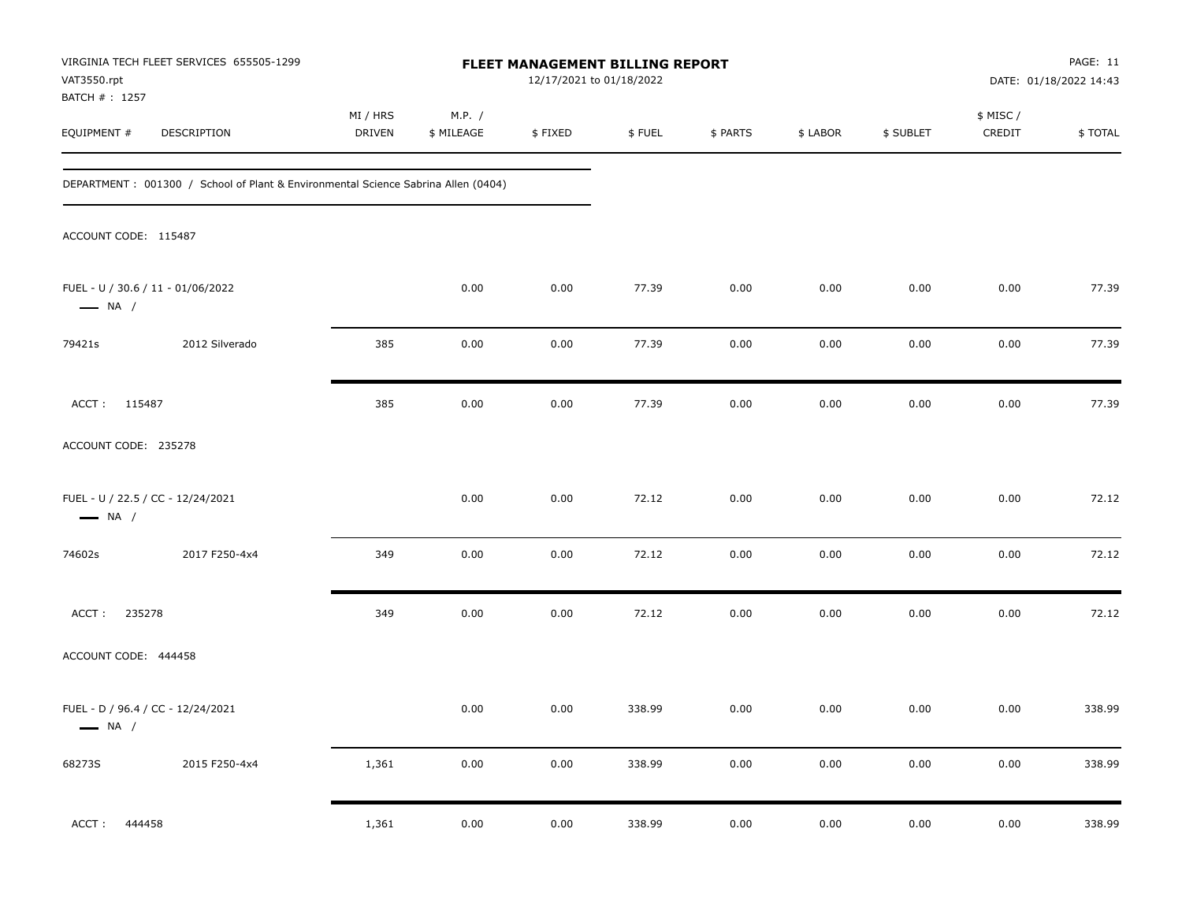| VAT3550.rpt                   | VIRGINIA TECH FLEET SERVICES 655505-1299                                          | FLEET MANAGEMENT BILLING REPORT<br>12/17/2021 to 01/18/2022 |                      |         |        |          |          |           |                     | PAGE: 11<br>DATE: 01/18/2022 14:43 |  |
|-------------------------------|-----------------------------------------------------------------------------------|-------------------------------------------------------------|----------------------|---------|--------|----------|----------|-----------|---------------------|------------------------------------|--|
| BATCH # : 1257<br>EQUIPMENT # | DESCRIPTION                                                                       | MI / HRS<br>DRIVEN                                          | M.P. /<br>\$ MILEAGE | \$FIXED | \$FUEL | \$ PARTS | \$ LABOR | \$ SUBLET | \$ MISC /<br>CREDIT | \$TOTAL                            |  |
|                               | DEPARTMENT: 001300 / School of Plant & Environmental Science Sabrina Allen (0404) |                                                             |                      |         |        |          |          |           |                     |                                    |  |
| ACCOUNT CODE: 115487          |                                                                                   |                                                             |                      |         |        |          |          |           |                     |                                    |  |
| $\longrightarrow$ NA /        | FUEL - U / 30.6 / 11 - 01/06/2022                                                 |                                                             | 0.00                 | 0.00    | 77.39  | 0.00     | 0.00     | 0.00      | 0.00                | 77.39                              |  |
| 79421s                        | 2012 Silverado                                                                    | 385                                                         | 0.00                 | 0.00    | 77.39  | 0.00     | 0.00     | 0.00      | 0.00                | 77.39                              |  |
| ACCT: 115487                  |                                                                                   | 385                                                         | 0.00                 | 0.00    | 77.39  | 0.00     | 0.00     | 0.00      | 0.00                | 77.39                              |  |
| ACCOUNT CODE: 235278          |                                                                                   |                                                             |                      |         |        |          |          |           |                     |                                    |  |
| $\longrightarrow$ NA /        | FUEL - U / 22.5 / CC - 12/24/2021                                                 |                                                             | 0.00                 | 0.00    | 72.12  | 0.00     | 0.00     | 0.00      | 0.00                | 72.12                              |  |
| 74602s                        | 2017 F250-4x4                                                                     | 349                                                         | 0.00                 | 0.00    | 72.12  | 0.00     | 0.00     | 0.00      | 0.00                | 72.12                              |  |
| 235278<br>ACCT:               |                                                                                   | 349                                                         | 0.00                 | 0.00    | 72.12  | 0.00     | 0.00     | 0.00      | 0.00                | 72.12                              |  |
| ACCOUNT CODE: 444458          |                                                                                   |                                                             |                      |         |        |          |          |           |                     |                                    |  |
| $\longrightarrow$ NA /        | FUEL - D / 96.4 / CC - 12/24/2021                                                 |                                                             | 0.00                 | 0.00    | 338.99 | 0.00     | 0.00     | 0.00      | 0.00                | 338.99                             |  |
| 68273S                        | 2015 F250-4x4                                                                     | 1,361                                                       | $0.00\,$             | 0.00    | 338.99 | 0.00     | $0.00\,$ | 0.00      | $0.00\,$            | 338.99                             |  |
| 444458<br>ACCT:               |                                                                                   | 1,361                                                       | 0.00                 | 0.00    | 338.99 | 0.00     | 0.00     | 0.00      | 0.00                | 338.99                             |  |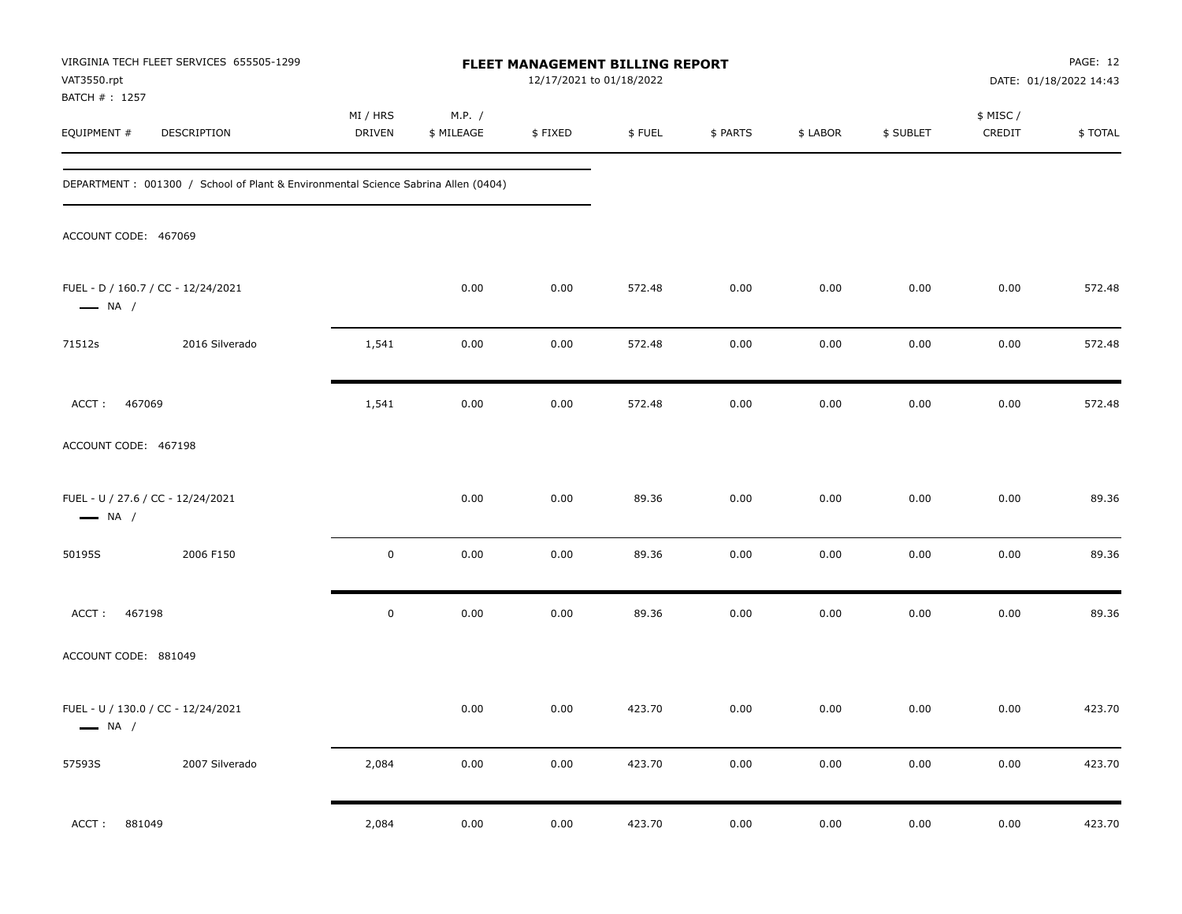| VAT3550.rpt                   | VIRGINIA TECH FLEET SERVICES 655505-1299                                          | FLEET MANAGEMENT BILLING REPORT<br>12/17/2021 to 01/18/2022 |                      |          |        |          |          |           |                     | PAGE: 12<br>DATE: 01/18/2022 14:43 |  |
|-------------------------------|-----------------------------------------------------------------------------------|-------------------------------------------------------------|----------------------|----------|--------|----------|----------|-----------|---------------------|------------------------------------|--|
| BATCH # : 1257<br>EQUIPMENT # | DESCRIPTION                                                                       | MI / HRS<br><b>DRIVEN</b>                                   | M.P. /<br>\$ MILEAGE | \$FIXED  | \$FUEL | \$ PARTS | \$ LABOR | \$ SUBLET | \$ MISC /<br>CREDIT | \$TOTAL                            |  |
|                               | DEPARTMENT: 001300 / School of Plant & Environmental Science Sabrina Allen (0404) |                                                             |                      |          |        |          |          |           |                     |                                    |  |
| ACCOUNT CODE: 467069          |                                                                                   |                                                             |                      |          |        |          |          |           |                     |                                    |  |
| $\longrightarrow$ NA /        | FUEL - D / 160.7 / CC - 12/24/2021                                                |                                                             | 0.00                 | 0.00     | 572.48 | 0.00     | 0.00     | 0.00      | 0.00                | 572.48                             |  |
| 71512s                        | 2016 Silverado                                                                    | 1,541                                                       | 0.00                 | 0.00     | 572.48 | 0.00     | 0.00     | 0.00      | 0.00                | 572.48                             |  |
| ACCT:<br>467069               |                                                                                   | 1,541                                                       | 0.00                 | 0.00     | 572.48 | 0.00     | 0.00     | 0.00      | 0.00                | 572.48                             |  |
| ACCOUNT CODE: 467198          |                                                                                   |                                                             |                      |          |        |          |          |           |                     |                                    |  |
| $\longrightarrow$ NA /        | FUEL - U / 27.6 / CC - 12/24/2021                                                 |                                                             | 0.00                 | 0.00     | 89.36  | 0.00     | 0.00     | 0.00      | 0.00                | 89.36                              |  |
| 50195S                        | 2006 F150                                                                         | $\mathbf 0$                                                 | 0.00                 | 0.00     | 89.36  | 0.00     | 0.00     | 0.00      | 0.00                | 89.36                              |  |
| 467198<br>ACCT:               |                                                                                   | $\pmb{0}$                                                   | 0.00                 | 0.00     | 89.36  | 0.00     | 0.00     | 0.00      | 0.00                | 89.36                              |  |
| ACCOUNT CODE: 881049          |                                                                                   |                                                             |                      |          |        |          |          |           |                     |                                    |  |
| $\longrightarrow$ NA /        | FUEL - U / 130.0 / CC - 12/24/2021                                                |                                                             | 0.00                 | 0.00     | 423.70 | 0.00     | 0.00     | 0.00      | 0.00                | 423.70                             |  |
| 57593S                        | 2007 Silverado                                                                    | 2,084                                                       | $0.00\,$             | $0.00\,$ | 423.70 | 0.00     | $0.00\,$ | 0.00      | 0.00                | 423.70                             |  |
| 881049<br>ACCT:               |                                                                                   | 2,084                                                       | 0.00                 | 0.00     | 423.70 | 0.00     | 0.00     | 0.00      | 0.00                | 423.70                             |  |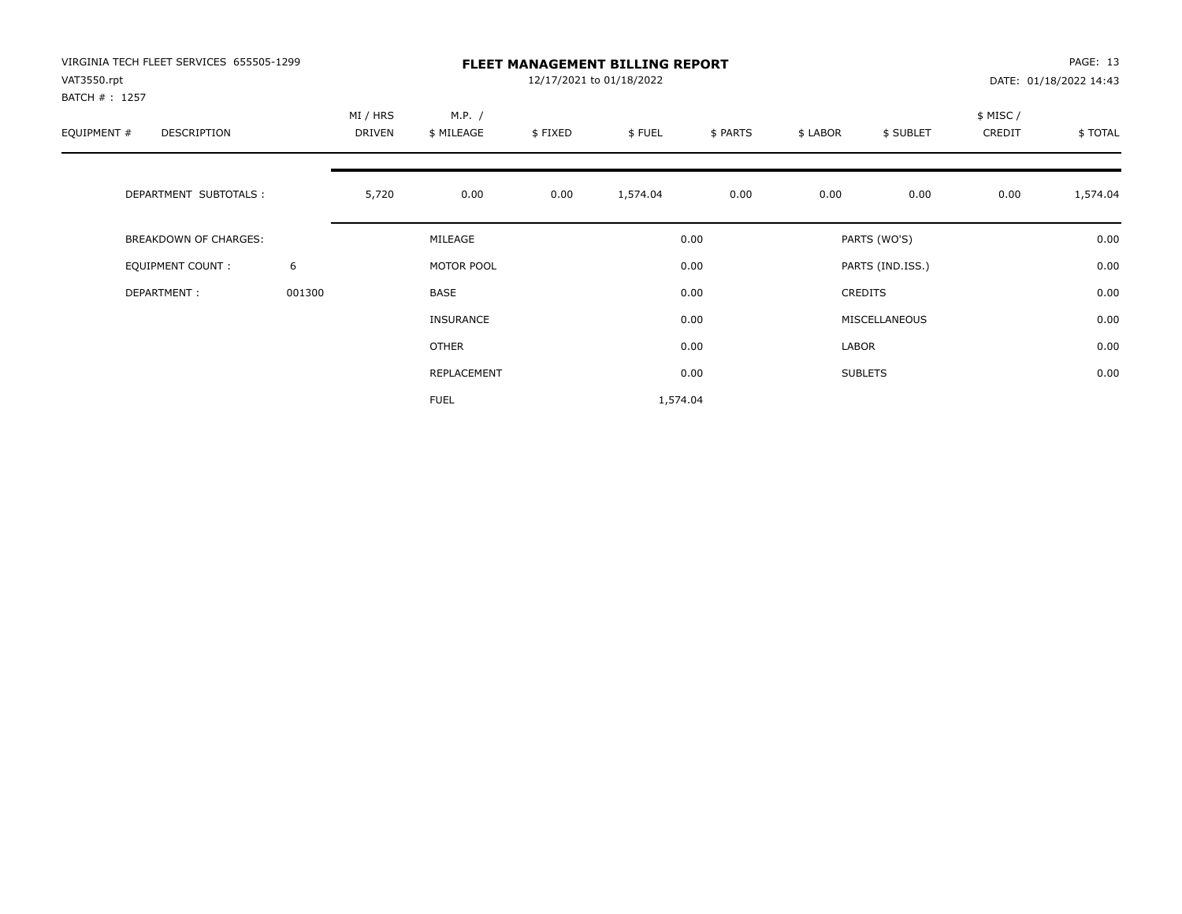| VIRGINIA TECH FLEET SERVICES 655505-1299<br>VAT3550.rpt |        | <b>FLEET MANAGEMENT BILLING REPORT</b><br>12/17/2021 to 01/18/2022<br>DATE: 01/18/2022 14:43 |                  |         |          |          |          |                  |          |          |
|---------------------------------------------------------|--------|----------------------------------------------------------------------------------------------|------------------|---------|----------|----------|----------|------------------|----------|----------|
| BATCH #: 1257                                           |        |                                                                                              |                  |         |          |          |          |                  |          |          |
|                                                         |        | MI / HRS                                                                                     | M.P. /           |         |          |          |          |                  | \$ MISC/ |          |
| EQUIPMENT #<br>DESCRIPTION                              |        | DRIVEN                                                                                       | \$ MILEAGE       | \$FIXED | \$FUEL   | \$ PARTS | \$ LABOR | \$ SUBLET        | CREDIT   | \$ TOTAL |
| DEPARTMENT SUBTOTALS :                                  |        | 5,720                                                                                        | 0.00             | 0.00    | 1,574.04 | 0.00     | 0.00     | 0.00             | 0.00     | 1,574.04 |
| BREAKDOWN OF CHARGES:                                   |        |                                                                                              | MILEAGE          |         |          | 0.00     |          | PARTS (WO'S)     |          | 0.00     |
| <b>EQUIPMENT COUNT:</b>                                 | 6      |                                                                                              | MOTOR POOL       |         |          | 0.00     |          | PARTS (IND.ISS.) |          | 0.00     |
| DEPARTMENT:                                             | 001300 |                                                                                              | <b>BASE</b>      |         |          | 0.00     |          | <b>CREDITS</b>   |          | 0.00     |
|                                                         |        |                                                                                              | <b>INSURANCE</b> |         |          | 0.00     |          | MISCELLANEOUS    |          | 0.00     |
|                                                         |        |                                                                                              | OTHER            |         |          | 0.00     | LABOR    |                  |          | 0.00     |
|                                                         |        |                                                                                              | REPLACEMENT      |         |          | 0.00     |          | <b>SUBLETS</b>   |          | 0.00     |
|                                                         |        |                                                                                              | <b>FUEL</b>      |         | 1,574.04 |          |          |                  |          |          |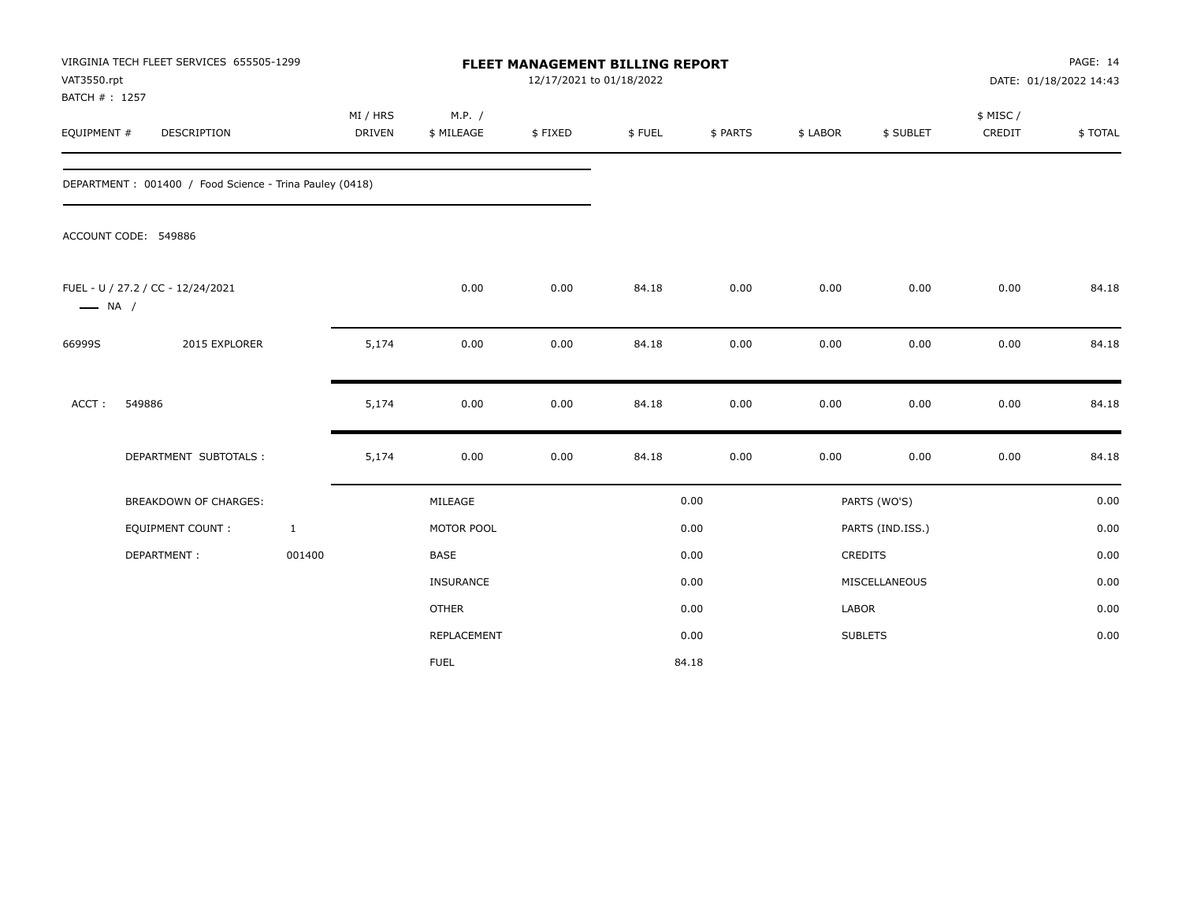| VAT3550.rpt<br>BATCH #: 1257 | VIRGINIA TECH FLEET SERVICES 655505-1299                |                           |                      | <b>FLEET MANAGEMENT BILLING REPORT</b><br>12/17/2021 to 01/18/2022 |        |          |          |                  |                     | PAGE: 14<br>DATE: 01/18/2022 14:43 |
|------------------------------|---------------------------------------------------------|---------------------------|----------------------|--------------------------------------------------------------------|--------|----------|----------|------------------|---------------------|------------------------------------|
| EQUIPMENT #                  | DESCRIPTION                                             | MI / HRS<br><b>DRIVEN</b> | M.P. /<br>\$ MILEAGE | \$FIXED                                                            | \$FUEL | \$ PARTS | \$ LABOR | \$ SUBLET        | \$ MISC /<br>CREDIT | \$TOTAL                            |
|                              | DEPARTMENT: 001400 / Food Science - Trina Pauley (0418) |                           |                      |                                                                    |        |          |          |                  |                     |                                    |
|                              | ACCOUNT CODE: 549886                                    |                           |                      |                                                                    |        |          |          |                  |                     |                                    |
| $\longrightarrow$ NA /       | FUEL - U / 27.2 / CC - 12/24/2021                       |                           | 0.00                 | 0.00                                                               | 84.18  | 0.00     | 0.00     | 0.00             | 0.00                | 84.18                              |
| 66999S                       | 2015 EXPLORER                                           | 5,174                     | 0.00                 | 0.00                                                               | 84.18  | 0.00     | 0.00     | 0.00             | 0.00                | 84.18                              |
| ACCT:                        | 549886                                                  | 5,174                     | 0.00                 | 0.00                                                               | 84.18  | 0.00     | 0.00     | 0.00             | 0.00                | 84.18                              |
|                              | DEPARTMENT SUBTOTALS :                                  | 5,174                     | 0.00                 | 0.00                                                               | 84.18  | 0.00     | 0.00     | 0.00             | 0.00                | 84.18                              |
|                              | <b>BREAKDOWN OF CHARGES:</b>                            |                           | MILEAGE              |                                                                    |        | 0.00     |          | PARTS (WO'S)     |                     | 0.00                               |
|                              | <b>EQUIPMENT COUNT:</b>                                 | $\mathbf{1}$              | MOTOR POOL           |                                                                    |        | 0.00     |          | PARTS (IND.ISS.) |                     | 0.00                               |
|                              | DEPARTMENT:                                             | 001400                    | <b>BASE</b>          |                                                                    |        | 0.00     |          | CREDITS          |                     | 0.00                               |
|                              |                                                         |                           | INSURANCE            |                                                                    |        | 0.00     |          | MISCELLANEOUS    |                     | 0.00                               |
|                              |                                                         |                           | <b>OTHER</b>         |                                                                    |        | 0.00     | LABOR    |                  |                     | 0.00                               |
|                              |                                                         |                           | REPLACEMENT          |                                                                    |        | 0.00     |          | <b>SUBLETS</b>   |                     | 0.00                               |
|                              |                                                         |                           | <b>FUEL</b>          |                                                                    |        | 84.18    |          |                  |                     |                                    |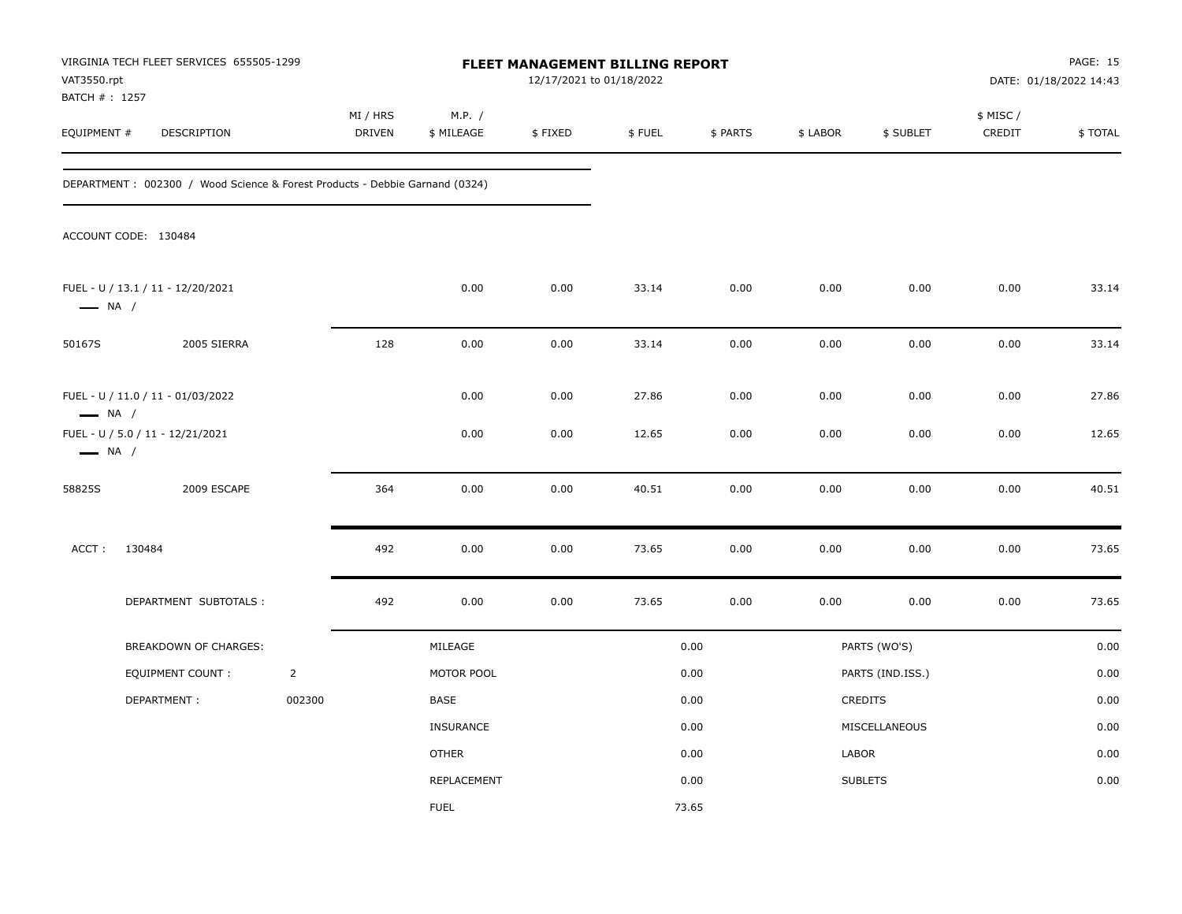| VAT3550.rpt<br>BATCH # : 1257 | VIRGINIA TECH FLEET SERVICES 655505-1299                                    |                |                    |                      | 12/17/2021 to 01/18/2022 | <b>FLEET MANAGEMENT BILLING REPORT</b> |          |          |                  |                     | PAGE: 15<br>DATE: 01/18/2022 14:43 |
|-------------------------------|-----------------------------------------------------------------------------|----------------|--------------------|----------------------|--------------------------|----------------------------------------|----------|----------|------------------|---------------------|------------------------------------|
| EQUIPMENT #                   | DESCRIPTION                                                                 |                | MI / HRS<br>DRIVEN | M.P. /<br>\$ MILEAGE | \$FIXED                  | \$FUEL                                 | \$ PARTS | \$ LABOR | \$ SUBLET        | \$ MISC /<br>CREDIT | \$TOTAL                            |
|                               | DEPARTMENT: 002300 / Wood Science & Forest Products - Debbie Garnand (0324) |                |                    |                      |                          |                                        |          |          |                  |                     |                                    |
|                               | ACCOUNT CODE: 130484                                                        |                |                    |                      |                          |                                        |          |          |                  |                     |                                    |
| $\longrightarrow$ NA /        | FUEL - U / 13.1 / 11 - 12/20/2021                                           |                |                    | 0.00                 | 0.00                     | 33.14                                  | 0.00     | 0.00     | 0.00             | 0.00                | 33.14                              |
| 50167S                        | 2005 SIERRA                                                                 |                | 128                | 0.00                 | 0.00                     | 33.14                                  | 0.00     | 0.00     | 0.00             | 0.00                | 33.14                              |
| $\longrightarrow$ NA /        | FUEL - U / 11.0 / 11 - 01/03/2022                                           |                |                    | 0.00                 | 0.00                     | 27.86                                  | 0.00     | 0.00     | 0.00             | 0.00                | 27.86                              |
| $\longrightarrow$ NA /        | FUEL - U / 5.0 / 11 - 12/21/2021                                            |                |                    | 0.00                 | 0.00                     | 12.65                                  | 0.00     | 0.00     | 0.00             | 0.00                | 12.65                              |
| 58825S                        | 2009 ESCAPE                                                                 |                | 364                | 0.00                 | 0.00                     | 40.51                                  | 0.00     | 0.00     | 0.00             | 0.00                | 40.51                              |
| ACCT:                         | 130484                                                                      |                | 492                | 0.00                 | 0.00                     | 73.65                                  | 0.00     | 0.00     | 0.00             | 0.00                | 73.65                              |
|                               | DEPARTMENT SUBTOTALS :                                                      |                | 492                | 0.00                 | 0.00                     | 73.65                                  | 0.00     | 0.00     | 0.00             | 0.00                | 73.65                              |
|                               | BREAKDOWN OF CHARGES:                                                       |                |                    | MILEAGE              |                          |                                        | 0.00     |          | PARTS (WO'S)     |                     | 0.00                               |
|                               | <b>EQUIPMENT COUNT:</b>                                                     | $\overline{2}$ |                    | MOTOR POOL           |                          |                                        | 0.00     |          | PARTS (IND.ISS.) |                     | 0.00                               |
|                               | DEPARTMENT:                                                                 | 002300         |                    | BASE                 |                          |                                        | 0.00     |          | CREDITS          |                     | 0.00                               |
|                               |                                                                             |                |                    | INSURANCE            |                          |                                        | 0.00     |          | MISCELLANEOUS    |                     | 0.00                               |
|                               |                                                                             |                |                    | <b>OTHER</b>         |                          |                                        | 0.00     | LABOR    |                  |                     | 0.00                               |
|                               |                                                                             |                |                    | REPLACEMENT          |                          |                                        | 0.00     |          | <b>SUBLETS</b>   |                     | 0.00                               |
|                               |                                                                             |                |                    | <b>FUEL</b>          |                          |                                        | 73.65    |          |                  |                     |                                    |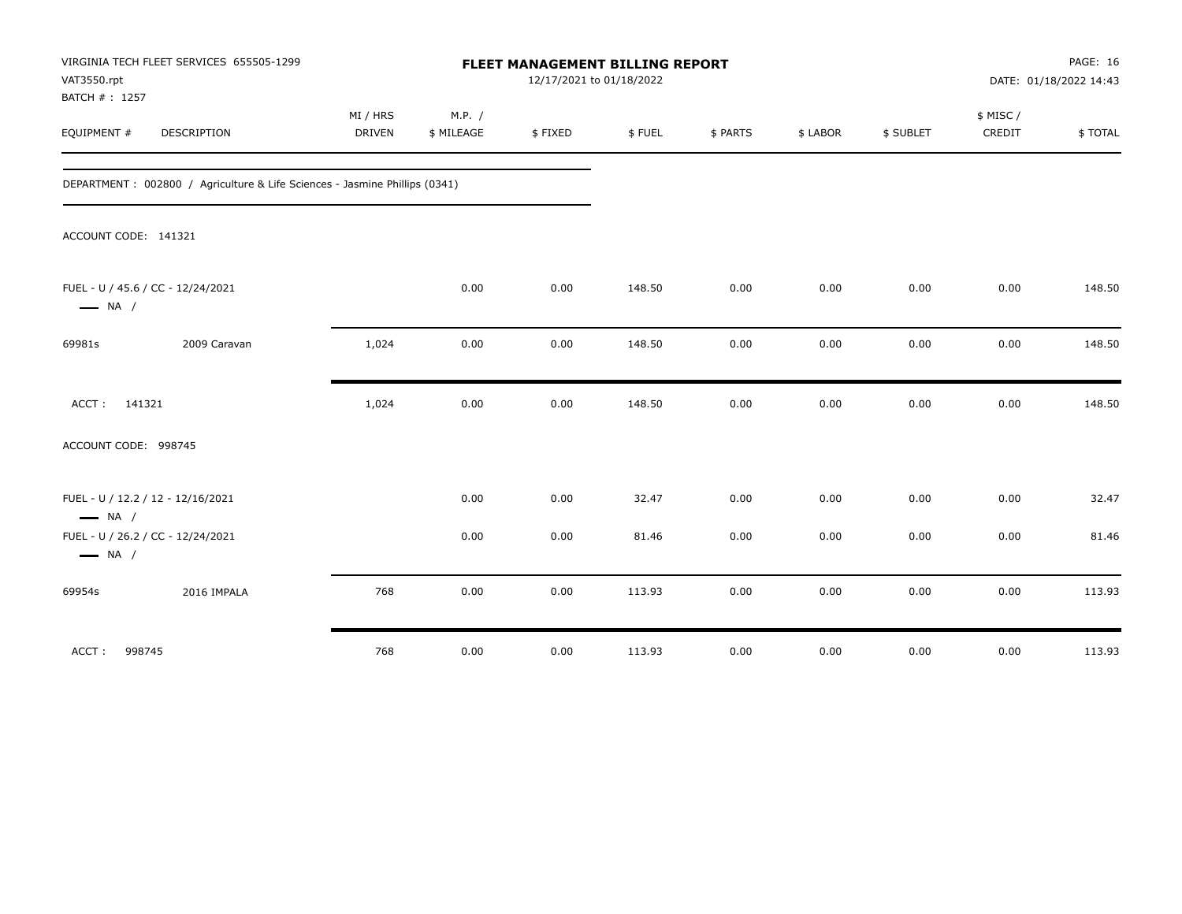| VIRGINIA TECH FLEET SERVICES 655505-1299<br>VAT3550.rpt<br>BATCH #: 1257    |              |                           |                      | FLEET MANAGEMENT BILLING REPORT<br>12/17/2021 to 01/18/2022 |        |          |          |           |                     | <b>PAGE: 16</b><br>DATE: 01/18/2022 14:43 |
|-----------------------------------------------------------------------------|--------------|---------------------------|----------------------|-------------------------------------------------------------|--------|----------|----------|-----------|---------------------|-------------------------------------------|
| EQUIPMENT #<br>DESCRIPTION                                                  |              | MI / HRS<br><b>DRIVEN</b> | M.P. /<br>\$ MILEAGE | \$FIXED                                                     | \$FUEL | \$ PARTS | \$ LABOR | \$ SUBLET | \$ MISC /<br>CREDIT | \$TOTAL                                   |
| DEPARTMENT : 002800 / Agriculture & Life Sciences - Jasmine Phillips (0341) |              |                           |                      |                                                             |        |          |          |           |                     |                                           |
| ACCOUNT CODE: 141321                                                        |              |                           |                      |                                                             |        |          |          |           |                     |                                           |
| FUEL - U / 45.6 / CC - 12/24/2021<br>$\longrightarrow$ NA /                 |              |                           | 0.00                 | 0.00                                                        | 148.50 | 0.00     | 0.00     | 0.00      | 0.00                | 148.50                                    |
| 69981s                                                                      | 2009 Caravan | 1,024                     | 0.00                 | 0.00                                                        | 148.50 | 0.00     | 0.00     | 0.00      | 0.00                | 148.50                                    |
| 141321<br>ACCT:                                                             |              | 1,024                     | 0.00                 | 0.00                                                        | 148.50 | 0.00     | 0.00     | 0.00      | 0.00                | 148.50                                    |
| ACCOUNT CODE: 998745                                                        |              |                           |                      |                                                             |        |          |          |           |                     |                                           |
| FUEL - U / 12.2 / 12 - 12/16/2021<br>$\longrightarrow$ NA /                 |              |                           | 0.00                 | 0.00                                                        | 32.47  | 0.00     | 0.00     | 0.00      | 0.00                | 32.47                                     |
| FUEL - U / 26.2 / CC - 12/24/2021<br>$\longrightarrow$ NA /                 |              |                           | 0.00                 | 0.00                                                        | 81.46  | 0.00     | 0.00     | 0.00      | 0.00                | 81.46                                     |
| 69954s                                                                      | 2016 IMPALA  | 768                       | 0.00                 | 0.00                                                        | 113.93 | 0.00     | 0.00     | 0.00      | 0.00                | 113.93                                    |
| 998745<br>ACCT:                                                             |              | 768                       | 0.00                 | 0.00                                                        | 113.93 | 0.00     | 0.00     | 0.00      | 0.00                | 113.93                                    |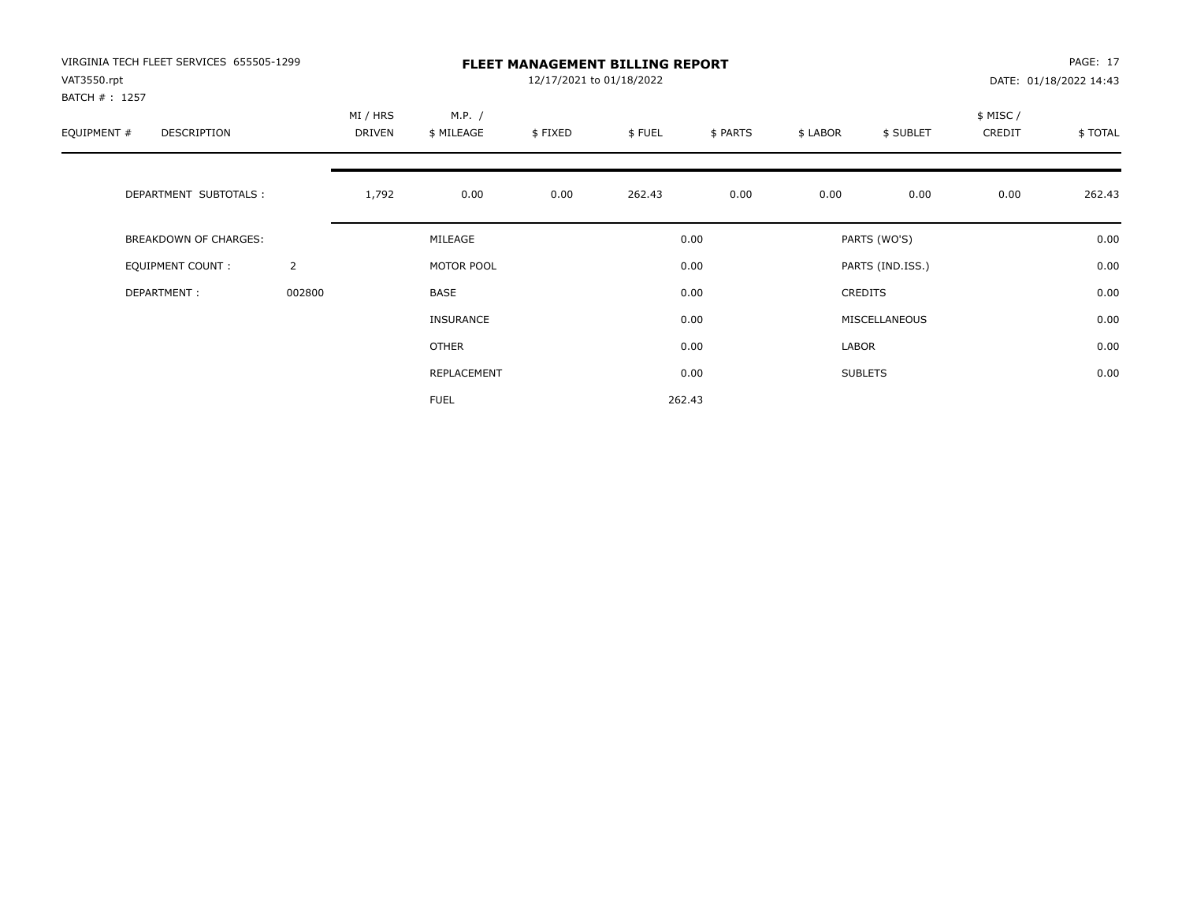| VIRGINIA TECH FLEET SERVICES 655505-1299<br>VAT3550.rpt |                |                    |                      | 12/17/2021 to 01/18/2022 | <b>FLEET MANAGEMENT BILLING REPORT</b> |          |          |                  |                    | PAGE: 17<br>DATE: 01/18/2022 14:43 |
|---------------------------------------------------------|----------------|--------------------|----------------------|--------------------------|----------------------------------------|----------|----------|------------------|--------------------|------------------------------------|
| BATCH #: 1257<br>EQUIPMENT #<br>DESCRIPTION             |                | MI / HRS<br>DRIVEN | M.P. /<br>\$ MILEAGE | \$FIXED                  | \$FUEL                                 | \$ PARTS | \$ LABOR | \$ SUBLET        | \$ MISC/<br>CREDIT | \$TOTAL                            |
| DEPARTMENT SUBTOTALS :                                  |                | 1,792              | 0.00                 | 0.00                     | 262.43                                 | 0.00     | 0.00     | 0.00             | 0.00               | 262.43                             |
| BREAKDOWN OF CHARGES:                                   |                |                    | MILEAGE              |                          |                                        | 0.00     |          | PARTS (WO'S)     |                    | 0.00                               |
| <b>EQUIPMENT COUNT:</b>                                 | $\overline{2}$ |                    | MOTOR POOL           |                          |                                        | 0.00     |          | PARTS (IND.ISS.) |                    | 0.00                               |
| DEPARTMENT:                                             | 002800         |                    | BASE                 |                          |                                        | 0.00     |          | <b>CREDITS</b>   |                    | 0.00                               |
|                                                         |                |                    | <b>INSURANCE</b>     |                          |                                        | 0.00     |          | MISCELLANEOUS    |                    | 0.00                               |
|                                                         |                |                    | OTHER                |                          |                                        | 0.00     | LABOR    |                  |                    | 0.00                               |
|                                                         |                |                    | REPLACEMENT          |                          |                                        | 0.00     |          | <b>SUBLETS</b>   |                    | 0.00                               |
|                                                         |                |                    | <b>FUEL</b>          |                          |                                        | 262.43   |          |                  |                    |                                    |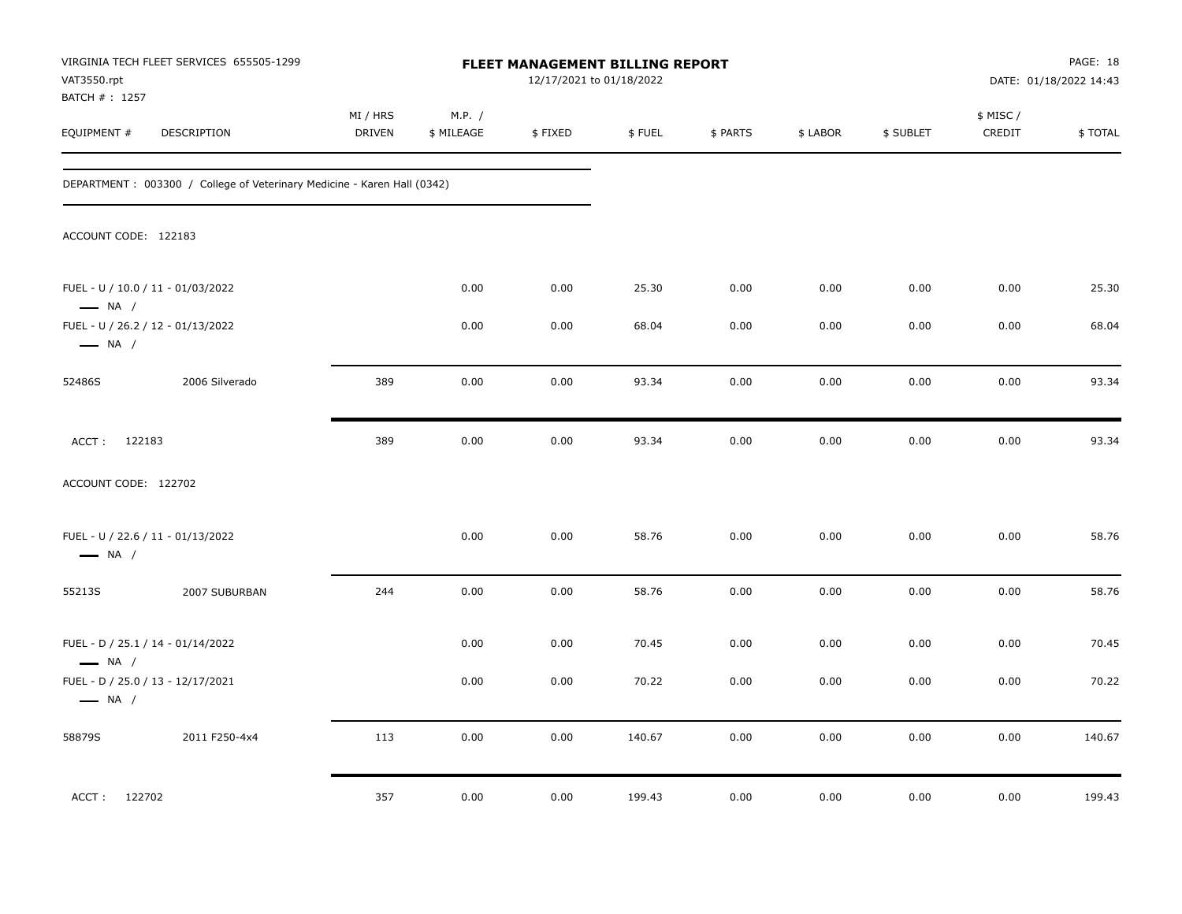| VAT3550.rpt<br>BATCH #: 1257 | VIRGINIA TECH FLEET SERVICES 655505-1299                                 |                    |                      | <b>FLEET MANAGEMENT BILLING REPORT</b><br>12/17/2021 to 01/18/2022 |        |          |          |           |                     | PAGE: 18<br>DATE: 01/18/2022 14:43 |
|------------------------------|--------------------------------------------------------------------------|--------------------|----------------------|--------------------------------------------------------------------|--------|----------|----------|-----------|---------------------|------------------------------------|
| EQUIPMENT #                  | <b>DESCRIPTION</b>                                                       | MI / HRS<br>DRIVEN | M.P. /<br>\$ MILEAGE | \$FIXED                                                            | \$FUEL | \$ PARTS | \$ LABOR | \$ SUBLET | \$ MISC /<br>CREDIT | \$TOTAL                            |
|                              | DEPARTMENT : 003300 / College of Veterinary Medicine - Karen Hall (0342) |                    |                      |                                                                    |        |          |          |           |                     |                                    |
| ACCOUNT CODE: 122183         |                                                                          |                    |                      |                                                                    |        |          |          |           |                     |                                    |
| $\longrightarrow$ NA /       | FUEL - U / 10.0 / 11 - 01/03/2022                                        |                    | 0.00                 | 0.00                                                               | 25.30  | 0.00     | 0.00     | 0.00      | 0.00                | 25.30                              |
| $\longrightarrow$ NA /       | FUEL - U / 26.2 / 12 - 01/13/2022                                        |                    | 0.00                 | 0.00                                                               | 68.04  | 0.00     | 0.00     | 0.00      | 0.00                | 68.04                              |
| 52486S                       | 2006 Silverado                                                           | 389                | 0.00                 | 0.00                                                               | 93.34  | 0.00     | 0.00     | 0.00      | 0.00                | 93.34                              |
| ACCT: 122183                 |                                                                          | 389                | 0.00                 | 0.00                                                               | 93.34  | 0.00     | 0.00     | 0.00      | 0.00                | 93.34                              |
| ACCOUNT CODE: 122702         |                                                                          |                    |                      |                                                                    |        |          |          |           |                     |                                    |
| $\longrightarrow$ NA /       | FUEL - U / 22.6 / 11 - 01/13/2022                                        |                    | 0.00                 | 0.00                                                               | 58.76  | 0.00     | 0.00     | 0.00      | 0.00                | 58.76                              |
| 55213S                       | 2007 SUBURBAN                                                            | 244                | 0.00                 | 0.00                                                               | 58.76  | 0.00     | 0.00     | 0.00      | 0.00                | 58.76                              |
| $\longrightarrow$ NA /       | FUEL - D / 25.1 / 14 - 01/14/2022                                        |                    | 0.00                 | 0.00                                                               | 70.45  | 0.00     | 0.00     | 0.00      | 0.00                | 70.45                              |
| $\longrightarrow$ NA /       | FUEL - D / 25.0 / 13 - 12/17/2021                                        |                    | 0.00                 | 0.00                                                               | 70.22  | 0.00     | 0.00     | 0.00      | 0.00                | 70.22                              |
| 58879S                       | 2011 F250-4x4                                                            | 113                | 0.00                 | 0.00                                                               | 140.67 | 0.00     | 0.00     | 0.00      | 0.00                | 140.67                             |
| ACCT: 122702                 |                                                                          | 357                | 0.00                 | 0.00                                                               | 199.43 | 0.00     | 0.00     | 0.00      | 0.00                | 199.43                             |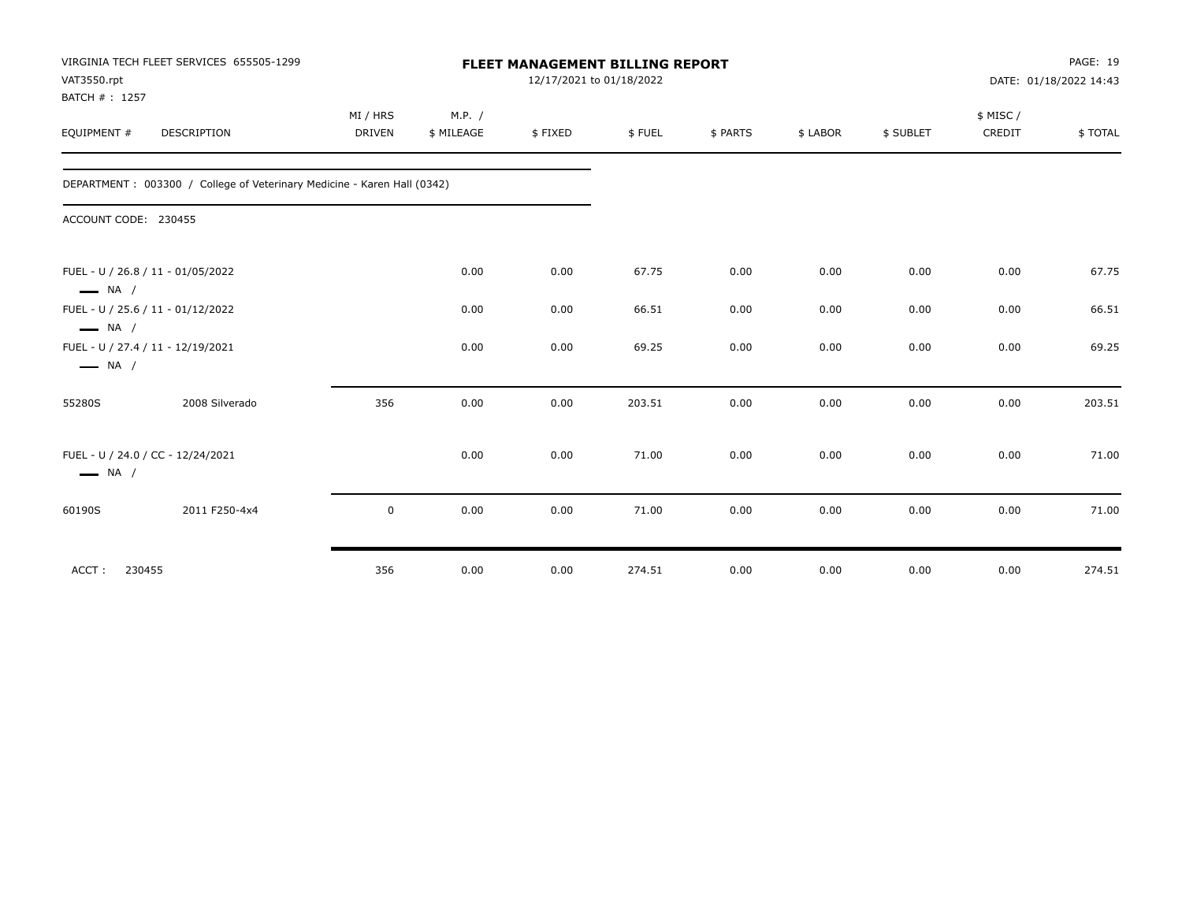| VAT3550.rpt<br>BATCH #: 1257 | VIRGINIA TECH FLEET SERVICES 655505-1299                                 |             |            | <b>FLEET MANAGEMENT BILLING REPORT</b><br>12/17/2021 to 01/18/2022 |        |          |          |           | PAGE: 19<br>DATE: 01/18/2022 14:43 |         |
|------------------------------|--------------------------------------------------------------------------|-------------|------------|--------------------------------------------------------------------|--------|----------|----------|-----------|------------------------------------|---------|
|                              |                                                                          | MI / HRS    | M.P. /     |                                                                    |        |          |          |           | \$ MISC /                          |         |
| EQUIPMENT #                  | <b>DESCRIPTION</b>                                                       | DRIVEN      | \$ MILEAGE | \$FIXED                                                            | \$FUEL | \$ PARTS | \$ LABOR | \$ SUBLET | CREDIT                             | \$TOTAL |
|                              | DEPARTMENT : 003300 / College of Veterinary Medicine - Karen Hall (0342) |             |            |                                                                    |        |          |          |           |                                    |         |
| ACCOUNT CODE: 230455         |                                                                          |             |            |                                                                    |        |          |          |           |                                    |         |
| $\longrightarrow$ NA /       | FUEL - U / 26.8 / 11 - 01/05/2022                                        |             | 0.00       | 0.00                                                               | 67.75  | 0.00     | 0.00     | 0.00      | 0.00                               | 67.75   |
| $\longrightarrow$ NA /       | FUEL - U / 25.6 / 11 - 01/12/2022                                        |             | 0.00       | 0.00                                                               | 66.51  | 0.00     | 0.00     | 0.00      | 0.00                               | 66.51   |
| $\longrightarrow$ NA /       | FUEL - U / 27.4 / 11 - 12/19/2021                                        |             | 0.00       | 0.00                                                               | 69.25  | 0.00     | 0.00     | 0.00      | 0.00                               | 69.25   |
| 55280S                       | 2008 Silverado                                                           | 356         | 0.00       | 0.00                                                               | 203.51 | 0.00     | 0.00     | 0.00      | 0.00                               | 203.51  |
| $\longrightarrow$ NA /       | FUEL - U / 24.0 / CC - 12/24/2021                                        |             | 0.00       | 0.00                                                               | 71.00  | 0.00     | 0.00     | 0.00      | 0.00                               | 71.00   |
| 60190S                       | 2011 F250-4x4                                                            | $\mathsf 0$ | 0.00       | 0.00                                                               | 71.00  | 0.00     | 0.00     | 0.00      | 0.00                               | 71.00   |
| ACCT:<br>230455              |                                                                          | 356         | 0.00       | 0.00                                                               | 274.51 | 0.00     | 0.00     | 0.00      | 0.00                               | 274.51  |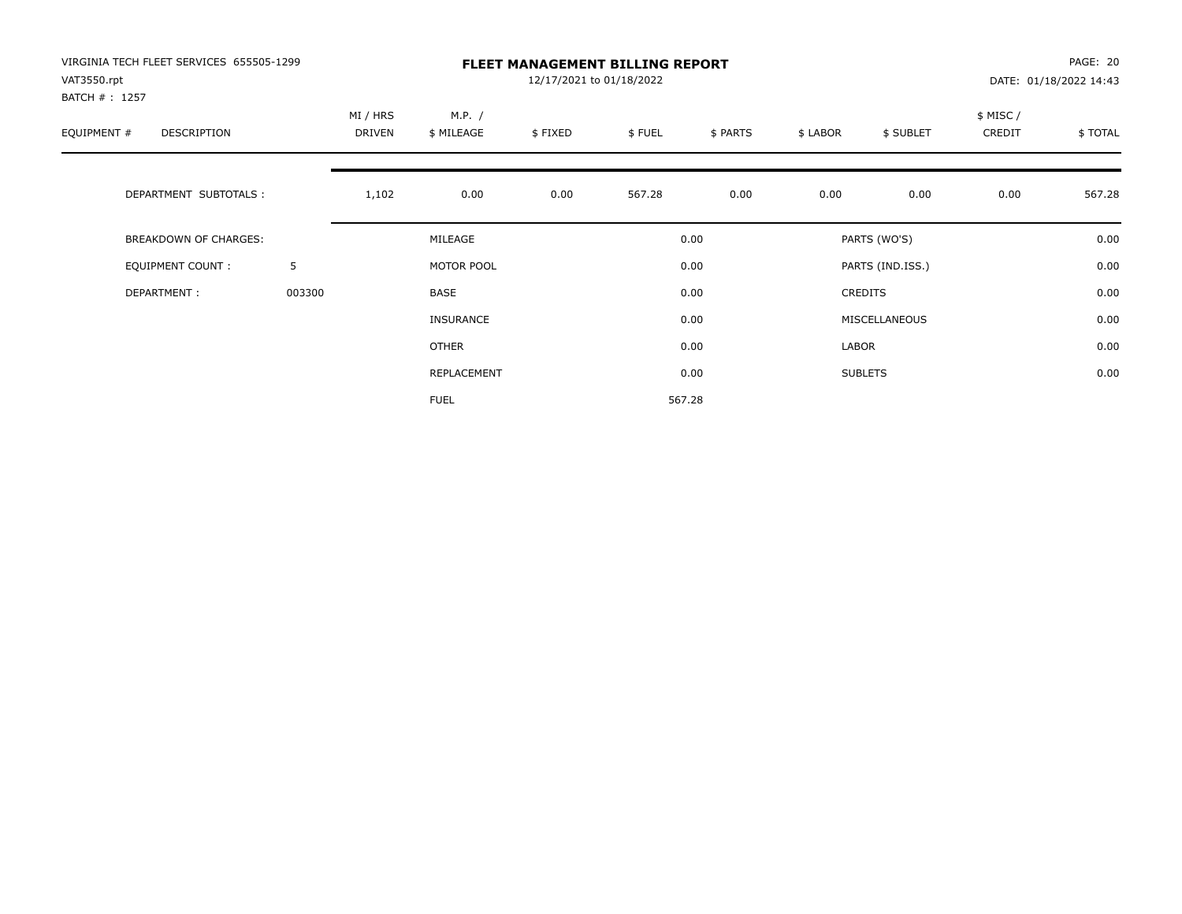| VIRGINIA TECH FLEET SERVICES 655505-1299<br>VAT3550.rpt |        |                    |                      | 12/17/2021 to 01/18/2022 | <b>FLEET MANAGEMENT BILLING REPORT</b> |          |          |                  |                    | PAGE: 20<br>DATE: 01/18/2022 14:43 |
|---------------------------------------------------------|--------|--------------------|----------------------|--------------------------|----------------------------------------|----------|----------|------------------|--------------------|------------------------------------|
| BATCH #: 1257<br>EQUIPMENT #<br>DESCRIPTION             |        | MI / HRS<br>DRIVEN | M.P. /<br>\$ MILEAGE | \$FIXED                  | \$FUEL                                 | \$ PARTS | \$ LABOR | \$ SUBLET        | \$ MISC/<br>CREDIT | \$TOTAL                            |
| DEPARTMENT SUBTOTALS :                                  |        | 1,102              | 0.00                 | 0.00                     | 567.28                                 | 0.00     | 0.00     | 0.00             | 0.00               | 567.28                             |
| BREAKDOWN OF CHARGES:                                   |        |                    | MILEAGE              |                          |                                        | 0.00     |          | PARTS (WO'S)     |                    | 0.00                               |
| <b>EQUIPMENT COUNT:</b>                                 | 5      |                    | MOTOR POOL           |                          |                                        | 0.00     |          | PARTS (IND.ISS.) |                    | 0.00                               |
| DEPARTMENT:                                             | 003300 |                    | BASE                 |                          |                                        | 0.00     |          | <b>CREDITS</b>   |                    | 0.00                               |
|                                                         |        |                    | <b>INSURANCE</b>     |                          |                                        | 0.00     |          | MISCELLANEOUS    |                    | 0.00                               |
|                                                         |        |                    | OTHER                |                          |                                        | 0.00     | LABOR    |                  |                    | 0.00                               |
|                                                         |        |                    | REPLACEMENT          |                          |                                        | 0.00     |          | <b>SUBLETS</b>   |                    | 0.00                               |
|                                                         |        |                    | <b>FUEL</b>          |                          |                                        | 567.28   |          |                  |                    |                                    |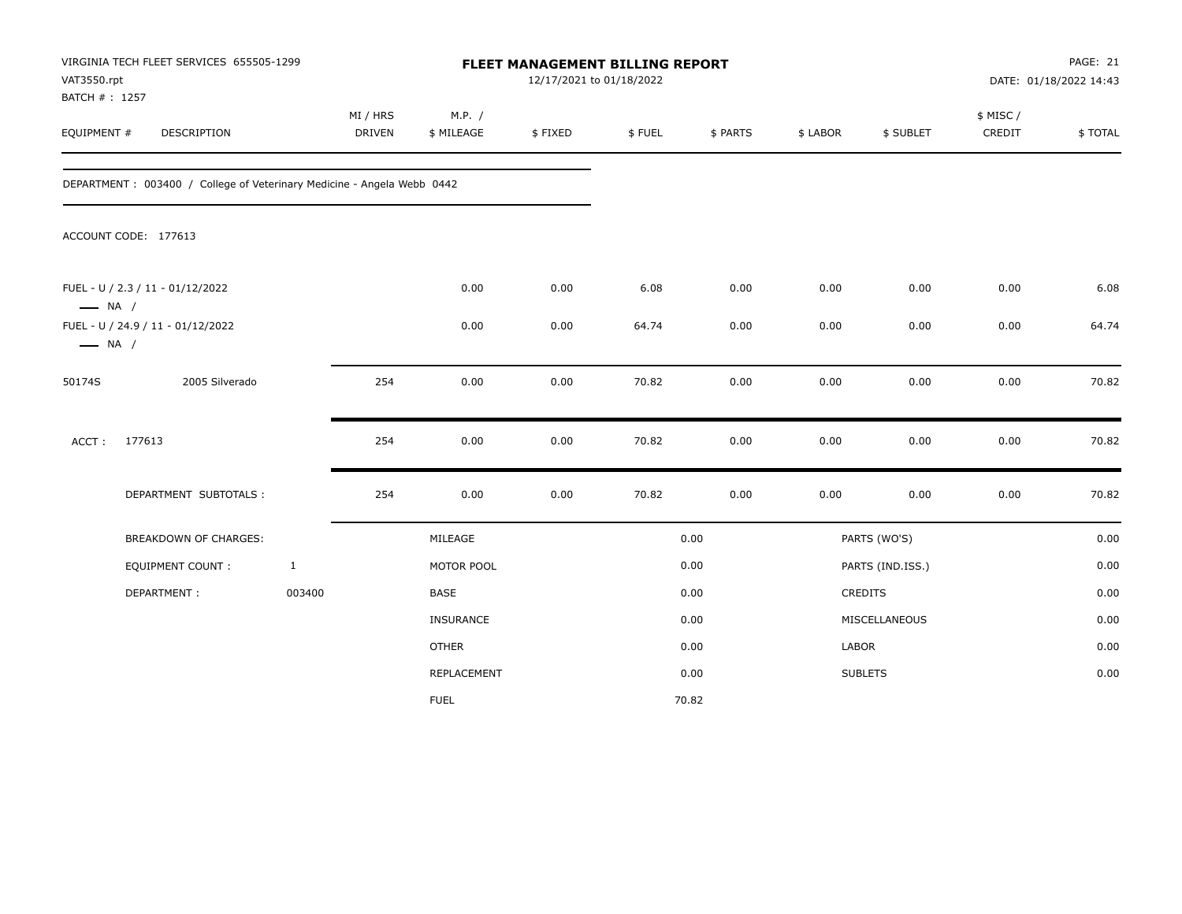| VAT3550.rpt<br>BATCH #: 1257 | VIRGINIA TECH FLEET SERVICES 655505-1299                                |              |                           |                      | FLEET MANAGEMENT BILLING REPORT<br>12/17/2021 to 01/18/2022 |        |          |          |                  |                    | PAGE: 21<br>DATE: 01/18/2022 14:43 |
|------------------------------|-------------------------------------------------------------------------|--------------|---------------------------|----------------------|-------------------------------------------------------------|--------|----------|----------|------------------|--------------------|------------------------------------|
| EQUIPMENT #                  | <b>DESCRIPTION</b>                                                      |              | MI / HRS<br><b>DRIVEN</b> | M.P. /<br>\$ MILEAGE | \$FIXED                                                     | \$FUEL | \$ PARTS | \$ LABOR | \$ SUBLET        | \$ MISC/<br>CREDIT | \$TOTAL                            |
|                              | DEPARTMENT : 003400 / College of Veterinary Medicine - Angela Webb 0442 |              |                           |                      |                                                             |        |          |          |                  |                    |                                    |
|                              | ACCOUNT CODE: 177613                                                    |              |                           |                      |                                                             |        |          |          |                  |                    |                                    |
| $\longrightarrow$ NA /       | FUEL - U / 2.3 / 11 - 01/12/2022                                        |              |                           | 0.00                 | 0.00                                                        | 6.08   | 0.00     | 0.00     | 0.00             | 0.00               | 6.08                               |
| $\longrightarrow$ NA /       | FUEL - U / 24.9 / 11 - 01/12/2022                                       |              |                           | 0.00                 | 0.00                                                        | 64.74  | 0.00     | 0.00     | 0.00             | 0.00               | 64.74                              |
| 50174S                       | 2005 Silverado                                                          |              | 254                       | 0.00                 | 0.00                                                        | 70.82  | 0.00     | 0.00     | 0.00             | 0.00               | 70.82                              |
| ACCT:                        | 177613                                                                  |              | 254                       | 0.00                 | 0.00                                                        | 70.82  | 0.00     | 0.00     | 0.00             | 0.00               | 70.82                              |
|                              | DEPARTMENT SUBTOTALS :                                                  |              | 254                       | 0.00                 | 0.00                                                        | 70.82  | 0.00     | 0.00     | 0.00             | 0.00               | 70.82                              |
|                              | <b>BREAKDOWN OF CHARGES:</b>                                            |              |                           | MILEAGE              |                                                             |        | 0.00     |          | PARTS (WO'S)     |                    | 0.00                               |
|                              | EQUIPMENT COUNT :                                                       | $\mathbf{1}$ |                           | MOTOR POOL           |                                                             |        | 0.00     |          | PARTS (IND.ISS.) |                    | 0.00                               |
|                              | DEPARTMENT:                                                             | 003400       |                           | BASE                 |                                                             |        | 0.00     |          | CREDITS          |                    | 0.00                               |
|                              |                                                                         |              |                           | INSURANCE            |                                                             |        | 0.00     |          | MISCELLANEOUS    |                    | 0.00                               |
|                              |                                                                         |              |                           | <b>OTHER</b>         |                                                             |        | 0.00     | LABOR    |                  |                    | 0.00                               |
|                              |                                                                         |              |                           | REPLACEMENT          |                                                             |        | 0.00     |          | <b>SUBLETS</b>   |                    | 0.00                               |
|                              |                                                                         |              |                           | <b>FUEL</b>          |                                                             |        | 70.82    |          |                  |                    |                                    |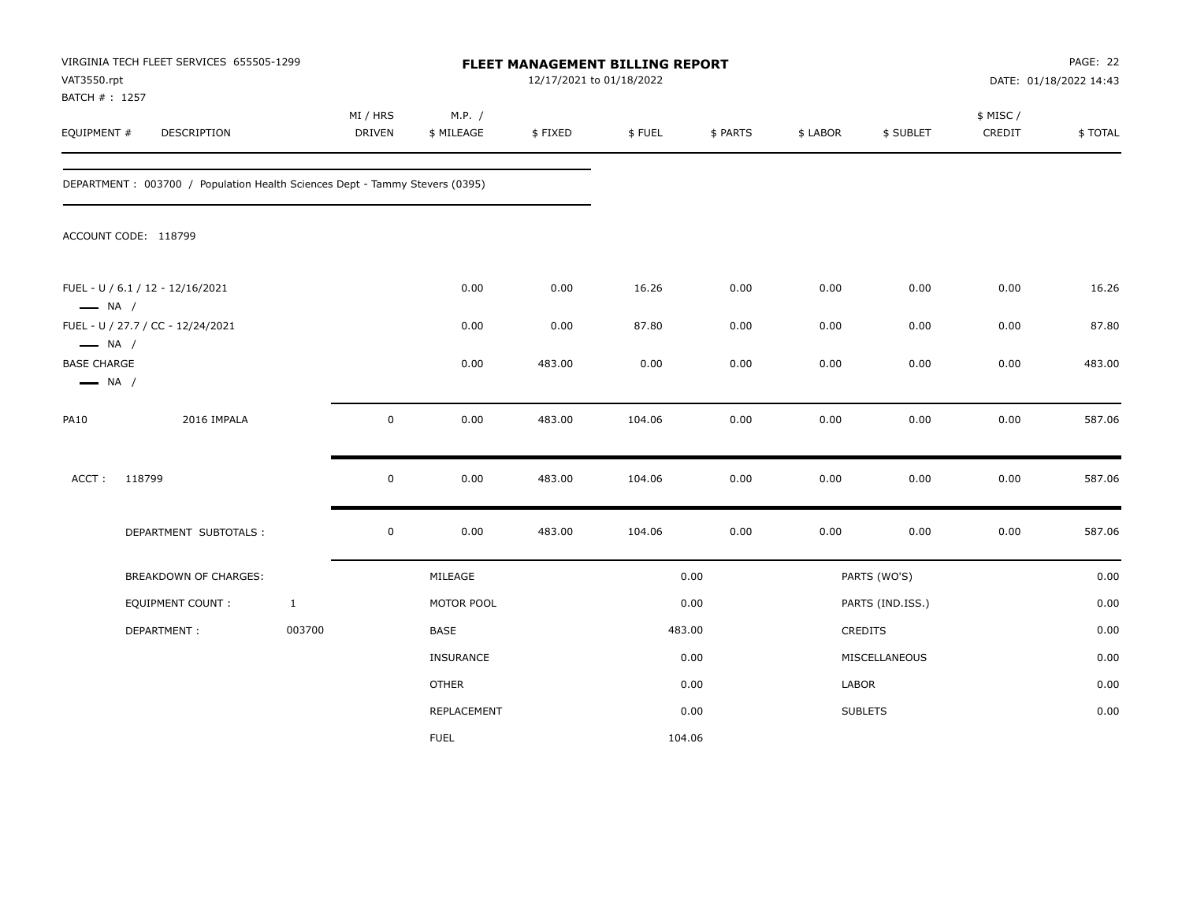| VAT3550.rpt<br>BATCH #: 1257                                           | VIRGINIA TECH FLEET SERVICES 655505-1299                                     |              |                    |                      | FLEET MANAGEMENT BILLING REPORT<br>12/17/2021 to 01/18/2022 |        |          |          |                  |                     | PAGE: 22<br>DATE: 01/18/2022 14:43 |
|------------------------------------------------------------------------|------------------------------------------------------------------------------|--------------|--------------------|----------------------|-------------------------------------------------------------|--------|----------|----------|------------------|---------------------|------------------------------------|
| EQUIPMENT #                                                            | DESCRIPTION                                                                  |              | MI / HRS<br>DRIVEN | M.P. /<br>\$ MILEAGE | \$FIXED                                                     | \$FUEL | \$ PARTS | \$ LABOR | \$ SUBLET        | \$ MISC /<br>CREDIT | \$TOTAL                            |
|                                                                        | DEPARTMENT : 003700 / Population Health Sciences Dept - Tammy Stevers (0395) |              |                    |                      |                                                             |        |          |          |                  |                     |                                    |
|                                                                        | ACCOUNT CODE: 118799                                                         |              |                    |                      |                                                             |        |          |          |                  |                     |                                    |
| $\longrightarrow$ NA /                                                 | FUEL - U / 6.1 / 12 - 12/16/2021                                             |              |                    | 0.00                 | 0.00                                                        | 16.26  | 0.00     | 0.00     | 0.00             | 0.00                | 16.26                              |
|                                                                        | FUEL - U / 27.7 / CC - 12/24/2021                                            |              |                    | 0.00                 | 0.00                                                        | 87.80  | 0.00     | 0.00     | 0.00             | 0.00                | 87.80                              |
| $\longrightarrow$ NA /<br><b>BASE CHARGE</b><br>$\longrightarrow$ NA / |                                                                              |              |                    | 0.00                 | 483.00                                                      | 0.00   | 0.00     | 0.00     | 0.00             | 0.00                | 483.00                             |
| <b>PA10</b>                                                            | 2016 IMPALA                                                                  |              | $\mathbf 0$        | 0.00                 | 483.00                                                      | 104.06 | 0.00     | 0.00     | 0.00             | 0.00                | 587.06                             |
| ACCT:                                                                  | 118799                                                                       |              | $\mathbf 0$        | 0.00                 | 483.00                                                      | 104.06 | 0.00     | 0.00     | 0.00             | 0.00                | 587.06                             |
|                                                                        | DEPARTMENT SUBTOTALS :                                                       |              | $\pmb{0}$          | 0.00                 | 483.00                                                      | 104.06 | 0.00     | 0.00     | 0.00             | 0.00                | 587.06                             |
|                                                                        | BREAKDOWN OF CHARGES:                                                        |              |                    | MILEAGE              |                                                             |        | 0.00     |          | PARTS (WO'S)     |                     | 0.00                               |
|                                                                        | <b>EQUIPMENT COUNT:</b>                                                      | $\mathbf{1}$ |                    | MOTOR POOL           |                                                             |        | 0.00     |          | PARTS (IND.ISS.) |                     | 0.00                               |
|                                                                        | DEPARTMENT:                                                                  | 003700       |                    | BASE                 |                                                             |        | 483.00   |          | <b>CREDITS</b>   |                     | 0.00                               |
|                                                                        |                                                                              |              |                    | <b>INSURANCE</b>     |                                                             |        | 0.00     |          | MISCELLANEOUS    |                     | 0.00                               |
|                                                                        |                                                                              |              |                    | <b>OTHER</b>         |                                                             |        | 0.00     | LABOR    |                  |                     | 0.00                               |
|                                                                        |                                                                              |              |                    | REPLACEMENT          |                                                             |        | 0.00     |          | <b>SUBLETS</b>   |                     | 0.00                               |
|                                                                        |                                                                              |              |                    | <b>FUEL</b>          |                                                             | 104.06 |          |          |                  |                     |                                    |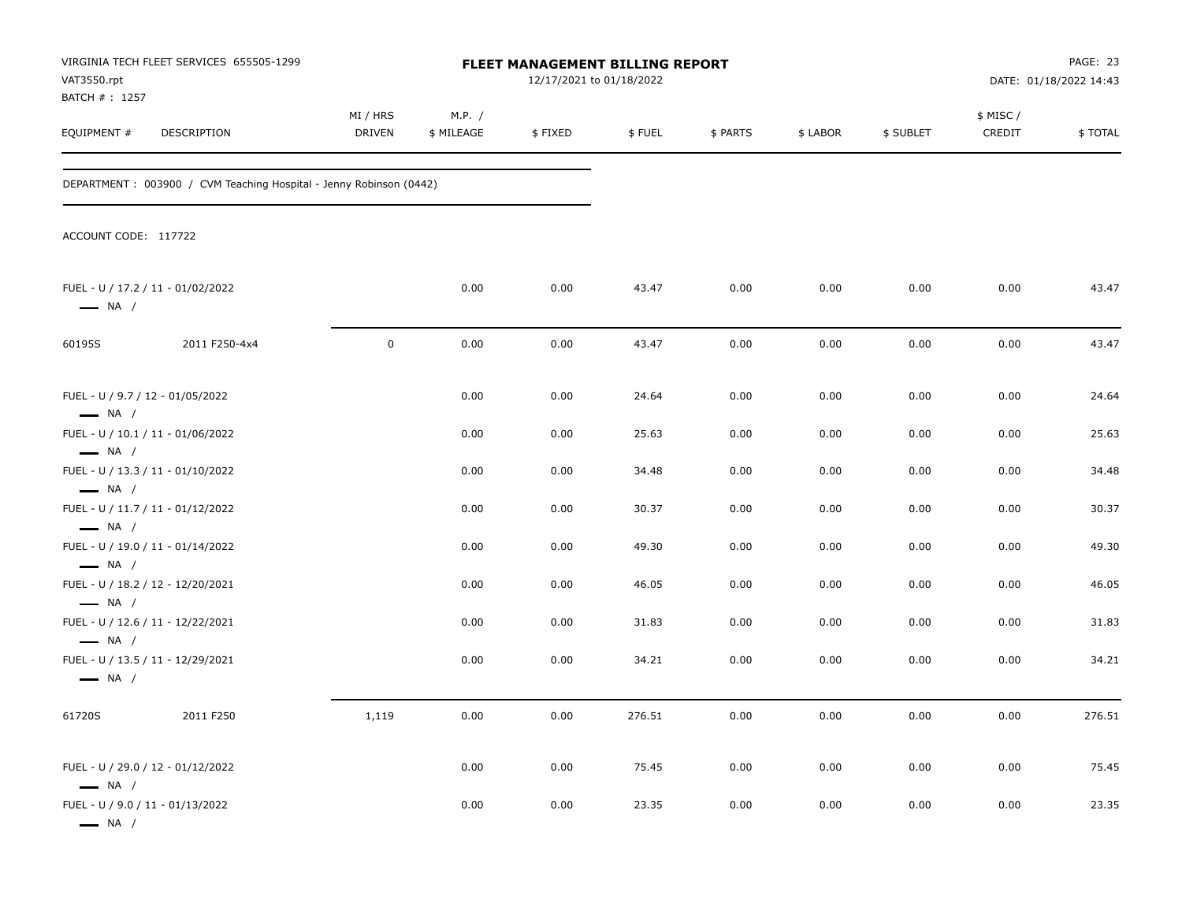| VAT3550.rpt<br>BATCH #: 1257                               | VIRGINIA TECH FLEET SERVICES 655505-1299                           |                    |                      | FLEET MANAGEMENT BILLING REPORT<br>12/17/2021 to 01/18/2022 |        |          |          |           |                    | PAGE: 23<br>DATE: 01/18/2022 14:43 |
|------------------------------------------------------------|--------------------------------------------------------------------|--------------------|----------------------|-------------------------------------------------------------|--------|----------|----------|-----------|--------------------|------------------------------------|
| EQUIPMENT#                                                 | DESCRIPTION                                                        | MI / HRS<br>DRIVEN | M.P. /<br>\$ MILEAGE | \$FIXED                                                     | \$FUEL | \$ PARTS | \$ LABOR | \$ SUBLET | \$ MISC/<br>CREDIT | \$TOTAL                            |
|                                                            | DEPARTMENT: 003900 / CVM Teaching Hospital - Jenny Robinson (0442) |                    |                      |                                                             |        |          |          |           |                    |                                    |
| ACCOUNT CODE: 117722                                       |                                                                    |                    |                      |                                                             |        |          |          |           |                    |                                    |
| $\longrightarrow$ NA /                                     | FUEL - U / 17.2 / 11 - 01/02/2022                                  |                    | 0.00                 | 0.00                                                        | 43.47  | 0.00     | 0.00     | 0.00      | 0.00               | 43.47                              |
| 60195S                                                     | 2011 F250-4x4                                                      | $\mathsf 0$        | 0.00                 | 0.00                                                        | 43.47  | 0.00     | 0.00     | 0.00      | 0.00               | 43.47                              |
| FUEL - U / 9.7 / 12 - 01/05/2022<br>$\longrightarrow$ NA / |                                                                    |                    | 0.00                 | 0.00                                                        | 24.64  | 0.00     | 0.00     | 0.00      | 0.00               | 24.64                              |
|                                                            | FUEL - U / 10.1 / 11 - 01/06/2022                                  |                    | 0.00                 | 0.00                                                        | 25.63  | 0.00     | 0.00     | 0.00      | 0.00               | 25.63                              |
| $\longrightarrow$ NA /<br>$\longrightarrow$ NA /           | FUEL - U / 13.3 / 11 - 01/10/2022                                  |                    | 0.00                 | 0.00                                                        | 34.48  | 0.00     | 0.00     | 0.00      | 0.00               | 34.48                              |
| $\longrightarrow$ NA /                                     | FUEL - U / 11.7 / 11 - 01/12/2022                                  |                    | 0.00                 | 0.00                                                        | 30.37  | 0.00     | 0.00     | 0.00      | 0.00               | 30.37                              |
| $\longrightarrow$ NA /                                     | FUEL - U / 19.0 / 11 - 01/14/2022                                  |                    | 0.00                 | 0.00                                                        | 49.30  | 0.00     | 0.00     | 0.00      | 0.00               | 49.30                              |
| $\longrightarrow$ NA /                                     | FUEL - U / 18.2 / 12 - 12/20/2021                                  |                    | 0.00                 | 0.00                                                        | 46.05  | 0.00     | 0.00     | 0.00      | 0.00               | 46.05                              |
| $\longrightarrow$ NA /                                     | FUEL - U / 12.6 / 11 - 12/22/2021                                  |                    | 0.00                 | 0.00                                                        | 31.83  | 0.00     | 0.00     | 0.00      | 0.00               | 31.83                              |
| $\longrightarrow$ NA /                                     | FUEL - U / 13.5 / 11 - 12/29/2021                                  |                    | 0.00                 | 0.00                                                        | 34.21  | 0.00     | 0.00     | 0.00      | 0.00               | 34.21                              |
| 61720S                                                     | 2011 F250                                                          | 1,119              | 0.00                 | 0.00                                                        | 276.51 | 0.00     | 0.00     | 0.00      | 0.00               | 276.51                             |
| $\longrightarrow$ NA /                                     | FUEL - U / 29.0 / 12 - 01/12/2022                                  |                    | 0.00                 | 0.00                                                        | 75.45  | 0.00     | 0.00     | 0.00      | 0.00               | 75.45                              |
| FUEL - U / 9.0 / 11 - 01/13/2022<br>$\longrightarrow$ NA / |                                                                    |                    | 0.00                 | 0.00                                                        | 23.35  | 0.00     | 0.00     | 0.00      | 0.00               | 23.35                              |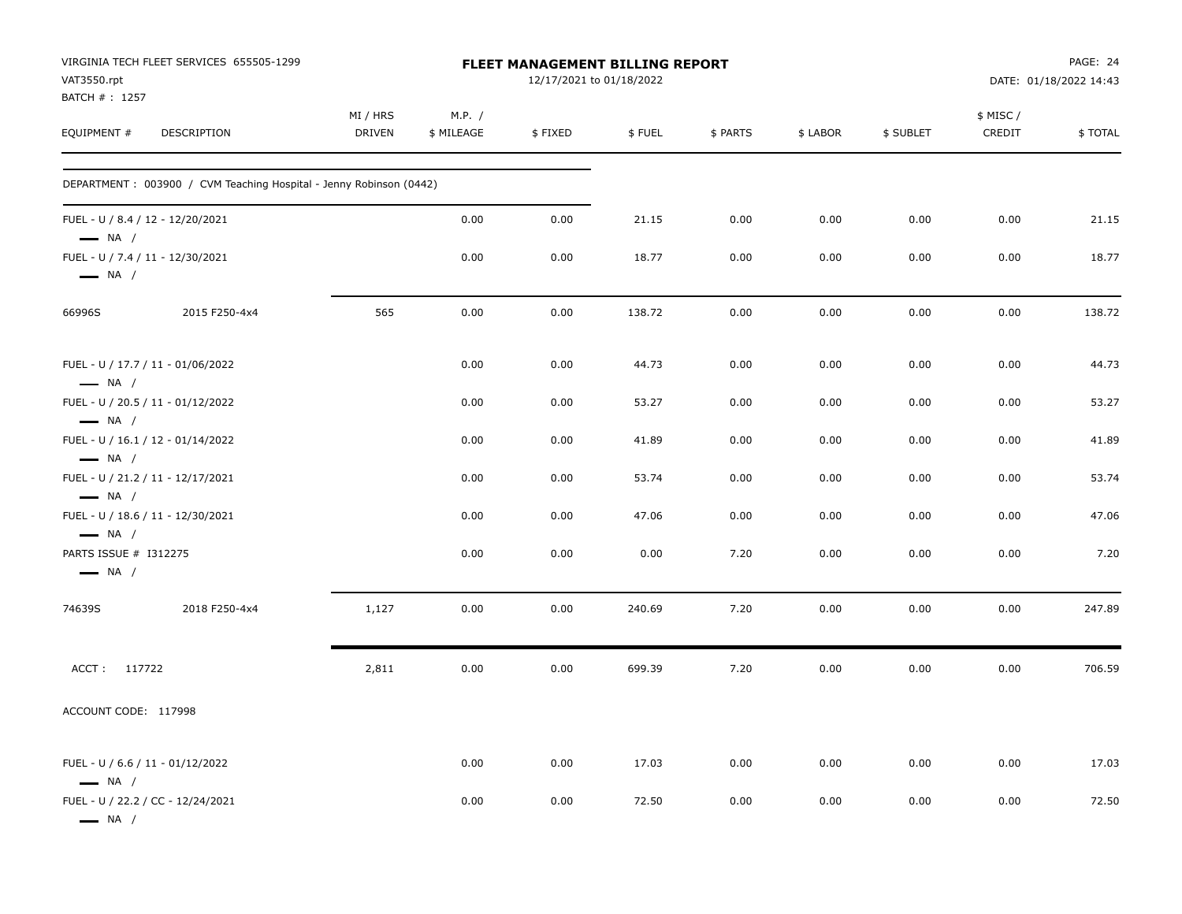| VAT3550.rpt<br>BATCH #: 1257                               | VIRGINIA TECH FLEET SERVICES 655505-1299                           |                           |                      | FLEET MANAGEMENT BILLING REPORT<br>12/17/2021 to 01/18/2022 |        |          |          |           |                     | PAGE: 24<br>DATE: 01/18/2022 14:43 |
|------------------------------------------------------------|--------------------------------------------------------------------|---------------------------|----------------------|-------------------------------------------------------------|--------|----------|----------|-----------|---------------------|------------------------------------|
| EQUIPMENT #                                                | DESCRIPTION                                                        | MI / HRS<br><b>DRIVEN</b> | M.P. /<br>\$ MILEAGE | \$FIXED                                                     | \$FUEL | \$ PARTS | \$ LABOR | \$ SUBLET | \$ MISC /<br>CREDIT | \$TOTAL                            |
|                                                            | DEPARTMENT: 003900 / CVM Teaching Hospital - Jenny Robinson (0442) |                           |                      |                                                             |        |          |          |           |                     |                                    |
| FUEL - U / 8.4 / 12 - 12/20/2021<br>$\longrightarrow$ NA / |                                                                    |                           | 0.00                 | 0.00                                                        | 21.15  | 0.00     | 0.00     | 0.00      | 0.00                | 21.15                              |
| FUEL - U / 7.4 / 11 - 12/30/2021<br>$\longrightarrow$ NA / |                                                                    |                           | 0.00                 | 0.00                                                        | 18.77  | 0.00     | 0.00     | 0.00      | 0.00                | 18.77                              |
| 66996S                                                     | 2015 F250-4x4                                                      | 565                       | 0.00                 | 0.00                                                        | 138.72 | 0.00     | 0.00     | 0.00      | 0.00                | 138.72                             |
| $\longrightarrow$ NA /                                     | FUEL - U / 17.7 / 11 - 01/06/2022                                  |                           | 0.00                 | 0.00                                                        | 44.73  | 0.00     | 0.00     | 0.00      | 0.00                | 44.73                              |
| $\longrightarrow$ NA /                                     | FUEL - U / 20.5 / 11 - 01/12/2022                                  |                           | 0.00                 | 0.00                                                        | 53.27  | 0.00     | 0.00     | 0.00      | 0.00                | 53.27                              |
| $\longrightarrow$ NA /                                     | FUEL - U / 16.1 / 12 - 01/14/2022                                  |                           | 0.00                 | 0.00                                                        | 41.89  | 0.00     | 0.00     | 0.00      | 0.00                | 41.89                              |
| $\longrightarrow$ NA /                                     | FUEL - U / 21.2 / 11 - 12/17/2021                                  |                           | 0.00                 | 0.00                                                        | 53.74  | 0.00     | 0.00     | 0.00      | 0.00                | 53.74                              |
| $\longrightarrow$ NA /                                     | FUEL - U / 18.6 / 11 - 12/30/2021                                  |                           | 0.00                 | 0.00                                                        | 47.06  | 0.00     | 0.00     | 0.00      | 0.00                | 47.06                              |
| PARTS ISSUE # I312275<br>$\longrightarrow$ NA /            |                                                                    |                           | 0.00                 | 0.00                                                        | 0.00   | 7.20     | 0.00     | 0.00      | 0.00                | 7.20                               |
| 74639S                                                     | 2018 F250-4x4                                                      | 1,127                     | 0.00                 | 0.00                                                        | 240.69 | 7.20     | 0.00     | 0.00      | 0.00                | 247.89                             |
| ACCT: 117722                                               |                                                                    | 2,811                     | 0.00                 | 0.00                                                        | 699.39 | 7.20     | 0.00     | 0.00      | 0.00                | 706.59                             |
| ACCOUNT CODE: 117998                                       |                                                                    |                           |                      |                                                             |        |          |          |           |                     |                                    |
| FUEL - U / 6.6 / 11 - 01/12/2022<br>$\longrightarrow$ NA / |                                                                    |                           | 0.00                 | 0.00                                                        | 17.03  | 0.00     | 0.00     | 0.00      | 0.00                | 17.03                              |
| $\longrightarrow$ NA $/$                                   | FUEL - U / 22.2 / CC - 12/24/2021                                  |                           | 0.00                 | 0.00                                                        | 72.50  | 0.00     | 0.00     | 0.00      | 0.00                | 72.50                              |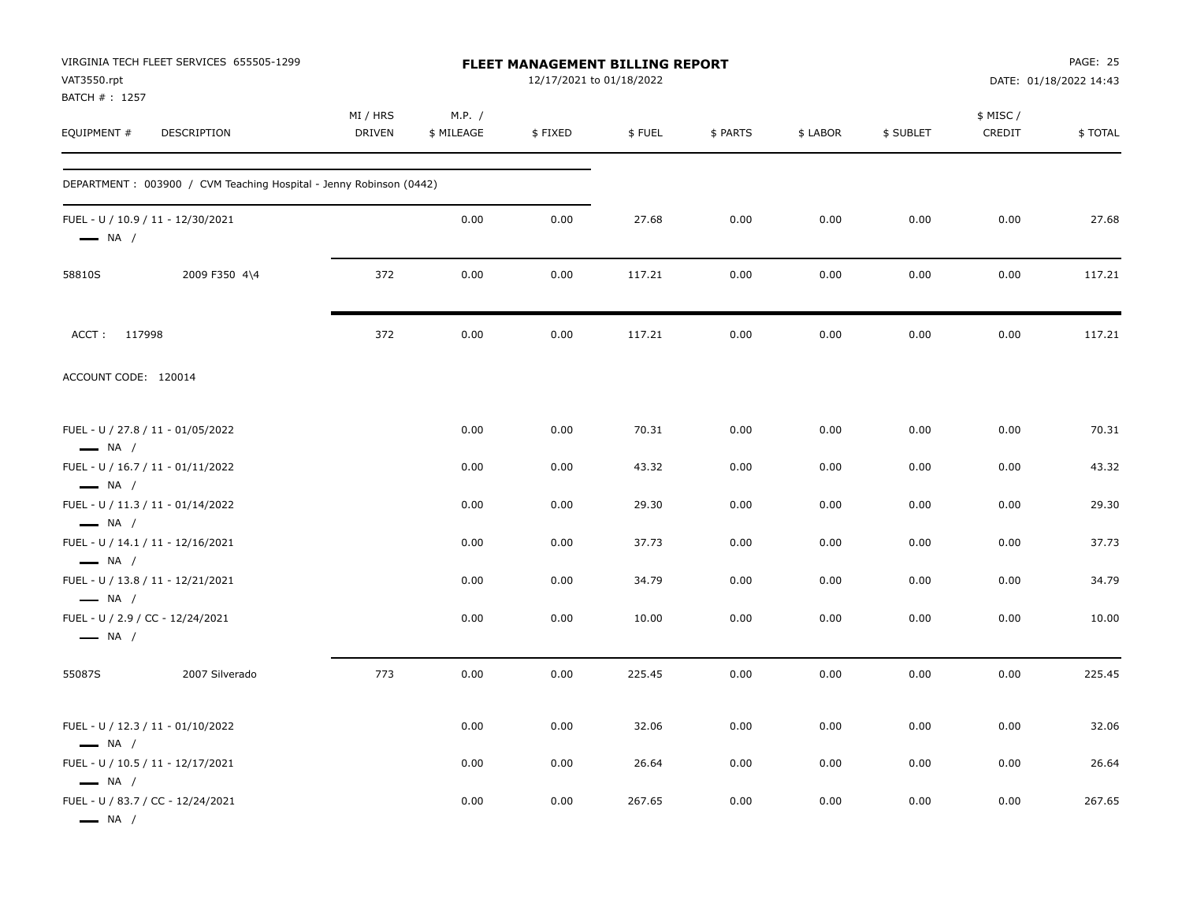| VAT3550.rpt<br>BATCH #: 1257                     | VIRGINIA TECH FLEET SERVICES 655505-1299                           |                           |                      | FLEET MANAGEMENT BILLING REPORT<br>12/17/2021 to 01/18/2022 |        |          |          |           |                    | <b>PAGE: 25</b><br>DATE: 01/18/2022 14:43 |
|--------------------------------------------------|--------------------------------------------------------------------|---------------------------|----------------------|-------------------------------------------------------------|--------|----------|----------|-----------|--------------------|-------------------------------------------|
| EQUIPMENT #                                      | DESCRIPTION                                                        | MI / HRS<br><b>DRIVEN</b> | M.P. /<br>\$ MILEAGE | \$FIXED                                                     | \$FUEL | \$ PARTS | \$ LABOR | \$ SUBLET | \$ MISC/<br>CREDIT | \$TOTAL                                   |
|                                                  | DEPARTMENT: 003900 / CVM Teaching Hospital - Jenny Robinson (0442) |                           |                      |                                                             |        |          |          |           |                    |                                           |
| $\longrightarrow$ NA /                           | FUEL - U / 10.9 / 11 - 12/30/2021                                  |                           | 0.00                 | 0.00                                                        | 27.68  | 0.00     | 0.00     | 0.00      | 0.00               | 27.68                                     |
| 58810S                                           | 2009 F350 4\4                                                      | 372                       | 0.00                 | 0.00                                                        | 117.21 | 0.00     | 0.00     | 0.00      | 0.00               | 117.21                                    |
| ACCT: 117998                                     |                                                                    | 372                       | 0.00                 | 0.00                                                        | 117.21 | 0.00     | 0.00     | 0.00      | 0.00               | 117.21                                    |
| ACCOUNT CODE: 120014                             |                                                                    |                           |                      |                                                             |        |          |          |           |                    |                                           |
| $\longrightarrow$ NA /                           | FUEL - U / 27.8 / 11 - 01/05/2022                                  |                           | 0.00                 | 0.00                                                        | 70.31  | 0.00     | 0.00     | 0.00      | 0.00               | 70.31                                     |
|                                                  | FUEL - U / 16.7 / 11 - 01/11/2022                                  |                           | 0.00                 | 0.00                                                        | 43.32  | 0.00     | 0.00     | 0.00      | 0.00               | 43.32                                     |
| $\longrightarrow$ NA /<br>$\longrightarrow$ NA / | FUEL - U / 11.3 / 11 - 01/14/2022                                  |                           | 0.00                 | 0.00                                                        | 29.30  | 0.00     | 0.00     | 0.00      | 0.00               | 29.30                                     |
| $\longrightarrow$ NA /                           | FUEL - U / 14.1 / 11 - 12/16/2021                                  |                           | 0.00                 | 0.00                                                        | 37.73  | 0.00     | 0.00     | 0.00      | 0.00               | 37.73                                     |
| $\longrightarrow$ NA /                           | FUEL - U / 13.8 / 11 - 12/21/2021                                  |                           | 0.00                 | 0.00                                                        | 34.79  | 0.00     | 0.00     | 0.00      | 0.00               | 34.79                                     |
| $\longrightarrow$ NA /                           | FUEL - U / 2.9 / CC - 12/24/2021                                   |                           | 0.00                 | 0.00                                                        | 10.00  | 0.00     | 0.00     | 0.00      | 0.00               | 10.00                                     |
| 55087S                                           | 2007 Silverado                                                     | 773                       | 0.00                 | 0.00                                                        | 225.45 | 0.00     | 0.00     | 0.00      | 0.00               | 225.45                                    |
| $\longrightarrow$ NA /                           | FUEL - U / 12.3 / 11 - 01/10/2022                                  |                           | 0.00                 | 0.00                                                        | 32.06  | 0.00     | 0.00     | 0.00      | 0.00               | 32.06                                     |
| $\longrightarrow$ NA /                           | FUEL - U / 10.5 / 11 - 12/17/2021                                  |                           | 0.00                 | 0.00                                                        | 26.64  | 0.00     | 0.00     | 0.00      | 0.00               | 26.64                                     |
| $\longrightarrow$ NA /                           | FUEL - U / 83.7 / CC - 12/24/2021                                  |                           | 0.00                 | 0.00                                                        | 267.65 | 0.00     | 0.00     | 0.00      | 0.00               | 267.65                                    |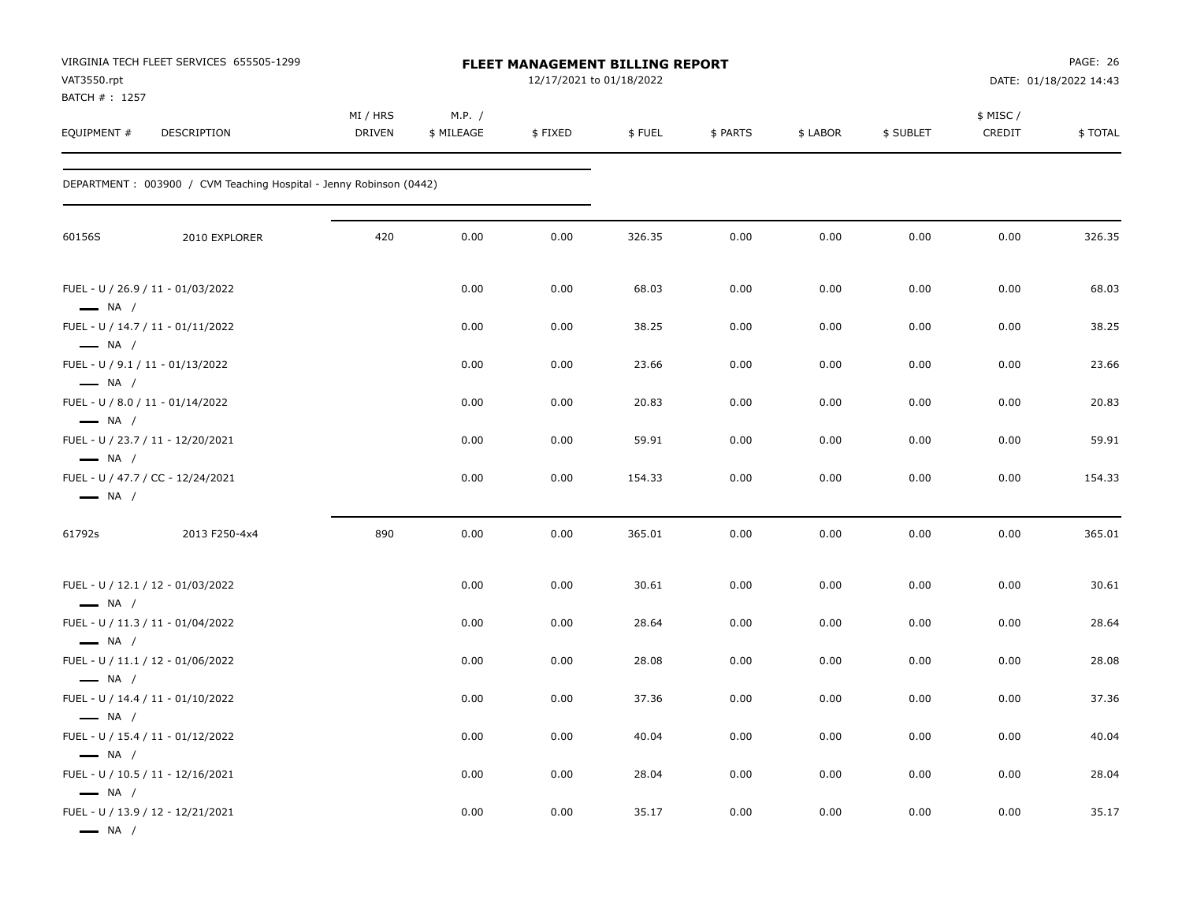| VAT3550.rpt<br>BATCH # : 1257                              | VIRGINIA TECH FLEET SERVICES 655505-1299                            |                    |                      | FLEET MANAGEMENT BILLING REPORT<br>12/17/2021 to 01/18/2022 |        |          |          |           |                    | PAGE: 26<br>DATE: 01/18/2022 14:43 |
|------------------------------------------------------------|---------------------------------------------------------------------|--------------------|----------------------|-------------------------------------------------------------|--------|----------|----------|-----------|--------------------|------------------------------------|
| EQUIPMENT #                                                | DESCRIPTION                                                         | MI / HRS<br>DRIVEN | M.P. /<br>\$ MILEAGE | \$FIXED                                                     | \$FUEL | \$ PARTS | \$ LABOR | \$ SUBLET | \$ MISC/<br>CREDIT | \$TOTAL                            |
|                                                            | DEPARTMENT : 003900 / CVM Teaching Hospital - Jenny Robinson (0442) |                    |                      |                                                             |        |          |          |           |                    |                                    |
| 60156S                                                     | 2010 EXPLORER                                                       | 420                | 0.00                 | 0.00                                                        | 326.35 | 0.00     | 0.00     | 0.00      | 0.00               | 326.35                             |
| $\longrightarrow$ NA /                                     | FUEL - U / 26.9 / 11 - 01/03/2022                                   |                    | 0.00                 | 0.00                                                        | 68.03  | 0.00     | 0.00     | 0.00      | 0.00               | 68.03                              |
|                                                            | FUEL - U / 14.7 / 11 - 01/11/2022                                   |                    | 0.00                 | 0.00                                                        | 38.25  | 0.00     | 0.00     | 0.00      | 0.00               | 38.25                              |
| $\longrightarrow$ NA /<br>FUEL - U / 9.1 / 11 - 01/13/2022 |                                                                     |                    | 0.00                 | 0.00                                                        | 23.66  | 0.00     | 0.00     | 0.00      | 0.00               | 23.66                              |
| $\longrightarrow$ NA /<br>FUEL - U / 8.0 / 11 - 01/14/2022 |                                                                     |                    | 0.00                 | 0.00                                                        | 20.83  | 0.00     | 0.00     | 0.00      | 0.00               | 20.83                              |
| $\longrightarrow$ NA /<br>$\longrightarrow$ NA /           | FUEL - U / 23.7 / 11 - 12/20/2021                                   |                    | 0.00                 | 0.00                                                        | 59.91  | 0.00     | 0.00     | 0.00      | 0.00               | 59.91                              |
| $\longrightarrow$ NA /                                     | FUEL - U / 47.7 / CC - 12/24/2021                                   |                    | 0.00                 | 0.00                                                        | 154.33 | 0.00     | 0.00     | 0.00      | 0.00               | 154.33                             |
| 61792s                                                     | 2013 F250-4x4                                                       | 890                | 0.00                 | 0.00                                                        | 365.01 | 0.00     | 0.00     | 0.00      | 0.00               | 365.01                             |
|                                                            | FUEL - U / 12.1 / 12 - 01/03/2022                                   |                    | 0.00                 | 0.00                                                        | 30.61  | 0.00     | 0.00     | 0.00      | 0.00               | 30.61                              |
| $\longrightarrow$ NA /                                     | FUEL - U / 11.3 / 11 - 01/04/2022                                   |                    | 0.00                 | 0.00                                                        | 28.64  | 0.00     | 0.00     | 0.00      | 0.00               | 28.64                              |
| $\longrightarrow$ NA /                                     | FUEL - U / 11.1 / 12 - 01/06/2022                                   |                    | 0.00                 | 0.00                                                        | 28.08  | 0.00     | 0.00     | 0.00      | 0.00               | 28.08                              |
| $\longrightarrow$ NA /                                     | FUEL - U / 14.4 / 11 - 01/10/2022                                   |                    | 0.00                 | 0.00                                                        | 37.36  | 0.00     | 0.00     | 0.00      | 0.00               | 37.36                              |
| — NA /                                                     | FUEL - U / 15.4 / 11 - 01/12/2022                                   |                    | 0.00                 | 0.00                                                        | 40.04  | 0.00     | 0.00     | 0.00      | 0.00               | 40.04                              |
| $\longrightarrow$ NA /                                     | FUEL - U / 10.5 / 11 - 12/16/2021                                   |                    | 0.00                 | 0.00                                                        | 28.04  | 0.00     | 0.00     | 0.00      | 0.00               | 28.04                              |
| $\longrightarrow$ NA /<br>$\longrightarrow$ NA /           | FUEL - U / 13.9 / 12 - 12/21/2021                                   |                    | 0.00                 | 0.00                                                        | 35.17  | 0.00     | 0.00     | 0.00      | 0.00               | 35.17                              |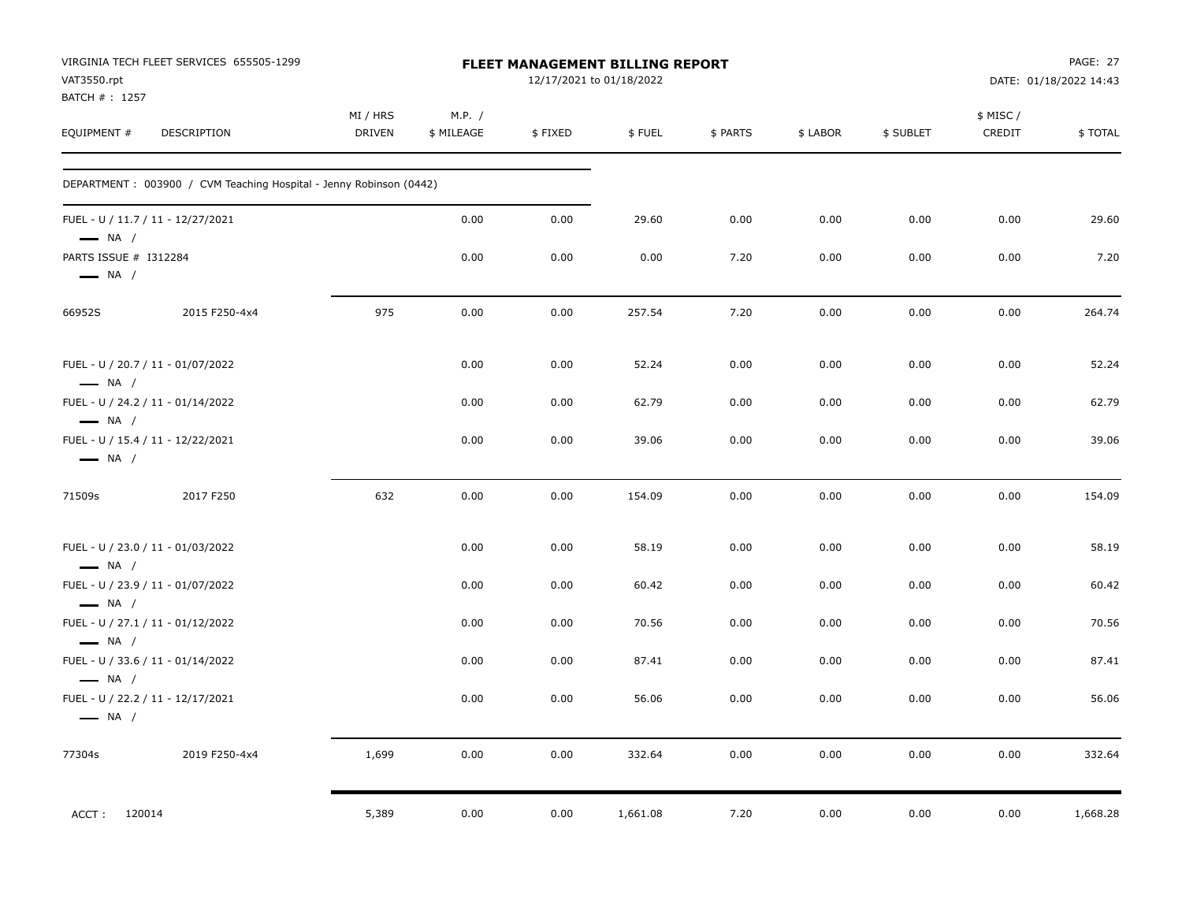| VAT3550.rpt<br>BATCH # : 1257                   | VIRGINIA TECH FLEET SERVICES 655505-1299                           |                           |                      |         | <b>FLEET MANAGEMENT BILLING REPORT</b><br>12/17/2021 to 01/18/2022 |          |          |           |                     | PAGE: 27<br>DATE: 01/18/2022 14:43 |
|-------------------------------------------------|--------------------------------------------------------------------|---------------------------|----------------------|---------|--------------------------------------------------------------------|----------|----------|-----------|---------------------|------------------------------------|
| EQUIPMENT #                                     | DESCRIPTION                                                        | MI / HRS<br><b>DRIVEN</b> | M.P. /<br>\$ MILEAGE | \$FIXED | \$FUEL                                                             | \$ PARTS | \$ LABOR | \$ SUBLET | \$ MISC /<br>CREDIT | \$TOTAL                            |
|                                                 | DEPARTMENT: 003900 / CVM Teaching Hospital - Jenny Robinson (0442) |                           |                      |         |                                                                    |          |          |           |                     |                                    |
| $-$ NA /                                        | FUEL - U / 11.7 / 11 - 12/27/2021                                  |                           | 0.00                 | 0.00    | 29.60                                                              | 0.00     | 0.00     | 0.00      | 0.00                | 29.60                              |
| PARTS ISSUE # I312284<br>$\longrightarrow$ NA / |                                                                    |                           | 0.00                 | 0.00    | 0.00                                                               | 7.20     | 0.00     | 0.00      | 0.00                | 7.20                               |
| 66952S                                          | 2015 F250-4x4                                                      | 975                       | 0.00                 | 0.00    | 257.54                                                             | 7.20     | 0.00     | 0.00      | 0.00                | 264.74                             |
| $\longrightarrow$ NA /                          | FUEL - U / 20.7 / 11 - 01/07/2022                                  |                           | 0.00                 | 0.00    | 52.24                                                              | 0.00     | 0.00     | 0.00      | 0.00                | 52.24                              |
| $\longrightarrow$ NA /                          | FUEL - U / 24.2 / 11 - 01/14/2022                                  |                           | 0.00                 | 0.00    | 62.79                                                              | 0.00     | 0.00     | 0.00      | 0.00                | 62.79                              |
| $\longrightarrow$ NA /                          | FUEL - U / 15.4 / 11 - 12/22/2021                                  |                           | 0.00                 | 0.00    | 39.06                                                              | 0.00     | 0.00     | 0.00      | 0.00                | 39.06                              |
| 71509s                                          | 2017 F250                                                          | 632                       | 0.00                 | 0.00    | 154.09                                                             | 0.00     | 0.00     | 0.00      | 0.00                | 154.09                             |
| $\longrightarrow$ NA /                          | FUEL - U / 23.0 / 11 - 01/03/2022                                  |                           | 0.00                 | 0.00    | 58.19                                                              | 0.00     | 0.00     | 0.00      | 0.00                | 58.19                              |
| $\longrightarrow$ NA /                          | FUEL - U / 23.9 / 11 - 01/07/2022                                  |                           | 0.00                 | 0.00    | 60.42                                                              | 0.00     | 0.00     | 0.00      | 0.00                | 60.42                              |
| $\longrightarrow$ NA /                          | FUEL - U / 27.1 / 11 - 01/12/2022                                  |                           | 0.00                 | 0.00    | 70.56                                                              | 0.00     | 0.00     | 0.00      | 0.00                | 70.56                              |
| $\longrightarrow$ NA /                          | FUEL - U / 33.6 / 11 - 01/14/2022                                  |                           | 0.00                 | 0.00    | 87.41                                                              | 0.00     | 0.00     | 0.00      | 0.00                | 87.41                              |
| $\longrightarrow$ NA /                          | FUEL - U / 22.2 / 11 - 12/17/2021                                  |                           | 0.00                 | 0.00    | 56.06                                                              | 0.00     | 0.00     | 0.00      | 0.00                | 56.06                              |
| 77304s                                          | 2019 F250-4x4                                                      | 1,699                     | 0.00                 | 0.00    | 332.64                                                             | 0.00     | 0.00     | 0.00      | 0.00                | 332.64                             |
| ACCT: 120014                                    |                                                                    | 5,389                     | 0.00                 | 0.00    | 1,661.08                                                           | 7.20     | 0.00     | 0.00      | 0.00                | 1,668.28                           |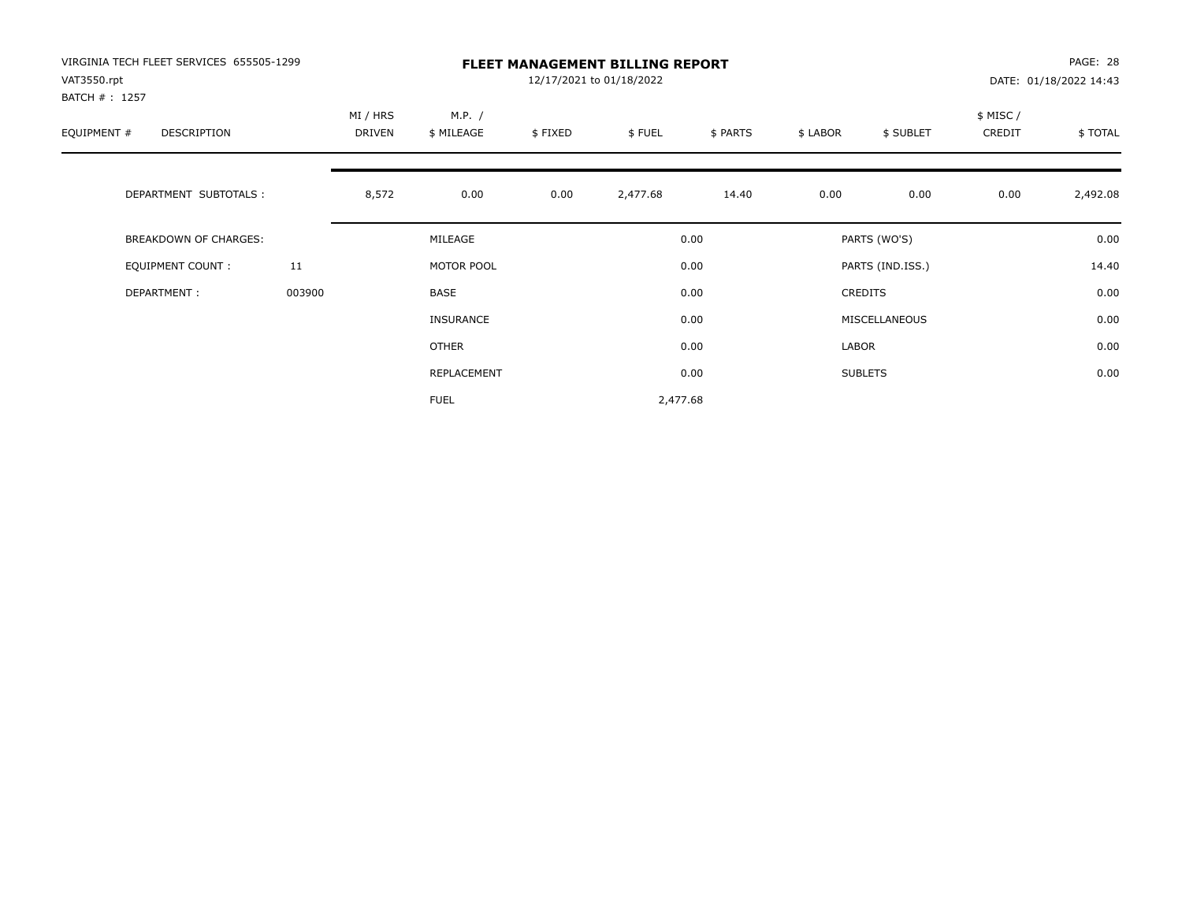| VIRGINIA TECH FLEET SERVICES 655505-1299 |        |                    |                      |         | <b>FLEET MANAGEMENT BILLING REPORT</b> |          |          |                  |                     | PAGE: 28               |
|------------------------------------------|--------|--------------------|----------------------|---------|----------------------------------------|----------|----------|------------------|---------------------|------------------------|
| VAT3550.rpt<br>BATCH # : 1257            |        |                    |                      |         | 12/17/2021 to 01/18/2022               |          |          |                  |                     | DATE: 01/18/2022 14:43 |
| EQUIPMENT #<br>DESCRIPTION               |        | MI / HRS<br>DRIVEN | M.P. /<br>\$ MILEAGE | \$FIXED | \$FUEL                                 | \$ PARTS | \$ LABOR | \$ SUBLET        | \$ MISC /<br>CREDIT | \$TOTAL                |
| DEPARTMENT SUBTOTALS :                   |        | 8,572              | 0.00                 | 0.00    | 2,477.68                               | 14.40    | 0.00     | 0.00             | 0.00                | 2,492.08               |
| <b>BREAKDOWN OF CHARGES:</b>             |        |                    | MILEAGE              |         |                                        | 0.00     |          | PARTS (WO'S)     |                     | 0.00                   |
| EQUIPMENT COUNT:                         | 11     |                    | MOTOR POOL           |         |                                        | 0.00     |          | PARTS (IND.ISS.) |                     | 14.40                  |
| DEPARTMENT:                              | 003900 |                    | BASE                 |         |                                        | 0.00     |          | <b>CREDITS</b>   |                     | 0.00                   |
|                                          |        |                    | <b>INSURANCE</b>     |         |                                        | 0.00     |          | MISCELLANEOUS    |                     | 0.00                   |
|                                          |        |                    | OTHER                |         |                                        | 0.00     | LABOR    |                  |                     | 0.00                   |
|                                          |        |                    | REPLACEMENT          |         |                                        | 0.00     |          | <b>SUBLETS</b>   |                     | 0.00                   |
|                                          |        |                    | <b>FUEL</b>          |         | 2,477.68                               |          |          |                  |                     |                        |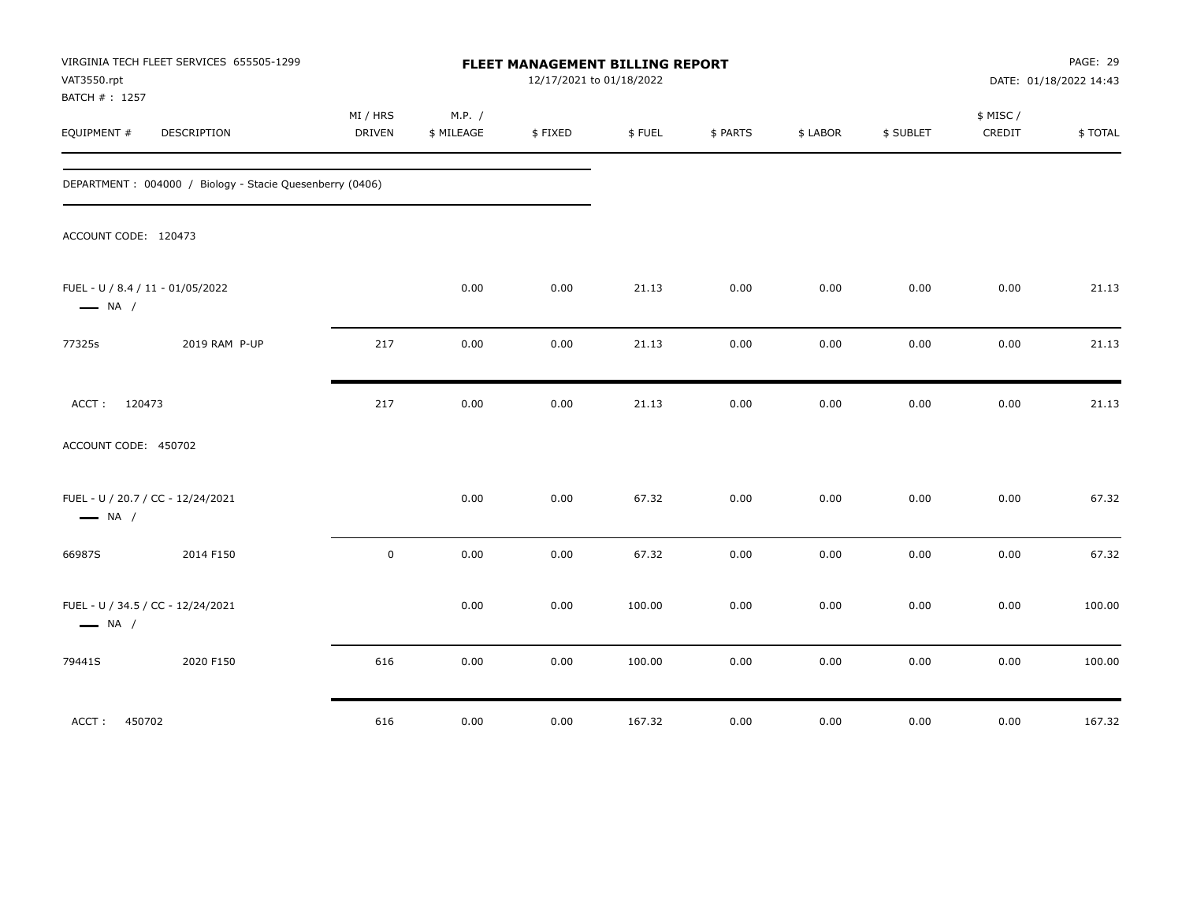| VAT3550.rpt<br>BATCH #: 1257 | VIRGINIA TECH FLEET SERVICES 655505-1299                 |                    |                      | FLEET MANAGEMENT BILLING REPORT<br>12/17/2021 to 01/18/2022 |        |          |          |           |                     | PAGE: 29<br>DATE: 01/18/2022 14:43 |
|------------------------------|----------------------------------------------------------|--------------------|----------------------|-------------------------------------------------------------|--------|----------|----------|-----------|---------------------|------------------------------------|
| EQUIPMENT #                  | DESCRIPTION                                              | MI / HRS<br>DRIVEN | M.P. /<br>\$ MILEAGE | \$FIXED                                                     | \$FUEL | \$ PARTS | \$ LABOR | \$ SUBLET | \$ MISC /<br>CREDIT | \$TOTAL                            |
|                              | DEPARTMENT: 004000 / Biology - Stacie Quesenberry (0406) |                    |                      |                                                             |        |          |          |           |                     |                                    |
| ACCOUNT CODE: 120473         |                                                          |                    |                      |                                                             |        |          |          |           |                     |                                    |
| $\longrightarrow$ NA /       | FUEL - U / 8.4 / 11 - 01/05/2022                         |                    | 0.00                 | 0.00                                                        | 21.13  | 0.00     | 0.00     | 0.00      | 0.00                | 21.13                              |
| 77325s                       | 2019 RAM P-UP                                            | 217                | 0.00                 | 0.00                                                        | 21.13  | 0.00     | 0.00     | 0.00      | 0.00                | 21.13                              |
| ACCT: 120473                 |                                                          | 217                | 0.00                 | 0.00                                                        | 21.13  | 0.00     | 0.00     | 0.00      | 0.00                | 21.13                              |
| ACCOUNT CODE: 450702         |                                                          |                    |                      |                                                             |        |          |          |           |                     |                                    |
| $\longrightarrow$ NA /       | FUEL - U / 20.7 / CC - 12/24/2021                        |                    | 0.00                 | 0.00                                                        | 67.32  | 0.00     | 0.00     | 0.00      | 0.00                | 67.32                              |
| 66987S                       | 2014 F150                                                | $\mathbf 0$        | 0.00                 | 0.00                                                        | 67.32  | 0.00     | 0.00     | 0.00      | 0.00                | 67.32                              |
| $\longrightarrow$ NA /       | FUEL - U / 34.5 / CC - 12/24/2021                        |                    | 0.00                 | 0.00                                                        | 100.00 | 0.00     | 0.00     | 0.00      | 0.00                | 100.00                             |
| 79441S                       | 2020 F150                                                | 616                | 0.00                 | 0.00                                                        | 100.00 | 0.00     | 0.00     | 0.00      | 0.00                | 100.00                             |
| ACCT:<br>450702              |                                                          | 616                | 0.00                 | 0.00                                                        | 167.32 | 0.00     | 0.00     | 0.00      | 0.00                | 167.32                             |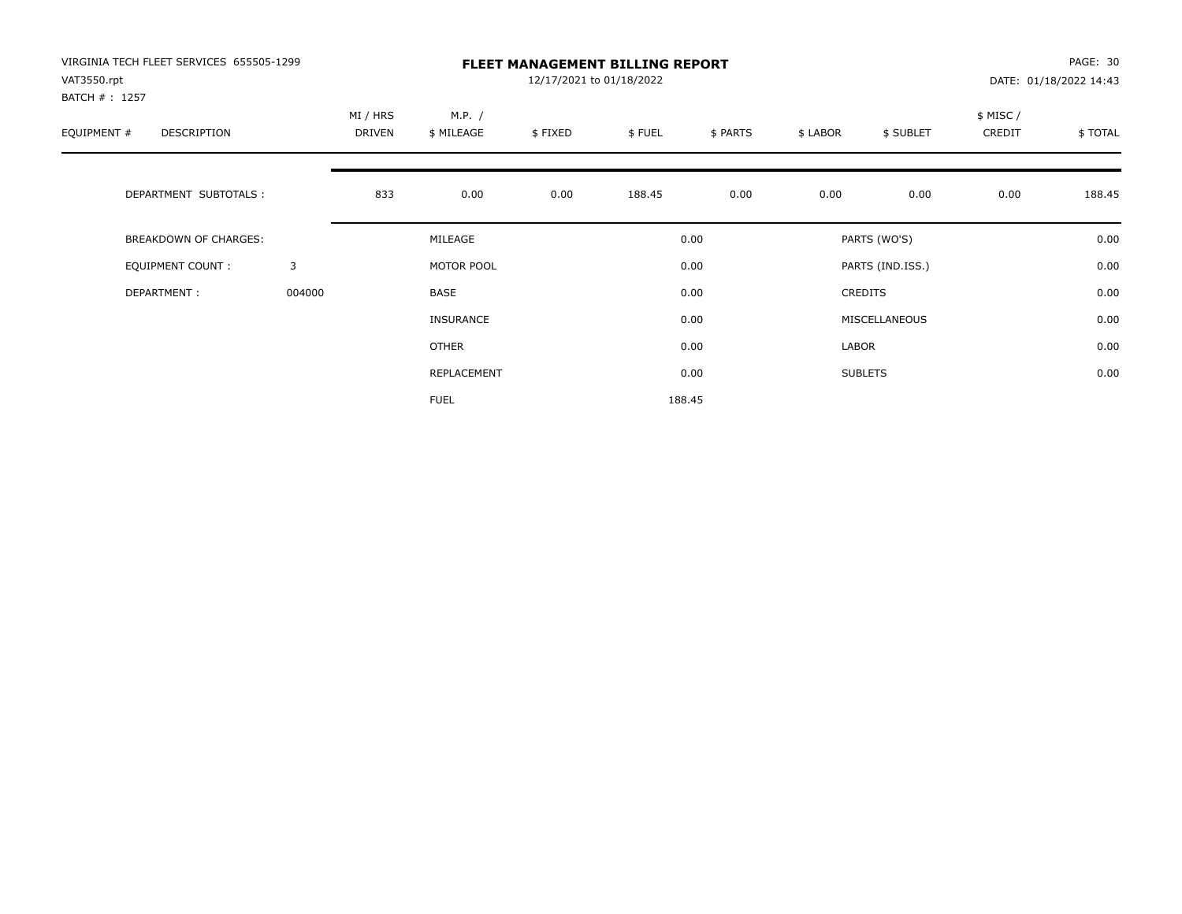| VIRGINIA TECH FLEET SERVICES 655505-1299    |              |                    |                      |                          | <b>FLEET MANAGEMENT BILLING REPORT</b> |          |          |                  |                    | PAGE: 30               |
|---------------------------------------------|--------------|--------------------|----------------------|--------------------------|----------------------------------------|----------|----------|------------------|--------------------|------------------------|
| VAT3550.rpt                                 |              |                    |                      | 12/17/2021 to 01/18/2022 |                                        |          |          |                  |                    | DATE: 01/18/2022 14:43 |
| BATCH #: 1257<br>EQUIPMENT #<br>DESCRIPTION |              | MI / HRS<br>DRIVEN | M.P. /<br>\$ MILEAGE | \$FIXED                  | \$FUEL                                 | \$ PARTS | \$ LABOR | \$ SUBLET        | \$ MISC/<br>CREDIT | \$ TOTAL               |
| DEPARTMENT SUBTOTALS :                      |              | 833                | 0.00                 | 0.00                     | 188.45                                 | 0.00     | 0.00     | 0.00             | 0.00               | 188.45                 |
| BREAKDOWN OF CHARGES:                       |              |                    | MILEAGE              |                          |                                        | 0.00     |          | PARTS (WO'S)     |                    | 0.00                   |
| <b>EQUIPMENT COUNT:</b>                     | $\mathbf{3}$ |                    | MOTOR POOL           |                          |                                        | 0.00     |          | PARTS (IND.ISS.) |                    | 0.00                   |
| DEPARTMENT:                                 | 004000       |                    | <b>BASE</b>          |                          |                                        | 0.00     |          | <b>CREDITS</b>   |                    | 0.00                   |
|                                             |              |                    | <b>INSURANCE</b>     |                          |                                        | 0.00     |          | MISCELLANEOUS    |                    | 0.00                   |
|                                             |              |                    | OTHER                |                          |                                        | 0.00     | LABOR    |                  |                    | 0.00                   |
|                                             |              |                    | REPLACEMENT          |                          |                                        | 0.00     |          | <b>SUBLETS</b>   |                    | 0.00                   |
|                                             |              |                    | <b>FUEL</b>          |                          |                                        | 188.45   |          |                  |                    |                        |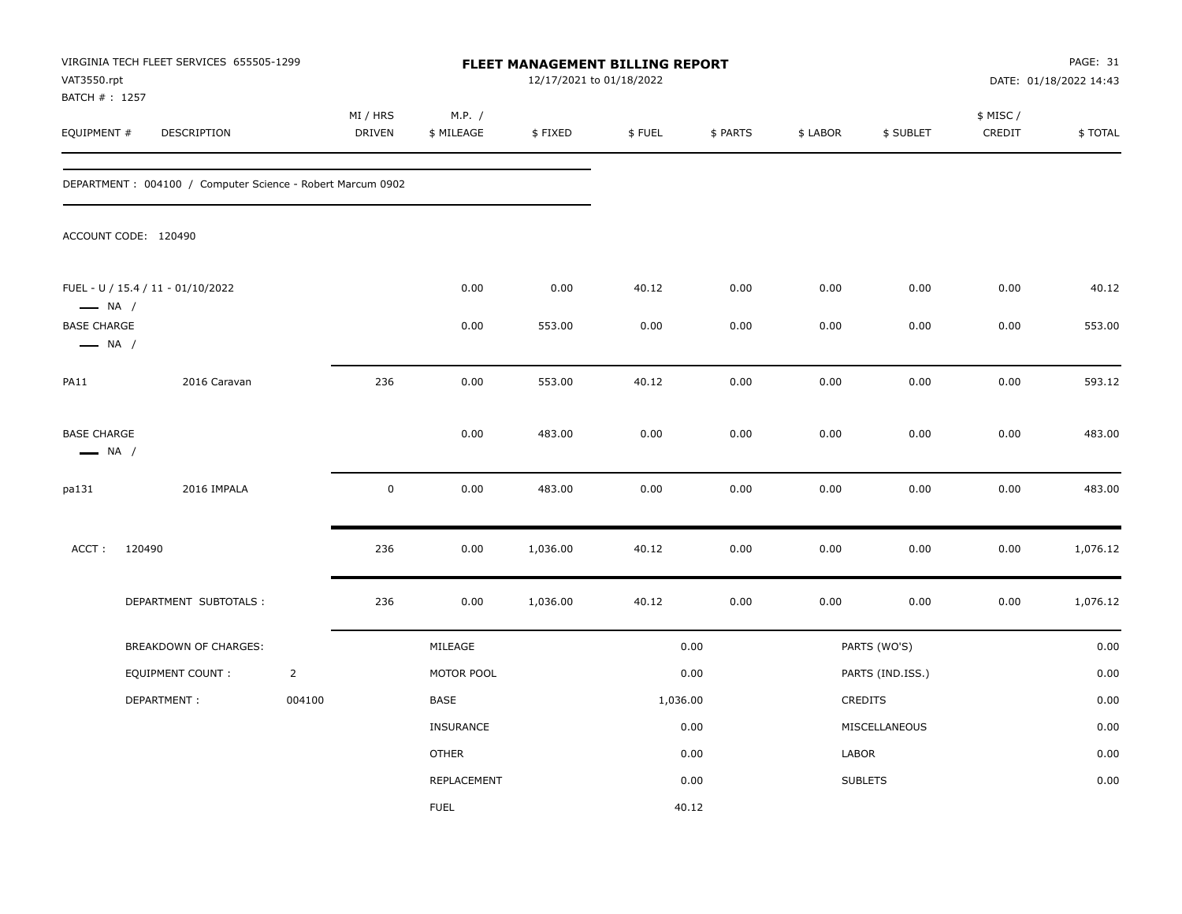| VAT3550.rpt<br>BATCH #: 1257                 | VIRGINIA TECH FLEET SERVICES 655505-1299                    |                |                    |                      |          | <b>FLEET MANAGEMENT BILLING REPORT</b><br>12/17/2021 to 01/18/2022 |          |          |                  |                     | PAGE: 31<br>DATE: 01/18/2022 14:43 |
|----------------------------------------------|-------------------------------------------------------------|----------------|--------------------|----------------------|----------|--------------------------------------------------------------------|----------|----------|------------------|---------------------|------------------------------------|
| EQUIPMENT #                                  | DESCRIPTION                                                 |                | MI / HRS<br>DRIVEN | M.P. /<br>\$ MILEAGE | \$FIXED  | \$FUEL                                                             | \$ PARTS | \$ LABOR | \$ SUBLET        | \$ MISC /<br>CREDIT | \$TOTAL                            |
|                                              | DEPARTMENT : 004100 / Computer Science - Robert Marcum 0902 |                |                    |                      |          |                                                                    |          |          |                  |                     |                                    |
|                                              | ACCOUNT CODE: 120490                                        |                |                    |                      |          |                                                                    |          |          |                  |                     |                                    |
| $\longrightarrow$ NA /                       | FUEL - U / 15.4 / 11 - 01/10/2022                           |                |                    | 0.00                 | 0.00     | 40.12                                                              | 0.00     | 0.00     | 0.00             | 0.00                | 40.12                              |
| <b>BASE CHARGE</b><br>$\longrightarrow$ NA / |                                                             |                |                    | 0.00                 | 553.00   | 0.00                                                               | 0.00     | 0.00     | 0.00             | 0.00                | 553.00                             |
| PA11                                         | 2016 Caravan                                                |                | 236                | 0.00                 | 553.00   | 40.12                                                              | 0.00     | 0.00     | 0.00             | 0.00                | 593.12                             |
| <b>BASE CHARGE</b><br>$\longrightarrow$ NA / |                                                             |                |                    | 0.00                 | 483.00   | 0.00                                                               | 0.00     | 0.00     | 0.00             | 0.00                | 483.00                             |
| pa131                                        | 2016 IMPALA                                                 |                | $\mathbf 0$        | 0.00                 | 483.00   | 0.00                                                               | 0.00     | 0.00     | 0.00             | 0.00                | 483.00                             |
| ACCT:                                        | 120490                                                      |                | 236                | 0.00                 | 1,036.00 | 40.12                                                              | 0.00     | 0.00     | 0.00             | 0.00                | 1,076.12                           |
|                                              | DEPARTMENT SUBTOTALS :                                      |                | 236                | 0.00                 | 1,036.00 | 40.12                                                              | 0.00     | 0.00     | 0.00             | 0.00                | 1,076.12                           |
|                                              | BREAKDOWN OF CHARGES:                                       |                |                    | MILEAGE              |          |                                                                    | 0.00     |          | PARTS (WO'S)     |                     | 0.00                               |
|                                              | <b>EQUIPMENT COUNT:</b>                                     | $\overline{2}$ |                    | MOTOR POOL           |          |                                                                    | 0.00     |          | PARTS (IND.ISS.) |                     | 0.00                               |
|                                              | DEPARTMENT:                                                 | 004100         |                    | BASE                 |          | 1,036.00                                                           |          |          | CREDITS          |                     | 0.00                               |
|                                              |                                                             |                |                    | <b>INSURANCE</b>     |          |                                                                    | 0.00     |          | MISCELLANEOUS    |                     | 0.00                               |
|                                              |                                                             |                |                    | <b>OTHER</b>         |          |                                                                    | 0.00     | LABOR    |                  |                     | 0.00                               |
|                                              |                                                             |                |                    | REPLACEMENT          |          |                                                                    | 0.00     |          | <b>SUBLETS</b>   |                     | 0.00                               |
|                                              |                                                             |                |                    | <b>FUEL</b>          |          |                                                                    | 40.12    |          |                  |                     |                                    |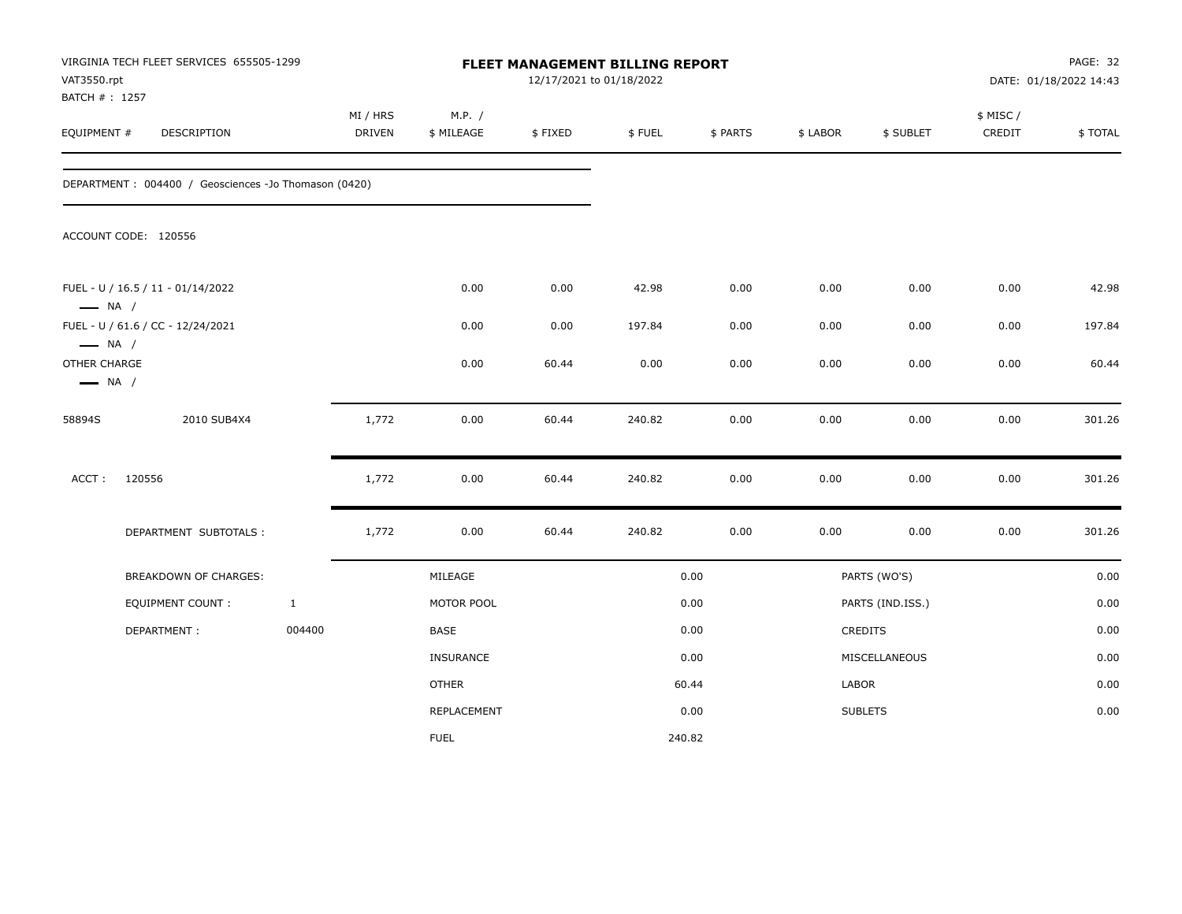| VAT3550.rpt<br>BATCH #: 1257                                     | VIRGINIA TECH FLEET SERVICES 655505-1299             |              |                           |                      | 12/17/2021 to 01/18/2022 | FLEET MANAGEMENT BILLING REPORT |          |          |                  |                     | PAGE: 32<br>DATE: 01/18/2022 14:43 |
|------------------------------------------------------------------|------------------------------------------------------|--------------|---------------------------|----------------------|--------------------------|---------------------------------|----------|----------|------------------|---------------------|------------------------------------|
| EQUIPMENT #                                                      | DESCRIPTION                                          |              | MI / HRS<br><b>DRIVEN</b> | M.P. /<br>\$ MILEAGE | \$FIXED                  | \$FUEL                          | \$ PARTS | \$ LABOR | \$ SUBLET        | \$ MISC /<br>CREDIT | \$TOTAL                            |
|                                                                  | DEPARTMENT: 004400 / Geosciences -Jo Thomason (0420) |              |                           |                      |                          |                                 |          |          |                  |                     |                                    |
|                                                                  | ACCOUNT CODE: 120556                                 |              |                           |                      |                          |                                 |          |          |                  |                     |                                    |
| $\longrightarrow$ NA /                                           | FUEL - U / 16.5 / 11 - 01/14/2022                    |              |                           | 0.00                 | 0.00                     | 42.98                           | 0.00     | 0.00     | 0.00             | 0.00                | 42.98                              |
|                                                                  | FUEL - U / 61.6 / CC - 12/24/2021                    |              |                           | 0.00                 | 0.00                     | 197.84                          | 0.00     | 0.00     | 0.00             | 0.00                | 197.84                             |
| $\longrightarrow$ NA /<br>OTHER CHARGE<br>$\longrightarrow$ NA / |                                                      |              |                           | 0.00                 | 60.44                    | 0.00                            | 0.00     | 0.00     | 0.00             | 0.00                | 60.44                              |
| 58894S                                                           | 2010 SUB4X4                                          |              | 1,772                     | 0.00                 | 60.44                    | 240.82                          | 0.00     | 0.00     | 0.00             | 0.00                | 301.26                             |
| ACCT:                                                            | 120556                                               |              | 1,772                     | 0.00                 | 60.44                    | 240.82                          | 0.00     | 0.00     | 0.00             | 0.00                | 301.26                             |
|                                                                  | DEPARTMENT SUBTOTALS :                               |              | 1,772                     | 0.00                 | 60.44                    | 240.82                          | 0.00     | 0.00     | 0.00             | 0.00                | 301.26                             |
|                                                                  | <b>BREAKDOWN OF CHARGES:</b>                         |              |                           | MILEAGE              |                          |                                 | 0.00     |          | PARTS (WO'S)     |                     | 0.00                               |
|                                                                  | <b>EQUIPMENT COUNT:</b>                              | $\mathbf{1}$ |                           | MOTOR POOL           |                          |                                 | 0.00     |          | PARTS (IND.ISS.) |                     | 0.00                               |
|                                                                  | DEPARTMENT:                                          | 004400       |                           | BASE                 |                          |                                 | 0.00     |          | <b>CREDITS</b>   |                     | 0.00                               |
|                                                                  |                                                      |              |                           | <b>INSURANCE</b>     |                          |                                 | 0.00     |          | MISCELLANEOUS    |                     | 0.00                               |
|                                                                  |                                                      |              |                           | <b>OTHER</b>         |                          |                                 | 60.44    | LABOR    |                  |                     | 0.00                               |
|                                                                  |                                                      |              |                           | <b>REPLACEMENT</b>   |                          |                                 | 0.00     |          | <b>SUBLETS</b>   |                     | 0.00                               |
|                                                                  |                                                      |              |                           | <b>FUEL</b>          |                          |                                 | 240.82   |          |                  |                     |                                    |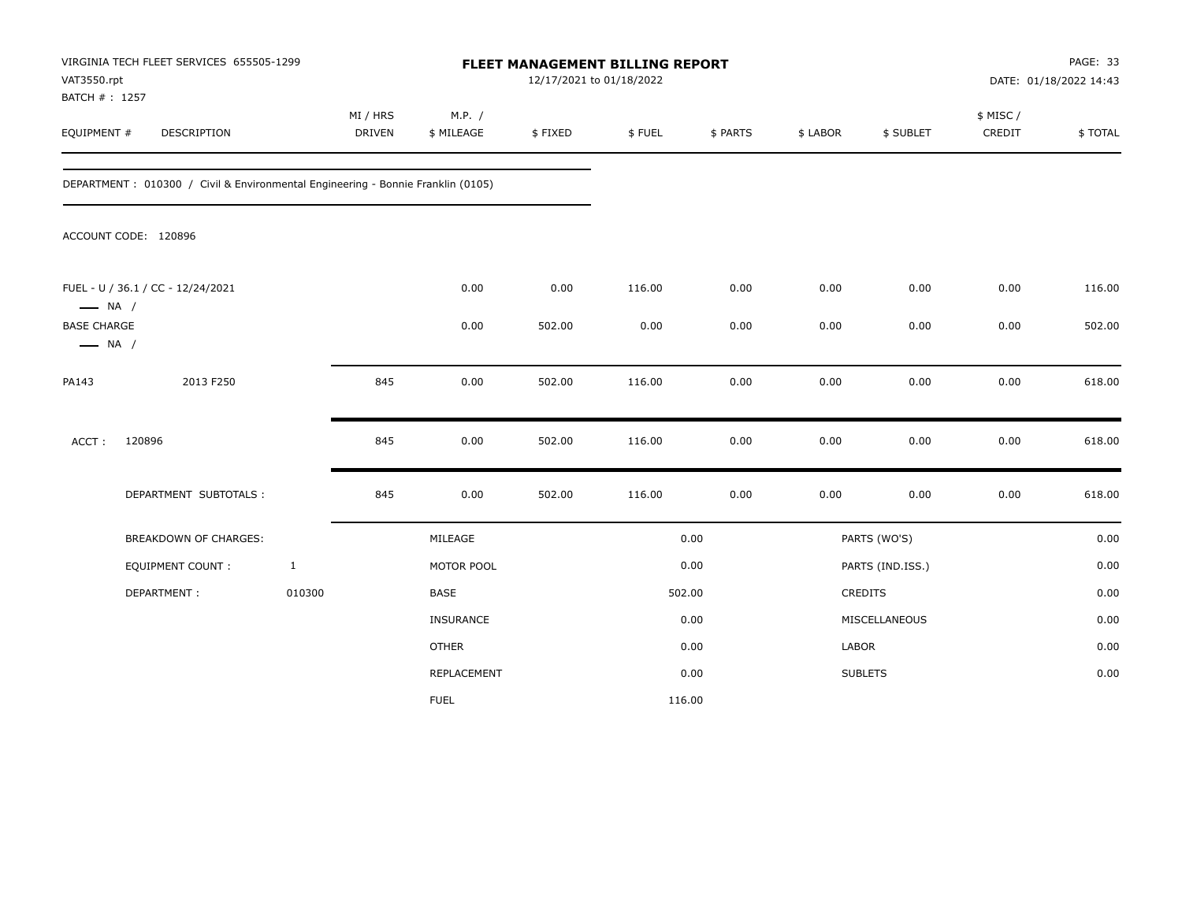| VAT3550.rpt<br>BATCH #: 1257                 | VIRGINIA TECH FLEET SERVICES 655505-1299                                        |              |                           |                      | 12/17/2021 to 01/18/2022 | FLEET MANAGEMENT BILLING REPORT |          |          |                  |                    | PAGE: 33<br>DATE: 01/18/2022 14:43 |
|----------------------------------------------|---------------------------------------------------------------------------------|--------------|---------------------------|----------------------|--------------------------|---------------------------------|----------|----------|------------------|--------------------|------------------------------------|
| EQUIPMENT #                                  | DESCRIPTION                                                                     |              | MI / HRS<br><b>DRIVEN</b> | M.P. /<br>\$ MILEAGE | \$FIXED                  | \$FUEL                          | \$ PARTS | \$ LABOR | \$ SUBLET        | \$ MISC/<br>CREDIT | \$TOTAL                            |
|                                              | DEPARTMENT: 010300 / Civil & Environmental Engineering - Bonnie Franklin (0105) |              |                           |                      |                          |                                 |          |          |                  |                    |                                    |
|                                              | ACCOUNT CODE: 120896                                                            |              |                           |                      |                          |                                 |          |          |                  |                    |                                    |
| $\longrightarrow$ NA /                       | FUEL - U / 36.1 / CC - 12/24/2021                                               |              |                           | 0.00                 | 0.00                     | 116.00                          | 0.00     | 0.00     | 0.00             | 0.00               | 116.00                             |
| <b>BASE CHARGE</b><br>$\longrightarrow$ NA / |                                                                                 |              |                           | 0.00                 | 502.00                   | 0.00                            | 0.00     | 0.00     | 0.00             | 0.00               | 502.00                             |
| PA143                                        | 2013 F250                                                                       |              | 845                       | 0.00                 | 502.00                   | 116.00                          | 0.00     | 0.00     | 0.00             | 0.00               | 618.00                             |
| ACCT:                                        | 120896                                                                          |              | 845                       | 0.00                 | 502.00                   | 116.00                          | 0.00     | 0.00     | 0.00             | 0.00               | 618.00                             |
|                                              | DEPARTMENT SUBTOTALS :                                                          |              | 845                       | 0.00                 | 502.00                   | 116.00                          | 0.00     | 0.00     | 0.00             | 0.00               | 618.00                             |
|                                              | <b>BREAKDOWN OF CHARGES:</b>                                                    |              |                           | MILEAGE              |                          |                                 | 0.00     |          | PARTS (WO'S)     |                    | 0.00                               |
|                                              | <b>EQUIPMENT COUNT:</b>                                                         | $\mathbf{1}$ |                           | MOTOR POOL           |                          |                                 | 0.00     |          | PARTS (IND.ISS.) |                    | 0.00                               |
|                                              | DEPARTMENT:                                                                     | 010300       |                           | BASE                 |                          |                                 | 502.00   |          | <b>CREDITS</b>   |                    | 0.00                               |
|                                              |                                                                                 |              |                           | <b>INSURANCE</b>     |                          |                                 | 0.00     |          | MISCELLANEOUS    |                    | 0.00                               |
|                                              |                                                                                 |              |                           | <b>OTHER</b>         |                          |                                 | 0.00     | LABOR    |                  |                    | 0.00                               |
|                                              |                                                                                 |              |                           | REPLACEMENT          |                          |                                 | 0.00     |          | <b>SUBLETS</b>   |                    | 0.00                               |
|                                              |                                                                                 |              |                           | <b>FUEL</b>          |                          | 116.00                          |          |          |                  |                    |                                    |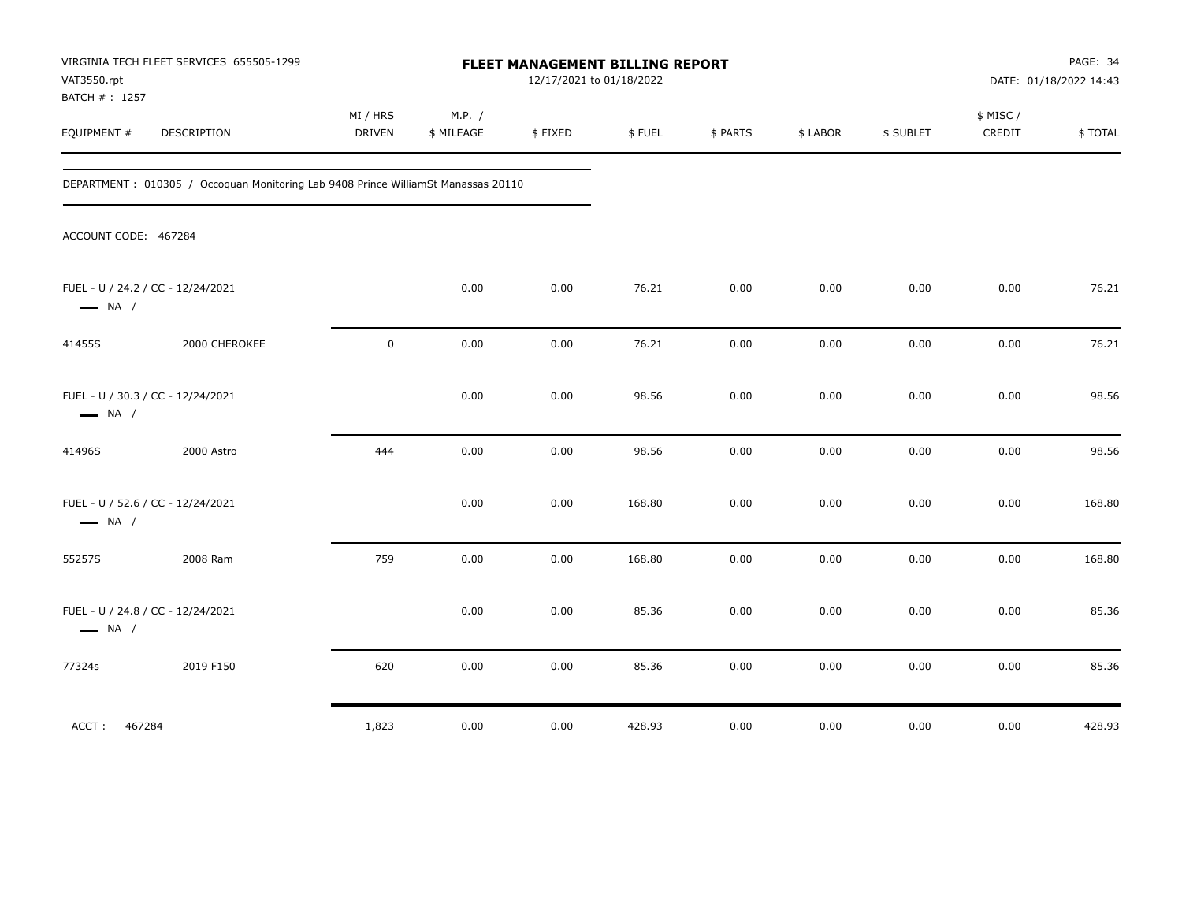| VAT3550.rpt<br>BATCH #: 1257                                | VIRGINIA TECH FLEET SERVICES 655505-1299                                          |                    |                      |         | FLEET MANAGEMENT BILLING REPORT<br>12/17/2021 to 01/18/2022 |          |          |           |                     | PAGE: 34<br>DATE: 01/18/2022 14:43 |
|-------------------------------------------------------------|-----------------------------------------------------------------------------------|--------------------|----------------------|---------|-------------------------------------------------------------|----------|----------|-----------|---------------------|------------------------------------|
| EQUIPMENT #                                                 | DESCRIPTION                                                                       | MI / HRS<br>DRIVEN | M.P. /<br>\$ MILEAGE | \$FIXED | \$FUEL                                                      | \$ PARTS | \$ LABOR | \$ SUBLET | \$ MISC /<br>CREDIT | \$TOTAL                            |
|                                                             | DEPARTMENT: 010305 / Occoquan Monitoring Lab 9408 Prince WilliamSt Manassas 20110 |                    |                      |         |                                                             |          |          |           |                     |                                    |
| ACCOUNT CODE: 467284                                        |                                                                                   |                    |                      |         |                                                             |          |          |           |                     |                                    |
| FUEL - U / 24.2 / CC - 12/24/2021<br>$\longrightarrow$ NA / |                                                                                   |                    | 0.00                 | 0.00    | 76.21                                                       | 0.00     | 0.00     | 0.00      | 0.00                | 76.21                              |
| 41455S                                                      | 2000 CHEROKEE                                                                     | $\mathbf 0$        | 0.00                 | 0.00    | 76.21                                                       | 0.00     | 0.00     | 0.00      | 0.00                | 76.21                              |
| FUEL - U / 30.3 / CC - 12/24/2021<br>$\longrightarrow$ NA / |                                                                                   |                    | 0.00                 | 0.00    | 98.56                                                       | 0.00     | 0.00     | 0.00      | 0.00                | 98.56                              |
| 41496S                                                      | 2000 Astro                                                                        | 444                | 0.00                 | 0.00    | 98.56                                                       | 0.00     | 0.00     | 0.00      | 0.00                | 98.56                              |
| FUEL - U / 52.6 / CC - 12/24/2021<br>$\longrightarrow$ NA / |                                                                                   |                    | 0.00                 | 0.00    | 168.80                                                      | 0.00     | 0.00     | 0.00      | 0.00                | 168.80                             |
| 55257S                                                      | 2008 Ram                                                                          | 759                | 0.00                 | 0.00    | 168.80                                                      | 0.00     | 0.00     | 0.00      | 0.00                | 168.80                             |
| FUEL - U / 24.8 / CC - 12/24/2021<br>$\longrightarrow$ NA / |                                                                                   |                    | 0.00                 | 0.00    | 85.36                                                       | 0.00     | 0.00     | 0.00      | 0.00                | 85.36                              |
| 77324s                                                      | 2019 F150                                                                         | 620                | 0.00                 | 0.00    | 85.36                                                       | 0.00     | 0.00     | 0.00      | 0.00                | 85.36                              |
| 467284<br>ACCT:                                             |                                                                                   | 1,823              | 0.00                 | 0.00    | 428.93                                                      | 0.00     | 0.00     | 0.00      | 0.00                | 428.93                             |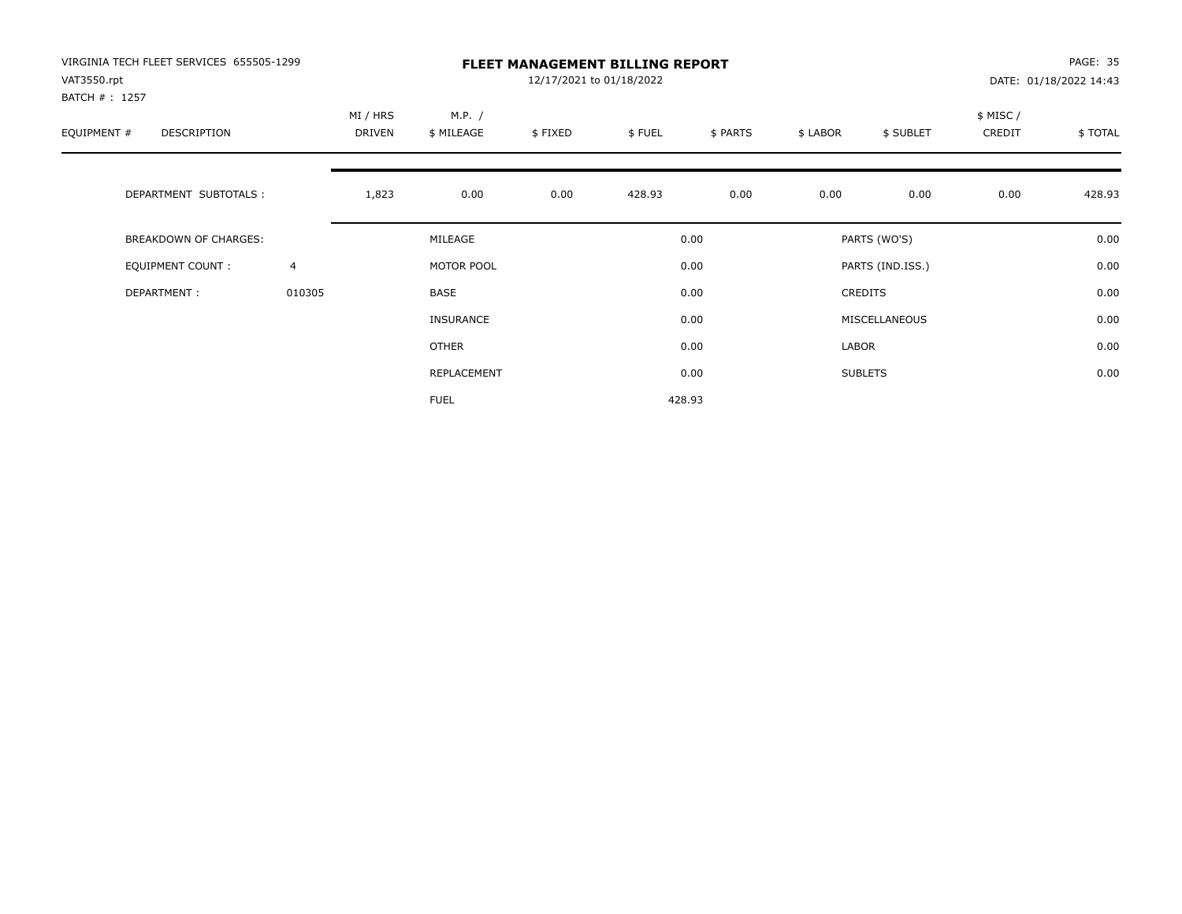| VIRGINIA TECH FLEET SERVICES 655505-1299<br>VAT3550.rpt |                |                    |                      | 12/17/2021 to 01/18/2022 | <b>FLEET MANAGEMENT BILLING REPORT</b> |          |          |                  |                     | PAGE: 35<br>DATE: 01/18/2022 14:43 |
|---------------------------------------------------------|----------------|--------------------|----------------------|--------------------------|----------------------------------------|----------|----------|------------------|---------------------|------------------------------------|
| BATCH #: 1257<br>EQUIPMENT #<br><b>DESCRIPTION</b>      |                | MI / HRS<br>DRIVEN | M.P. /<br>\$ MILEAGE | \$FIXED                  | \$FUEL                                 | \$ PARTS | \$ LABOR | \$ SUBLET        | \$ MISC /<br>CREDIT | \$TOTAL                            |
| DEPARTMENT SUBTOTALS :                                  |                | 1,823              | 0.00                 | 0.00                     | 428.93                                 | 0.00     | 0.00     | 0.00             | 0.00                | 428.93                             |
| <b>BREAKDOWN OF CHARGES:</b>                            |                |                    | MILEAGE              |                          |                                        | 0.00     |          | PARTS (WO'S)     |                     | 0.00                               |
| EQUIPMENT COUNT:                                        | $\overline{4}$ |                    | MOTOR POOL           |                          |                                        | 0.00     |          | PARTS (IND.ISS.) |                     | 0.00                               |
| DEPARTMENT:                                             | 010305         |                    | <b>BASE</b>          |                          |                                        | 0.00     |          | <b>CREDITS</b>   |                     | 0.00                               |
|                                                         |                |                    | INSURANCE            |                          |                                        | 0.00     |          | MISCELLANEOUS    |                     | 0.00                               |
|                                                         |                |                    | OTHER                |                          |                                        | 0.00     | LABOR    |                  |                     | 0.00                               |
|                                                         |                |                    | REPLACEMENT          |                          |                                        | 0.00     |          | <b>SUBLETS</b>   |                     | 0.00                               |
|                                                         |                |                    | <b>FUEL</b>          |                          |                                        | 428.93   |          |                  |                     |                                    |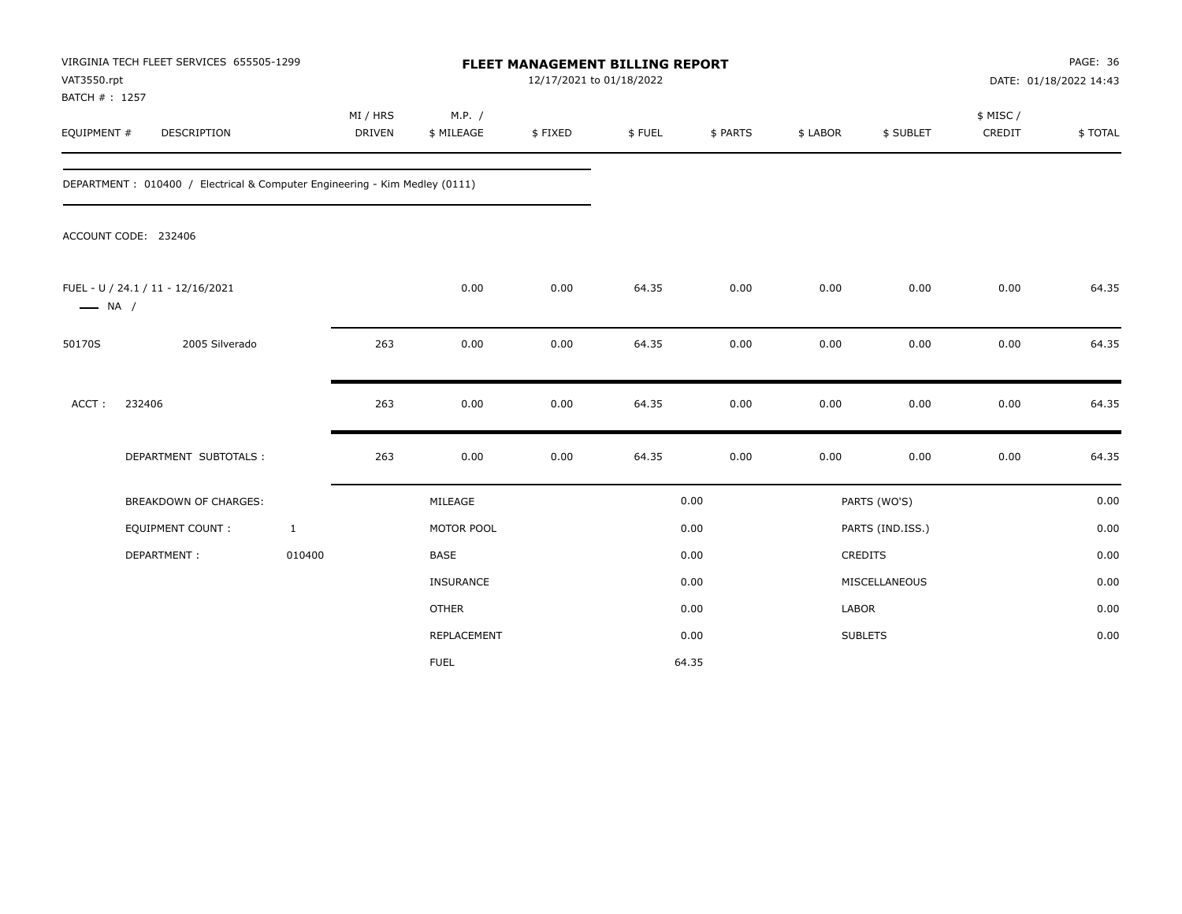| VAT3550.rpt                  | VIRGINIA TECH FLEET SERVICES 655505-1299                                   |                           |                      | FLEET MANAGEMENT BILLING REPORT<br>12/17/2021 to 01/18/2022 |        |          |          |                  |                     | PAGE: 36<br>DATE: 01/18/2022 14:43 |
|------------------------------|----------------------------------------------------------------------------|---------------------------|----------------------|-------------------------------------------------------------|--------|----------|----------|------------------|---------------------|------------------------------------|
| BATCH #: 1257<br>EQUIPMENT # | DESCRIPTION                                                                | MI / HRS<br><b>DRIVEN</b> | M.P. /<br>\$ MILEAGE | \$FIXED                                                     | \$FUEL | \$ PARTS | \$ LABOR | \$ SUBLET        | \$ MISC /<br>CREDIT | \$TOTAL                            |
|                              | DEPARTMENT: 010400 / Electrical & Computer Engineering - Kim Medley (0111) |                           |                      |                                                             |        |          |          |                  |                     |                                    |
|                              | ACCOUNT CODE: 232406                                                       |                           |                      |                                                             |        |          |          |                  |                     |                                    |
| $\longrightarrow$ NA /       | FUEL - U / 24.1 / 11 - 12/16/2021                                          |                           | 0.00                 | 0.00                                                        | 64.35  | 0.00     | 0.00     | 0.00             | 0.00                | 64.35                              |
| 50170S                       | 2005 Silverado                                                             | 263                       | 0.00                 | 0.00                                                        | 64.35  | 0.00     | 0.00     | 0.00             | 0.00                | 64.35                              |
| ACCT:                        | 232406                                                                     | 263                       | 0.00                 | 0.00                                                        | 64.35  | 0.00     | 0.00     | 0.00             | 0.00                | 64.35                              |
|                              | DEPARTMENT SUBTOTALS :                                                     | 263                       | 0.00                 | 0.00                                                        | 64.35  | 0.00     | 0.00     | 0.00             | 0.00                | 64.35                              |
|                              | <b>BREAKDOWN OF CHARGES:</b>                                               |                           | MILEAGE              |                                                             |        | 0.00     |          | PARTS (WO'S)     |                     | 0.00                               |
|                              | <b>EQUIPMENT COUNT:</b>                                                    | $\mathbf{1}$              | MOTOR POOL           |                                                             |        | 0.00     |          | PARTS (IND.ISS.) |                     | 0.00                               |
|                              | DEPARTMENT:                                                                | 010400                    | <b>BASE</b>          |                                                             |        | 0.00     |          | CREDITS          |                     | 0.00                               |
|                              |                                                                            |                           | INSURANCE            |                                                             |        | 0.00     |          | MISCELLANEOUS    |                     | 0.00                               |
|                              |                                                                            |                           | <b>OTHER</b>         |                                                             |        | 0.00     | LABOR    |                  |                     | 0.00                               |
|                              |                                                                            |                           | REPLACEMENT          |                                                             |        | 0.00     |          | <b>SUBLETS</b>   |                     | 0.00                               |
|                              |                                                                            |                           | <b>FUEL</b>          |                                                             |        | 64.35    |          |                  |                     |                                    |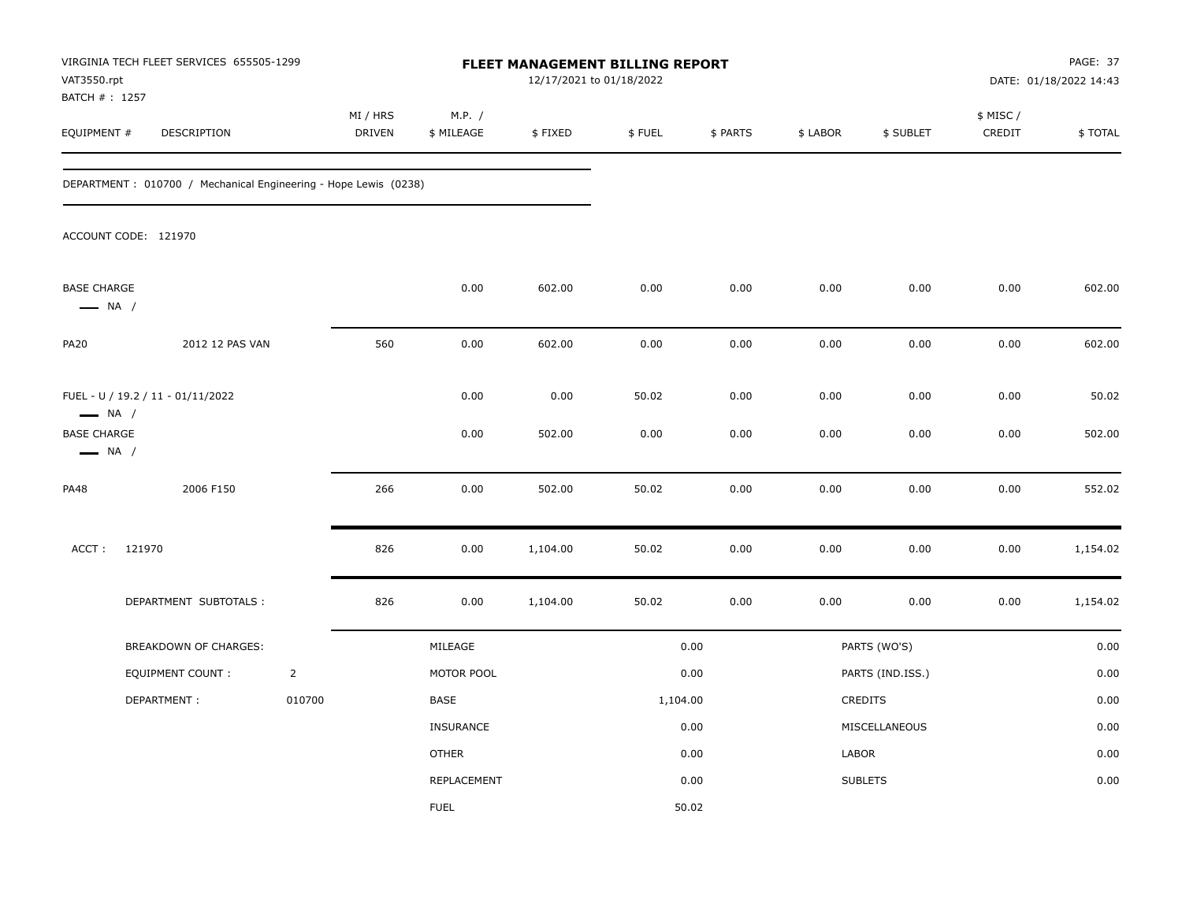| VAT3550.rpt<br>BATCH #: 1257                 | VIRGINIA TECH FLEET SERVICES 655505-1299                                                                    |                |                           |                      |                | FLEET MANAGEMENT BILLING REPORT<br>12/17/2021 to 01/18/2022 |              |              |                  | PAGE: 37<br>DATE: 01/18/2022 14:43 |                 |  |
|----------------------------------------------|-------------------------------------------------------------------------------------------------------------|----------------|---------------------------|----------------------|----------------|-------------------------------------------------------------|--------------|--------------|------------------|------------------------------------|-----------------|--|
| EQUIPMENT #                                  | DESCRIPTION                                                                                                 |                | MI / HRS<br><b>DRIVEN</b> | M.P. /<br>\$ MILEAGE | \$FIXED        | \$FUEL                                                      | \$ PARTS     | \$ LABOR     | \$ SUBLET        | \$ MISC /<br>CREDIT                | \$TOTAL         |  |
|                                              | DEPARTMENT : 010700 / Mechanical Engineering - Hope Lewis (0238)                                            |                |                           |                      |                |                                                             |              |              |                  |                                    |                 |  |
|                                              | ACCOUNT CODE: 121970                                                                                        |                |                           |                      |                |                                                             |              |              |                  |                                    |                 |  |
| <b>BASE CHARGE</b><br>$\longrightarrow$ NA / |                                                                                                             |                |                           | 0.00                 | 602.00         | 0.00                                                        | 0.00         | 0.00         | 0.00             | 0.00                               | 602.00          |  |
| <b>PA20</b>                                  | 2012 12 PAS VAN                                                                                             |                | 560                       | 0.00                 | 602.00         | 0.00                                                        | 0.00         | 0.00         | 0.00             | 0.00                               | 602.00          |  |
|                                              | FUEL - U / 19.2 / 11 - 01/11/2022<br>$\longrightarrow$ NA /<br><b>BASE CHARGE</b><br>$\longrightarrow$ NA / |                |                           | 0.00<br>0.00         | 0.00<br>502.00 | 50.02<br>0.00                                               | 0.00<br>0.00 | 0.00<br>0.00 | 0.00<br>0.00     | 0.00<br>0.00                       | 50.02<br>502.00 |  |
| <b>PA48</b>                                  | 2006 F150                                                                                                   |                | 266                       | 0.00                 | 502.00         | 50.02                                                       | 0.00         | 0.00         | 0.00             | 0.00                               | 552.02          |  |
| ACCT:                                        | 121970                                                                                                      |                | 826                       | 0.00                 | 1,104.00       | 50.02                                                       | 0.00         | 0.00         | 0.00             | 0.00                               | 1,154.02        |  |
|                                              | DEPARTMENT SUBTOTALS :                                                                                      |                | 826                       | 0.00                 | 1,104.00       | 50.02                                                       | 0.00         | 0.00         | 0.00             | 0.00                               | 1,154.02        |  |
|                                              | BREAKDOWN OF CHARGES:                                                                                       |                |                           | MILEAGE              |                |                                                             | 0.00         |              | PARTS (WO'S)     |                                    | 0.00            |  |
|                                              | <b>EQUIPMENT COUNT:</b>                                                                                     | $\overline{2}$ |                           | MOTOR POOL           |                |                                                             | 0.00         |              | PARTS (IND.ISS.) |                                    | 0.00            |  |
|                                              | DEPARTMENT:                                                                                                 | 010700         |                           | BASE                 |                | 1,104.00                                                    |              |              | CREDITS          |                                    | 0.00            |  |
|                                              |                                                                                                             |                |                           | <b>INSURANCE</b>     |                |                                                             | 0.00         |              | MISCELLANEOUS    |                                    | 0.00            |  |
|                                              |                                                                                                             |                |                           | <b>OTHER</b>         |                |                                                             | 0.00         | LABOR        |                  |                                    | 0.00            |  |
|                                              |                                                                                                             |                |                           | REPLACEMENT          |                |                                                             | 0.00         |              | <b>SUBLETS</b>   |                                    | 0.00            |  |
|                                              |                                                                                                             |                |                           | <b>FUEL</b>          |                |                                                             | 50.02        |              |                  |                                    |                 |  |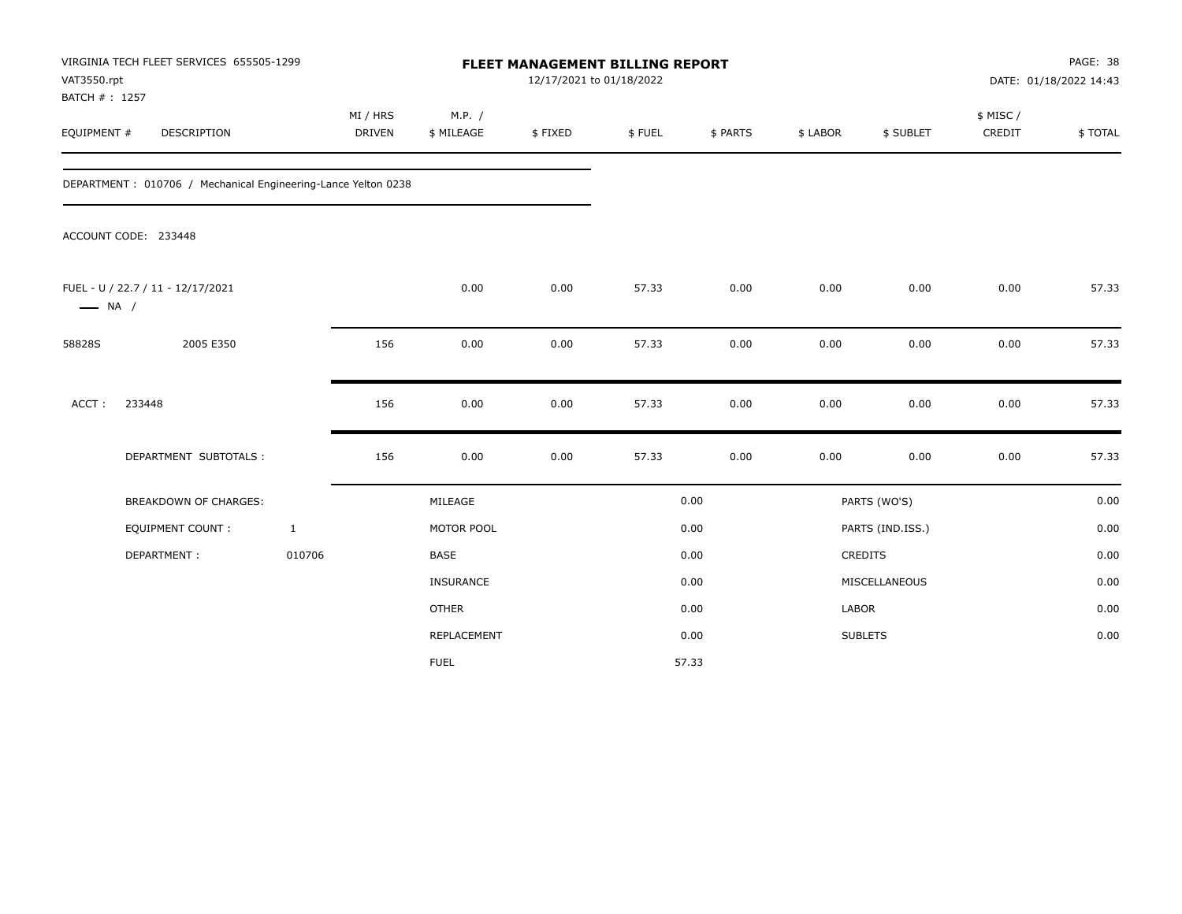| VAT3550.rpt<br>BATCH #: 1257 | VIRGINIA TECH FLEET SERVICES 655505-1299                      |                           |                      |         | FLEET MANAGEMENT BILLING REPORT<br>12/17/2021 to 01/18/2022 |          |          |                  | PAGE: 38<br>DATE: 01/18/2022 14:43 |         |  |
|------------------------------|---------------------------------------------------------------|---------------------------|----------------------|---------|-------------------------------------------------------------|----------|----------|------------------|------------------------------------|---------|--|
| EQUIPMENT #                  | DESCRIPTION                                                   | MI / HRS<br><b>DRIVEN</b> | M.P. /<br>\$ MILEAGE | \$FIXED | \$FUEL                                                      | \$ PARTS | \$ LABOR | \$ SUBLET        | \$ MISC /<br>CREDIT                | \$TOTAL |  |
|                              | DEPARTMENT: 010706 / Mechanical Engineering-Lance Yelton 0238 |                           |                      |         |                                                             |          |          |                  |                                    |         |  |
|                              | ACCOUNT CODE: 233448                                          |                           |                      |         |                                                             |          |          |                  |                                    |         |  |
| $\longrightarrow$ NA /       | FUEL - U / 22.7 / 11 - 12/17/2021                             |                           | 0.00                 | 0.00    | 57.33                                                       | 0.00     | 0.00     | 0.00             | 0.00                               | 57.33   |  |
| 58828S                       | 2005 E350                                                     | 156                       | 0.00                 | 0.00    | 57.33                                                       | 0.00     | 0.00     | 0.00             | 0.00                               | 57.33   |  |
| ACCT:                        | 233448                                                        | 156                       | 0.00                 | 0.00    | 57.33                                                       | 0.00     | 0.00     | 0.00             | 0.00                               | 57.33   |  |
|                              | DEPARTMENT SUBTOTALS :                                        | 156                       | 0.00                 | 0.00    | 57.33                                                       | 0.00     | 0.00     | 0.00             | 0.00                               | 57.33   |  |
|                              | BREAKDOWN OF CHARGES:                                         |                           | MILEAGE              |         |                                                             | 0.00     |          | PARTS (WO'S)     |                                    | 0.00    |  |
|                              | EQUIPMENT COUNT:                                              | $\mathbf{1}$              | MOTOR POOL           |         |                                                             | 0.00     |          | PARTS (IND.ISS.) |                                    | 0.00    |  |
|                              | DEPARTMENT:                                                   | 010706                    | <b>BASE</b>          |         |                                                             | 0.00     |          | CREDITS          |                                    | 0.00    |  |
|                              |                                                               |                           | <b>INSURANCE</b>     |         |                                                             | 0.00     |          | MISCELLANEOUS    |                                    | 0.00    |  |
|                              |                                                               |                           | <b>OTHER</b>         |         |                                                             | 0.00     | LABOR    |                  |                                    | 0.00    |  |
|                              |                                                               |                           | REPLACEMENT          |         |                                                             | 0.00     |          | <b>SUBLETS</b>   |                                    | 0.00    |  |
|                              |                                                               |                           | <b>FUEL</b>          |         |                                                             | 57.33    |          |                  |                                    |         |  |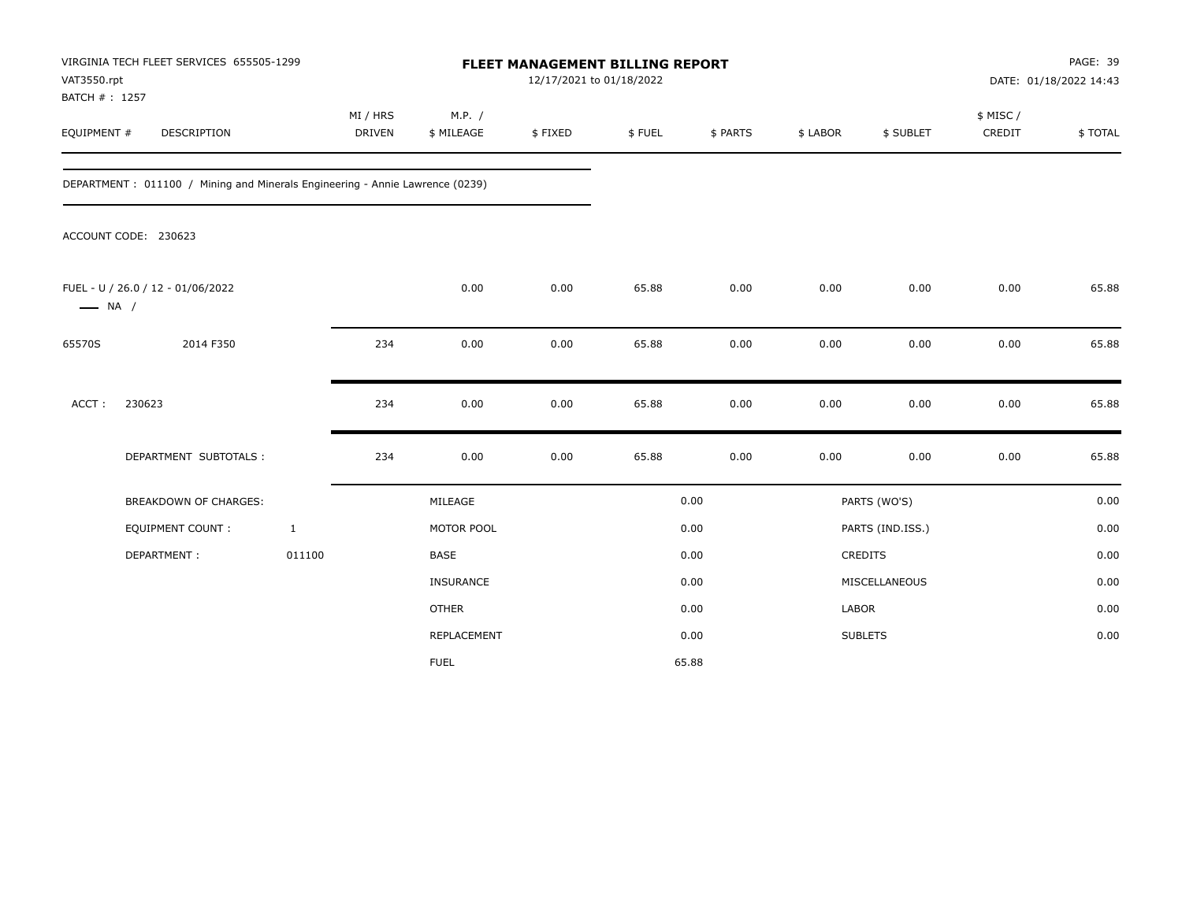| VAT3550.rpt                  | VIRGINIA TECH FLEET SERVICES 655505-1299                                     |              |                           |                      | <b>FLEET MANAGEMENT BILLING REPORT</b><br>12/17/2021 to 01/18/2022 |        |          |              |                  |                     | PAGE: 39<br>DATE: 01/18/2022 14:43 |
|------------------------------|------------------------------------------------------------------------------|--------------|---------------------------|----------------------|--------------------------------------------------------------------|--------|----------|--------------|------------------|---------------------|------------------------------------|
| BATCH #: 1257<br>EQUIPMENT # | DESCRIPTION                                                                  |              | MI / HRS<br><b>DRIVEN</b> | M.P. /<br>\$ MILEAGE | \$FIXED                                                            | \$FUEL | \$ PARTS | \$ LABOR     | \$ SUBLET        | \$ MISC /<br>CREDIT | \$TOTAL                            |
|                              | DEPARTMENT: 011100 / Mining and Minerals Engineering - Annie Lawrence (0239) |              |                           |                      |                                                                    |        |          |              |                  |                     |                                    |
|                              | ACCOUNT CODE: 230623                                                         |              |                           |                      |                                                                    |        |          |              |                  |                     |                                    |
| $\longrightarrow$ NA /       | FUEL - U / 26.0 / 12 - 01/06/2022                                            |              |                           | 0.00                 | 0.00                                                               | 65.88  | 0.00     | 0.00         | 0.00             | 0.00                | 65.88                              |
| 65570S                       | 2014 F350                                                                    |              | 234                       | 0.00                 | 0.00                                                               | 65.88  | 0.00     | 0.00         | 0.00             | 0.00                | 65.88                              |
| ACCT:                        | 230623                                                                       |              | 234                       | 0.00                 | 0.00                                                               | 65.88  | 0.00     | 0.00         | 0.00             | 0.00                | 65.88                              |
|                              | DEPARTMENT SUBTOTALS :                                                       |              | 234                       | 0.00                 | 0.00                                                               | 65.88  | 0.00     | 0.00         | 0.00             | 0.00                | 65.88                              |
|                              | BREAKDOWN OF CHARGES:                                                        |              |                           | MILEAGE              |                                                                    |        | 0.00     |              | PARTS (WO'S)     |                     | 0.00                               |
|                              | EQUIPMENT COUNT :                                                            | $\mathbf{1}$ |                           | MOTOR POOL           |                                                                    |        | 0.00     |              | PARTS (IND.ISS.) |                     | 0.00                               |
|                              | DEPARTMENT:                                                                  | 011100       |                           | <b>BASE</b>          |                                                                    |        | 0.00     |              | CREDITS          |                     | 0.00                               |
|                              |                                                                              |              |                           | INSURANCE            |                                                                    |        | 0.00     |              | MISCELLANEOUS    |                     | 0.00                               |
|                              |                                                                              |              |                           | <b>OTHER</b>         |                                                                    |        | 0.00     | <b>LABOR</b> |                  |                     | 0.00                               |
|                              |                                                                              |              |                           | REPLACEMENT          |                                                                    |        | 0.00     |              | <b>SUBLETS</b>   |                     | 0.00                               |
|                              |                                                                              |              |                           | <b>FUEL</b>          |                                                                    |        | 65.88    |              |                  |                     |                                    |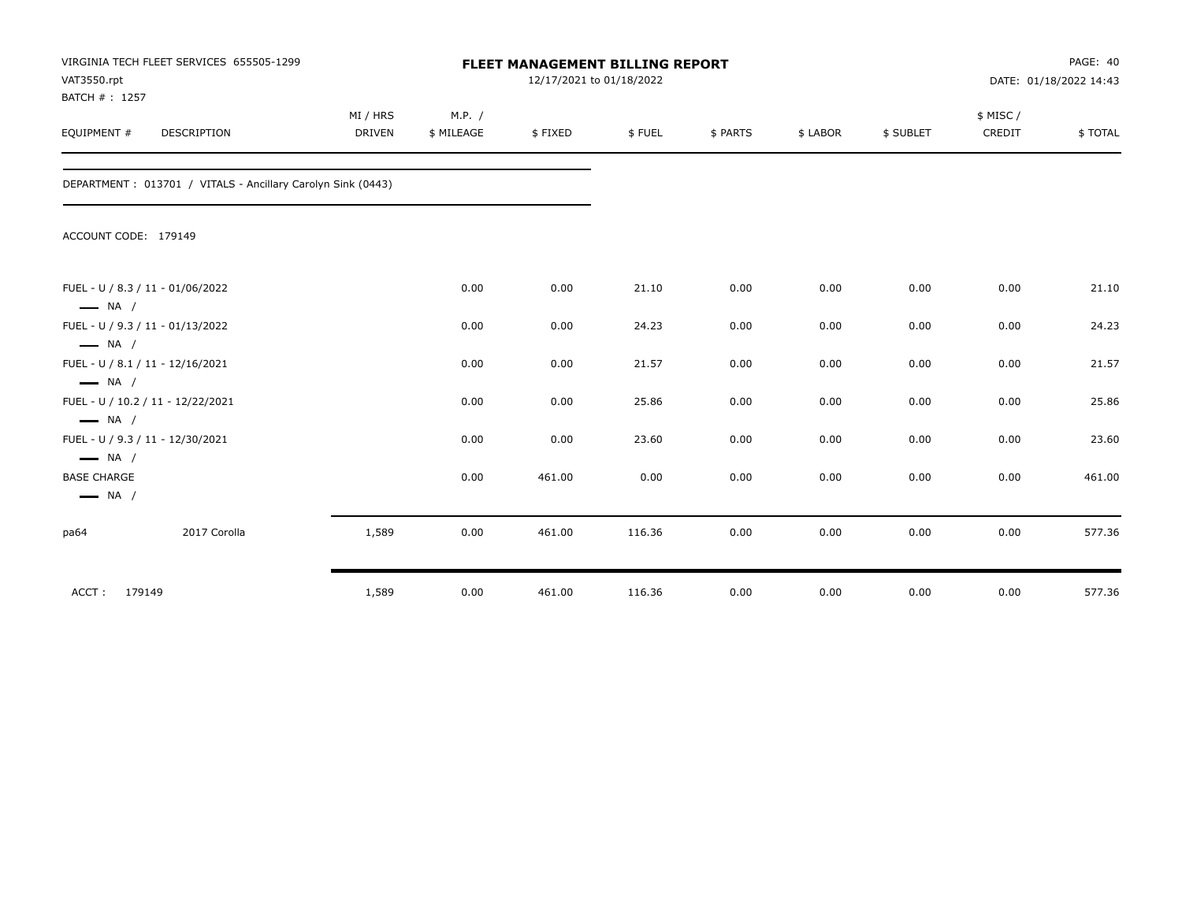| VAT3550.rpt<br>BATCH #: 1257                                                         | VIRGINIA TECH FLEET SERVICES 655505-1299                    | <b>FLEET MANAGEMENT BILLING REPORT</b><br>12/17/2021 to 01/18/2022 |            |         |        |          | PAGE: 40<br>DATE: 01/18/2022 14:43 |           |          |         |
|--------------------------------------------------------------------------------------|-------------------------------------------------------------|--------------------------------------------------------------------|------------|---------|--------|----------|------------------------------------|-----------|----------|---------|
|                                                                                      |                                                             | MI / HRS                                                           | M.P. /     |         |        |          |                                    |           | \$ MISC/ |         |
| EQUIPMENT #                                                                          | <b>DESCRIPTION</b>                                          | <b>DRIVEN</b>                                                      | \$ MILEAGE | \$FIXED | \$FUEL | \$ PARTS | \$ LABOR                           | \$ SUBLET | CREDIT   | \$TOTAL |
|                                                                                      | DEPARTMENT: 013701 / VITALS - Ancillary Carolyn Sink (0443) |                                                                    |            |         |        |          |                                    |           |          |         |
| ACCOUNT CODE: 179149                                                                 |                                                             |                                                                    |            |         |        |          |                                    |           |          |         |
| FUEL - U / 8.3 / 11 - 01/06/2022                                                     |                                                             |                                                                    | 0.00       | 0.00    | 21.10  | 0.00     | 0.00                               | 0.00      | 0.00     | 21.10   |
| $\longrightarrow$ NA /<br>FUEL - U / 9.3 / 11 - 01/13/2022<br>$\longrightarrow$ NA / |                                                             |                                                                    | 0.00       | 0.00    | 24.23  | 0.00     | 0.00                               | 0.00      | 0.00     | 24.23   |
| FUEL - U / 8.1 / 11 - 12/16/2021<br>$\longrightarrow$ NA /                           |                                                             |                                                                    | 0.00       | 0.00    | 21.57  | 0.00     | 0.00                               | 0.00      | 0.00     | 21.57   |
| $\longrightarrow$ NA /                                                               | FUEL - U / 10.2 / 11 - 12/22/2021                           |                                                                    | 0.00       | 0.00    | 25.86  | 0.00     | 0.00                               | 0.00      | 0.00     | 25.86   |
| FUEL - U / 9.3 / 11 - 12/30/2021<br>$\longrightarrow$ NA /                           |                                                             |                                                                    | 0.00       | 0.00    | 23.60  | 0.00     | 0.00                               | 0.00      | 0.00     | 23.60   |
| <b>BASE CHARGE</b><br>$\longrightarrow$ NA /                                         |                                                             |                                                                    | 0.00       | 461.00  | 0.00   | 0.00     | 0.00                               | 0.00      | 0.00     | 461.00  |
| pa64                                                                                 | 2017 Corolla                                                | 1,589                                                              | 0.00       | 461.00  | 116.36 | 0.00     | 0.00                               | 0.00      | 0.00     | 577.36  |
| 179149<br>ACCT:                                                                      |                                                             | 1,589                                                              | 0.00       | 461.00  | 116.36 | 0.00     | 0.00                               | 0.00      | 0.00     | 577.36  |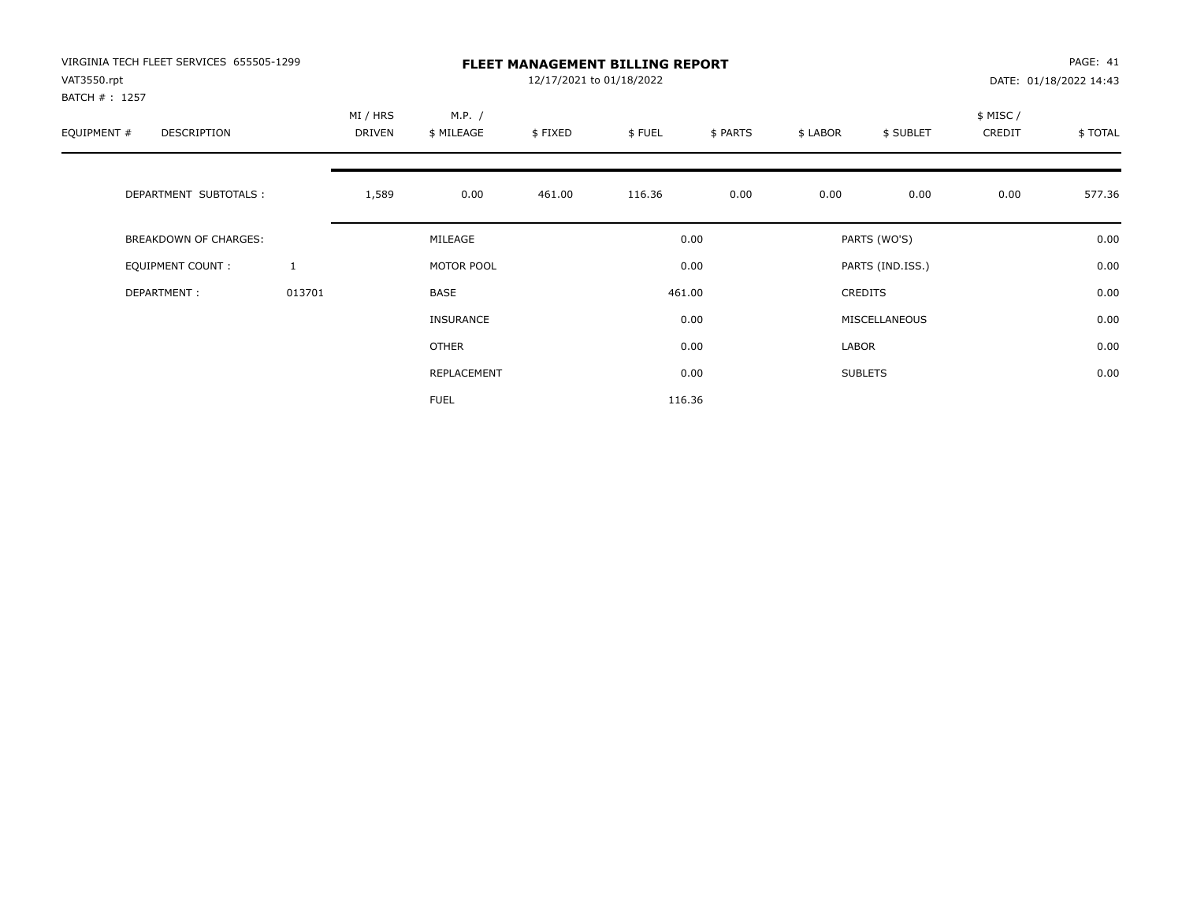| VIRGINIA TECH FLEET SERVICES 655505-1299<br>VAT3550.rpt<br>BATCH #: 1257 |              | <b>FLEET MANAGEMENT BILLING REPORT</b><br>12/17/2021 to 01/18/2022 |                      |         |        |          |          |                  |                     | PAGE: 41<br>DATE: 01/18/2022 14:43 |  |
|--------------------------------------------------------------------------|--------------|--------------------------------------------------------------------|----------------------|---------|--------|----------|----------|------------------|---------------------|------------------------------------|--|
| EQUIPMENT #<br><b>DESCRIPTION</b>                                        |              | MI / HRS<br>DRIVEN                                                 | M.P. /<br>\$ MILEAGE | \$FIXED | \$FUEL | \$ PARTS | \$ LABOR | \$ SUBLET        | \$ MISC /<br>CREDIT | \$TOTAL                            |  |
| DEPARTMENT SUBTOTALS :                                                   |              | 1,589                                                              | 0.00                 | 461.00  | 116.36 | 0.00     | 0.00     | 0.00             | 0.00                | 577.36                             |  |
| <b>BREAKDOWN OF CHARGES:</b>                                             |              |                                                                    | MILEAGE              |         |        | 0.00     |          | PARTS (WO'S)     |                     | 0.00                               |  |
| EQUIPMENT COUNT:                                                         | $\mathbf{1}$ |                                                                    | MOTOR POOL           |         |        | 0.00     |          | PARTS (IND.ISS.) |                     | 0.00                               |  |
| DEPARTMENT:                                                              | 013701       |                                                                    | <b>BASE</b>          |         |        | 461.00   |          | <b>CREDITS</b>   |                     | 0.00                               |  |
|                                                                          |              |                                                                    | INSURANCE            |         |        | 0.00     |          | MISCELLANEOUS    |                     | 0.00                               |  |
|                                                                          |              |                                                                    | <b>OTHER</b>         |         |        | 0.00     | LABOR    |                  |                     | 0.00                               |  |
|                                                                          |              |                                                                    | REPLACEMENT          |         |        | 0.00     |          | <b>SUBLETS</b>   |                     | 0.00                               |  |
|                                                                          |              |                                                                    | <b>FUEL</b>          |         |        | 116.36   |          |                  |                     |                                    |  |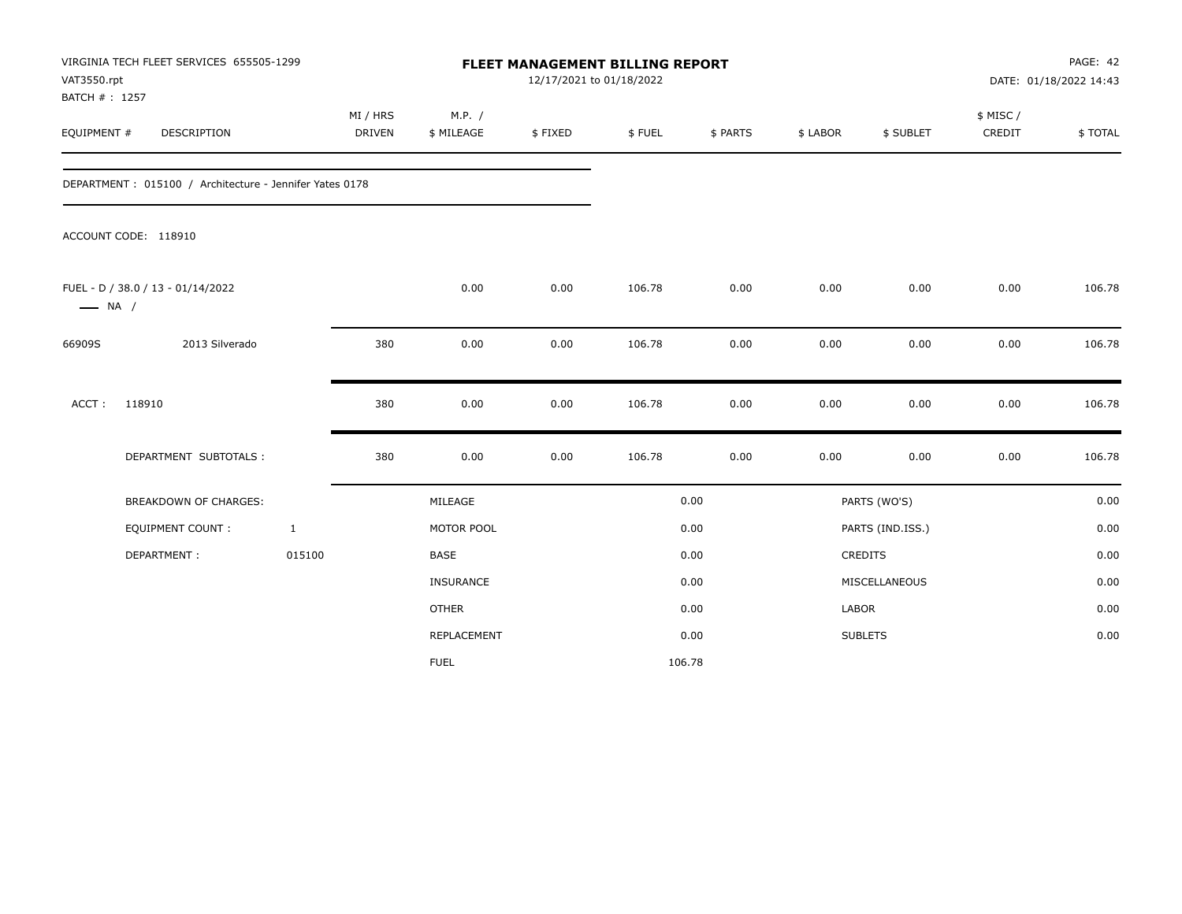| VAT3550.rpt<br>BATCH #: 1257 | VIRGINIA TECH FLEET SERVICES 655505-1299                |              |                           |                      |         | <b>FLEET MANAGEMENT BILLING REPORT</b><br>12/17/2021 to 01/18/2022 |          |          |                  | PAGE: 42<br>DATE: 01/18/2022 14:43 |         |  |
|------------------------------|---------------------------------------------------------|--------------|---------------------------|----------------------|---------|--------------------------------------------------------------------|----------|----------|------------------|------------------------------------|---------|--|
| EQUIPMENT #                  | DESCRIPTION                                             |              | MI / HRS<br><b>DRIVEN</b> | M.P. /<br>\$ MILEAGE | \$FIXED | \$FUEL                                                             | \$ PARTS | \$ LABOR | \$ SUBLET        | \$ MISC /<br>CREDIT                | \$TOTAL |  |
|                              | DEPARTMENT: 015100 / Architecture - Jennifer Yates 0178 |              |                           |                      |         |                                                                    |          |          |                  |                                    |         |  |
|                              | ACCOUNT CODE: 118910                                    |              |                           |                      |         |                                                                    |          |          |                  |                                    |         |  |
| $\longrightarrow$ NA /       | FUEL - D / 38.0 / 13 - 01/14/2022                       |              |                           | 0.00                 | 0.00    | 106.78                                                             | 0.00     | 0.00     | 0.00             | 0.00                               | 106.78  |  |
| 66909S                       | 2013 Silverado                                          |              | 380                       | 0.00                 | 0.00    | 106.78                                                             | 0.00     | 0.00     | 0.00             | 0.00                               | 106.78  |  |
| ACCT:                        | 118910                                                  |              | 380                       | 0.00                 | 0.00    | 106.78                                                             | 0.00     | 0.00     | 0.00             | 0.00                               | 106.78  |  |
|                              | DEPARTMENT SUBTOTALS :                                  |              | 380                       | 0.00                 | 0.00    | 106.78                                                             | 0.00     | 0.00     | 0.00             | 0.00                               | 106.78  |  |
|                              | <b>BREAKDOWN OF CHARGES:</b>                            |              |                           | MILEAGE              |         |                                                                    | 0.00     |          | PARTS (WO'S)     |                                    | 0.00    |  |
|                              | <b>EQUIPMENT COUNT:</b>                                 | $\mathbf{1}$ |                           | MOTOR POOL           |         |                                                                    | 0.00     |          | PARTS (IND.ISS.) |                                    | 0.00    |  |
|                              | DEPARTMENT:                                             | 015100       |                           | <b>BASE</b>          |         |                                                                    | 0.00     |          | CREDITS          |                                    | 0.00    |  |
|                              |                                                         |              |                           | INSURANCE            |         |                                                                    | 0.00     |          | MISCELLANEOUS    |                                    | 0.00    |  |
|                              |                                                         |              |                           | <b>OTHER</b>         |         |                                                                    | 0.00     | LABOR    |                  |                                    | 0.00    |  |
|                              |                                                         |              |                           | <b>REPLACEMENT</b>   |         |                                                                    | 0.00     |          | <b>SUBLETS</b>   |                                    | 0.00    |  |
|                              |                                                         |              |                           | <b>FUEL</b>          |         |                                                                    | 106.78   |          |                  |                                    |         |  |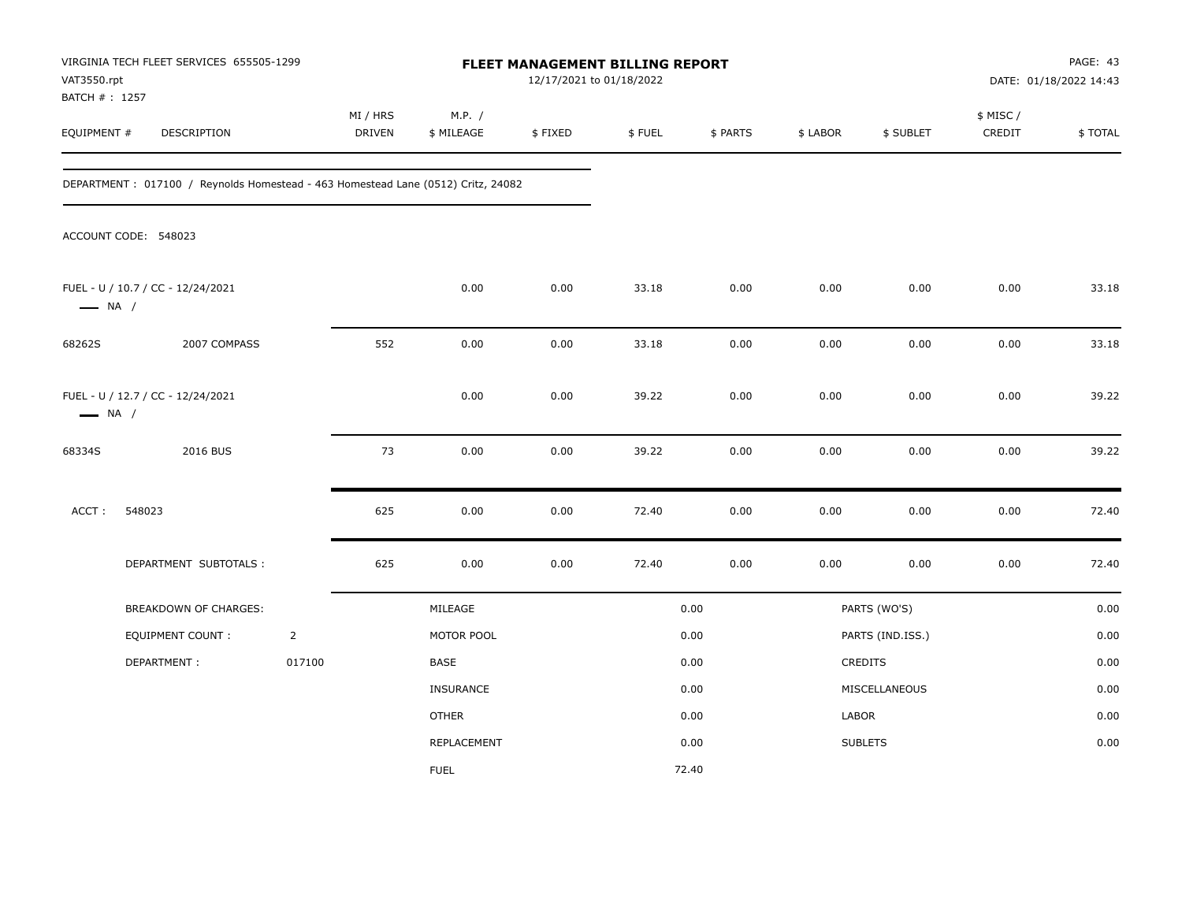| VAT3550.rpt            | VIRGINIA TECH FLEET SERVICES 655505-1299<br>BATCH #: 1257<br>EQUIPMENT #<br>DESCRIPTION |                |                    |                      | FLEET MANAGEMENT BILLING REPORT<br>12/17/2021 to 01/18/2022 |        |          |          |                  |                     | PAGE: 43<br>DATE: 01/18/2022 14:43 |
|------------------------|-----------------------------------------------------------------------------------------|----------------|--------------------|----------------------|-------------------------------------------------------------|--------|----------|----------|------------------|---------------------|------------------------------------|
|                        |                                                                                         |                | MI / HRS<br>DRIVEN | M.P. /<br>\$ MILEAGE | \$FIXED                                                     | \$FUEL | \$ PARTS | \$ LABOR | \$ SUBLET        | \$ MISC /<br>CREDIT | \$TOTAL                            |
|                        | DEPARTMENT: 017100 / Reynolds Homestead - 463 Homestead Lane (0512) Critz, 24082        |                |                    |                      |                                                             |        |          |          |                  |                     |                                    |
|                        | ACCOUNT CODE: 548023                                                                    |                |                    |                      |                                                             |        |          |          |                  |                     |                                    |
| $\longrightarrow$ NA / | FUEL - U / 10.7 / CC - 12/24/2021                                                       |                |                    | 0.00                 | 0.00                                                        | 33.18  | 0.00     | 0.00     | 0.00             | 0.00                | 33.18                              |
| 68262S                 | 2007 COMPASS                                                                            |                | 552                | 0.00                 | 0.00                                                        | 33.18  | 0.00     | 0.00     | 0.00             | 0.00                | 33.18                              |
| $\longrightarrow$ NA / | FUEL - U / 12.7 / CC - 12/24/2021                                                       |                |                    | 0.00                 | 0.00                                                        | 39.22  | 0.00     | 0.00     | 0.00             | 0.00                | 39.22                              |
| 68334S                 | 2016 BUS                                                                                |                | 73                 | 0.00                 | 0.00                                                        | 39.22  | 0.00     | 0.00     | 0.00             | 0.00                | 39.22                              |
| ACCT:                  | 548023                                                                                  |                | 625                | 0.00                 | 0.00                                                        | 72.40  | 0.00     | 0.00     | 0.00             | 0.00                | 72.40                              |
|                        | DEPARTMENT SUBTOTALS :                                                                  |                | 625                | 0.00                 | 0.00                                                        | 72.40  | 0.00     | 0.00     | 0.00             | 0.00                | 72.40                              |
|                        | BREAKDOWN OF CHARGES:                                                                   |                |                    | MILEAGE              |                                                             |        | 0.00     |          | PARTS (WO'S)     |                     | 0.00                               |
|                        | <b>EQUIPMENT COUNT:</b>                                                                 | $\overline{2}$ |                    | MOTOR POOL           |                                                             |        | 0.00     |          | PARTS (IND.ISS.) |                     | 0.00                               |
|                        | DEPARTMENT:                                                                             | 017100         |                    | BASE                 |                                                             |        | 0.00     |          | CREDITS          |                     | 0.00                               |
|                        |                                                                                         |                |                    | INSURANCE            |                                                             |        | 0.00     |          | MISCELLANEOUS    |                     | 0.00                               |
|                        |                                                                                         |                |                    | <b>OTHER</b>         |                                                             |        | 0.00     | LABOR    |                  |                     | 0.00                               |
|                        |                                                                                         |                |                    | REPLACEMENT          |                                                             |        | 0.00     |          | <b>SUBLETS</b>   |                     | 0.00                               |
|                        |                                                                                         |                |                    | <b>FUEL</b>          |                                                             |        | 72.40    |          |                  |                     |                                    |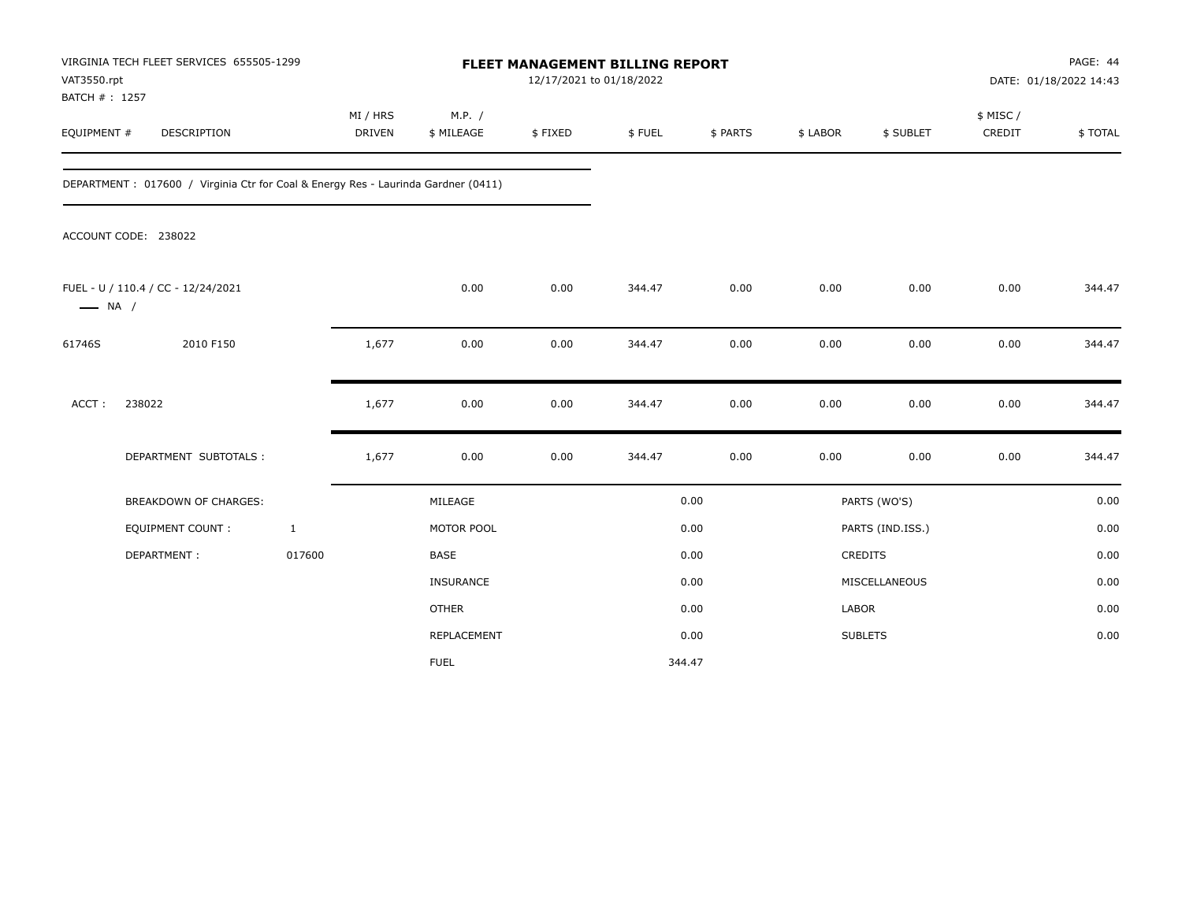| VAT3550.rpt<br>BATCH #: 1257 | VIRGINIA TECH FLEET SERVICES 655505-1299                                          |                           |                      | FLEET MANAGEMENT BILLING REPORT<br>12/17/2021 to 01/18/2022 |        |          |          |                  |                     | PAGE: 44<br>DATE: 01/18/2022 14:43 |
|------------------------------|-----------------------------------------------------------------------------------|---------------------------|----------------------|-------------------------------------------------------------|--------|----------|----------|------------------|---------------------|------------------------------------|
| EQUIPMENT #                  | DESCRIPTION                                                                       | MI / HRS<br><b>DRIVEN</b> | M.P. /<br>\$ MILEAGE | \$FIXED                                                     | \$FUEL | \$ PARTS | \$ LABOR | \$ SUBLET        | \$ MISC /<br>CREDIT | \$TOTAL                            |
|                              | DEPARTMENT: 017600 / Virginia Ctr for Coal & Energy Res - Laurinda Gardner (0411) |                           |                      |                                                             |        |          |          |                  |                     |                                    |
|                              | ACCOUNT CODE: 238022                                                              |                           |                      |                                                             |        |          |          |                  |                     |                                    |
| $\longrightarrow$ NA /       | FUEL - U / 110.4 / CC - 12/24/2021                                                |                           | 0.00                 | 0.00                                                        | 344.47 | 0.00     | 0.00     | 0.00             | 0.00                | 344.47                             |
| 61746S                       | 2010 F150                                                                         | 1,677                     | 0.00                 | 0.00                                                        | 344.47 | 0.00     | 0.00     | 0.00             | 0.00                | 344.47                             |
| ACCT:                        | 238022                                                                            | 1,677                     | 0.00                 | 0.00                                                        | 344.47 | 0.00     | 0.00     | 0.00             | 0.00                | 344.47                             |
|                              | DEPARTMENT SUBTOTALS :                                                            | 1,677                     | 0.00                 | 0.00                                                        | 344.47 | 0.00     | 0.00     | 0.00             | 0.00                | 344.47                             |
|                              | <b>BREAKDOWN OF CHARGES:</b>                                                      |                           | MILEAGE              |                                                             |        | 0.00     |          | PARTS (WO'S)     |                     | 0.00                               |
|                              | <b>EQUIPMENT COUNT:</b>                                                           | $\mathbf{1}$              | MOTOR POOL           |                                                             |        | 0.00     |          | PARTS (IND.ISS.) |                     | 0.00                               |
|                              | DEPARTMENT:                                                                       | 017600                    | <b>BASE</b>          |                                                             |        | 0.00     |          | CREDITS          |                     | 0.00                               |
|                              |                                                                                   |                           | <b>INSURANCE</b>     |                                                             |        | 0.00     |          | MISCELLANEOUS    |                     | 0.00                               |
|                              |                                                                                   |                           | <b>OTHER</b>         |                                                             |        | 0.00     | LABOR    |                  |                     | 0.00                               |
|                              |                                                                                   |                           | <b>REPLACEMENT</b>   |                                                             |        | 0.00     |          | <b>SUBLETS</b>   |                     | 0.00                               |
|                              |                                                                                   |                           | <b>FUEL</b>          |                                                             |        | 344.47   |          |                  |                     |                                    |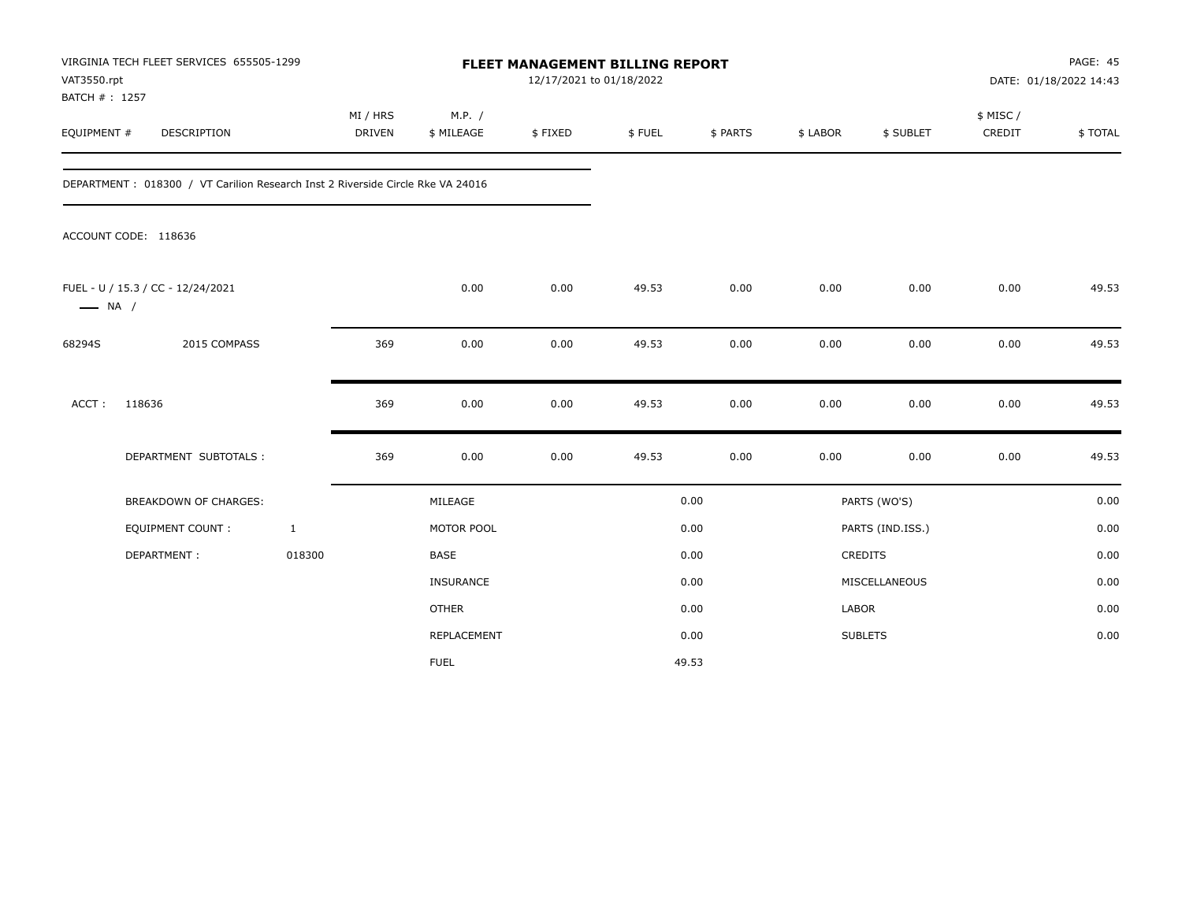| VAT3550.rpt                  | VIRGINIA TECH FLEET SERVICES 655505-1299                                        |                           |                      | <b>FLEET MANAGEMENT BILLING REPORT</b><br>12/17/2021 to 01/18/2022 |        |          |          |                  |                     | PAGE: 45<br>DATE: 01/18/2022 14:43 |
|------------------------------|---------------------------------------------------------------------------------|---------------------------|----------------------|--------------------------------------------------------------------|--------|----------|----------|------------------|---------------------|------------------------------------|
| BATCH #: 1257<br>EQUIPMENT # | DESCRIPTION                                                                     | MI / HRS<br><b>DRIVEN</b> | M.P. /<br>\$ MILEAGE | \$FIXED                                                            | \$FUEL | \$ PARTS | \$ LABOR | \$ SUBLET        | \$ MISC /<br>CREDIT | \$TOTAL                            |
|                              | DEPARTMENT : 018300 / VT Carilion Research Inst 2 Riverside Circle Rke VA 24016 |                           |                      |                                                                    |        |          |          |                  |                     |                                    |
|                              | ACCOUNT CODE: 118636                                                            |                           |                      |                                                                    |        |          |          |                  |                     |                                    |
| $\longrightarrow$ NA /       | FUEL - U / 15.3 / CC - 12/24/2021                                               |                           | 0.00                 | 0.00                                                               | 49.53  | 0.00     | 0.00     | 0.00             | 0.00                | 49.53                              |
| 68294S                       | 2015 COMPASS                                                                    | 369                       | 0.00                 | 0.00                                                               | 49.53  | 0.00     | 0.00     | 0.00             | 0.00                | 49.53                              |
| ACCT:                        | 118636                                                                          | 369                       | 0.00                 | 0.00                                                               | 49.53  | 0.00     | 0.00     | 0.00             | 0.00                | 49.53                              |
|                              | DEPARTMENT SUBTOTALS :                                                          | 369                       | 0.00                 | 0.00                                                               | 49.53  | 0.00     | 0.00     | 0.00             | 0.00                | 49.53                              |
|                              | <b>BREAKDOWN OF CHARGES:</b>                                                    |                           | MILEAGE              |                                                                    |        | 0.00     |          | PARTS (WO'S)     |                     | 0.00                               |
|                              | <b>EQUIPMENT COUNT:</b>                                                         | $\mathbf{1}$              | MOTOR POOL           |                                                                    |        | 0.00     |          | PARTS (IND.ISS.) |                     | 0.00                               |
|                              | DEPARTMENT:                                                                     | 018300                    | <b>BASE</b>          |                                                                    |        | 0.00     |          | CREDITS          |                     | 0.00                               |
|                              |                                                                                 |                           | INSURANCE            |                                                                    |        | 0.00     |          | MISCELLANEOUS    |                     | 0.00                               |
|                              |                                                                                 |                           | <b>OTHER</b>         |                                                                    |        | 0.00     | LABOR    |                  |                     | 0.00                               |
|                              |                                                                                 |                           | REPLACEMENT          |                                                                    |        | 0.00     |          | <b>SUBLETS</b>   |                     | 0.00                               |
|                              |                                                                                 |                           | <b>FUEL</b>          |                                                                    |        | 49.53    |          |                  |                     |                                    |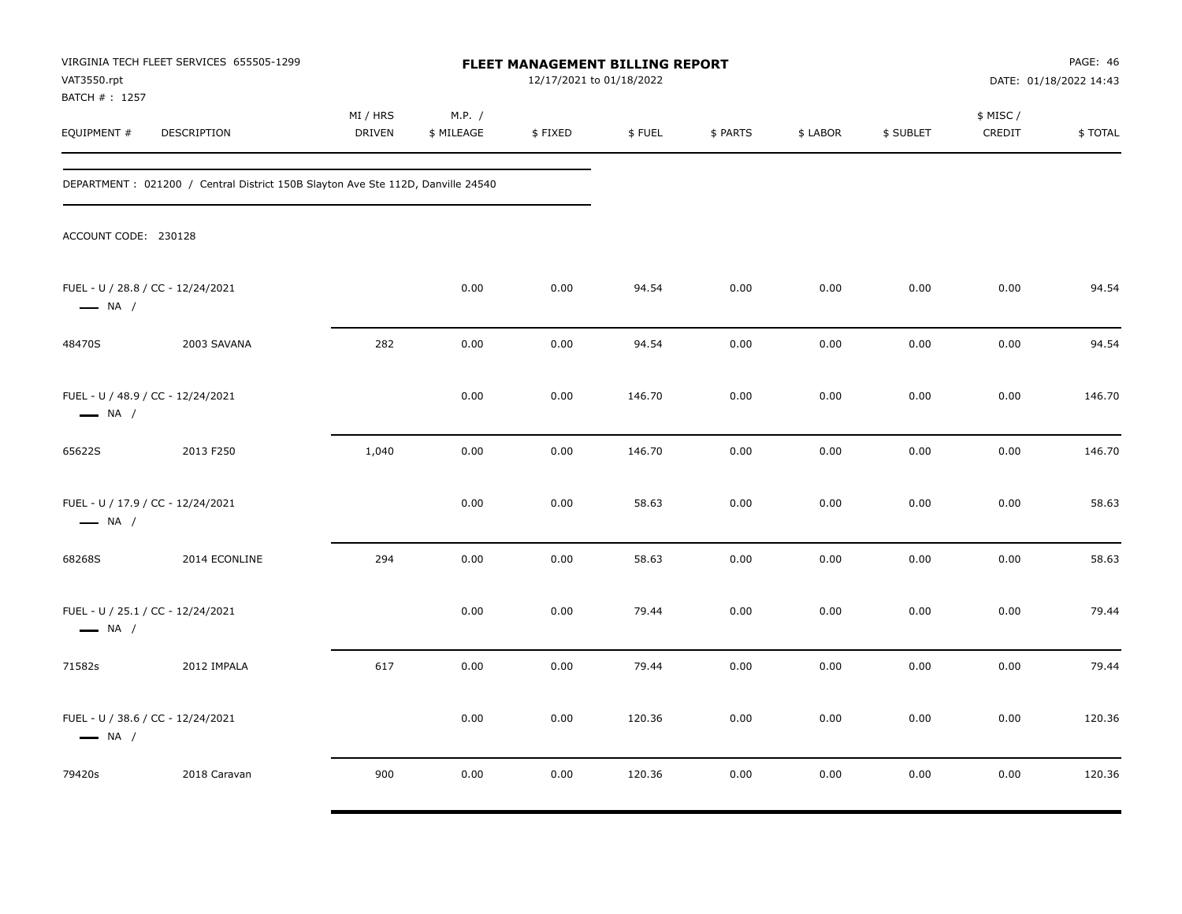| VAT3550.rpt<br>BATCH #: 1257                                | VIRGINIA TECH FLEET SERVICES 655505-1299                                         |                           |                      | <b>FLEET MANAGEMENT BILLING REPORT</b><br>12/17/2021 to 01/18/2022 |        |          |          |           | PAGE: 46<br>DATE: 01/18/2022 14:43 |         |
|-------------------------------------------------------------|----------------------------------------------------------------------------------|---------------------------|----------------------|--------------------------------------------------------------------|--------|----------|----------|-----------|------------------------------------|---------|
| EQUIPMENT #                                                 | DESCRIPTION                                                                      | MI / HRS<br><b>DRIVEN</b> | M.P. /<br>\$ MILEAGE | \$FIXED                                                            | \$FUEL | \$ PARTS | \$ LABOR | \$ SUBLET | \$ MISC /<br>CREDIT                | \$TOTAL |
|                                                             | DEPARTMENT : 021200 / Central District 150B Slayton Ave Ste 112D, Danville 24540 |                           |                      |                                                                    |        |          |          |           |                                    |         |
| ACCOUNT CODE: 230128                                        |                                                                                  |                           |                      |                                                                    |        |          |          |           |                                    |         |
| FUEL - U / 28.8 / CC - 12/24/2021<br>$\longrightarrow$ NA / |                                                                                  |                           | 0.00                 | 0.00                                                               | 94.54  | 0.00     | 0.00     | 0.00      | 0.00                               | 94.54   |
| 48470S                                                      | 2003 SAVANA                                                                      | 282                       | 0.00                 | 0.00                                                               | 94.54  | 0.00     | 0.00     | 0.00      | 0.00                               | 94.54   |
| FUEL - U / 48.9 / CC - 12/24/2021<br>$\longrightarrow$ NA / |                                                                                  |                           | 0.00                 | 0.00                                                               | 146.70 | 0.00     | 0.00     | 0.00      | 0.00                               | 146.70  |
| 65622S                                                      | 2013 F250                                                                        | 1,040                     | 0.00                 | 0.00                                                               | 146.70 | 0.00     | 0.00     | 0.00      | 0.00                               | 146.70  |
| FUEL - U / 17.9 / CC - 12/24/2021<br>$\longrightarrow$ NA / |                                                                                  |                           | 0.00                 | 0.00                                                               | 58.63  | 0.00     | 0.00     | 0.00      | 0.00                               | 58.63   |
| 68268S                                                      | 2014 ECONLINE                                                                    | 294                       | 0.00                 | 0.00                                                               | 58.63  | 0.00     | 0.00     | 0.00      | 0.00                               | 58.63   |
| FUEL - U / 25.1 / CC - 12/24/2021<br>$\longrightarrow$ NA / |                                                                                  |                           | 0.00                 | 0.00                                                               | 79.44  | 0.00     | 0.00     | 0.00      | 0.00                               | 79.44   |
| 71582s                                                      | 2012 IMPALA                                                                      | 617                       | 0.00                 | 0.00                                                               | 79.44  | 0.00     | 0.00     | 0.00      | 0.00                               | 79.44   |
| FUEL - U / 38.6 / CC - 12/24/2021<br>$\longrightarrow$ NA / |                                                                                  |                           | 0.00                 | 0.00                                                               | 120.36 | 0.00     | 0.00     | 0.00      | 0.00                               | 120.36  |
| 79420s                                                      | 2018 Caravan                                                                     | 900                       | 0.00                 | 0.00                                                               | 120.36 | 0.00     | 0.00     | 0.00      | 0.00                               | 120.36  |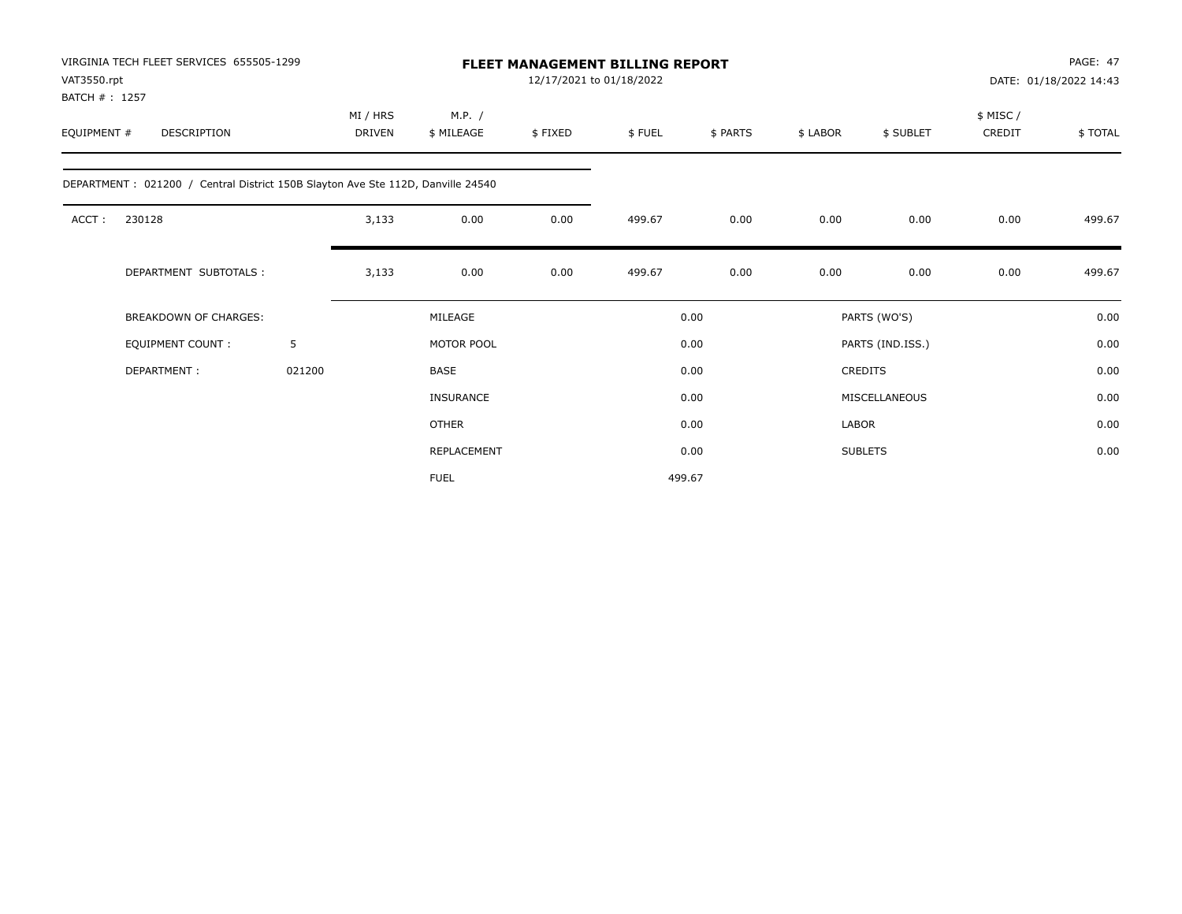| VAT3550.rpt<br>BATCH #: 1257 | VIRGINIA TECH FLEET SERVICES 655505-1299                                        |        | <b>FLEET MANAGEMENT BILLING REPORT</b><br>12/17/2021 to 01/18/2022 |                      |         |        |          |              | PAGE: 47<br>DATE: 01/18/2022 14:43 |                    |         |
|------------------------------|---------------------------------------------------------------------------------|--------|--------------------------------------------------------------------|----------------------|---------|--------|----------|--------------|------------------------------------|--------------------|---------|
| EQUIPMENT #                  | <b>DESCRIPTION</b>                                                              |        | MI / HRS<br>DRIVEN                                                 | M.P. /<br>\$ MILEAGE | \$FIXED | \$FUEL | \$ PARTS | \$ LABOR     | \$ SUBLET                          | \$ MISC/<br>CREDIT | \$TOTAL |
|                              | DEPARTMENT: 021200 / Central District 150B Slayton Ave Ste 112D, Danville 24540 |        |                                                                    |                      |         |        |          |              |                                    |                    |         |
| ACCT:                        | 230128                                                                          |        | 3,133                                                              | 0.00                 | 0.00    | 499.67 | 0.00     | 0.00         | 0.00                               | 0.00               | 499.67  |
|                              | DEPARTMENT SUBTOTALS :                                                          |        | 3,133                                                              | 0.00                 | 0.00    | 499.67 | 0.00     | 0.00         | 0.00                               | 0.00               | 499.67  |
|                              | <b>BREAKDOWN OF CHARGES:</b>                                                    |        |                                                                    | MILEAGE              |         |        | 0.00     |              | PARTS (WO'S)                       |                    | 0.00    |
|                              | <b>EQUIPMENT COUNT:</b>                                                         | 5      |                                                                    | MOTOR POOL           |         |        | 0.00     |              | PARTS (IND.ISS.)                   |                    | 0.00    |
|                              | DEPARTMENT:                                                                     | 021200 |                                                                    | <b>BASE</b>          |         |        | 0.00     |              | <b>CREDITS</b>                     |                    | 0.00    |
|                              |                                                                                 |        |                                                                    | <b>INSURANCE</b>     |         |        | 0.00     |              | MISCELLANEOUS                      |                    | 0.00    |
|                              |                                                                                 |        |                                                                    | <b>OTHER</b>         |         |        | 0.00     | <b>LABOR</b> |                                    |                    | 0.00    |
|                              |                                                                                 |        |                                                                    | <b>REPLACEMENT</b>   |         |        | 0.00     |              | <b>SUBLETS</b>                     |                    | 0.00    |
|                              |                                                                                 |        |                                                                    | <b>FUEL</b>          |         |        | 499.67   |              |                                    |                    |         |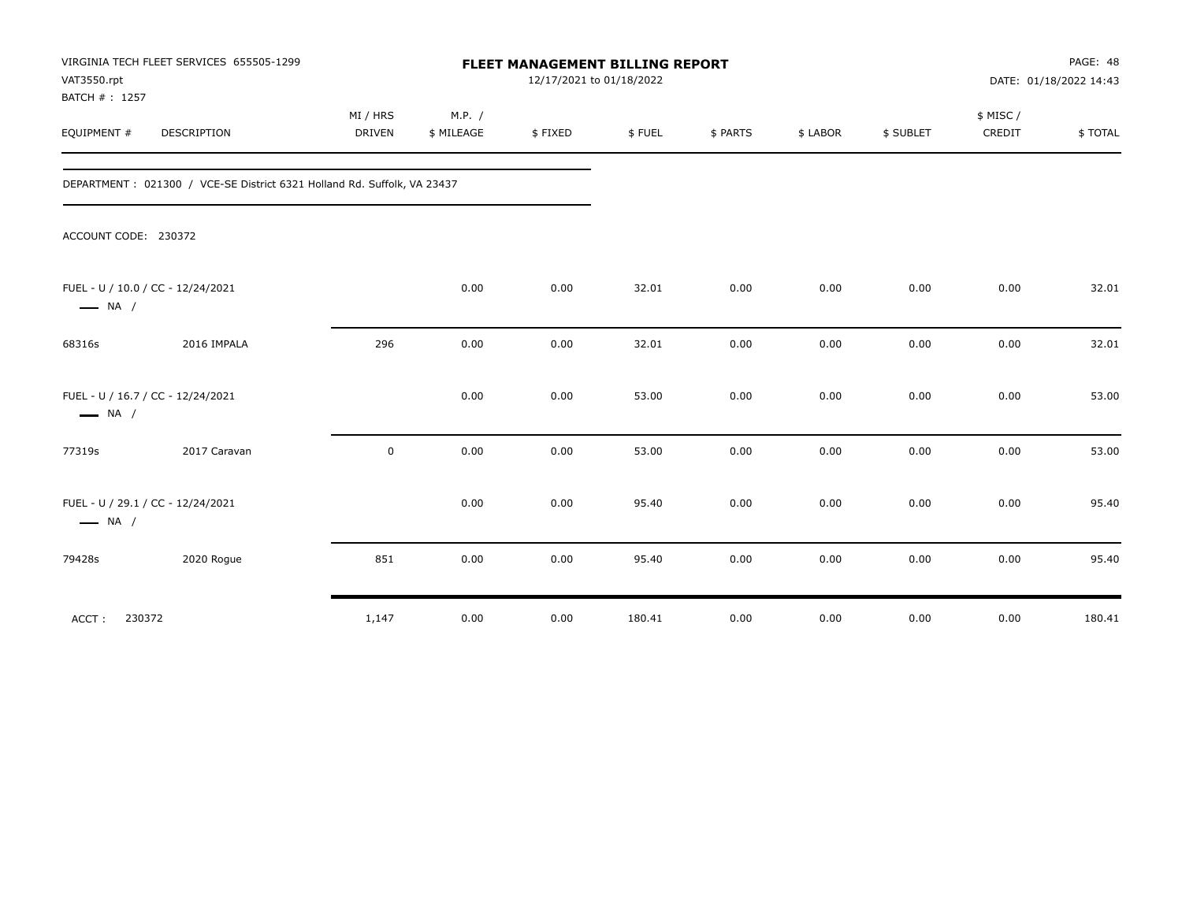| VAT3550.rpt<br>BATCH #: 1257 | VIRGINIA TECH FLEET SERVICES 655505-1299                                 | FLEET MANAGEMENT BILLING REPORT<br>12/17/2021 to 01/18/2022 |                      |         |        |          |          |           | PAGE: 48<br>DATE: 01/18/2022 14:43 |         |
|------------------------------|--------------------------------------------------------------------------|-------------------------------------------------------------|----------------------|---------|--------|----------|----------|-----------|------------------------------------|---------|
| EQUIPMENT #                  | <b>DESCRIPTION</b>                                                       | MI / HRS<br><b>DRIVEN</b>                                   | M.P. /<br>\$ MILEAGE | \$FIXED | \$FUEL | \$ PARTS | \$ LABOR | \$ SUBLET | \$ MISC/<br>CREDIT                 | \$TOTAL |
|                              | DEPARTMENT : 021300 / VCE-SE District 6321 Holland Rd. Suffolk, VA 23437 |                                                             |                      |         |        |          |          |           |                                    |         |
| ACCOUNT CODE: 230372         |                                                                          |                                                             |                      |         |        |          |          |           |                                    |         |
| $\longrightarrow$ NA /       | FUEL - U / 10.0 / CC - 12/24/2021                                        |                                                             | 0.00                 | 0.00    | 32.01  | 0.00     | 0.00     | 0.00      | 0.00                               | 32.01   |
| 68316s                       | 2016 IMPALA                                                              | 296                                                         | 0.00                 | 0.00    | 32.01  | 0.00     | 0.00     | 0.00      | 0.00                               | 32.01   |
| $\longrightarrow$ NA /       | FUEL - U / 16.7 / CC - 12/24/2021                                        |                                                             | 0.00                 | 0.00    | 53.00  | 0.00     | 0.00     | 0.00      | 0.00                               | 53.00   |
| 77319s                       | 2017 Caravan                                                             | 0                                                           | 0.00                 | 0.00    | 53.00  | 0.00     | 0.00     | 0.00      | 0.00                               | 53.00   |
| $\longrightarrow$ NA /       | FUEL - U / 29.1 / CC - 12/24/2021                                        |                                                             | 0.00                 | 0.00    | 95.40  | 0.00     | 0.00     | 0.00      | 0.00                               | 95.40   |
| 79428s                       | 2020 Rogue                                                               | 851                                                         | 0.00                 | 0.00    | 95.40  | 0.00     | 0.00     | 0.00      | 0.00                               | 95.40   |
| 230372<br>ACCT:              |                                                                          | 1,147                                                       | 0.00                 | 0.00    | 180.41 | 0.00     | 0.00     | 0.00      | 0.00                               | 180.41  |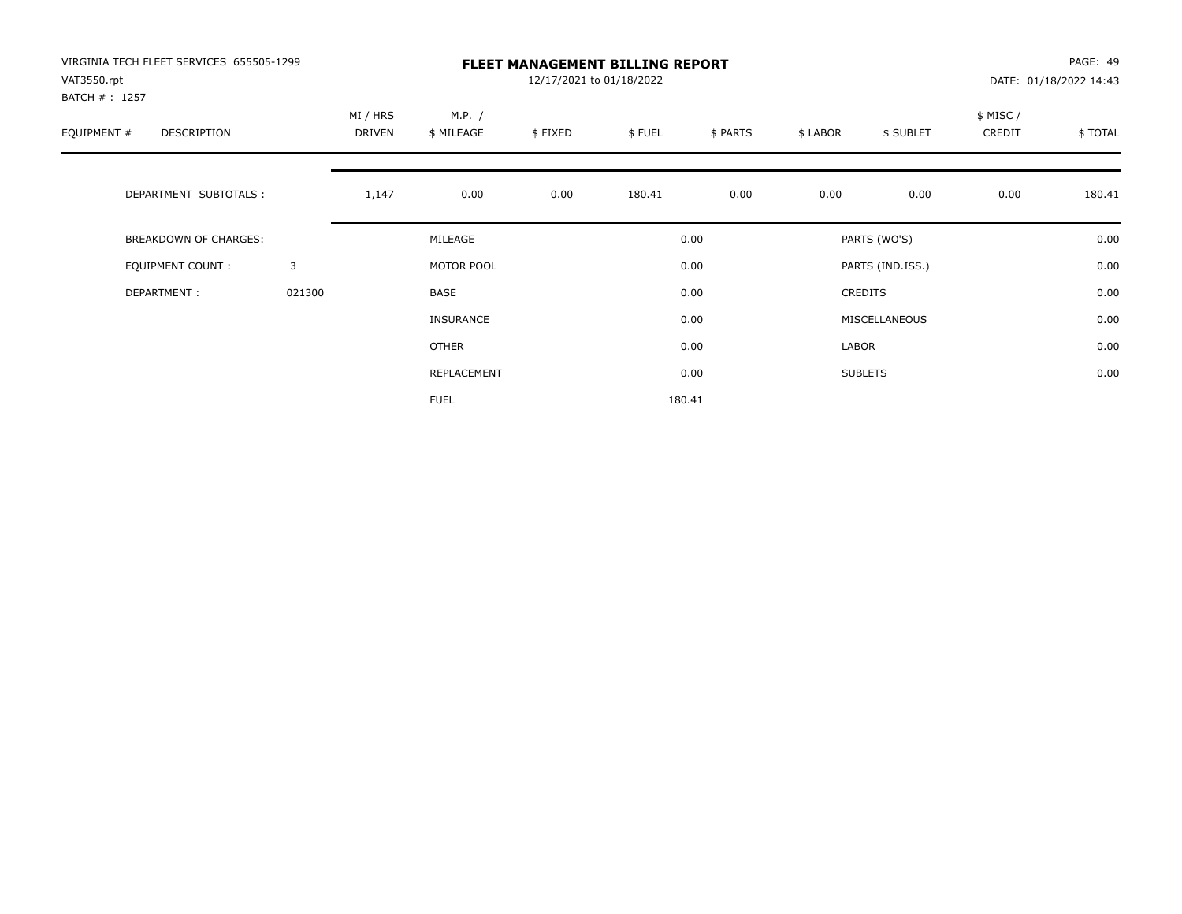| VIRGINIA TECH FLEET SERVICES 655505-1299<br>VAT3550.rpt |        |                    |                      | 12/17/2021 to 01/18/2022 | <b>FLEET MANAGEMENT BILLING REPORT</b> |          |          |                  |                     | PAGE: 49<br>DATE: 01/18/2022 14:43 |
|---------------------------------------------------------|--------|--------------------|----------------------|--------------------------|----------------------------------------|----------|----------|------------------|---------------------|------------------------------------|
| BATCH # : 1257<br>EQUIPMENT #<br>DESCRIPTION            |        | MI / HRS<br>DRIVEN | M.P. /<br>\$ MILEAGE | \$FIXED                  | \$FUEL                                 | \$ PARTS | \$ LABOR | \$ SUBLET        | \$ MISC /<br>CREDIT | \$TOTAL                            |
| DEPARTMENT SUBTOTALS :                                  |        | 1,147              | 0.00                 | 0.00                     | 180.41                                 | 0.00     | 0.00     | 0.00             | 0.00                | 180.41                             |
| BREAKDOWN OF CHARGES:                                   |        |                    | MILEAGE              |                          |                                        | 0.00     |          | PARTS (WO'S)     |                     | 0.00                               |
| <b>EQUIPMENT COUNT:</b>                                 | 3      |                    | MOTOR POOL           |                          |                                        | 0.00     |          | PARTS (IND.ISS.) |                     | 0.00                               |
| DEPARTMENT:                                             | 021300 |                    | BASE                 |                          |                                        | 0.00     |          | <b>CREDITS</b>   |                     | 0.00                               |
|                                                         |        |                    | <b>INSURANCE</b>     |                          |                                        | 0.00     |          | MISCELLANEOUS    |                     | 0.00                               |
|                                                         |        |                    | <b>OTHER</b>         |                          |                                        | 0.00     | LABOR    |                  |                     | 0.00                               |
|                                                         |        |                    | REPLACEMENT          |                          |                                        | 0.00     |          | <b>SUBLETS</b>   |                     | 0.00                               |
|                                                         |        |                    | <b>FUEL</b>          |                          |                                        | 180.41   |          |                  |                     |                                    |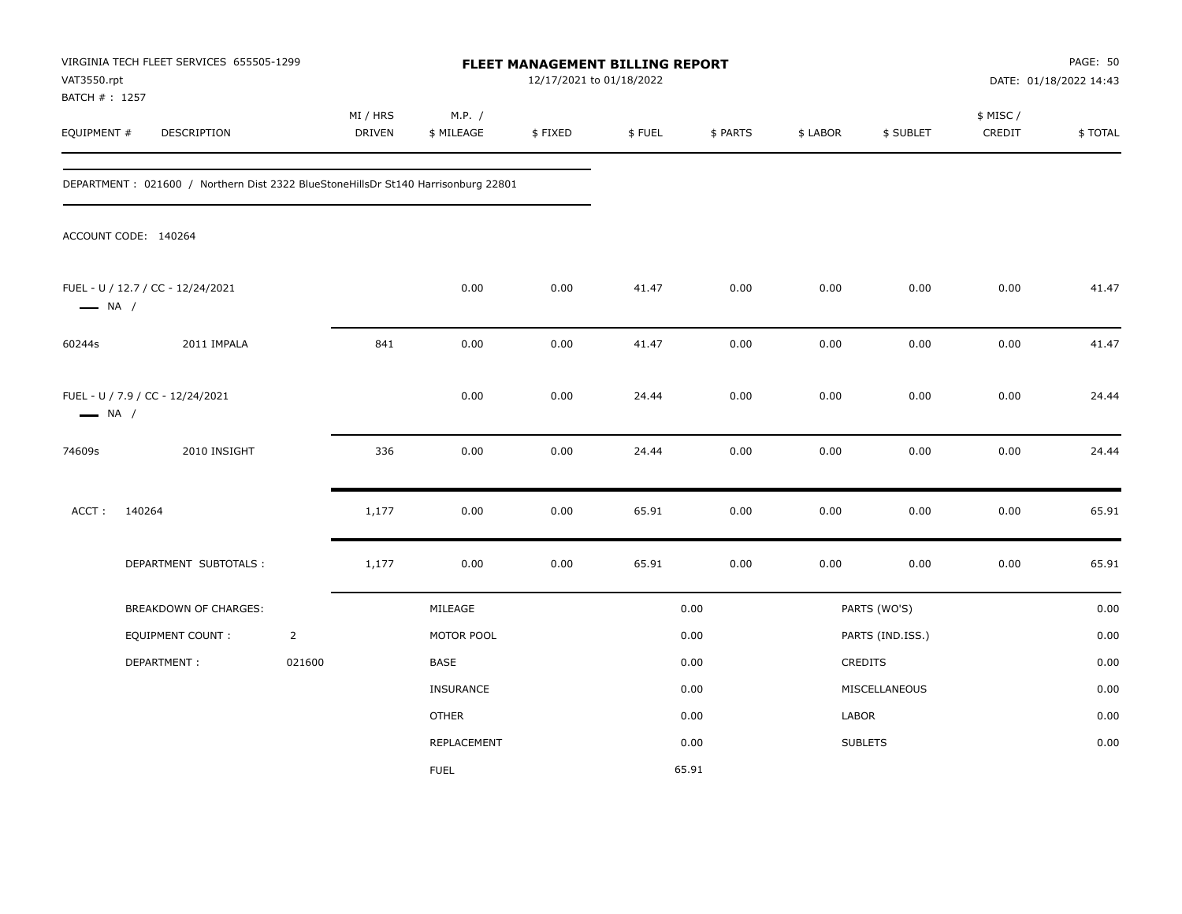| VAT3550.rpt                   | VIRGINIA TECH FLEET SERVICES 655505-1299                                          |                |                    |                      | FLEET MANAGEMENT BILLING REPORT<br>12/17/2021 to 01/18/2022 |        |          |          |                  |                     | PAGE: 50<br>DATE: 01/18/2022 14:43 |
|-------------------------------|-----------------------------------------------------------------------------------|----------------|--------------------|----------------------|-------------------------------------------------------------|--------|----------|----------|------------------|---------------------|------------------------------------|
| BATCH # : 1257<br>EQUIPMENT # | DESCRIPTION                                                                       |                | MI / HRS<br>DRIVEN | M.P. /<br>\$ MILEAGE | \$FIXED                                                     | \$FUEL | \$ PARTS | \$ LABOR | \$ SUBLET        | \$ MISC /<br>CREDIT | \$TOTAL                            |
|                               | DEPARTMENT: 021600 / Northern Dist 2322 BlueStoneHillsDr St140 Harrisonburg 22801 |                |                    |                      |                                                             |        |          |          |                  |                     |                                    |
|                               | ACCOUNT CODE: 140264                                                              |                |                    |                      |                                                             |        |          |          |                  |                     |                                    |
| $\longrightarrow$ NA /        | FUEL - U / 12.7 / CC - 12/24/2021                                                 |                |                    | 0.00                 | 0.00                                                        | 41.47  | 0.00     | 0.00     | 0.00             | 0.00                | 41.47                              |
| 60244s                        | 2011 IMPALA                                                                       |                | 841                | 0.00                 | 0.00                                                        | 41.47  | 0.00     | 0.00     | 0.00             | 0.00                | 41.47                              |
| $\longrightarrow$ NA /        | FUEL - U / 7.9 / CC - 12/24/2021                                                  |                |                    | 0.00                 | 0.00                                                        | 24.44  | 0.00     | 0.00     | 0.00             | 0.00                | 24.44                              |
| 74609s                        | 2010 INSIGHT                                                                      |                | 336                | 0.00                 | 0.00                                                        | 24.44  | 0.00     | 0.00     | 0.00             | 0.00                | 24.44                              |
| ACCT:                         | 140264                                                                            |                | 1,177              | 0.00                 | 0.00                                                        | 65.91  | 0.00     | 0.00     | 0.00             | 0.00                | 65.91                              |
|                               | DEPARTMENT SUBTOTALS :                                                            |                | 1,177              | 0.00                 | 0.00                                                        | 65.91  | 0.00     | 0.00     | 0.00             | 0.00                | 65.91                              |
|                               | BREAKDOWN OF CHARGES:                                                             |                |                    | MILEAGE              |                                                             |        | 0.00     |          | PARTS (WO'S)     |                     | 0.00                               |
|                               | <b>EQUIPMENT COUNT:</b>                                                           | $\overline{2}$ |                    | MOTOR POOL           |                                                             |        | 0.00     |          | PARTS (IND.ISS.) |                     | 0.00                               |
|                               | DEPARTMENT:                                                                       | 021600         |                    | BASE                 |                                                             |        | 0.00     |          | CREDITS          |                     | 0.00                               |
|                               |                                                                                   |                |                    | INSURANCE            |                                                             |        | 0.00     |          | MISCELLANEOUS    |                     | 0.00                               |
|                               |                                                                                   |                |                    | <b>OTHER</b>         |                                                             |        | 0.00     | LABOR    |                  |                     | 0.00                               |
|                               |                                                                                   |                |                    | REPLACEMENT          |                                                             |        | 0.00     |          | <b>SUBLETS</b>   |                     | 0.00                               |
|                               |                                                                                   |                |                    | <b>FUEL</b>          |                                                             |        | 65.91    |          |                  |                     |                                    |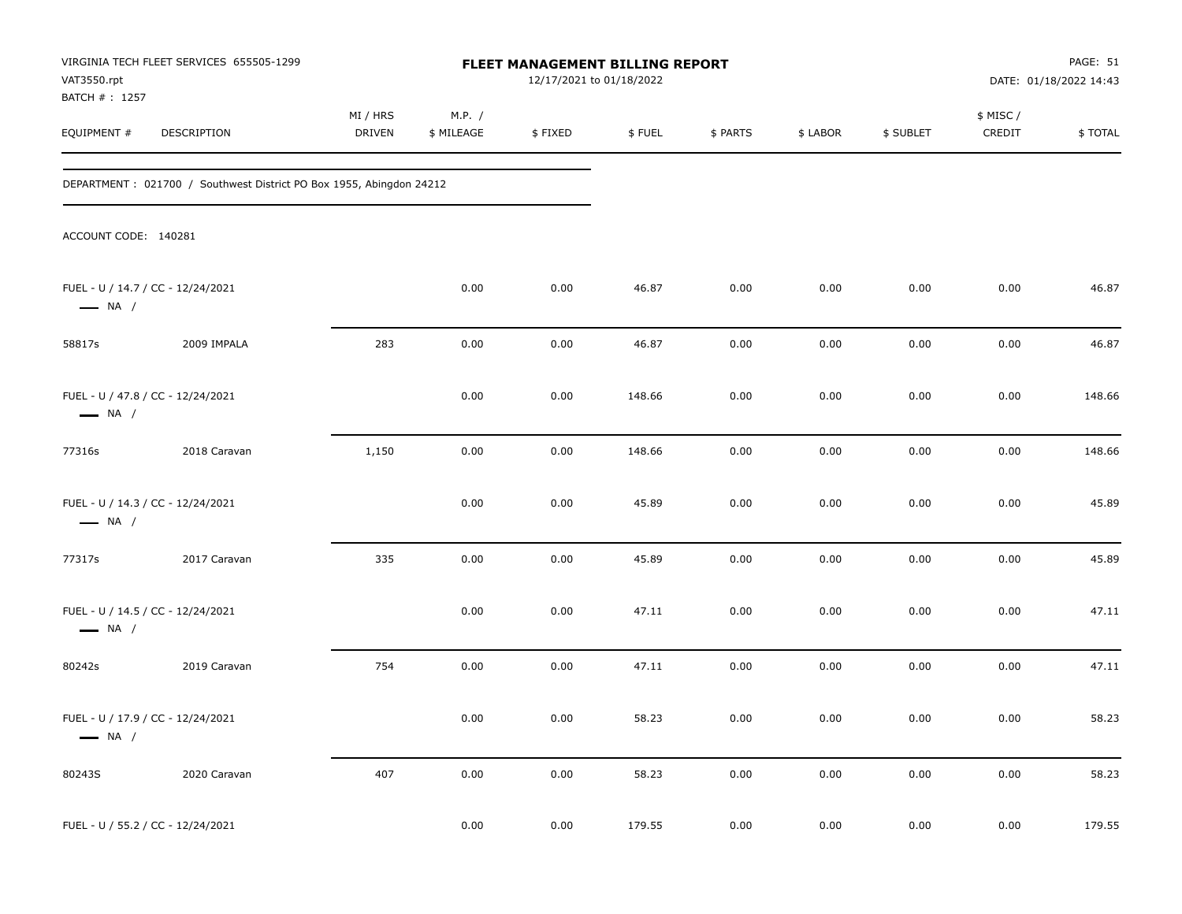| VAT3550.rpt                  | VIRGINIA TECH FLEET SERVICES 655505-1299                            |                    |                      | FLEET MANAGEMENT BILLING REPORT<br>12/17/2021 to 01/18/2022 |        |          |          |           |                     | PAGE: 51<br>DATE: 01/18/2022 14:43 |
|------------------------------|---------------------------------------------------------------------|--------------------|----------------------|-------------------------------------------------------------|--------|----------|----------|-----------|---------------------|------------------------------------|
| BATCH #: 1257<br>EQUIPMENT # | DESCRIPTION                                                         | MI / HRS<br>DRIVEN | M.P. /<br>\$ MILEAGE | \$FIXED                                                     | \$FUEL | \$ PARTS | \$ LABOR | \$ SUBLET | \$ MISC /<br>CREDIT | \$TOTAL                            |
|                              | DEPARTMENT: 021700 / Southwest District PO Box 1955, Abingdon 24212 |                    |                      |                                                             |        |          |          |           |                     |                                    |
| ACCOUNT CODE: 140281         |                                                                     |                    |                      |                                                             |        |          |          |           |                     |                                    |
| $\longrightarrow$ NA /       | FUEL - U / 14.7 / CC - 12/24/2021                                   |                    | 0.00                 | 0.00                                                        | 46.87  | 0.00     | 0.00     | 0.00      | 0.00                | 46.87                              |
| 58817s                       | 2009 IMPALA                                                         | 283                | 0.00                 | 0.00                                                        | 46.87  | 0.00     | 0.00     | 0.00      | 0.00                | 46.87                              |
| $\longrightarrow$ NA /       | FUEL - U / 47.8 / CC - 12/24/2021                                   |                    | 0.00                 | 0.00                                                        | 148.66 | 0.00     | 0.00     | 0.00      | 0.00                | 148.66                             |
| 77316s                       | 2018 Caravan                                                        | 1,150              | 0.00                 | 0.00                                                        | 148.66 | 0.00     | 0.00     | 0.00      | 0.00                | 148.66                             |
| $\longrightarrow$ NA /       | FUEL - U / 14.3 / CC - 12/24/2021                                   |                    | 0.00                 | 0.00                                                        | 45.89  | 0.00     | 0.00     | 0.00      | 0.00                | 45.89                              |
| 77317s                       | 2017 Caravan                                                        | 335                | 0.00                 | 0.00                                                        | 45.89  | 0.00     | 0.00     | 0.00      | 0.00                | 45.89                              |
| $\longrightarrow$ NA /       | FUEL - U / 14.5 / CC - 12/24/2021                                   |                    | 0.00                 | 0.00                                                        | 47.11  | 0.00     | 0.00     | 0.00      | 0.00                | 47.11                              |
| 80242s                       | 2019 Caravan                                                        | 754                | 0.00                 | 0.00                                                        | 47.11  | 0.00     | 0.00     | 0.00      | 0.00                | 47.11                              |
| $\longrightarrow$ NA /       | FUEL - U / 17.9 / CC - 12/24/2021                                   |                    | 0.00                 | 0.00                                                        | 58.23  | 0.00     | 0.00     | 0.00      | 0.00                | 58.23                              |
| 80243S                       | 2020 Caravan                                                        | 407                | 0.00                 | 0.00                                                        | 58.23  | $0.00\,$ | 0.00     | 0.00      | $0.00\,$            | 58.23                              |
|                              | FUEL - U / 55.2 / CC - 12/24/2021                                   |                    | 0.00                 | 0.00                                                        | 179.55 | 0.00     | 0.00     | 0.00      | 0.00                | 179.55                             |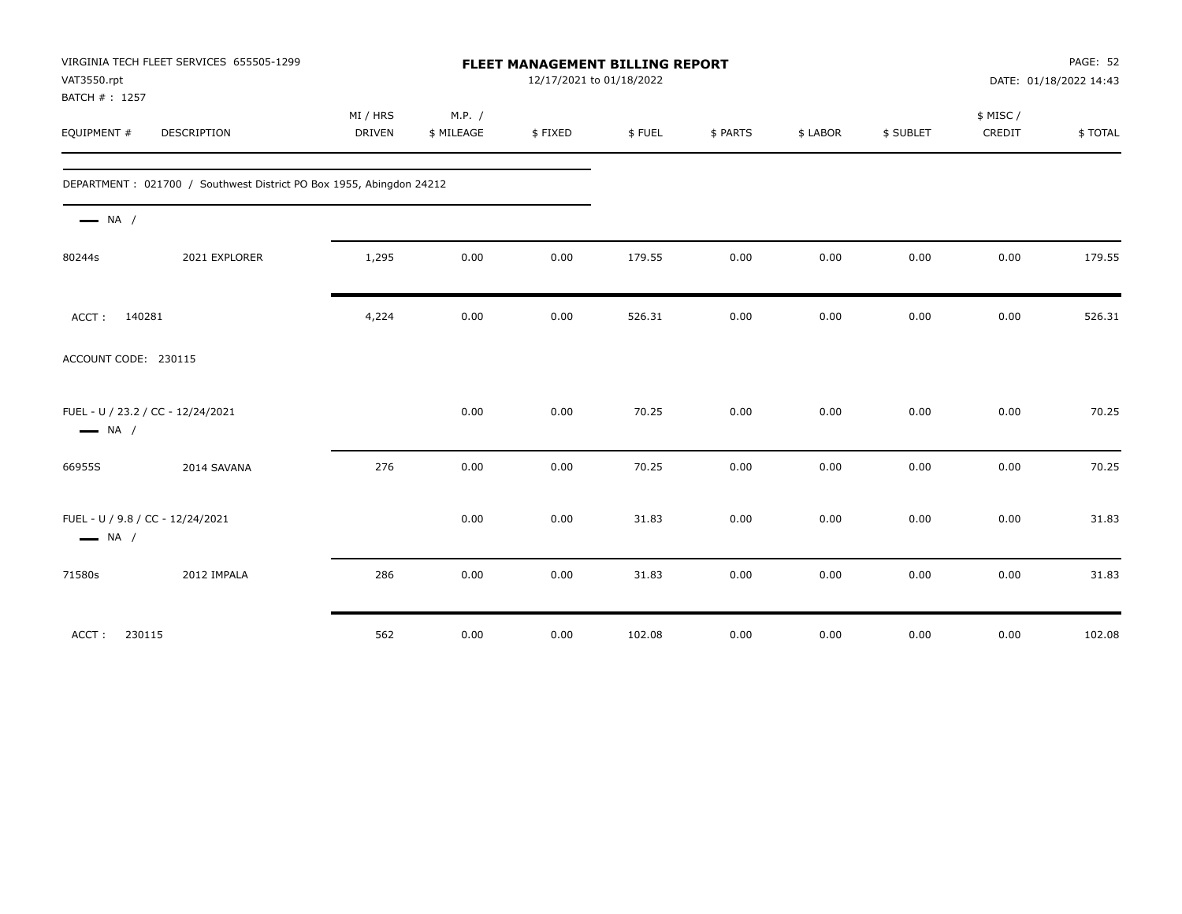| VAT3550.rpt<br>BATCH #: 1257                                | VIRGINIA TECH FLEET SERVICES 655505-1299                            |                           |                      |         | FLEET MANAGEMENT BILLING REPORT<br>12/17/2021 to 01/18/2022 |          |          |           |                    | PAGE: 52<br>DATE: 01/18/2022 14:43 |
|-------------------------------------------------------------|---------------------------------------------------------------------|---------------------------|----------------------|---------|-------------------------------------------------------------|----------|----------|-----------|--------------------|------------------------------------|
| EQUIPMENT #                                                 | <b>DESCRIPTION</b>                                                  | MI / HRS<br><b>DRIVEN</b> | M.P. /<br>\$ MILEAGE | \$FIXED | \$FUEL                                                      | \$ PARTS | \$ LABOR | \$ SUBLET | \$ MISC/<br>CREDIT | \$TOTAL                            |
|                                                             | DEPARTMENT: 021700 / Southwest District PO Box 1955, Abingdon 24212 |                           |                      |         |                                                             |          |          |           |                    |                                    |
| $\longrightarrow$ NA /                                      |                                                                     |                           |                      |         |                                                             |          |          |           |                    |                                    |
| 80244s                                                      | 2021 EXPLORER                                                       | 1,295                     | 0.00                 | 0.00    | 179.55                                                      | 0.00     | 0.00     | 0.00      | 0.00               | 179.55                             |
| 140281<br>ACCT:                                             |                                                                     | 4,224                     | 0.00                 | 0.00    | 526.31                                                      | 0.00     | 0.00     | 0.00      | 0.00               | 526.31                             |
| ACCOUNT CODE: 230115                                        |                                                                     |                           |                      |         |                                                             |          |          |           |                    |                                    |
| FUEL - U / 23.2 / CC - 12/24/2021<br>$\longrightarrow$ NA / |                                                                     |                           | 0.00                 | 0.00    | 70.25                                                       | 0.00     | 0.00     | 0.00      | 0.00               | 70.25                              |
| 66955S                                                      | 2014 SAVANA                                                         | 276                       | 0.00                 | 0.00    | 70.25                                                       | 0.00     | 0.00     | 0.00      | 0.00               | 70.25                              |
| FUEL - U / 9.8 / CC - 12/24/2021<br>$\longrightarrow$ NA /  |                                                                     |                           | 0.00                 | 0.00    | 31.83                                                       | 0.00     | 0.00     | 0.00      | 0.00               | 31.83                              |
| 71580s                                                      | 2012 IMPALA                                                         | 286                       | 0.00                 | 0.00    | 31.83                                                       | 0.00     | 0.00     | 0.00      | 0.00               | 31.83                              |
| 230115<br>ACCT:                                             |                                                                     | 562                       | 0.00                 | 0.00    | 102.08                                                      | 0.00     | 0.00     | 0.00      | 0.00               | 102.08                             |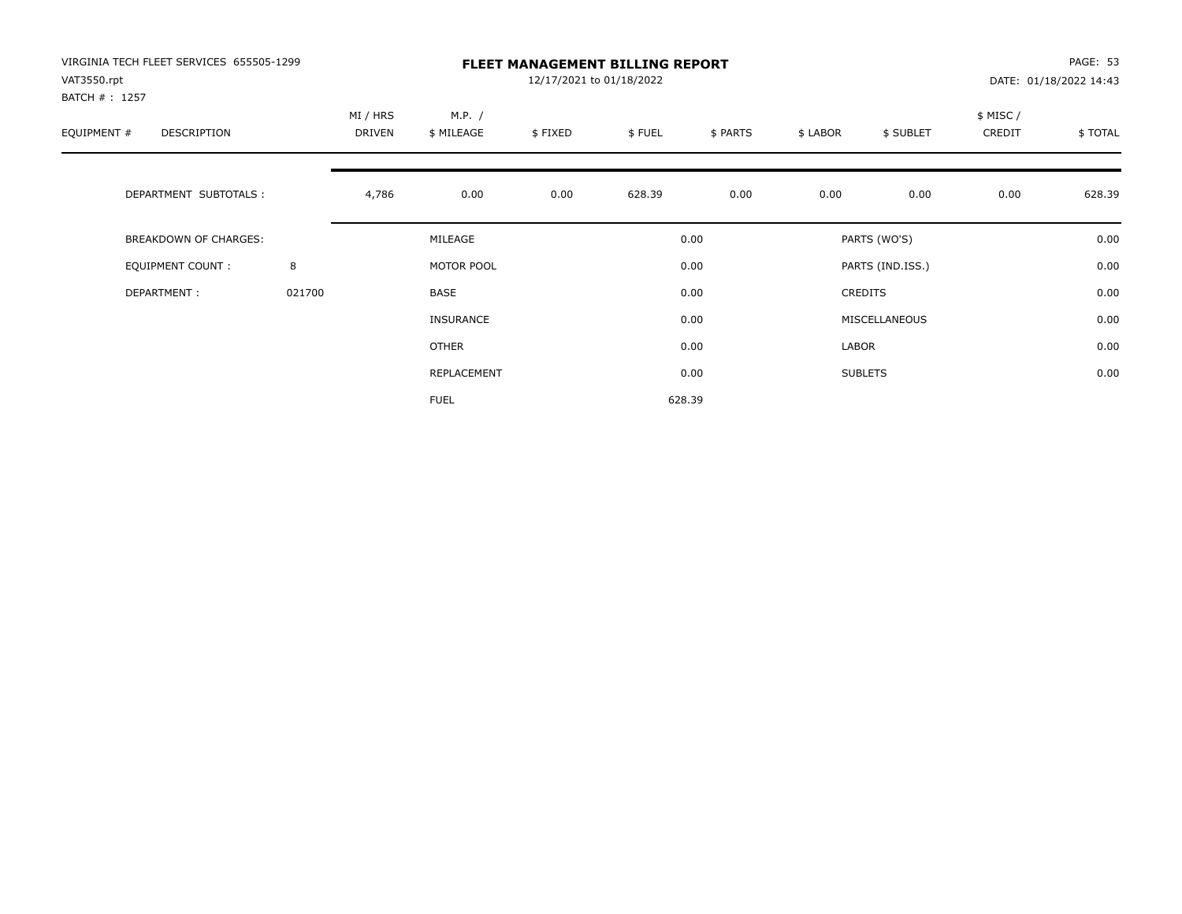| VIRGINIA TECH FLEET SERVICES 655505-1299<br>VAT3550.rpt |        |                    | <b>FLEET MANAGEMENT BILLING REPORT</b><br>12/17/2021 to 01/18/2022<br>DATE: 01/18/2022 14:43 |         |        |          |          |                  |                     |         |  |
|---------------------------------------------------------|--------|--------------------|----------------------------------------------------------------------------------------------|---------|--------|----------|----------|------------------|---------------------|---------|--|
| BATCH #: 1257<br>EQUIPMENT #<br><b>DESCRIPTION</b>      |        | MI / HRS<br>DRIVEN | M.P. /<br>\$ MILEAGE                                                                         | \$FIXED | \$FUEL | \$ PARTS | \$ LABOR | \$ SUBLET        | \$ MISC /<br>CREDIT | \$TOTAL |  |
| DEPARTMENT SUBTOTALS :                                  |        | 4,786              | 0.00                                                                                         | 0.00    | 628.39 | 0.00     | 0.00     | 0.00             | 0.00                | 628.39  |  |
| <b>BREAKDOWN OF CHARGES:</b>                            |        |                    | MILEAGE                                                                                      |         |        | 0.00     |          | PARTS (WO'S)     |                     | 0.00    |  |
| EQUIPMENT COUNT:                                        | 8      |                    | MOTOR POOL                                                                                   |         |        | 0.00     |          | PARTS (IND.ISS.) |                     | 0.00    |  |
| DEPARTMENT:                                             | 021700 |                    | <b>BASE</b>                                                                                  |         |        | 0.00     |          | <b>CREDITS</b>   |                     | 0.00    |  |
|                                                         |        |                    | INSURANCE                                                                                    |         |        | 0.00     |          | MISCELLANEOUS    |                     | 0.00    |  |
|                                                         |        |                    | OTHER                                                                                        |         |        | 0.00     | LABOR    |                  |                     | 0.00    |  |
|                                                         |        |                    | REPLACEMENT                                                                                  |         |        | 0.00     |          | <b>SUBLETS</b>   |                     | 0.00    |  |
|                                                         |        |                    | <b>FUEL</b>                                                                                  |         |        | 628.39   |          |                  |                     |         |  |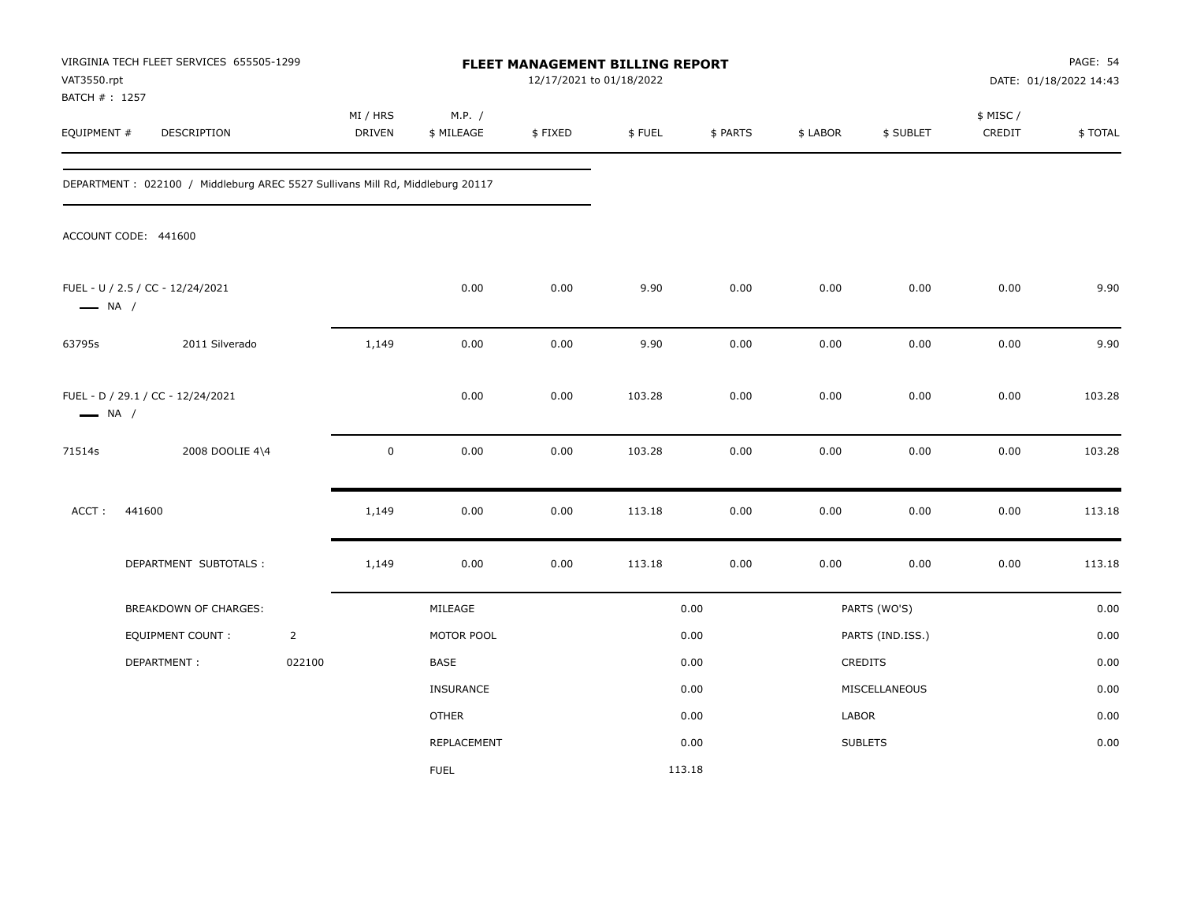| VAT3550.rpt<br>BATCH # : 1257 | VIRGINIA TECH FLEET SERVICES 655505-1299                                      |                |                    |                      | 12/17/2021 to 01/18/2022 | FLEET MANAGEMENT BILLING REPORT |          |          |                  |                     | <b>PAGE: 54</b><br>DATE: 01/18/2022 14:43 |
|-------------------------------|-------------------------------------------------------------------------------|----------------|--------------------|----------------------|--------------------------|---------------------------------|----------|----------|------------------|---------------------|-------------------------------------------|
| EQUIPMENT #                   | DESCRIPTION                                                                   |                | MI / HRS<br>DRIVEN | M.P. /<br>\$ MILEAGE | \$FIXED                  | \$FUEL                          | \$ PARTS | \$ LABOR | \$ SUBLET        | \$ MISC /<br>CREDIT | \$TOTAL                                   |
|                               | DEPARTMENT: 022100 / Middleburg AREC 5527 Sullivans Mill Rd, Middleburg 20117 |                |                    |                      |                          |                                 |          |          |                  |                     |                                           |
|                               | ACCOUNT CODE: 441600                                                          |                |                    |                      |                          |                                 |          |          |                  |                     |                                           |
| $\longrightarrow$ NA /        | FUEL - U / 2.5 / CC - 12/24/2021                                              |                |                    | 0.00                 | 0.00                     | 9.90                            | 0.00     | 0.00     | 0.00             | 0.00                | 9.90                                      |
| 63795s                        | 2011 Silverado                                                                |                | 1,149              | 0.00                 | 0.00                     | 9.90                            | 0.00     | 0.00     | 0.00             | 0.00                | 9.90                                      |
| $\longrightarrow$ NA /        | FUEL - D / 29.1 / CC - 12/24/2021                                             |                |                    | 0.00                 | 0.00                     | 103.28                          | 0.00     | 0.00     | 0.00             | 0.00                | 103.28                                    |
| 71514s                        | 2008 DOOLIE 4\4                                                               |                | $\pmb{0}$          | 0.00                 | 0.00                     | 103.28                          | 0.00     | 0.00     | 0.00             | 0.00                | 103.28                                    |
| ACCT:                         | 441600                                                                        |                | 1,149              | 0.00                 | 0.00                     | 113.18                          | 0.00     | 0.00     | 0.00             | 0.00                | 113.18                                    |
|                               | DEPARTMENT SUBTOTALS :                                                        |                | 1,149              | 0.00                 | 0.00                     | 113.18                          | 0.00     | 0.00     | 0.00             | 0.00                | 113.18                                    |
|                               | BREAKDOWN OF CHARGES:                                                         |                |                    | MILEAGE              |                          |                                 | 0.00     |          | PARTS (WO'S)     |                     | 0.00                                      |
|                               | <b>EQUIPMENT COUNT:</b>                                                       | $\overline{2}$ |                    | MOTOR POOL           |                          |                                 | 0.00     |          | PARTS (IND.ISS.) |                     | 0.00                                      |
|                               | DEPARTMENT:                                                                   | 022100         |                    | <b>BASE</b>          |                          |                                 | 0.00     | CREDITS  |                  |                     | 0.00                                      |
|                               |                                                                               |                |                    | INSURANCE            |                          |                                 | 0.00     |          | MISCELLANEOUS    |                     | 0.00                                      |
|                               |                                                                               |                |                    | <b>OTHER</b>         |                          |                                 | 0.00     | LABOR    |                  |                     | 0.00                                      |
|                               |                                                                               |                |                    | REPLACEMENT          |                          |                                 | 0.00     |          | <b>SUBLETS</b>   |                     | 0.00                                      |
|                               |                                                                               |                |                    | <b>FUEL</b>          |                          | 113.18                          |          |          |                  |                     |                                           |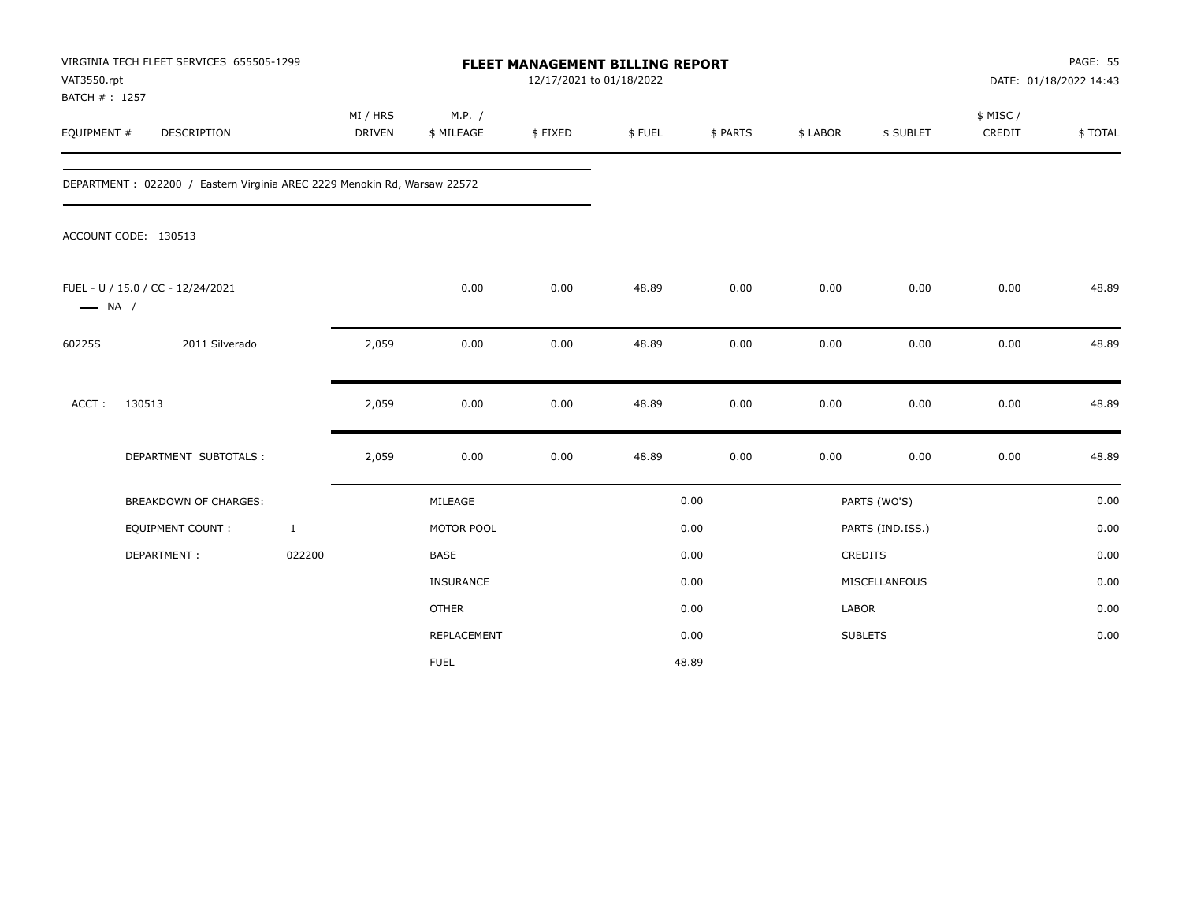| VAT3550.rpt<br>BATCH #: 1257 | VIRGINIA TECH FLEET SERVICES 655505-1299                                 |                           |                      | FLEET MANAGEMENT BILLING REPORT<br>12/17/2021 to 01/18/2022 |        |          |              |                  |                     | PAGE: 55<br>DATE: 01/18/2022 14:43 |
|------------------------------|--------------------------------------------------------------------------|---------------------------|----------------------|-------------------------------------------------------------|--------|----------|--------------|------------------|---------------------|------------------------------------|
| EQUIPMENT #                  | DESCRIPTION                                                              | MI / HRS<br><b>DRIVEN</b> | M.P. /<br>\$ MILEAGE | \$FIXED                                                     | \$FUEL | \$ PARTS | \$ LABOR     | \$ SUBLET        | \$ MISC /<br>CREDIT | \$TOTAL                            |
|                              | DEPARTMENT: 022200 / Eastern Virginia AREC 2229 Menokin Rd, Warsaw 22572 |                           |                      |                                                             |        |          |              |                  |                     |                                    |
|                              | ACCOUNT CODE: 130513                                                     |                           |                      |                                                             |        |          |              |                  |                     |                                    |
| $\longrightarrow$ NA /       | FUEL - U / 15.0 / CC - 12/24/2021                                        |                           | 0.00                 | 0.00                                                        | 48.89  | 0.00     | 0.00         | 0.00             | 0.00                | 48.89                              |
| 60225S                       | 2011 Silverado                                                           | 2,059                     | 0.00                 | 0.00                                                        | 48.89  | 0.00     | 0.00         | 0.00             | 0.00                | 48.89                              |
| ACCT:                        | 130513                                                                   | 2,059                     | 0.00                 | 0.00                                                        | 48.89  | 0.00     | 0.00         | 0.00             | 0.00                | 48.89                              |
|                              | DEPARTMENT SUBTOTALS :                                                   | 2,059                     | 0.00                 | 0.00                                                        | 48.89  | 0.00     | 0.00         | 0.00             | 0.00                | 48.89                              |
|                              | BREAKDOWN OF CHARGES:                                                    |                           | MILEAGE              |                                                             |        | 0.00     |              | PARTS (WO'S)     |                     | 0.00                               |
|                              | <b>EQUIPMENT COUNT:</b>                                                  | $\mathbf{1}$              | MOTOR POOL           |                                                             |        | 0.00     |              | PARTS (IND.ISS.) |                     | 0.00                               |
|                              | DEPARTMENT:                                                              | 022200                    | <b>BASE</b>          |                                                             |        | 0.00     |              | <b>CREDITS</b>   |                     | 0.00                               |
|                              |                                                                          |                           | INSURANCE            |                                                             |        | 0.00     |              | MISCELLANEOUS    |                     | 0.00                               |
|                              |                                                                          |                           | <b>OTHER</b>         |                                                             |        | 0.00     | <b>LABOR</b> |                  |                     | 0.00                               |
|                              |                                                                          |                           | REPLACEMENT          |                                                             |        | 0.00     |              | <b>SUBLETS</b>   |                     | 0.00                               |
|                              |                                                                          |                           | <b>FUEL</b>          |                                                             |        | 48.89    |              |                  |                     |                                    |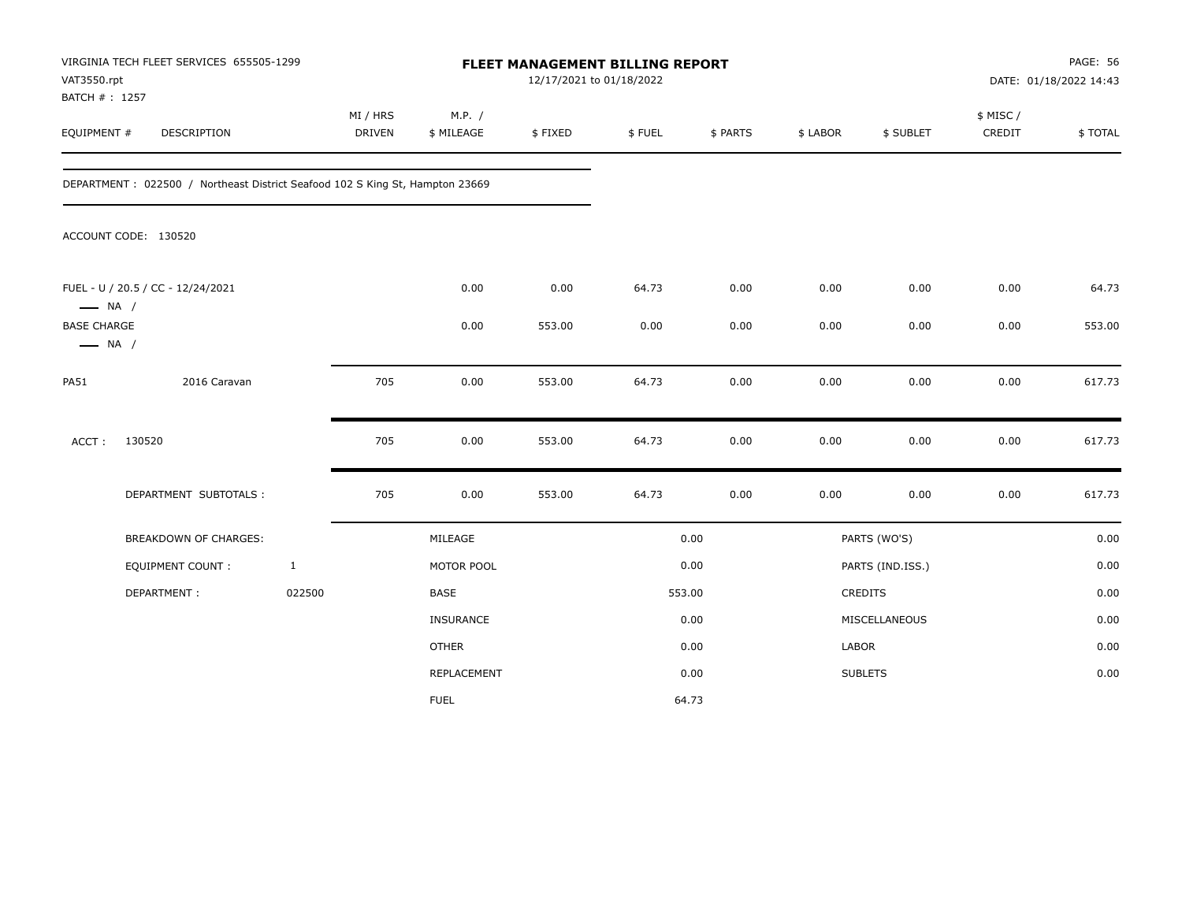| VAT3550.rpt<br>BATCH #: 1257                 | VIRGINIA TECH FLEET SERVICES 655505-1299                                     |              |                    |                      | 12/17/2021 to 01/18/2022 | FLEET MANAGEMENT BILLING REPORT |          |          |                  |                     | PAGE: 56<br>DATE: 01/18/2022 14:43 |
|----------------------------------------------|------------------------------------------------------------------------------|--------------|--------------------|----------------------|--------------------------|---------------------------------|----------|----------|------------------|---------------------|------------------------------------|
| EQUIPMENT #                                  | DESCRIPTION                                                                  |              | MI / HRS<br>DRIVEN | M.P. /<br>\$ MILEAGE | \$FIXED                  | \$FUEL                          | \$ PARTS | \$ LABOR | \$ SUBLET        | \$ MISC /<br>CREDIT | \$TOTAL                            |
|                                              | DEPARTMENT: 022500 / Northeast District Seafood 102 S King St, Hampton 23669 |              |                    |                      |                          |                                 |          |          |                  |                     |                                    |
|                                              | ACCOUNT CODE: 130520                                                         |              |                    |                      |                          |                                 |          |          |                  |                     |                                    |
| $\longrightarrow$ NA /                       | FUEL - U / 20.5 / CC - 12/24/2021                                            |              |                    | 0.00                 | 0.00                     | 64.73                           | 0.00     | 0.00     | 0.00             | 0.00                | 64.73                              |
| <b>BASE CHARGE</b><br>$\longrightarrow$ NA / |                                                                              |              |                    | 0.00                 | 553.00                   | 0.00                            | 0.00     | 0.00     | 0.00             | 0.00                | 553.00                             |
| <b>PA51</b>                                  | 2016 Caravan                                                                 |              | 705                | 0.00                 | 553.00                   | 64.73                           | 0.00     | 0.00     | 0.00             | 0.00                | 617.73                             |
| ACCT:                                        | 130520                                                                       |              | 705                | 0.00                 | 553.00                   | 64.73                           | 0.00     | 0.00     | 0.00             | 0.00                | 617.73                             |
|                                              | DEPARTMENT SUBTOTALS :                                                       |              | 705                | 0.00                 | 553.00                   | 64.73                           | 0.00     | 0.00     | 0.00             | 0.00                | 617.73                             |
|                                              | <b>BREAKDOWN OF CHARGES:</b>                                                 |              |                    | MILEAGE              |                          |                                 | 0.00     |          | PARTS (WO'S)     |                     | 0.00                               |
|                                              | EQUIPMENT COUNT:                                                             | $\mathbf{1}$ |                    | MOTOR POOL           |                          |                                 | 0.00     |          | PARTS (IND.ISS.) |                     | 0.00                               |
|                                              | DEPARTMENT:                                                                  | 022500       |                    | BASE                 |                          |                                 | 553.00   |          | CREDITS          |                     | 0.00                               |
|                                              |                                                                              |              |                    | INSURANCE            |                          |                                 | 0.00     |          | MISCELLANEOUS    |                     | 0.00                               |
|                                              |                                                                              |              |                    | <b>OTHER</b>         |                          |                                 | 0.00     | LABOR    |                  |                     | 0.00                               |
|                                              |                                                                              |              |                    | REPLACEMENT          |                          |                                 | 0.00     |          | <b>SUBLETS</b>   |                     | 0.00                               |
|                                              |                                                                              |              |                    | <b>FUEL</b>          |                          |                                 | 64.73    |          |                  |                     |                                    |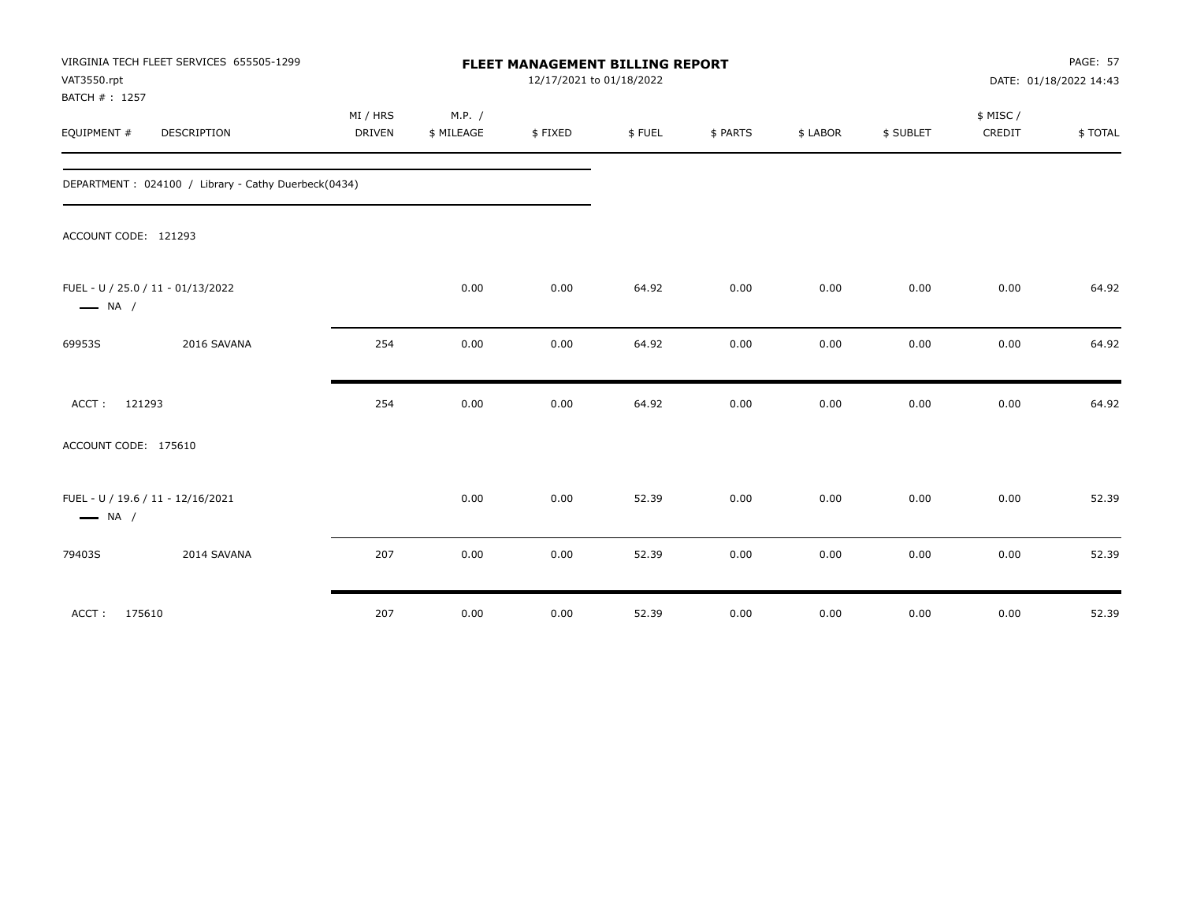| VAT3550.rpt<br>BATCH #: 1257 | VIRGINIA TECH FLEET SERVICES 655505-1299            |                           |                      | <b>FLEET MANAGEMENT BILLING REPORT</b><br>12/17/2021 to 01/18/2022 |        |          |          |           |                    | <b>PAGE: 57</b><br>DATE: 01/18/2022 14:43 |
|------------------------------|-----------------------------------------------------|---------------------------|----------------------|--------------------------------------------------------------------|--------|----------|----------|-----------|--------------------|-------------------------------------------|
| EQUIPMENT #                  | DESCRIPTION                                         | MI / HRS<br><b>DRIVEN</b> | M.P. /<br>\$ MILEAGE | \$FIXED                                                            | \$FUEL | \$ PARTS | \$ LABOR | \$ SUBLET | \$ MISC/<br>CREDIT | \$TOTAL                                   |
|                              | DEPARTMENT: 024100 / Library - Cathy Duerbeck(0434) |                           |                      |                                                                    |        |          |          |           |                    |                                           |
| ACCOUNT CODE: 121293         |                                                     |                           |                      |                                                                    |        |          |          |           |                    |                                           |
| $\longrightarrow$ NA /       | FUEL - U / 25.0 / 11 - 01/13/2022                   |                           | 0.00                 | 0.00                                                               | 64.92  | 0.00     | 0.00     | 0.00      | 0.00               | 64.92                                     |
| 69953S                       | 2016 SAVANA                                         | 254                       | 0.00                 | 0.00                                                               | 64.92  | 0.00     | 0.00     | 0.00      | 0.00               | 64.92                                     |
| ACCT: 121293                 |                                                     | 254                       | 0.00                 | 0.00                                                               | 64.92  | 0.00     | 0.00     | 0.00      | 0.00               | 64.92                                     |
| ACCOUNT CODE: 175610         |                                                     |                           |                      |                                                                    |        |          |          |           |                    |                                           |
| $\longrightarrow$ NA /       | FUEL - U / 19.6 / 11 - 12/16/2021                   |                           | 0.00                 | 0.00                                                               | 52.39  | 0.00     | 0.00     | 0.00      | 0.00               | 52.39                                     |
| 79403S                       | 2014 SAVANA                                         | 207                       | 0.00                 | 0.00                                                               | 52.39  | 0.00     | 0.00     | 0.00      | 0.00               | 52.39                                     |
| ACCT: 175610                 |                                                     | 207                       | 0.00                 | 0.00                                                               | 52.39  | 0.00     | 0.00     | 0.00      | 0.00               | 52.39                                     |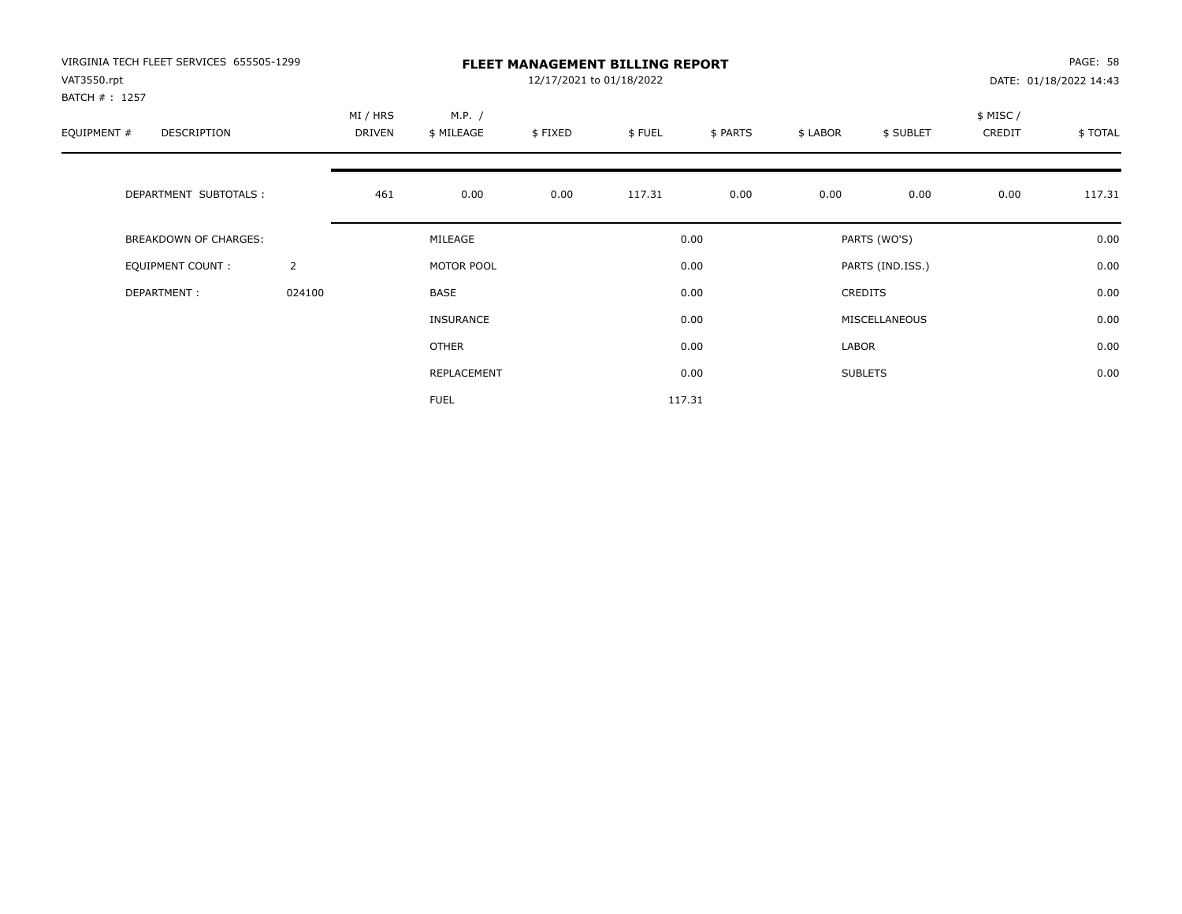| VIRGINIA TECH FLEET SERVICES 655505-1299<br>VAT3550.rpt<br>BATCH #: 1257 |                | <b>FLEET MANAGEMENT BILLING REPORT</b><br>12/17/2021 to 01/18/2022 |                      |         |        |          |          |                  |                     | PAGE: 58<br>DATE: 01/18/2022 14:43 |  |
|--------------------------------------------------------------------------|----------------|--------------------------------------------------------------------|----------------------|---------|--------|----------|----------|------------------|---------------------|------------------------------------|--|
| EQUIPMENT #<br><b>DESCRIPTION</b>                                        |                | MI / HRS<br>DRIVEN                                                 | M.P. /<br>\$ MILEAGE | \$FIXED | \$FUEL | \$ PARTS | \$ LABOR | \$ SUBLET        | \$ MISC /<br>CREDIT | \$TOTAL                            |  |
| DEPARTMENT SUBTOTALS :                                                   |                | 461                                                                | 0.00                 | 0.00    | 117.31 | 0.00     | 0.00     | 0.00             | 0.00                | 117.31                             |  |
| <b>BREAKDOWN OF CHARGES:</b>                                             |                |                                                                    | MILEAGE              |         |        | 0.00     |          | PARTS (WO'S)     |                     | 0.00                               |  |
| EQUIPMENT COUNT:                                                         | $\overline{2}$ |                                                                    | MOTOR POOL           |         |        | 0.00     |          | PARTS (IND.ISS.) |                     | 0.00                               |  |
| DEPARTMENT:                                                              | 024100         |                                                                    | <b>BASE</b>          |         |        | 0.00     |          | <b>CREDITS</b>   |                     | 0.00                               |  |
|                                                                          |                |                                                                    | INSURANCE            |         |        | 0.00     |          | MISCELLANEOUS    |                     | 0.00                               |  |
|                                                                          |                |                                                                    | OTHER                |         |        | 0.00     | LABOR    |                  |                     | 0.00                               |  |
|                                                                          |                |                                                                    | REPLACEMENT          |         |        | 0.00     |          | <b>SUBLETS</b>   |                     | 0.00                               |  |
|                                                                          |                |                                                                    | <b>FUEL</b>          |         |        | 117.31   |          |                  |                     |                                    |  |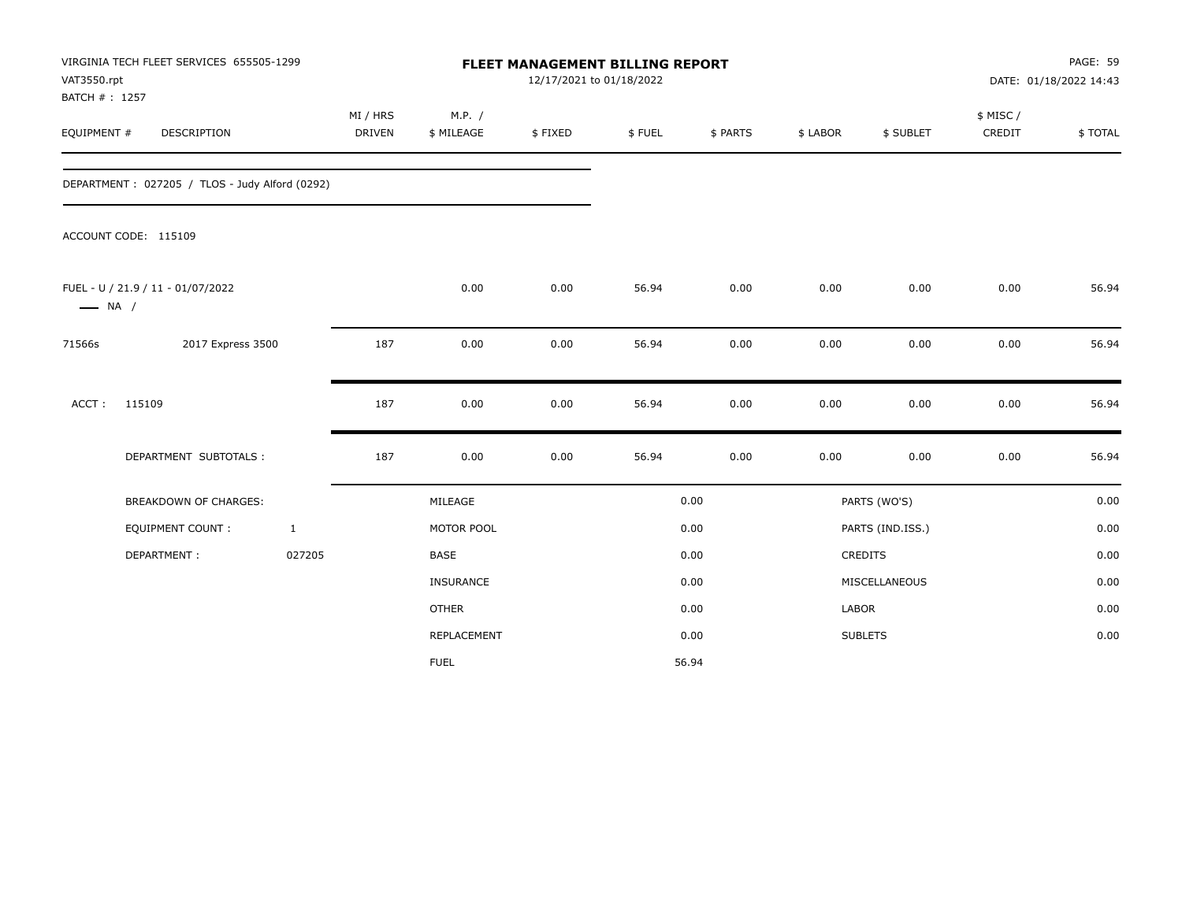| VAT3550.rpt<br>BATCH #: 1257 | VIRGINIA TECH FLEET SERVICES 655505-1299       |                           | FLEET MANAGEMENT BILLING REPORT<br>12/17/2021 to 01/18/2022 |         |        |          |              |                  |                    | <b>PAGE: 59</b><br>DATE: 01/18/2022 14:43 |  |
|------------------------------|------------------------------------------------|---------------------------|-------------------------------------------------------------|---------|--------|----------|--------------|------------------|--------------------|-------------------------------------------|--|
| EQUIPMENT #                  | DESCRIPTION                                    | MI / HRS<br><b>DRIVEN</b> | M.P. /<br>\$ MILEAGE                                        | \$FIXED | \$FUEL | \$ PARTS | \$ LABOR     | \$ SUBLET        | \$ MISC/<br>CREDIT | \$TOTAL                                   |  |
|                              | DEPARTMENT: 027205 / TLOS - Judy Alford (0292) |                           |                                                             |         |        |          |              |                  |                    |                                           |  |
|                              | ACCOUNT CODE: 115109                           |                           |                                                             |         |        |          |              |                  |                    |                                           |  |
| $\longrightarrow$ NA /       | FUEL - U / 21.9 / 11 - 01/07/2022              |                           | 0.00                                                        | 0.00    | 56.94  | 0.00     | 0.00         | 0.00             | 0.00               | 56.94                                     |  |
| 71566s                       | 2017 Express 3500                              | 187                       | 0.00                                                        | 0.00    | 56.94  | 0.00     | 0.00         | 0.00             | 0.00               | 56.94                                     |  |
| $ACCT$ :                     | 115109                                         | 187                       | 0.00                                                        | 0.00    | 56.94  | 0.00     | 0.00         | 0.00             | 0.00               | 56.94                                     |  |
|                              | DEPARTMENT SUBTOTALS :                         | 187                       | 0.00                                                        | 0.00    | 56.94  | 0.00     | 0.00         | 0.00             | 0.00               | 56.94                                     |  |
|                              | BREAKDOWN OF CHARGES:                          |                           | MILEAGE                                                     |         |        | 0.00     |              | PARTS (WO'S)     |                    | 0.00                                      |  |
|                              | <b>EQUIPMENT COUNT:</b>                        | $\mathbf{1}$              | MOTOR POOL                                                  |         |        | 0.00     |              | PARTS (IND.ISS.) |                    | 0.00                                      |  |
|                              | DEPARTMENT:                                    | 027205                    | <b>BASE</b>                                                 |         |        | 0.00     |              | CREDITS          |                    | 0.00                                      |  |
|                              |                                                |                           | INSURANCE                                                   |         |        | 0.00     |              | MISCELLANEOUS    |                    | 0.00                                      |  |
|                              |                                                |                           | <b>OTHER</b>                                                |         |        | 0.00     | <b>LABOR</b> |                  |                    | 0.00                                      |  |
|                              |                                                |                           | REPLACEMENT                                                 |         |        | 0.00     |              | <b>SUBLETS</b>   |                    | 0.00                                      |  |
|                              |                                                |                           | <b>FUEL</b>                                                 |         |        | 56.94    |              |                  |                    |                                           |  |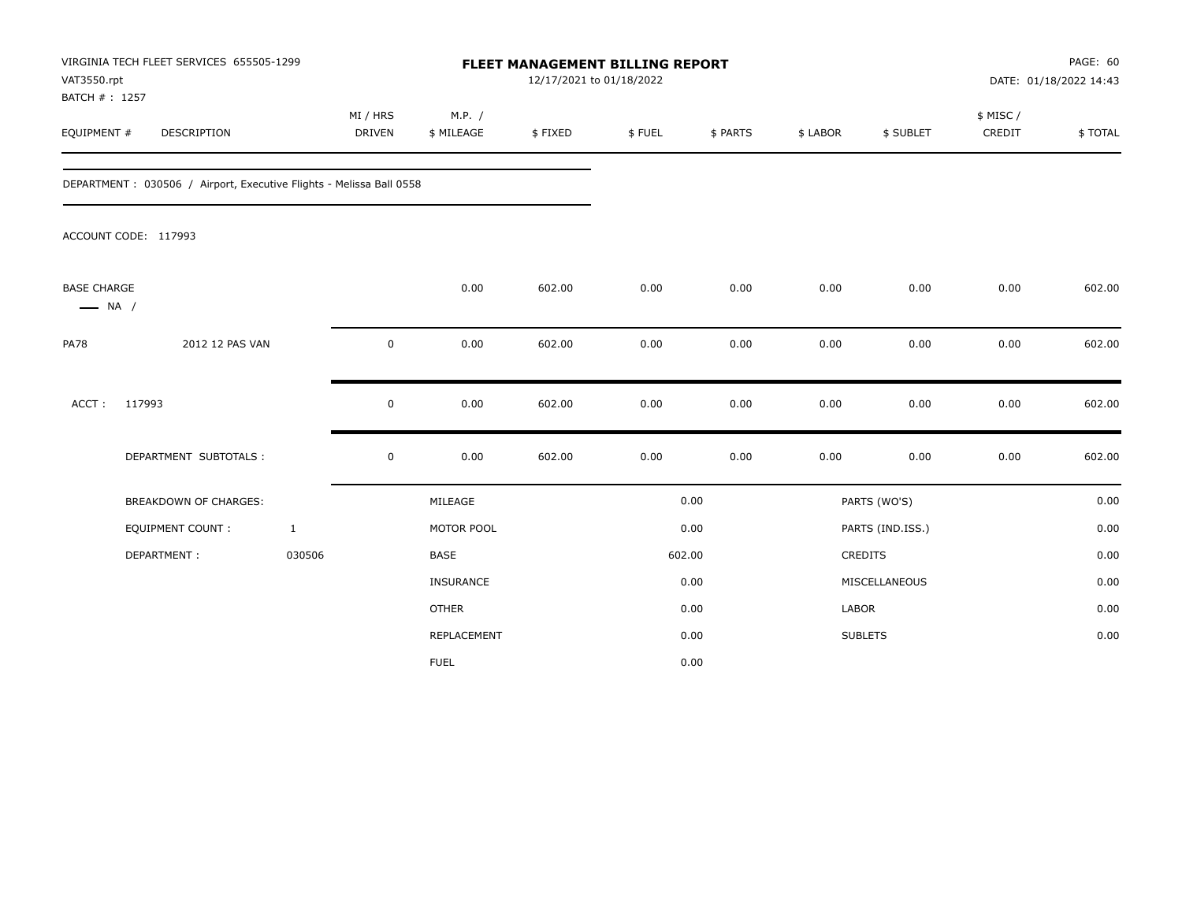| VAT3550.rpt<br>BATCH #: 1257                 | VIRGINIA TECH FLEET SERVICES 655505-1299                             |                           |                      | FLEET MANAGEMENT BILLING REPORT<br>12/17/2021 to 01/18/2022 |        |          |              |                  | PAGE: 60<br>DATE: 01/18/2022 14:43 |         |
|----------------------------------------------|----------------------------------------------------------------------|---------------------------|----------------------|-------------------------------------------------------------|--------|----------|--------------|------------------|------------------------------------|---------|
| EQUIPMENT #                                  | <b>DESCRIPTION</b>                                                   | MI / HRS<br><b>DRIVEN</b> | M.P. /<br>\$ MILEAGE | \$FIXED                                                     | \$FUEL | \$ PARTS | \$ LABOR     | \$ SUBLET        | \$ MISC /<br>CREDIT                | \$TOTAL |
|                                              | DEPARTMENT : 030506 / Airport, Executive Flights - Melissa Ball 0558 |                           |                      |                                                             |        |          |              |                  |                                    |         |
|                                              | ACCOUNT CODE: 117993                                                 |                           |                      |                                                             |        |          |              |                  |                                    |         |
| <b>BASE CHARGE</b><br>$\longrightarrow$ NA / |                                                                      |                           | 0.00                 | 602.00                                                      | 0.00   | 0.00     | 0.00         | 0.00             | 0.00                               | 602.00  |
| <b>PA78</b>                                  | 2012 12 PAS VAN                                                      | 0                         | 0.00                 | 602.00                                                      | 0.00   | 0.00     | 0.00         | 0.00             | 0.00                               | 602.00  |
| ACCT:                                        | 117993                                                               | 0                         | 0.00                 | 602.00                                                      | 0.00   | 0.00     | 0.00         | 0.00             | 0.00                               | 602.00  |
|                                              | DEPARTMENT SUBTOTALS :                                               | $\mathsf 0$               | 0.00                 | 602.00                                                      | 0.00   | 0.00     | 0.00         | 0.00             | 0.00                               | 602.00  |
|                                              | <b>BREAKDOWN OF CHARGES:</b>                                         |                           | MILEAGE              |                                                             |        | 0.00     |              | PARTS (WO'S)     |                                    | 0.00    |
|                                              | <b>EQUIPMENT COUNT:</b>                                              | $\mathbf{1}$              | MOTOR POOL           |                                                             |        | 0.00     |              | PARTS (IND.ISS.) |                                    | 0.00    |
|                                              | DEPARTMENT:                                                          | 030506                    | <b>BASE</b>          |                                                             |        | 602.00   |              | <b>CREDITS</b>   |                                    | 0.00    |
|                                              |                                                                      |                           | <b>INSURANCE</b>     |                                                             |        | 0.00     |              | MISCELLANEOUS    |                                    | 0.00    |
|                                              |                                                                      |                           | <b>OTHER</b>         |                                                             |        | 0.00     | <b>LABOR</b> |                  |                                    | 0.00    |
|                                              |                                                                      |                           | REPLACEMENT          |                                                             |        | 0.00     |              | <b>SUBLETS</b>   |                                    | 0.00    |
|                                              |                                                                      |                           | <b>FUEL</b>          |                                                             |        | 0.00     |              |                  |                                    |         |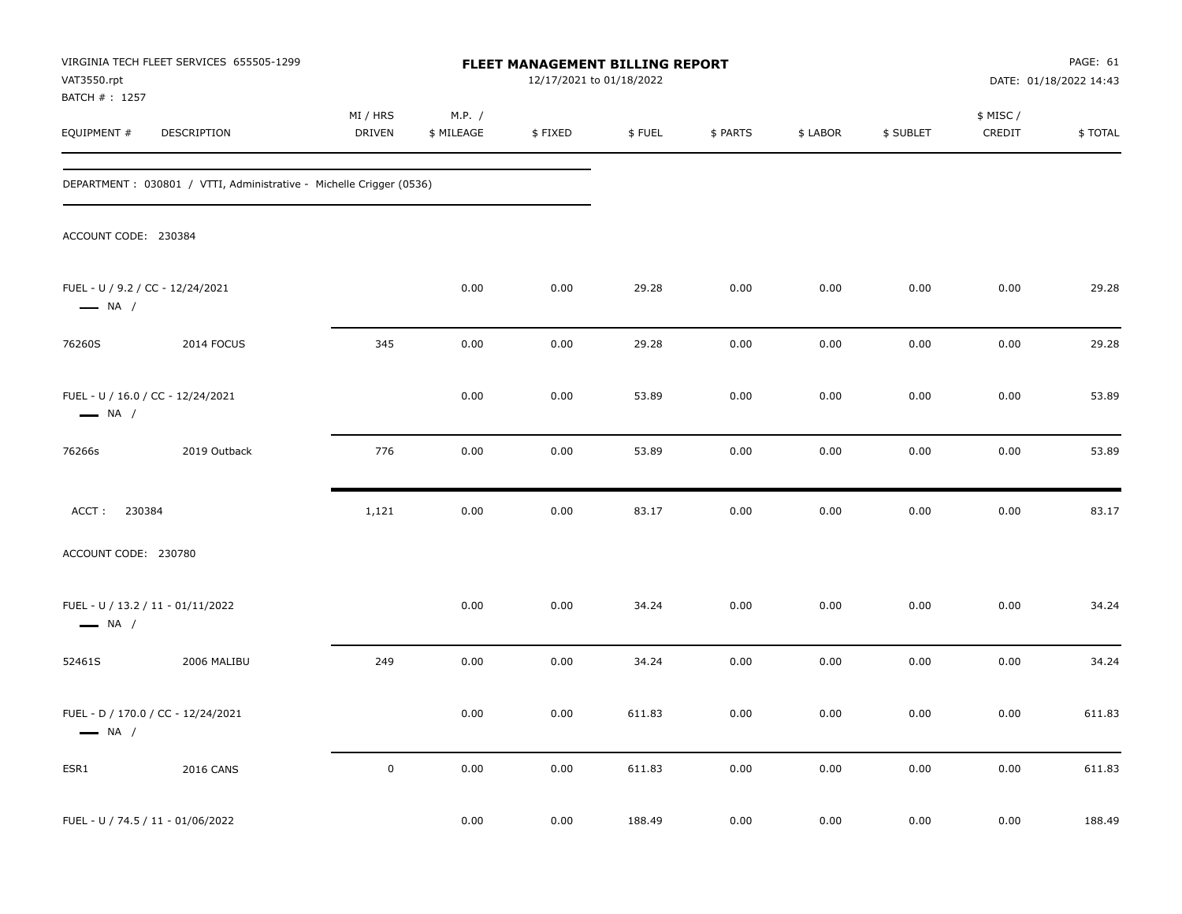| VAT3550.rpt                                                | VIRGINIA TECH FLEET SERVICES 655505-1299                             |                    |                      | FLEET MANAGEMENT BILLING REPORT<br>12/17/2021 to 01/18/2022 |        |          |          |           |                     | PAGE: 61<br>DATE: 01/18/2022 14:43 |
|------------------------------------------------------------|----------------------------------------------------------------------|--------------------|----------------------|-------------------------------------------------------------|--------|----------|----------|-----------|---------------------|------------------------------------|
| BATCH #: 1257<br>EQUIPMENT #                               | DESCRIPTION                                                          | MI / HRS<br>DRIVEN | M.P. /<br>\$ MILEAGE | \$FIXED                                                     | \$FUEL | \$ PARTS | \$ LABOR | \$ SUBLET | \$ MISC /<br>CREDIT | \$TOTAL                            |
|                                                            | DEPARTMENT : 030801 / VTTI, Administrative - Michelle Crigger (0536) |                    |                      |                                                             |        |          |          |           |                     |                                    |
| ACCOUNT CODE: 230384                                       |                                                                      |                    |                      |                                                             |        |          |          |           |                     |                                    |
| FUEL - U / 9.2 / CC - 12/24/2021<br>$\longrightarrow$ NA / |                                                                      |                    | 0.00                 | 0.00                                                        | 29.28  | 0.00     | 0.00     | 0.00      | 0.00                | 29.28                              |
| 76260S                                                     | 2014 FOCUS                                                           | 345                | 0.00                 | 0.00                                                        | 29.28  | 0.00     | 0.00     | 0.00      | 0.00                | 29.28                              |
| $\longrightarrow$ NA /                                     | FUEL - U / 16.0 / CC - 12/24/2021                                    |                    | 0.00                 | 0.00                                                        | 53.89  | 0.00     | 0.00     | 0.00      | 0.00                | 53.89                              |
| 76266s                                                     | 2019 Outback                                                         | 776                | 0.00                 | 0.00                                                        | 53.89  | 0.00     | 0.00     | 0.00      | 0.00                | 53.89                              |
| ACCT: 230384                                               |                                                                      | 1,121              | 0.00                 | 0.00                                                        | 83.17  | 0.00     | 0.00     | 0.00      | 0.00                | 83.17                              |
| ACCOUNT CODE: 230780                                       |                                                                      |                    |                      |                                                             |        |          |          |           |                     |                                    |
| $\longrightarrow$ NA /                                     | FUEL - U / 13.2 / 11 - 01/11/2022                                    |                    | 0.00                 | 0.00                                                        | 34.24  | 0.00     | 0.00     | 0.00      | 0.00                | 34.24                              |
| 52461S                                                     | 2006 MALIBU                                                          | 249                | 0.00                 | 0.00                                                        | 34.24  | 0.00     | 0.00     | 0.00      | 0.00                | 34.24                              |
| $\longrightarrow$ NA /                                     | FUEL - D / 170.0 / CC - 12/24/2021                                   |                    | 0.00                 | 0.00                                                        | 611.83 | 0.00     | 0.00     | 0.00      | 0.00                | 611.83                             |
| ESR1                                                       | <b>2016 CANS</b>                                                     | $\mathbf 0$        | 0.00                 | 0.00                                                        | 611.83 | 0.00     | 0.00     | 0.00      | 0.00                | 611.83                             |
|                                                            | FUEL - U / 74.5 / 11 - 01/06/2022                                    |                    | 0.00                 | 0.00                                                        | 188.49 | 0.00     | 0.00     | 0.00      | 0.00                | 188.49                             |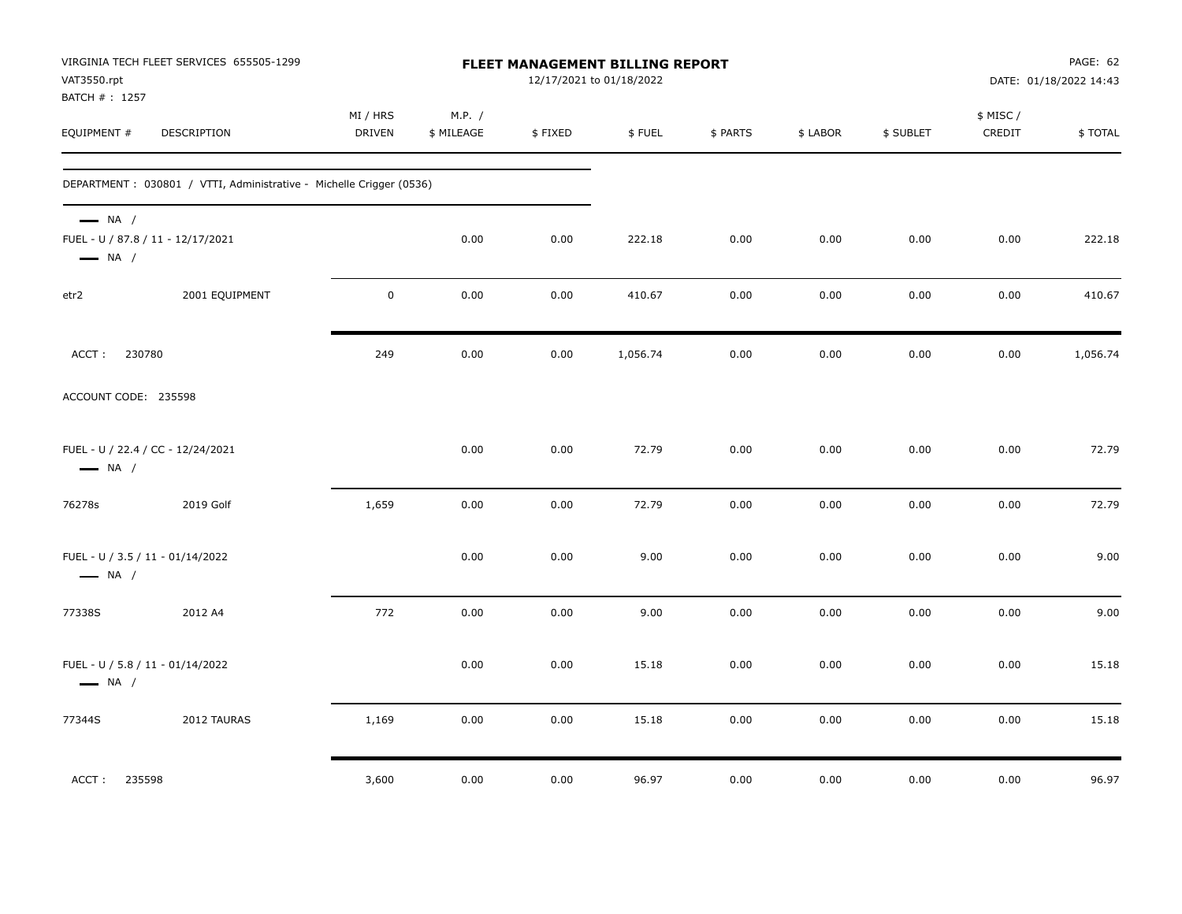| VAT3550.rpt                                                | VIRGINIA TECH FLEET SERVICES 655505-1299                             |                    |                      |         | FLEET MANAGEMENT BILLING REPORT<br>12/17/2021 to 01/18/2022 |          |          |           |                     | PAGE: 62<br>DATE: 01/18/2022 14:43 |
|------------------------------------------------------------|----------------------------------------------------------------------|--------------------|----------------------|---------|-------------------------------------------------------------|----------|----------|-----------|---------------------|------------------------------------|
| BATCH #: 1257<br>EQUIPMENT #                               | DESCRIPTION                                                          | MI / HRS<br>DRIVEN | M.P. /<br>\$ MILEAGE | \$FIXED | \$FUEL                                                      | \$ PARTS | \$ LABOR | \$ SUBLET | \$ MISC /<br>CREDIT | \$TOTAL                            |
|                                                            | DEPARTMENT : 030801 / VTTI, Administrative - Michelle Crigger (0536) |                    |                      |         |                                                             |          |          |           |                     |                                    |
| $\longrightarrow$ NA /<br>$\longrightarrow$ NA /           | FUEL - U / 87.8 / 11 - 12/17/2021                                    |                    | 0.00                 | 0.00    | 222.18                                                      | 0.00     | 0.00     | 0.00      | 0.00                | 222.18                             |
| etr2                                                       | 2001 EQUIPMENT                                                       | $\mathbf 0$        | 0.00                 | 0.00    | 410.67                                                      | 0.00     | 0.00     | 0.00      | 0.00                | 410.67                             |
| 230780<br>ACCT:                                            |                                                                      | 249                | 0.00                 | 0.00    | 1,056.74                                                    | 0.00     | 0.00     | 0.00      | 0.00                | 1,056.74                           |
| ACCOUNT CODE: 235598                                       |                                                                      |                    |                      |         |                                                             |          |          |           |                     |                                    |
| $\longrightarrow$ NA /                                     | FUEL - U / 22.4 / CC - 12/24/2021                                    |                    | 0.00                 | 0.00    | 72.79                                                       | 0.00     | 0.00     | 0.00      | 0.00                | 72.79                              |
| 76278s                                                     | 2019 Golf                                                            | 1,659              | 0.00                 | 0.00    | 72.79                                                       | 0.00     | 0.00     | 0.00      | 0.00                | 72.79                              |
| FUEL - U / 3.5 / 11 - 01/14/2022<br>$\longrightarrow$ NA / |                                                                      |                    | 0.00                 | 0.00    | 9.00                                                        | 0.00     | 0.00     | 0.00      | 0.00                | 9.00                               |
| 77338S                                                     | 2012 A4                                                              | 772                | 0.00                 | 0.00    | 9.00                                                        | 0.00     | 0.00     | 0.00      | 0.00                | 9.00                               |
| FUEL - U / 5.8 / 11 - 01/14/2022<br>$\longrightarrow$ NA / |                                                                      |                    | 0.00                 | 0.00    | 15.18                                                       | 0.00     | 0.00     | 0.00      | 0.00                | 15.18                              |
| 77344S                                                     | 2012 TAURAS                                                          | 1,169              | 0.00                 | 0.00    | 15.18                                                       | 0.00     | 0.00     | 0.00      | 0.00                | 15.18                              |
| ACCT:<br>235598                                            |                                                                      | 3,600              | 0.00                 | 0.00    | 96.97                                                       | 0.00     | $0.00\,$ | 0.00      | 0.00                | 96.97                              |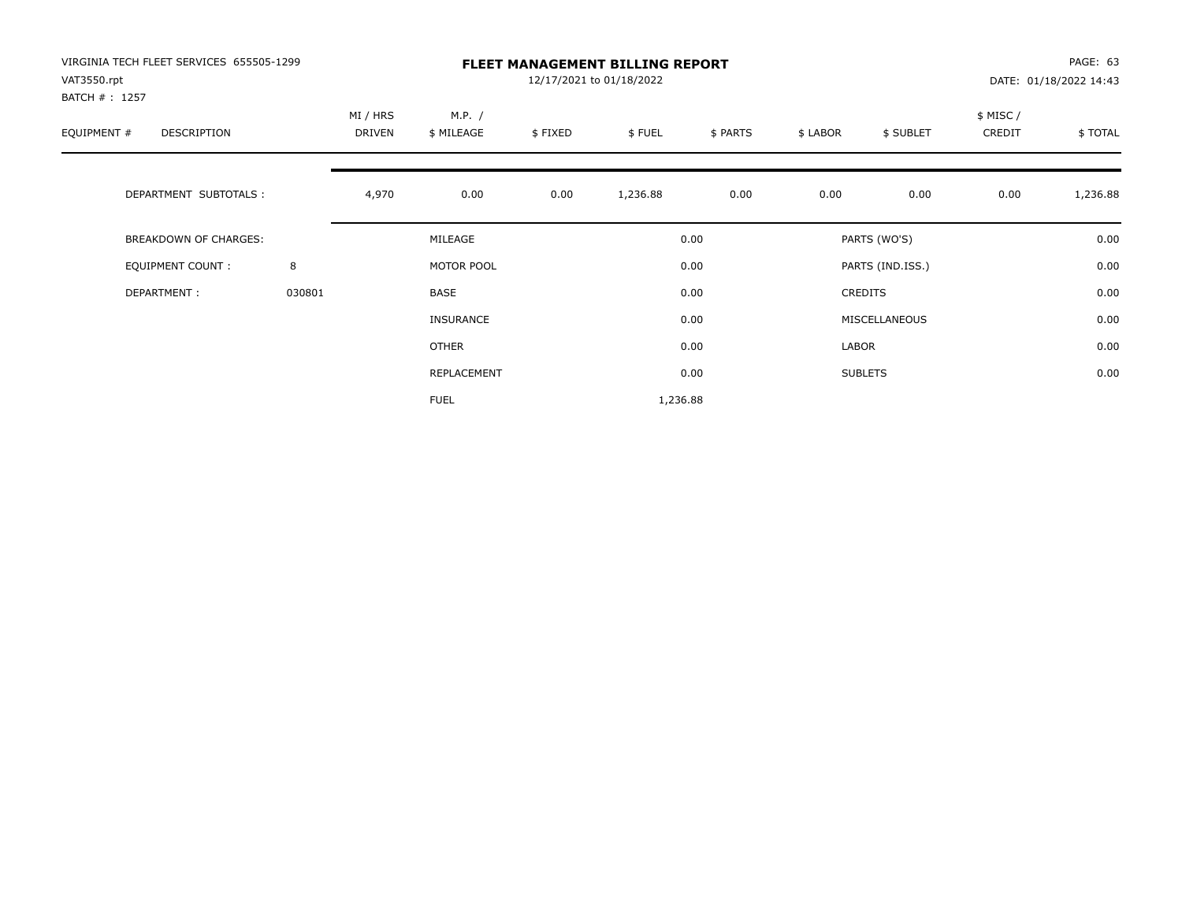| VIRGINIA TECH FLEET SERVICES 655505-1299<br>VAT3550.rpt<br>BATCH # : 1257 |        | <b>FLEET MANAGEMENT BILLING REPORT</b><br>12/17/2021 to 01/18/2022 |                      |        |          |          |           |                    |          | PAGE: 63<br>DATE: 01/18/2022 14:43 |  |
|---------------------------------------------------------------------------|--------|--------------------------------------------------------------------|----------------------|--------|----------|----------|-----------|--------------------|----------|------------------------------------|--|
| EQUIPMENT #<br>DESCRIPTION                                                |        | MI / HRS<br>DRIVEN                                                 | M.P. /<br>\$ MILEAGE | \$FUEL | \$ PARTS | \$ LABOR | \$ SUBLET | \$ MISC/<br>CREDIT | \$ TOTAL |                                    |  |
| DEPARTMENT SUBTOTALS :                                                    |        | 4,970                                                              | 0.00                 | 0.00   | 1,236.88 | 0.00     | 0.00      | 0.00               | 0.00     | 1,236.88                           |  |
| BREAKDOWN OF CHARGES:                                                     |        |                                                                    | MILEAGE              |        |          | 0.00     |           | PARTS (WO'S)       |          | 0.00                               |  |
| <b>EQUIPMENT COUNT:</b>                                                   | 8      |                                                                    | MOTOR POOL           |        |          | 0.00     |           | PARTS (IND.ISS.)   |          | 0.00                               |  |
| DEPARTMENT:                                                               | 030801 |                                                                    | <b>BASE</b>          |        |          | 0.00     |           | <b>CREDITS</b>     |          | 0.00                               |  |
|                                                                           |        |                                                                    | <b>INSURANCE</b>     |        |          | 0.00     |           | MISCELLANEOUS      |          | 0.00                               |  |
|                                                                           |        |                                                                    | OTHER                |        |          | 0.00     | LABOR     |                    |          | 0.00                               |  |
|                                                                           |        |                                                                    | REPLACEMENT          |        |          | 0.00     |           | <b>SUBLETS</b>     |          | 0.00                               |  |
|                                                                           |        |                                                                    | <b>FUEL</b>          |        | 1,236.88 |          |           |                    |          |                                    |  |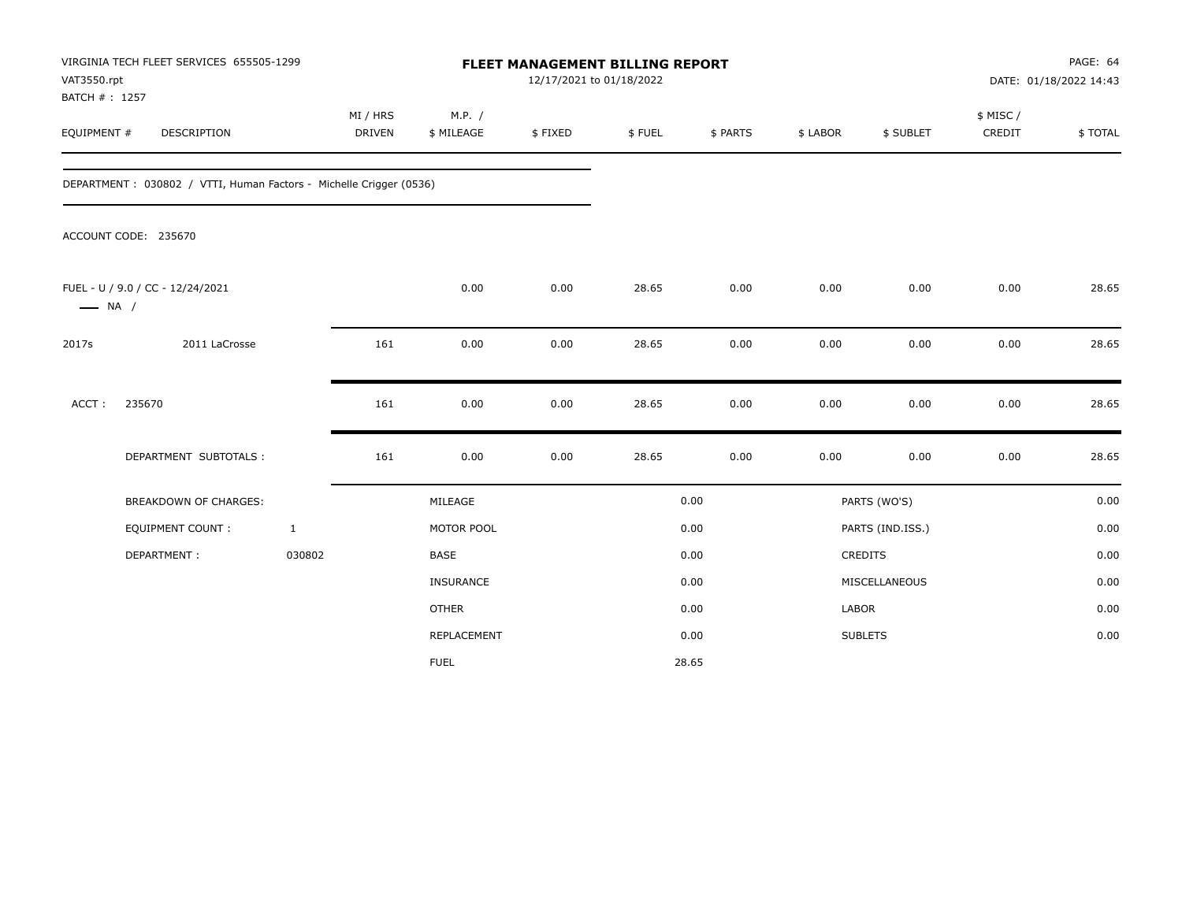| VAT3550.rpt<br>BATCH #: 1257 | VIRGINIA TECH FLEET SERVICES 655505-1299                           |              |                           |                      |         | <b>FLEET MANAGEMENT BILLING REPORT</b><br>12/17/2021 to 01/18/2022 |          |          |                  | PAGE: 64<br>DATE: 01/18/2022 14:43 |         |  |
|------------------------------|--------------------------------------------------------------------|--------------|---------------------------|----------------------|---------|--------------------------------------------------------------------|----------|----------|------------------|------------------------------------|---------|--|
| EQUIPMENT #                  | DESCRIPTION                                                        |              | MI / HRS<br><b>DRIVEN</b> | M.P. /<br>\$ MILEAGE | \$FIXED | \$FUEL                                                             | \$ PARTS | \$ LABOR | \$ SUBLET        | \$ MISC /<br>CREDIT                | \$TOTAL |  |
|                              | DEPARTMENT: 030802 / VTTI, Human Factors - Michelle Crigger (0536) |              |                           |                      |         |                                                                    |          |          |                  |                                    |         |  |
|                              | ACCOUNT CODE: 235670                                               |              |                           |                      |         |                                                                    |          |          |                  |                                    |         |  |
| $\longrightarrow$ NA /       | FUEL - U / 9.0 / CC - 12/24/2021                                   |              |                           | 0.00                 | 0.00    | 28.65                                                              | 0.00     | 0.00     | 0.00             | 0.00                               | 28.65   |  |
| 2017s                        | 2011 LaCrosse                                                      |              | 161                       | 0.00                 | 0.00    | 28.65                                                              | 0.00     | 0.00     | 0.00             | 0.00                               | 28.65   |  |
| ACCT:                        | 235670                                                             |              | 161                       | 0.00                 | 0.00    | 28.65                                                              | 0.00     | 0.00     | 0.00             | 0.00                               | 28.65   |  |
|                              | DEPARTMENT SUBTOTALS :                                             |              | 161                       | 0.00                 | 0.00    | 28.65                                                              | 0.00     | 0.00     | 0.00             | 0.00                               | 28.65   |  |
|                              | <b>BREAKDOWN OF CHARGES:</b>                                       |              |                           | MILEAGE              |         |                                                                    | 0.00     |          | PARTS (WO'S)     |                                    | 0.00    |  |
|                              | <b>EQUIPMENT COUNT:</b>                                            | $\mathbf{1}$ |                           | MOTOR POOL           |         |                                                                    | 0.00     |          | PARTS (IND.ISS.) |                                    | 0.00    |  |
|                              | DEPARTMENT:                                                        | 030802       |                           | <b>BASE</b>          |         |                                                                    | 0.00     |          | CREDITS          |                                    | 0.00    |  |
|                              |                                                                    |              |                           | INSURANCE            |         |                                                                    | 0.00     |          | MISCELLANEOUS    |                                    | 0.00    |  |
|                              |                                                                    |              |                           | <b>OTHER</b>         |         |                                                                    | 0.00     | LABOR    |                  |                                    | 0.00    |  |
|                              |                                                                    |              |                           | <b>REPLACEMENT</b>   |         |                                                                    | 0.00     |          | <b>SUBLETS</b>   |                                    | 0.00    |  |
|                              |                                                                    |              |                           | <b>FUEL</b>          |         |                                                                    | 28.65    |          |                  |                                    |         |  |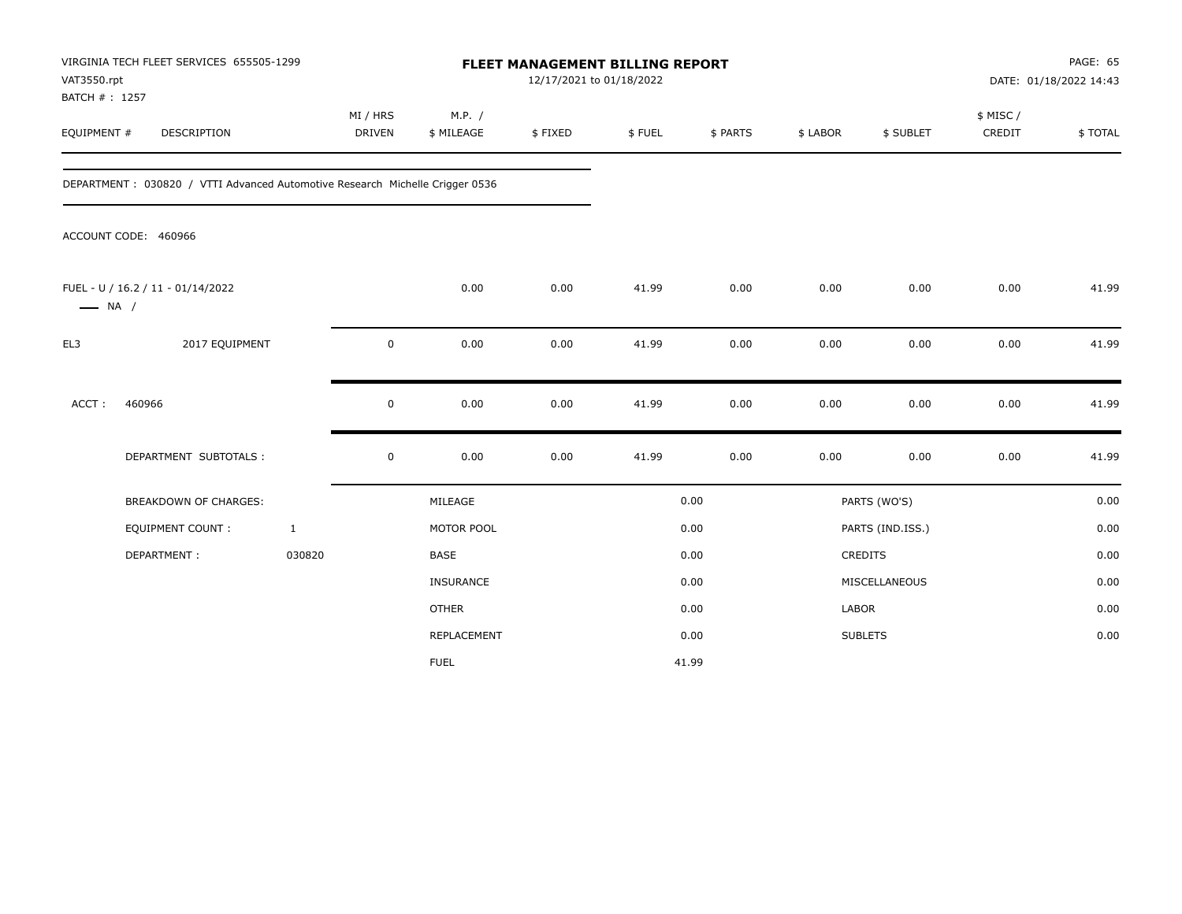| VAT3550.rpt                  | VIRGINIA TECH FLEET SERVICES 655505-1299                                      |                           |                      |         | FLEET MANAGEMENT BILLING REPORT<br>12/17/2021 to 01/18/2022 |          |              |                  | PAGE: 65<br>DATE: 01/18/2022 14:43 |         |
|------------------------------|-------------------------------------------------------------------------------|---------------------------|----------------------|---------|-------------------------------------------------------------|----------|--------------|------------------|------------------------------------|---------|
| BATCH #: 1257<br>EQUIPMENT # | DESCRIPTION                                                                   | MI / HRS<br><b>DRIVEN</b> | M.P. /<br>\$ MILEAGE | \$FIXED | \$FUEL                                                      | \$ PARTS | \$ LABOR     | \$ SUBLET        | \$ MISC /<br>CREDIT                | \$TOTAL |
|                              | DEPARTMENT : 030820 / VTTI Advanced Automotive Research Michelle Crigger 0536 |                           |                      |         |                                                             |          |              |                  |                                    |         |
|                              | ACCOUNT CODE: 460966                                                          |                           |                      |         |                                                             |          |              |                  |                                    |         |
| $\longrightarrow$ NA /       | FUEL - U / 16.2 / 11 - 01/14/2022                                             |                           | 0.00                 | 0.00    | 41.99                                                       | 0.00     | 0.00         | 0.00             | 0.00                               | 41.99   |
| EL3                          | 2017 EQUIPMENT                                                                | 0                         | 0.00                 | 0.00    | 41.99                                                       | 0.00     | 0.00         | 0.00             | 0.00                               | 41.99   |
| ACCT:                        | 460966                                                                        | $\mathbf 0$               | 0.00                 | 0.00    | 41.99                                                       | 0.00     | 0.00         | 0.00             | 0.00                               | 41.99   |
|                              | DEPARTMENT SUBTOTALS :                                                        | $\mathsf 0$               | 0.00                 | 0.00    | 41.99                                                       | 0.00     | 0.00         | 0.00             | 0.00                               | 41.99   |
|                              | BREAKDOWN OF CHARGES:                                                         |                           | MILEAGE              |         |                                                             | 0.00     |              | PARTS (WO'S)     |                                    | 0.00    |
|                              | <b>EQUIPMENT COUNT:</b>                                                       | $\mathbf{1}$              | MOTOR POOL           |         |                                                             | 0.00     |              | PARTS (IND.ISS.) |                                    | 0.00    |
|                              | DEPARTMENT:                                                                   | 030820                    | <b>BASE</b>          |         |                                                             | 0.00     |              | <b>CREDITS</b>   |                                    | 0.00    |
|                              |                                                                               |                           | <b>INSURANCE</b>     |         |                                                             | 0.00     |              | MISCELLANEOUS    |                                    | 0.00    |
|                              |                                                                               |                           | <b>OTHER</b>         |         |                                                             | 0.00     | <b>LABOR</b> |                  |                                    | 0.00    |
|                              |                                                                               |                           | REPLACEMENT          |         |                                                             | 0.00     |              | <b>SUBLETS</b>   |                                    | 0.00    |
|                              |                                                                               |                           | <b>FUEL</b>          |         |                                                             | 41.99    |              |                  |                                    |         |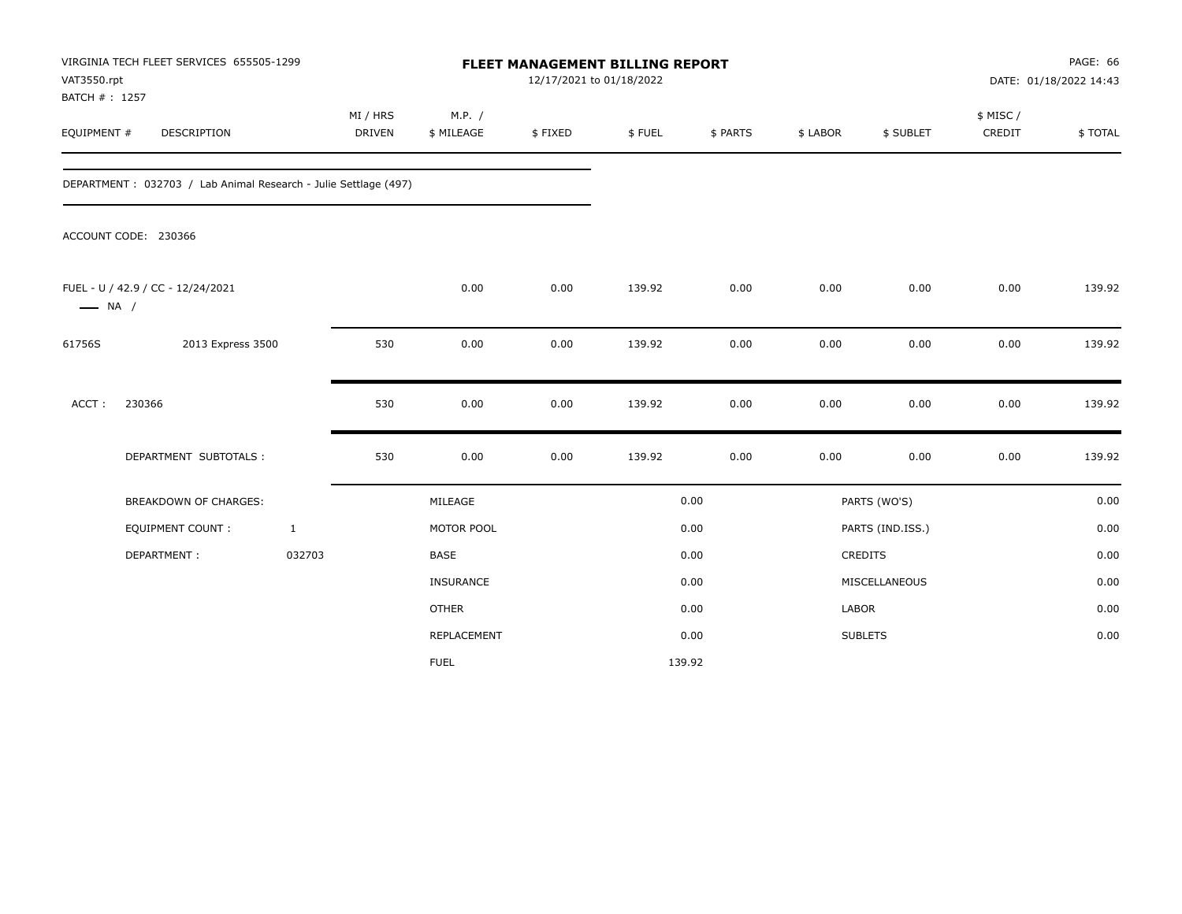| VAT3550.rpt<br>BATCH #: 1257 | VIRGINIA TECH FLEET SERVICES 655505-1299                        |              |                           |                      | <b>FLEET MANAGEMENT BILLING REPORT</b><br>12/17/2021 to 01/18/2022 |        |          |          |                  |                     | PAGE: 66<br>DATE: 01/18/2022 14:43 |
|------------------------------|-----------------------------------------------------------------|--------------|---------------------------|----------------------|--------------------------------------------------------------------|--------|----------|----------|------------------|---------------------|------------------------------------|
| EQUIPMENT #                  | DESCRIPTION                                                     |              | MI / HRS<br><b>DRIVEN</b> | M.P. /<br>\$ MILEAGE | \$FIXED                                                            | \$FUEL | \$ PARTS | \$ LABOR | \$ SUBLET        | \$ MISC /<br>CREDIT | \$TOTAL                            |
|                              | DEPARTMENT: 032703 / Lab Animal Research - Julie Settlage (497) |              |                           |                      |                                                                    |        |          |          |                  |                     |                                    |
|                              | ACCOUNT CODE: 230366                                            |              |                           |                      |                                                                    |        |          |          |                  |                     |                                    |
| $\longrightarrow$ NA /       | FUEL - U / 42.9 / CC - 12/24/2021                               |              |                           | 0.00                 | 0.00                                                               | 139.92 | 0.00     | 0.00     | 0.00             | 0.00                | 139.92                             |
| 61756S                       | 2013 Express 3500                                               |              | 530                       | 0.00                 | 0.00                                                               | 139.92 | 0.00     | 0.00     | 0.00             | 0.00                | 139.92                             |
| ACCT:                        | 230366                                                          |              | 530                       | 0.00                 | 0.00                                                               | 139.92 | 0.00     | 0.00     | 0.00             | 0.00                | 139.92                             |
|                              | DEPARTMENT SUBTOTALS :                                          |              | 530                       | 0.00                 | 0.00                                                               | 139.92 | 0.00     | 0.00     | 0.00             | 0.00                | 139.92                             |
|                              | BREAKDOWN OF CHARGES:                                           |              |                           | MILEAGE              |                                                                    |        | 0.00     |          | PARTS (WO'S)     |                     | 0.00                               |
|                              | <b>EQUIPMENT COUNT:</b>                                         | $\mathbf{1}$ |                           | MOTOR POOL           |                                                                    |        | 0.00     |          | PARTS (IND.ISS.) |                     | 0.00                               |
|                              | DEPARTMENT:                                                     | 032703       |                           | <b>BASE</b>          |                                                                    |        | 0.00     |          | CREDITS          |                     | 0.00                               |
|                              |                                                                 |              |                           | INSURANCE            |                                                                    |        | 0.00     |          | MISCELLANEOUS    |                     | 0.00                               |
|                              |                                                                 |              |                           | <b>OTHER</b>         |                                                                    |        | 0.00     | LABOR    |                  |                     | 0.00                               |
|                              |                                                                 |              |                           | REPLACEMENT          |                                                                    |        | 0.00     |          | <b>SUBLETS</b>   |                     | 0.00                               |
|                              |                                                                 |              |                           | <b>FUEL</b>          |                                                                    |        | 139.92   |          |                  |                     |                                    |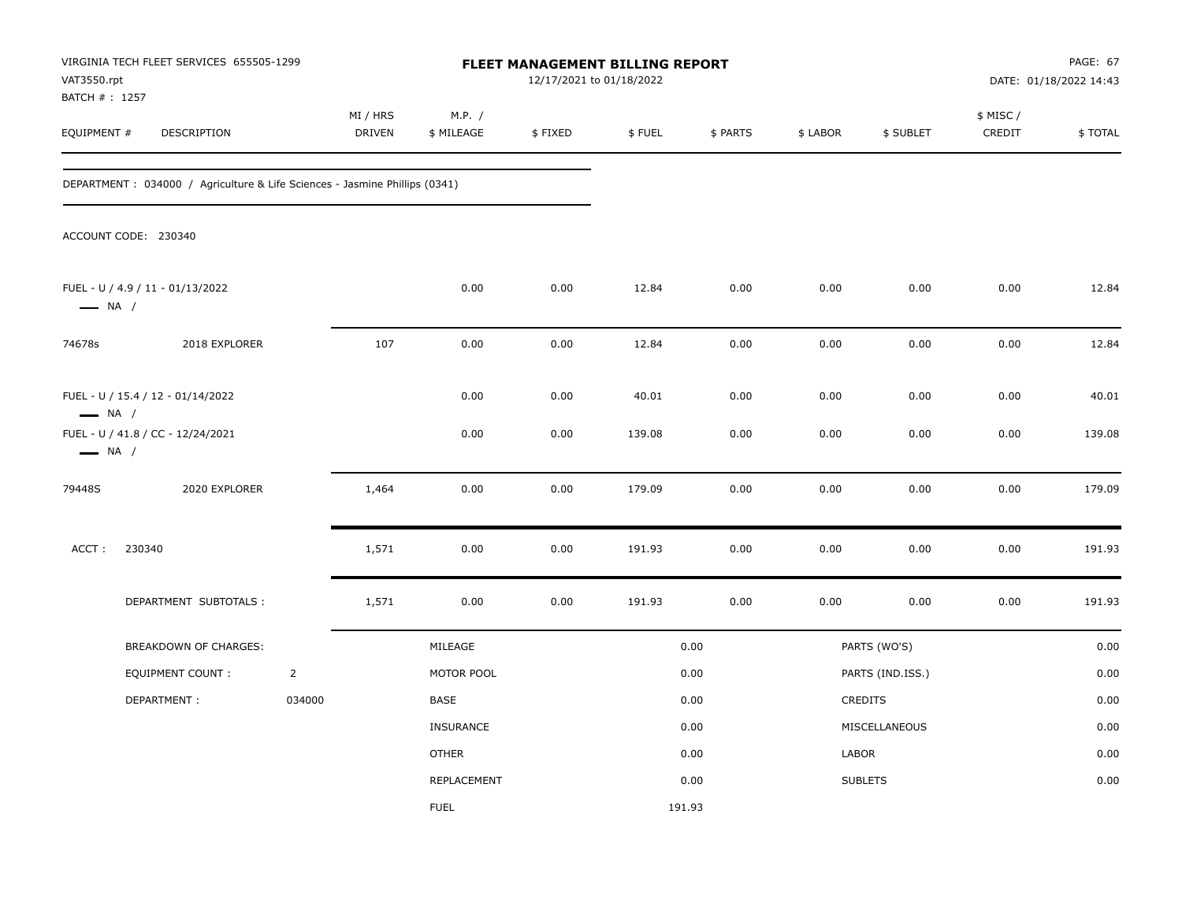| VAT3550.rpt            | VIRGINIA TECH FLEET SERVICES 655505-1299<br>BATCH # : 1257<br>DESCRIPTION   |                |                    |                      |         | <b>FLEET MANAGEMENT BILLING REPORT</b><br>12/17/2021 to 01/18/2022 |          |          |                  | PAGE: 67<br>DATE: 01/18/2022 14:43 |         |  |
|------------------------|-----------------------------------------------------------------------------|----------------|--------------------|----------------------|---------|--------------------------------------------------------------------|----------|----------|------------------|------------------------------------|---------|--|
| EQUIPMENT #            |                                                                             |                | MI / HRS<br>DRIVEN | M.P. /<br>\$ MILEAGE | \$FIXED | \$FUEL                                                             | \$ PARTS | \$ LABOR | \$ SUBLET        | \$ MISC /<br>CREDIT                | \$TOTAL |  |
|                        | DEPARTMENT : 034000 / Agriculture & Life Sciences - Jasmine Phillips (0341) |                |                    |                      |         |                                                                    |          |          |                  |                                    |         |  |
|                        | ACCOUNT CODE: 230340                                                        |                |                    |                      |         |                                                                    |          |          |                  |                                    |         |  |
| $\longrightarrow$ NA / | FUEL - U / 4.9 / 11 - 01/13/2022                                            |                |                    | 0.00                 | 0.00    | 12.84                                                              | 0.00     | 0.00     | 0.00             | 0.00                               | 12.84   |  |
| 74678s                 | 2018 EXPLORER                                                               |                | 107                | 0.00                 | 0.00    | 12.84                                                              | 0.00     | 0.00     | 0.00             | 0.00                               | 12.84   |  |
| $\longrightarrow$ NA / | FUEL - U / 15.4 / 12 - 01/14/2022                                           |                |                    | 0.00                 | 0.00    | 40.01                                                              | 0.00     | 0.00     | 0.00             | 0.00                               | 40.01   |  |
| $\longrightarrow$ NA / | FUEL - U / 41.8 / CC - 12/24/2021                                           |                |                    | 0.00                 | 0.00    | 139.08                                                             | 0.00     | 0.00     | 0.00             | 0.00                               | 139.08  |  |
| 79448S                 | 2020 EXPLORER                                                               |                | 1,464              | 0.00                 | 0.00    | 179.09                                                             | 0.00     | 0.00     | 0.00             | 0.00                               | 179.09  |  |
| ACCT:                  | 230340                                                                      |                | 1,571              | 0.00                 | 0.00    | 191.93                                                             | 0.00     | 0.00     | 0.00             | 0.00                               | 191.93  |  |
|                        | DEPARTMENT SUBTOTALS :                                                      |                | 1,571              | 0.00                 | 0.00    | 191.93                                                             | 0.00     | 0.00     | 0.00             | 0.00                               | 191.93  |  |
|                        | BREAKDOWN OF CHARGES:                                                       |                |                    | MILEAGE              |         |                                                                    | 0.00     |          | PARTS (WO'S)     |                                    | 0.00    |  |
|                        | <b>EQUIPMENT COUNT:</b>                                                     | $\overline{2}$ |                    | MOTOR POOL           |         |                                                                    | 0.00     |          | PARTS (IND.ISS.) |                                    | 0.00    |  |
|                        | DEPARTMENT:                                                                 | 034000         |                    | BASE                 |         |                                                                    | 0.00     |          | CREDITS          |                                    | 0.00    |  |
|                        |                                                                             |                |                    | <b>INSURANCE</b>     |         |                                                                    | 0.00     |          | MISCELLANEOUS    |                                    | 0.00    |  |
|                        |                                                                             |                |                    | <b>OTHER</b>         |         |                                                                    | 0.00     | LABOR    |                  |                                    | 0.00    |  |
|                        |                                                                             |                |                    | REPLACEMENT          |         |                                                                    | 0.00     |          | <b>SUBLETS</b>   |                                    | 0.00    |  |
|                        |                                                                             |                |                    | <b>FUEL</b>          |         | 191.93                                                             |          |          |                  |                                    |         |  |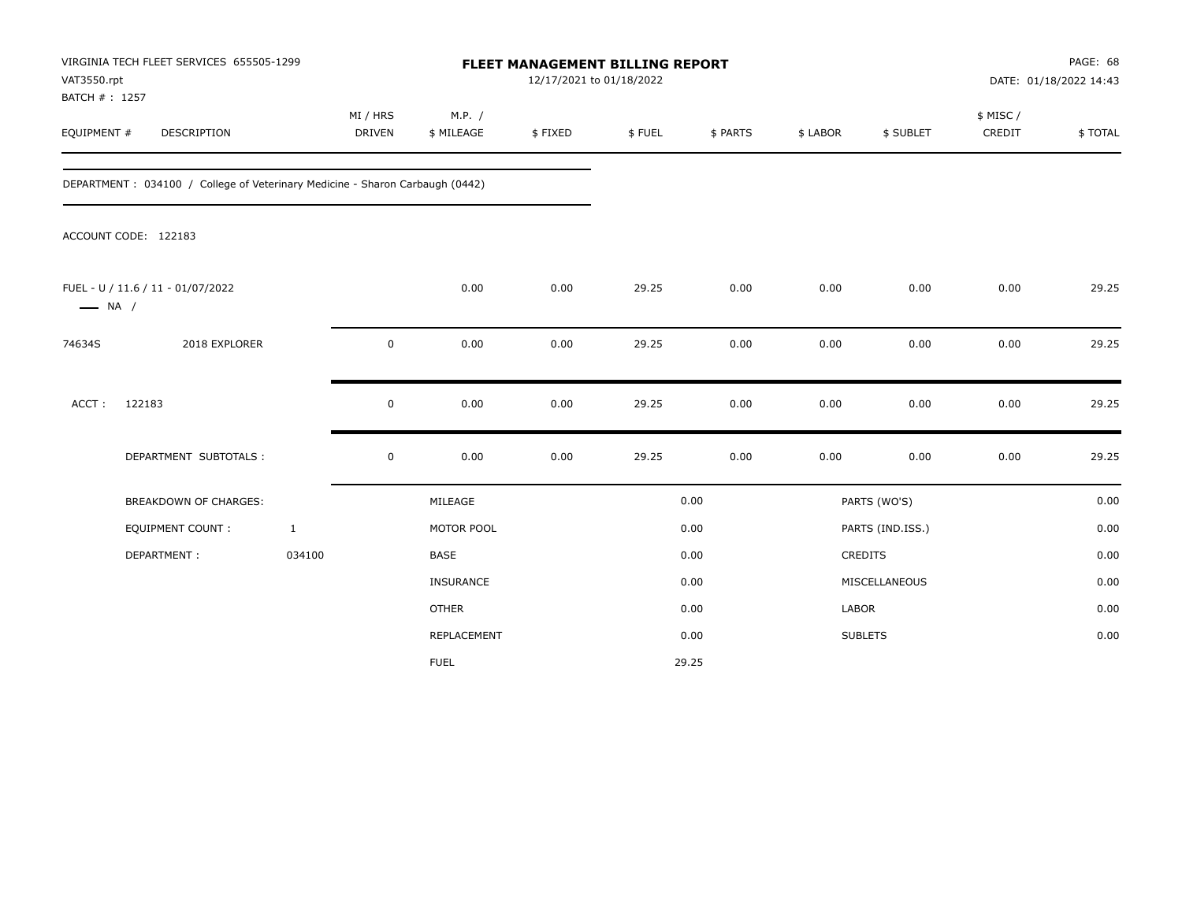| VAT3550.rpt<br>BATCH #: 1257 | VIRGINIA TECH FLEET SERVICES 655505-1299                                     |                           | FLEET MANAGEMENT BILLING REPORT<br>12/17/2021 to 01/18/2022 |         |        |          |          |                  | PAGE: 68<br>DATE: 01/18/2022 14:43 |         |
|------------------------------|------------------------------------------------------------------------------|---------------------------|-------------------------------------------------------------|---------|--------|----------|----------|------------------|------------------------------------|---------|
| EQUIPMENT #                  | DESCRIPTION                                                                  | MI / HRS<br><b>DRIVEN</b> | M.P. /<br>\$ MILEAGE                                        | \$FIXED | \$FUEL | \$ PARTS | \$ LABOR | \$ SUBLET        | \$ MISC /<br>CREDIT                | \$TOTAL |
|                              | DEPARTMENT: 034100 / College of Veterinary Medicine - Sharon Carbaugh (0442) |                           |                                                             |         |        |          |          |                  |                                    |         |
|                              | ACCOUNT CODE: 122183                                                         |                           |                                                             |         |        |          |          |                  |                                    |         |
| $\longrightarrow$ NA /       | FUEL - U / 11.6 / 11 - 01/07/2022                                            |                           | 0.00                                                        | 0.00    | 29.25  | 0.00     | 0.00     | 0.00             | 0.00                               | 29.25   |
| 74634S                       | 2018 EXPLORER                                                                | 0                         | 0.00                                                        | 0.00    | 29.25  | 0.00     | 0.00     | 0.00             | 0.00                               | 29.25   |
| ACCT:                        | 122183                                                                       | 0                         | 0.00                                                        | 0.00    | 29.25  | 0.00     | 0.00     | 0.00             | 0.00                               | 29.25   |
|                              | DEPARTMENT SUBTOTALS :                                                       | $\mathsf 0$               | 0.00                                                        | 0.00    | 29.25  | 0.00     | 0.00     | 0.00             | 0.00                               | 29.25   |
|                              | BREAKDOWN OF CHARGES:                                                        |                           | MILEAGE                                                     |         |        | 0.00     |          | PARTS (WO'S)     |                                    | 0.00    |
|                              | EQUIPMENT COUNT:                                                             | $\mathbf{1}$              | MOTOR POOL                                                  |         |        | 0.00     |          | PARTS (IND.ISS.) |                                    | 0.00    |
|                              | DEPARTMENT:                                                                  | 034100                    | <b>BASE</b>                                                 |         |        | 0.00     |          | <b>CREDITS</b>   |                                    | 0.00    |
|                              |                                                                              |                           | <b>INSURANCE</b>                                            |         |        | 0.00     |          | MISCELLANEOUS    |                                    | 0.00    |
|                              |                                                                              |                           | <b>OTHER</b>                                                |         |        | 0.00     | LABOR    |                  |                                    | 0.00    |
|                              |                                                                              |                           | REPLACEMENT                                                 |         |        | 0.00     |          | <b>SUBLETS</b>   |                                    | 0.00    |
|                              |                                                                              |                           | <b>FUEL</b>                                                 |         |        | 29.25    |          |                  |                                    |         |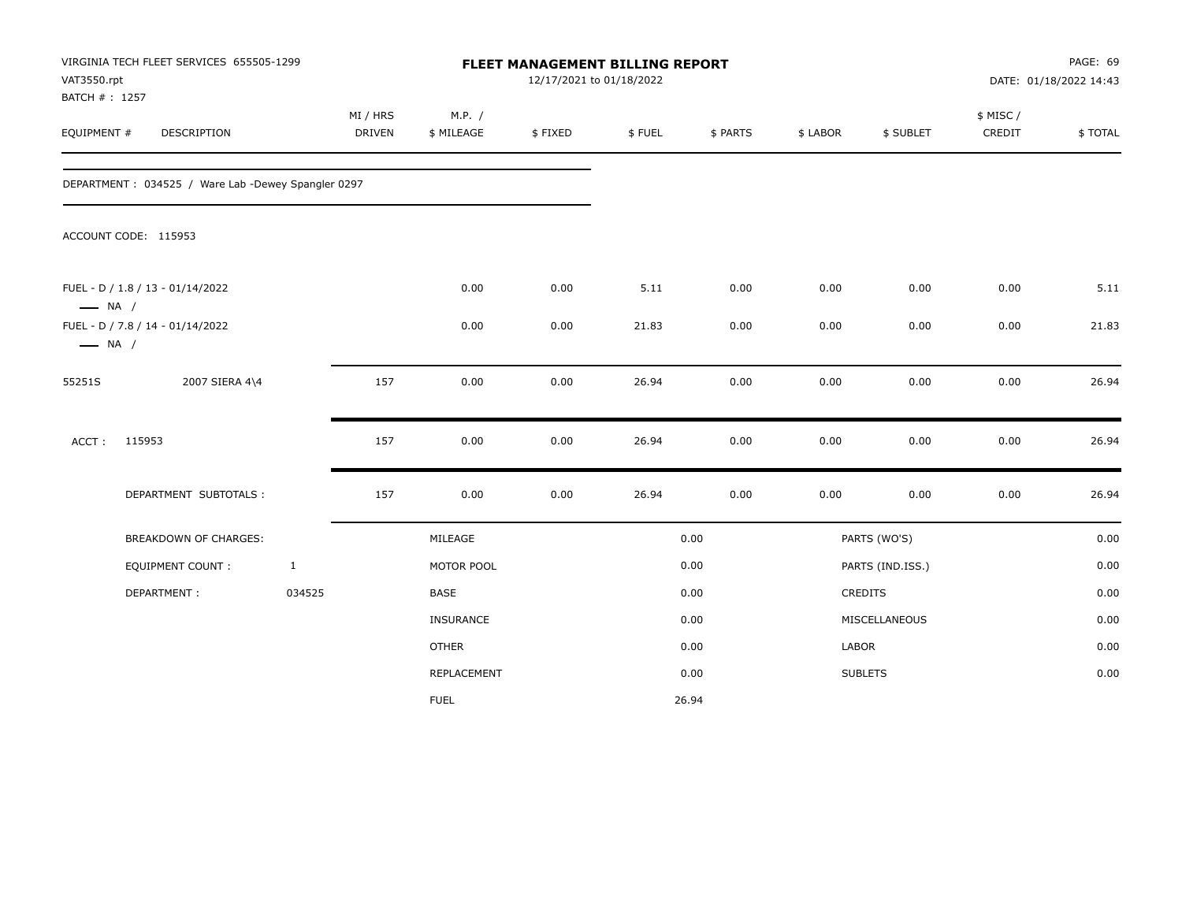| VAT3550.rpt<br>BATCH #: 1257 | VIRGINIA TECH FLEET SERVICES 655505-1299           |              |                           |                      |         | FLEET MANAGEMENT BILLING REPORT<br>12/17/2021 to 01/18/2022 |          |          |                  | PAGE: 69<br>DATE: 01/18/2022 14:43 |         |  |
|------------------------------|----------------------------------------------------|--------------|---------------------------|----------------------|---------|-------------------------------------------------------------|----------|----------|------------------|------------------------------------|---------|--|
| EQUIPMENT #                  | DESCRIPTION                                        |              | MI / HRS<br><b>DRIVEN</b> | M.P. /<br>\$ MILEAGE | \$FIXED | \$FUEL                                                      | \$ PARTS | \$ LABOR | \$ SUBLET        | \$ MISC/<br>CREDIT                 | \$TOTAL |  |
|                              | DEPARTMENT: 034525 / Ware Lab -Dewey Spangler 0297 |              |                           |                      |         |                                                             |          |          |                  |                                    |         |  |
|                              | ACCOUNT CODE: 115953                               |              |                           |                      |         |                                                             |          |          |                  |                                    |         |  |
| $\longrightarrow$ NA /       | FUEL - D / 1.8 / 13 - 01/14/2022                   |              |                           | 0.00                 | 0.00    | 5.11                                                        | 0.00     | 0.00     | 0.00             | 0.00                               | 5.11    |  |
| $\longrightarrow$ NA /       | FUEL - D / 7.8 / 14 - 01/14/2022                   |              |                           | 0.00                 | 0.00    | 21.83                                                       | 0.00     | 0.00     | 0.00             | 0.00                               | 21.83   |  |
| 55251S                       | 2007 SIERA 4\4                                     |              | 157                       | 0.00                 | 0.00    | 26.94                                                       | 0.00     | 0.00     | 0.00             | 0.00                               | 26.94   |  |
| ACCT:                        | 115953                                             |              | 157                       | 0.00                 | 0.00    | 26.94                                                       | 0.00     | 0.00     | 0.00             | 0.00                               | 26.94   |  |
|                              | DEPARTMENT SUBTOTALS :                             |              | 157                       | 0.00                 | 0.00    | 26.94                                                       | 0.00     | 0.00     | 0.00             | $0.00\,$                           | 26.94   |  |
|                              | <b>BREAKDOWN OF CHARGES:</b>                       |              |                           | MILEAGE              |         |                                                             | 0.00     |          | PARTS (WO'S)     |                                    | 0.00    |  |
|                              | <b>EQUIPMENT COUNT:</b>                            | $\mathbf{1}$ |                           | MOTOR POOL           |         |                                                             | 0.00     |          | PARTS (IND.ISS.) |                                    | 0.00    |  |
|                              | DEPARTMENT:                                        | 034525       |                           | BASE                 |         |                                                             | 0.00     |          | CREDITS          |                                    | 0.00    |  |
|                              |                                                    |              |                           | <b>INSURANCE</b>     |         |                                                             | 0.00     |          | MISCELLANEOUS    |                                    | 0.00    |  |
|                              |                                                    |              |                           | <b>OTHER</b>         |         |                                                             | 0.00     | LABOR    |                  |                                    | 0.00    |  |
|                              |                                                    |              |                           | REPLACEMENT          |         |                                                             | 0.00     |          | <b>SUBLETS</b>   |                                    | 0.00    |  |
|                              |                                                    |              |                           | <b>FUEL</b>          |         |                                                             | 26.94    |          |                  |                                    |         |  |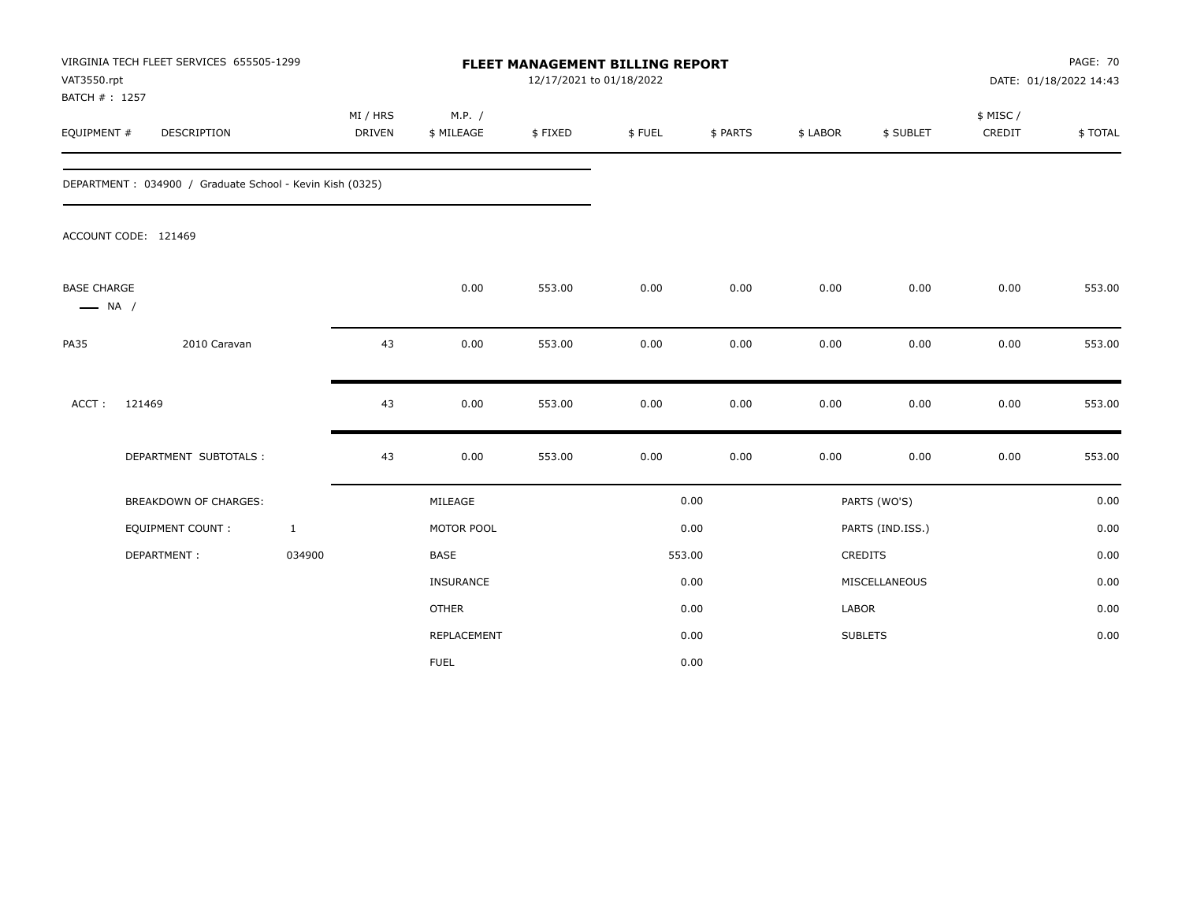| VAT3550.rpt<br>BATCH #: 1257                 | VIRGINIA TECH FLEET SERVICES 655505-1299                 |              |                           |                      |         | FLEET MANAGEMENT BILLING REPORT<br>12/17/2021 to 01/18/2022 |          |          |                  | <b>PAGE: 70</b><br>DATE: 01/18/2022 14:43 |         |
|----------------------------------------------|----------------------------------------------------------|--------------|---------------------------|----------------------|---------|-------------------------------------------------------------|----------|----------|------------------|-------------------------------------------|---------|
| EQUIPMENT #                                  | DESCRIPTION                                              |              | MI / HRS<br><b>DRIVEN</b> | M.P. /<br>\$ MILEAGE | \$FIXED | \$FUEL                                                      | \$ PARTS | \$ LABOR | \$ SUBLET        | \$ MISC /<br>CREDIT                       | \$TOTAL |
|                                              | DEPARTMENT: 034900 / Graduate School - Kevin Kish (0325) |              |                           |                      |         |                                                             |          |          |                  |                                           |         |
|                                              | ACCOUNT CODE: 121469                                     |              |                           |                      |         |                                                             |          |          |                  |                                           |         |
| <b>BASE CHARGE</b><br>$\longrightarrow$ NA / |                                                          |              |                           | 0.00                 | 553.00  | 0.00                                                        | 0.00     | 0.00     | 0.00             | 0.00                                      | 553.00  |
| <b>PA35</b>                                  | 2010 Caravan                                             |              | 43                        | 0.00                 | 553.00  | 0.00                                                        | 0.00     | 0.00     | 0.00             | 0.00                                      | 553.00  |
| ACCT:                                        | 121469                                                   |              | 43                        | 0.00                 | 553.00  | 0.00                                                        | 0.00     | 0.00     | 0.00             | 0.00                                      | 553.00  |
|                                              | DEPARTMENT SUBTOTALS :                                   |              | 43                        | 0.00                 | 553.00  | 0.00                                                        | 0.00     | 0.00     | 0.00             | 0.00                                      | 553.00  |
|                                              | <b>BREAKDOWN OF CHARGES:</b>                             |              |                           | MILEAGE              |         |                                                             | 0.00     |          | PARTS (WO'S)     |                                           | 0.00    |
|                                              | <b>EQUIPMENT COUNT:</b>                                  | $\mathbf{1}$ |                           | MOTOR POOL           |         |                                                             | 0.00     |          | PARTS (IND.ISS.) |                                           | 0.00    |
|                                              | DEPARTMENT:                                              | 034900       |                           | <b>BASE</b>          |         |                                                             | 553.00   |          | CREDITS          |                                           | 0.00    |
|                                              |                                                          |              |                           | <b>INSURANCE</b>     |         |                                                             | 0.00     |          | MISCELLANEOUS    |                                           | 0.00    |
|                                              |                                                          |              |                           | <b>OTHER</b>         |         |                                                             | 0.00     | LABOR    |                  |                                           | 0.00    |
|                                              |                                                          |              |                           | REPLACEMENT          |         |                                                             | 0.00     |          | <b>SUBLETS</b>   |                                           | 0.00    |
|                                              |                                                          |              |                           | <b>FUEL</b>          |         |                                                             | 0.00     |          |                  |                                           |         |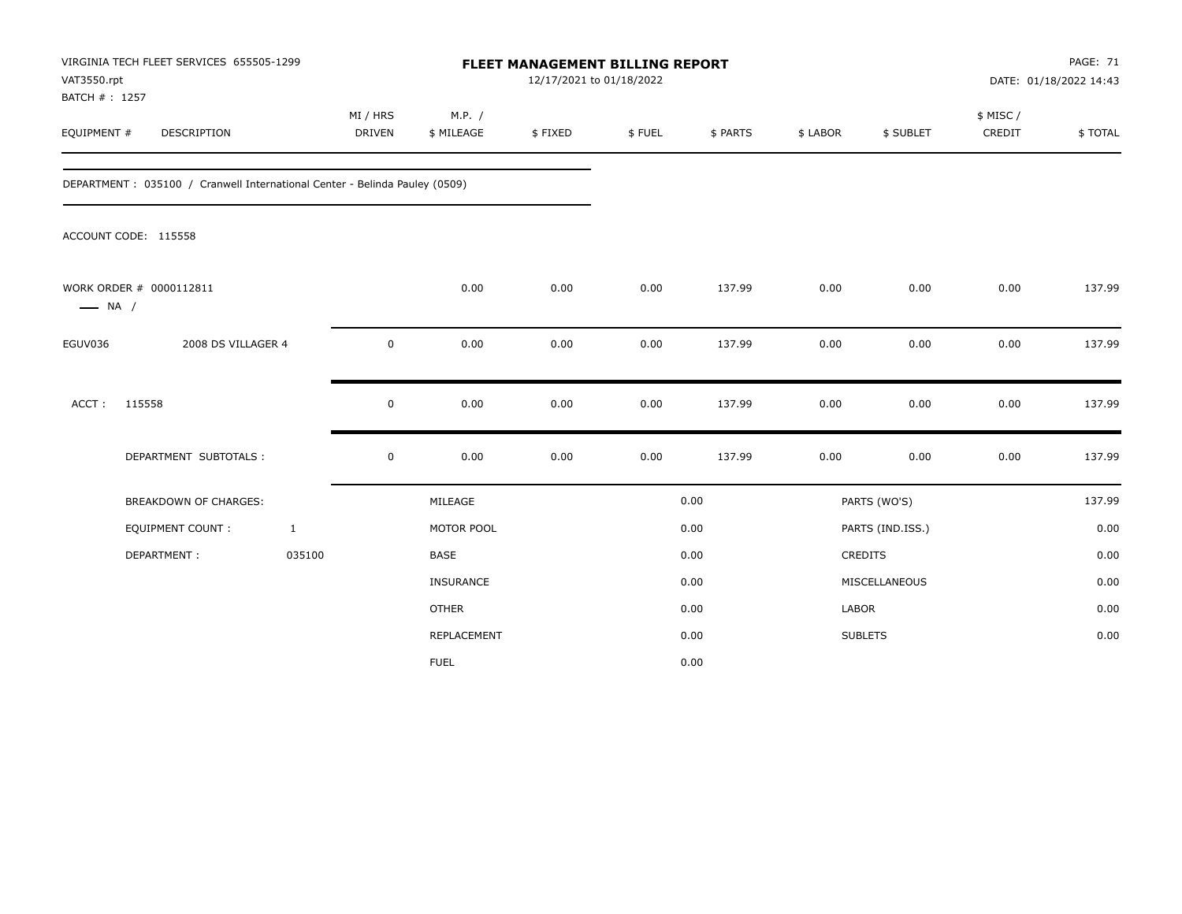| VAT3550.rpt<br>BATCH #: 1257 | VIRGINIA TECH FLEET SERVICES 655505-1299                                   |                    |                      | FLEET MANAGEMENT BILLING REPORT<br>12/17/2021 to 01/18/2022 |        |          |          |                  |                     | <b>PAGE: 71</b><br>DATE: 01/18/2022 14:43 |
|------------------------------|----------------------------------------------------------------------------|--------------------|----------------------|-------------------------------------------------------------|--------|----------|----------|------------------|---------------------|-------------------------------------------|
| EQUIPMENT #                  | DESCRIPTION                                                                | MI / HRS<br>DRIVEN | M.P. /<br>\$ MILEAGE | \$FIXED                                                     | \$FUEL | \$ PARTS | \$ LABOR | \$ SUBLET        | \$ MISC /<br>CREDIT | \$TOTAL                                   |
|                              | DEPARTMENT: 035100 / Cranwell International Center - Belinda Pauley (0509) |                    |                      |                                                             |        |          |          |                  |                     |                                           |
|                              | ACCOUNT CODE: 115558                                                       |                    |                      |                                                             |        |          |          |                  |                     |                                           |
| $\longrightarrow$ NA /       | WORK ORDER # 0000112811                                                    |                    | 0.00                 | 0.00                                                        | 0.00   | 137.99   | 0.00     | 0.00             | 0.00                | 137.99                                    |
| EGUV036                      | 2008 DS VILLAGER 4                                                         | 0                  | 0.00                 | 0.00                                                        | 0.00   | 137.99   | 0.00     | 0.00             | 0.00                | 137.99                                    |
| ACCT:                        | 115558                                                                     | $\mathbf 0$        | 0.00                 | 0.00                                                        | 0.00   | 137.99   | 0.00     | 0.00             | 0.00                | 137.99                                    |
|                              | DEPARTMENT SUBTOTALS :                                                     | $\mathsf 0$        | 0.00                 | 0.00                                                        | 0.00   | 137.99   | 0.00     | 0.00             | 0.00                | 137.99                                    |
|                              | <b>BREAKDOWN OF CHARGES:</b>                                               |                    | MILEAGE              |                                                             |        | 0.00     |          | PARTS (WO'S)     |                     | 137.99                                    |
|                              | EQUIPMENT COUNT:<br>$\mathbf{1}$                                           |                    | MOTOR POOL           |                                                             |        | 0.00     |          | PARTS (IND.ISS.) |                     | 0.00                                      |
|                              | 035100<br>DEPARTMENT:                                                      |                    | <b>BASE</b>          |                                                             |        | 0.00     |          | CREDITS          |                     | 0.00                                      |
|                              |                                                                            |                    | <b>INSURANCE</b>     |                                                             |        | 0.00     |          | MISCELLANEOUS    |                     | 0.00                                      |
|                              |                                                                            |                    | <b>OTHER</b>         |                                                             |        | 0.00     | LABOR    |                  |                     | 0.00                                      |
|                              |                                                                            |                    | <b>REPLACEMENT</b>   |                                                             |        | 0.00     |          | <b>SUBLETS</b>   |                     | 0.00                                      |
|                              |                                                                            |                    | <b>FUEL</b>          |                                                             |        | 0.00     |          |                  |                     |                                           |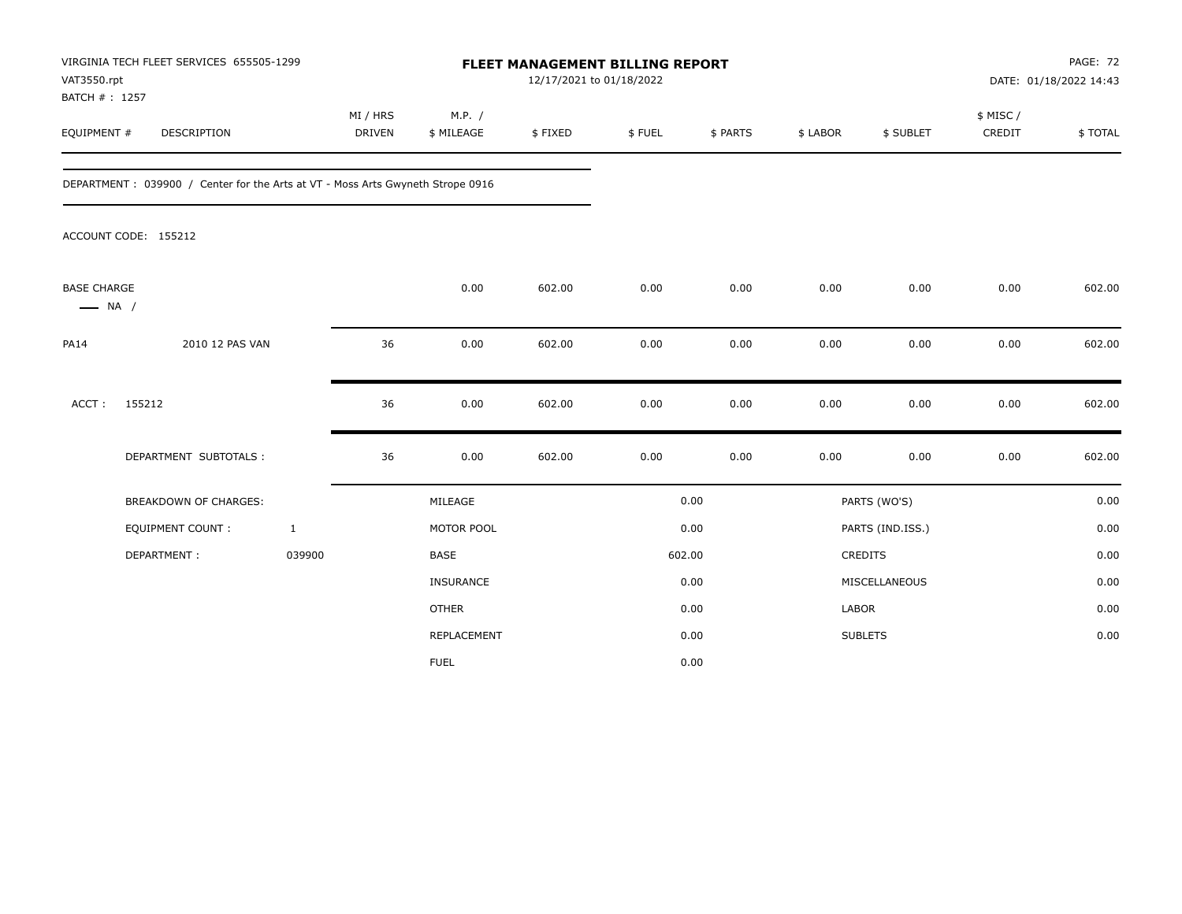| VAT3550.rpt<br>BATCH #: 1257                 | VIRGINIA TECH FLEET SERVICES 655505-1299                                       |                           |                      | FLEET MANAGEMENT BILLING REPORT<br>12/17/2021 to 01/18/2022 |        |          |          |                  |                    | <b>PAGE: 72</b><br>DATE: 01/18/2022 14:43 |
|----------------------------------------------|--------------------------------------------------------------------------------|---------------------------|----------------------|-------------------------------------------------------------|--------|----------|----------|------------------|--------------------|-------------------------------------------|
| EQUIPMENT #                                  | <b>DESCRIPTION</b>                                                             | MI / HRS<br><b>DRIVEN</b> | M.P. /<br>\$ MILEAGE | \$FIXED                                                     | \$FUEL | \$ PARTS | \$ LABOR | \$ SUBLET        | \$ MISC/<br>CREDIT | \$TOTAL                                   |
|                                              | DEPARTMENT: 039900 / Center for the Arts at VT - Moss Arts Gwyneth Strope 0916 |                           |                      |                                                             |        |          |          |                  |                    |                                           |
|                                              | ACCOUNT CODE: 155212                                                           |                           |                      |                                                             |        |          |          |                  |                    |                                           |
| <b>BASE CHARGE</b><br>$\longrightarrow$ NA / |                                                                                |                           | 0.00                 | 602.00                                                      | 0.00   | 0.00     | 0.00     | 0.00             | 0.00               | 602.00                                    |
| <b>PA14</b>                                  | 2010 12 PAS VAN                                                                | 36                        | 0.00                 | 602.00                                                      | 0.00   | 0.00     | 0.00     | 0.00             | 0.00               | 602.00                                    |
| ACCT:                                        | 155212                                                                         | 36                        | 0.00                 | 602.00                                                      | 0.00   | 0.00     | 0.00     | 0.00             | 0.00               | 602.00                                    |
|                                              | DEPARTMENT SUBTOTALS :                                                         | 36                        | 0.00                 | 602.00                                                      | 0.00   | 0.00     | 0.00     | 0.00             | 0.00               | 602.00                                    |
|                                              | BREAKDOWN OF CHARGES:                                                          |                           | MILEAGE              |                                                             |        | 0.00     |          | PARTS (WO'S)     |                    | 0.00                                      |
|                                              | EQUIPMENT COUNT:                                                               | $\mathbf{1}$              | MOTOR POOL           |                                                             |        | 0.00     |          | PARTS (IND.ISS.) |                    | 0.00                                      |
|                                              | DEPARTMENT:                                                                    | 039900                    | <b>BASE</b>          |                                                             |        | 602.00   |          | <b>CREDITS</b>   |                    | 0.00                                      |
|                                              |                                                                                |                           | INSURANCE            |                                                             |        | 0.00     |          | MISCELLANEOUS    |                    | 0.00                                      |
|                                              |                                                                                |                           | <b>OTHER</b>         |                                                             |        | 0.00     | LABOR    |                  |                    | 0.00                                      |
|                                              |                                                                                |                           | REPLACEMENT          |                                                             |        | 0.00     |          | <b>SUBLETS</b>   |                    | 0.00                                      |
|                                              |                                                                                |                           | <b>FUEL</b>          |                                                             |        | 0.00     |          |                  |                    |                                           |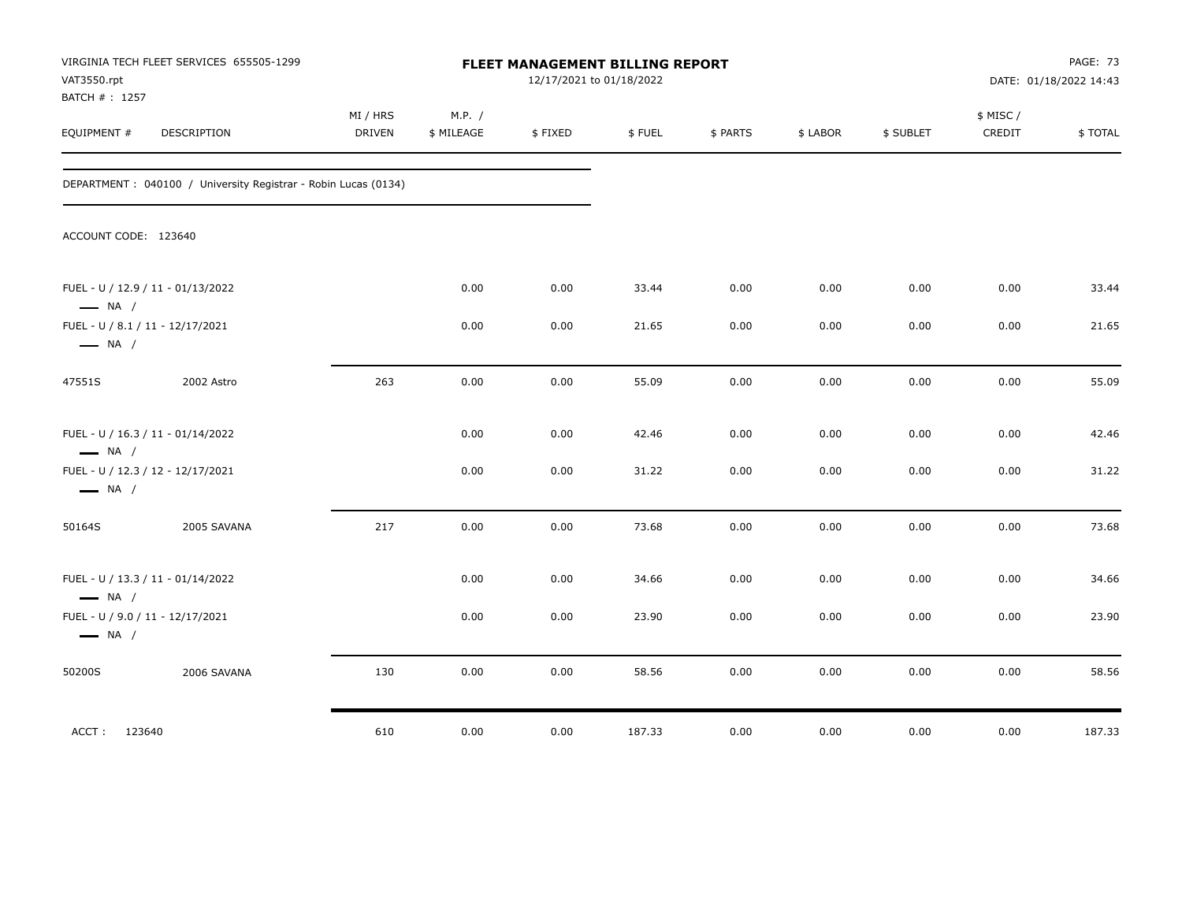| VAT3550.rpt<br>BATCH #: 1257 | VIRGINIA TECH FLEET SERVICES 655505-1299                        |                    |                      | FLEET MANAGEMENT BILLING REPORT<br>12/17/2021 to 01/18/2022 |        |          |          |           |                    | PAGE: 73<br>DATE: 01/18/2022 14:43 |
|------------------------------|-----------------------------------------------------------------|--------------------|----------------------|-------------------------------------------------------------|--------|----------|----------|-----------|--------------------|------------------------------------|
| EQUIPMENT #                  | DESCRIPTION                                                     | MI / HRS<br>DRIVEN | M.P. /<br>\$ MILEAGE | \$FIXED                                                     | \$FUEL | \$ PARTS | \$ LABOR | \$ SUBLET | \$ MISC/<br>CREDIT | \$TOTAL                            |
|                              | DEPARTMENT : 040100 / University Registrar - Robin Lucas (0134) |                    |                      |                                                             |        |          |          |           |                    |                                    |
|                              | ACCOUNT CODE: 123640                                            |                    |                      |                                                             |        |          |          |           |                    |                                    |
| $\longrightarrow$ NA /       | FUEL - U / 12.9 / 11 - 01/13/2022                               |                    | 0.00                 | 0.00                                                        | 33.44  | 0.00     | 0.00     | 0.00      | 0.00               | 33.44                              |
| $\longrightarrow$ NA /       | FUEL - U / 8.1 / 11 - 12/17/2021                                |                    | 0.00                 | 0.00                                                        | 21.65  | 0.00     | 0.00     | 0.00      | 0.00               | 21.65                              |
| 47551S                       | 2002 Astro                                                      | 263                | 0.00                 | 0.00                                                        | 55.09  | 0.00     | 0.00     | 0.00      | 0.00               | 55.09                              |
| $\longrightarrow$ NA /       | FUEL - U / 16.3 / 11 - 01/14/2022                               |                    | 0.00                 | 0.00                                                        | 42.46  | 0.00     | 0.00     | 0.00      | 0.00               | 42.46                              |
| $\longrightarrow$ NA /       | FUEL - U / 12.3 / 12 - 12/17/2021                               |                    | 0.00                 | 0.00                                                        | 31.22  | 0.00     | 0.00     | 0.00      | 0.00               | 31.22                              |
| 50164S                       | 2005 SAVANA                                                     | 217                | 0.00                 | 0.00                                                        | 73.68  | 0.00     | 0.00     | 0.00      | 0.00               | 73.68                              |
| $\longrightarrow$ NA /       | FUEL - U / 13.3 / 11 - 01/14/2022                               |                    | 0.00                 | 0.00                                                        | 34.66  | 0.00     | 0.00     | 0.00      | 0.00               | 34.66                              |
| $\longrightarrow$ NA /       | FUEL - U / 9.0 / 11 - 12/17/2021                                |                    | 0.00                 | 0.00                                                        | 23.90  | 0.00     | 0.00     | 0.00      | 0.00               | 23.90                              |
| 50200S                       | 2006 SAVANA                                                     | 130                | 0.00                 | 0.00                                                        | 58.56  | 0.00     | 0.00     | 0.00      | 0.00               | 58.56                              |
| ACCT: 123640                 |                                                                 | 610                | 0.00                 | 0.00                                                        | 187.33 | 0.00     | 0.00     | 0.00      | 0.00               | 187.33                             |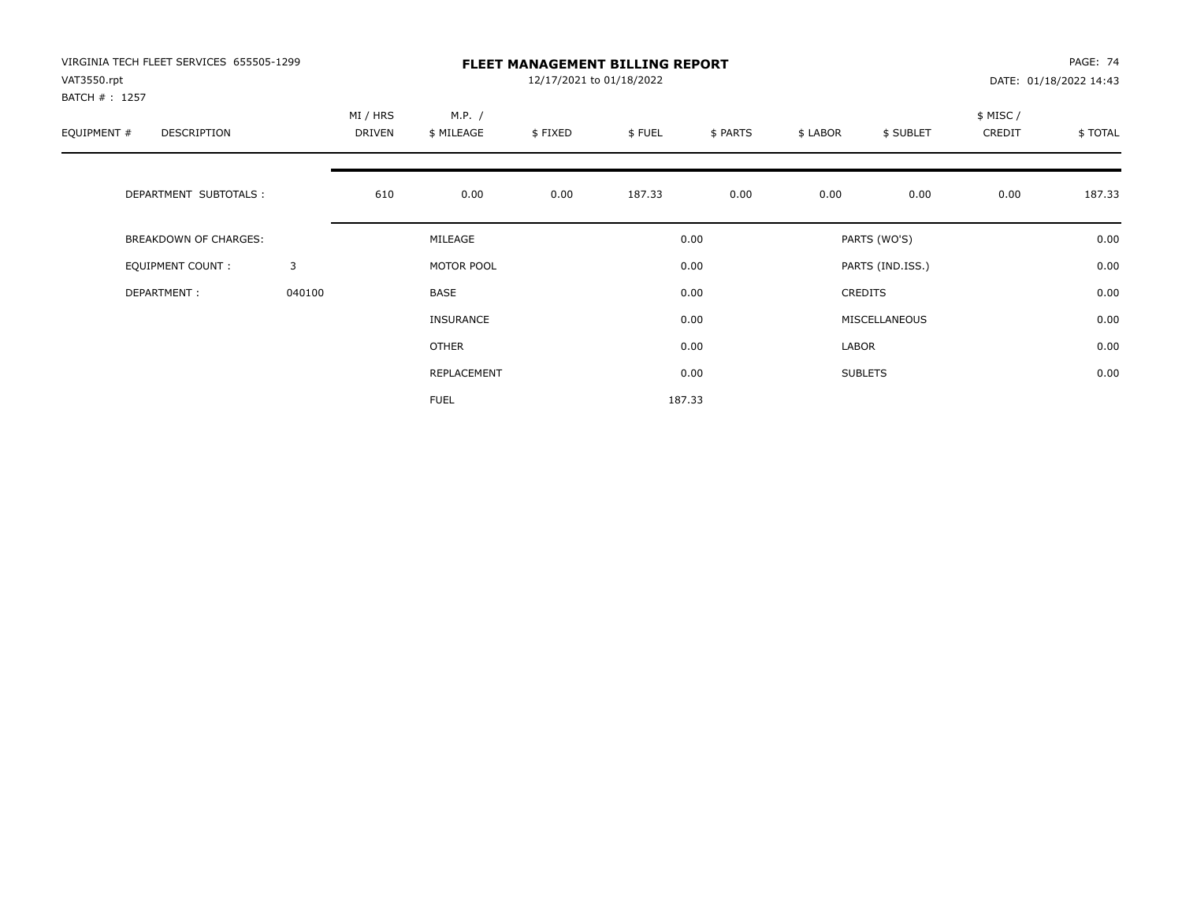| VIRGINIA TECH FLEET SERVICES 655505-1299 |              |                    | PAGE: 74<br><b>FLEET MANAGEMENT BILLING REPORT</b><br>12/17/2021 to 01/18/2022<br>DATE: 01/18/2022 14:43 |         |        |          |          |                  |                    |          |  |
|------------------------------------------|--------------|--------------------|----------------------------------------------------------------------------------------------------------|---------|--------|----------|----------|------------------|--------------------|----------|--|
| VAT3550.rpt<br>BATCH #: 1257             |              |                    |                                                                                                          |         |        |          |          |                  |                    |          |  |
| EQUIPMENT #<br>DESCRIPTION               |              | MI / HRS<br>DRIVEN | M.P. /<br>\$ MILEAGE                                                                                     | \$FIXED | \$FUEL | \$ PARTS | \$ LABOR | \$ SUBLET        | \$ MISC/<br>CREDIT | \$ TOTAL |  |
| DEPARTMENT SUBTOTALS :                   |              | 610                | 0.00                                                                                                     | 0.00    | 187.33 | 0.00     | 0.00     | 0.00             | 0.00               | 187.33   |  |
| BREAKDOWN OF CHARGES:                    |              |                    | MILEAGE                                                                                                  |         |        | 0.00     |          | PARTS (WO'S)     |                    | 0.00     |  |
| <b>EQUIPMENT COUNT:</b>                  | $\mathbf{3}$ |                    | MOTOR POOL                                                                                               |         |        | 0.00     |          | PARTS (IND.ISS.) |                    | 0.00     |  |
| DEPARTMENT:                              | 040100       |                    | <b>BASE</b>                                                                                              |         |        | 0.00     |          | <b>CREDITS</b>   |                    | 0.00     |  |
|                                          |              |                    | <b>INSURANCE</b>                                                                                         |         |        | 0.00     |          | MISCELLANEOUS    |                    | 0.00     |  |
|                                          |              |                    | OTHER                                                                                                    |         |        | 0.00     | LABOR    |                  |                    | 0.00     |  |
|                                          |              |                    | REPLACEMENT                                                                                              |         |        | 0.00     |          | <b>SUBLETS</b>   |                    | 0.00     |  |
|                                          |              |                    | <b>FUEL</b>                                                                                              |         |        | 187.33   |          |                  |                    |          |  |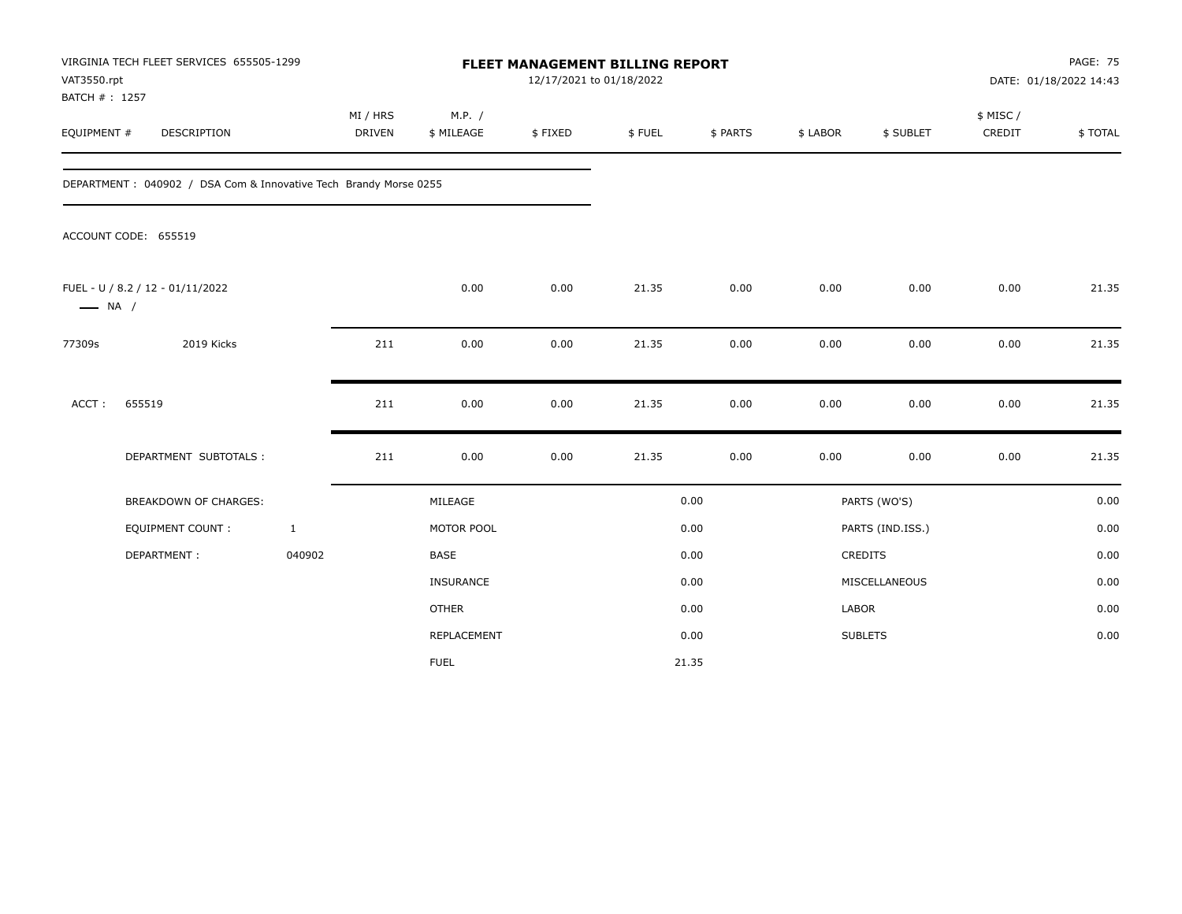| VAT3550.rpt<br>BATCH #: 1257 | VIRGINIA TECH FLEET SERVICES 655505-1299                          |                    |                      | <b>FLEET MANAGEMENT BILLING REPORT</b><br>12/17/2021 to 01/18/2022 |        |          |          |                  |                     | <b>PAGE: 75</b><br>DATE: 01/18/2022 14:43 |
|------------------------------|-------------------------------------------------------------------|--------------------|----------------------|--------------------------------------------------------------------|--------|----------|----------|------------------|---------------------|-------------------------------------------|
| EQUIPMENT #                  | DESCRIPTION                                                       | MI / HRS<br>DRIVEN | M.P. /<br>\$ MILEAGE | \$FIXED                                                            | \$FUEL | \$ PARTS | \$ LABOR | \$ SUBLET        | \$ MISC /<br>CREDIT | \$TOTAL                                   |
|                              | DEPARTMENT : 040902 / DSA Com & Innovative Tech Brandy Morse 0255 |                    |                      |                                                                    |        |          |          |                  |                     |                                           |
|                              | ACCOUNT CODE: 655519                                              |                    |                      |                                                                    |        |          |          |                  |                     |                                           |
| $\longrightarrow$ NA /       | FUEL - U / 8.2 / 12 - 01/11/2022                                  |                    | 0.00                 | 0.00                                                               | 21.35  | 0.00     | 0.00     | 0.00             | 0.00                | 21.35                                     |
| 77309s                       | 2019 Kicks                                                        | 211                | 0.00                 | 0.00                                                               | 21.35  | 0.00     | 0.00     | 0.00             | 0.00                | 21.35                                     |
| ACCT:                        | 655519                                                            | 211                | 0.00                 | 0.00                                                               | 21.35  | 0.00     | 0.00     | 0.00             | 0.00                | 21.35                                     |
|                              | DEPARTMENT SUBTOTALS :                                            | 211                | 0.00                 | 0.00                                                               | 21.35  | 0.00     | 0.00     | 0.00             | 0.00                | 21.35                                     |
|                              | <b>BREAKDOWN OF CHARGES:</b>                                      |                    | MILEAGE              |                                                                    |        | 0.00     |          | PARTS (WO'S)     |                     | 0.00                                      |
|                              | <b>EQUIPMENT COUNT:</b>                                           | $\mathbf{1}$       | MOTOR POOL           |                                                                    |        | 0.00     |          | PARTS (IND.ISS.) |                     | 0.00                                      |
|                              | DEPARTMENT:                                                       | 040902             | <b>BASE</b>          |                                                                    |        | 0.00     |          | CREDITS          |                     | 0.00                                      |
|                              |                                                                   |                    | INSURANCE            |                                                                    |        | 0.00     |          | MISCELLANEOUS    |                     | 0.00                                      |
|                              |                                                                   |                    | <b>OTHER</b>         |                                                                    |        | 0.00     | LABOR    |                  |                     | 0.00                                      |
|                              |                                                                   |                    | <b>REPLACEMENT</b>   |                                                                    |        | 0.00     |          | <b>SUBLETS</b>   |                     | 0.00                                      |
|                              |                                                                   |                    | <b>FUEL</b>          |                                                                    |        | 21.35    |          |                  |                     |                                           |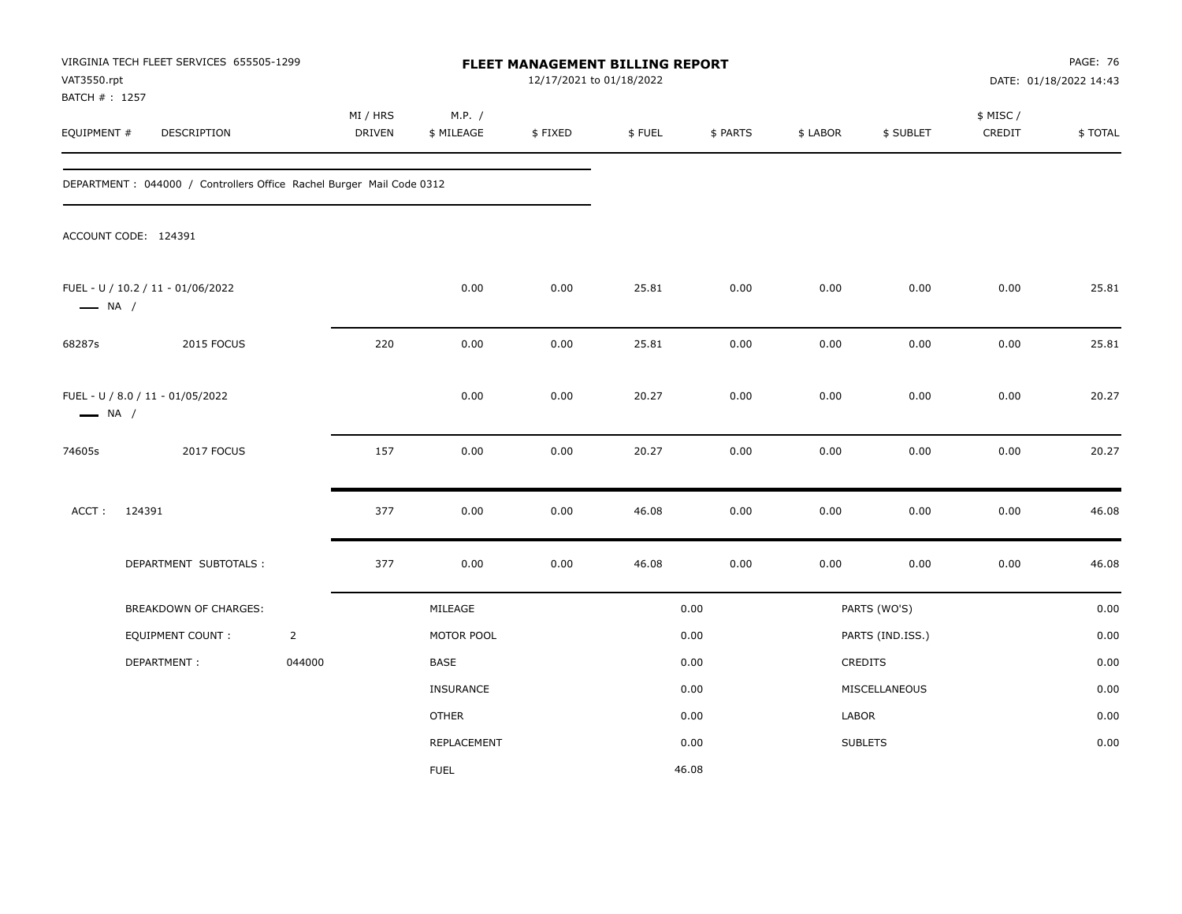| VAT3550.rpt                  | VIRGINIA TECH FLEET SERVICES 655505-1299                              |                |                           |                      | FLEET MANAGEMENT BILLING REPORT<br>12/17/2021 to 01/18/2022 |        |          |          |                  |                     | PAGE: 76<br>DATE: 01/18/2022 14:43 |
|------------------------------|-----------------------------------------------------------------------|----------------|---------------------------|----------------------|-------------------------------------------------------------|--------|----------|----------|------------------|---------------------|------------------------------------|
| BATCH #: 1257<br>EQUIPMENT # | DESCRIPTION                                                           |                | MI / HRS<br><b>DRIVEN</b> | M.P. /<br>\$ MILEAGE | \$FIXED                                                     | \$FUEL | \$ PARTS | \$ LABOR | \$ SUBLET        | \$ MISC /<br>CREDIT | \$TOTAL                            |
|                              | DEPARTMENT : 044000 / Controllers Office Rachel Burger Mail Code 0312 |                |                           |                      |                                                             |        |          |          |                  |                     |                                    |
|                              | ACCOUNT CODE: 124391                                                  |                |                           |                      |                                                             |        |          |          |                  |                     |                                    |
| $\longrightarrow$ NA /       | FUEL - U / 10.2 / 11 - 01/06/2022                                     |                |                           | 0.00                 | 0.00                                                        | 25.81  | 0.00     | 0.00     | 0.00             | 0.00                | 25.81                              |
| 68287s                       | 2015 FOCUS                                                            |                | 220                       | 0.00                 | 0.00                                                        | 25.81  | 0.00     | 0.00     | 0.00             | 0.00                | 25.81                              |
| $\longrightarrow$ NA /       | FUEL - U / 8.0 / 11 - 01/05/2022                                      |                |                           | 0.00                 | 0.00                                                        | 20.27  | 0.00     | 0.00     | 0.00             | 0.00                | 20.27                              |
| 74605s                       | 2017 FOCUS                                                            |                | 157                       | 0.00                 | 0.00                                                        | 20.27  | 0.00     | 0.00     | 0.00             | 0.00                | 20.27                              |
| ACCT:                        | 124391                                                                |                | 377                       | 0.00                 | 0.00                                                        | 46.08  | 0.00     | 0.00     | 0.00             | 0.00                | 46.08                              |
|                              | DEPARTMENT SUBTOTALS :                                                |                | 377                       | 0.00                 | 0.00                                                        | 46.08  | 0.00     | 0.00     | 0.00             | 0.00                | 46.08                              |
|                              | BREAKDOWN OF CHARGES:                                                 |                |                           | MILEAGE              |                                                             |        | 0.00     |          | PARTS (WO'S)     |                     | 0.00                               |
|                              | <b>EQUIPMENT COUNT:</b>                                               | $\overline{2}$ |                           | MOTOR POOL           |                                                             |        | 0.00     |          | PARTS (IND.ISS.) |                     | 0.00                               |
|                              | DEPARTMENT:                                                           | 044000         |                           | BASE                 |                                                             |        | 0.00     |          | CREDITS          |                     | 0.00                               |
|                              |                                                                       |                |                           | <b>INSURANCE</b>     |                                                             |        | 0.00     |          | MISCELLANEOUS    |                     | 0.00                               |
|                              |                                                                       |                |                           | <b>OTHER</b>         |                                                             |        | 0.00     | LABOR    |                  |                     | 0.00                               |
|                              |                                                                       |                |                           | REPLACEMENT          |                                                             |        | 0.00     |          | <b>SUBLETS</b>   |                     | 0.00                               |
|                              |                                                                       |                |                           | <b>FUEL</b>          |                                                             |        | 46.08    |          |                  |                     |                                    |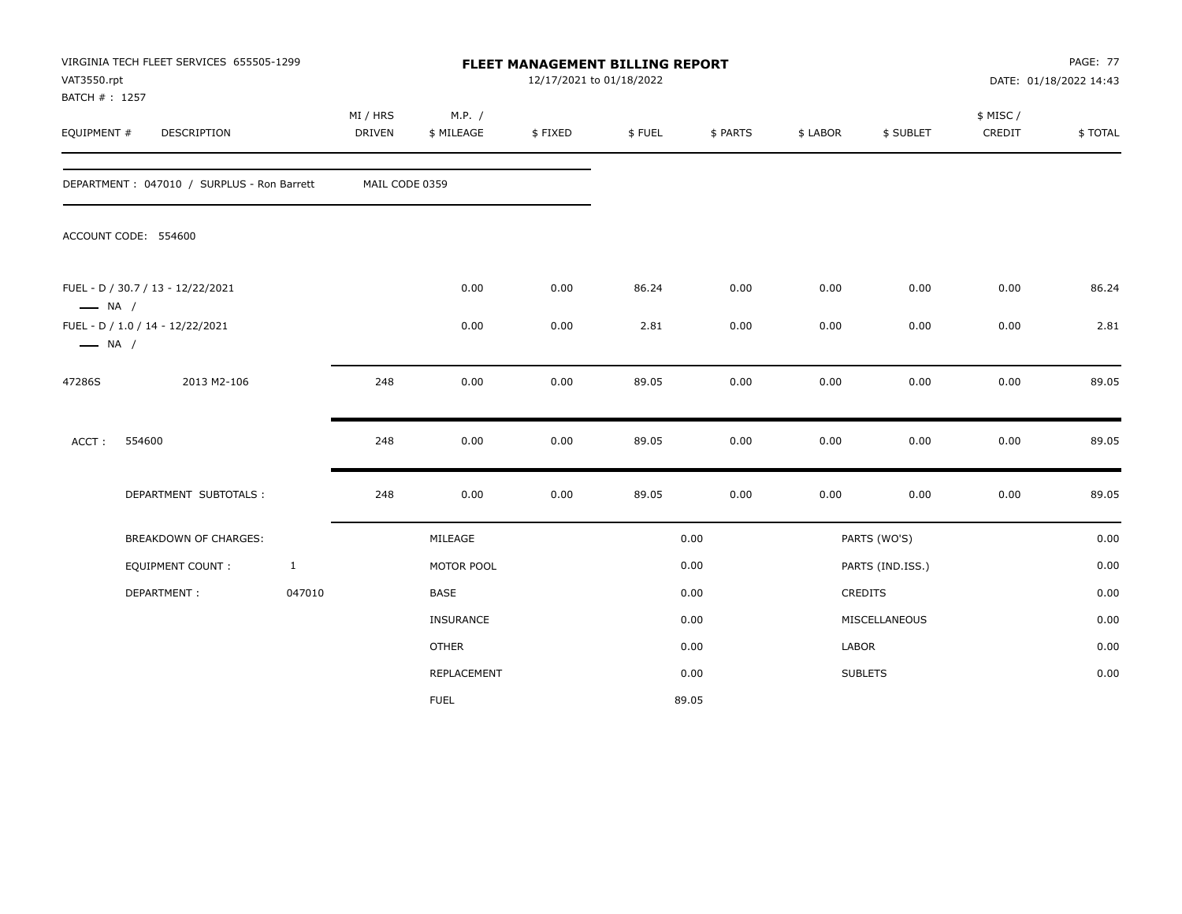| VAT3550.rpt<br>BATCH #: 1257 | VIRGINIA TECH FLEET SERVICES 655505-1299   |              |                           |                      | 12/17/2021 to 01/18/2022 | FLEET MANAGEMENT BILLING REPORT |          |          |                  |                    | <b>PAGE: 77</b><br>DATE: 01/18/2022 14:43 |
|------------------------------|--------------------------------------------|--------------|---------------------------|----------------------|--------------------------|---------------------------------|----------|----------|------------------|--------------------|-------------------------------------------|
| EQUIPMENT #                  | DESCRIPTION                                |              | MI / HRS<br><b>DRIVEN</b> | M.P. /<br>\$ MILEAGE | \$FIXED                  | \$FUEL                          | \$ PARTS | \$ LABOR | \$ SUBLET        | \$ MISC/<br>CREDIT | \$TOTAL                                   |
|                              | DEPARTMENT: 047010 / SURPLUS - Ron Barrett |              | MAIL CODE 0359            |                      |                          |                                 |          |          |                  |                    |                                           |
|                              | ACCOUNT CODE: 554600                       |              |                           |                      |                          |                                 |          |          |                  |                    |                                           |
| $\longrightarrow$ NA /       | FUEL - D / 30.7 / 13 - 12/22/2021          |              |                           | 0.00                 | 0.00                     | 86.24                           | 0.00     | 0.00     | 0.00             | 0.00               | 86.24                                     |
| $\longrightarrow$ NA /       | FUEL - D / 1.0 / 14 - 12/22/2021           |              |                           | 0.00                 | 0.00                     | 2.81                            | 0.00     | 0.00     | 0.00             | 0.00               | 2.81                                      |
| 47286S                       | 2013 M2-106                                |              | 248                       | 0.00                 | 0.00                     | 89.05                           | 0.00     | 0.00     | 0.00             | 0.00               | 89.05                                     |
| ACCT:                        | 554600                                     |              | 248                       | 0.00                 | 0.00                     | 89.05                           | 0.00     | 0.00     | 0.00             | 0.00               | 89.05                                     |
|                              | DEPARTMENT SUBTOTALS :                     |              | 248                       | 0.00                 | 0.00                     | 89.05                           | 0.00     | 0.00     | 0.00             | 0.00               | 89.05                                     |
|                              | <b>BREAKDOWN OF CHARGES:</b>               |              |                           | MILEAGE              |                          |                                 | 0.00     |          | PARTS (WO'S)     |                    | 0.00                                      |
|                              | <b>EQUIPMENT COUNT:</b>                    | $\mathbf{1}$ |                           | MOTOR POOL           |                          |                                 | 0.00     |          | PARTS (IND.ISS.) |                    | 0.00                                      |
|                              | DEPARTMENT:                                | 047010       |                           | BASE                 |                          |                                 | 0.00     |          | CREDITS          |                    | 0.00                                      |
|                              |                                            |              |                           | <b>INSURANCE</b>     |                          |                                 | 0.00     |          | MISCELLANEOUS    |                    | 0.00                                      |
|                              |                                            |              |                           | <b>OTHER</b>         |                          |                                 | 0.00     | LABOR    |                  |                    | 0.00                                      |
|                              |                                            |              |                           | REPLACEMENT          |                          |                                 | 0.00     |          | <b>SUBLETS</b>   |                    | 0.00                                      |
|                              |                                            |              |                           | <b>FUEL</b>          |                          |                                 | 89.05    |          |                  |                    |                                           |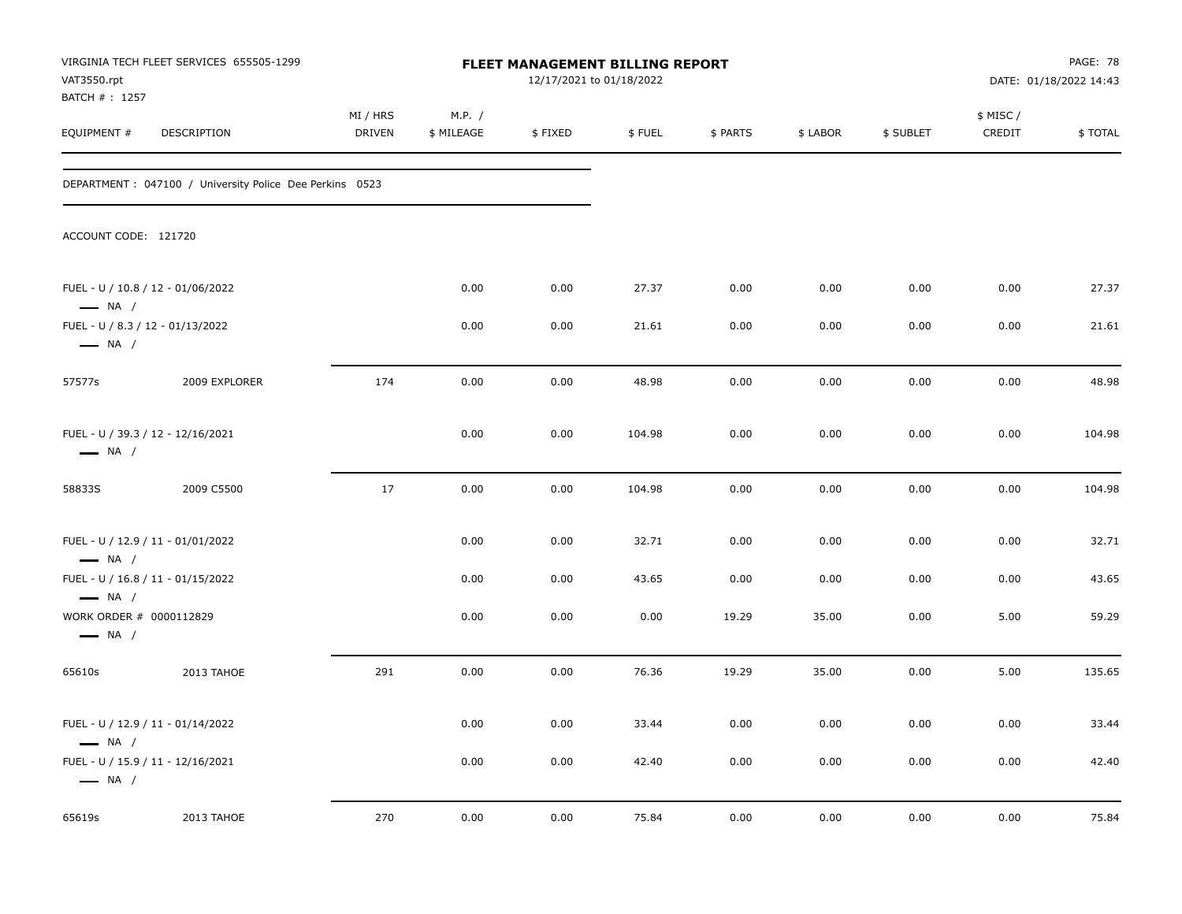| VAT3550.rpt                                                                 | VIRGINIA TECH FLEET SERVICES 655505-1299                 |                           |                      | <b>FLEET MANAGEMENT BILLING REPORT</b><br>12/17/2021 to 01/18/2022 |        |          |          |           |                     | PAGE: 78<br>DATE: 01/18/2022 14:43 |
|-----------------------------------------------------------------------------|----------------------------------------------------------|---------------------------|----------------------|--------------------------------------------------------------------|--------|----------|----------|-----------|---------------------|------------------------------------|
| BATCH #: 1257<br>EQUIPMENT #                                                | DESCRIPTION                                              | MI / HRS<br><b>DRIVEN</b> | M.P. /<br>\$ MILEAGE | \$FIXED                                                            | \$FUEL | \$ PARTS | \$ LABOR | \$ SUBLET | \$ MISC /<br>CREDIT | \$TOTAL                            |
|                                                                             | DEPARTMENT : 047100 / University Police Dee Perkins 0523 |                           |                      |                                                                    |        |          |          |           |                     |                                    |
| ACCOUNT CODE: 121720                                                        |                                                          |                           |                      |                                                                    |        |          |          |           |                     |                                    |
| $\longrightarrow$ NA /                                                      | FUEL - U / 10.8 / 12 - 01/06/2022                        |                           | 0.00                 | 0.00                                                               | 27.37  | 0.00     | 0.00     | 0.00      | 0.00                | 27.37                              |
| $\longrightarrow$ NA /                                                      | FUEL - U / 8.3 / 12 - 01/13/2022                         |                           | 0.00                 | 0.00                                                               | 21.61  | 0.00     | 0.00     | 0.00      | 0.00                | 21.61                              |
| 57577s                                                                      | 2009 EXPLORER                                            | 174                       | 0.00                 | 0.00                                                               | 48.98  | 0.00     | 0.00     | 0.00      | 0.00                | 48.98                              |
| $\longrightarrow$ NA /                                                      | FUEL - U / 39.3 / 12 - 12/16/2021                        |                           | 0.00                 | 0.00                                                               | 104.98 | 0.00     | 0.00     | 0.00      | 0.00                | 104.98                             |
| 58833S                                                                      | 2009 C5500                                               | 17                        | 0.00                 | 0.00                                                               | 104.98 | 0.00     | 0.00     | 0.00      | 0.00                | 104.98                             |
| $\longrightarrow$ NA /                                                      | FUEL - U / 12.9 / 11 - 01/01/2022                        |                           | 0.00                 | 0.00                                                               | 32.71  | 0.00     | 0.00     | 0.00      | 0.00                | 32.71                              |
|                                                                             | FUEL - U / 16.8 / 11 - 01/15/2022                        |                           | 0.00                 | 0.00                                                               | 43.65  | 0.00     | 0.00     | 0.00      | 0.00                | 43.65                              |
| $\longrightarrow$ NA /<br>WORK ORDER # 0000112829<br>$\longrightarrow$ NA / |                                                          |                           | 0.00                 | 0.00                                                               | 0.00   | 19.29    | 35.00    | 0.00      | 5.00                | 59.29                              |
| 65610s                                                                      | 2013 TAHOE                                               | 291                       | 0.00                 | 0.00                                                               | 76.36  | 19.29    | 35.00    | 0.00      | 5.00                | 135.65                             |
| $\longrightarrow$ NA /                                                      | FUEL - U / 12.9 / 11 - 01/14/2022                        |                           | 0.00                 | 0.00                                                               | 33.44  | 0.00     | 0.00     | 0.00      | 0.00                | 33.44                              |
| $\longrightarrow$ NA /                                                      | FUEL - U / 15.9 / 11 - 12/16/2021                        |                           | 0.00                 | 0.00                                                               | 42.40  | 0.00     | 0.00     | 0.00      | 0.00                | 42.40                              |
| 65619s                                                                      | 2013 TAHOE                                               | 270                       | 0.00                 | 0.00                                                               | 75.84  | 0.00     | 0.00     | 0.00      | 0.00                | 75.84                              |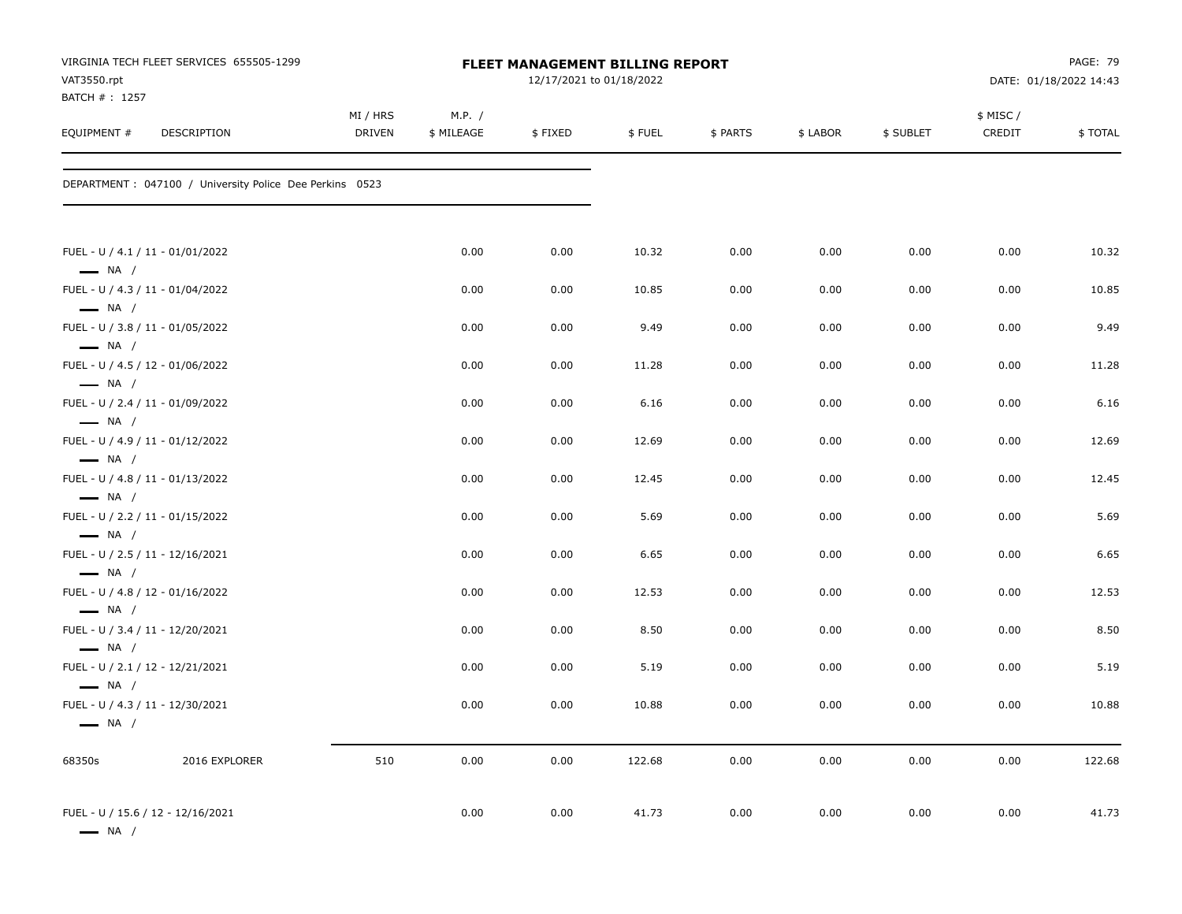|                               | VIRGINIA TECH FLEET SERVICES 655505-1299                 |                    |                      |         | FLEET MANAGEMENT BILLING REPORT |          |          |           |                    | <b>PAGE: 79</b>        |
|-------------------------------|----------------------------------------------------------|--------------------|----------------------|---------|---------------------------------|----------|----------|-----------|--------------------|------------------------|
| VAT3550.rpt<br>BATCH # : 1257 |                                                          |                    |                      |         | 12/17/2021 to 01/18/2022        |          |          |           |                    | DATE: 01/18/2022 14:43 |
| EQUIPMENT #                   | DESCRIPTION                                              | MI / HRS<br>DRIVEN | M.P. /<br>\$ MILEAGE | \$FIXED | \$FUEL                          | \$ PARTS | \$ LABOR | \$ SUBLET | \$ MISC/<br>CREDIT | \$TOTAL                |
|                               | DEPARTMENT : 047100 / University Police Dee Perkins 0523 |                    |                      |         |                                 |          |          |           |                    |                        |
| $\longrightarrow$ NA /        | FUEL - U / 4.1 / 11 - 01/01/2022                         |                    | 0.00                 | 0.00    | 10.32                           | 0.00     | 0.00     | 0.00      | 0.00               | 10.32                  |
| $\longrightarrow$ NA /        | FUEL - U / 4.3 / 11 - 01/04/2022                         |                    | 0.00                 | 0.00    | 10.85                           | 0.00     | 0.00     | 0.00      | 0.00               | 10.85                  |
| $\longrightarrow$ NA /        | FUEL - U / 3.8 / 11 - 01/05/2022                         |                    | 0.00                 | 0.00    | 9.49                            | 0.00     | 0.00     | 0.00      | 0.00               | 9.49                   |
| $\longrightarrow$ NA /        | FUEL - U / 4.5 / 12 - 01/06/2022                         |                    | 0.00                 | 0.00    | 11.28                           | 0.00     | 0.00     | 0.00      | 0.00               | 11.28                  |
| $\longrightarrow$ NA /        | FUEL - U / 2.4 / 11 - 01/09/2022                         |                    | 0.00                 | 0.00    | 6.16                            | 0.00     | 0.00     | 0.00      | 0.00               | 6.16                   |
| $-$ NA /                      | FUEL - U / 4.9 / 11 - 01/12/2022                         |                    | 0.00                 | 0.00    | 12.69                           | 0.00     | 0.00     | 0.00      | 0.00               | 12.69                  |
| $\longrightarrow$ NA /        | FUEL - U / 4.8 / 11 - 01/13/2022                         |                    | 0.00                 | 0.00    | 12.45                           | 0.00     | 0.00     | 0.00      | 0.00               | 12.45                  |
| $\longrightarrow$ NA /        | FUEL - U / 2.2 / 11 - 01/15/2022                         |                    | 0.00                 | 0.00    | 5.69                            | 0.00     | 0.00     | 0.00      | 0.00               | 5.69                   |
| $\longrightarrow$ NA /        | FUEL - U / 2.5 / 11 - 12/16/2021                         |                    | 0.00                 | 0.00    | 6.65                            | 0.00     | 0.00     | 0.00      | 0.00               | 6.65                   |
| $\longrightarrow$ NA /        | FUEL - U / 4.8 / 12 - 01/16/2022                         |                    | 0.00                 | 0.00    | 12.53                           | 0.00     | 0.00     | 0.00      | 0.00               | 12.53                  |
| $\longrightarrow$ NA /        | FUEL - U / 3.4 / 11 - 12/20/2021                         |                    | 0.00                 | 0.00    | 8.50                            | 0.00     | 0.00     | 0.00      | 0.00               | 8.50                   |
| $\longrightarrow$ NA /        | FUEL - U / 2.1 / 12 - 12/21/2021                         |                    | 0.00                 | 0.00    | 5.19                            | 0.00     | 0.00     | 0.00      | 0.00               | 5.19                   |
| $\longrightarrow$ NA /        | FUEL - U / 4.3 / 11 - 12/30/2021                         |                    | 0.00                 | 0.00    | 10.88                           | 0.00     | 0.00     | 0.00      | 0.00               | 10.88                  |
| 68350s                        | 2016 EXPLORER                                            | 510                | 0.00                 | 0.00    | 122.68                          | 0.00     | 0.00     | 0.00      | 0.00               | 122.68                 |
| $\longrightarrow$ NA /        | FUEL - U / 15.6 / 12 - 12/16/2021                        |                    | 0.00                 | 0.00    | 41.73                           | 0.00     | 0.00     | 0.00      | 0.00               | 41.73                  |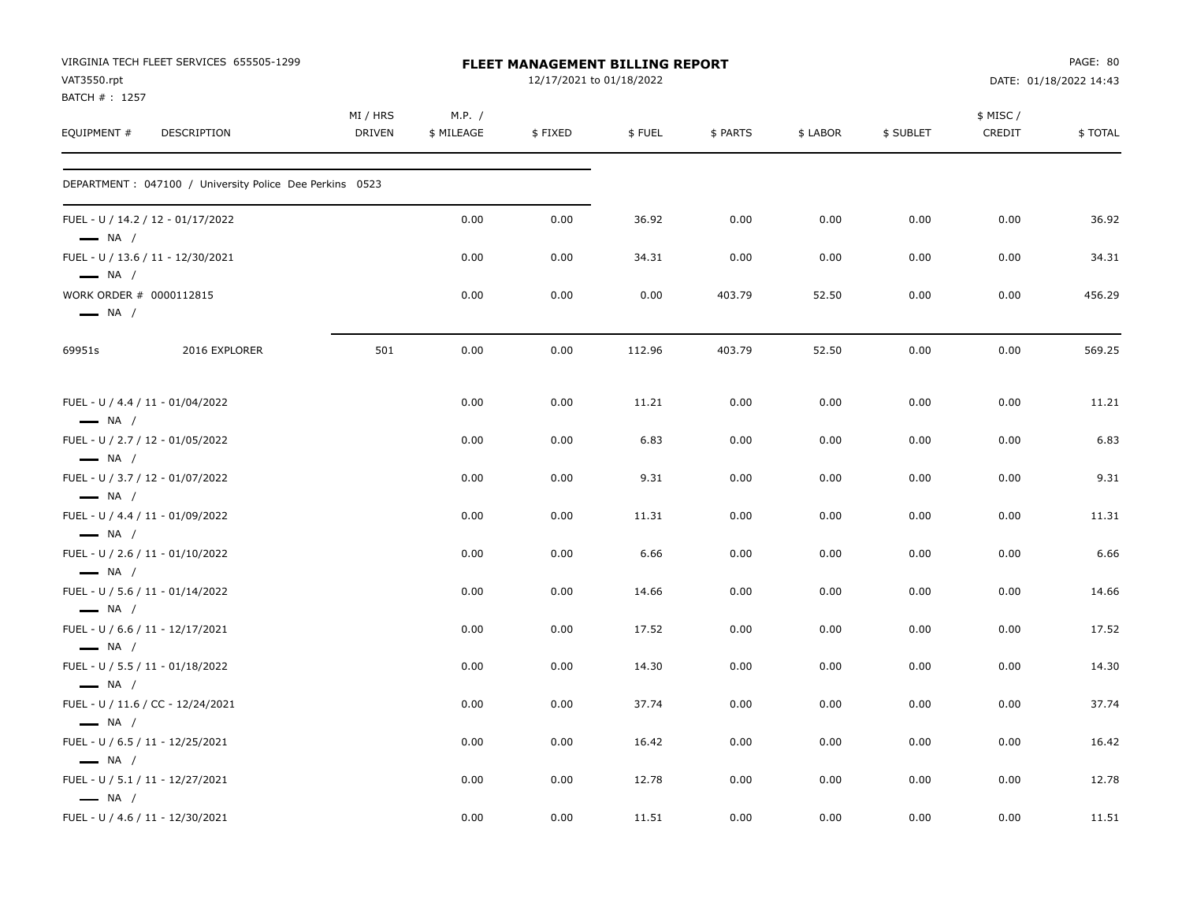| VAT3550.rpt                  | VIRGINIA TECH FLEET SERVICES 655505-1299                 |                           |                      | <b>FLEET MANAGEMENT BILLING REPORT</b><br>12/17/2021 to 01/18/2022 |        |          |          |           |                    | PAGE: 80<br>DATE: 01/18/2022 14:43 |
|------------------------------|----------------------------------------------------------|---------------------------|----------------------|--------------------------------------------------------------------|--------|----------|----------|-----------|--------------------|------------------------------------|
| BATCH #: 1257<br>EQUIPMENT # | DESCRIPTION                                              | MI / HRS<br><b>DRIVEN</b> | M.P. /<br>\$ MILEAGE | \$FIXED                                                            | \$FUEL | \$ PARTS | \$ LABOR | \$ SUBLET | \$ MISC/<br>CREDIT | \$TOTAL                            |
|                              | DEPARTMENT : 047100 / University Police Dee Perkins 0523 |                           |                      |                                                                    |        |          |          |           |                    |                                    |
| $\longrightarrow$ NA /       | FUEL - U / 14.2 / 12 - 01/17/2022                        |                           | 0.00                 | 0.00                                                               | 36.92  | 0.00     | 0.00     | 0.00      | 0.00               | 36.92                              |
| $\longrightarrow$ NA /       | FUEL - U / 13.6 / 11 - 12/30/2021                        |                           | 0.00                 | 0.00                                                               | 34.31  | 0.00     | 0.00     | 0.00      | 0.00               | 34.31                              |
| $\longrightarrow$ NA /       | WORK ORDER # 0000112815                                  |                           | 0.00                 | 0.00                                                               | 0.00   | 403.79   | 52.50    | 0.00      | 0.00               | 456.29                             |
| 69951s                       | 2016 EXPLORER                                            | 501                       | 0.00                 | 0.00                                                               | 112.96 | 403.79   | 52.50    | 0.00      | 0.00               | 569.25                             |
| $\longrightarrow$ NA /       | FUEL - U / 4.4 / 11 - 01/04/2022                         |                           | 0.00                 | 0.00                                                               | 11.21  | 0.00     | 0.00     | 0.00      | 0.00               | 11.21                              |
| $\longrightarrow$ NA /       | FUEL - U / 2.7 / 12 - 01/05/2022                         |                           | 0.00                 | 0.00                                                               | 6.83   | 0.00     | 0.00     | 0.00      | 0.00               | 6.83                               |
| $\longrightarrow$ NA /       | FUEL - U / 3.7 / 12 - 01/07/2022                         |                           | 0.00                 | 0.00                                                               | 9.31   | 0.00     | 0.00     | 0.00      | 0.00               | 9.31                               |
| $\longrightarrow$ NA /       | FUEL - U / 4.4 / 11 - 01/09/2022                         |                           | 0.00                 | 0.00                                                               | 11.31  | 0.00     | 0.00     | 0.00      | 0.00               | 11.31                              |
| $\longrightarrow$ NA /       | FUEL - U / 2.6 / 11 - 01/10/2022                         |                           | 0.00                 | 0.00                                                               | 6.66   | 0.00     | 0.00     | 0.00      | 0.00               | 6.66                               |
| $\longrightarrow$ NA /       | FUEL - U / 5.6 / 11 - 01/14/2022                         |                           | 0.00                 | 0.00                                                               | 14.66  | 0.00     | 0.00     | 0.00      | 0.00               | 14.66                              |
| $\longrightarrow$ NA /       | FUEL - U / 6.6 / 11 - 12/17/2021                         |                           | 0.00                 | 0.00                                                               | 17.52  | 0.00     | 0.00     | 0.00      | 0.00               | 17.52                              |
| $\longrightarrow$ NA /       | FUEL - U / 5.5 / 11 - 01/18/2022                         |                           | 0.00                 | 0.00                                                               | 14.30  | 0.00     | 0.00     | 0.00      | 0.00               | 14.30                              |
| $\longrightarrow$ NA /       | FUEL - U / 11.6 / CC - 12/24/2021                        |                           | 0.00                 | 0.00                                                               | 37.74  | 0.00     | 0.00     | 0.00      | 0.00               | 37.74                              |
| $\longrightarrow$ NA /       | FUEL - U / 6.5 / 11 - 12/25/2021                         |                           | 0.00                 | 0.00                                                               | 16.42  | 0.00     | 0.00     | 0.00      | 0.00               | 16.42                              |
| $\longrightarrow$ NA /       | FUEL - U / 5.1 / 11 - 12/27/2021                         |                           | 0.00                 | 0.00                                                               | 12.78  | 0.00     | 0.00     | 0.00      | 0.00               | 12.78                              |
|                              | FUEL - U / 4.6 / 11 - 12/30/2021                         |                           | 0.00                 | 0.00                                                               | 11.51  | 0.00     | 0.00     | 0.00      | 0.00               | 11.51                              |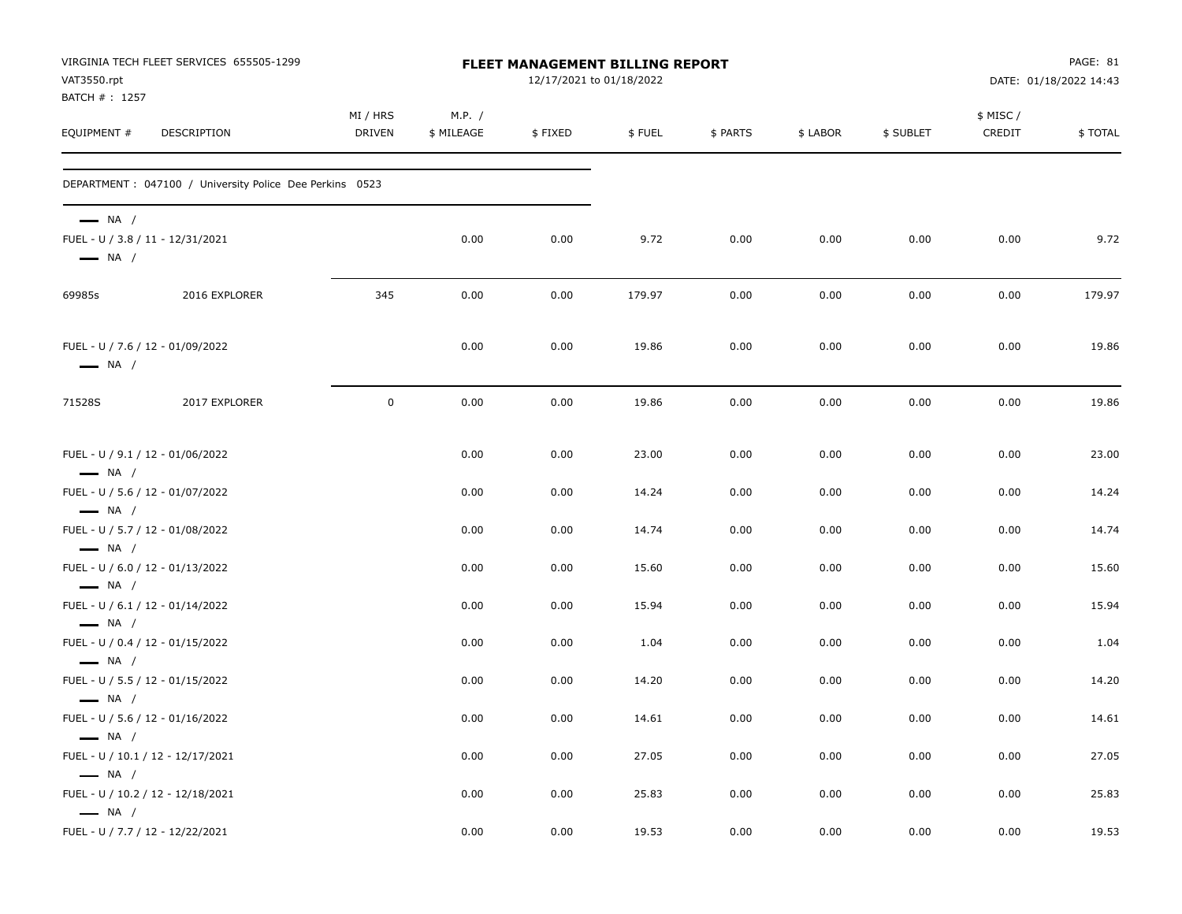| VAT3550.rpt                                      | VIRGINIA TECH FLEET SERVICES 655505-1299                 |                    |                      | FLEET MANAGEMENT BILLING REPORT<br>12/17/2021 to 01/18/2022 |        |          |          |           |                    | PAGE: 81<br>DATE: 01/18/2022 14:43 |
|--------------------------------------------------|----------------------------------------------------------|--------------------|----------------------|-------------------------------------------------------------|--------|----------|----------|-----------|--------------------|------------------------------------|
| BATCH #: 1257<br>EQUIPMENT #                     | DESCRIPTION                                              | MI / HRS<br>DRIVEN | M.P. /<br>\$ MILEAGE | \$FIXED                                                     | \$FUEL | \$ PARTS | \$ LABOR | \$ SUBLET | \$ MISC/<br>CREDIT | \$TOTAL                            |
|                                                  | DEPARTMENT : 047100 / University Police Dee Perkins 0523 |                    |                      |                                                             |        |          |          |           |                    |                                    |
| $\longrightarrow$ NA /<br>$\longrightarrow$ NA / | FUEL - U / 3.8 / 11 - 12/31/2021                         |                    | 0.00                 | 0.00                                                        | 9.72   | 0.00     | 0.00     | 0.00      | 0.00               | 9.72                               |
| 69985s                                           | 2016 EXPLORER                                            | 345                | 0.00                 | 0.00                                                        | 179.97 | 0.00     | 0.00     | 0.00      | 0.00               | 179.97                             |
| $\longrightarrow$ NA /                           | FUEL - U / 7.6 / 12 - 01/09/2022                         |                    | 0.00                 | 0.00                                                        | 19.86  | 0.00     | 0.00     | 0.00      | 0.00               | 19.86                              |
| 71528S                                           | 2017 EXPLORER                                            | $\mathbf 0$        | 0.00                 | 0.00                                                        | 19.86  | 0.00     | 0.00     | 0.00      | 0.00               | 19.86                              |
| $\longrightarrow$ NA /                           | FUEL - U / 9.1 / 12 - 01/06/2022                         |                    | 0.00                 | 0.00                                                        | 23.00  | 0.00     | 0.00     | 0.00      | 0.00               | 23.00                              |
|                                                  | FUEL - U / 5.6 / 12 - 01/07/2022                         |                    | 0.00                 | 0.00                                                        | 14.24  | 0.00     | 0.00     | 0.00      | 0.00               | 14.24                              |
| $\longrightarrow$ NA /<br>$\longrightarrow$ NA / | FUEL - U / 5.7 / 12 - 01/08/2022                         |                    | 0.00                 | 0.00                                                        | 14.74  | 0.00     | 0.00     | 0.00      | 0.00               | 14.74                              |
|                                                  | FUEL - U / 6.0 / 12 - 01/13/2022                         |                    | 0.00                 | 0.00                                                        | 15.60  | 0.00     | 0.00     | 0.00      | 0.00               | 15.60                              |
| $\longrightarrow$ NA /<br>$\longrightarrow$ NA / | FUEL - U / 6.1 / 12 - 01/14/2022                         |                    | 0.00                 | 0.00                                                        | 15.94  | 0.00     | 0.00     | 0.00      | 0.00               | 15.94                              |
|                                                  | FUEL - U / 0.4 / 12 - 01/15/2022                         |                    | 0.00                 | 0.00                                                        | 1.04   | 0.00     | 0.00     | 0.00      | 0.00               | 1.04                               |
| $\longrightarrow$ NA /<br>$\longrightarrow$ NA / | FUEL - U / 5.5 / 12 - 01/15/2022                         |                    | 0.00                 | 0.00                                                        | 14.20  | 0.00     | 0.00     | 0.00      | 0.00               | 14.20                              |
| $\longrightarrow$ NA /                           | FUEL - U / 5.6 / 12 - 01/16/2022                         |                    | 0.00                 | 0.00                                                        | 14.61  | 0.00     | 0.00     | 0.00      | 0.00               | 14.61                              |
| $\longrightarrow$ NA /                           | FUEL - U / 10.1 / 12 - 12/17/2021                        |                    | 0.00                 | 0.00                                                        | 27.05  | 0.00     | 0.00     | 0.00      | 0.00               | 27.05                              |
| $\longrightarrow$ NA /                           | FUEL - U / 10.2 / 12 - 12/18/2021                        |                    | 0.00                 | 0.00                                                        | 25.83  | 0.00     | 0.00     | 0.00      | 0.00               | 25.83                              |
|                                                  | FUEL - U / 7.7 / 12 - 12/22/2021                         |                    | 0.00                 | 0.00                                                        | 19.53  | 0.00     | 0.00     | 0.00      | 0.00               | 19.53                              |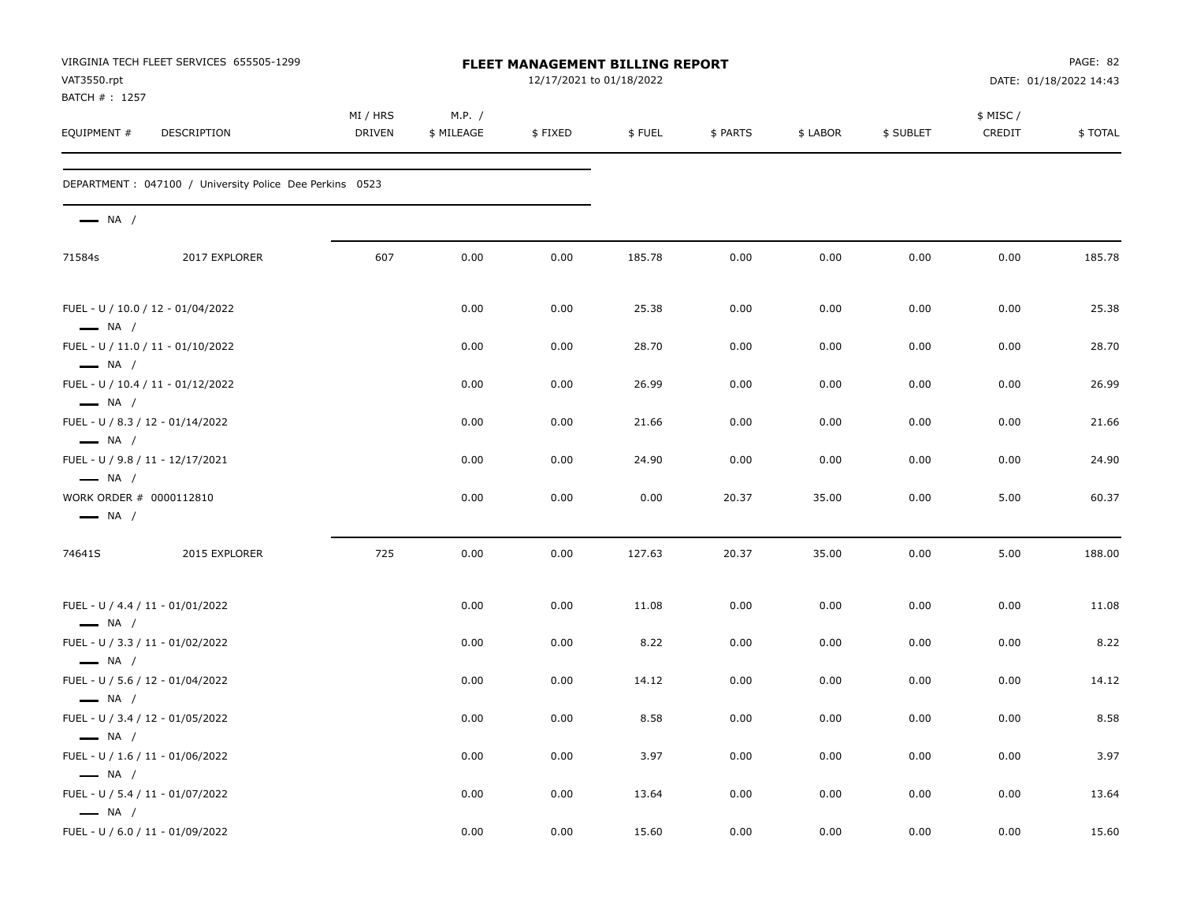| VAT3550.rpt                                                | VIRGINIA TECH FLEET SERVICES 655505-1299                 |                    |                      | FLEET MANAGEMENT BILLING REPORT<br>12/17/2021 to 01/18/2022 |        |          |          |           |                     | PAGE: 82<br>DATE: 01/18/2022 14:43 |
|------------------------------------------------------------|----------------------------------------------------------|--------------------|----------------------|-------------------------------------------------------------|--------|----------|----------|-----------|---------------------|------------------------------------|
| BATCH #: 1257<br>EQUIPMENT #                               | DESCRIPTION                                              | MI / HRS<br>DRIVEN | M.P. /<br>\$ MILEAGE | \$FIXED                                                     | \$FUEL | \$ PARTS | \$ LABOR | \$ SUBLET | \$ MISC /<br>CREDIT | \$TOTAL                            |
|                                                            | DEPARTMENT : 047100 / University Police Dee Perkins 0523 |                    |                      |                                                             |        |          |          |           |                     |                                    |
| $\longrightarrow$ NA /                                     |                                                          |                    |                      |                                                             |        |          |          |           |                     |                                    |
| 71584s                                                     | 2017 EXPLORER                                            | 607                | 0.00                 | 0.00                                                        | 185.78 | 0.00     | 0.00     | 0.00      | 0.00                | 185.78                             |
| $\longrightarrow$ NA /                                     | FUEL - U / 10.0 / 12 - 01/04/2022                        |                    | 0.00                 | 0.00                                                        | 25.38  | 0.00     | 0.00     | 0.00      | 0.00                | 25.38                              |
| $\longrightarrow$ NA /                                     | FUEL - U / 11.0 / 11 - 01/10/2022                        |                    | 0.00                 | 0.00                                                        | 28.70  | 0.00     | 0.00     | 0.00      | 0.00                | 28.70                              |
| $\longrightarrow$ NA /                                     | FUEL - U / 10.4 / 11 - 01/12/2022                        |                    | 0.00                 | 0.00                                                        | 26.99  | 0.00     | 0.00     | 0.00      | 0.00                | 26.99                              |
| $\longrightarrow$ NA /                                     | FUEL - U / 8.3 / 12 - 01/14/2022                         |                    | 0.00                 | 0.00                                                        | 21.66  | 0.00     | 0.00     | 0.00      | 0.00                | 21.66                              |
| FUEL - U / 9.8 / 11 - 12/17/2021<br>$\longrightarrow$ NA / |                                                          |                    | 0.00                 | 0.00                                                        | 24.90  | 0.00     | 0.00     | 0.00      | 0.00                | 24.90                              |
| WORK ORDER # 0000112810<br>$\longrightarrow$ NA /          |                                                          |                    | 0.00                 | 0.00                                                        | 0.00   | 20.37    | 35.00    | 0.00      | 5.00                | 60.37                              |
| 74641S                                                     | 2015 EXPLORER                                            | 725                | 0.00                 | 0.00                                                        | 127.63 | 20.37    | 35.00    | 0.00      | 5.00                | 188.00                             |
| $\longrightarrow$ NA /                                     | FUEL - U / 4.4 / 11 - 01/01/2022                         |                    | 0.00                 | 0.00                                                        | 11.08  | 0.00     | 0.00     | 0.00      | 0.00                | 11.08                              |
| $\longrightarrow$ NA /                                     | FUEL - U / 3.3 / 11 - 01/02/2022                         |                    | 0.00                 | 0.00                                                        | 8.22   | 0.00     | 0.00     | 0.00      | 0.00                | 8.22                               |
|                                                            | FUEL - U / 5.6 / 12 - 01/04/2022                         |                    | 0.00                 | 0.00                                                        | 14.12  | 0.00     | 0.00     | 0.00      | 0.00                | 14.12                              |
| $\longrightarrow$ NA /<br>FUEL - U / 3.4 / 12 - 01/05/2022 |                                                          |                    | 0.00                 | 0.00                                                        | 8.58   | 0.00     | 0.00     | 0.00      | 0.00                | 8.58                               |
| $-$ NA $/$                                                 | FUEL - U / 1.6 / 11 - 01/06/2022                         |                    | 0.00                 | 0.00                                                        | 3.97   | 0.00     | 0.00     | 0.00      | 0.00                | 3.97                               |
| $\longrightarrow$ NA /                                     | FUEL - U / 5.4 / 11 - 01/07/2022                         |                    | 0.00                 | 0.00                                                        | 13.64  | 0.00     | 0.00     | 0.00      | 0.00                | 13.64                              |
| $\longrightarrow$ NA /                                     | FUEL - U / 6.0 / 11 - 01/09/2022                         |                    | 0.00                 | 0.00                                                        | 15.60  | 0.00     | 0.00     | 0.00      | 0.00                | 15.60                              |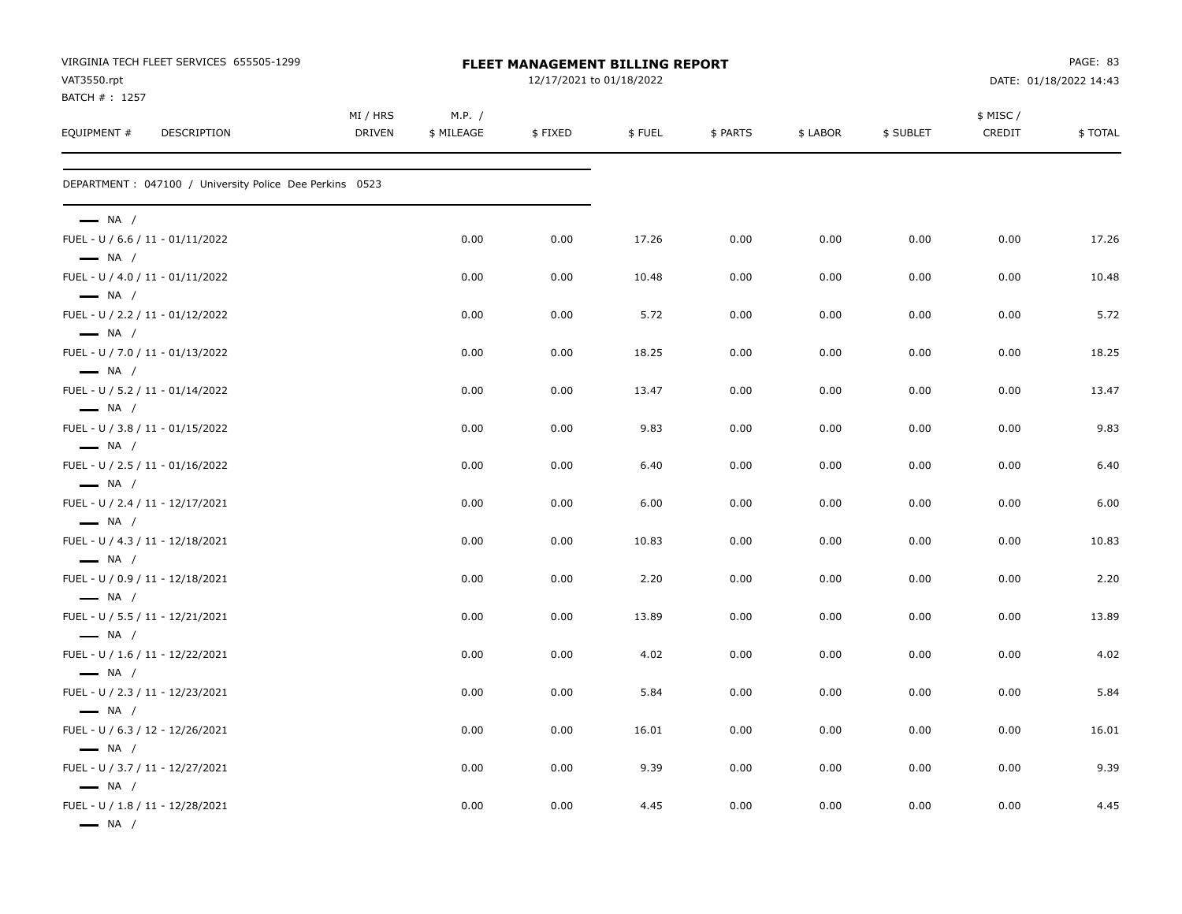|                                                            | VIRGINIA TECH FLEET SERVICES 655505-1299                 |                           |                      | <b>FLEET MANAGEMENT BILLING REPORT</b> |        |          |          |           |                     | PAGE: 83               |
|------------------------------------------------------------|----------------------------------------------------------|---------------------------|----------------------|----------------------------------------|--------|----------|----------|-----------|---------------------|------------------------|
| VAT3550.rpt<br>BATCH #: 1257                               |                                                          |                           |                      | 12/17/2021 to 01/18/2022               |        |          |          |           |                     | DATE: 01/18/2022 14:43 |
| EQUIPMENT #                                                | DESCRIPTION                                              | MI / HRS<br><b>DRIVEN</b> | M.P. /<br>\$ MILEAGE | \$FIXED                                | \$FUEL | \$ PARTS | \$ LABOR | \$ SUBLET | \$ MISC /<br>CREDIT | \$TOTAL                |
|                                                            | DEPARTMENT : 047100 / University Police Dee Perkins 0523 |                           |                      |                                        |        |          |          |           |                     |                        |
| $\longrightarrow$ NA /<br>FUEL - U / 6.6 / 11 - 01/11/2022 |                                                          |                           | 0.00                 | 0.00                                   | 17.26  | 0.00     | 0.00     | 0.00      | 0.00                | 17.26                  |
| $\longrightarrow$ NA /                                     |                                                          |                           |                      |                                        |        |          |          |           |                     |                        |
| FUEL - U / 4.0 / 11 - 01/11/2022<br>$\longrightarrow$ NA / |                                                          |                           | 0.00                 | 0.00                                   | 10.48  | 0.00     | 0.00     | 0.00      | 0.00                | 10.48                  |
| FUEL - U / 2.2 / 11 - 01/12/2022<br>$\longrightarrow$ NA / |                                                          |                           | 0.00                 | 0.00                                   | 5.72   | 0.00     | 0.00     | 0.00      | 0.00                | 5.72                   |
| FUEL - U / 7.0 / 11 - 01/13/2022<br>$\longrightarrow$ NA / |                                                          |                           | 0.00                 | 0.00                                   | 18.25  | 0.00     | 0.00     | 0.00      | 0.00                | 18.25                  |
| FUEL - U / 5.2 / 11 - 01/14/2022<br>$\longrightarrow$ NA / |                                                          |                           | 0.00                 | 0.00                                   | 13.47  | 0.00     | 0.00     | 0.00      | 0.00                | 13.47                  |
| FUEL - U / 3.8 / 11 - 01/15/2022<br>$\longrightarrow$ NA / |                                                          |                           | 0.00                 | 0.00                                   | 9.83   | 0.00     | 0.00     | 0.00      | 0.00                | 9.83                   |
| FUEL - U / 2.5 / 11 - 01/16/2022                           |                                                          |                           | 0.00                 | 0.00                                   | 6.40   | 0.00     | 0.00     | 0.00      | 0.00                | 6.40                   |
| $\longrightarrow$ NA /<br>FUEL - U / 2.4 / 11 - 12/17/2021 |                                                          |                           | 0.00                 | 0.00                                   | 6.00   | 0.00     | 0.00     | 0.00      | 0.00                | 6.00                   |
| $\longrightarrow$ NA /<br>FUEL - U / 4.3 / 11 - 12/18/2021 |                                                          |                           | 0.00                 | 0.00                                   | 10.83  | 0.00     | 0.00     | 0.00      | 0.00                | 10.83                  |
| $\longrightarrow$ NA /<br>FUEL - U / 0.9 / 11 - 12/18/2021 |                                                          |                           | 0.00                 | 0.00                                   | 2.20   | 0.00     | 0.00     | 0.00      | 0.00                | 2.20                   |
| $\longrightarrow$ NA /<br>FUEL - U / 5.5 / 11 - 12/21/2021 |                                                          |                           | 0.00                 | 0.00                                   | 13.89  | 0.00     | 0.00     | 0.00      | 0.00                | 13.89                  |
| $\longrightarrow$ NA /<br>FUEL - U / 1.6 / 11 - 12/22/2021 |                                                          |                           | 0.00                 | 0.00                                   | 4.02   | 0.00     | 0.00     | 0.00      | 0.00                | 4.02                   |
| $\longrightarrow$ NA /<br>FUEL - U / 2.3 / 11 - 12/23/2021 |                                                          |                           | 0.00                 | 0.00                                   | 5.84   | 0.00     | 0.00     | 0.00      | 0.00                | 5.84                   |
| $\longrightarrow$ NA /<br>FUEL - U / 6.3 / 12 - 12/26/2021 |                                                          |                           | 0.00                 | 0.00                                   | 16.01  | 0.00     | 0.00     | 0.00      | 0.00                | 16.01                  |
| $\longrightarrow$ NA /<br>FUEL - U / 3.7 / 11 - 12/27/2021 |                                                          |                           | 0.00                 | 0.00                                   | 9.39   | 0.00     | 0.00     | 0.00      | 0.00                | 9.39                   |
| $\longrightarrow$ NA /<br>FUEL - U / 1.8 / 11 - 12/28/2021 |                                                          |                           | 0.00                 | 0.00                                   | 4.45   | 0.00     | 0.00     | 0.00      | 0.00                | 4.45                   |
| $\longrightarrow$ NA /                                     |                                                          |                           |                      |                                        |        |          |          |           |                     |                        |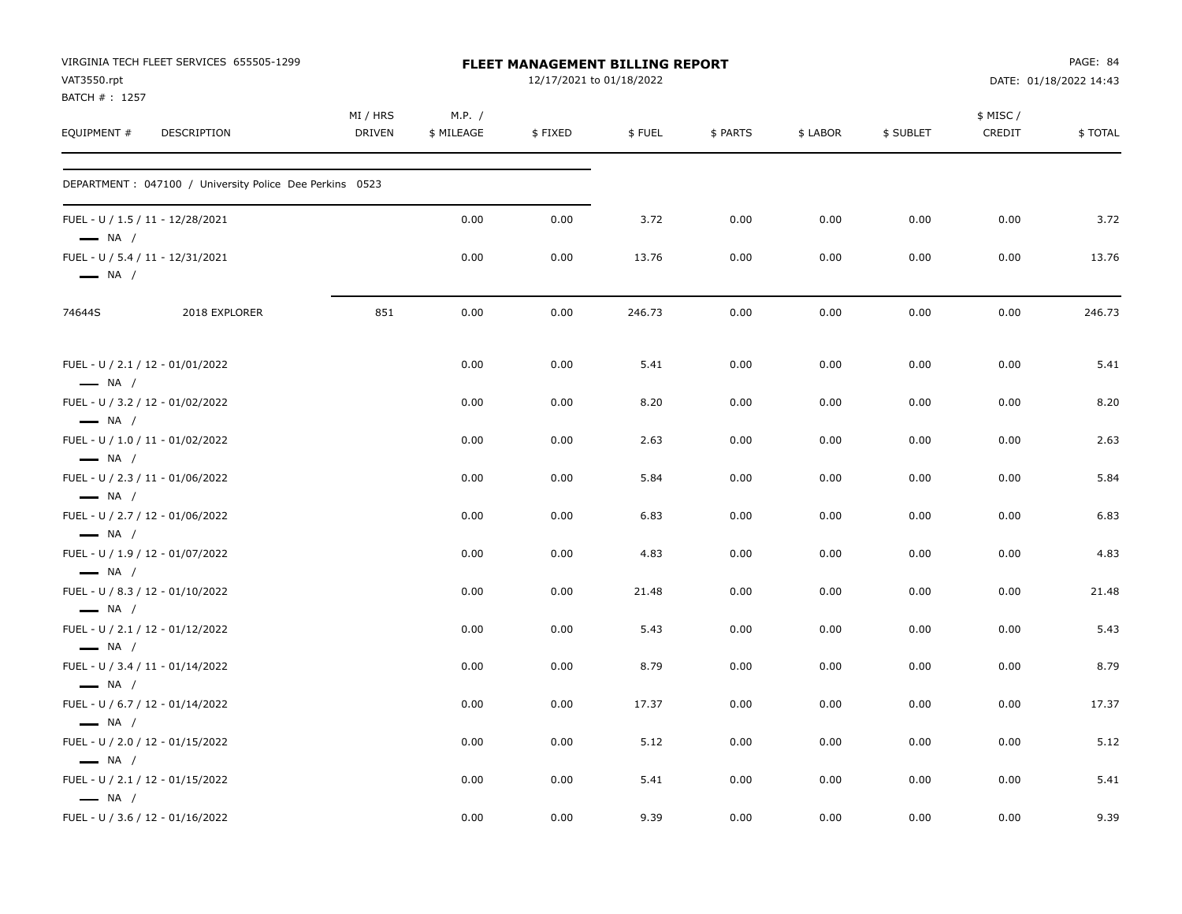| VAT3550.rpt                  | VIRGINIA TECH FLEET SERVICES 655505-1299                 |                           |                      | <b>FLEET MANAGEMENT BILLING REPORT</b><br>12/17/2021 to 01/18/2022 |        |          |          |           |                    | PAGE: 84<br>DATE: 01/18/2022 14:43 |
|------------------------------|----------------------------------------------------------|---------------------------|----------------------|--------------------------------------------------------------------|--------|----------|----------|-----------|--------------------|------------------------------------|
| BATCH #: 1257<br>EQUIPMENT # | DESCRIPTION                                              | MI / HRS<br><b>DRIVEN</b> | M.P. /<br>\$ MILEAGE | \$FIXED                                                            | \$FUEL | \$ PARTS | \$ LABOR | \$ SUBLET | \$ MISC/<br>CREDIT | \$TOTAL                            |
|                              | DEPARTMENT : 047100 / University Police Dee Perkins 0523 |                           |                      |                                                                    |        |          |          |           |                    |                                    |
| $\longrightarrow$ NA /       | FUEL - U / 1.5 / 11 - 12/28/2021                         |                           | 0.00                 | 0.00                                                               | 3.72   | 0.00     | 0.00     | 0.00      | 0.00               | 3.72                               |
| $\longrightarrow$ NA /       | FUEL - U / 5.4 / 11 - 12/31/2021                         |                           | 0.00                 | 0.00                                                               | 13.76  | 0.00     | 0.00     | 0.00      | 0.00               | 13.76                              |
| 74644S                       | 2018 EXPLORER                                            | 851                       | 0.00                 | 0.00                                                               | 246.73 | 0.00     | 0.00     | 0.00      | 0.00               | 246.73                             |
| $\longrightarrow$ NA /       | FUEL - U / 2.1 / 12 - 01/01/2022                         |                           | 0.00                 | 0.00                                                               | 5.41   | 0.00     | 0.00     | 0.00      | 0.00               | 5.41                               |
|                              | FUEL - U / 3.2 / 12 - 01/02/2022                         |                           | 0.00                 | 0.00                                                               | 8.20   | 0.00     | 0.00     | 0.00      | 0.00               | 8.20                               |
| $\longrightarrow$ NA /       | FUEL - U / 1.0 / 11 - 01/02/2022                         |                           | 0.00                 | 0.00                                                               | 2.63   | 0.00     | 0.00     | 0.00      | 0.00               | 2.63                               |
| $\longrightarrow$ NA /       | FUEL - U / 2.3 / 11 - 01/06/2022                         |                           | 0.00                 | 0.00                                                               | 5.84   | 0.00     | 0.00     | 0.00      | 0.00               | 5.84                               |
| $\longrightarrow$ NA /       | FUEL - U / 2.7 / 12 - 01/06/2022                         |                           | 0.00                 | 0.00                                                               | 6.83   | 0.00     | 0.00     | 0.00      | 0.00               | 6.83                               |
| $\longrightarrow$ NA /       | FUEL - U / 1.9 / 12 - 01/07/2022                         |                           | 0.00                 | 0.00                                                               | 4.83   | 0.00     | 0.00     | 0.00      | 0.00               | 4.83                               |
| $\longrightarrow$ NA /       | FUEL - U / 8.3 / 12 - 01/10/2022                         |                           | 0.00                 | 0.00                                                               | 21.48  | 0.00     | 0.00     | 0.00      | 0.00               | 21.48                              |
| $\longrightarrow$ NA /       | FUEL - U / 2.1 / 12 - 01/12/2022                         |                           | 0.00                 | 0.00                                                               | 5.43   | 0.00     | 0.00     | 0.00      | 0.00               | 5.43                               |
| $\longrightarrow$ NA /       | FUEL - U / 3.4 / 11 - 01/14/2022                         |                           | 0.00                 | 0.00                                                               | 8.79   | 0.00     | 0.00     | 0.00      | 0.00               | 8.79                               |
| $\longrightarrow$ NA /       | FUEL - U / 6.7 / 12 - 01/14/2022                         |                           | 0.00                 | 0.00                                                               | 17.37  | 0.00     | 0.00     | 0.00      | 0.00               | 17.37                              |
| $\longrightarrow$ NA /       | FUEL - U / 2.0 / 12 - 01/15/2022                         |                           | 0.00                 | 0.00                                                               | 5.12   | 0.00     | 0.00     | 0.00      | 0.00               | 5.12                               |
| $\longrightarrow$ NA /       | FUEL - U / 2.1 / 12 - 01/15/2022                         |                           | 0.00                 | 0.00                                                               | 5.41   | 0.00     | 0.00     | 0.00      | 0.00               | 5.41                               |
| $\longrightarrow$ NA /       | FUEL - U / 3.6 / 12 - 01/16/2022                         |                           | 0.00                 | 0.00                                                               | 9.39   | 0.00     | 0.00     | 0.00      | 0.00               | 9.39                               |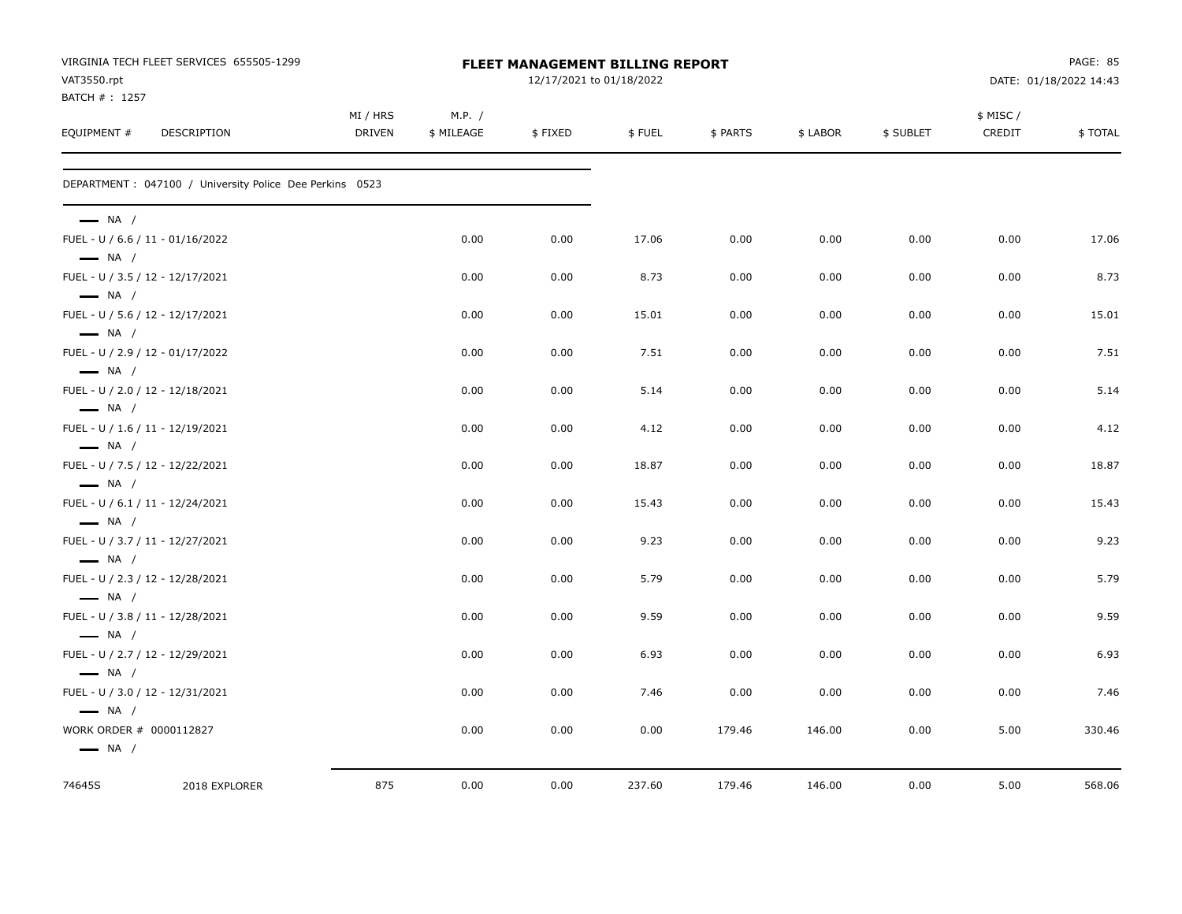|                                                            | VIRGINIA TECH FLEET SERVICES 655505-1299                 |                           |                      | <b>FLEET MANAGEMENT BILLING REPORT</b> |        |          |          |           |                    | PAGE: 85               |
|------------------------------------------------------------|----------------------------------------------------------|---------------------------|----------------------|----------------------------------------|--------|----------|----------|-----------|--------------------|------------------------|
| VAT3550.rpt<br>BATCH #: 1257                               |                                                          |                           |                      | 12/17/2021 to 01/18/2022               |        |          |          |           |                    | DATE: 01/18/2022 14:43 |
| EQUIPMENT #                                                | DESCRIPTION                                              | MI / HRS<br><b>DRIVEN</b> | M.P. /<br>\$ MILEAGE | \$FIXED                                | \$FUEL | \$ PARTS | \$ LABOR | \$ SUBLET | \$ MISC/<br>CREDIT | \$TOTAL                |
|                                                            | DEPARTMENT : 047100 / University Police Dee Perkins 0523 |                           |                      |                                        |        |          |          |           |                    |                        |
| $\longrightarrow$ NA /                                     |                                                          |                           |                      |                                        |        |          |          |           |                    |                        |
| $\longrightarrow$ NA /                                     | FUEL - U / 6.6 / 11 - 01/16/2022                         |                           | 0.00                 | 0.00                                   | 17.06  | 0.00     | 0.00     | 0.00      | 0.00               | 17.06                  |
|                                                            | FUEL - U / 3.5 / 12 - 12/17/2021                         |                           | 0.00                 | 0.00                                   | 8.73   | 0.00     | 0.00     | 0.00      | 0.00               | 8.73                   |
| $\longrightarrow$ NA /                                     | FUEL - U / 5.6 / 12 - 12/17/2021                         |                           | 0.00                 | 0.00                                   | 15.01  | 0.00     | 0.00     | 0.00      | 0.00               | 15.01                  |
| $\longrightarrow$ NA /                                     |                                                          |                           |                      |                                        |        |          |          |           |                    |                        |
| $\longrightarrow$ NA /                                     | FUEL - U / 2.9 / 12 - 01/17/2022                         |                           | 0.00                 | 0.00                                   | 7.51   | 0.00     | 0.00     | 0.00      | 0.00               | 7.51                   |
| FUEL - U / 2.0 / 12 - 12/18/2021<br>$\longrightarrow$ NA / |                                                          |                           | 0.00                 | 0.00                                   | 5.14   | 0.00     | 0.00     | 0.00      | 0.00               | 5.14                   |
| FUEL - U / 1.6 / 11 - 12/19/2021                           |                                                          |                           | 0.00                 | 0.00                                   | 4.12   | 0.00     | 0.00     | 0.00      | 0.00               | 4.12                   |
| $\longrightarrow$ NA /                                     | FUEL - U / 7.5 / 12 - 12/22/2021                         |                           | 0.00                 | 0.00                                   | 18.87  | 0.00     | 0.00     | 0.00      | 0.00               | 18.87                  |
| $\longrightarrow$ NA /                                     |                                                          |                           |                      |                                        |        |          |          |           |                    |                        |
| $\longrightarrow$ NA /                                     | FUEL - U / 6.1 / 11 - 12/24/2021                         |                           | 0.00                 | 0.00                                   | 15.43  | 0.00     | 0.00     | 0.00      | 0.00               | 15.43                  |
|                                                            | FUEL - U / 3.7 / 11 - 12/27/2021                         |                           | 0.00                 | 0.00                                   | 9.23   | 0.00     | 0.00     | 0.00      | 0.00               | 9.23                   |
| $\longrightarrow$ NA /<br>FUEL - U / 2.3 / 12 - 12/28/2021 |                                                          |                           | 0.00                 | 0.00                                   | 5.79   | 0.00     | 0.00     | 0.00      | 0.00               | 5.79                   |
| $\longrightarrow$ NA /                                     | FUEL - U / 3.8 / 11 - 12/28/2021                         |                           | 0.00                 | 0.00                                   | 9.59   | 0.00     | 0.00     | 0.00      | 0.00               | 9.59                   |
| $\longrightarrow$ NA /                                     |                                                          |                           |                      |                                        |        |          |          |           |                    |                        |
| $\longrightarrow$ NA /                                     | FUEL - U / 2.7 / 12 - 12/29/2021                         |                           | 0.00                 | 0.00                                   | 6.93   | 0.00     | 0.00     | 0.00      | 0.00               | 6.93                   |
|                                                            | FUEL - U / 3.0 / 12 - 12/31/2021                         |                           | 0.00                 | 0.00                                   | 7.46   | 0.00     | 0.00     | 0.00      | 0.00               | 7.46                   |
| $\longrightarrow$ NA /<br>WORK ORDER # 0000112827          |                                                          |                           | 0.00                 | 0.00                                   | 0.00   | 179.46   | 146.00   | 0.00      | 5.00               | 330.46                 |
| $\longrightarrow$ NA /                                     |                                                          |                           |                      |                                        |        |          |          |           |                    |                        |
| 74645S                                                     | 2018 EXPLORER                                            | 875                       | 0.00                 | 0.00                                   | 237.60 | 179.46   | 146.00   | 0.00      | 5.00               | 568.06                 |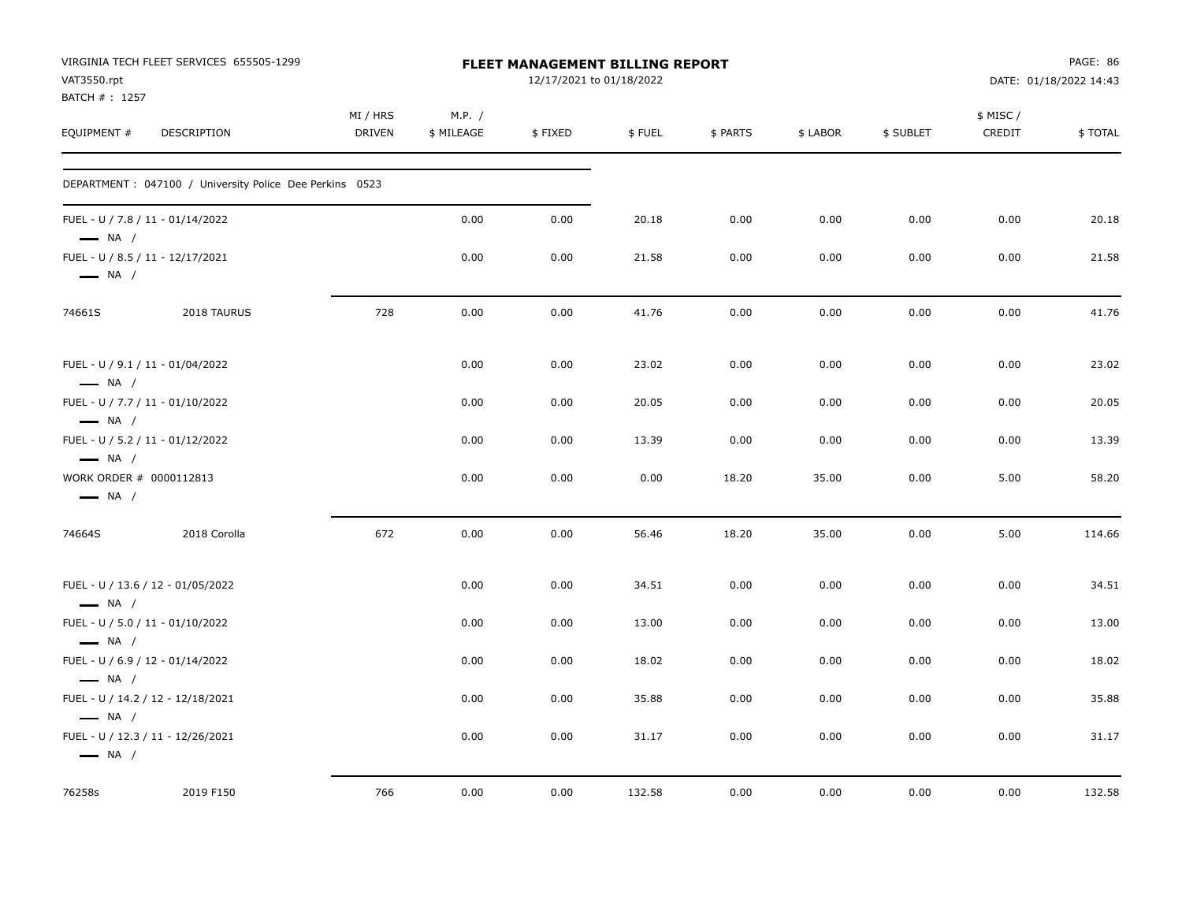| VAT3550.rpt<br>BATCH #: 1257                               | VIRGINIA TECH FLEET SERVICES 655505-1299                 |                           |                      | <b>FLEET MANAGEMENT BILLING REPORT</b><br>12/17/2021 to 01/18/2022 |        |          |          |           |                    | PAGE: 86<br>DATE: 01/18/2022 14:43 |
|------------------------------------------------------------|----------------------------------------------------------|---------------------------|----------------------|--------------------------------------------------------------------|--------|----------|----------|-----------|--------------------|------------------------------------|
| EQUIPMENT #                                                | <b>DESCRIPTION</b>                                       | MI / HRS<br><b>DRIVEN</b> | M.P. /<br>\$ MILEAGE | \$FIXED                                                            | \$FUEL | \$ PARTS | \$ LABOR | \$ SUBLET | \$ MISC/<br>CREDIT | \$TOTAL                            |
|                                                            | DEPARTMENT : 047100 / University Police Dee Perkins 0523 |                           |                      |                                                                    |        |          |          |           |                    |                                    |
| FUEL - U / 7.8 / 11 - 01/14/2022<br>$\longrightarrow$ NA / |                                                          |                           | 0.00                 | 0.00                                                               | 20.18  | 0.00     | 0.00     | 0.00      | 0.00               | 20.18                              |
| FUEL - U / 8.5 / 11 - 12/17/2021<br>$\longrightarrow$ NA / |                                                          |                           | 0.00                 | 0.00                                                               | 21.58  | 0.00     | 0.00     | 0.00      | 0.00               | 21.58                              |
| 74661S                                                     | 2018 TAURUS                                              | 728                       | 0.00                 | 0.00                                                               | 41.76  | 0.00     | 0.00     | 0.00      | 0.00               | 41.76                              |
| FUEL - U / 9.1 / 11 - 01/04/2022<br>$\longrightarrow$ NA / |                                                          |                           | 0.00                 | 0.00                                                               | 23.02  | 0.00     | 0.00     | 0.00      | 0.00               | 23.02                              |
| FUEL - U / 7.7 / 11 - 01/10/2022<br>$\longrightarrow$ NA / |                                                          |                           | 0.00                 | 0.00                                                               | 20.05  | 0.00     | 0.00     | 0.00      | 0.00               | 20.05                              |
| FUEL - U / 5.2 / 11 - 01/12/2022<br>$\longrightarrow$ NA / |                                                          |                           | 0.00                 | 0.00                                                               | 13.39  | 0.00     | 0.00     | 0.00      | 0.00               | 13.39                              |
| WORK ORDER # 0000112813<br>$\longrightarrow$ NA /          |                                                          |                           | 0.00                 | 0.00                                                               | 0.00   | 18.20    | 35.00    | 0.00      | 5.00               | 58.20                              |
| 74664S                                                     | 2018 Corolla                                             | 672                       | 0.00                 | 0.00                                                               | 56.46  | 18.20    | 35.00    | 0.00      | 5.00               | 114.66                             |
| $\longrightarrow$ NA /                                     | FUEL - U / 13.6 / 12 - 01/05/2022                        |                           | 0.00                 | 0.00                                                               | 34.51  | 0.00     | 0.00     | 0.00      | 0.00               | 34.51                              |
| FUEL - U / 5.0 / 11 - 01/10/2022<br>$\longrightarrow$ NA / |                                                          |                           | 0.00                 | 0.00                                                               | 13.00  | 0.00     | 0.00     | 0.00      | 0.00               | 13.00                              |
| FUEL - U / 6.9 / 12 - 01/14/2022<br>$\longrightarrow$ NA / |                                                          |                           | 0.00                 | 0.00                                                               | 18.02  | 0.00     | 0.00     | 0.00      | 0.00               | 18.02                              |
| $\longrightarrow$ NA /                                     | FUEL - U / 14.2 / 12 - 12/18/2021                        |                           | 0.00                 | 0.00                                                               | 35.88  | 0.00     | 0.00     | 0.00      | 0.00               | 35.88                              |
| $\longrightarrow$ NA /                                     | FUEL - U / 12.3 / 11 - 12/26/2021                        |                           | 0.00                 | 0.00                                                               | 31.17  | 0.00     | 0.00     | 0.00      | 0.00               | 31.17                              |
| 76258s                                                     | 2019 F150                                                | 766                       | 0.00                 | 0.00                                                               | 132.58 | 0.00     | 0.00     | 0.00      | 0.00               | 132.58                             |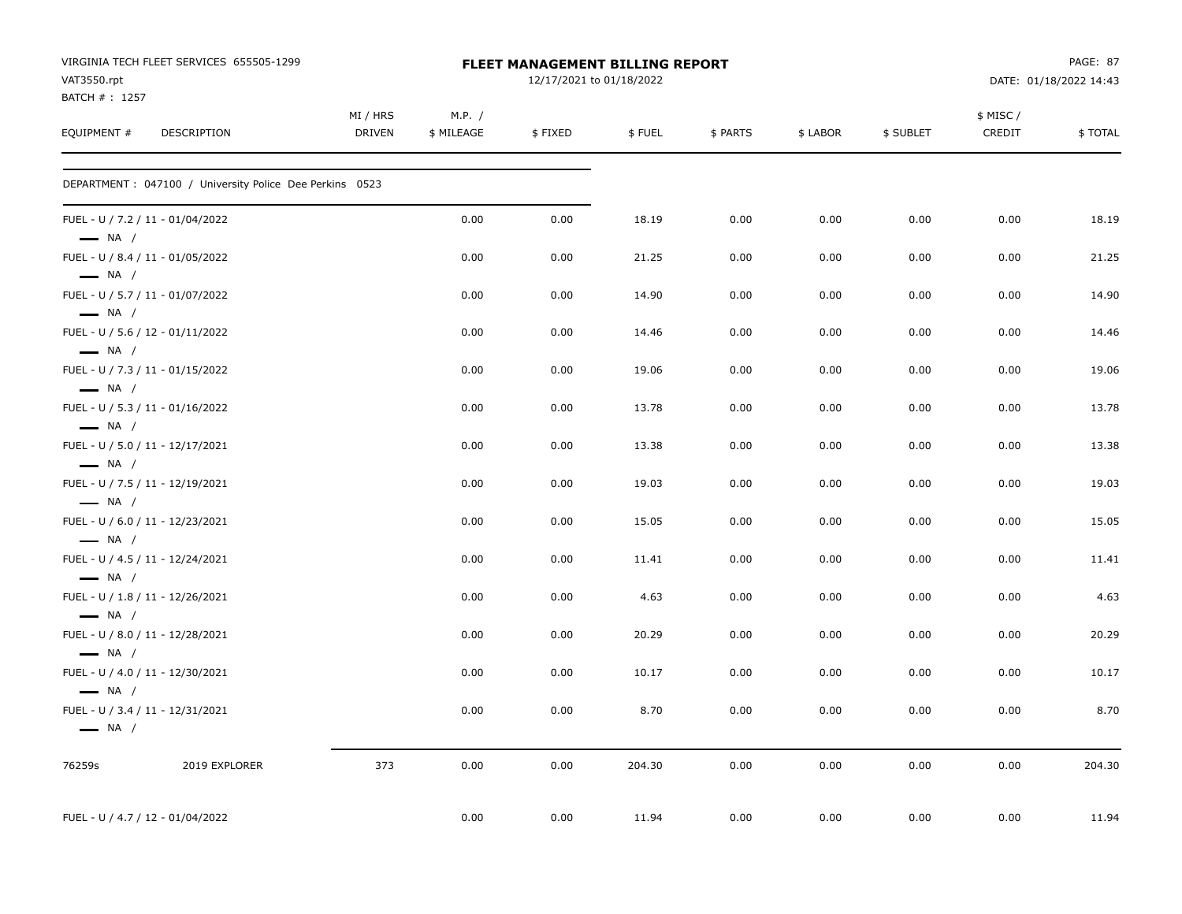| VAT3550.rpt<br>BATCH #: 1257 | VIRGINIA TECH FLEET SERVICES 655505-1299                 |                    |                      | <b>FLEET MANAGEMENT BILLING REPORT</b><br>12/17/2021 to 01/18/2022 |        |          |          |           |                     | PAGE: 87<br>DATE: 01/18/2022 14:43 |
|------------------------------|----------------------------------------------------------|--------------------|----------------------|--------------------------------------------------------------------|--------|----------|----------|-----------|---------------------|------------------------------------|
| EQUIPMENT #                  | DESCRIPTION                                              | MI / HRS<br>DRIVEN | M.P. /<br>\$ MILEAGE | \$FIXED                                                            | \$FUEL | \$ PARTS | \$ LABOR | \$ SUBLET | \$ MISC /<br>CREDIT | \$TOTAL                            |
|                              | DEPARTMENT : 047100 / University Police Dee Perkins 0523 |                    |                      |                                                                    |        |          |          |           |                     |                                    |
| $\longrightarrow$ NA /       | FUEL - U / 7.2 / 11 - 01/04/2022                         |                    | 0.00                 | 0.00                                                               | 18.19  | 0.00     | 0.00     | 0.00      | 0.00                | 18.19                              |
| $\longrightarrow$ NA /       | FUEL - U / 8.4 / 11 - 01/05/2022                         |                    | 0.00                 | 0.00                                                               | 21.25  | 0.00     | 0.00     | 0.00      | 0.00                | 21.25                              |
| $\longrightarrow$ NA /       | FUEL - U / 5.7 / 11 - 01/07/2022                         |                    | 0.00                 | 0.00                                                               | 14.90  | 0.00     | 0.00     | 0.00      | 0.00                | 14.90                              |
| $\longrightarrow$ NA /       | FUEL - U / 5.6 / 12 - 01/11/2022                         |                    | 0.00                 | 0.00                                                               | 14.46  | 0.00     | 0.00     | 0.00      | 0.00                | 14.46                              |
| $\longrightarrow$ NA /       | FUEL - U / 7.3 / 11 - 01/15/2022                         |                    | 0.00                 | 0.00                                                               | 19.06  | 0.00     | 0.00     | 0.00      | 0.00                | 19.06                              |
| $\longrightarrow$ NA /       | FUEL - U / 5.3 / 11 - 01/16/2022                         |                    | 0.00                 | 0.00                                                               | 13.78  | 0.00     | 0.00     | 0.00      | 0.00                | 13.78                              |
| $\longrightarrow$ NA /       | FUEL - U / 5.0 / 11 - 12/17/2021                         |                    | 0.00                 | 0.00                                                               | 13.38  | 0.00     | 0.00     | 0.00      | 0.00                | 13.38                              |
| $\longrightarrow$ NA /       | FUEL - U / 7.5 / 11 - 12/19/2021                         |                    | 0.00                 | 0.00                                                               | 19.03  | 0.00     | 0.00     | 0.00      | 0.00                | 19.03                              |
| $\longrightarrow$ NA /       | FUEL - U / 6.0 / 11 - 12/23/2021                         |                    | 0.00                 | 0.00                                                               | 15.05  | 0.00     | 0.00     | 0.00      | 0.00                | 15.05                              |
| $\longrightarrow$ NA /       | FUEL - U / 4.5 / 11 - 12/24/2021                         |                    | 0.00                 | 0.00                                                               | 11.41  | 0.00     | 0.00     | 0.00      | 0.00                | 11.41                              |
| $\longrightarrow$ NA /       | FUEL - U / 1.8 / 11 - 12/26/2021                         |                    | 0.00                 | 0.00                                                               | 4.63   | 0.00     | 0.00     | 0.00      | 0.00                | 4.63                               |
| $\longrightarrow$ NA /       | FUEL - U / 8.0 / 11 - 12/28/2021                         |                    | 0.00                 | 0.00                                                               | 20.29  | 0.00     | 0.00     | 0.00      | 0.00                | 20.29                              |
| $\longrightarrow$ NA /       | FUEL - U / 4.0 / 11 - 12/30/2021                         |                    | 0.00                 | 0.00                                                               | 10.17  | 0.00     | 0.00     | 0.00      | 0.00                | 10.17                              |
| $\longrightarrow$ NA /       | FUEL - U / 3.4 / 11 - 12/31/2021                         |                    | 0.00                 | 0.00                                                               | 8.70   | 0.00     | 0.00     | 0.00      | 0.00                | 8.70                               |
| 76259s                       | 2019 EXPLORER                                            | 373                | 0.00                 | 0.00                                                               | 204.30 | 0.00     | 0.00     | 0.00      | 0.00                | 204.30                             |
|                              | FUEL - U / 4.7 / 12 - 01/04/2022                         |                    | 0.00                 | 0.00                                                               | 11.94  | 0.00     | 0.00     | 0.00      | 0.00                | 11.94                              |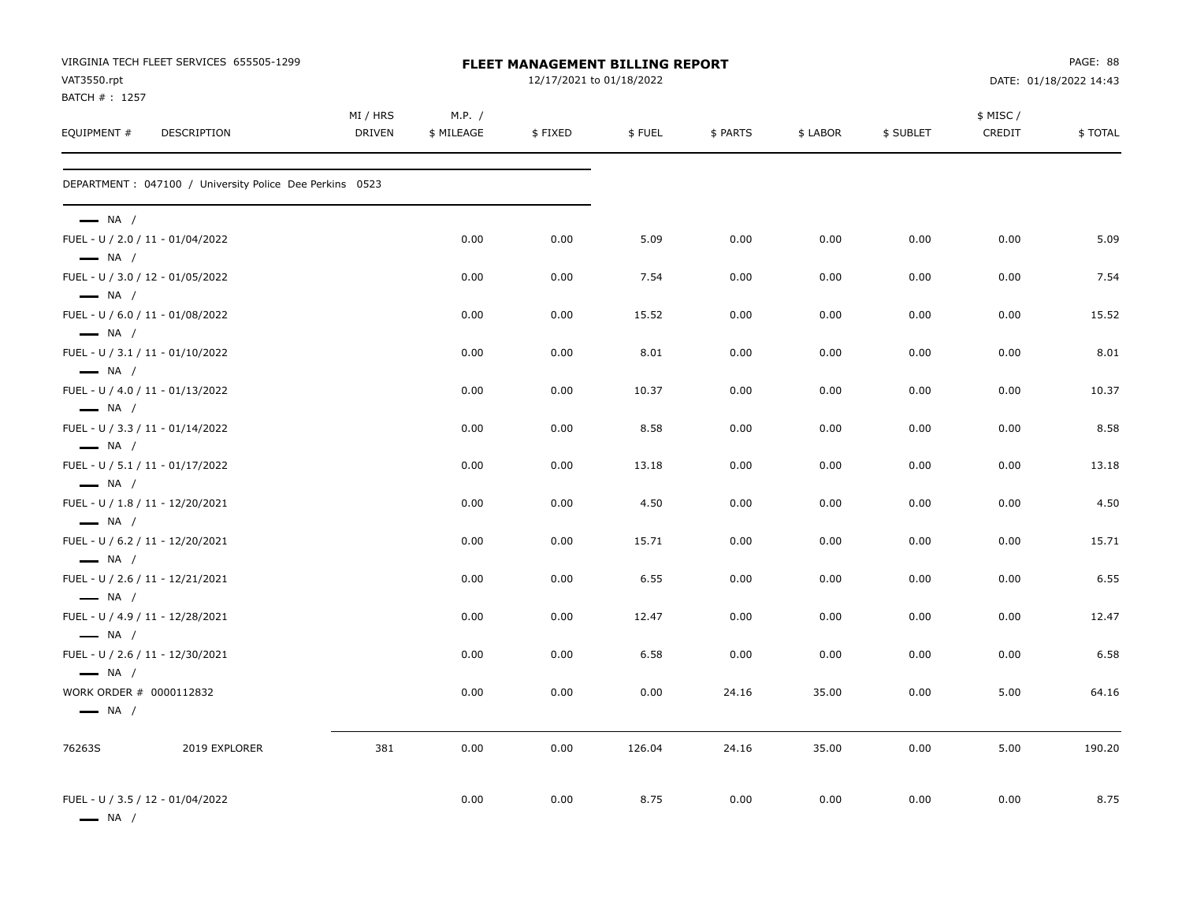|                                                   | VIRGINIA TECH FLEET SERVICES 655505-1299                 |                    |                      | <b>FLEET MANAGEMENT BILLING REPORT</b> |        |          |          |           |                     | PAGE: 88               |
|---------------------------------------------------|----------------------------------------------------------|--------------------|----------------------|----------------------------------------|--------|----------|----------|-----------|---------------------|------------------------|
| VAT3550.rpt<br>BATCH #: 1257                      |                                                          |                    |                      | 12/17/2021 to 01/18/2022               |        |          |          |           |                     | DATE: 01/18/2022 14:43 |
| EQUIPMENT #                                       | DESCRIPTION                                              | MI / HRS<br>DRIVEN | M.P. /<br>\$ MILEAGE | \$FIXED                                | \$FUEL | \$ PARTS | \$ LABOR | \$ SUBLET | \$ MISC /<br>CREDIT | \$TOTAL                |
|                                                   | DEPARTMENT : 047100 / University Police Dee Perkins 0523 |                    |                      |                                        |        |          |          |           |                     |                        |
| $\longrightarrow$ NA /                            |                                                          |                    |                      |                                        |        |          |          |           |                     |                        |
| $\longrightarrow$ NA /                            | FUEL - U / 2.0 / 11 - 01/04/2022                         |                    | 0.00                 | 0.00                                   | 5.09   | 0.00     | 0.00     | 0.00      | 0.00                | 5.09                   |
|                                                   | FUEL - U / 3.0 / 12 - 01/05/2022                         |                    | 0.00                 | 0.00                                   | 7.54   | 0.00     | 0.00     | 0.00      | 0.00                | 7.54                   |
| $\longrightarrow$ NA /<br>$\longrightarrow$ NA /  | FUEL - U / 6.0 / 11 - 01/08/2022                         |                    | 0.00                 | 0.00                                   | 15.52  | 0.00     | 0.00     | 0.00      | 0.00                | 15.52                  |
| $\longrightarrow$ NA /                            | FUEL - U / 3.1 / 11 - 01/10/2022                         |                    | 0.00                 | 0.00                                   | 8.01   | 0.00     | 0.00     | 0.00      | 0.00                | 8.01                   |
| $\longrightarrow$ NA /                            | FUEL - U / 4.0 / 11 - 01/13/2022                         |                    | 0.00                 | 0.00                                   | 10.37  | 0.00     | 0.00     | 0.00      | 0.00                | 10.37                  |
| $\longrightarrow$ NA /                            | FUEL - U / 3.3 / 11 - 01/14/2022                         |                    | 0.00                 | 0.00                                   | 8.58   | 0.00     | 0.00     | 0.00      | 0.00                | 8.58                   |
| $\longrightarrow$ NA /                            | FUEL - U / 5.1 / 11 - 01/17/2022                         |                    | 0.00                 | 0.00                                   | 13.18  | 0.00     | 0.00     | 0.00      | 0.00                | 13.18                  |
| $\longrightarrow$ NA /                            | FUEL - U / 1.8 / 11 - 12/20/2021                         |                    | 0.00                 | 0.00                                   | 4.50   | 0.00     | 0.00     | 0.00      | 0.00                | 4.50                   |
| $\longrightarrow$ NA /                            | FUEL - U / 6.2 / 11 - 12/20/2021                         |                    | 0.00                 | 0.00                                   | 15.71  | 0.00     | 0.00     | 0.00      | 0.00                | 15.71                  |
| $\longrightarrow$ NA /                            | FUEL - U / 2.6 / 11 - 12/21/2021                         |                    | 0.00                 | 0.00                                   | 6.55   | 0.00     | 0.00     | 0.00      | 0.00                | 6.55                   |
| $\longrightarrow$ NA /                            | FUEL - U / 4.9 / 11 - 12/28/2021                         |                    | 0.00                 | 0.00                                   | 12.47  | 0.00     | 0.00     | 0.00      | 0.00                | 12.47                  |
| $\longrightarrow$ NA /                            | FUEL - U / 2.6 / 11 - 12/30/2021                         |                    | 0.00                 | 0.00                                   | 6.58   | 0.00     | 0.00     | 0.00      | 0.00                | 6.58                   |
| WORK ORDER # 0000112832<br>$\longrightarrow$ NA / |                                                          |                    | 0.00                 | 0.00                                   | 0.00   | 24.16    | 35.00    | 0.00      | 5.00                | 64.16                  |
| 76263S                                            | 2019 EXPLORER                                            | 381                | 0.00                 | 0.00                                   | 126.04 | 24.16    | 35.00    | 0.00      | 5.00                | 190.20                 |
| — NA /                                            | FUEL - U / 3.5 / 12 - 01/04/2022                         |                    | 0.00                 | 0.00                                   | 8.75   | 0.00     | 0.00     | 0.00      | 0.00                | 8.75                   |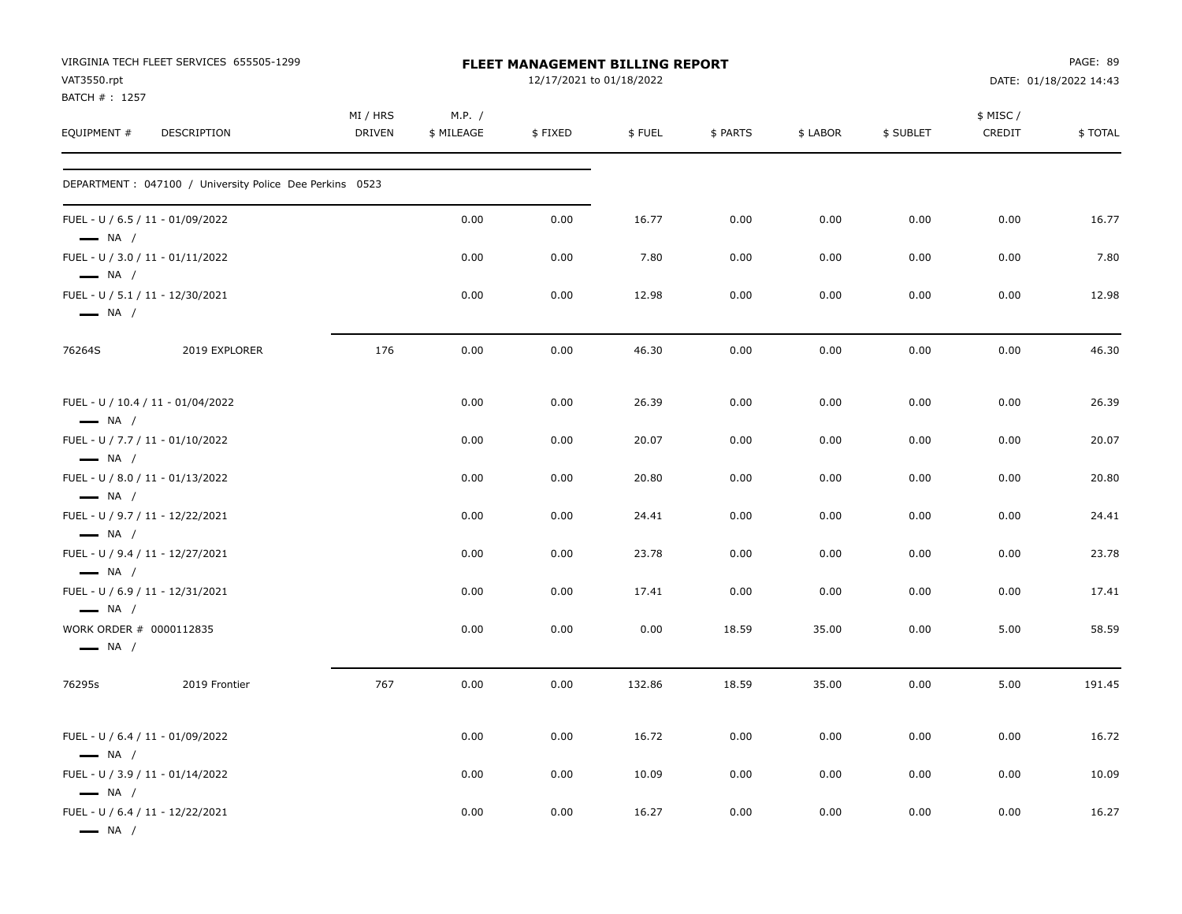|                              | VIRGINIA TECH FLEET SERVICES 655505-1299                 |                           |                      | FLEET MANAGEMENT BILLING REPORT |        |          |          |           |                     | PAGE: 89               |
|------------------------------|----------------------------------------------------------|---------------------------|----------------------|---------------------------------|--------|----------|----------|-----------|---------------------|------------------------|
| VAT3550.rpt<br>BATCH #: 1257 |                                                          |                           |                      | 12/17/2021 to 01/18/2022        |        |          |          |           |                     | DATE: 01/18/2022 14:43 |
| EQUIPMENT #                  |                                                          | MI / HRS<br><b>DRIVEN</b> | M.P. /<br>\$ MILEAGE |                                 | \$FUEL |          |          |           | \$ MISC /<br>CREDIT | \$TOTAL                |
|                              | DESCRIPTION                                              |                           |                      | \$FIXED                         |        | \$ PARTS | \$ LABOR | \$ SUBLET |                     |                        |
|                              | DEPARTMENT : 047100 / University Police Dee Perkins 0523 |                           |                      |                                 |        |          |          |           |                     |                        |
| $\longrightarrow$ NA /       | FUEL - U / 6.5 / 11 - 01/09/2022                         |                           | 0.00                 | 0.00                            | 16.77  | 0.00     | 0.00     | 0.00      | 0.00                | 16.77                  |
| $\longrightarrow$ NA /       | FUEL - U / 3.0 / 11 - 01/11/2022                         |                           | 0.00                 | 0.00                            | 7.80   | 0.00     | 0.00     | 0.00      | 0.00                | 7.80                   |
| $\longrightarrow$ NA /       | FUEL - U / 5.1 / 11 - 12/30/2021                         |                           | 0.00                 | 0.00                            | 12.98  | 0.00     | 0.00     | 0.00      | 0.00                | 12.98                  |
| 76264S                       | 2019 EXPLORER                                            | 176                       | 0.00                 | 0.00                            | 46.30  | 0.00     | 0.00     | 0.00      | 0.00                | 46.30                  |
| $\longrightarrow$ NA /       | FUEL - U / 10.4 / 11 - 01/04/2022                        |                           | 0.00                 | 0.00                            | 26.39  | 0.00     | 0.00     | 0.00      | 0.00                | 26.39                  |
| $\equiv$ NA /                | FUEL - U / 7.7 / 11 - 01/10/2022                         |                           | 0.00                 | 0.00                            | 20.07  | 0.00     | 0.00     | 0.00      | 0.00                | 20.07                  |
| $-$ NA $/$                   | FUEL - U / 8.0 / 11 - 01/13/2022                         |                           | 0.00                 | 0.00                            | 20.80  | 0.00     | 0.00     | 0.00      | 0.00                | 20.80                  |
| $\longrightarrow$ NA /       | FUEL - U / 9.7 / 11 - 12/22/2021                         |                           | 0.00                 | 0.00                            | 24.41  | 0.00     | 0.00     | 0.00      | 0.00                | 24.41                  |
| $-$ NA $/$                   | FUEL - U / 9.4 / 11 - 12/27/2021                         |                           | 0.00                 | 0.00                            | 23.78  | 0.00     | 0.00     | 0.00      | 0.00                | 23.78                  |
| $\longrightarrow$ NA /       | FUEL - U / 6.9 / 11 - 12/31/2021                         |                           | 0.00                 | 0.00                            | 17.41  | 0.00     | 0.00     | 0.00      | 0.00                | 17.41                  |
| $\longrightarrow$ NA /       | WORK ORDER # 0000112835                                  |                           | 0.00                 | 0.00                            | 0.00   | 18.59    | 35.00    | 0.00      | 5.00                | 58.59                  |
| 76295s                       | 2019 Frontier                                            | 767                       | 0.00                 | 0.00                            | 132.86 | 18.59    | 35.00    | 0.00      | 5.00                | 191.45                 |
| $\longrightarrow$ NA /       | FUEL - U / 6.4 / 11 - 01/09/2022                         |                           | 0.00                 | 0.00                            | 16.72  | 0.00     | 0.00     | 0.00      | 0.00                | 16.72                  |
| $\longrightarrow$ NA /       | FUEL - U / 3.9 / 11 - 01/14/2022                         |                           | 0.00                 | 0.00                            | 10.09  | 0.00     | 0.00     | 0.00      | 0.00                | 10.09                  |
| $\longrightarrow$ NA /       | FUEL - U / 6.4 / 11 - 12/22/2021                         |                           | 0.00                 | 0.00                            | 16.27  | 0.00     | 0.00     | 0.00      | 0.00                | 16.27                  |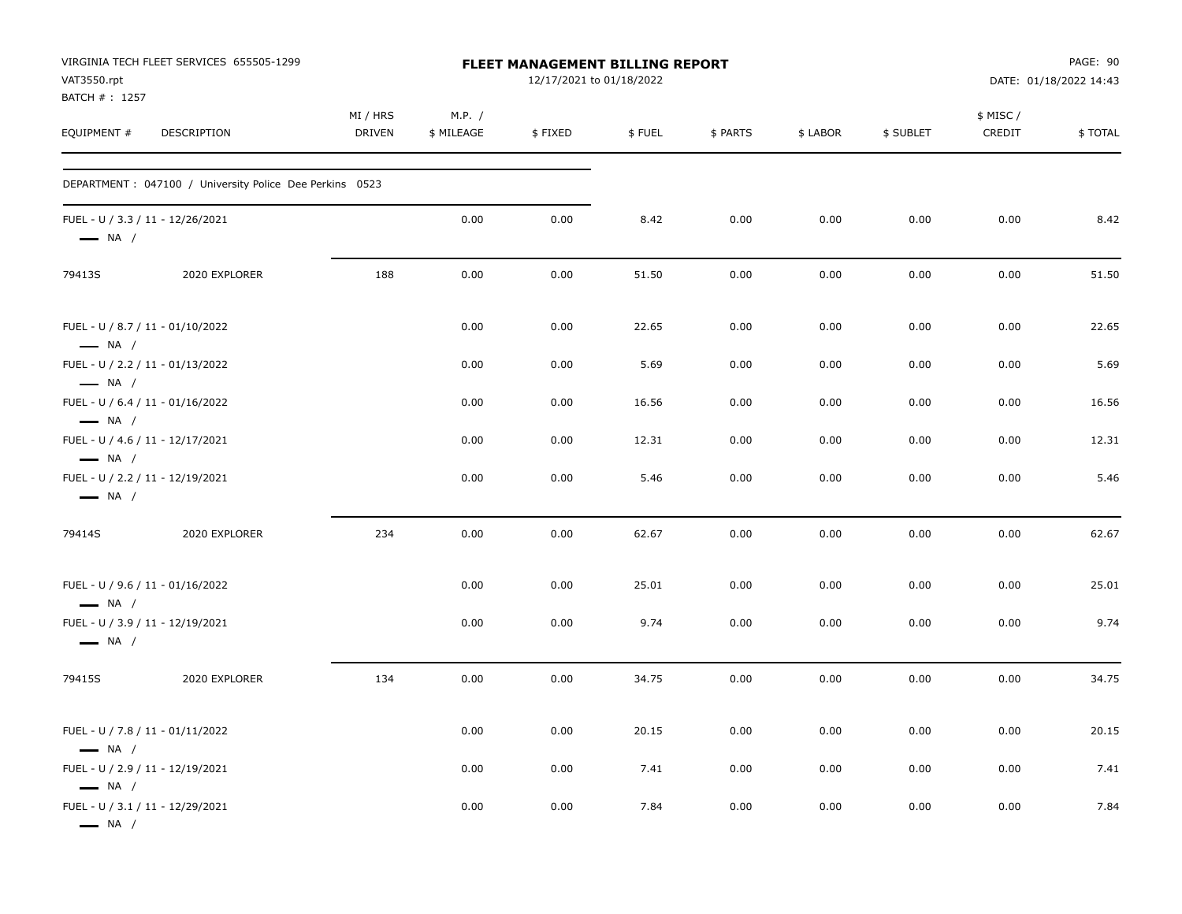| VAT3550.rpt<br>BATCH #: 1257                               | VIRGINIA TECH FLEET SERVICES 655505-1299                 |                           |                      | FLEET MANAGEMENT BILLING REPORT<br>12/17/2021 to 01/18/2022 |        |          |          |           |                    | PAGE: 90<br>DATE: 01/18/2022 14:43 |
|------------------------------------------------------------|----------------------------------------------------------|---------------------------|----------------------|-------------------------------------------------------------|--------|----------|----------|-----------|--------------------|------------------------------------|
| EQUIPMENT #                                                | DESCRIPTION                                              | MI / HRS<br><b>DRIVEN</b> | M.P. /<br>\$ MILEAGE | \$FIXED                                                     | \$FUEL | \$ PARTS | \$ LABOR | \$ SUBLET | \$ MISC/<br>CREDIT | \$TOTAL                            |
|                                                            | DEPARTMENT : 047100 / University Police Dee Perkins 0523 |                           |                      |                                                             |        |          |          |           |                    |                                    |
| FUEL - U / 3.3 / 11 - 12/26/2021<br>$\longrightarrow$ NA / |                                                          |                           | 0.00                 | 0.00                                                        | 8.42   | 0.00     | 0.00     | 0.00      | 0.00               | 8.42                               |
| 79413S                                                     | 2020 EXPLORER                                            | 188                       | 0.00                 | 0.00                                                        | 51.50  | 0.00     | 0.00     | 0.00      | 0.00               | 51.50                              |
| $\longrightarrow$ NA /                                     | FUEL - U / 8.7 / 11 - 01/10/2022                         |                           | 0.00                 | 0.00                                                        | 22.65  | 0.00     | 0.00     | 0.00      | 0.00               | 22.65                              |
| $\longrightarrow$ NA /                                     | FUEL - U / 2.2 / 11 - 01/13/2022                         |                           | 0.00                 | 0.00                                                        | 5.69   | 0.00     | 0.00     | 0.00      | 0.00               | 5.69                               |
| $\longrightarrow$ NA /                                     | FUEL - U / 6.4 / 11 - 01/16/2022                         |                           | 0.00                 | 0.00                                                        | 16.56  | 0.00     | 0.00     | 0.00      | 0.00               | 16.56                              |
| FUEL - U / 4.6 / 11 - 12/17/2021<br>$\longrightarrow$ NA / |                                                          |                           | 0.00                 | 0.00                                                        | 12.31  | 0.00     | 0.00     | 0.00      | 0.00               | 12.31                              |
| $\longrightarrow$ NA /                                     | FUEL - U / 2.2 / 11 - 12/19/2021                         |                           | 0.00                 | 0.00                                                        | 5.46   | 0.00     | 0.00     | 0.00      | 0.00               | 5.46                               |
| 79414S                                                     | 2020 EXPLORER                                            | 234                       | 0.00                 | 0.00                                                        | 62.67  | 0.00     | 0.00     | 0.00      | 0.00               | 62.67                              |
| $\longrightarrow$ NA /                                     | FUEL - U / 9.6 / 11 - 01/16/2022                         |                           | 0.00                 | 0.00                                                        | 25.01  | 0.00     | 0.00     | 0.00      | 0.00               | 25.01                              |
| FUEL - U / 3.9 / 11 - 12/19/2021<br>$\longrightarrow$ NA / |                                                          |                           | 0.00                 | 0.00                                                        | 9.74   | 0.00     | 0.00     | 0.00      | 0.00               | 9.74                               |
| 79415S                                                     | 2020 EXPLORER                                            | 134                       | 0.00                 | 0.00                                                        | 34.75  | 0.00     | 0.00     | 0.00      | 0.00               | 34.75                              |
| $\longrightarrow$ NA /                                     | FUEL - U / 7.8 / 11 - 01/11/2022                         |                           | 0.00                 | 0.00                                                        | 20.15  | 0.00     | 0.00     | 0.00      | 0.00               | 20.15                              |
| FUEL - U / 2.9 / 11 - 12/19/2021<br>$\longrightarrow$ NA / |                                                          |                           | 0.00                 | 0.00                                                        | 7.41   | 0.00     | 0.00     | 0.00      | 0.00               | 7.41                               |
| FUEL - U / 3.1 / 11 - 12/29/2021<br>$\longrightarrow$ NA / |                                                          |                           | 0.00                 | 0.00                                                        | 7.84   | 0.00     | 0.00     | 0.00      | 0.00               | 7.84                               |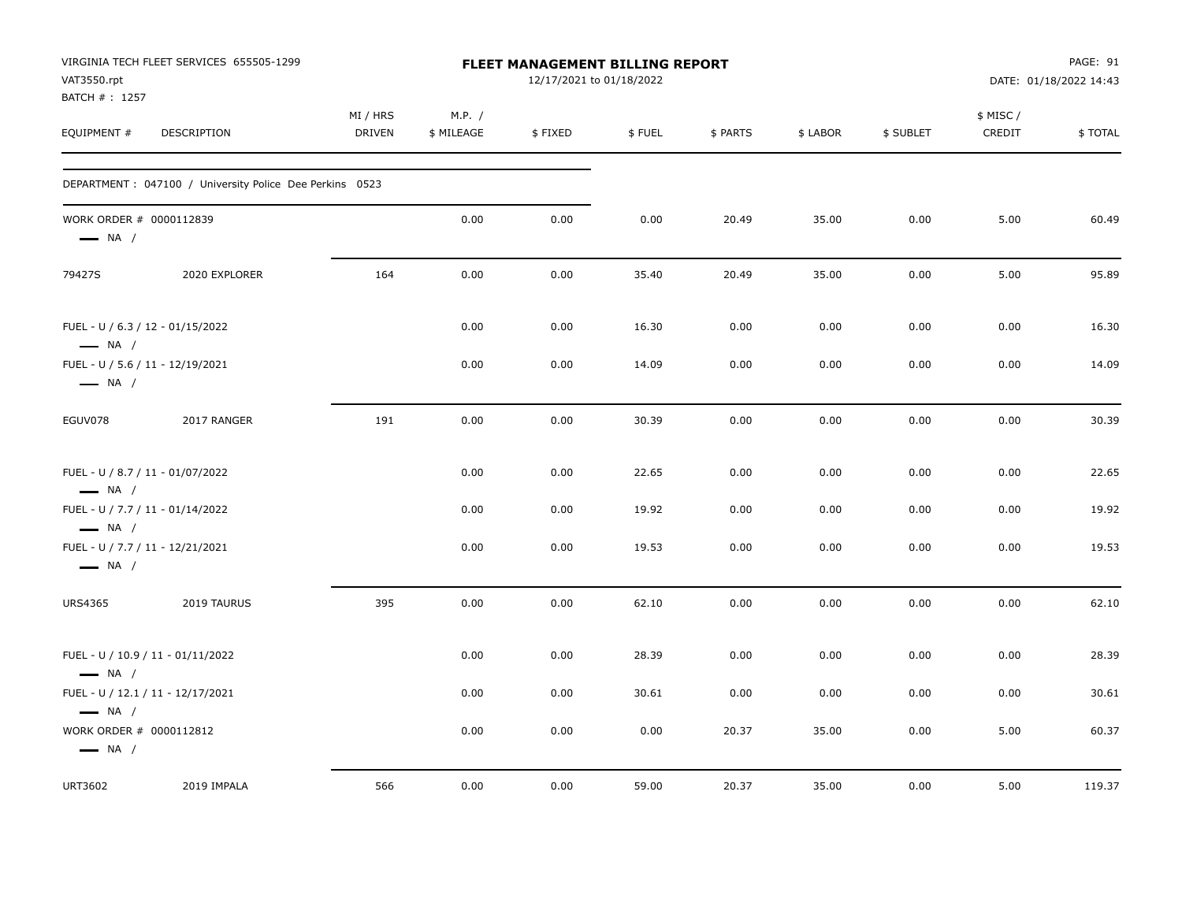| VAT3550.rpt<br>BATCH #: 1257                               | VIRGINIA TECH FLEET SERVICES 655505-1299                 |                           |                      | FLEET MANAGEMENT BILLING REPORT<br>12/17/2021 to 01/18/2022 |        |          |          |           |                     | PAGE: 91<br>DATE: 01/18/2022 14:43 |
|------------------------------------------------------------|----------------------------------------------------------|---------------------------|----------------------|-------------------------------------------------------------|--------|----------|----------|-----------|---------------------|------------------------------------|
| EQUIPMENT #                                                | DESCRIPTION                                              | MI / HRS<br><b>DRIVEN</b> | M.P. /<br>\$ MILEAGE | \$FIXED                                                     | \$FUEL | \$ PARTS | \$ LABOR | \$ SUBLET | \$ MISC /<br>CREDIT | \$TOTAL                            |
|                                                            | DEPARTMENT : 047100 / University Police Dee Perkins 0523 |                           |                      |                                                             |        |          |          |           |                     |                                    |
| WORK ORDER # 0000112839<br>$\longrightarrow$ NA /          |                                                          |                           | 0.00                 | 0.00                                                        | 0.00   | 20.49    | 35.00    | 0.00      | 5.00                | 60.49                              |
| 79427S                                                     | 2020 EXPLORER                                            | 164                       | 0.00                 | 0.00                                                        | 35.40  | 20.49    | 35.00    | 0.00      | 5.00                | 95.89                              |
| FUEL - U / 6.3 / 12 - 01/15/2022<br>$\longrightarrow$ NA / |                                                          |                           | 0.00                 | 0.00                                                        | 16.30  | 0.00     | 0.00     | 0.00      | 0.00                | 16.30                              |
| FUEL - U / 5.6 / 11 - 12/19/2021<br>$\longrightarrow$ NA / |                                                          |                           | 0.00                 | 0.00                                                        | 14.09  | 0.00     | 0.00     | 0.00      | 0.00                | 14.09                              |
| EGUV078                                                    | 2017 RANGER                                              | 191                       | 0.00                 | 0.00                                                        | 30.39  | 0.00     | 0.00     | 0.00      | 0.00                | 30.39                              |
| FUEL - U / 8.7 / 11 - 01/07/2022<br>$\longrightarrow$ NA / |                                                          |                           | 0.00                 | 0.00                                                        | 22.65  | 0.00     | 0.00     | 0.00      | 0.00                | 22.65                              |
| FUEL - U / 7.7 / 11 - 01/14/2022<br>$\longrightarrow$ NA / |                                                          |                           | 0.00                 | 0.00                                                        | 19.92  | 0.00     | 0.00     | 0.00      | 0.00                | 19.92                              |
| FUEL - U / 7.7 / 11 - 12/21/2021<br>$\longrightarrow$ NA / |                                                          |                           | 0.00                 | 0.00                                                        | 19.53  | 0.00     | 0.00     | 0.00      | 0.00                | 19.53                              |
| <b>URS4365</b>                                             | 2019 TAURUS                                              | 395                       | 0.00                 | 0.00                                                        | 62.10  | 0.00     | 0.00     | 0.00      | 0.00                | 62.10                              |
| $\longrightarrow$ NA /                                     | FUEL - U / 10.9 / 11 - 01/11/2022                        |                           | 0.00                 | 0.00                                                        | 28.39  | 0.00     | 0.00     | 0.00      | 0.00                | 28.39                              |
| $\longrightarrow$ NA /                                     | FUEL - U / 12.1 / 11 - 12/17/2021                        |                           | 0.00                 | 0.00                                                        | 30.61  | 0.00     | 0.00     | 0.00      | 0.00                | 30.61                              |
| WORK ORDER # 0000112812<br>$\longrightarrow$ NA /          |                                                          |                           | 0.00                 | 0.00                                                        | 0.00   | 20.37    | 35.00    | 0.00      | 5.00                | 60.37                              |
| URT3602                                                    | 2019 IMPALA                                              | 566                       | 0.00                 | 0.00                                                        | 59.00  | 20.37    | 35.00    | 0.00      | 5.00                | 119.37                             |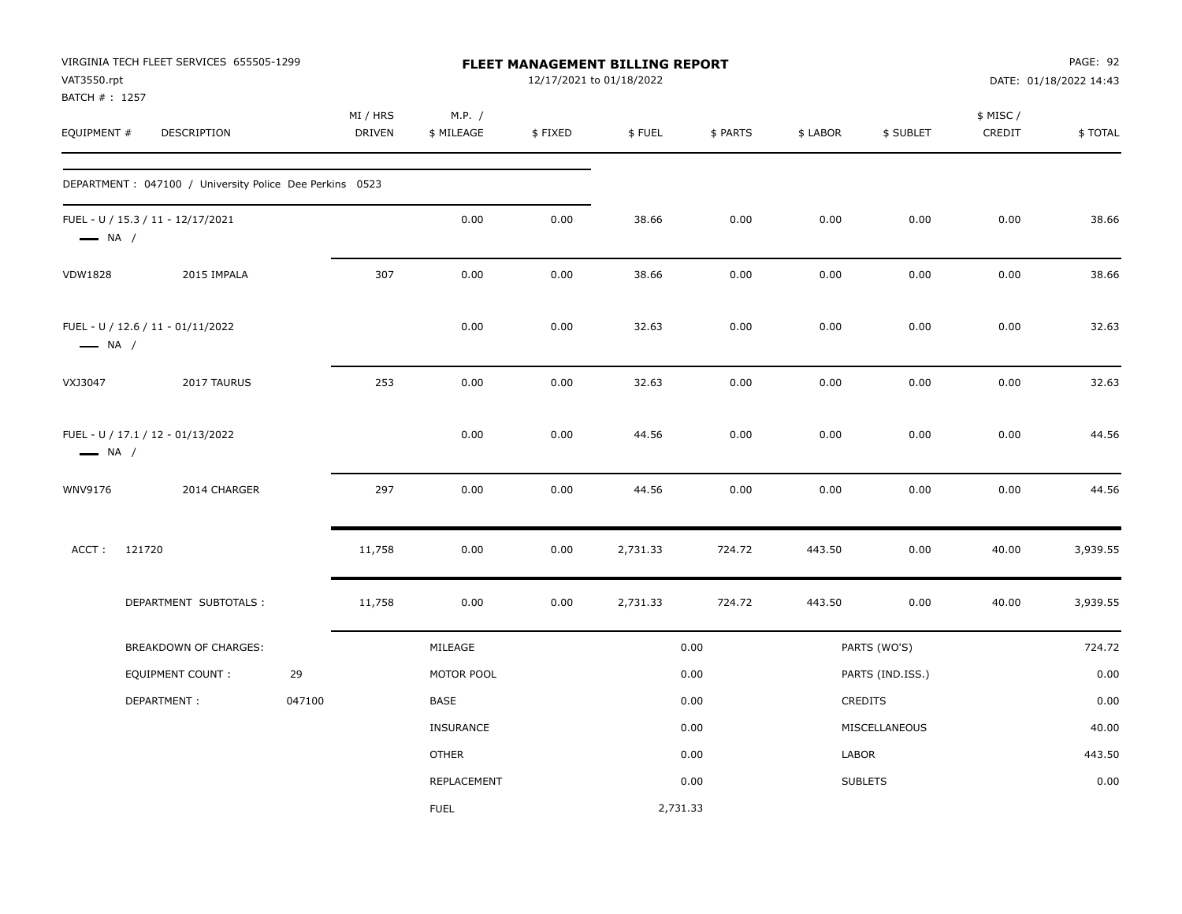| VAT3550.rpt<br>BATCH #: 1257 | VIRGINIA TECH FLEET SERVICES 655505-1299                 |        |                           |                      |         | <b>FLEET MANAGEMENT BILLING REPORT</b><br>12/17/2021 to 01/18/2022 |          |          |                  |                    | PAGE: 92<br>DATE: 01/18/2022 14:43 |
|------------------------------|----------------------------------------------------------|--------|---------------------------|----------------------|---------|--------------------------------------------------------------------|----------|----------|------------------|--------------------|------------------------------------|
| EQUIPMENT #                  | <b>DESCRIPTION</b>                                       |        | MI / HRS<br><b>DRIVEN</b> | M.P. /<br>\$ MILEAGE | \$FIXED | \$FUEL                                                             | \$ PARTS | \$ LABOR | \$ SUBLET        | \$ MISC/<br>CREDIT | \$TOTAL                            |
|                              | DEPARTMENT : 047100 / University Police Dee Perkins 0523 |        |                           |                      |         |                                                                    |          |          |                  |                    |                                    |
| $\longrightarrow$ NA /       | FUEL - U / 15.3 / 11 - 12/17/2021                        |        |                           | 0.00                 | 0.00    | 38.66                                                              | 0.00     | 0.00     | 0.00             | 0.00               | 38.66                              |
| <b>VDW1828</b>               | 2015 IMPALA                                              |        | 307                       | 0.00                 | 0.00    | 38.66                                                              | 0.00     | 0.00     | 0.00             | 0.00               | 38.66                              |
| $\longrightarrow$ NA /       | FUEL - U / 12.6 / 11 - 01/11/2022                        |        |                           | 0.00                 | 0.00    | 32.63                                                              | 0.00     | 0.00     | 0.00             | 0.00               | 32.63                              |
| VXJ3047                      | 2017 TAURUS                                              |        | 253                       | 0.00                 | 0.00    | 32.63                                                              | 0.00     | 0.00     | 0.00             | 0.00               | 32.63                              |
| $\longrightarrow$ NA /       | FUEL - U / 17.1 / 12 - 01/13/2022                        |        |                           | 0.00                 | 0.00    | 44.56                                                              | 0.00     | 0.00     | 0.00             | 0.00               | 44.56                              |
| WNV9176                      | 2014 CHARGER                                             |        | 297                       | 0.00                 | 0.00    | 44.56                                                              | 0.00     | 0.00     | 0.00             | 0.00               | 44.56                              |
| ACCT:                        | 121720                                                   |        | 11,758                    | 0.00                 | 0.00    | 2,731.33                                                           | 724.72   | 443.50   | 0.00             | 40.00              | 3,939.55                           |
|                              | DEPARTMENT SUBTOTALS :                                   |        | 11,758                    | 0.00                 | 0.00    | 2,731.33                                                           | 724.72   | 443.50   | 0.00             | 40.00              | 3,939.55                           |
|                              | BREAKDOWN OF CHARGES:                                    |        |                           | MILEAGE              |         |                                                                    | 0.00     |          | PARTS (WO'S)     |                    | 724.72                             |
|                              | EQUIPMENT COUNT :                                        | 29     |                           | MOTOR POOL           |         |                                                                    | 0.00     |          | PARTS (IND.ISS.) |                    | 0.00                               |
|                              | DEPARTMENT:                                              | 047100 |                           | <b>BASE</b>          |         |                                                                    | 0.00     |          | CREDITS          |                    | 0.00                               |
|                              |                                                          |        |                           | <b>INSURANCE</b>     |         |                                                                    | 0.00     |          | MISCELLANEOUS    |                    | 40.00                              |
|                              |                                                          |        |                           | <b>OTHER</b>         |         |                                                                    | 0.00     | LABOR    |                  |                    | 443.50                             |
|                              |                                                          |        |                           | REPLACEMENT          |         |                                                                    | 0.00     |          | <b>SUBLETS</b>   |                    | 0.00                               |
|                              |                                                          |        |                           | <b>FUEL</b>          |         | 2,731.33                                                           |          |          |                  |                    |                                    |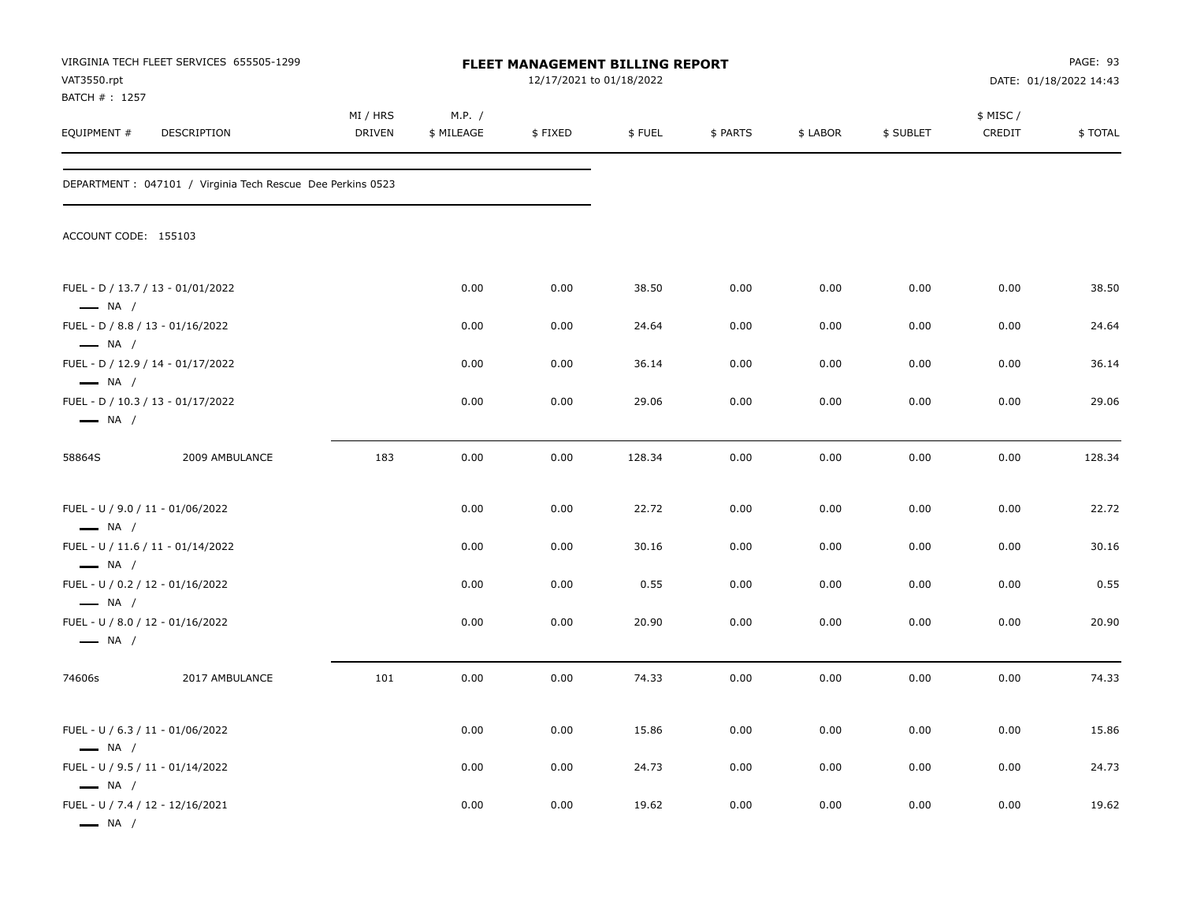| VAT3550.rpt<br>BATCH #: 1257                               | VIRGINIA TECH FLEET SERVICES 655505-1299                    |                           |                      | FLEET MANAGEMENT BILLING REPORT<br>12/17/2021 to 01/18/2022 |        |          |          |           |                    | PAGE: 93<br>DATE: 01/18/2022 14:43 |
|------------------------------------------------------------|-------------------------------------------------------------|---------------------------|----------------------|-------------------------------------------------------------|--------|----------|----------|-----------|--------------------|------------------------------------|
| EQUIPMENT #                                                | DESCRIPTION                                                 | MI / HRS<br><b>DRIVEN</b> | M.P. /<br>\$ MILEAGE | \$FIXED                                                     | \$FUEL | \$ PARTS | \$ LABOR | \$ SUBLET | \$ MISC/<br>CREDIT | \$TOTAL                            |
|                                                            | DEPARTMENT : 047101 / Virginia Tech Rescue Dee Perkins 0523 |                           |                      |                                                             |        |          |          |           |                    |                                    |
| ACCOUNT CODE: 155103                                       |                                                             |                           |                      |                                                             |        |          |          |           |                    |                                    |
| $\longrightarrow$ NA /                                     | FUEL - D / 13.7 / 13 - 01/01/2022                           |                           | 0.00                 | 0.00                                                        | 38.50  | 0.00     | 0.00     | 0.00      | 0.00               | 38.50                              |
| $\longrightarrow$ NA /                                     | FUEL - D / 8.8 / 13 - 01/16/2022                            |                           | 0.00                 | 0.00                                                        | 24.64  | 0.00     | 0.00     | 0.00      | 0.00               | 24.64                              |
| $\longrightarrow$ NA /                                     | FUEL - D / 12.9 / 14 - 01/17/2022                           |                           | 0.00                 | 0.00                                                        | 36.14  | 0.00     | 0.00     | 0.00      | 0.00               | 36.14                              |
| $\longrightarrow$ NA /                                     | FUEL - D / 10.3 / 13 - 01/17/2022                           |                           | 0.00                 | 0.00                                                        | 29.06  | 0.00     | 0.00     | 0.00      | 0.00               | 29.06                              |
| 58864S                                                     | 2009 AMBULANCE                                              | 183                       | 0.00                 | 0.00                                                        | 128.34 | 0.00     | 0.00     | 0.00      | 0.00               | 128.34                             |
| FUEL - U / 9.0 / 11 - 01/06/2022<br>$\longrightarrow$ NA / |                                                             |                           | 0.00                 | 0.00                                                        | 22.72  | 0.00     | 0.00     | 0.00      | 0.00               | 22.72                              |
| $\longrightarrow$ NA /                                     | FUEL - U / 11.6 / 11 - 01/14/2022                           |                           | 0.00                 | 0.00                                                        | 30.16  | 0.00     | 0.00     | 0.00      | 0.00               | 30.16                              |
| FUEL - U / 0.2 / 12 - 01/16/2022<br>$\longrightarrow$ NA / |                                                             |                           | 0.00                 | 0.00                                                        | 0.55   | 0.00     | 0.00     | 0.00      | 0.00               | 0.55                               |
| FUEL - U / 8.0 / 12 - 01/16/2022<br>$\longrightarrow$ NA / |                                                             |                           | 0.00                 | 0.00                                                        | 20.90  | 0.00     | 0.00     | 0.00      | 0.00               | 20.90                              |
| 74606s                                                     | 2017 AMBULANCE                                              | 101                       | 0.00                 | 0.00                                                        | 74.33  | 0.00     | 0.00     | 0.00      | 0.00               | 74.33                              |
| FUEL - U / 6.3 / 11 - 01/06/2022<br>$\longrightarrow$ NA / |                                                             |                           | 0.00                 | 0.00                                                        | 15.86  | 0.00     | 0.00     | 0.00      | 0.00               | 15.86                              |
| FUEL - U / 9.5 / 11 - 01/14/2022<br>$\longrightarrow$ NA / |                                                             |                           | 0.00                 | 0.00                                                        | 24.73  | 0.00     | 0.00     | 0.00      | 0.00               | 24.73                              |
| FUEL - U / 7.4 / 12 - 12/16/2021<br>$\longrightarrow$ NA / |                                                             |                           | 0.00                 | 0.00                                                        | 19.62  | 0.00     | 0.00     | 0.00      | 0.00               | 19.62                              |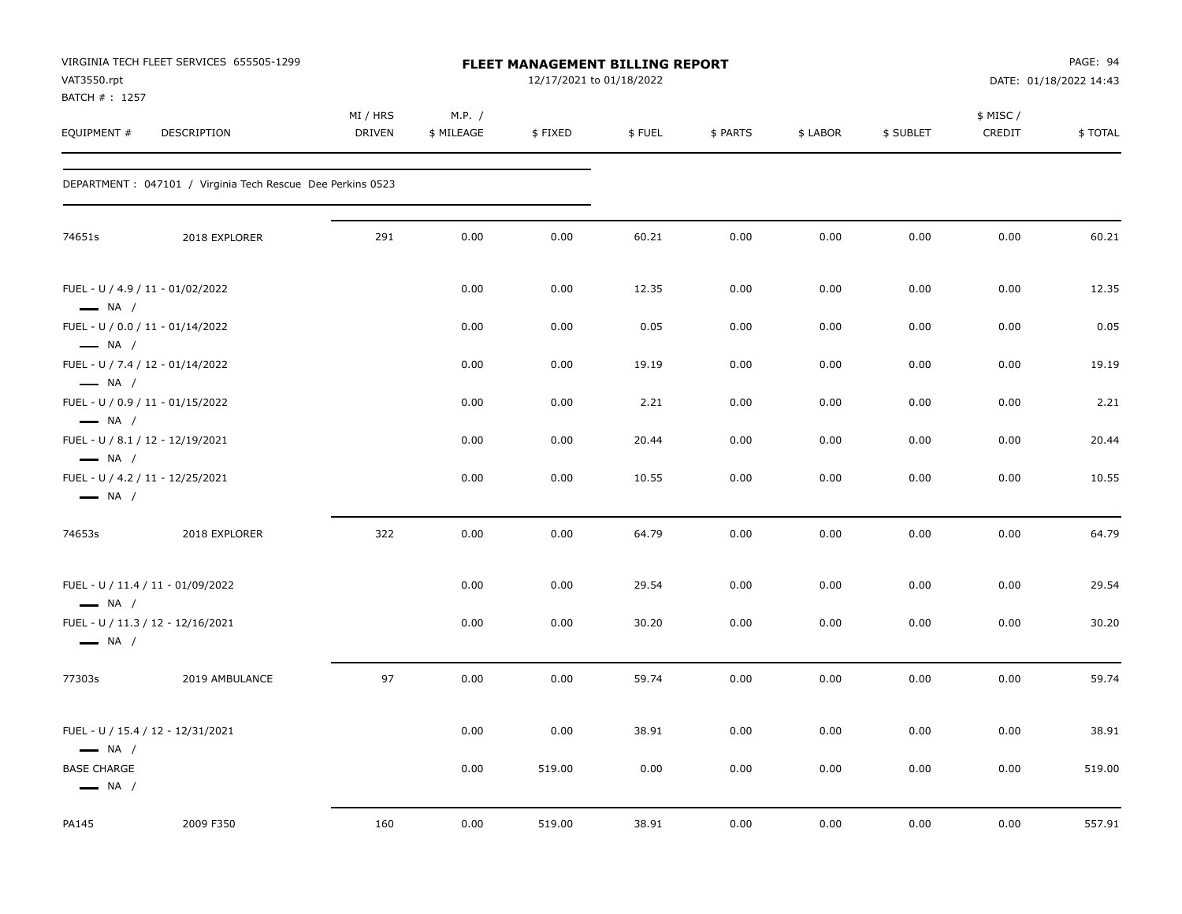| VAT3550.rpt                                                | VIRGINIA TECH FLEET SERVICES 655505-1299                    |                           |                      | FLEET MANAGEMENT BILLING REPORT<br>12/17/2021 to 01/18/2022 |        |          |          |           |                    | PAGE: 94<br>DATE: 01/18/2022 14:43 |
|------------------------------------------------------------|-------------------------------------------------------------|---------------------------|----------------------|-------------------------------------------------------------|--------|----------|----------|-----------|--------------------|------------------------------------|
| BATCH #: 1257<br>EQUIPMENT #                               | DESCRIPTION                                                 | MI / HRS<br><b>DRIVEN</b> | M.P. /<br>\$ MILEAGE | \$FIXED                                                     | \$FUEL | \$ PARTS | \$ LABOR | \$ SUBLET | \$ MISC/<br>CREDIT | \$TOTAL                            |
|                                                            | DEPARTMENT : 047101 / Virginia Tech Rescue Dee Perkins 0523 |                           |                      |                                                             |        |          |          |           |                    |                                    |
| 74651s                                                     | 2018 EXPLORER                                               | 291                       | 0.00                 | 0.00                                                        | 60.21  | 0.00     | 0.00     | 0.00      | 0.00               | 60.21                              |
| FUEL - U / 4.9 / 11 - 01/02/2022<br>$\longrightarrow$ NA / |                                                             |                           | 0.00                 | 0.00                                                        | 12.35  | 0.00     | 0.00     | 0.00      | 0.00               | 12.35                              |
| FUEL - U / 0.0 / 11 - 01/14/2022<br>$\longrightarrow$ NA / |                                                             |                           | 0.00                 | 0.00                                                        | 0.05   | 0.00     | 0.00     | 0.00      | 0.00               | 0.05                               |
| FUEL - U / 7.4 / 12 - 01/14/2022<br>$\longrightarrow$ NA / |                                                             |                           | 0.00                 | 0.00                                                        | 19.19  | 0.00     | 0.00     | 0.00      | 0.00               | 19.19                              |
| FUEL - U / 0.9 / 11 - 01/15/2022<br>$\longrightarrow$ NA / |                                                             |                           | 0.00                 | 0.00                                                        | 2.21   | 0.00     | 0.00     | 0.00      | 0.00               | 2.21                               |
| FUEL - U / 8.1 / 12 - 12/19/2021<br>$\longrightarrow$ NA / |                                                             |                           | 0.00                 | 0.00                                                        | 20.44  | 0.00     | 0.00     | 0.00      | 0.00               | 20.44                              |
| FUEL - U / 4.2 / 11 - 12/25/2021<br>$\longrightarrow$ NA / |                                                             |                           | 0.00                 | 0.00                                                        | 10.55  | 0.00     | 0.00     | 0.00      | 0.00               | 10.55                              |
| 74653s                                                     | 2018 EXPLORER                                               | 322                       | 0.00                 | 0.00                                                        | 64.79  | 0.00     | 0.00     | 0.00      | 0.00               | 64.79                              |
|                                                            | FUEL - U / 11.4 / 11 - 01/09/2022                           |                           | 0.00                 | 0.00                                                        | 29.54  | 0.00     | 0.00     | 0.00      | 0.00               | 29.54                              |
| $\longrightarrow$ NA /<br>$\longrightarrow$ NA /           | FUEL - U / 11.3 / 12 - 12/16/2021                           |                           | 0.00                 | 0.00                                                        | 30.20  | 0.00     | 0.00     | 0.00      | 0.00               | 30.20                              |
| 77303s                                                     | 2019 AMBULANCE                                              | 97                        | 0.00                 | 0.00                                                        | 59.74  | 0.00     | 0.00     | 0.00      | 0.00               | 59.74                              |
| $\longrightarrow$ NA /                                     | FUEL - U / 15.4 / 12 - 12/31/2021                           |                           | 0.00                 | 0.00                                                        | 38.91  | 0.00     | 0.00     | 0.00      | 0.00               | 38.91                              |
| <b>BASE CHARGE</b><br>$\longrightarrow$ NA /               |                                                             |                           | 0.00                 | 519.00                                                      | 0.00   | 0.00     | 0.00     | 0.00      | 0.00               | 519.00                             |
| PA145                                                      | 2009 F350                                                   | 160                       | 0.00                 | 519.00                                                      | 38.91  | 0.00     | 0.00     | 0.00      | 0.00               | 557.91                             |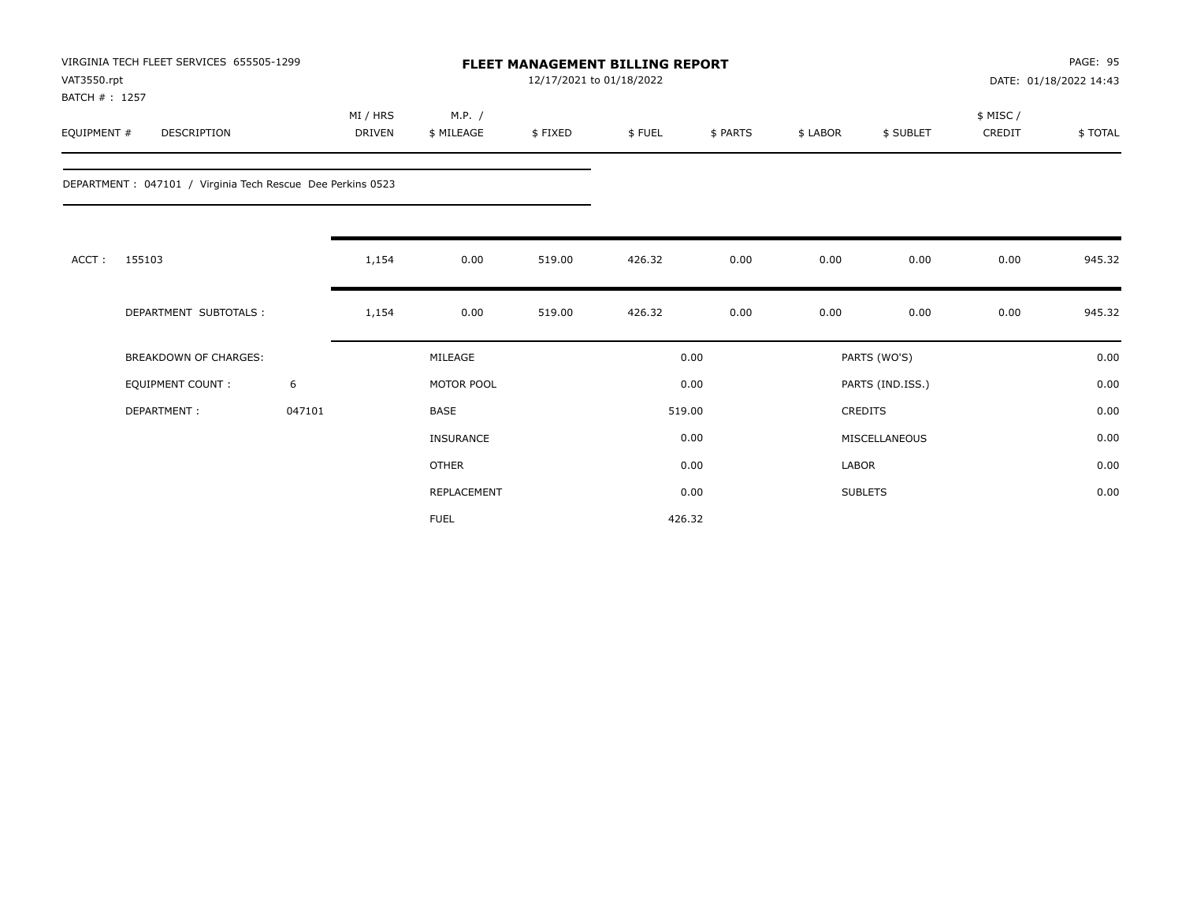| VAT3550.rpt<br>BATCH #: 1257 | VIRGINIA TECH FLEET SERVICES 655505-1299                    |        |                           |                      | 12/17/2021 to 01/18/2022 | <b>FLEET MANAGEMENT BILLING REPORT</b> |          |          |                  |                     | <b>PAGE: 95</b><br>DATE: 01/18/2022 14:43 |
|------------------------------|-------------------------------------------------------------|--------|---------------------------|----------------------|--------------------------|----------------------------------------|----------|----------|------------------|---------------------|-------------------------------------------|
| EQUIPMENT #                  | <b>DESCRIPTION</b>                                          |        | MI / HRS<br><b>DRIVEN</b> | M.P. /<br>\$ MILEAGE | \$FIXED                  | \$FUEL                                 | \$ PARTS | \$ LABOR | \$ SUBLET        | \$ MISC /<br>CREDIT | \$TOTAL                                   |
|                              | DEPARTMENT : 047101 / Virginia Tech Rescue Dee Perkins 0523 |        |                           |                      |                          |                                        |          |          |                  |                     |                                           |
| ACCT:                        | 155103                                                      |        | 1,154                     | 0.00                 | 519.00                   | 426.32                                 | 0.00     | 0.00     | 0.00             | 0.00                | 945.32                                    |
|                              | DEPARTMENT SUBTOTALS :                                      |        | 1,154                     | 0.00                 | 519.00                   | 426.32                                 | 0.00     | 0.00     | 0.00             | 0.00                | 945.32                                    |
|                              | <b>BREAKDOWN OF CHARGES:</b>                                |        |                           | MILEAGE              |                          |                                        | 0.00     |          | PARTS (WO'S)     |                     | 0.00                                      |
|                              | <b>EQUIPMENT COUNT:</b>                                     | 6      |                           | MOTOR POOL           |                          |                                        | 0.00     |          | PARTS (IND.ISS.) |                     | 0.00                                      |
|                              | DEPARTMENT:                                                 | 047101 |                           | <b>BASE</b>          |                          |                                        | 519.00   |          | CREDITS          |                     | 0.00                                      |
|                              |                                                             |        |                           | <b>INSURANCE</b>     |                          |                                        | 0.00     |          | MISCELLANEOUS    |                     | 0.00                                      |
|                              |                                                             |        |                           | <b>OTHER</b>         |                          |                                        | 0.00     | LABOR    |                  |                     | 0.00                                      |
|                              |                                                             |        |                           | REPLACEMENT          |                          |                                        | 0.00     |          | <b>SUBLETS</b>   |                     | 0.00                                      |
|                              |                                                             |        |                           | <b>FUEL</b>          |                          |                                        | 426.32   |          |                  |                     |                                           |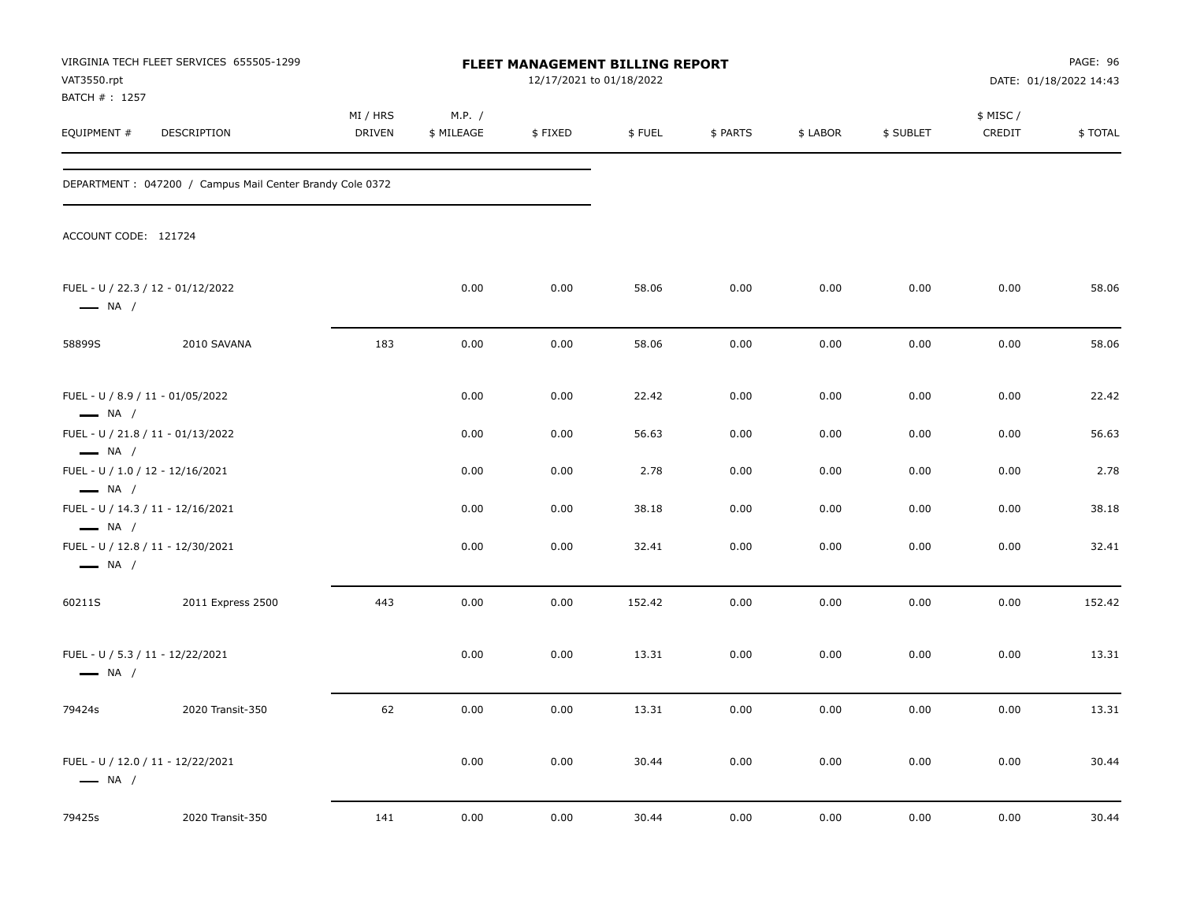| VAT3550.rpt                                                                          | VIRGINIA TECH FLEET SERVICES 655505-1299                  |                    |                      | FLEET MANAGEMENT BILLING REPORT<br>12/17/2021 to 01/18/2022 |        |          |          |           |                    | PAGE: 96<br>DATE: 01/18/2022 14:43 |
|--------------------------------------------------------------------------------------|-----------------------------------------------------------|--------------------|----------------------|-------------------------------------------------------------|--------|----------|----------|-----------|--------------------|------------------------------------|
| BATCH #: 1257<br>EQUIPMENT #                                                         | DESCRIPTION                                               | MI / HRS<br>DRIVEN | M.P. /<br>\$ MILEAGE | \$FIXED                                                     | \$FUEL | \$ PARTS | \$ LABOR | \$ SUBLET | \$ MISC/<br>CREDIT | \$TOTAL                            |
|                                                                                      | DEPARTMENT : 047200 / Campus Mail Center Brandy Cole 0372 |                    |                      |                                                             |        |          |          |           |                    |                                    |
| ACCOUNT CODE: 121724                                                                 |                                                           |                    |                      |                                                             |        |          |          |           |                    |                                    |
| $\longrightarrow$ NA /                                                               | FUEL - U / 22.3 / 12 - 01/12/2022                         |                    | 0.00                 | 0.00                                                        | 58.06  | 0.00     | 0.00     | 0.00      | 0.00               | 58.06                              |
| 58899S                                                                               | 2010 SAVANA                                               | 183                | 0.00                 | 0.00                                                        | 58.06  | 0.00     | 0.00     | 0.00      | 0.00               | 58.06                              |
| FUEL - U / 8.9 / 11 - 01/05/2022<br>$\longrightarrow$ NA /                           |                                                           |                    | 0.00                 | 0.00                                                        | 22.42  | 0.00     | 0.00     | 0.00      | 0.00               | 22.42                              |
|                                                                                      | FUEL - U / 21.8 / 11 - 01/13/2022                         |                    | 0.00                 | 0.00                                                        | 56.63  | 0.00     | 0.00     | 0.00      | 0.00               | 56.63                              |
| $\longrightarrow$ NA /<br>FUEL - U / 1.0 / 12 - 12/16/2021<br>$\longrightarrow$ NA / |                                                           |                    | 0.00                 | 0.00                                                        | 2.78   | 0.00     | 0.00     | 0.00      | 0.00               | 2.78                               |
|                                                                                      | FUEL - U / 14.3 / 11 - 12/16/2021                         |                    | 0.00                 | 0.00                                                        | 38.18  | 0.00     | 0.00     | 0.00      | 0.00               | 38.18                              |
| $\longrightarrow$ NA /<br>$\longrightarrow$ NA /                                     | FUEL - U / 12.8 / 11 - 12/30/2021                         |                    | 0.00                 | 0.00                                                        | 32.41  | 0.00     | 0.00     | 0.00      | 0.00               | 32.41                              |
| 60211S                                                                               | 2011 Express 2500                                         | 443                | 0.00                 | 0.00                                                        | 152.42 | 0.00     | 0.00     | 0.00      | 0.00               | 152.42                             |
| FUEL - U / 5.3 / 11 - 12/22/2021<br>$\longrightarrow$ NA /                           |                                                           |                    | 0.00                 | 0.00                                                        | 13.31  | 0.00     | 0.00     | 0.00      | 0.00               | 13.31                              |
| 79424s                                                                               | 2020 Transit-350                                          | 62                 | 0.00                 | 0.00                                                        | 13.31  | 0.00     | 0.00     | 0.00      | 0.00               | 13.31                              |
| $\longrightarrow$ NA /                                                               | FUEL - U / 12.0 / 11 - 12/22/2021                         |                    | 0.00                 | 0.00                                                        | 30.44  | 0.00     | 0.00     | 0.00      | 0.00               | 30.44                              |
| 79425s                                                                               | 2020 Transit-350                                          | 141                | 0.00                 | 0.00                                                        | 30.44  | 0.00     | 0.00     | 0.00      | 0.00               | 30.44                              |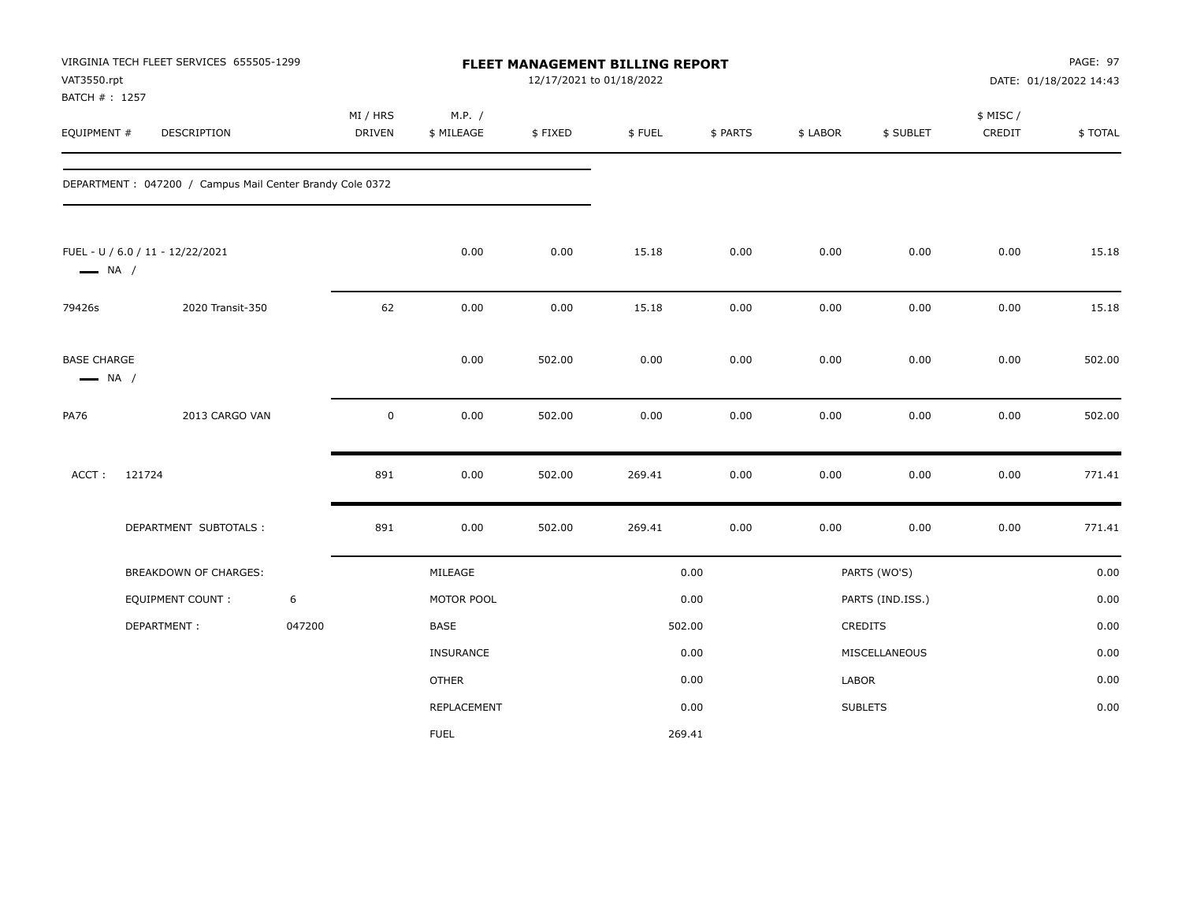| VAT3550.rpt<br>BATCH #: 1257                 | VIRGINIA TECH FLEET SERVICES 655505-1299                  |        |                    |                      | 12/17/2021 to 01/18/2022 | FLEET MANAGEMENT BILLING REPORT |          |          |                  |                     | PAGE: 97<br>DATE: 01/18/2022 14:43 |
|----------------------------------------------|-----------------------------------------------------------|--------|--------------------|----------------------|--------------------------|---------------------------------|----------|----------|------------------|---------------------|------------------------------------|
| EQUIPMENT #                                  | DESCRIPTION                                               |        | MI / HRS<br>DRIVEN | M.P. /<br>\$ MILEAGE | \$FIXED                  | \$FUEL                          | \$ PARTS | \$ LABOR | \$ SUBLET        | \$ MISC /<br>CREDIT | \$TOTAL                            |
|                                              | DEPARTMENT : 047200 / Campus Mail Center Brandy Cole 0372 |        |                    |                      |                          |                                 |          |          |                  |                     |                                    |
| $\longrightarrow$ NA /                       | FUEL - U / 6.0 / 11 - 12/22/2021                          |        |                    | 0.00                 | 0.00                     | 15.18                           | 0.00     | 0.00     | 0.00             | 0.00                | 15.18                              |
| 79426s                                       | 2020 Transit-350                                          |        | 62                 | 0.00                 | 0.00                     | 15.18                           | 0.00     | 0.00     | 0.00             | 0.00                | 15.18                              |
| <b>BASE CHARGE</b><br>$\longrightarrow$ NA / |                                                           |        |                    | 0.00                 | 502.00                   | 0.00                            | 0.00     | 0.00     | 0.00             | 0.00                | 502.00                             |
| <b>PA76</b>                                  | 2013 CARGO VAN                                            |        | $\pmb{0}$          | 0.00                 | 502.00                   | 0.00                            | 0.00     | 0.00     | 0.00             | 0.00                | 502.00                             |
| ACCT:                                        | 121724                                                    |        | 891                | 0.00                 | 502.00                   | 269.41                          | 0.00     | 0.00     | 0.00             | 0.00                | 771.41                             |
|                                              | DEPARTMENT SUBTOTALS :                                    |        | 891                | 0.00                 | 502.00                   | 269.41                          | 0.00     | 0.00     | 0.00             | 0.00                | 771.41                             |
|                                              | BREAKDOWN OF CHARGES:                                     |        |                    | MILEAGE              |                          |                                 | 0.00     |          | PARTS (WO'S)     |                     | 0.00                               |
|                                              | <b>EQUIPMENT COUNT:</b>                                   | 6      |                    | MOTOR POOL           |                          |                                 | 0.00     |          | PARTS (IND.ISS.) |                     | 0.00                               |
|                                              | DEPARTMENT:                                               | 047200 |                    | BASE                 |                          |                                 | 502.00   |          | CREDITS          |                     | 0.00                               |
|                                              |                                                           |        |                    | <b>INSURANCE</b>     |                          |                                 | 0.00     |          | MISCELLANEOUS    |                     | 0.00                               |
|                                              |                                                           |        |                    | <b>OTHER</b>         |                          |                                 | 0.00     | LABOR    |                  |                     | 0.00                               |
|                                              |                                                           |        |                    | REPLACEMENT          |                          |                                 | 0.00     |          | <b>SUBLETS</b>   |                     | 0.00                               |
|                                              |                                                           |        |                    | <b>FUEL</b>          |                          |                                 | 269.41   |          |                  |                     |                                    |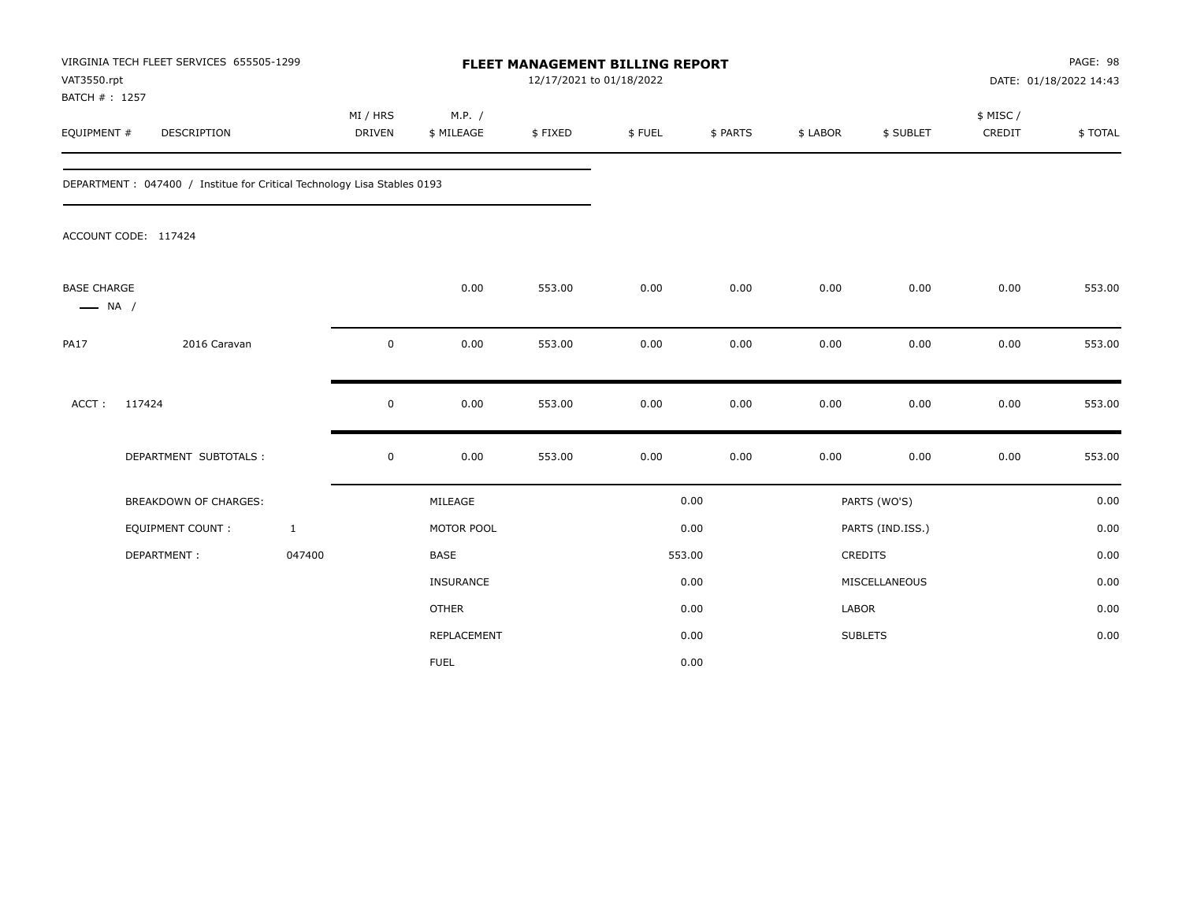| VAT3550.rpt<br>BATCH #: 1257                 | VIRGINIA TECH FLEET SERVICES 655505-1299                                 |                           |                      | FLEET MANAGEMENT BILLING REPORT | 12/17/2021 to 01/18/2022 |          |          |                  |                     | PAGE: 98<br>DATE: 01/18/2022 14:43 |
|----------------------------------------------|--------------------------------------------------------------------------|---------------------------|----------------------|---------------------------------|--------------------------|----------|----------|------------------|---------------------|------------------------------------|
| EQUIPMENT #                                  | DESCRIPTION                                                              | MI / HRS<br><b>DRIVEN</b> | M.P. /<br>\$ MILEAGE | \$FIXED                         | \$FUEL                   | \$ PARTS | \$ LABOR | \$ SUBLET        | \$ MISC /<br>CREDIT | \$TOTAL                            |
|                                              | DEPARTMENT : 047400 / Institue for Critical Technology Lisa Stables 0193 |                           |                      |                                 |                          |          |          |                  |                     |                                    |
|                                              | ACCOUNT CODE: 117424                                                     |                           |                      |                                 |                          |          |          |                  |                     |                                    |
| <b>BASE CHARGE</b><br>$\longrightarrow$ NA / |                                                                          |                           | 0.00                 | 553.00                          | 0.00                     | 0.00     | 0.00     | 0.00             | 0.00                | 553.00                             |
| <b>PA17</b>                                  | 2016 Caravan                                                             |                           | 0.00<br>0            | 553.00                          | 0.00                     | 0.00     | 0.00     | 0.00             | 0.00                | 553.00                             |
| ACCT:                                        | 117424                                                                   |                           | $\mathsf 0$<br>0.00  | 553.00                          | 0.00                     | 0.00     | 0.00     | 0.00             | 0.00                | 553.00                             |
|                                              | DEPARTMENT SUBTOTALS :                                                   |                           | $\mathsf 0$<br>0.00  | 553.00                          | 0.00                     | 0.00     | 0.00     | 0.00             | 0.00                | 553.00                             |
|                                              | BREAKDOWN OF CHARGES:                                                    |                           | MILEAGE              |                                 |                          | 0.00     |          | PARTS (WO'S)     |                     | 0.00                               |
|                                              | <b>EQUIPMENT COUNT:</b>                                                  | $\mathbf{1}$              | MOTOR POOL           |                                 |                          | 0.00     |          | PARTS (IND.ISS.) |                     | 0.00                               |
|                                              | DEPARTMENT:                                                              | 047400                    | <b>BASE</b>          |                                 |                          | 553.00   |          | CREDITS          |                     | 0.00                               |
|                                              |                                                                          |                           | INSURANCE            |                                 |                          | 0.00     |          | MISCELLANEOUS    |                     | 0.00                               |
|                                              |                                                                          |                           | <b>OTHER</b>         |                                 |                          | 0.00     |          | LABOR            |                     | 0.00                               |
|                                              |                                                                          |                           | REPLACEMENT          |                                 |                          | 0.00     |          | <b>SUBLETS</b>   |                     | 0.00                               |
|                                              |                                                                          |                           | <b>FUEL</b>          |                                 |                          | 0.00     |          |                  |                     |                                    |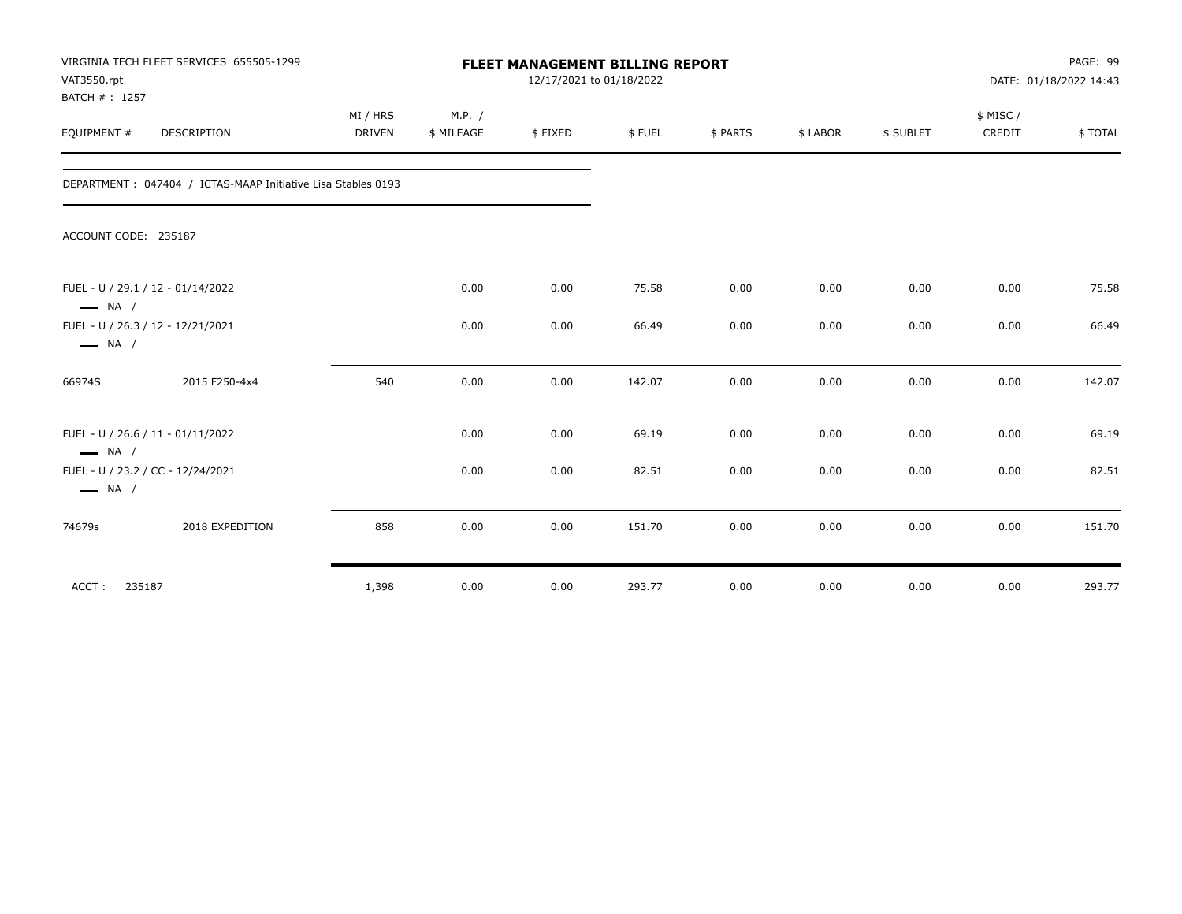| VAT3550.rpt<br>BATCH #: 1257 | VIRGINIA TECH FLEET SERVICES 655505-1299                      |                           | PAGE: 99<br>DATE: 01/18/2022 14:43 |         |        |          |          |           |                     |         |
|------------------------------|---------------------------------------------------------------|---------------------------|------------------------------------|---------|--------|----------|----------|-----------|---------------------|---------|
| EQUIPMENT #                  | DESCRIPTION                                                   | MI / HRS<br><b>DRIVEN</b> | M.P. /<br>\$ MILEAGE               | \$FIXED | \$FUEL | \$ PARTS | \$ LABOR | \$ SUBLET | \$ MISC /<br>CREDIT | \$TOTAL |
|                              | DEPARTMENT : 047404 / ICTAS-MAAP Initiative Lisa Stables 0193 |                           |                                    |         |        |          |          |           |                     |         |
| ACCOUNT CODE: 235187         |                                                               |                           |                                    |         |        |          |          |           |                     |         |
| $\longrightarrow$ NA /       | FUEL - U / 29.1 / 12 - 01/14/2022                             |                           | 0.00                               | 0.00    | 75.58  | 0.00     | 0.00     | 0.00      | 0.00                | 75.58   |
| $\longrightarrow$ NA /       | FUEL - U / 26.3 / 12 - 12/21/2021                             |                           | 0.00                               | 0.00    | 66.49  | 0.00     | 0.00     | 0.00      | 0.00                | 66.49   |
| 66974S                       | 2015 F250-4x4                                                 | 540                       | 0.00                               | 0.00    | 142.07 | 0.00     | 0.00     | 0.00      | 0.00                | 142.07  |
| $\longrightarrow$ NA /       | FUEL - U / 26.6 / 11 - 01/11/2022                             |                           | 0.00                               | 0.00    | 69.19  | 0.00     | 0.00     | 0.00      | 0.00                | 69.19   |
| $\longrightarrow$ NA /       | FUEL - U / 23.2 / CC - 12/24/2021                             |                           | 0.00                               | 0.00    | 82.51  | 0.00     | 0.00     | 0.00      | 0.00                | 82.51   |
| 74679s                       | 2018 EXPEDITION                                               | 858                       | 0.00                               | 0.00    | 151.70 | 0.00     | 0.00     | 0.00      | 0.00                | 151.70  |
| ACCT:<br>235187              |                                                               | 1,398                     | 0.00                               | 0.00    | 293.77 | 0.00     | 0.00     | 0.00      | 0.00                | 293.77  |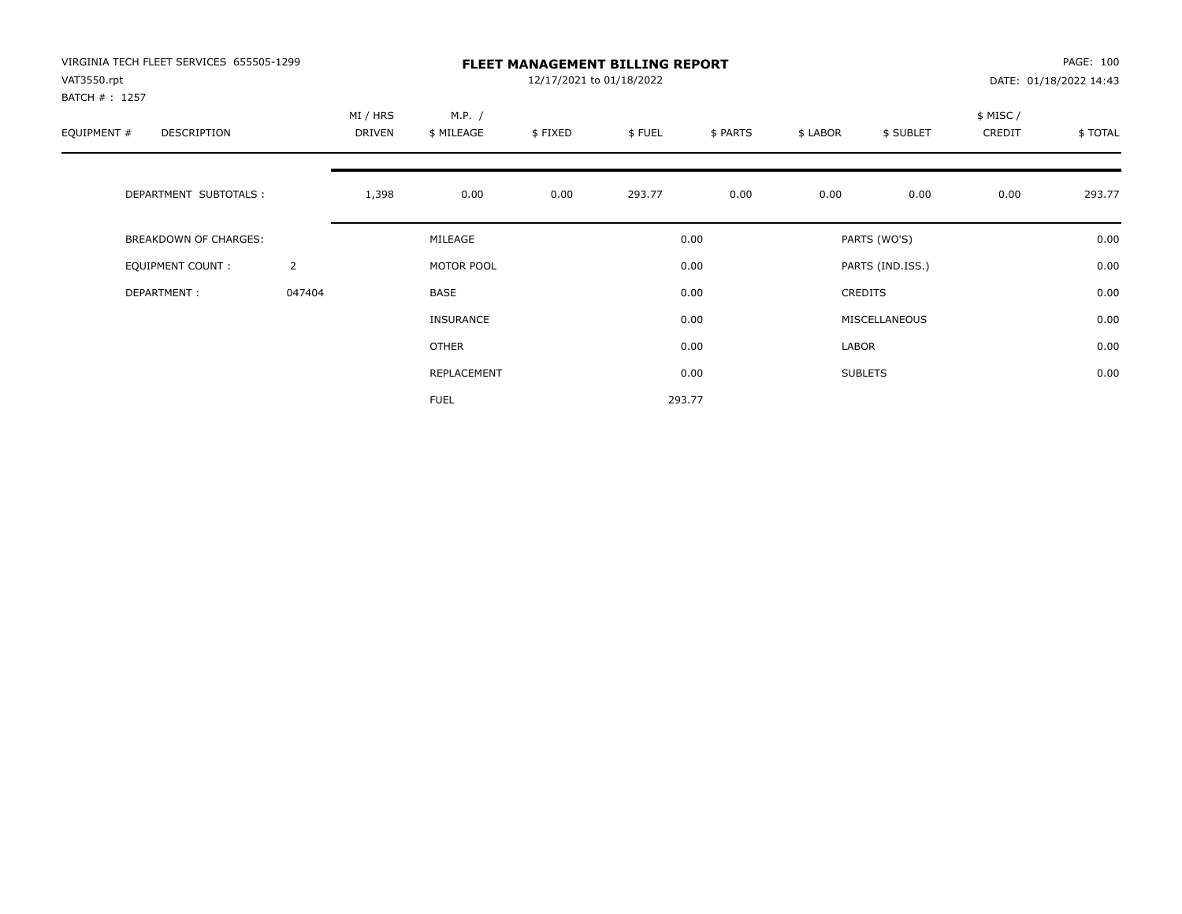| VIRGINIA TECH FLEET SERVICES 655505-1299<br>VAT3550.rpt<br>BATCH #: 1257 |                | <b>FLEET MANAGEMENT BILLING REPORT</b><br>12/17/2021 to 01/18/2022 |                      |         |        |          |          |                  |                    | PAGE: 100<br>DATE: 01/18/2022 14:43 |  |
|--------------------------------------------------------------------------|----------------|--------------------------------------------------------------------|----------------------|---------|--------|----------|----------|------------------|--------------------|-------------------------------------|--|
| EQUIPMENT #<br>DESCRIPTION                                               |                | MI / HRS<br>DRIVEN                                                 | M.P. /<br>\$ MILEAGE | \$FIXED | \$FUEL | \$ PARTS | \$ LABOR | \$ SUBLET        | \$ MISC/<br>CREDIT | \$ TOTAL                            |  |
| DEPARTMENT SUBTOTALS :                                                   |                | 1,398                                                              | 0.00                 | 0.00    | 293.77 | 0.00     | 0.00     | 0.00             | 0.00               | 293.77                              |  |
| BREAKDOWN OF CHARGES:                                                    |                |                                                                    | MILEAGE              |         |        | 0.00     |          | PARTS (WO'S)     |                    | 0.00                                |  |
| <b>EQUIPMENT COUNT:</b>                                                  | $\overline{2}$ |                                                                    | MOTOR POOL           |         |        | 0.00     |          | PARTS (IND.ISS.) |                    | 0.00                                |  |
| DEPARTMENT:                                                              | 047404         |                                                                    | BASE                 |         |        | 0.00     |          | <b>CREDITS</b>   |                    | 0.00                                |  |
|                                                                          |                |                                                                    | <b>INSURANCE</b>     |         |        | 0.00     |          | MISCELLANEOUS    |                    | 0.00                                |  |
|                                                                          |                |                                                                    | <b>OTHER</b>         |         |        | 0.00     | LABOR    |                  |                    | 0.00                                |  |
|                                                                          |                |                                                                    | REPLACEMENT          |         |        | 0.00     |          | <b>SUBLETS</b>   |                    | 0.00                                |  |
|                                                                          |                |                                                                    | <b>FUEL</b>          |         |        | 293.77   |          |                  |                    |                                     |  |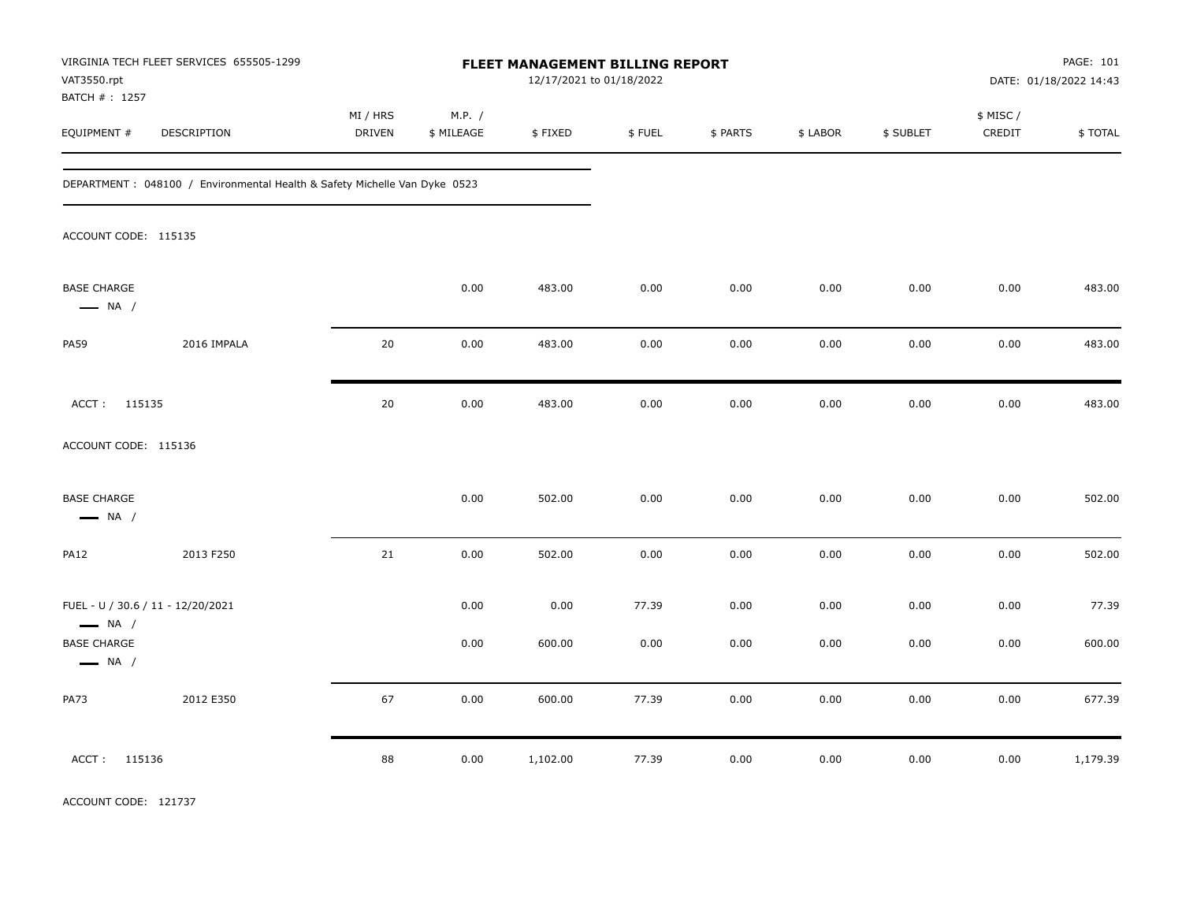| VAT3550.rpt                                                 | VIRGINIA TECH FLEET SERVICES 655505-1299                                   |                           |                      |          | <b>FLEET MANAGEMENT BILLING REPORT</b><br>12/17/2021 to 01/18/2022 |          |          |           |                     | PAGE: 101<br>DATE: 01/18/2022 14:43 |
|-------------------------------------------------------------|----------------------------------------------------------------------------|---------------------------|----------------------|----------|--------------------------------------------------------------------|----------|----------|-----------|---------------------|-------------------------------------|
| BATCH # : 1257<br>EQUIPMENT #                               | <b>DESCRIPTION</b>                                                         | MI / HRS<br><b>DRIVEN</b> | M.P. /<br>\$ MILEAGE | \$FIXED  | \$FUEL                                                             | \$ PARTS | \$ LABOR | \$ SUBLET | \$ MISC /<br>CREDIT | \$TOTAL                             |
|                                                             | DEPARTMENT : 048100 / Environmental Health & Safety Michelle Van Dyke 0523 |                           |                      |          |                                                                    |          |          |           |                     |                                     |
| ACCOUNT CODE: 115135                                        |                                                                            |                           |                      |          |                                                                    |          |          |           |                     |                                     |
| <b>BASE CHARGE</b><br>$\longrightarrow$ NA /                |                                                                            |                           | 0.00                 | 483.00   | 0.00                                                               | 0.00     | 0.00     | 0.00      | 0.00                | 483.00                              |
| <b>PA59</b>                                                 | 2016 IMPALA                                                                | 20                        | 0.00                 | 483.00   | 0.00                                                               | 0.00     | 0.00     | 0.00      | 0.00                | 483.00                              |
| ACCT: 115135                                                |                                                                            | 20                        | 0.00                 | 483.00   | 0.00                                                               | 0.00     | 0.00     | 0.00      | 0.00                | 483.00                              |
| ACCOUNT CODE: 115136                                        |                                                                            |                           |                      |          |                                                                    |          |          |           |                     |                                     |
| <b>BASE CHARGE</b><br>$\longrightarrow$ NA /                |                                                                            |                           | 0.00                 | 502.00   | 0.00                                                               | 0.00     | 0.00     | 0.00      | 0.00                | 502.00                              |
| <b>PA12</b>                                                 | 2013 F250                                                                  | 21                        | 0.00                 | 502.00   | 0.00                                                               | 0.00     | 0.00     | 0.00      | 0.00                | 502.00                              |
| FUEL - U / 30.6 / 11 - 12/20/2021<br>$\longrightarrow$ NA / |                                                                            |                           | 0.00                 | 0.00     | 77.39                                                              | 0.00     | 0.00     | 0.00      | 0.00                | 77.39                               |
| <b>BASE CHARGE</b><br>$\longrightarrow$ NA /                |                                                                            |                           | 0.00                 | 600.00   | 0.00                                                               | 0.00     | 0.00     | 0.00      | 0.00                | 600.00                              |
| <b>PA73</b>                                                 | 2012 E350                                                                  | 67                        | 0.00                 | 600.00   | 77.39                                                              | 0.00     | 0.00     | 0.00      | 0.00                | 677.39                              |
| ACCT: 115136                                                |                                                                            | 88                        | 0.00                 | 1,102.00 | 77.39                                                              | 0.00     | 0.00     | 0.00      | 0.00                | 1,179.39                            |

ACCOUNT CODE: 121737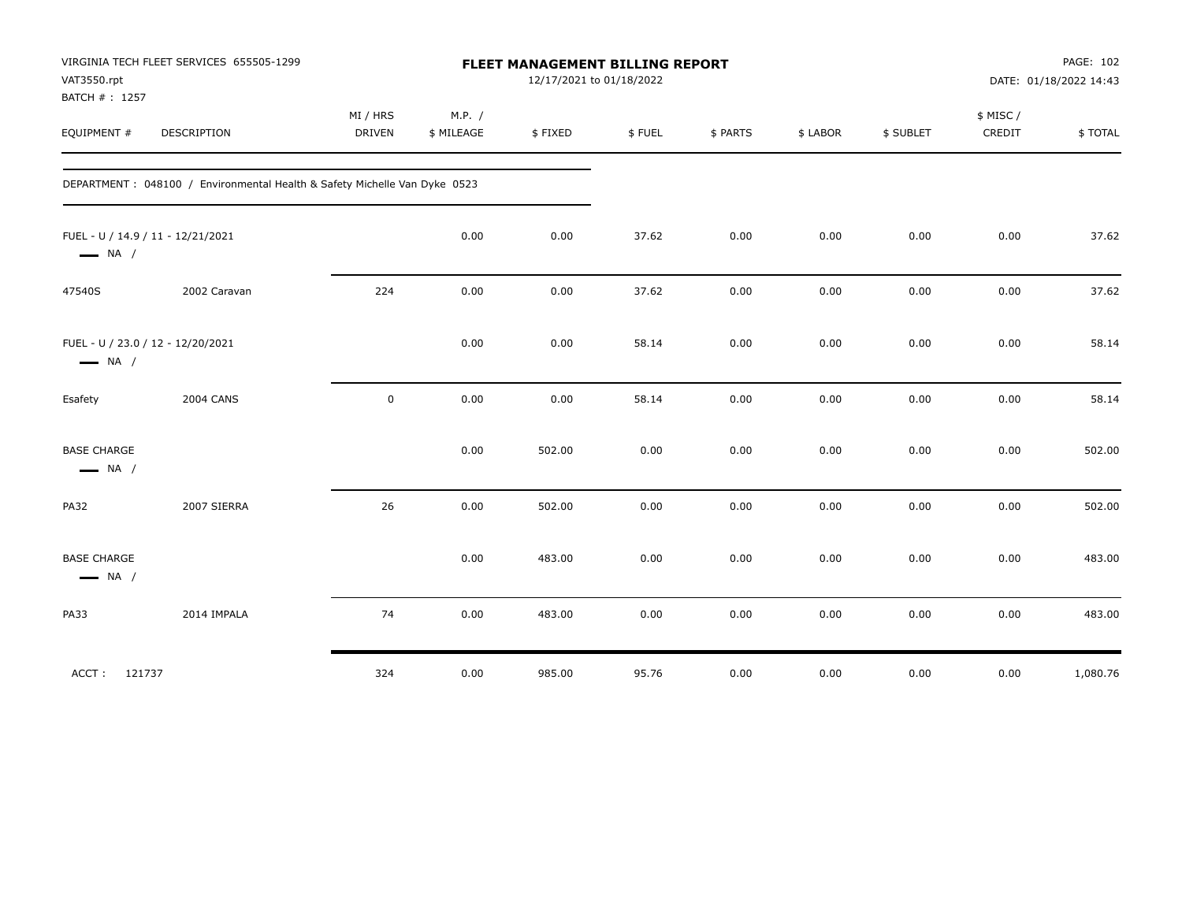| VAT3550.rpt<br>BATCH #: 1257                 | VIRGINIA TECH FLEET SERVICES 655505-1299                                  |                           |                      | FLEET MANAGEMENT BILLING REPORT<br>12/17/2021 to 01/18/2022 |        |          |          |           |                    | PAGE: 102<br>DATE: 01/18/2022 14:43 |
|----------------------------------------------|---------------------------------------------------------------------------|---------------------------|----------------------|-------------------------------------------------------------|--------|----------|----------|-----------|--------------------|-------------------------------------|
| EQUIPMENT #                                  | <b>DESCRIPTION</b>                                                        | MI / HRS<br><b>DRIVEN</b> | M.P. /<br>\$ MILEAGE | \$FIXED                                                     | \$FUEL | \$ PARTS | \$ LABOR | \$ SUBLET | \$ MISC/<br>CREDIT | \$TOTAL                             |
|                                              | DEPARTMENT: 048100 / Environmental Health & Safety Michelle Van Dyke 0523 |                           |                      |                                                             |        |          |          |           |                    |                                     |
| $\longrightarrow$ NA /                       | FUEL - U / 14.9 / 11 - 12/21/2021                                         |                           | 0.00                 | 0.00                                                        | 37.62  | 0.00     | 0.00     | 0.00      | 0.00               | 37.62                               |
| 47540S                                       | 2002 Caravan                                                              | 224                       | 0.00                 | 0.00                                                        | 37.62  | 0.00     | 0.00     | 0.00      | 0.00               | 37.62                               |
| $\longrightarrow$ NA /                       | FUEL - U / 23.0 / 12 - 12/20/2021                                         |                           | 0.00                 | 0.00                                                        | 58.14  | 0.00     | 0.00     | 0.00      | 0.00               | 58.14                               |
| Esafety                                      | <b>2004 CANS</b>                                                          | $\mathsf 0$               | 0.00                 | 0.00                                                        | 58.14  | 0.00     | 0.00     | 0.00      | 0.00               | 58.14                               |
| <b>BASE CHARGE</b><br>$\longrightarrow$ NA / |                                                                           |                           | 0.00                 | 502.00                                                      | 0.00   | 0.00     | 0.00     | 0.00      | 0.00               | 502.00                              |
| <b>PA32</b>                                  | 2007 SIERRA                                                               | 26                        | 0.00                 | 502.00                                                      | 0.00   | 0.00     | 0.00     | 0.00      | 0.00               | 502.00                              |
| <b>BASE CHARGE</b><br>$\longrightarrow$ NA / |                                                                           |                           | 0.00                 | 483.00                                                      | 0.00   | 0.00     | 0.00     | 0.00      | 0.00               | 483.00                              |
| <b>PA33</b>                                  | 2014 IMPALA                                                               | 74                        | 0.00                 | 483.00                                                      | 0.00   | 0.00     | 0.00     | 0.00      | 0.00               | 483.00                              |
| ACCT: 121737                                 |                                                                           | 324                       | 0.00                 | 985.00                                                      | 95.76  | 0.00     | 0.00     | 0.00      | 0.00               | 1,080.76                            |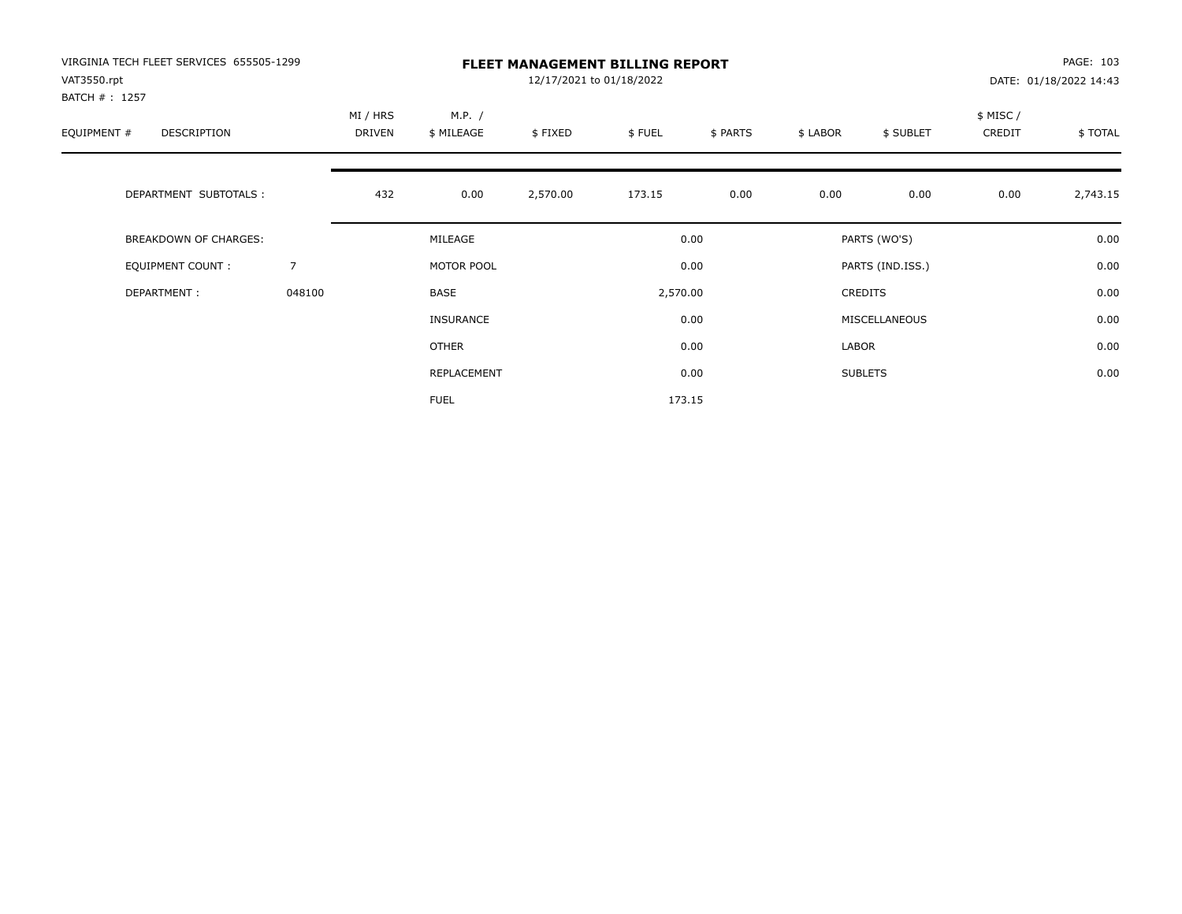| VIRGINIA TECH FLEET SERVICES 655505-1299<br>VAT3550.rpt<br>BATCH # : 1257 |                | <b>FLEET MANAGEMENT BILLING REPORT</b><br>12/17/2021 to 01/18/2022 |                      |          |          |          |          |                  |                     | PAGE: 103<br>DATE: 01/18/2022 14:43 |  |
|---------------------------------------------------------------------------|----------------|--------------------------------------------------------------------|----------------------|----------|----------|----------|----------|------------------|---------------------|-------------------------------------|--|
| EQUIPMENT #<br>DESCRIPTION                                                |                | MI / HRS<br>DRIVEN                                                 | M.P. /<br>\$ MILEAGE | \$FIXED  | \$FUEL   | \$ PARTS | \$ LABOR | \$ SUBLET        | \$ MISC /<br>CREDIT | \$TOTAL                             |  |
| DEPARTMENT SUBTOTALS :                                                    |                | 432                                                                | 0.00                 | 2,570.00 | 173.15   | 0.00     | 0.00     | 0.00             | 0.00                | 2,743.15                            |  |
| <b>BREAKDOWN OF CHARGES:</b>                                              |                |                                                                    | MILEAGE              |          |          | 0.00     |          | PARTS (WO'S)     |                     | 0.00                                |  |
| EQUIPMENT COUNT:                                                          | $\overline{7}$ |                                                                    | MOTOR POOL           |          |          | 0.00     |          | PARTS (IND.ISS.) |                     | 0.00                                |  |
| DEPARTMENT:                                                               | 048100         |                                                                    | <b>BASE</b>          |          | 2,570.00 |          |          | <b>CREDITS</b>   |                     | 0.00                                |  |
|                                                                           |                |                                                                    | INSURANCE            |          |          | 0.00     |          | MISCELLANEOUS    |                     | 0.00                                |  |
|                                                                           |                |                                                                    | <b>OTHER</b>         |          |          | 0.00     | LABOR    |                  |                     | 0.00                                |  |
|                                                                           |                |                                                                    | <b>REPLACEMENT</b>   |          |          | 0.00     |          | <b>SUBLETS</b>   |                     | 0.00                                |  |
|                                                                           |                |                                                                    | <b>FUEL</b>          |          |          | 173.15   |          |                  |                     |                                     |  |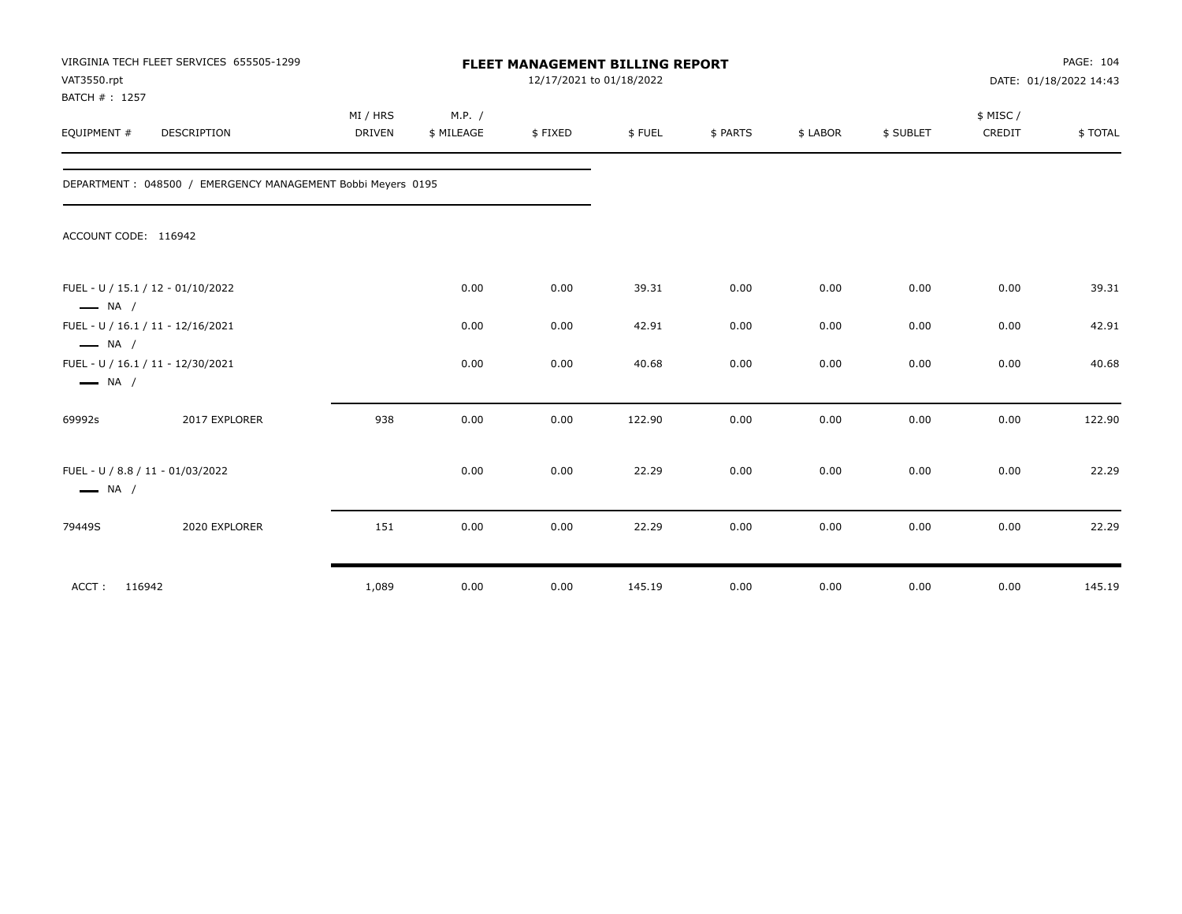| VAT3550.rpt<br>BATCH #: 1257 | VIRGINIA TECH FLEET SERVICES 655505-1299                    |                           | FLEET MANAGEMENT BILLING REPORT<br>12/17/2021 to 01/18/2022 |         |        |          |          |           |                     |          |
|------------------------------|-------------------------------------------------------------|---------------------------|-------------------------------------------------------------|---------|--------|----------|----------|-----------|---------------------|----------|
| EQUIPMENT #                  | <b>DESCRIPTION</b>                                          | MI / HRS<br><b>DRIVEN</b> | M.P. /<br>\$ MILEAGE                                        | \$FIXED | \$FUEL | \$ PARTS | \$ LABOR | \$ SUBLET | \$ MISC /<br>CREDIT | \$ TOTAL |
|                              | DEPARTMENT: 048500 / EMERGENCY MANAGEMENT Bobbi Meyers 0195 |                           |                                                             |         |        |          |          |           |                     |          |
| ACCOUNT CODE: 116942         |                                                             |                           |                                                             |         |        |          |          |           |                     |          |
| $\longrightarrow$ NA /       | FUEL - U / 15.1 / 12 - 01/10/2022                           |                           | 0.00                                                        | 0.00    | 39.31  | 0.00     | 0.00     | 0.00      | 0.00                | 39.31    |
| $\longrightarrow$ NA /       | FUEL - U / 16.1 / 11 - 12/16/2021                           |                           | 0.00                                                        | 0.00    | 42.91  | 0.00     | 0.00     | 0.00      | 0.00                | 42.91    |
| $\longrightarrow$ NA /       | FUEL - U / 16.1 / 11 - 12/30/2021                           |                           | 0.00                                                        | 0.00    | 40.68  | 0.00     | 0.00     | 0.00      | 0.00                | 40.68    |
| 69992s                       | 2017 EXPLORER                                               | 938                       | 0.00                                                        | 0.00    | 122.90 | 0.00     | 0.00     | 0.00      | 0.00                | 122.90   |
| $\longrightarrow$ NA /       | FUEL - U / 8.8 / 11 - 01/03/2022                            |                           | 0.00                                                        | 0.00    | 22.29  | 0.00     | 0.00     | 0.00      | 0.00                | 22.29    |
| 79449S                       | 2020 EXPLORER                                               | 151                       | 0.00                                                        | 0.00    | 22.29  | 0.00     | 0.00     | 0.00      | 0.00                | 22.29    |
| ACCT: 116942                 |                                                             | 1,089                     | 0.00                                                        | 0.00    | 145.19 | 0.00     | 0.00     | 0.00      | 0.00                | 145.19   |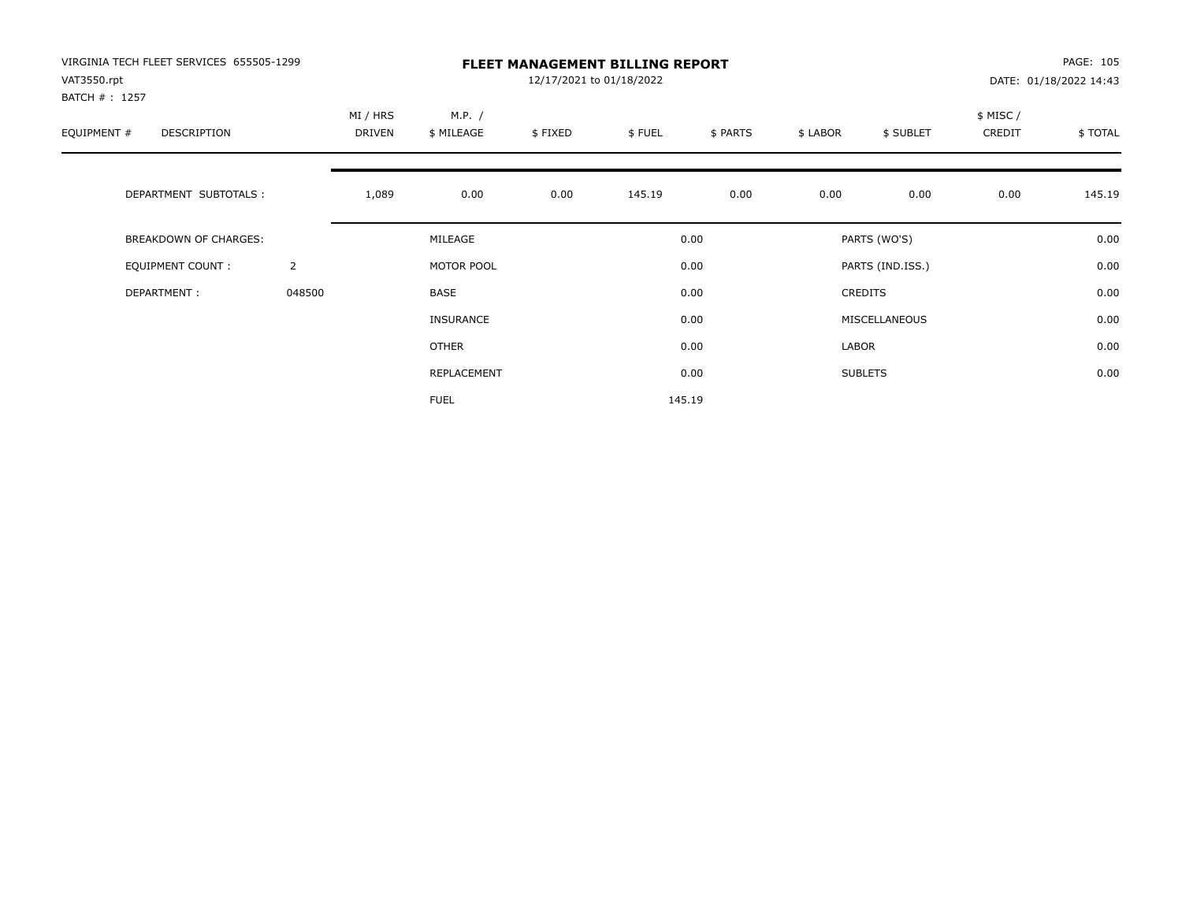| VIRGINIA TECH FLEET SERVICES 655505-1299<br>VAT3550.rpt<br>BATCH #: 1257 |                | <b>FLEET MANAGEMENT BILLING REPORT</b><br>12/17/2021 to 01/18/2022 |                      |         |        |          |          |                  |                     | PAGE: 105<br>DATE: 01/18/2022 14:43 |  |
|--------------------------------------------------------------------------|----------------|--------------------------------------------------------------------|----------------------|---------|--------|----------|----------|------------------|---------------------|-------------------------------------|--|
| EQUIPMENT #<br><b>DESCRIPTION</b>                                        |                | MI / HRS<br>DRIVEN                                                 | M.P. /<br>\$ MILEAGE | \$FIXED | \$FUEL | \$ PARTS | \$ LABOR | \$ SUBLET        | \$ MISC /<br>CREDIT | \$TOTAL                             |  |
| DEPARTMENT SUBTOTALS :                                                   |                | 1,089                                                              | 0.00                 | 0.00    | 145.19 | 0.00     | 0.00     | 0.00             | 0.00                | 145.19                              |  |
| <b>BREAKDOWN OF CHARGES:</b>                                             |                |                                                                    | MILEAGE              |         |        | 0.00     |          | PARTS (WO'S)     |                     | 0.00                                |  |
| EQUIPMENT COUNT:                                                         | $\overline{2}$ |                                                                    | MOTOR POOL           |         |        | 0.00     |          | PARTS (IND.ISS.) |                     | 0.00                                |  |
| DEPARTMENT:                                                              | 048500         |                                                                    | <b>BASE</b>          |         |        | 0.00     |          | <b>CREDITS</b>   |                     | 0.00                                |  |
|                                                                          |                |                                                                    | INSURANCE            |         |        | 0.00     |          | MISCELLANEOUS    |                     | 0.00                                |  |
|                                                                          |                |                                                                    | OTHER                |         |        | 0.00     | LABOR    |                  |                     | 0.00                                |  |
|                                                                          |                |                                                                    | REPLACEMENT          |         |        | 0.00     |          | <b>SUBLETS</b>   |                     | 0.00                                |  |
|                                                                          |                |                                                                    | <b>FUEL</b>          |         |        | 145.19   |          |                  |                     |                                     |  |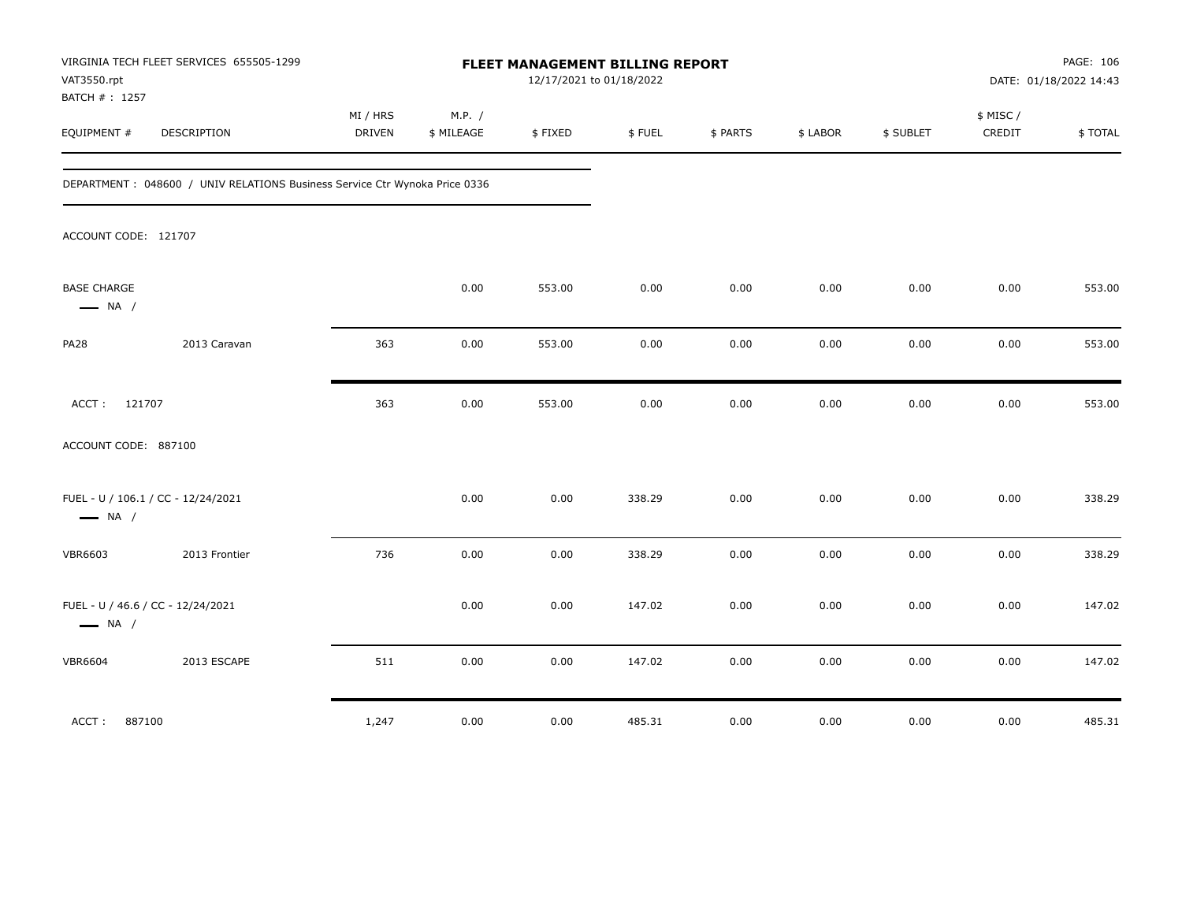| VAT3550.rpt<br>BATCH #: 1257                 | VIRGINIA TECH FLEET SERVICES 655505-1299                                    |                           |                      | FLEET MANAGEMENT BILLING REPORT | 12/17/2021 to 01/18/2022 |          |          |           |                     | PAGE: 106<br>DATE: 01/18/2022 14:43 |
|----------------------------------------------|-----------------------------------------------------------------------------|---------------------------|----------------------|---------------------------------|--------------------------|----------|----------|-----------|---------------------|-------------------------------------|
| EQUIPMENT #                                  | DESCRIPTION                                                                 | MI / HRS<br><b>DRIVEN</b> | M.P. /<br>\$ MILEAGE | \$FIXED                         | \$FUEL                   | \$ PARTS | \$ LABOR | \$ SUBLET | \$ MISC /<br>CREDIT | \$TOTAL                             |
|                                              | DEPARTMENT : 048600 / UNIV RELATIONS Business Service Ctr Wynoka Price 0336 |                           |                      |                                 |                          |          |          |           |                     |                                     |
| ACCOUNT CODE: 121707                         |                                                                             |                           |                      |                                 |                          |          |          |           |                     |                                     |
| <b>BASE CHARGE</b><br>$\longrightarrow$ NA / |                                                                             |                           | 0.00                 | 553.00                          | 0.00                     | 0.00     | 0.00     | 0.00      | 0.00                | 553.00                              |
| <b>PA28</b>                                  | 2013 Caravan                                                                | 363                       | 0.00                 | 553.00                          | 0.00                     | 0.00     | 0.00     | 0.00      | 0.00                | 553.00                              |
| 121707<br>ACCT:                              |                                                                             | 363                       | 0.00                 | 553.00                          | 0.00                     | 0.00     | 0.00     | 0.00      | 0.00                | 553.00                              |
| ACCOUNT CODE: 887100                         |                                                                             |                           |                      |                                 |                          |          |          |           |                     |                                     |
| $\longrightarrow$ NA /                       | FUEL - U / 106.1 / CC - 12/24/2021                                          |                           | 0.00                 | 0.00                            | 338.29                   | 0.00     | 0.00     | 0.00      | 0.00                | 338.29                              |
| <b>VBR6603</b>                               | 2013 Frontier                                                               | 736                       | 0.00                 | 0.00                            | 338.29                   | 0.00     | 0.00     | 0.00      | 0.00                | 338.29                              |
| $\longrightarrow$ NA /                       | FUEL - U / 46.6 / CC - 12/24/2021                                           |                           | 0.00                 | 0.00                            | 147.02                   | 0.00     | 0.00     | 0.00      | 0.00                | 147.02                              |
| <b>VBR6604</b>                               | 2013 ESCAPE                                                                 | 511                       | 0.00                 | 0.00                            | 147.02                   | 0.00     | 0.00     | 0.00      | 0.00                | 147.02                              |
| ACCT:<br>887100                              |                                                                             | 1,247                     | 0.00                 | 0.00                            | 485.31                   | 0.00     | 0.00     | 0.00      | 0.00                | 485.31                              |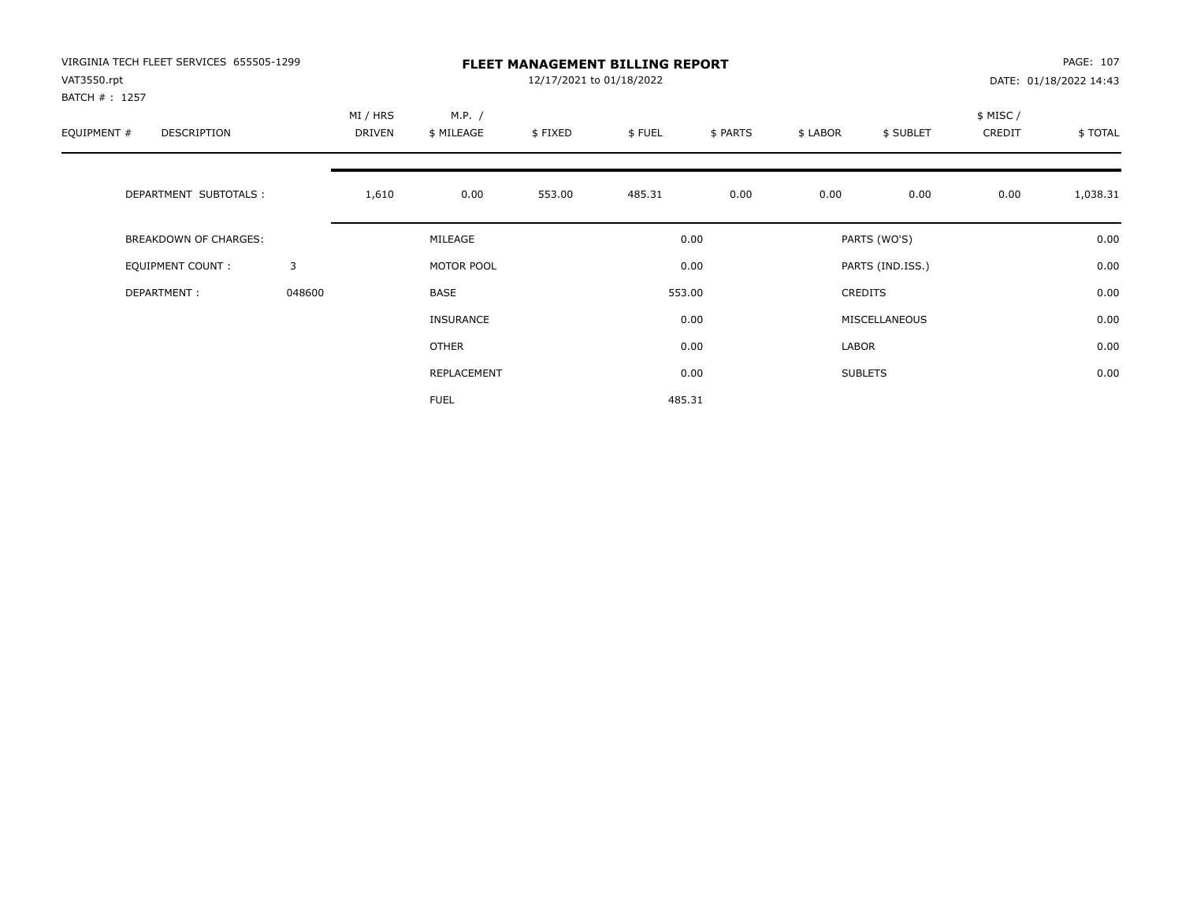| VIRGINIA TECH FLEET SERVICES 655505-1299<br>VAT3550.rpt<br>BATCH #: 1257 |        | <b>FLEET MANAGEMENT BILLING REPORT</b><br>12/17/2021 to 01/18/2022 |                      |         |        |          |          |                  |                     | PAGE: 107<br>DATE: 01/18/2022 14:43 |  |
|--------------------------------------------------------------------------|--------|--------------------------------------------------------------------|----------------------|---------|--------|----------|----------|------------------|---------------------|-------------------------------------|--|
| EQUIPMENT #<br>DESCRIPTION                                               |        | MI / HRS<br>DRIVEN                                                 | M.P. /<br>\$ MILEAGE | \$FIXED | \$FUEL | \$ PARTS | \$ LABOR | \$ SUBLET        | \$ MISC /<br>CREDIT | \$TOTAL                             |  |
| DEPARTMENT SUBTOTALS :                                                   |        | 1,610                                                              | 0.00                 | 553.00  | 485.31 | 0.00     | 0.00     | 0.00             | 0.00                | 1,038.31                            |  |
| BREAKDOWN OF CHARGES:                                                    |        |                                                                    | MILEAGE              |         |        | 0.00     |          | PARTS (WO'S)     |                     | 0.00                                |  |
| <b>EQUIPMENT COUNT:</b>                                                  | 3      |                                                                    | MOTOR POOL           |         |        | 0.00     |          | PARTS (IND.ISS.) |                     | 0.00                                |  |
| DEPARTMENT:                                                              | 048600 |                                                                    | BASE                 |         |        | 553.00   |          | <b>CREDITS</b>   |                     | 0.00                                |  |
|                                                                          |        |                                                                    | <b>INSURANCE</b>     |         |        | 0.00     |          | MISCELLANEOUS    |                     | 0.00                                |  |
|                                                                          |        |                                                                    | OTHER                |         |        | 0.00     | LABOR    |                  |                     | 0.00                                |  |
|                                                                          |        |                                                                    | REPLACEMENT          |         |        | 0.00     |          | <b>SUBLETS</b>   |                     | 0.00                                |  |
|                                                                          |        |                                                                    | <b>FUEL</b>          |         |        | 485.31   |          |                  |                     |                                     |  |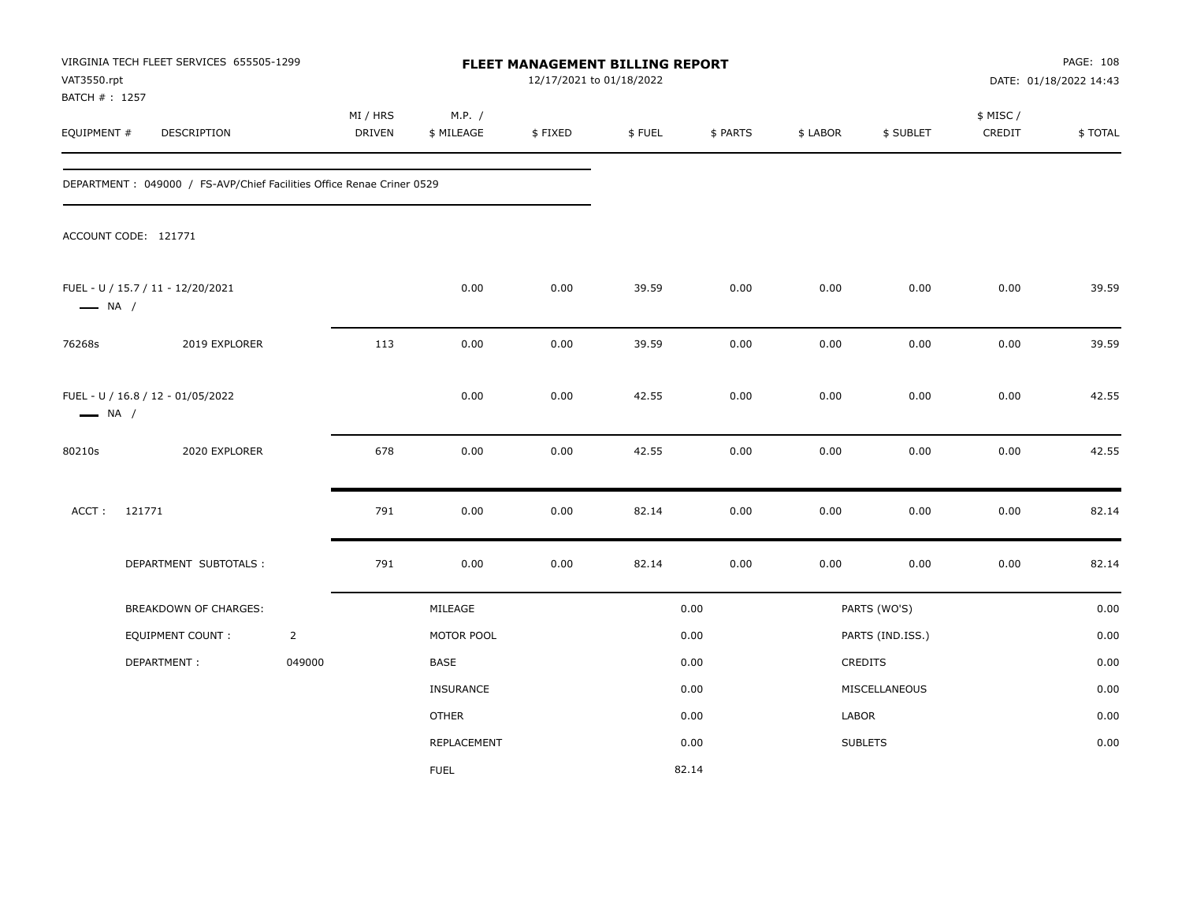| VAT3550.rpt                   | VIRGINIA TECH FLEET SERVICES 655505-1299                               |                |                    |                      | FLEET MANAGEMENT BILLING REPORT<br>12/17/2021 to 01/18/2022 |        |          |          |                  |                     | PAGE: 108<br>DATE: 01/18/2022 14:43 |
|-------------------------------|------------------------------------------------------------------------|----------------|--------------------|----------------------|-------------------------------------------------------------|--------|----------|----------|------------------|---------------------|-------------------------------------|
| BATCH # : 1257<br>EQUIPMENT # | DESCRIPTION                                                            |                | MI / HRS<br>DRIVEN | M.P. /<br>\$ MILEAGE | \$FIXED                                                     | \$FUEL | \$ PARTS | \$ LABOR | \$ SUBLET        | \$ MISC /<br>CREDIT | \$TOTAL                             |
|                               | DEPARTMENT : 049000 / FS-AVP/Chief Facilities Office Renae Criner 0529 |                |                    |                      |                                                             |        |          |          |                  |                     |                                     |
|                               | ACCOUNT CODE: 121771                                                   |                |                    |                      |                                                             |        |          |          |                  |                     |                                     |
| $\longrightarrow$ NA /        | FUEL - U / 15.7 / 11 - 12/20/2021                                      |                |                    | 0.00                 | 0.00                                                        | 39.59  | 0.00     | 0.00     | 0.00             | 0.00                | 39.59                               |
| 76268s                        | 2019 EXPLORER                                                          |                | 113                | 0.00                 | 0.00                                                        | 39.59  | 0.00     | 0.00     | 0.00             | 0.00                | 39.59                               |
| $\longrightarrow$ NA /        | FUEL - U / 16.8 / 12 - 01/05/2022                                      |                |                    | 0.00                 | 0.00                                                        | 42.55  | 0.00     | 0.00     | 0.00             | 0.00                | 42.55                               |
| 80210s                        | 2020 EXPLORER                                                          |                | 678                | 0.00                 | 0.00                                                        | 42.55  | 0.00     | 0.00     | 0.00             | 0.00                | 42.55                               |
| ACCT:                         | 121771                                                                 |                | 791                | 0.00                 | 0.00                                                        | 82.14  | 0.00     | 0.00     | 0.00             | 0.00                | 82.14                               |
|                               | DEPARTMENT SUBTOTALS :                                                 |                | 791                | 0.00                 | 0.00                                                        | 82.14  | 0.00     | 0.00     | 0.00             | 0.00                | 82.14                               |
|                               | BREAKDOWN OF CHARGES:                                                  |                |                    | MILEAGE              |                                                             |        | 0.00     |          | PARTS (WO'S)     |                     | 0.00                                |
|                               | <b>EQUIPMENT COUNT:</b>                                                | $\overline{2}$ |                    | MOTOR POOL           |                                                             |        | 0.00     |          | PARTS (IND.ISS.) |                     | 0.00                                |
|                               | DEPARTMENT:                                                            | 049000         |                    | <b>BASE</b>          |                                                             |        | 0.00     |          | CREDITS          |                     | 0.00                                |
|                               |                                                                        |                |                    | INSURANCE            |                                                             |        | 0.00     |          | MISCELLANEOUS    |                     | 0.00                                |
|                               |                                                                        |                |                    | <b>OTHER</b>         |                                                             |        | 0.00     | LABOR    |                  |                     | 0.00                                |
|                               |                                                                        |                |                    | REPLACEMENT          |                                                             |        | 0.00     |          | <b>SUBLETS</b>   |                     | 0.00                                |
|                               |                                                                        |                |                    | <b>FUEL</b>          |                                                             |        | 82.14    |          |                  |                     |                                     |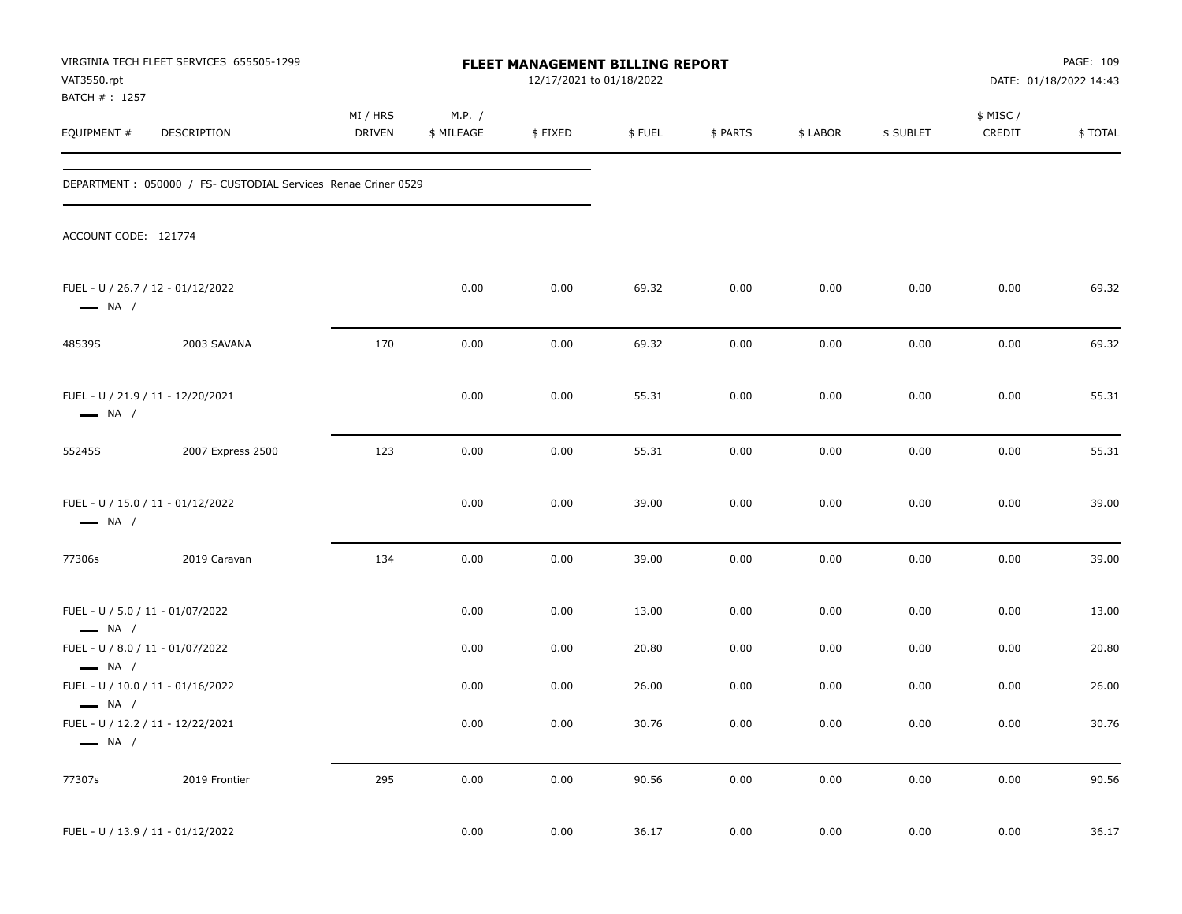| VAT3550.rpt<br>BATCH # : 1257                              | VIRGINIA TECH FLEET SERVICES 655505-1299                       |                           |                      | FLEET MANAGEMENT BILLING REPORT<br>12/17/2021 to 01/18/2022 |        |          |          |           |                     | PAGE: 109<br>DATE: 01/18/2022 14:43 |
|------------------------------------------------------------|----------------------------------------------------------------|---------------------------|----------------------|-------------------------------------------------------------|--------|----------|----------|-----------|---------------------|-------------------------------------|
| EQUIPMENT #                                                | DESCRIPTION                                                    | MI / HRS<br><b>DRIVEN</b> | M.P. /<br>\$ MILEAGE | \$FIXED                                                     | \$FUEL | \$ PARTS | \$ LABOR | \$ SUBLET | \$ MISC /<br>CREDIT | \$TOTAL                             |
|                                                            | DEPARTMENT : 050000 / FS- CUSTODIAL Services Renae Criner 0529 |                           |                      |                                                             |        |          |          |           |                     |                                     |
| ACCOUNT CODE: 121774                                       |                                                                |                           |                      |                                                             |        |          |          |           |                     |                                     |
| $\longrightarrow$ NA /                                     | FUEL - U / 26.7 / 12 - 01/12/2022                              |                           | 0.00                 | 0.00                                                        | 69.32  | 0.00     | 0.00     | 0.00      | 0.00                | 69.32                               |
| 48539S                                                     | 2003 SAVANA                                                    | 170                       | 0.00                 | 0.00                                                        | 69.32  | 0.00     | 0.00     | 0.00      | 0.00                | 69.32                               |
| $\longrightarrow$ NA /                                     | FUEL - U / 21.9 / 11 - 12/20/2021                              |                           | 0.00                 | 0.00                                                        | 55.31  | 0.00     | 0.00     | 0.00      | 0.00                | 55.31                               |
| 55245S                                                     | 2007 Express 2500                                              | 123                       | 0.00                 | 0.00                                                        | 55.31  | 0.00     | 0.00     | 0.00      | 0.00                | 55.31                               |
| $\longrightarrow$ NA /                                     | FUEL - U / 15.0 / 11 - 01/12/2022                              |                           | 0.00                 | 0.00                                                        | 39.00  | 0.00     | 0.00     | 0.00      | 0.00                | 39.00                               |
| 77306s                                                     | 2019 Caravan                                                   | 134                       | 0.00                 | 0.00                                                        | 39.00  | 0.00     | 0.00     | 0.00      | 0.00                | 39.00                               |
| FUEL - U / 5.0 / 11 - 01/07/2022<br>$\longrightarrow$ NA / |                                                                |                           | 0.00                 | 0.00                                                        | 13.00  | 0.00     | 0.00     | 0.00      | 0.00                | 13.00                               |
| FUEL - U / 8.0 / 11 - 01/07/2022<br>$\longrightarrow$ NA / |                                                                |                           | 0.00                 | 0.00                                                        | 20.80  | 0.00     | 0.00     | 0.00      | 0.00                | 20.80                               |
| $\longrightarrow$ NA /                                     | FUEL - U / 10.0 / 11 - 01/16/2022                              |                           | 0.00                 | 0.00                                                        | 26.00  | 0.00     | 0.00     | 0.00      | 0.00                | 26.00                               |
| $\longrightarrow$ NA /                                     | FUEL - U / 12.2 / 11 - 12/22/2021                              |                           | 0.00                 | 0.00                                                        | 30.76  | 0.00     | 0.00     | 0.00      | 0.00                | 30.76                               |
| 77307s                                                     | 2019 Frontier                                                  | 295                       | 0.00                 | 0.00                                                        | 90.56  | 0.00     | 0.00     | 0.00      | $0.00\,$            | 90.56                               |
|                                                            | FUEL - U / 13.9 / 11 - 01/12/2022                              |                           | 0.00                 | 0.00                                                        | 36.17  | 0.00     | 0.00     | 0.00      | 0.00                | 36.17                               |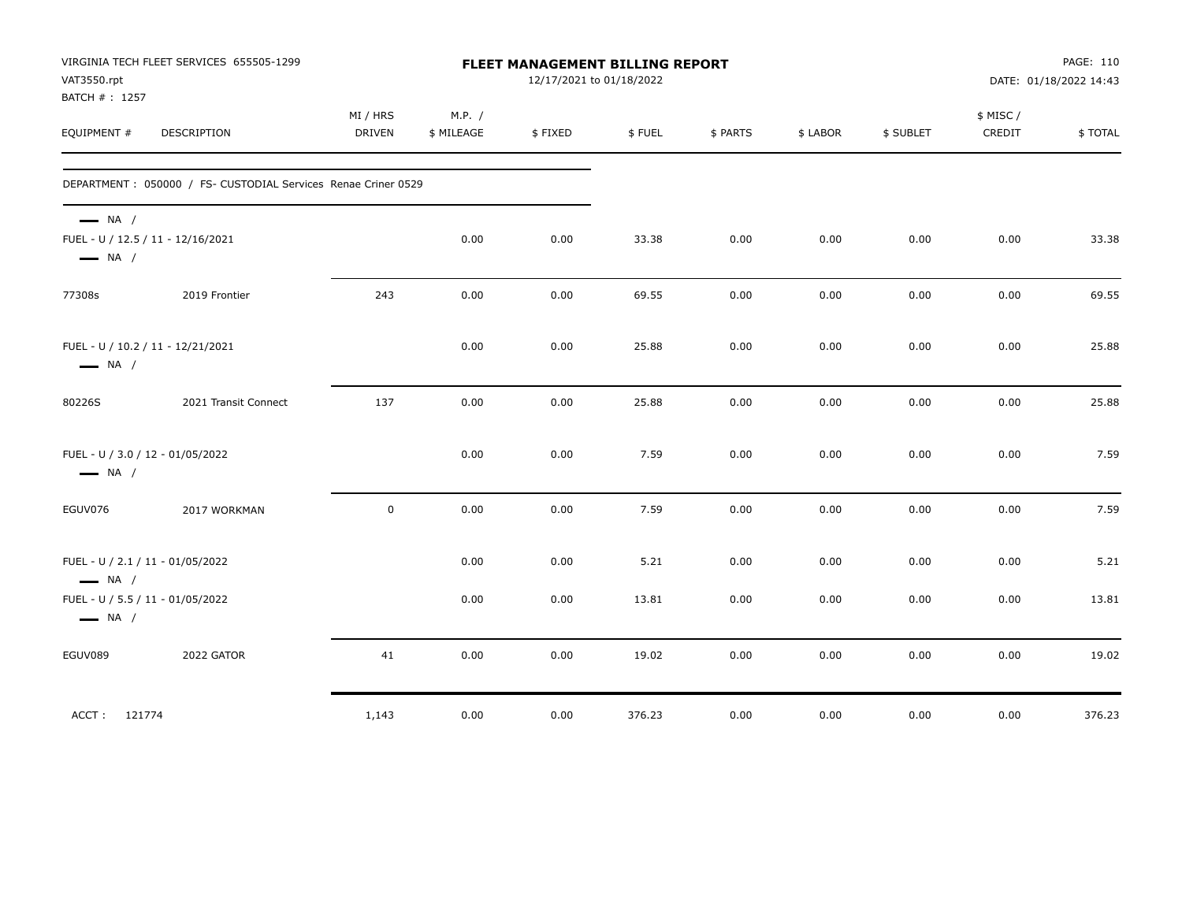| VAT3550.rpt<br>BATCH # : 1257                    | VIRGINIA TECH FLEET SERVICES 655505-1299                             |                           |                      | FLEET MANAGEMENT BILLING REPORT<br>12/17/2021 to 01/18/2022 |               |              |              |              |                     | PAGE: 110<br>DATE: 01/18/2022 14:43 |
|--------------------------------------------------|----------------------------------------------------------------------|---------------------------|----------------------|-------------------------------------------------------------|---------------|--------------|--------------|--------------|---------------------|-------------------------------------|
| EQUIPMENT #                                      | DESCRIPTION                                                          | MI / HRS<br><b>DRIVEN</b> | M.P. /<br>\$ MILEAGE | \$FIXED                                                     | \$FUEL        | \$ PARTS     | \$ LABOR     | \$ SUBLET    | \$ MISC /<br>CREDIT | \$TOTAL                             |
|                                                  | DEPARTMENT : 050000 / FS- CUSTODIAL Services Renae Criner 0529       |                           |                      |                                                             |               |              |              |              |                     |                                     |
| $\longrightarrow$ NA /<br>$\longrightarrow$ NA / | FUEL - U / 12.5 / 11 - 12/16/2021                                    |                           | 0.00                 | 0.00                                                        | 33.38         | 0.00         | 0.00         | 0.00         | 0.00                | 33.38                               |
| 77308s                                           | 2019 Frontier                                                        | 243                       | 0.00                 | 0.00                                                        | 69.55         | 0.00         | 0.00         | 0.00         | 0.00                | 69.55                               |
| $\longrightarrow$ NA /                           | FUEL - U / 10.2 / 11 - 12/21/2021                                    |                           | 0.00                 | 0.00                                                        | 25.88         | 0.00         | 0.00         | 0.00         | 0.00                | 25.88                               |
| 80226S                                           | 2021 Transit Connect                                                 | 137                       | 0.00                 | 0.00                                                        | 25.88         | 0.00         | 0.00         | 0.00         | 0.00                | 25.88                               |
| $\longrightarrow$ NA /                           | FUEL - U / 3.0 / 12 - 01/05/2022                                     |                           | 0.00                 | 0.00                                                        | 7.59          | 0.00         | 0.00         | 0.00         | 0.00                | 7.59                                |
| EGUV076                                          | 2017 WORKMAN                                                         | $\mathbf 0$               | 0.00                 | 0.00                                                        | 7.59          | 0.00         | 0.00         | 0.00         | 0.00                | 7.59                                |
| $\longrightarrow$ NA /                           | FUEL - U / 2.1 / 11 - 01/05/2022<br>FUEL - U / 5.5 / 11 - 01/05/2022 |                           | 0.00<br>0.00         | 0.00<br>0.00                                                | 5.21<br>13.81 | 0.00<br>0.00 | 0.00<br>0.00 | 0.00<br>0.00 | 0.00<br>0.00        | 5.21<br>13.81                       |
| $\longrightarrow$ NA /                           |                                                                      |                           |                      |                                                             |               |              |              |              |                     |                                     |
| EGUV089                                          | 2022 GATOR                                                           | 41                        | 0.00                 | 0.00                                                        | 19.02         | 0.00         | 0.00         | 0.00         | 0.00                | 19.02                               |
| ACCT: 121774                                     |                                                                      | 1,143                     | 0.00                 | 0.00                                                        | 376.23        | 0.00         | 0.00         | 0.00         | 0.00                | 376.23                              |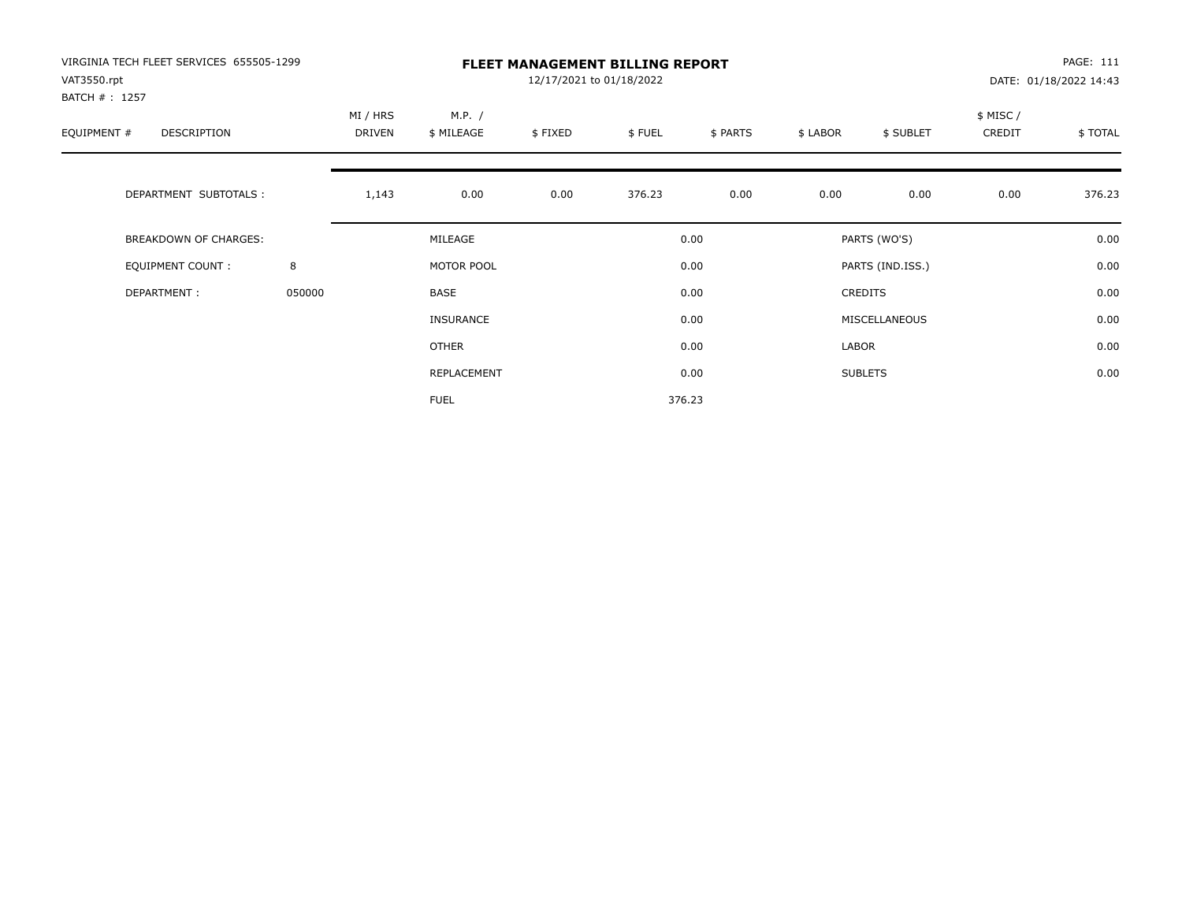| VIRGINIA TECH FLEET SERVICES 655505-1299<br>VAT3550.rpt<br>BATCH # : 1257 |        |                    |                      | 12/17/2021 to 01/18/2022 | <b>FLEET MANAGEMENT BILLING REPORT</b> |          |          |                  |                     | PAGE: 111<br>DATE: 01/18/2022 14:43 |
|---------------------------------------------------------------------------|--------|--------------------|----------------------|--------------------------|----------------------------------------|----------|----------|------------------|---------------------|-------------------------------------|
| EQUIPMENT #<br>DESCRIPTION                                                |        | MI / HRS<br>DRIVEN | M.P. /<br>\$ MILEAGE | \$FIXED                  | \$FUEL                                 | \$ PARTS | \$ LABOR | \$ SUBLET        | \$ MISC /<br>CREDIT | \$TOTAL                             |
| DEPARTMENT SUBTOTALS :                                                    |        | 1,143              | 0.00                 | 0.00                     | 376.23                                 | 0.00     | 0.00     | 0.00             | 0.00                | 376.23                              |
| <b>BREAKDOWN OF CHARGES:</b>                                              |        |                    | MILEAGE              |                          |                                        | 0.00     |          | PARTS (WO'S)     |                     | 0.00                                |
| EQUIPMENT COUNT:                                                          | 8      |                    | MOTOR POOL           |                          |                                        | 0.00     |          | PARTS (IND.ISS.) |                     | 0.00                                |
| DEPARTMENT:                                                               | 050000 |                    | BASE                 |                          |                                        | 0.00     |          | <b>CREDITS</b>   |                     | 0.00                                |
|                                                                           |        |                    | <b>INSURANCE</b>     |                          |                                        | 0.00     |          | MISCELLANEOUS    |                     | 0.00                                |
|                                                                           |        |                    | OTHER                |                          |                                        | 0.00     | LABOR    |                  |                     | 0.00                                |
|                                                                           |        |                    | REPLACEMENT          |                          |                                        | 0.00     |          | <b>SUBLETS</b>   |                     | 0.00                                |
|                                                                           |        |                    | <b>FUEL</b>          |                          |                                        | 376.23   |          |                  |                     |                                     |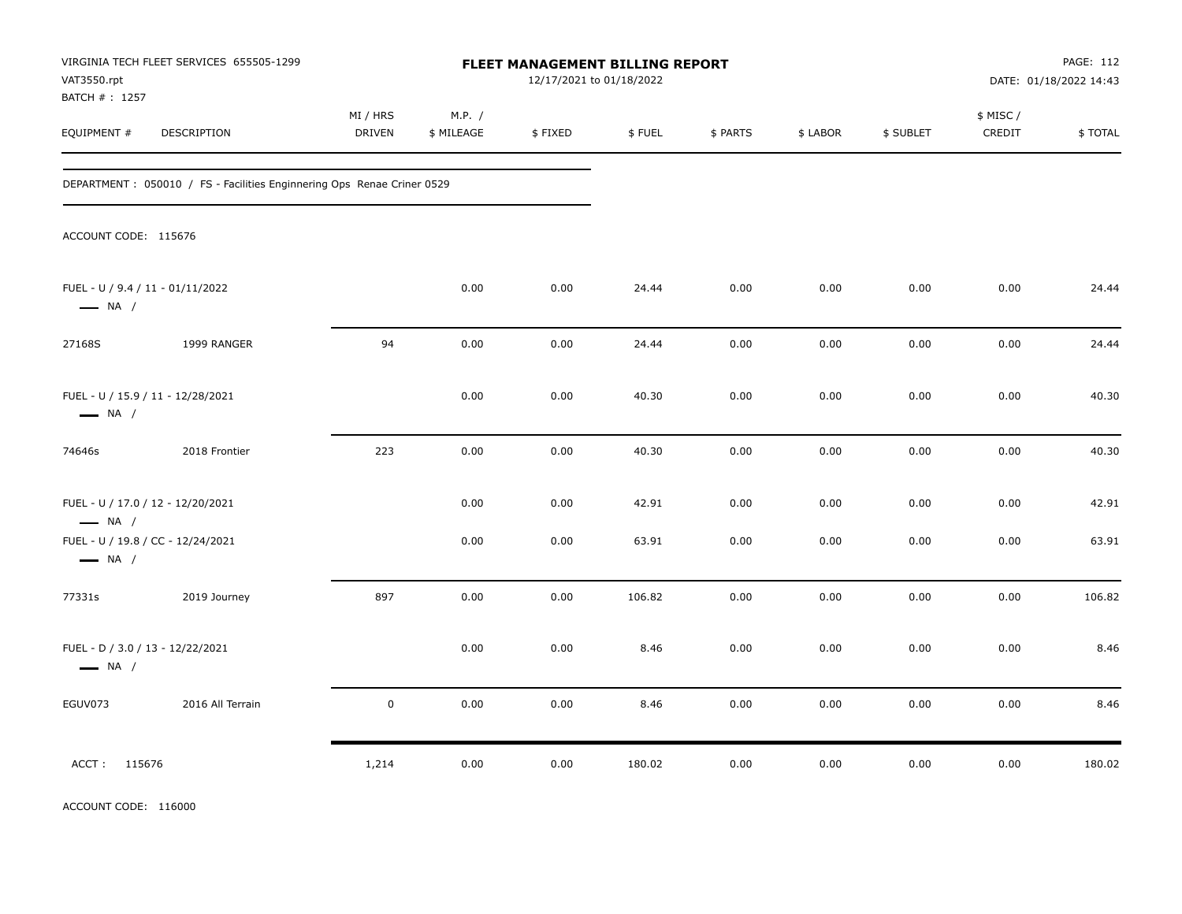| VAT3550.rpt<br>BATCH # : 1257                               | VIRGINIA TECH FLEET SERVICES 655505-1299                                |                           |                      | FLEET MANAGEMENT BILLING REPORT<br>12/17/2021 to 01/18/2022 |        |          |          |           |                     | PAGE: 112<br>DATE: 01/18/2022 14:43 |
|-------------------------------------------------------------|-------------------------------------------------------------------------|---------------------------|----------------------|-------------------------------------------------------------|--------|----------|----------|-----------|---------------------|-------------------------------------|
| EQUIPMENT #                                                 | DESCRIPTION                                                             | MI / HRS<br><b>DRIVEN</b> | M.P. /<br>\$ MILEAGE | \$FIXED                                                     | \$FUEL | \$ PARTS | \$ LABOR | \$ SUBLET | \$ MISC /<br>CREDIT | \$TOTAL                             |
|                                                             | DEPARTMENT : 050010 / FS - Facilities Enginnering Ops Renae Criner 0529 |                           |                      |                                                             |        |          |          |           |                     |                                     |
| ACCOUNT CODE: 115676                                        |                                                                         |                           |                      |                                                             |        |          |          |           |                     |                                     |
| FUEL - U / 9.4 / 11 - 01/11/2022<br>$\longrightarrow$ NA /  |                                                                         |                           | 0.00                 | 0.00                                                        | 24.44  | 0.00     | 0.00     | 0.00      | 0.00                | 24.44                               |
| 27168S                                                      | 1999 RANGER                                                             | 94                        | 0.00                 | 0.00                                                        | 24.44  | 0.00     | 0.00     | 0.00      | 0.00                | 24.44                               |
| FUEL - U / 15.9 / 11 - 12/28/2021<br>$\longrightarrow$ NA / |                                                                         |                           | 0.00                 | 0.00                                                        | 40.30  | 0.00     | 0.00     | 0.00      | 0.00                | 40.30                               |
| 74646s                                                      | 2018 Frontier                                                           | 223                       | 0.00                 | 0.00                                                        | 40.30  | 0.00     | 0.00     | 0.00      | 0.00                | 40.30                               |
| FUEL - U / 17.0 / 12 - 12/20/2021<br>$\longrightarrow$ NA / |                                                                         |                           | 0.00                 | 0.00                                                        | 42.91  | 0.00     | 0.00     | 0.00      | 0.00                | 42.91                               |
| FUEL - U / 19.8 / CC - 12/24/2021<br>$\longrightarrow$ NA / |                                                                         |                           | 0.00                 | 0.00                                                        | 63.91  | 0.00     | 0.00     | 0.00      | 0.00                | 63.91                               |
| 77331s                                                      | 2019 Journey                                                            | 897                       | 0.00                 | 0.00                                                        | 106.82 | 0.00     | 0.00     | 0.00      | 0.00                | 106.82                              |
| FUEL - D / 3.0 / 13 - 12/22/2021<br>$\longrightarrow$ NA /  |                                                                         |                           | 0.00                 | 0.00                                                        | 8.46   | 0.00     | 0.00     | 0.00      | 0.00                | 8.46                                |
| EGUV073                                                     | 2016 All Terrain                                                        | $\pmb{0}$                 | 0.00                 | 0.00                                                        | 8.46   | 0.00     | 0.00     | 0.00      | 0.00                | 8.46                                |
| ACCT: 115676                                                |                                                                         | 1,214                     | 0.00                 | 0.00                                                        | 180.02 | 0.00     | 0.00     | 0.00      | 0.00                | 180.02                              |

ACCOUNT CODE: 116000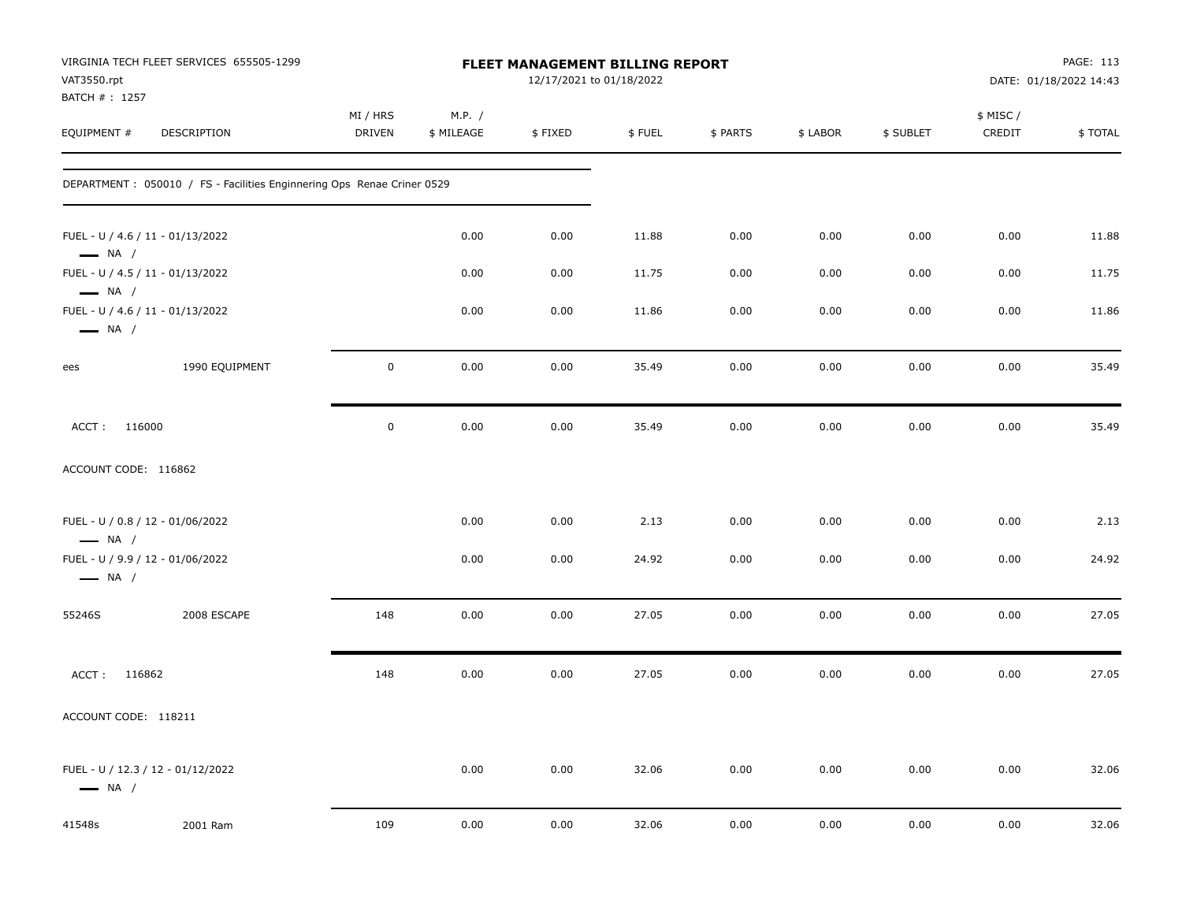| VAT3550.rpt                                                | VIRGINIA TECH FLEET SERVICES 655505-1299                                |                    |                      | FLEET MANAGEMENT BILLING REPORT<br>12/17/2021 to 01/18/2022 |        |          |          |           |                     | PAGE: 113<br>DATE: 01/18/2022 14:43 |
|------------------------------------------------------------|-------------------------------------------------------------------------|--------------------|----------------------|-------------------------------------------------------------|--------|----------|----------|-----------|---------------------|-------------------------------------|
| BATCH #: 1257<br>EQUIPMENT #                               | DESCRIPTION                                                             | MI / HRS<br>DRIVEN | M.P. /<br>\$ MILEAGE | \$FIXED                                                     | \$FUEL | \$ PARTS | \$ LABOR | \$ SUBLET | \$ MISC /<br>CREDIT | \$TOTAL                             |
|                                                            | DEPARTMENT : 050010 / FS - Facilities Enginnering Ops Renae Criner 0529 |                    |                      |                                                             |        |          |          |           |                     |                                     |
| FUEL - U / 4.6 / 11 - 01/13/2022<br>$\longrightarrow$ NA / |                                                                         |                    | 0.00                 | 0.00                                                        | 11.88  | 0.00     | 0.00     | 0.00      | 0.00                | 11.88                               |
| FUEL - U / 4.5 / 11 - 01/13/2022<br>$\longrightarrow$ NA / |                                                                         |                    | 0.00                 | 0.00                                                        | 11.75  | 0.00     | 0.00     | 0.00      | 0.00                | 11.75                               |
| FUEL - U / 4.6 / 11 - 01/13/2022<br>$\longrightarrow$ NA / |                                                                         |                    | 0.00                 | 0.00                                                        | 11.86  | 0.00     | 0.00     | 0.00      | 0.00                | 11.86                               |
| ees                                                        | 1990 EQUIPMENT                                                          | 0                  | 0.00                 | 0.00                                                        | 35.49  | 0.00     | 0.00     | 0.00      | 0.00                | 35.49                               |
| ACCT: 116000                                               |                                                                         | $\mathsf 0$        | 0.00                 | 0.00                                                        | 35.49  | 0.00     | 0.00     | 0.00      | 0.00                | 35.49                               |
| ACCOUNT CODE: 116862                                       |                                                                         |                    |                      |                                                             |        |          |          |           |                     |                                     |
| FUEL - U / 0.8 / 12 - 01/06/2022<br>$\longrightarrow$ NA / |                                                                         |                    | 0.00                 | 0.00                                                        | 2.13   | 0.00     | 0.00     | 0.00      | 0.00                | 2.13                                |
| FUEL - U / 9.9 / 12 - 01/06/2022<br>$\longrightarrow$ NA / |                                                                         |                    | 0.00                 | 0.00                                                        | 24.92  | 0.00     | 0.00     | 0.00      | 0.00                | 24.92                               |
| 55246S                                                     | 2008 ESCAPE                                                             | 148                | 0.00                 | 0.00                                                        | 27.05  | 0.00     | 0.00     | 0.00      | 0.00                | 27.05                               |
| ACCT: 116862                                               |                                                                         | 148                | 0.00                 | 0.00                                                        | 27.05  | 0.00     | 0.00     | 0.00      | 0.00                | 27.05                               |
| ACCOUNT CODE: 118211                                       |                                                                         |                    |                      |                                                             |        |          |          |           |                     |                                     |
| $\longrightarrow$ NA /                                     | FUEL - U / 12.3 / 12 - 01/12/2022                                       |                    | 0.00                 | 0.00                                                        | 32.06  | 0.00     | 0.00     | 0.00      | 0.00                | 32.06                               |
| 41548s                                                     | 2001 Ram                                                                | 109                | 0.00                 | 0.00                                                        | 32.06  | 0.00     | 0.00     | 0.00      | 0.00                | 32.06                               |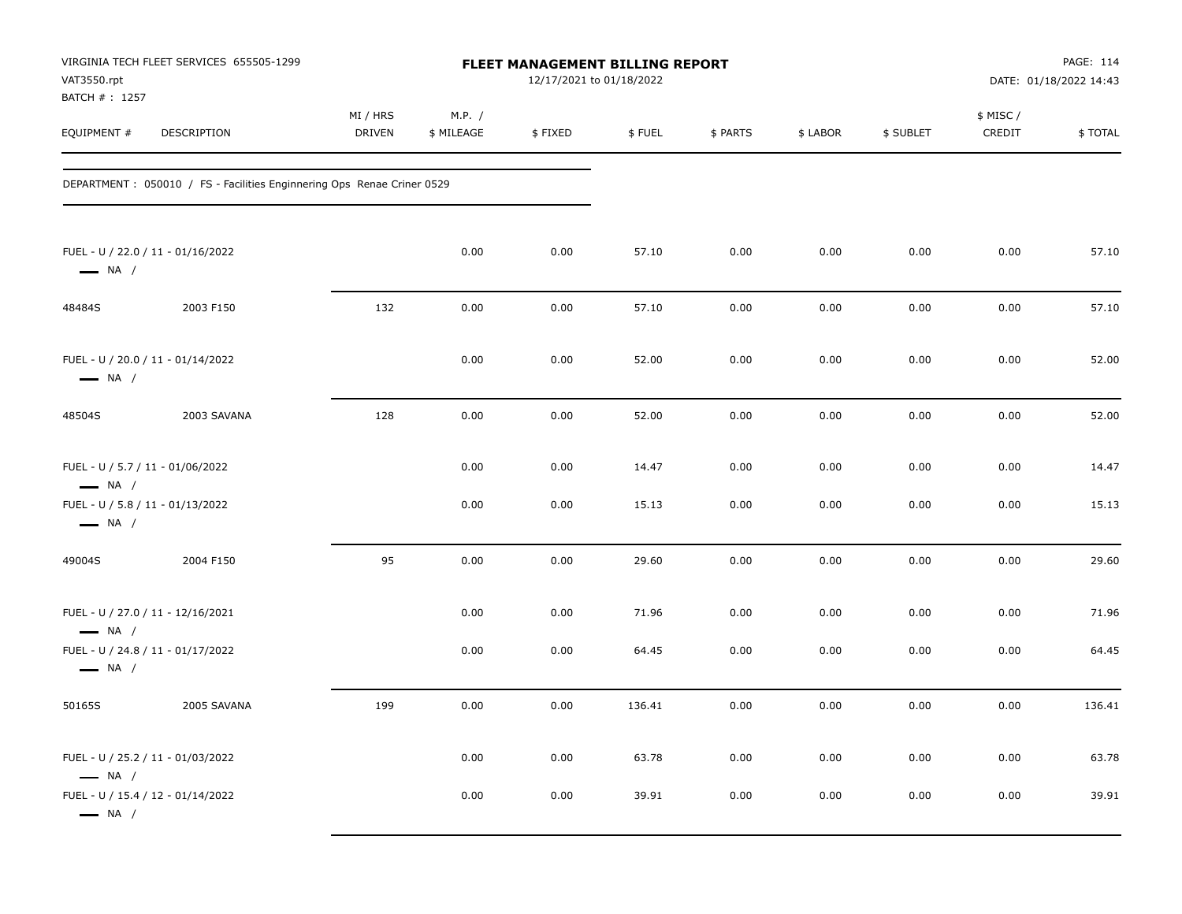| VAT3550.rpt<br>BATCH #: 1257                                | VIRGINIA TECH FLEET SERVICES 655505-1299                                |                    | FLEET MANAGEMENT BILLING REPORT<br>12/17/2021 to 01/18/2022 |         |        |          |          |           |                    | PAGE: 114<br>DATE: 01/18/2022 14:43 |  |
|-------------------------------------------------------------|-------------------------------------------------------------------------|--------------------|-------------------------------------------------------------|---------|--------|----------|----------|-----------|--------------------|-------------------------------------|--|
| EQUIPMENT #                                                 | DESCRIPTION                                                             | MI / HRS<br>DRIVEN | M.P. /<br>\$ MILEAGE                                        | \$FIXED | \$FUEL | \$ PARTS | \$ LABOR | \$ SUBLET | \$ MISC/<br>CREDIT | \$TOTAL                             |  |
|                                                             | DEPARTMENT : 050010 / FS - Facilities Enginnering Ops Renae Criner 0529 |                    |                                                             |         |        |          |          |           |                    |                                     |  |
| FUEL - U / 22.0 / 11 - 01/16/2022<br>$\longrightarrow$ NA / |                                                                         |                    | 0.00                                                        | 0.00    | 57.10  | 0.00     | 0.00     | 0.00      | 0.00               | 57.10                               |  |
| 48484S                                                      | 2003 F150                                                               | 132                | 0.00                                                        | 0.00    | 57.10  | 0.00     | 0.00     | 0.00      | 0.00               | 57.10                               |  |
| FUEL - U / 20.0 / 11 - 01/14/2022<br>$\longrightarrow$ NA / |                                                                         |                    | 0.00                                                        | 0.00    | 52.00  | 0.00     | 0.00     | 0.00      | 0.00               | 52.00                               |  |
| 48504S                                                      | 2003 SAVANA                                                             | 128                | 0.00                                                        | 0.00    | 52.00  | 0.00     | 0.00     | 0.00      | 0.00               | 52.00                               |  |
| FUEL - U / 5.7 / 11 - 01/06/2022<br>$\longrightarrow$ NA /  |                                                                         |                    | 0.00                                                        | 0.00    | 14.47  | 0.00     | 0.00     | 0.00      | 0.00               | 14.47                               |  |
| FUEL - U / 5.8 / 11 - 01/13/2022<br>$\longrightarrow$ NA /  |                                                                         |                    | 0.00                                                        | 0.00    | 15.13  | 0.00     | 0.00     | 0.00      | 0.00               | 15.13                               |  |
| 49004S                                                      | 2004 F150                                                               | 95                 | 0.00                                                        | 0.00    | 29.60  | 0.00     | 0.00     | 0.00      | 0.00               | 29.60                               |  |
| FUEL - U / 27.0 / 11 - 12/16/2021<br>$\longrightarrow$ NA / |                                                                         |                    | 0.00                                                        | 0.00    | 71.96  | 0.00     | 0.00     | 0.00      | 0.00               | 71.96                               |  |
| FUEL - U / 24.8 / 11 - 01/17/2022<br>$\longrightarrow$ NA / |                                                                         |                    | 0.00                                                        | 0.00    | 64.45  | 0.00     | 0.00     | 0.00      | 0.00               | 64.45                               |  |
| 50165S                                                      | 2005 SAVANA                                                             | 199                | 0.00                                                        | 0.00    | 136.41 | 0.00     | 0.00     | 0.00      | 0.00               | 136.41                              |  |
| FUEL - U / 25.2 / 11 - 01/03/2022<br>$\longrightarrow$ NA / |                                                                         |                    | 0.00                                                        | 0.00    | 63.78  | 0.00     | 0.00     | 0.00      | 0.00               | 63.78                               |  |
| FUEL - U / 15.4 / 12 - 01/14/2022<br>$\longrightarrow$ NA / |                                                                         |                    | 0.00                                                        | 0.00    | 39.91  | 0.00     | 0.00     | 0.00      | 0.00               | 39.91                               |  |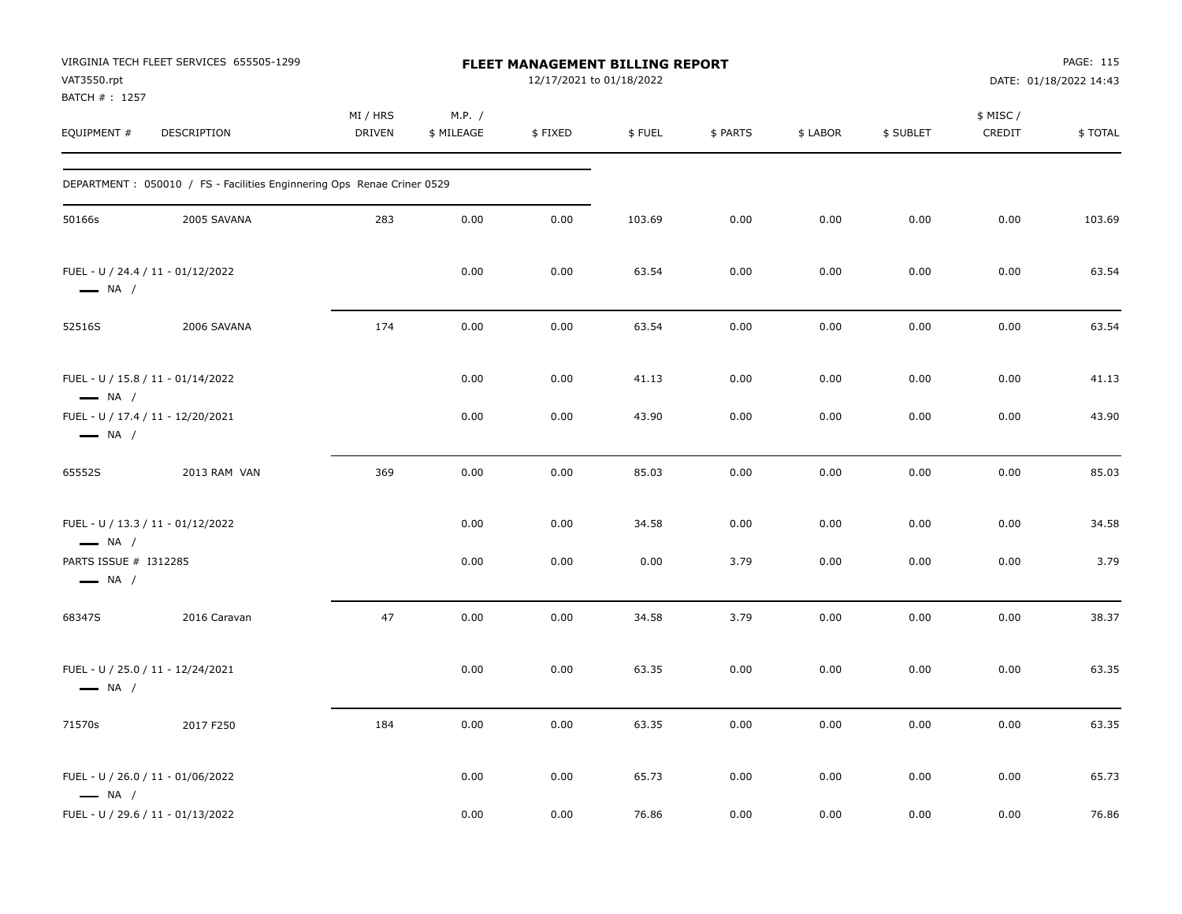| VAT3550.rpt<br>BATCH #: 1257                    | VIRGINIA TECH FLEET SERVICES 655505-1299                                |                           |                      | FLEET MANAGEMENT BILLING REPORT<br>12/17/2021 to 01/18/2022 |        |          |          |           |                     | PAGE: 115<br>DATE: 01/18/2022 14:43 |
|-------------------------------------------------|-------------------------------------------------------------------------|---------------------------|----------------------|-------------------------------------------------------------|--------|----------|----------|-----------|---------------------|-------------------------------------|
| EQUIPMENT #                                     | DESCRIPTION                                                             | MI / HRS<br><b>DRIVEN</b> | M.P. /<br>\$ MILEAGE | \$FIXED                                                     | \$FUEL | \$ PARTS | \$ LABOR | \$ SUBLET | \$ MISC /<br>CREDIT | \$TOTAL                             |
|                                                 | DEPARTMENT : 050010 / FS - Facilities Enginnering Ops Renae Criner 0529 |                           |                      |                                                             |        |          |          |           |                     |                                     |
| 50166s                                          | 2005 SAVANA                                                             | 283                       | 0.00                 | 0.00                                                        | 103.69 | 0.00     | 0.00     | 0.00      | 0.00                | 103.69                              |
| $\longrightarrow$ NA /                          | FUEL - U / 24.4 / 11 - 01/12/2022                                       |                           | 0.00                 | 0.00                                                        | 63.54  | 0.00     | 0.00     | 0.00      | 0.00                | 63.54                               |
| 52516S                                          | 2006 SAVANA                                                             | 174                       | 0.00                 | 0.00                                                        | 63.54  | 0.00     | 0.00     | 0.00      | 0.00                | 63.54                               |
| $\longrightarrow$ NA /                          | FUEL - U / 15.8 / 11 - 01/14/2022                                       |                           | 0.00                 | 0.00                                                        | 41.13  | 0.00     | 0.00     | 0.00      | 0.00                | 41.13                               |
| $\longrightarrow$ NA /                          | FUEL - U / 17.4 / 11 - 12/20/2021                                       |                           | 0.00                 | 0.00                                                        | 43.90  | 0.00     | 0.00     | 0.00      | 0.00                | 43.90                               |
| 65552S                                          | 2013 RAM VAN                                                            | 369                       | 0.00                 | 0.00                                                        | 85.03  | 0.00     | 0.00     | 0.00      | 0.00                | 85.03                               |
| $\longrightarrow$ NA /                          | FUEL - U / 13.3 / 11 - 01/12/2022                                       |                           | 0.00                 | 0.00                                                        | 34.58  | 0.00     | 0.00     | 0.00      | 0.00                | 34.58                               |
| PARTS ISSUE # I312285<br>$\longrightarrow$ NA / |                                                                         |                           | 0.00                 | 0.00                                                        | 0.00   | 3.79     | 0.00     | 0.00      | 0.00                | 3.79                                |
| 68347S                                          | 2016 Caravan                                                            | 47                        | 0.00                 | 0.00                                                        | 34.58  | 3.79     | 0.00     | 0.00      | 0.00                | 38.37                               |
| $\longrightarrow$ NA /                          | FUEL - U / 25.0 / 11 - 12/24/2021                                       |                           | 0.00                 | 0.00                                                        | 63.35  | 0.00     | 0.00     | 0.00      | 0.00                | 63.35                               |
| 71570s                                          | 2017 F250                                                               | 184                       | 0.00                 | 0.00                                                        | 63.35  | 0.00     | 0.00     | 0.00      | 0.00                | 63.35                               |
| $\longrightarrow$ NA /                          | FUEL - U / 26.0 / 11 - 01/06/2022                                       |                           | 0.00                 | 0.00                                                        | 65.73  | 0.00     | 0.00     | 0.00      | 0.00                | 65.73                               |
|                                                 | FUEL - U / 29.6 / 11 - 01/13/2022                                       |                           | 0.00                 | 0.00                                                        | 76.86  | 0.00     | 0.00     | 0.00      | 0.00                | 76.86                               |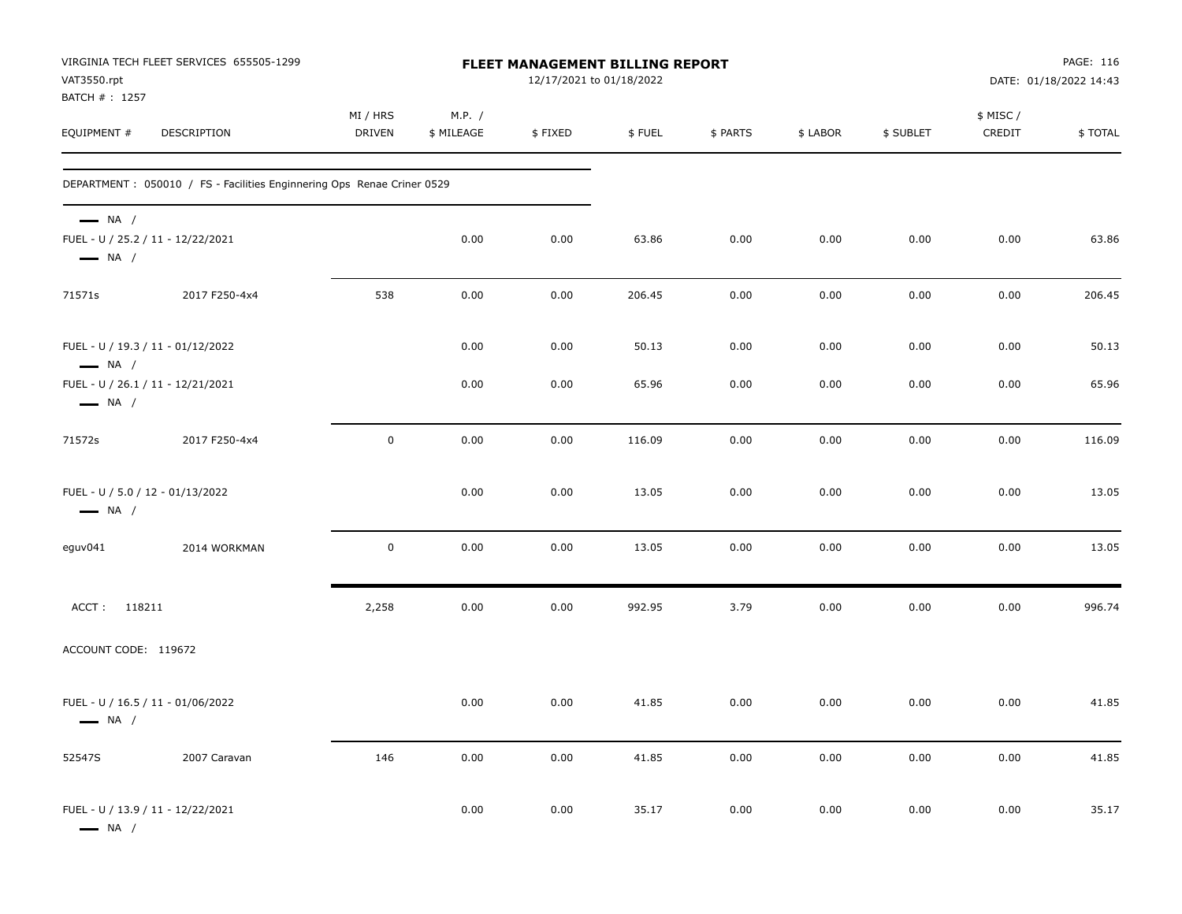| VAT3550.rpt<br>BATCH #: 1257                               | VIRGINIA TECH FLEET SERVICES 655505-1299                                |                           |                      | FLEET MANAGEMENT BILLING REPORT<br>12/17/2021 to 01/18/2022 |        |          |          |           |                    | PAGE: 116<br>DATE: 01/18/2022 14:43 |
|------------------------------------------------------------|-------------------------------------------------------------------------|---------------------------|----------------------|-------------------------------------------------------------|--------|----------|----------|-----------|--------------------|-------------------------------------|
| EQUIPMENT #                                                | DESCRIPTION                                                             | MI / HRS<br><b>DRIVEN</b> | M.P. /<br>\$ MILEAGE | \$FIXED                                                     | \$FUEL | \$ PARTS | \$ LABOR | \$ SUBLET | \$ MISC/<br>CREDIT | \$TOTAL                             |
|                                                            | DEPARTMENT : 050010 / FS - Facilities Enginnering Ops Renae Criner 0529 |                           |                      |                                                             |        |          |          |           |                    |                                     |
| $\longrightarrow$ NA /<br>$\longrightarrow$ NA /           | FUEL - U / 25.2 / 11 - 12/22/2021                                       |                           | 0.00                 | 0.00                                                        | 63.86  | 0.00     | 0.00     | 0.00      | 0.00               | 63.86                               |
| 71571s                                                     | 2017 F250-4x4                                                           | 538                       | 0.00                 | 0.00                                                        | 206.45 | 0.00     | 0.00     | 0.00      | 0.00               | 206.45                              |
| $\longrightarrow$ NA /                                     | FUEL - U / 19.3 / 11 - 01/12/2022                                       |                           | 0.00                 | 0.00                                                        | 50.13  | 0.00     | 0.00     | 0.00      | 0.00               | 50.13                               |
| $\longrightarrow$ NA /                                     | FUEL - U / 26.1 / 11 - 12/21/2021                                       |                           | 0.00                 | 0.00                                                        | 65.96  | 0.00     | 0.00     | 0.00      | 0.00               | 65.96                               |
| 71572s                                                     | 2017 F250-4x4                                                           | $\pmb{0}$                 | 0.00                 | 0.00                                                        | 116.09 | 0.00     | 0.00     | 0.00      | 0.00               | 116.09                              |
| FUEL - U / 5.0 / 12 - 01/13/2022<br>$\longrightarrow$ NA / |                                                                         |                           | 0.00                 | 0.00                                                        | 13.05  | 0.00     | 0.00     | 0.00      | 0.00               | 13.05                               |
| eguv041                                                    | 2014 WORKMAN                                                            | $\mathbf 0$               | 0.00                 | 0.00                                                        | 13.05  | 0.00     | 0.00     | 0.00      | 0.00               | 13.05                               |
| ACCT: 118211                                               |                                                                         | 2,258                     | 0.00                 | 0.00                                                        | 992.95 | 3.79     | 0.00     | 0.00      | 0.00               | 996.74                              |
| ACCOUNT CODE: 119672                                       |                                                                         |                           |                      |                                                             |        |          |          |           |                    |                                     |
| $\longrightarrow$ NA /                                     | FUEL - U / 16.5 / 11 - 01/06/2022                                       |                           | 0.00                 | 0.00                                                        | 41.85  | 0.00     | 0.00     | 0.00      | 0.00               | 41.85                               |
| 52547S                                                     | 2007 Caravan                                                            | 146                       | 0.00                 | 0.00                                                        | 41.85  | 0.00     | 0.00     | 0.00      | 0.00               | 41.85                               |
| $\longrightarrow$ NA /                                     | FUEL - U / 13.9 / 11 - 12/22/2021                                       |                           | 0.00                 | 0.00                                                        | 35.17  | 0.00     | 0.00     | 0.00      | 0.00               | 35.17                               |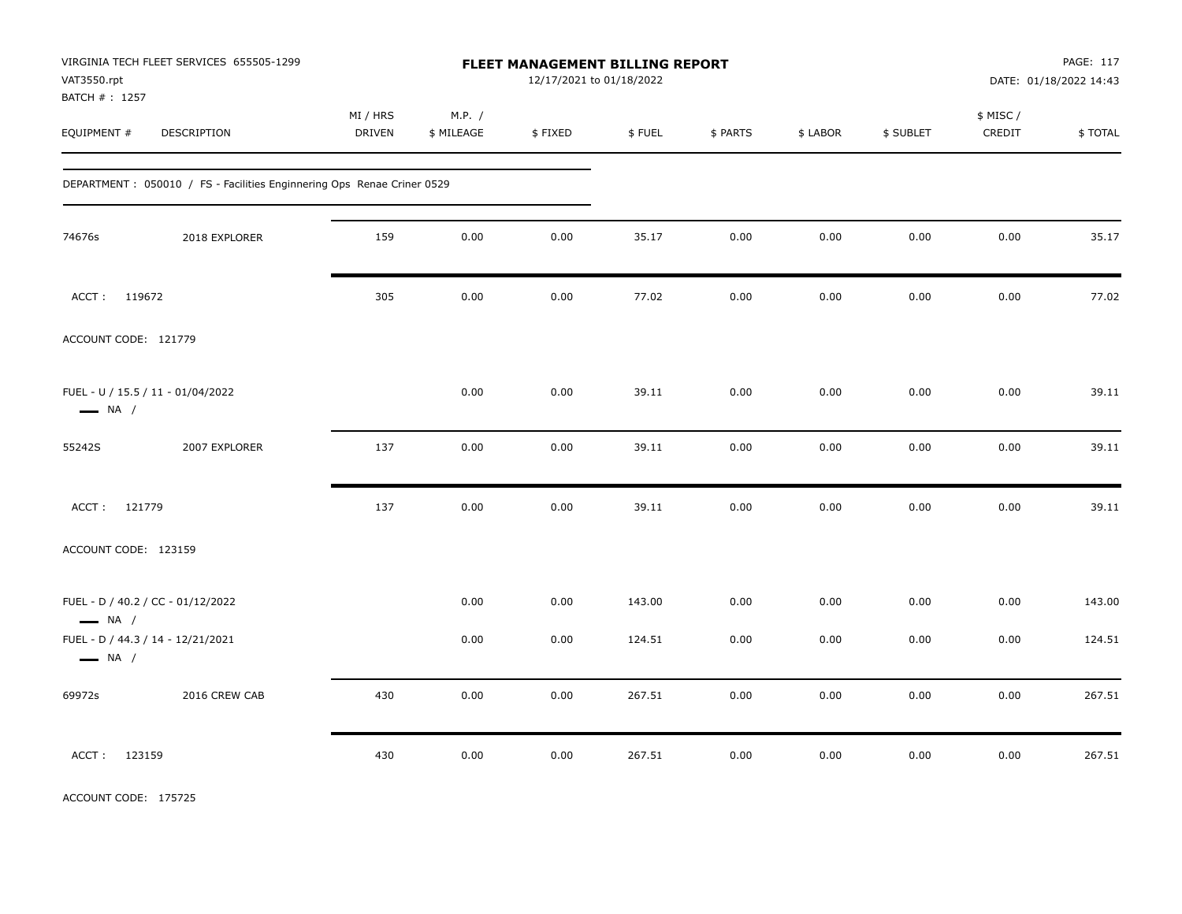| VAT3550.rpt<br>BATCH # : 1257                               | VIRGINIA TECH FLEET SERVICES 655505-1299                                |                    |                      | FLEET MANAGEMENT BILLING REPORT<br>12/17/2021 to 01/18/2022 |        |          |          |           |                     | PAGE: 117<br>DATE: 01/18/2022 14:43 |
|-------------------------------------------------------------|-------------------------------------------------------------------------|--------------------|----------------------|-------------------------------------------------------------|--------|----------|----------|-----------|---------------------|-------------------------------------|
| EQUIPMENT #                                                 | DESCRIPTION                                                             | MI / HRS<br>DRIVEN | M.P. /<br>\$ MILEAGE | \$FIXED                                                     | \$FUEL | \$ PARTS | \$ LABOR | \$ SUBLET | \$ MISC /<br>CREDIT | \$TOTAL                             |
|                                                             | DEPARTMENT : 050010 / FS - Facilities Enginnering Ops Renae Criner 0529 |                    |                      |                                                             |        |          |          |           |                     |                                     |
| 74676s                                                      | 2018 EXPLORER                                                           | 159                | 0.00                 | 0.00                                                        | 35.17  | 0.00     | 0.00     | 0.00      | 0.00                | 35.17                               |
| ACCT: 119672                                                |                                                                         | 305                | 0.00                 | 0.00                                                        | 77.02  | 0.00     | 0.00     | 0.00      | 0.00                | 77.02                               |
| ACCOUNT CODE: 121779                                        |                                                                         |                    |                      |                                                             |        |          |          |           |                     |                                     |
| FUEL - U / 15.5 / 11 - 01/04/2022<br>$\longrightarrow$ NA / |                                                                         |                    | 0.00                 | 0.00                                                        | 39.11  | 0.00     | 0.00     | 0.00      | 0.00                | 39.11                               |
| 55242S                                                      | 2007 EXPLORER                                                           | 137                | 0.00                 | 0.00                                                        | 39.11  | 0.00     | 0.00     | 0.00      | 0.00                | 39.11                               |
| ACCT: 121779                                                |                                                                         | 137                | 0.00                 | 0.00                                                        | 39.11  | 0.00     | 0.00     | 0.00      | 0.00                | 39.11                               |
| ACCOUNT CODE: 123159                                        |                                                                         |                    |                      |                                                             |        |          |          |           |                     |                                     |
| FUEL - D / 40.2 / CC - 01/12/2022<br>$\longrightarrow$ NA / |                                                                         |                    | 0.00                 | 0.00                                                        | 143.00 | 0.00     | 0.00     | 0.00      | 0.00                | 143.00                              |
| FUEL - D / 44.3 / 14 - 12/21/2021<br>$\longrightarrow$ NA / |                                                                         |                    | 0.00                 | 0.00                                                        | 124.51 | 0.00     | 0.00     | 0.00      | 0.00                | 124.51                              |
| 69972s                                                      | 2016 CREW CAB                                                           | 430                | 0.00                 | $0.00\,$                                                    | 267.51 | 0.00     | 0.00     | 0.00      | 0.00                | 267.51                              |
| ACCT: 123159                                                |                                                                         | 430                | 0.00                 | 0.00                                                        | 267.51 | 0.00     | 0.00     | 0.00      | 0.00                | 267.51                              |

ACCOUNT CODE: 175725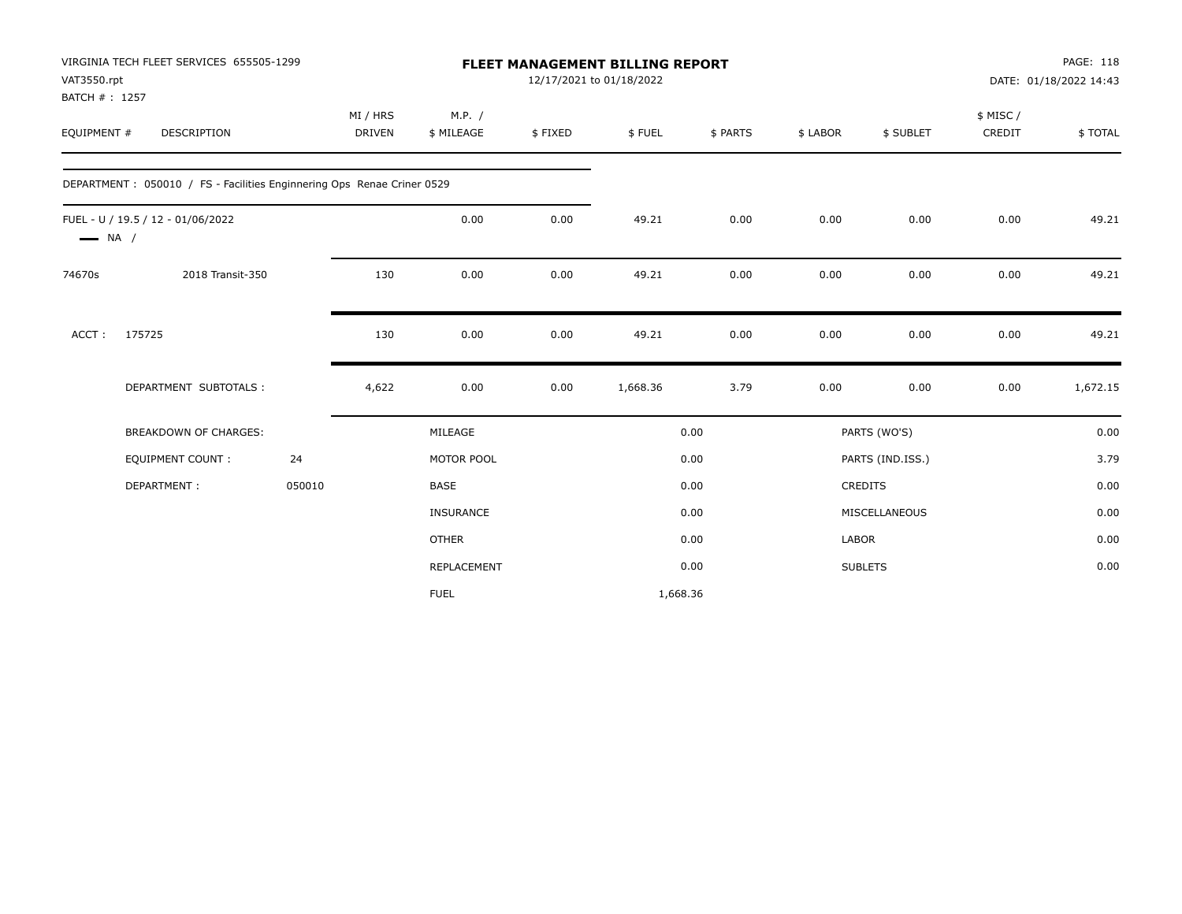|                              | VIRGINIA TECH FLEET SERVICES 655505-1299                               |        |                    |                      |         | FLEET MANAGEMENT BILLING REPORT |          |          |                  |                     | PAGE: 118              |
|------------------------------|------------------------------------------------------------------------|--------|--------------------|----------------------|---------|---------------------------------|----------|----------|------------------|---------------------|------------------------|
| VAT3550.rpt                  |                                                                        |        |                    |                      |         | 12/17/2021 to 01/18/2022        |          |          |                  |                     | DATE: 01/18/2022 14:43 |
| BATCH #: 1257<br>EQUIPMENT # | DESCRIPTION                                                            |        | MI / HRS<br>DRIVEN | M.P. /<br>\$ MILEAGE | \$FIXED | \$FUEL                          | \$ PARTS | \$ LABOR | \$ SUBLET        | \$ MISC /<br>CREDIT | \$TOTAL                |
|                              |                                                                        |        |                    |                      |         |                                 |          |          |                  |                     |                        |
|                              | DEPARTMENT: 050010 / FS - Facilities Enginnering Ops Renae Criner 0529 |        |                    |                      |         |                                 |          |          |                  |                     |                        |
| $\longrightarrow$ NA /       | FUEL - U / 19.5 / 12 - 01/06/2022                                      |        |                    | 0.00                 | 0.00    | 49.21                           | 0.00     | 0.00     | 0.00             | 0.00                | 49.21                  |
| 74670s                       | 2018 Transit-350                                                       |        | 130                | 0.00                 | 0.00    | 49.21                           | 0.00     | 0.00     | 0.00             | 0.00                | 49.21                  |
| ACCT:                        | 175725                                                                 |        | 130                | 0.00                 | 0.00    | 49.21                           | 0.00     | 0.00     | 0.00             | 0.00                | 49.21                  |
|                              | DEPARTMENT SUBTOTALS :                                                 |        | 4,622              | 0.00                 | 0.00    | 1,668.36                        | 3.79     | 0.00     | 0.00             | 0.00                | 1,672.15               |
|                              | BREAKDOWN OF CHARGES:                                                  |        |                    | MILEAGE              |         |                                 | 0.00     |          | PARTS (WO'S)     |                     | 0.00                   |
|                              | <b>EQUIPMENT COUNT:</b>                                                | 24     |                    | MOTOR POOL           |         |                                 | 0.00     |          | PARTS (IND.ISS.) |                     | 3.79                   |
|                              | DEPARTMENT:                                                            | 050010 |                    | <b>BASE</b>          |         |                                 | 0.00     |          | <b>CREDITS</b>   |                     | 0.00                   |
|                              |                                                                        |        |                    | <b>INSURANCE</b>     |         |                                 | 0.00     |          | MISCELLANEOUS    |                     | 0.00                   |
|                              |                                                                        |        |                    | <b>OTHER</b>         |         |                                 | 0.00     | LABOR    |                  |                     | 0.00                   |
|                              |                                                                        |        |                    | REPLACEMENT          |         |                                 | 0.00     |          | <b>SUBLETS</b>   |                     | 0.00                   |
|                              |                                                                        |        |                    | <b>FUEL</b>          |         | 1,668.36                        |          |          |                  |                     |                        |
|                              |                                                                        |        |                    |                      |         |                                 |          |          |                  |                     |                        |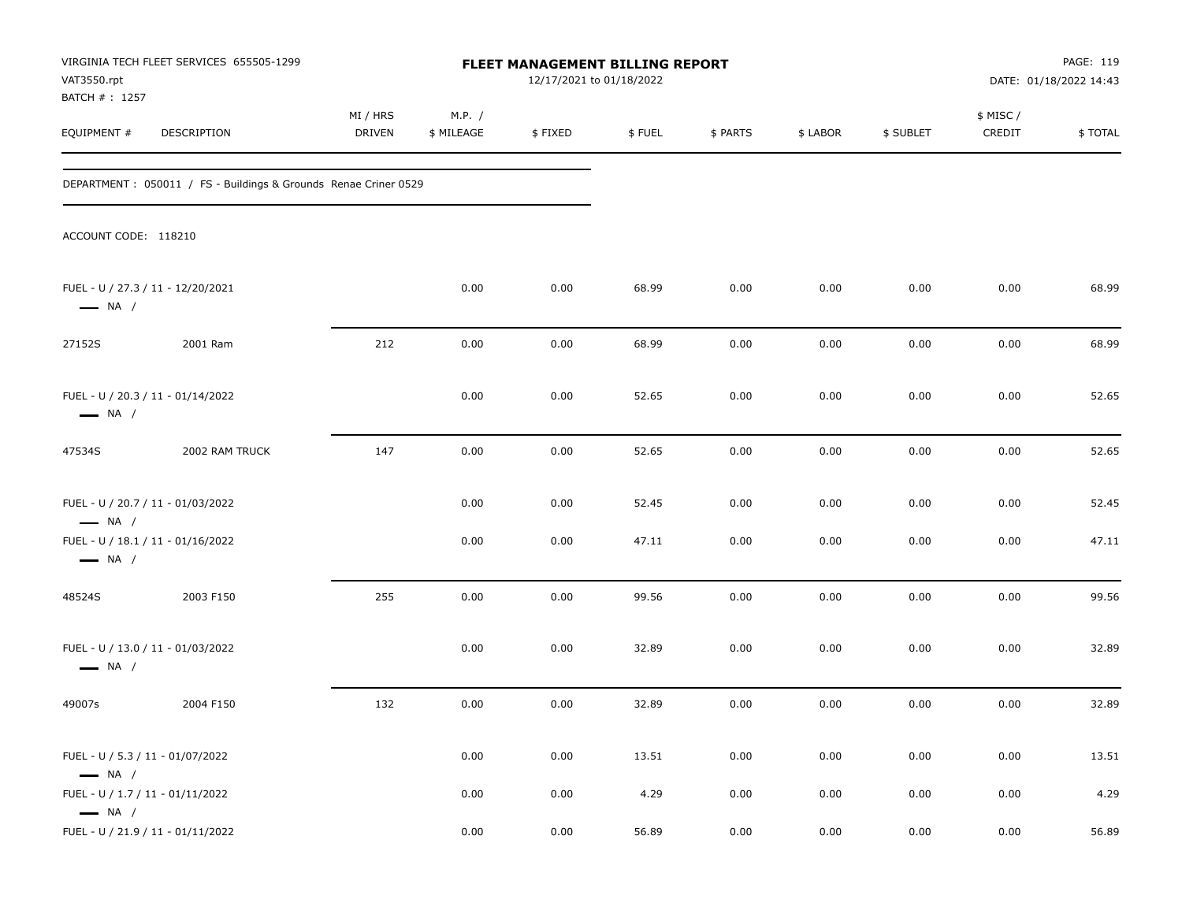| VAT3550.rpt<br>BATCH # : 1257                              | VIRGINIA TECH FLEET SERVICES 655505-1299                         |                    |                      | FLEET MANAGEMENT BILLING REPORT<br>12/17/2021 to 01/18/2022 |        |          |          |           |                     | PAGE: 119<br>DATE: 01/18/2022 14:43 |
|------------------------------------------------------------|------------------------------------------------------------------|--------------------|----------------------|-------------------------------------------------------------|--------|----------|----------|-----------|---------------------|-------------------------------------|
| EQUIPMENT #                                                | DESCRIPTION                                                      | MI / HRS<br>DRIVEN | M.P. /<br>\$ MILEAGE | \$FIXED                                                     | \$FUEL | \$ PARTS | \$ LABOR | \$ SUBLET | \$ MISC /<br>CREDIT | \$TOTAL                             |
|                                                            | DEPARTMENT : 050011 / FS - Buildings & Grounds Renae Criner 0529 |                    |                      |                                                             |        |          |          |           |                     |                                     |
| ACCOUNT CODE: 118210                                       |                                                                  |                    |                      |                                                             |        |          |          |           |                     |                                     |
| $\longrightarrow$ NA /                                     | FUEL - U / 27.3 / 11 - 12/20/2021                                |                    | 0.00                 | 0.00                                                        | 68.99  | 0.00     | 0.00     | 0.00      | 0.00                | 68.99                               |
| 27152S                                                     | 2001 Ram                                                         | 212                | 0.00                 | 0.00                                                        | 68.99  | 0.00     | 0.00     | 0.00      | 0.00                | 68.99                               |
| $\longrightarrow$ NA /                                     | FUEL - U / 20.3 / 11 - 01/14/2022                                |                    | 0.00                 | 0.00                                                        | 52.65  | 0.00     | 0.00     | 0.00      | 0.00                | 52.65                               |
| 47534S                                                     | 2002 RAM TRUCK                                                   | 147                | 0.00                 | 0.00                                                        | 52.65  | 0.00     | 0.00     | 0.00      | 0.00                | 52.65                               |
| $\longrightarrow$ NA /                                     | FUEL - U / 20.7 / 11 - 01/03/2022                                |                    | 0.00                 | 0.00                                                        | 52.45  | 0.00     | 0.00     | 0.00      | 0.00                | 52.45                               |
| $\longrightarrow$ NA /                                     | FUEL - U / 18.1 / 11 - 01/16/2022                                |                    | 0.00                 | 0.00                                                        | 47.11  | 0.00     | 0.00     | 0.00      | 0.00                | 47.11                               |
| 48524S                                                     | 2003 F150                                                        | 255                | 0.00                 | 0.00                                                        | 99.56  | 0.00     | 0.00     | 0.00      | 0.00                | 99.56                               |
| $\longrightarrow$ NA /                                     | FUEL - U / 13.0 / 11 - 01/03/2022                                |                    | 0.00                 | 0.00                                                        | 32.89  | 0.00     | 0.00     | 0.00      | 0.00                | 32.89                               |
| 49007s                                                     | 2004 F150                                                        | 132                | 0.00                 | 0.00                                                        | 32.89  | 0.00     | 0.00     | 0.00      | 0.00                | 32.89                               |
| FUEL - U / 5.3 / 11 - 01/07/2022<br>$\longrightarrow$ NA / |                                                                  |                    | 0.00                 | 0.00                                                        | 13.51  | 0.00     | 0.00     | 0.00      | 0.00                | 13.51                               |
| FUEL - U / 1.7 / 11 - 01/11/2022<br>$\longrightarrow$ NA / |                                                                  |                    | 0.00                 | 0.00                                                        | 4.29   | 0.00     | 0.00     | 0.00      | 0.00                | 4.29                                |
|                                                            | FUEL - U / 21.9 / 11 - 01/11/2022                                |                    | 0.00                 | 0.00                                                        | 56.89  | 0.00     | 0.00     | 0.00      | 0.00                | 56.89                               |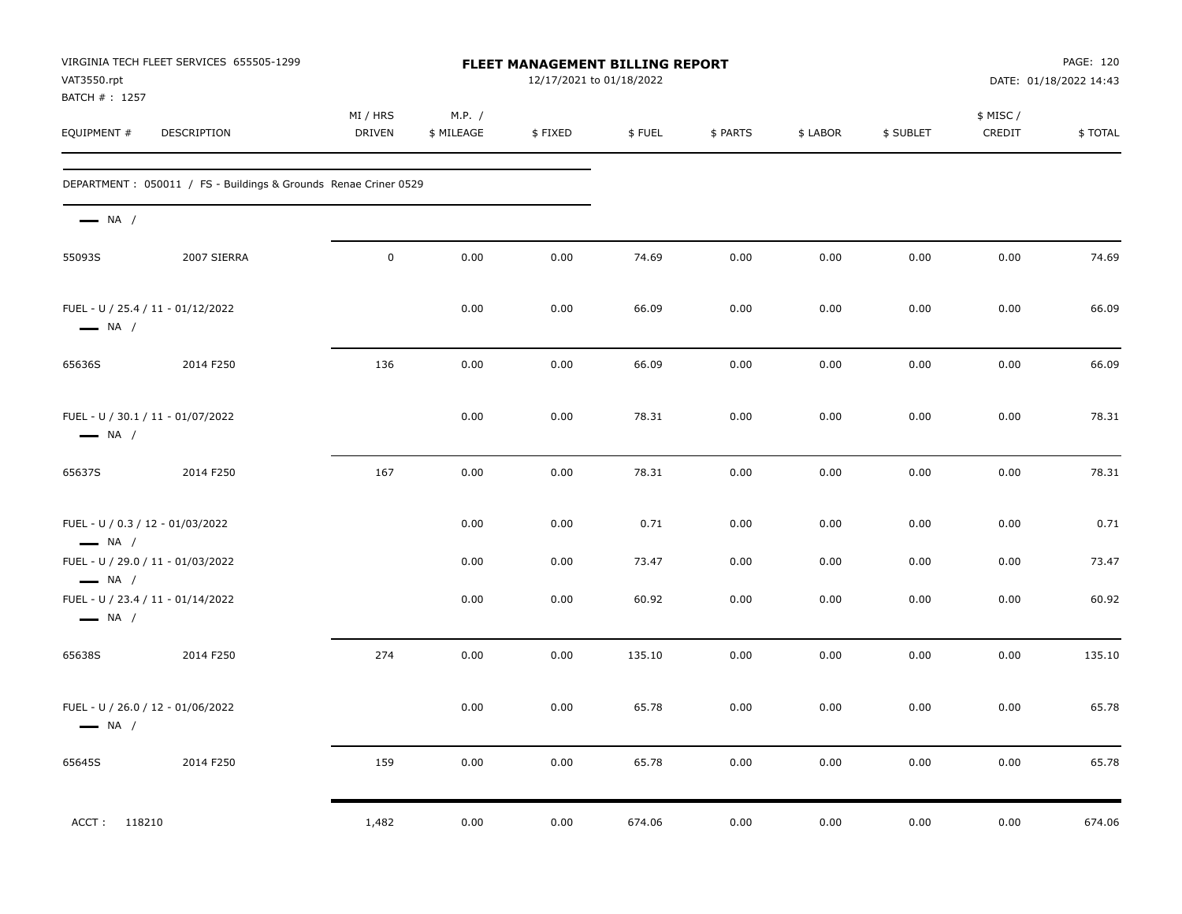| VAT3550.rpt<br>BATCH #: 1257                                | VIRGINIA TECH FLEET SERVICES 655505-1299                         |                           |                      | FLEET MANAGEMENT BILLING REPORT<br>12/17/2021 to 01/18/2022 |        |          |          |           |                     | PAGE: 120<br>DATE: 01/18/2022 14:43 |
|-------------------------------------------------------------|------------------------------------------------------------------|---------------------------|----------------------|-------------------------------------------------------------|--------|----------|----------|-----------|---------------------|-------------------------------------|
| EQUIPMENT #                                                 | DESCRIPTION                                                      | MI / HRS<br><b>DRIVEN</b> | M.P. /<br>\$ MILEAGE | \$FIXED                                                     | \$FUEL | \$ PARTS | \$ LABOR | \$ SUBLET | \$ MISC /<br>CREDIT | \$TOTAL                             |
|                                                             | DEPARTMENT : 050011 / FS - Buildings & Grounds Renae Criner 0529 |                           |                      |                                                             |        |          |          |           |                     |                                     |
| $\longrightarrow$ NA /                                      |                                                                  |                           |                      |                                                             |        |          |          |           |                     |                                     |
| 55093S                                                      | 2007 SIERRA                                                      | $\mathbf 0$               | 0.00                 | 0.00                                                        | 74.69  | 0.00     | 0.00     | 0.00      | 0.00                | 74.69                               |
| FUEL - U / 25.4 / 11 - 01/12/2022<br>$\longrightarrow$ NA / |                                                                  |                           | 0.00                 | 0.00                                                        | 66.09  | 0.00     | 0.00     | 0.00      | 0.00                | 66.09                               |
| 65636S                                                      | 2014 F250                                                        | 136                       | 0.00                 | 0.00                                                        | 66.09  | 0.00     | 0.00     | 0.00      | 0.00                | 66.09                               |
| FUEL - U / 30.1 / 11 - 01/07/2022<br>$\longrightarrow$ NA / |                                                                  |                           | 0.00                 | 0.00                                                        | 78.31  | 0.00     | 0.00     | 0.00      | 0.00                | 78.31                               |
| 65637S                                                      | 2014 F250                                                        | 167                       | 0.00                 | 0.00                                                        | 78.31  | 0.00     | 0.00     | 0.00      | 0.00                | 78.31                               |
| FUEL - U / 0.3 / 12 - 01/03/2022<br>$\longrightarrow$ NA /  |                                                                  |                           | 0.00                 | 0.00                                                        | 0.71   | 0.00     | 0.00     | 0.00      | 0.00                | 0.71                                |
| FUEL - U / 29.0 / 11 - 01/03/2022<br>$-$ NA $/$             |                                                                  |                           | 0.00                 | 0.00                                                        | 73.47  | 0.00     | 0.00     | 0.00      | 0.00                | 73.47                               |
| FUEL - U / 23.4 / 11 - 01/14/2022<br>$\longrightarrow$ NA / |                                                                  |                           | 0.00                 | 0.00                                                        | 60.92  | 0.00     | 0.00     | 0.00      | 0.00                | 60.92                               |
| 65638S                                                      | 2014 F250                                                        | 274                       | 0.00                 | 0.00                                                        | 135.10 | 0.00     | 0.00     | 0.00      | 0.00                | 135.10                              |
| FUEL - U / 26.0 / 12 - 01/06/2022<br>$\longrightarrow$ NA / |                                                                  |                           | 0.00                 | 0.00                                                        | 65.78  | 0.00     | 0.00     | 0.00      | 0.00                | 65.78                               |
| 65645S                                                      | 2014 F250                                                        | 159                       | 0.00                 | 0.00                                                        | 65.78  | $0.00\,$ | 0.00     | 0.00      | $0.00\,$            | 65.78                               |
| 118210<br>ACCT:                                             |                                                                  | 1,482                     | 0.00                 | 0.00                                                        | 674.06 | 0.00     | 0.00     | 0.00      | 0.00                | 674.06                              |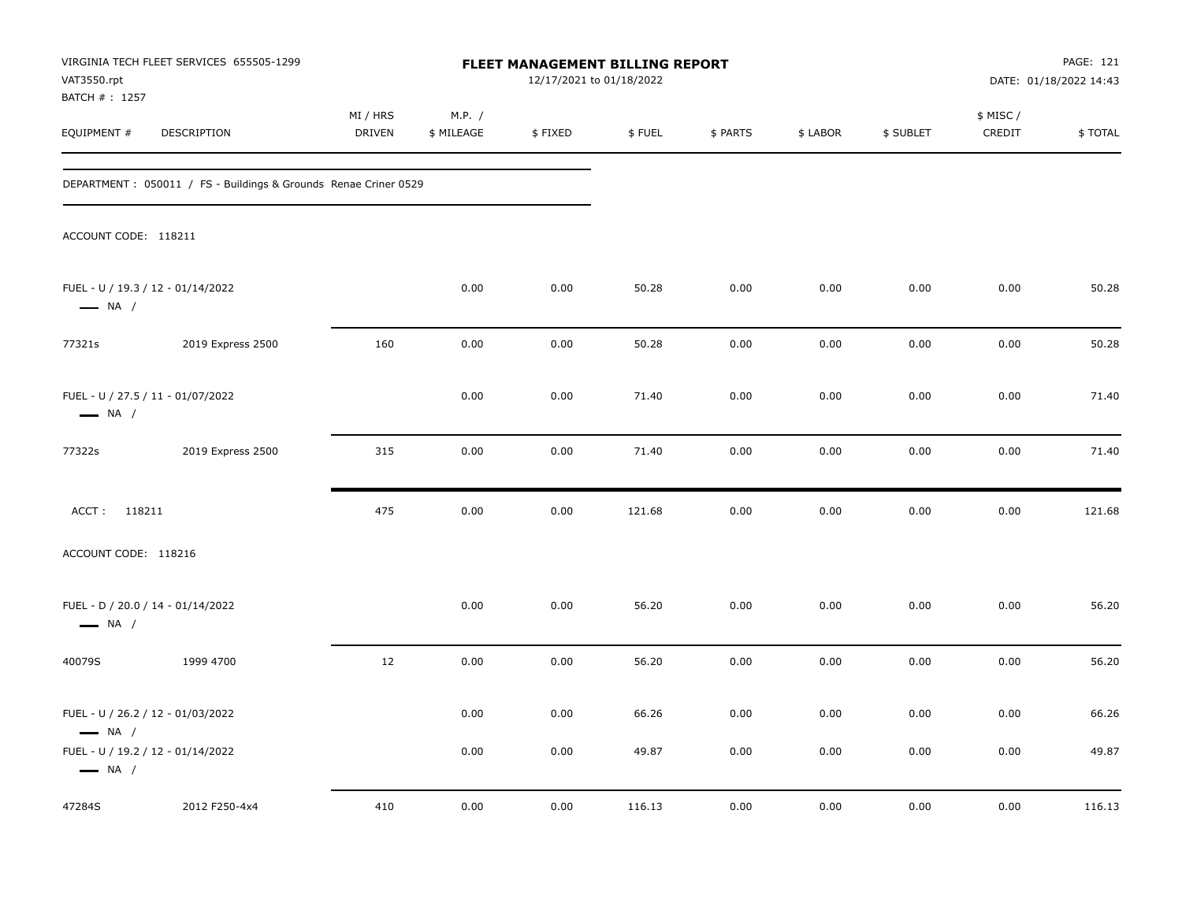| VAT3550.rpt<br>BATCH # : 1257 | VIRGINIA TECH FLEET SERVICES 655505-1299                               |                    |                      | FLEET MANAGEMENT BILLING REPORT<br>12/17/2021 to 01/18/2022 |                |              |              | PAGE: 121<br>DATE: 01/18/2022 14:43 |                     |                |
|-------------------------------|------------------------------------------------------------------------|--------------------|----------------------|-------------------------------------------------------------|----------------|--------------|--------------|-------------------------------------|---------------------|----------------|
| EQUIPMENT #                   | DESCRIPTION                                                            | MI / HRS<br>DRIVEN | M.P. /<br>\$ MILEAGE | \$FIXED                                                     | \$FUEL         | \$ PARTS     | \$ LABOR     | \$ SUBLET                           | \$ MISC /<br>CREDIT | \$TOTAL        |
|                               | DEPARTMENT: 050011 / FS - Buildings & Grounds Renae Criner 0529        |                    |                      |                                                             |                |              |              |                                     |                     |                |
| ACCOUNT CODE: 118211          |                                                                        |                    |                      |                                                             |                |              |              |                                     |                     |                |
| $\longrightarrow$ NA /        | FUEL - U / 19.3 / 12 - 01/14/2022                                      |                    | 0.00                 | 0.00                                                        | 50.28          | 0.00         | 0.00         | 0.00                                | 0.00                | 50.28          |
| 77321s                        | 2019 Express 2500                                                      | 160                | 0.00                 | 0.00                                                        | 50.28          | 0.00         | 0.00         | 0.00                                | 0.00                | 50.28          |
| $\longrightarrow$ NA /        | FUEL - U / 27.5 / 11 - 01/07/2022                                      |                    | 0.00                 | 0.00                                                        | 71.40          | 0.00         | 0.00         | 0.00                                | 0.00                | 71.40          |
| 77322s                        | 2019 Express 2500                                                      | 315                | 0.00                 | 0.00                                                        | 71.40          | 0.00         | 0.00         | 0.00                                | 0.00                | 71.40          |
| ACCT: 118211                  |                                                                        | 475                | 0.00                 | 0.00                                                        | 121.68         | 0.00         | 0.00         | 0.00                                | 0.00                | 121.68         |
| ACCOUNT CODE: 118216          |                                                                        |                    |                      |                                                             |                |              |              |                                     |                     |                |
| $\longrightarrow$ NA /        | FUEL - D / 20.0 / 14 - 01/14/2022                                      |                    | 0.00                 | 0.00                                                        | 56.20          | 0.00         | 0.00         | 0.00                                | 0.00                | 56.20          |
| 40079S                        | 1999 4700                                                              | 12                 | 0.00                 | 0.00                                                        | 56.20          | 0.00         | 0.00         | 0.00                                | 0.00                | 56.20          |
| $\longrightarrow$ NA /        | FUEL - U / 26.2 / 12 - 01/03/2022<br>FUEL - U / 19.2 / 12 - 01/14/2022 |                    | 0.00<br>0.00         | 0.00<br>0.00                                                | 66.26<br>49.87 | 0.00<br>0.00 | 0.00<br>0.00 | 0.00<br>0.00                        | 0.00<br>0.00        | 66.26<br>49.87 |
| $\longrightarrow$ NA /        |                                                                        |                    |                      |                                                             |                |              |              |                                     |                     |                |
| 47284S                        | 2012 F250-4x4                                                          | 410                | 0.00                 | 0.00                                                        | 116.13         | 0.00         | 0.00         | 0.00                                | 0.00                | 116.13         |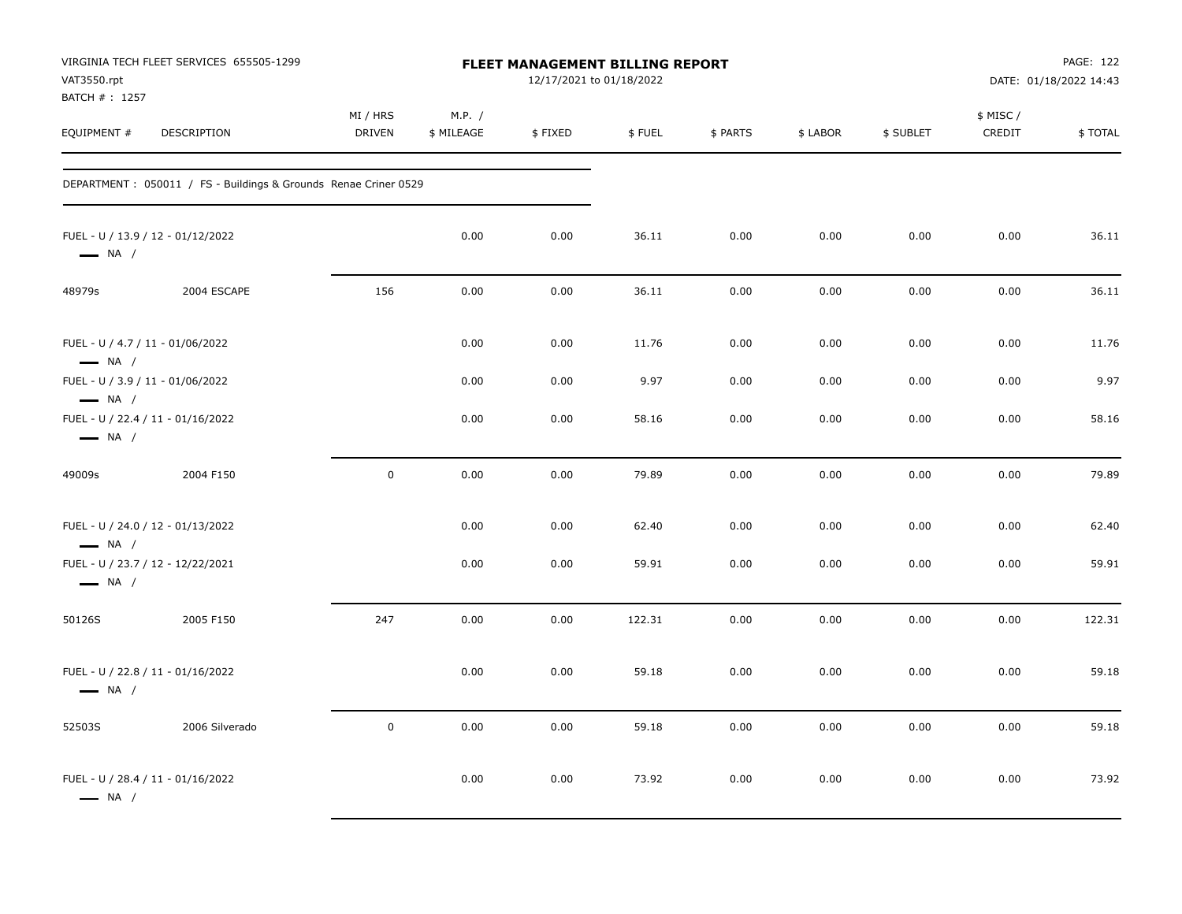| VAT3550.rpt<br>BATCH #: 1257                                                          | VIRGINIA TECH FLEET SERVICES 655505-1299                        |                           |                      | FLEET MANAGEMENT BILLING REPORT<br>12/17/2021 to 01/18/2022 |        |          |          |           |                     | PAGE: 122<br>DATE: 01/18/2022 14:43 |
|---------------------------------------------------------------------------------------|-----------------------------------------------------------------|---------------------------|----------------------|-------------------------------------------------------------|--------|----------|----------|-----------|---------------------|-------------------------------------|
| EQUIPMENT #                                                                           | DESCRIPTION                                                     | MI / HRS<br><b>DRIVEN</b> | M.P. /<br>\$ MILEAGE | $\$$ FIXED                                                  | \$FUEL | \$ PARTS | \$ LABOR | \$ SUBLET | \$ MISC /<br>CREDIT | \$TOTAL                             |
|                                                                                       | DEPARTMENT: 050011 / FS - Buildings & Grounds Renae Criner 0529 |                           |                      |                                                             |        |          |          |           |                     |                                     |
| FUEL - U / 13.9 / 12 - 01/12/2022<br>$\longrightarrow$ NA /                           |                                                                 |                           | 0.00                 | 0.00                                                        | 36.11  | 0.00     | 0.00     | 0.00      | 0.00                | 36.11                               |
| 48979s                                                                                | 2004 ESCAPE                                                     | 156                       | 0.00                 | 0.00                                                        | 36.11  | 0.00     | 0.00     | 0.00      | 0.00                | 36.11                               |
| FUEL - U / 4.7 / 11 - 01/06/2022<br>$\longrightarrow$ NA /                            |                                                                 |                           | 0.00                 | 0.00                                                        | 11.76  | 0.00     | 0.00     | 0.00      | 0.00                | 11.76                               |
| FUEL - U / 3.9 / 11 - 01/06/2022                                                      |                                                                 |                           | 0.00                 | 0.00                                                        | 9.97   | 0.00     | 0.00     | 0.00      | 0.00                | 9.97                                |
| $\longrightarrow$ NA /<br>FUEL - U / 22.4 / 11 - 01/16/2022<br>$\longrightarrow$ NA / |                                                                 |                           | 0.00                 | 0.00                                                        | 58.16  | 0.00     | 0.00     | 0.00      | 0.00                | 58.16                               |
| 49009s                                                                                | 2004 F150                                                       | $\pmb{0}$                 | 0.00                 | 0.00                                                        | 79.89  | 0.00     | 0.00     | 0.00      | 0.00                | 79.89                               |
| FUEL - U / 24.0 / 12 - 01/13/2022<br>$\longrightarrow$ NA /                           |                                                                 |                           | 0.00                 | 0.00                                                        | 62.40  | 0.00     | 0.00     | 0.00      | 0.00                | 62.40                               |
| FUEL - U / 23.7 / 12 - 12/22/2021<br>$\longrightarrow$ NA /                           |                                                                 |                           | 0.00                 | 0.00                                                        | 59.91  | 0.00     | 0.00     | 0.00      | 0.00                | 59.91                               |
| 50126S                                                                                | 2005 F150                                                       | 247                       | 0.00                 | 0.00                                                        | 122.31 | 0.00     | 0.00     | 0.00      | 0.00                | 122.31                              |
| FUEL - U / 22.8 / 11 - 01/16/2022<br>$\longrightarrow$ NA /                           |                                                                 |                           | 0.00                 | 0.00                                                        | 59.18  | 0.00     | 0.00     | 0.00      | 0.00                | 59.18                               |
| 52503S                                                                                | 2006 Silverado                                                  | $\pmb{0}$                 | 0.00                 | 0.00                                                        | 59.18  | 0.00     | 0.00     | 0.00      | 0.00                | 59.18                               |
| FUEL - U / 28.4 / 11 - 01/16/2022<br>$\longrightarrow$ NA /                           |                                                                 |                           | 0.00                 | 0.00                                                        | 73.92  | 0.00     | 0.00     | 0.00      | 0.00                | 73.92                               |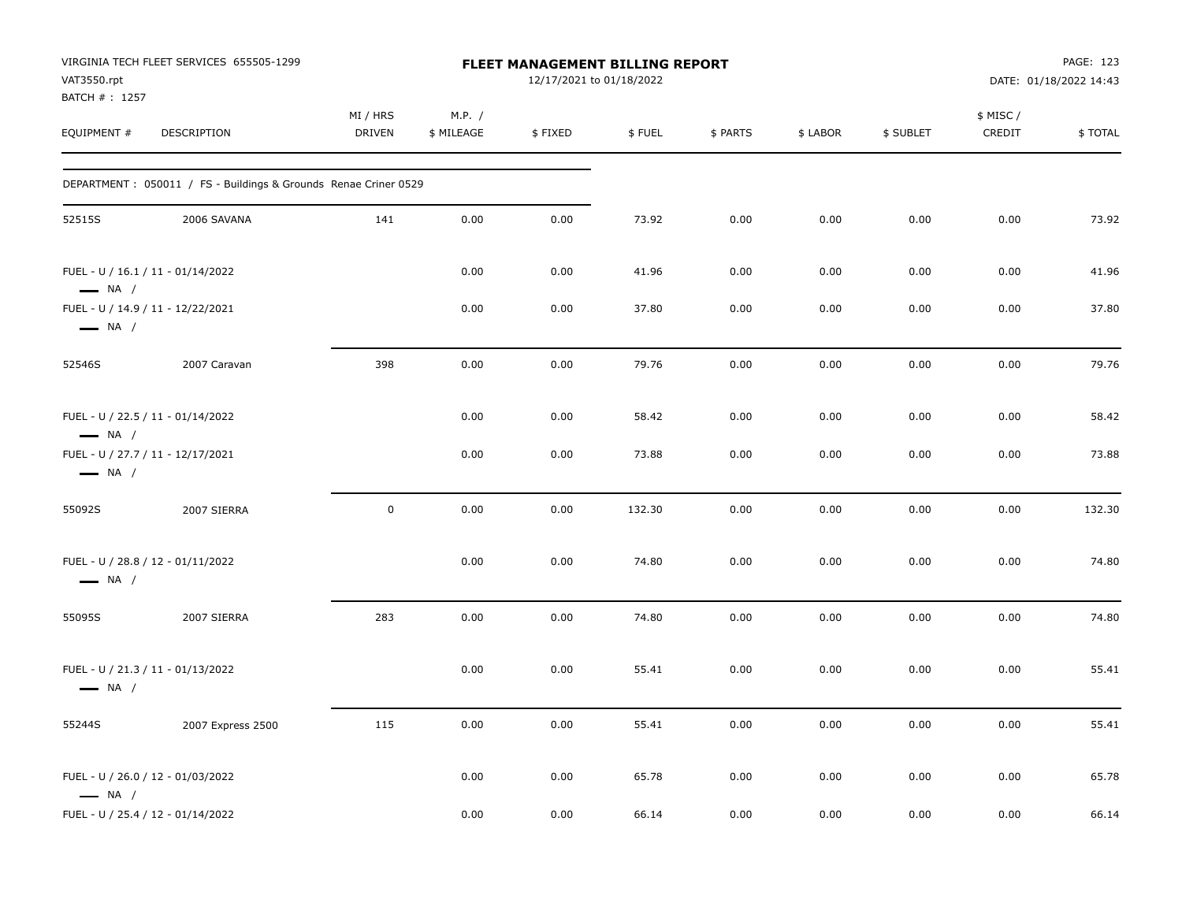| VAT3550.rpt                  | VIRGINIA TECH FLEET SERVICES 655505-1299                         |                           |                      | <b>FLEET MANAGEMENT BILLING REPORT</b><br>12/17/2021 to 01/18/2022 |        |          |          |           |                    | PAGE: 123<br>DATE: 01/18/2022 14:43 |
|------------------------------|------------------------------------------------------------------|---------------------------|----------------------|--------------------------------------------------------------------|--------|----------|----------|-----------|--------------------|-------------------------------------|
| BATCH #: 1257<br>EQUIPMENT # | DESCRIPTION                                                      | MI / HRS<br><b>DRIVEN</b> | M.P. /<br>\$ MILEAGE | \$FIXED                                                            | \$FUEL | \$ PARTS | \$ LABOR | \$ SUBLET | \$ MISC/<br>CREDIT | \$TOTAL                             |
|                              | DEPARTMENT : 050011 / FS - Buildings & Grounds Renae Criner 0529 |                           |                      |                                                                    |        |          |          |           |                    |                                     |
| 52515S                       | 2006 SAVANA                                                      | 141                       | 0.00                 | 0.00                                                               | 73.92  | 0.00     | 0.00     | 0.00      | 0.00               | 73.92                               |
| $\longrightarrow$ NA /       | FUEL - U / 16.1 / 11 - 01/14/2022                                |                           | 0.00                 | 0.00                                                               | 41.96  | 0.00     | 0.00     | 0.00      | 0.00               | 41.96                               |
| $\longrightarrow$ NA /       | FUEL - U / 14.9 / 11 - 12/22/2021                                |                           | 0.00                 | 0.00                                                               | 37.80  | 0.00     | 0.00     | 0.00      | 0.00               | 37.80                               |
| 52546S                       | 2007 Caravan                                                     | 398                       | 0.00                 | 0.00                                                               | 79.76  | 0.00     | 0.00     | 0.00      | 0.00               | 79.76                               |
| $\longrightarrow$ NA /       | FUEL - U / 22.5 / 11 - 01/14/2022                                |                           | 0.00                 | 0.00                                                               | 58.42  | 0.00     | 0.00     | 0.00      | 0.00               | 58.42                               |
| $\longrightarrow$ NA /       | FUEL - U / 27.7 / 11 - 12/17/2021                                |                           | 0.00                 | 0.00                                                               | 73.88  | 0.00     | 0.00     | 0.00      | 0.00               | 73.88                               |
| 55092S                       | 2007 SIERRA                                                      | $\pmb{0}$                 | 0.00                 | 0.00                                                               | 132.30 | 0.00     | 0.00     | 0.00      | 0.00               | 132.30                              |
| $\longrightarrow$ NA /       | FUEL - U / 28.8 / 12 - 01/11/2022                                |                           | 0.00                 | 0.00                                                               | 74.80  | 0.00     | 0.00     | 0.00      | 0.00               | 74.80                               |
| 55095S                       | 2007 SIERRA                                                      | 283                       | 0.00                 | 0.00                                                               | 74.80  | 0.00     | 0.00     | 0.00      | 0.00               | 74.80                               |
| $\longrightarrow$ NA /       | FUEL - U / 21.3 / 11 - 01/13/2022                                |                           | 0.00                 | 0.00                                                               | 55.41  | 0.00     | 0.00     | 0.00      | 0.00               | 55.41                               |
| 55244S                       | 2007 Express 2500                                                | 115                       | 0.00                 | 0.00                                                               | 55.41  | 0.00     | 0.00     | 0.00      | 0.00               | 55.41                               |
| $\longrightarrow$ NA /       | FUEL - U / 26.0 / 12 - 01/03/2022                                |                           | 0.00                 | 0.00                                                               | 65.78  | 0.00     | 0.00     | 0.00      | 0.00               | 65.78                               |
|                              | FUEL - U / 25.4 / 12 - 01/14/2022                                |                           | 0.00                 | 0.00                                                               | 66.14  | 0.00     | 0.00     | 0.00      | 0.00               | 66.14                               |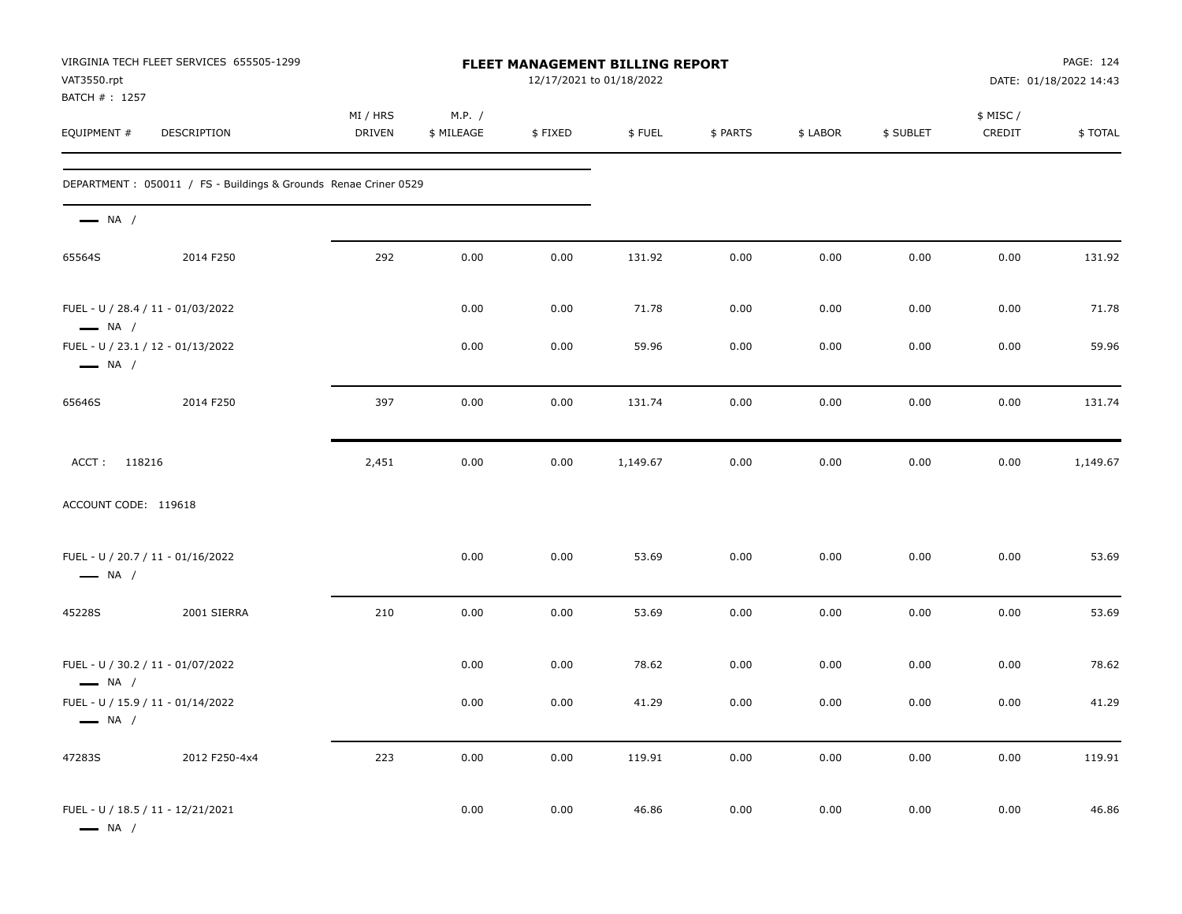| VAT3550.rpt<br>BATCH #: 1257                                | VIRGINIA TECH FLEET SERVICES 655505-1299                         |                    |                      |         | FLEET MANAGEMENT BILLING REPORT<br>12/17/2021 to 01/18/2022 |          | PAGE: 124<br>DATE: 01/18/2022 14:43 |           |                     |          |
|-------------------------------------------------------------|------------------------------------------------------------------|--------------------|----------------------|---------|-------------------------------------------------------------|----------|-------------------------------------|-----------|---------------------|----------|
| EQUIPMENT #                                                 | DESCRIPTION                                                      | MI / HRS<br>DRIVEN | M.P. /<br>\$ MILEAGE | \$FIXED | \$FUEL                                                      | \$ PARTS | \$ LABOR                            | \$ SUBLET | \$ MISC /<br>CREDIT | \$TOTAL  |
|                                                             | DEPARTMENT : 050011 / FS - Buildings & Grounds Renae Criner 0529 |                    |                      |         |                                                             |          |                                     |           |                     |          |
| $\longrightarrow$ NA /                                      |                                                                  |                    |                      |         |                                                             |          |                                     |           |                     |          |
| 65564S                                                      | 2014 F250                                                        | 292                | 0.00                 | 0.00    | 131.92                                                      | 0.00     | 0.00                                | 0.00      | 0.00                | 131.92   |
| FUEL - U / 28.4 / 11 - 01/03/2022<br>$\longrightarrow$ NA / |                                                                  |                    | 0.00                 | 0.00    | 71.78                                                       | 0.00     | 0.00                                | 0.00      | 0.00                | 71.78    |
| FUEL - U / 23.1 / 12 - 01/13/2022<br>$\longrightarrow$ NA / |                                                                  |                    | 0.00                 | 0.00    | 59.96                                                       | 0.00     | 0.00                                | 0.00      | 0.00                | 59.96    |
| 65646S                                                      | 2014 F250                                                        | 397                | 0.00                 | 0.00    | 131.74                                                      | 0.00     | 0.00                                | 0.00      | 0.00                | 131.74   |
| ACCT: 118216                                                |                                                                  | 2,451              | 0.00                 | 0.00    | 1,149.67                                                    | 0.00     | 0.00                                | 0.00      | 0.00                | 1,149.67 |
| ACCOUNT CODE: 119618                                        |                                                                  |                    |                      |         |                                                             |          |                                     |           |                     |          |
| FUEL - U / 20.7 / 11 - 01/16/2022<br>$\longrightarrow$ NA / |                                                                  |                    | 0.00                 | 0.00    | 53.69                                                       | 0.00     | 0.00                                | 0.00      | 0.00                | 53.69    |
| 45228S                                                      | 2001 SIERRA                                                      | 210                | 0.00                 | 0.00    | 53.69                                                       | 0.00     | 0.00                                | 0.00      | 0.00                | 53.69    |
| FUEL - U / 30.2 / 11 - 01/07/2022<br>$\longrightarrow$ NA / |                                                                  |                    | 0.00                 | 0.00    | 78.62                                                       | 0.00     | 0.00                                | 0.00      | 0.00                | 78.62    |
| FUEL - U / 15.9 / 11 - 01/14/2022<br>$-$ NA /               |                                                                  |                    | 0.00                 | 0.00    | 41.29                                                       | 0.00     | 0.00                                | 0.00      | 0.00                | 41.29    |
| 47283S                                                      | 2012 F250-4x4                                                    | 223                | 0.00                 | 0.00    | 119.91                                                      | 0.00     | 0.00                                | $0.00\,$  | $0.00\,$            | 119.91   |
| FUEL - U / 18.5 / 11 - 12/21/2021<br>$\longrightarrow$ NA / |                                                                  |                    | 0.00                 | 0.00    | 46.86                                                       | 0.00     | 0.00                                | 0.00      | $0.00\,$            | 46.86    |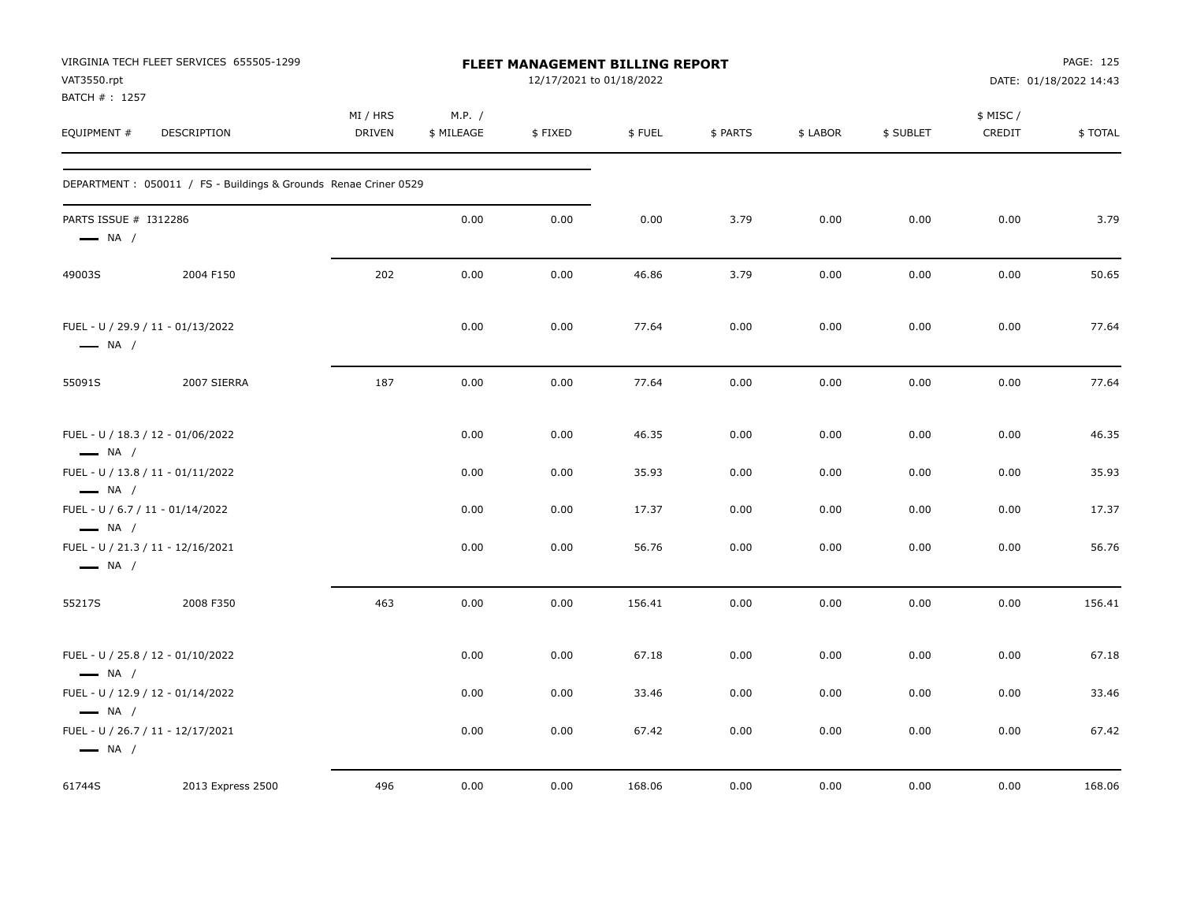| VAT3550.rpt<br>BATCH #: 1257                                | VIRGINIA TECH FLEET SERVICES 655505-1299                         |                           |                      | <b>FLEET MANAGEMENT BILLING REPORT</b><br>12/17/2021 to 01/18/2022 |        |          |          |           |                     | PAGE: 125<br>DATE: 01/18/2022 14:43 |
|-------------------------------------------------------------|------------------------------------------------------------------|---------------------------|----------------------|--------------------------------------------------------------------|--------|----------|----------|-----------|---------------------|-------------------------------------|
| EQUIPMENT #                                                 | DESCRIPTION                                                      | MI / HRS<br><b>DRIVEN</b> | M.P. /<br>\$ MILEAGE | \$FIXED                                                            | \$FUEL | \$ PARTS | \$ LABOR | \$ SUBLET | \$ MISC /<br>CREDIT | \$TOTAL                             |
|                                                             | DEPARTMENT : 050011 / FS - Buildings & Grounds Renae Criner 0529 |                           |                      |                                                                    |        |          |          |           |                     |                                     |
| PARTS ISSUE # I312286<br>$\longrightarrow$ NA /             |                                                                  |                           | 0.00                 | 0.00                                                               | 0.00   | 3.79     | 0.00     | 0.00      | 0.00                | 3.79                                |
| 49003S                                                      | 2004 F150                                                        | 202                       | 0.00                 | 0.00                                                               | 46.86  | 3.79     | 0.00     | 0.00      | 0.00                | 50.65                               |
| FUEL - U / 29.9 / 11 - 01/13/2022<br>$\longrightarrow$ NA / |                                                                  |                           | 0.00                 | 0.00                                                               | 77.64  | 0.00     | 0.00     | 0.00      | 0.00                | 77.64                               |
| 55091S                                                      | 2007 SIERRA                                                      | 187                       | 0.00                 | 0.00                                                               | 77.64  | 0.00     | 0.00     | 0.00      | 0.00                | 77.64                               |
| FUEL - U / 18.3 / 12 - 01/06/2022<br>$\longrightarrow$ NA / |                                                                  |                           | 0.00                 | 0.00                                                               | 46.35  | 0.00     | 0.00     | 0.00      | 0.00                | 46.35                               |
| FUEL - U / 13.8 / 11 - 01/11/2022<br>$\longrightarrow$ NA / |                                                                  |                           | 0.00                 | 0.00                                                               | 35.93  | 0.00     | 0.00     | 0.00      | 0.00                | 35.93                               |
| FUEL - U / 6.7 / 11 - 01/14/2022<br>$\longrightarrow$ NA /  |                                                                  |                           | 0.00                 | 0.00                                                               | 17.37  | 0.00     | 0.00     | 0.00      | 0.00                | 17.37                               |
| FUEL - U / 21.3 / 11 - 12/16/2021<br>$\longrightarrow$ NA / |                                                                  |                           | 0.00                 | 0.00                                                               | 56.76  | 0.00     | 0.00     | 0.00      | 0.00                | 56.76                               |
| 55217S                                                      | 2008 F350                                                        | 463                       | 0.00                 | 0.00                                                               | 156.41 | 0.00     | 0.00     | 0.00      | 0.00                | 156.41                              |
| FUEL - U / 25.8 / 12 - 01/10/2022<br>$\longrightarrow$ NA / |                                                                  |                           | 0.00                 | 0.00                                                               | 67.18  | 0.00     | 0.00     | 0.00      | 0.00                | 67.18                               |
| FUEL - U / 12.9 / 12 - 01/14/2022<br>$\longrightarrow$ NA / |                                                                  |                           | 0.00                 | 0.00                                                               | 33.46  | 0.00     | 0.00     | 0.00      | 0.00                | 33.46                               |
| FUEL - U / 26.7 / 11 - 12/17/2021<br>$\longrightarrow$ NA / |                                                                  |                           | 0.00                 | 0.00                                                               | 67.42  | 0.00     | 0.00     | 0.00      | 0.00                | 67.42                               |
| 61744S                                                      | 2013 Express 2500                                                | 496                       | 0.00                 | 0.00                                                               | 168.06 | 0.00     | 0.00     | 0.00      | 0.00                | 168.06                              |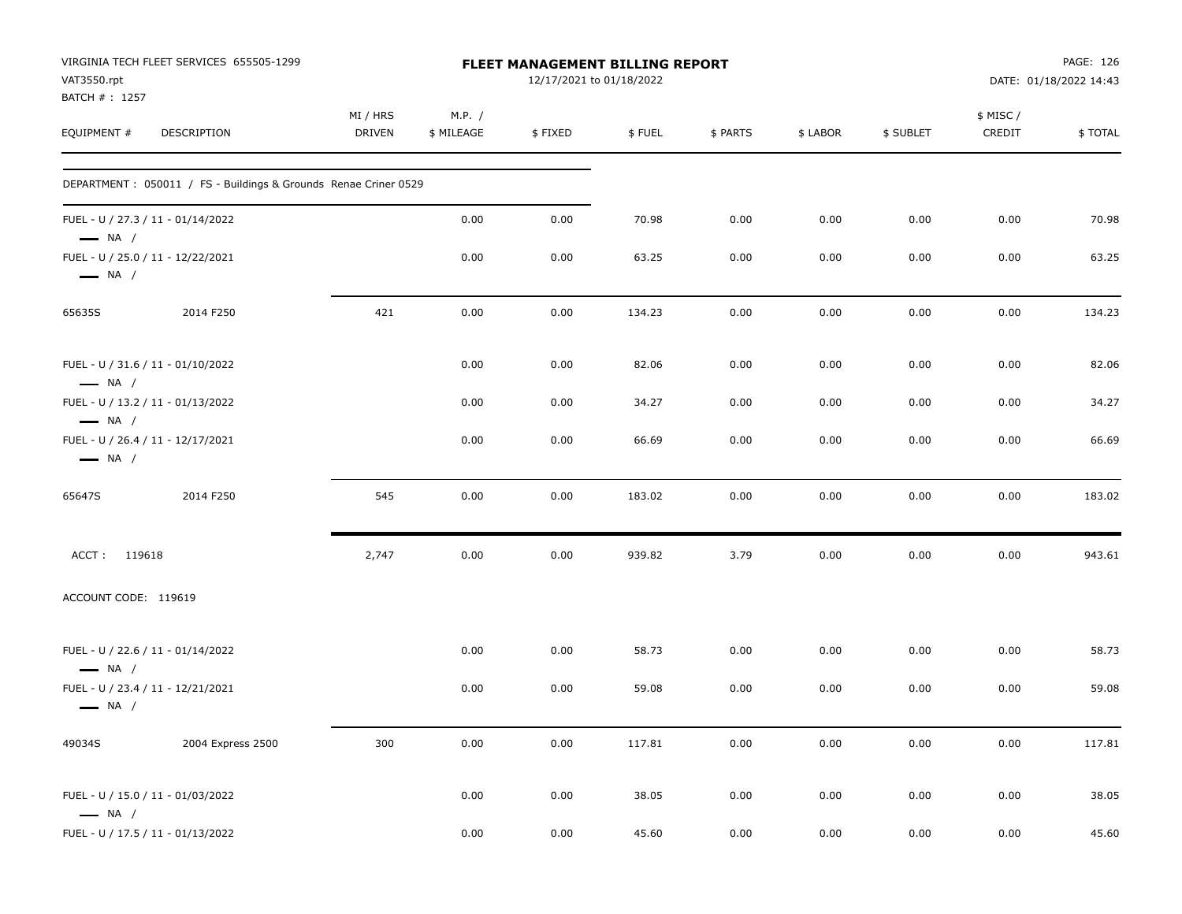| VAT3550.rpt                  | VIRGINIA TECH FLEET SERVICES 655505-1299                         |                           |                      | FLEET MANAGEMENT BILLING REPORT<br>12/17/2021 to 01/18/2022 |        |          |          |           |                     | PAGE: 126<br>DATE: 01/18/2022 14:43 |
|------------------------------|------------------------------------------------------------------|---------------------------|----------------------|-------------------------------------------------------------|--------|----------|----------|-----------|---------------------|-------------------------------------|
| BATCH #: 1257<br>EQUIPMENT # | DESCRIPTION                                                      | MI / HRS<br><b>DRIVEN</b> | M.P. /<br>\$ MILEAGE | \$FIXED                                                     | \$FUEL | \$ PARTS | \$ LABOR | \$ SUBLET | \$ MISC /<br>CREDIT | \$TOTAL                             |
|                              | DEPARTMENT : 050011 / FS - Buildings & Grounds Renae Criner 0529 |                           |                      |                                                             |        |          |          |           |                     |                                     |
| $\longrightarrow$ NA /       | FUEL - U / 27.3 / 11 - 01/14/2022                                |                           | 0.00                 | 0.00                                                        | 70.98  | 0.00     | 0.00     | 0.00      | 0.00                | 70.98                               |
| $\longrightarrow$ NA /       | FUEL - U / 25.0 / 11 - 12/22/2021                                |                           | 0.00                 | 0.00                                                        | 63.25  | 0.00     | 0.00     | 0.00      | 0.00                | 63.25                               |
| 65635S                       | 2014 F250                                                        | 421                       | 0.00                 | 0.00                                                        | 134.23 | 0.00     | 0.00     | 0.00      | 0.00                | 134.23                              |
| $\longrightarrow$ NA /       | FUEL - U / 31.6 / 11 - 01/10/2022                                |                           | 0.00                 | 0.00                                                        | 82.06  | 0.00     | 0.00     | 0.00      | 0.00                | 82.06                               |
| $\longrightarrow$ NA /       | FUEL - U / 13.2 / 11 - 01/13/2022                                |                           | 0.00                 | 0.00                                                        | 34.27  | 0.00     | 0.00     | 0.00      | 0.00                | 34.27                               |
| $\longrightarrow$ NA /       | FUEL - U / 26.4 / 11 - 12/17/2021                                |                           | 0.00                 | 0.00                                                        | 66.69  | 0.00     | 0.00     | 0.00      | 0.00                | 66.69                               |
| 65647S                       | 2014 F250                                                        | 545                       | 0.00                 | 0.00                                                        | 183.02 | 0.00     | 0.00     | 0.00      | 0.00                | 183.02                              |
| ACCT: 119618                 |                                                                  | 2,747                     | 0.00                 | 0.00                                                        | 939.82 | 3.79     | 0.00     | 0.00      | 0.00                | 943.61                              |
| ACCOUNT CODE: 119619         |                                                                  |                           |                      |                                                             |        |          |          |           |                     |                                     |
| $\longrightarrow$ NA /       | FUEL - U / 22.6 / 11 - 01/14/2022                                |                           | 0.00                 | 0.00                                                        | 58.73  | 0.00     | 0.00     | 0.00      | 0.00                | 58.73                               |
| $\longrightarrow$ NA /       | FUEL - U / 23.4 / 11 - 12/21/2021                                |                           | 0.00                 | 0.00                                                        | 59.08  | 0.00     | 0.00     | 0.00      | 0.00                | 59.08                               |
| 49034S                       | 2004 Express 2500                                                | 300                       | 0.00                 | $0.00\,$                                                    | 117.81 | 0.00     | $0.00\,$ | 0.00      | 0.00                | 117.81                              |
| $\longrightarrow$ NA /       | FUEL - U / 15.0 / 11 - 01/03/2022                                |                           | 0.00                 | 0.00                                                        | 38.05  | 0.00     | 0.00     | 0.00      | 0.00                | 38.05                               |
|                              | FUEL - U / 17.5 / 11 - 01/13/2022                                |                           | $0.00\,$             | $0.00\,$                                                    | 45.60  | 0.00     | 0.00     | 0.00      | 0.00                | 45.60                               |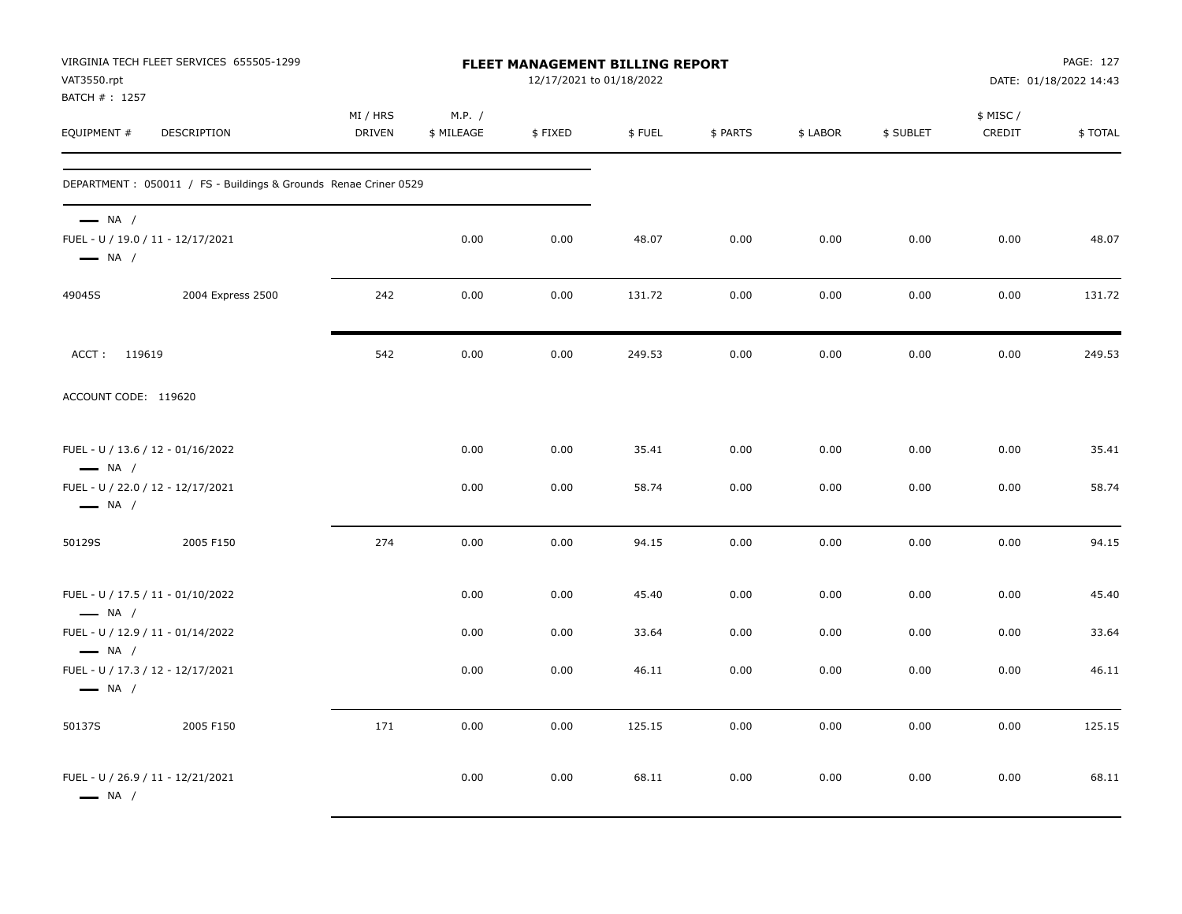| VAT3550.rpt<br>BATCH #: 1257                                                          | VIRGINIA TECH FLEET SERVICES 655505-1299                        |                    |                      | FLEET MANAGEMENT BILLING REPORT<br>12/17/2021 to 01/18/2022 |        |          |          |           |                     | PAGE: 127<br>DATE: 01/18/2022 14:43 |
|---------------------------------------------------------------------------------------|-----------------------------------------------------------------|--------------------|----------------------|-------------------------------------------------------------|--------|----------|----------|-----------|---------------------|-------------------------------------|
| EQUIPMENT #                                                                           | DESCRIPTION                                                     | MI / HRS<br>DRIVEN | M.P. /<br>\$ MILEAGE | \$FIXED                                                     | \$FUEL | \$ PARTS | \$ LABOR | \$ SUBLET | \$ MISC /<br>CREDIT | \$TOTAL                             |
|                                                                                       | DEPARTMENT: 050011 / FS - Buildings & Grounds Renae Criner 0529 |                    |                      |                                                             |        |          |          |           |                     |                                     |
| $\longrightarrow$ NA /<br>FUEL - U / 19.0 / 11 - 12/17/2021<br>$\longrightarrow$ NA / |                                                                 |                    | 0.00                 | 0.00                                                        | 48.07  | 0.00     | 0.00     | 0.00      | 0.00                | 48.07                               |
| 49045S                                                                                | 2004 Express 2500                                               | 242                | 0.00                 | 0.00                                                        | 131.72 | 0.00     | 0.00     | 0.00      | 0.00                | 131.72                              |
| ACCT: 119619                                                                          |                                                                 | 542                | 0.00                 | 0.00                                                        | 249.53 | 0.00     | 0.00     | 0.00      | 0.00                | 249.53                              |
| ACCOUNT CODE: 119620                                                                  |                                                                 |                    |                      |                                                             |        |          |          |           |                     |                                     |
| FUEL - U / 13.6 / 12 - 01/16/2022<br>$\longrightarrow$ NA /                           |                                                                 |                    | 0.00                 | 0.00                                                        | 35.41  | 0.00     | 0.00     | 0.00      | 0.00                | 35.41                               |
| FUEL - U / 22.0 / 12 - 12/17/2021<br>$\longrightarrow$ NA /                           |                                                                 |                    | 0.00                 | 0.00                                                        | 58.74  | 0.00     | 0.00     | 0.00      | 0.00                | 58.74                               |
| 50129S                                                                                | 2005 F150                                                       | 274                | 0.00                 | 0.00                                                        | 94.15  | 0.00     | 0.00     | 0.00      | 0.00                | 94.15                               |
| FUEL - U / 17.5 / 11 - 01/10/2022<br>$\longrightarrow$ NA /                           |                                                                 |                    | 0.00                 | 0.00                                                        | 45.40  | 0.00     | 0.00     | 0.00      | 0.00                | 45.40                               |
| FUEL - U / 12.9 / 11 - 01/14/2022<br>$\longrightarrow$ NA /                           |                                                                 |                    | 0.00                 | 0.00                                                        | 33.64  | 0.00     | 0.00     | 0.00      | 0.00                | 33.64                               |
| FUEL - U / 17.3 / 12 - 12/17/2021<br>$\longrightarrow$ NA /                           |                                                                 |                    | 0.00                 | 0.00                                                        | 46.11  | 0.00     | 0.00     | 0.00      | 0.00                | 46.11                               |
| 50137S                                                                                | 2005 F150                                                       | 171                | 0.00                 | 0.00                                                        | 125.15 | 0.00     | 0.00     | 0.00      | 0.00                | 125.15                              |
| FUEL - U / 26.9 / 11 - 12/21/2021<br>$\longrightarrow$ NA /                           |                                                                 |                    | 0.00                 | 0.00                                                        | 68.11  | 0.00     | 0.00     | 0.00      | 0.00                | 68.11                               |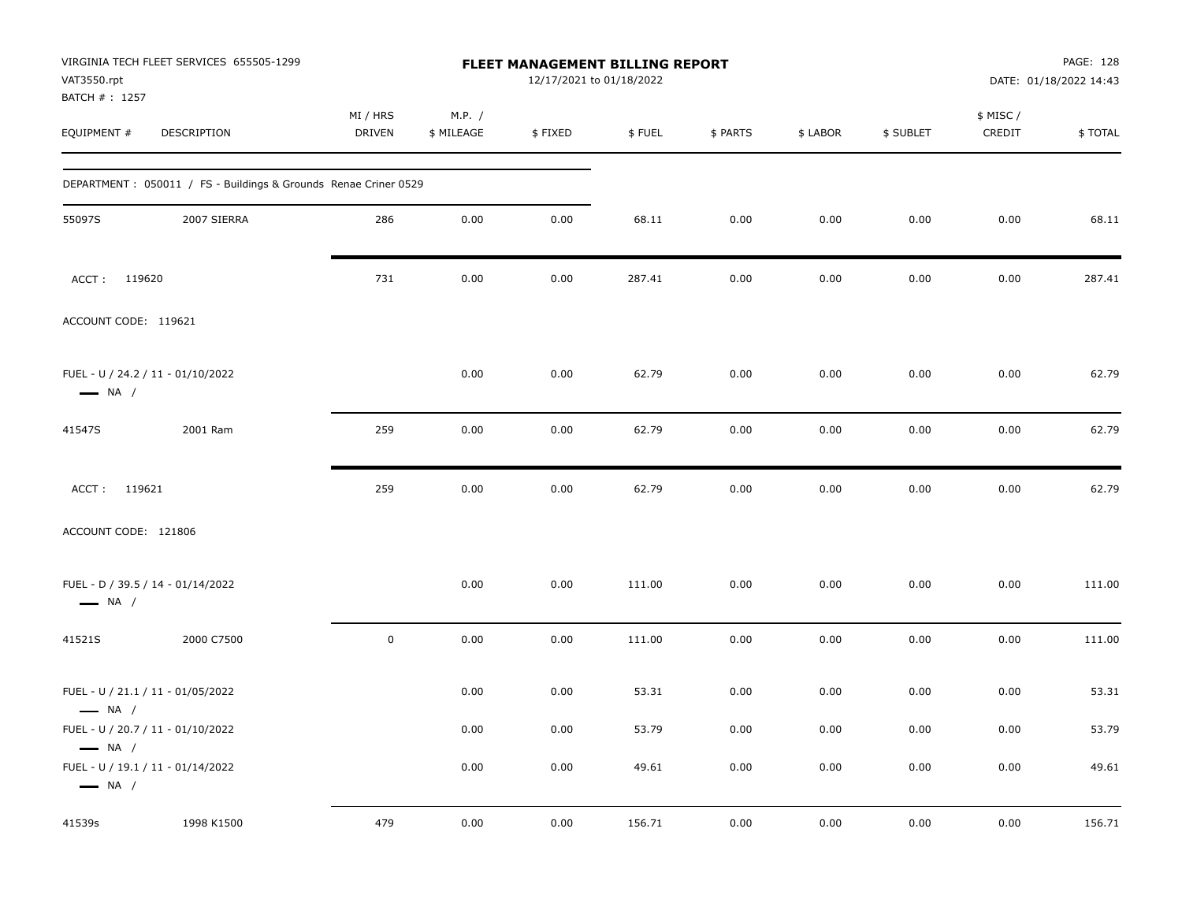| VAT3550.rpt<br>BATCH #: 1257 | VIRGINIA TECH FLEET SERVICES 655505-1299                        |                           |                      | <b>FLEET MANAGEMENT BILLING REPORT</b><br>12/17/2021 to 01/18/2022 |        |          |          |           |                     | PAGE: 128<br>DATE: 01/18/2022 14:43 |
|------------------------------|-----------------------------------------------------------------|---------------------------|----------------------|--------------------------------------------------------------------|--------|----------|----------|-----------|---------------------|-------------------------------------|
| EQUIPMENT #                  | DESCRIPTION                                                     | MI / HRS<br><b>DRIVEN</b> | M.P. /<br>\$ MILEAGE | \$FIXED                                                            | \$FUEL | \$ PARTS | \$ LABOR | \$ SUBLET | \$ MISC /<br>CREDIT | \$TOTAL                             |
|                              | DEPARTMENT: 050011 / FS - Buildings & Grounds Renae Criner 0529 |                           |                      |                                                                    |        |          |          |           |                     |                                     |
| 55097S                       | 2007 SIERRA                                                     | 286                       | 0.00                 | 0.00                                                               | 68.11  | 0.00     | 0.00     | 0.00      | 0.00                | 68.11                               |
| ACCT: 119620                 |                                                                 | 731                       | 0.00                 | 0.00                                                               | 287.41 | 0.00     | 0.00     | 0.00      | 0.00                | 287.41                              |
| ACCOUNT CODE: 119621         |                                                                 |                           |                      |                                                                    |        |          |          |           |                     |                                     |
| $\longrightarrow$ NA /       | FUEL - U / 24.2 / 11 - 01/10/2022                               |                           | 0.00                 | 0.00                                                               | 62.79  | 0.00     | 0.00     | 0.00      | 0.00                | 62.79                               |
| 41547S                       | 2001 Ram                                                        | 259                       | 0.00                 | 0.00                                                               | 62.79  | 0.00     | 0.00     | 0.00      | 0.00                | 62.79                               |
| ACCT: 119621                 |                                                                 | 259                       | 0.00                 | 0.00                                                               | 62.79  | 0.00     | 0.00     | 0.00      | 0.00                | 62.79                               |
| ACCOUNT CODE: 121806         |                                                                 |                           |                      |                                                                    |        |          |          |           |                     |                                     |
| $\longrightarrow$ NA /       | FUEL - D / 39.5 / 14 - 01/14/2022                               |                           | 0.00                 | 0.00                                                               | 111.00 | 0.00     | 0.00     | 0.00      | 0.00                | 111.00                              |
| 41521S                       | 2000 C7500                                                      | $\mathbf 0$               | 0.00                 | 0.00                                                               | 111.00 | 0.00     | 0.00     | 0.00      | 0.00                | 111.00                              |
| $\longrightarrow$ NA /       | FUEL - U / 21.1 / 11 - 01/05/2022                               |                           | 0.00                 | 0.00                                                               | 53.31  | 0.00     | 0.00     | 0.00      | 0.00                | 53.31                               |
| $\longrightarrow$ NA /       | FUEL - U / 20.7 / 11 - 01/10/2022                               |                           | 0.00                 | 0.00                                                               | 53.79  | 0.00     | 0.00     | 0.00      | 0.00                | 53.79                               |
| $\longrightarrow$ NA /       | FUEL - U / 19.1 / 11 - 01/14/2022                               |                           | 0.00                 | 0.00                                                               | 49.61  | 0.00     | 0.00     | 0.00      | 0.00                | 49.61                               |
| 41539s                       | 1998 K1500                                                      | 479                       | 0.00                 | 0.00                                                               | 156.71 | 0.00     | 0.00     | 0.00      | 0.00                | 156.71                              |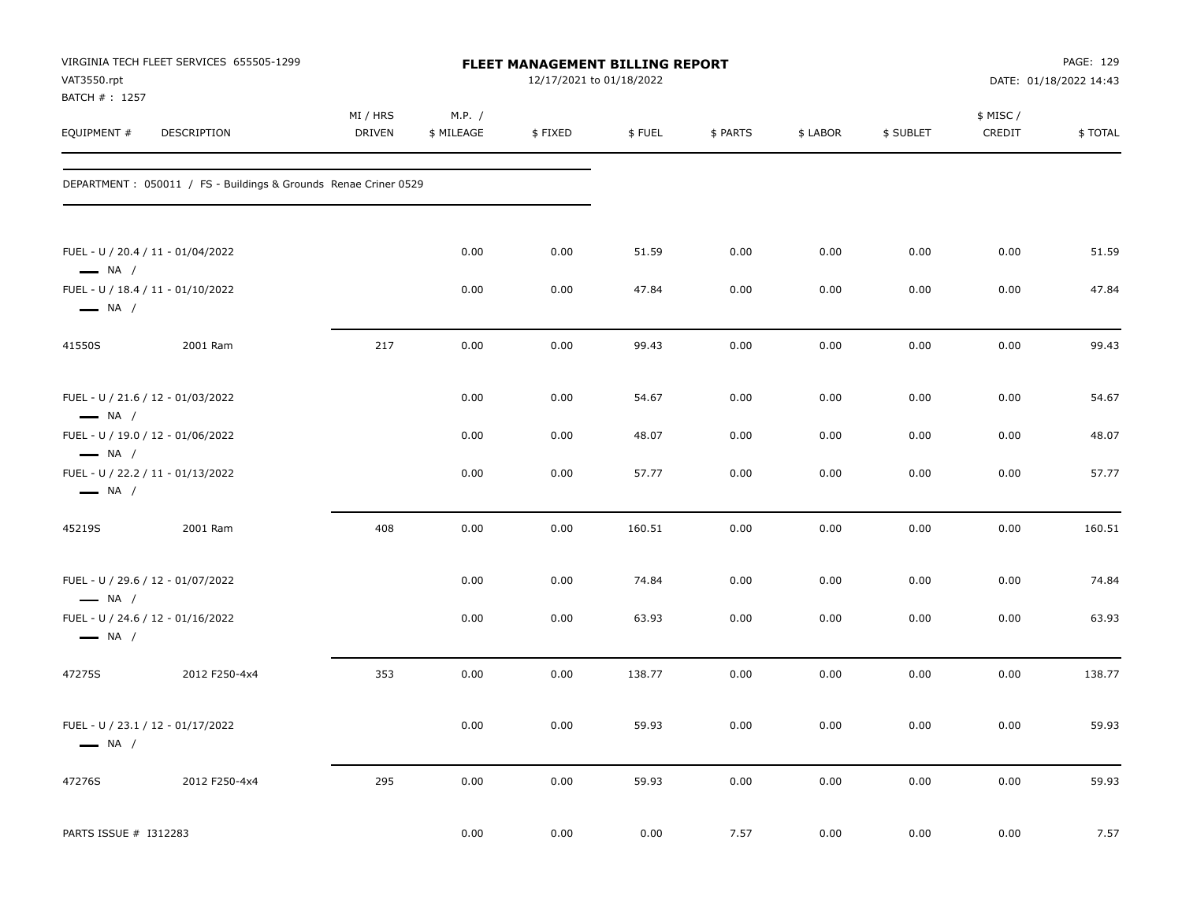| VAT3550.rpt<br>BATCH #: 1257 | VIRGINIA TECH FLEET SERVICES 655505-1299                         |                           |                      | FLEET MANAGEMENT BILLING REPORT<br>12/17/2021 to 01/18/2022 |        |          |          |           |                     | PAGE: 129<br>DATE: 01/18/2022 14:43 |
|------------------------------|------------------------------------------------------------------|---------------------------|----------------------|-------------------------------------------------------------|--------|----------|----------|-----------|---------------------|-------------------------------------|
| EQUIPMENT #                  | DESCRIPTION                                                      | MI / HRS<br><b>DRIVEN</b> | M.P. /<br>\$ MILEAGE | \$FIXED                                                     | \$FUEL | \$ PARTS | \$ LABOR | \$ SUBLET | \$ MISC /<br>CREDIT | \$TOTAL                             |
|                              | DEPARTMENT : 050011 / FS - Buildings & Grounds Renae Criner 0529 |                           |                      |                                                             |        |          |          |           |                     |                                     |
| $\longrightarrow$ NA /       | FUEL - U / 20.4 / 11 - 01/04/2022                                |                           | 0.00                 | 0.00                                                        | 51.59  | 0.00     | 0.00     | 0.00      | 0.00                | 51.59                               |
| $\longrightarrow$ NA /       | FUEL - U / 18.4 / 11 - 01/10/2022                                |                           | 0.00                 | 0.00                                                        | 47.84  | 0.00     | 0.00     | 0.00      | 0.00                | 47.84                               |
| 41550S                       | 2001 Ram                                                         | 217                       | 0.00                 | 0.00                                                        | 99.43  | 0.00     | 0.00     | 0.00      | 0.00                | 99.43                               |
| $\longrightarrow$ NA /       | FUEL - U / 21.6 / 12 - 01/03/2022                                |                           | 0.00                 | 0.00                                                        | 54.67  | 0.00     | 0.00     | 0.00      | 0.00                | 54.67                               |
| $\longrightarrow$ NA /       | FUEL - U / 19.0 / 12 - 01/06/2022                                |                           | 0.00                 | 0.00                                                        | 48.07  | 0.00     | 0.00     | 0.00      | 0.00                | 48.07                               |
| $\longrightarrow$ NA /       | FUEL - U / 22.2 / 11 - 01/13/2022                                |                           | 0.00                 | 0.00                                                        | 57.77  | 0.00     | 0.00     | 0.00      | 0.00                | 57.77                               |
| 45219S                       | 2001 Ram                                                         | 408                       | 0.00                 | 0.00                                                        | 160.51 | 0.00     | 0.00     | 0.00      | 0.00                | 160.51                              |
| $\longrightarrow$ NA /       | FUEL - U / 29.6 / 12 - 01/07/2022                                |                           | 0.00                 | 0.00                                                        | 74.84  | 0.00     | 0.00     | 0.00      | 0.00                | 74.84                               |
| $\longrightarrow$ NA /       | FUEL - U / 24.6 / 12 - 01/16/2022                                |                           | 0.00                 | 0.00                                                        | 63.93  | 0.00     | 0.00     | 0.00      | 0.00                | 63.93                               |
| 47275S                       | 2012 F250-4x4                                                    | 353                       | 0.00                 | 0.00                                                        | 138.77 | 0.00     | 0.00     | 0.00      | 0.00                | 138.77                              |
| $\longrightarrow$ NA /       | FUEL - U / 23.1 / 12 - 01/17/2022                                |                           | 0.00                 | 0.00                                                        | 59.93  | 0.00     | 0.00     | 0.00      | 0.00                | 59.93                               |
| 47276S                       | 2012 F250-4x4                                                    | 295                       | 0.00                 | 0.00                                                        | 59.93  | 0.00     | 0.00     | 0.00      | 0.00                | 59.93                               |
| PARTS ISSUE # I312283        |                                                                  |                           | 0.00                 | 0.00                                                        | 0.00   | 7.57     | 0.00     | 0.00      | 0.00                | 7.57                                |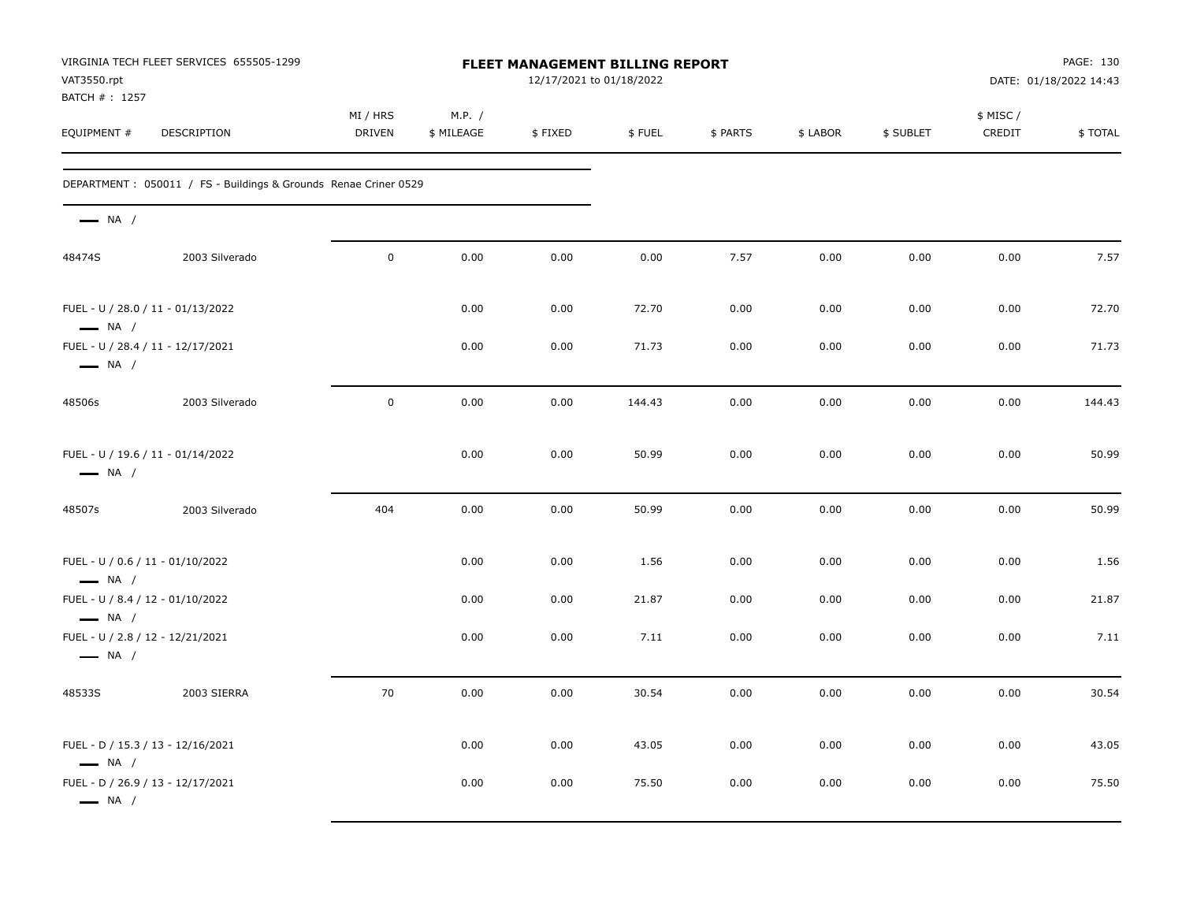| VAT3550.rpt<br>BATCH #: 1257                                | VIRGINIA TECH FLEET SERVICES 655505-1299                        | FLEET MANAGEMENT BILLING REPORT<br>12/17/2021 to 01/18/2022 |                      |         |        |          |          |           |                     | PAGE: 130<br>DATE: 01/18/2022 14:43 |  |
|-------------------------------------------------------------|-----------------------------------------------------------------|-------------------------------------------------------------|----------------------|---------|--------|----------|----------|-----------|---------------------|-------------------------------------|--|
| EQUIPMENT #                                                 | <b>DESCRIPTION</b>                                              | MI / HRS<br><b>DRIVEN</b>                                   | M.P. /<br>\$ MILEAGE | \$FIXED | \$FUEL | \$ PARTS | \$ LABOR | \$ SUBLET | \$ MISC /<br>CREDIT | \$TOTAL                             |  |
|                                                             | DEPARTMENT: 050011 / FS - Buildings & Grounds Renae Criner 0529 |                                                             |                      |         |        |          |          |           |                     |                                     |  |
| $\longrightarrow$ NA /                                      |                                                                 |                                                             |                      |         |        |          |          |           |                     |                                     |  |
| 48474S                                                      | 2003 Silverado                                                  | $\mathbf 0$                                                 | 0.00                 | 0.00    | 0.00   | 7.57     | 0.00     | 0.00      | 0.00                | 7.57                                |  |
| FUEL - U / 28.0 / 11 - 01/13/2022<br>$\longrightarrow$ NA / |                                                                 |                                                             | 0.00                 | 0.00    | 72.70  | 0.00     | 0.00     | 0.00      | 0.00                | 72.70                               |  |
| FUEL - U / 28.4 / 11 - 12/17/2021<br>$\longrightarrow$ NA / |                                                                 |                                                             | 0.00                 | 0.00    | 71.73  | 0.00     | 0.00     | 0.00      | 0.00                | 71.73                               |  |
| 48506s                                                      | 2003 Silverado                                                  | $\mathbf 0$                                                 | 0.00                 | 0.00    | 144.43 | 0.00     | 0.00     | 0.00      | 0.00                | 144.43                              |  |
| FUEL - U / 19.6 / 11 - 01/14/2022<br>$\longrightarrow$ NA / |                                                                 |                                                             | 0.00                 | 0.00    | 50.99  | 0.00     | 0.00     | 0.00      | 0.00                | 50.99                               |  |
| 48507s                                                      | 2003 Silverado                                                  | 404                                                         | 0.00                 | 0.00    | 50.99  | 0.00     | 0.00     | 0.00      | 0.00                | 50.99                               |  |
| FUEL - U / 0.6 / 11 - 01/10/2022<br>$\longrightarrow$ NA /  |                                                                 |                                                             | 0.00                 | 0.00    | 1.56   | 0.00     | 0.00     | 0.00      | 0.00                | 1.56                                |  |
| FUEL - U / 8.4 / 12 - 01/10/2022<br>$\longrightarrow$ NA /  |                                                                 |                                                             | 0.00                 | 0.00    | 21.87  | 0.00     | 0.00     | 0.00      | 0.00                | 21.87                               |  |
| FUEL - U / 2.8 / 12 - 12/21/2021<br>$\longrightarrow$ NA /  |                                                                 |                                                             | 0.00                 | 0.00    | 7.11   | 0.00     | 0.00     | 0.00      | 0.00                | 7.11                                |  |
| 48533S                                                      | 2003 SIERRA                                                     | 70                                                          | 0.00                 | 0.00    | 30.54  | 0.00     | 0.00     | 0.00      | 0.00                | 30.54                               |  |
| FUEL - D / 15.3 / 13 - 12/16/2021<br>$\longrightarrow$ NA / |                                                                 |                                                             | 0.00                 | 0.00    | 43.05  | 0.00     | 0.00     | 0.00      | 0.00                | 43.05                               |  |
| FUEL - D / 26.9 / 13 - 12/17/2021<br>$\longrightarrow$ NA / |                                                                 |                                                             | 0.00                 | 0.00    | 75.50  | 0.00     | 0.00     | 0.00      | 0.00                | 75.50                               |  |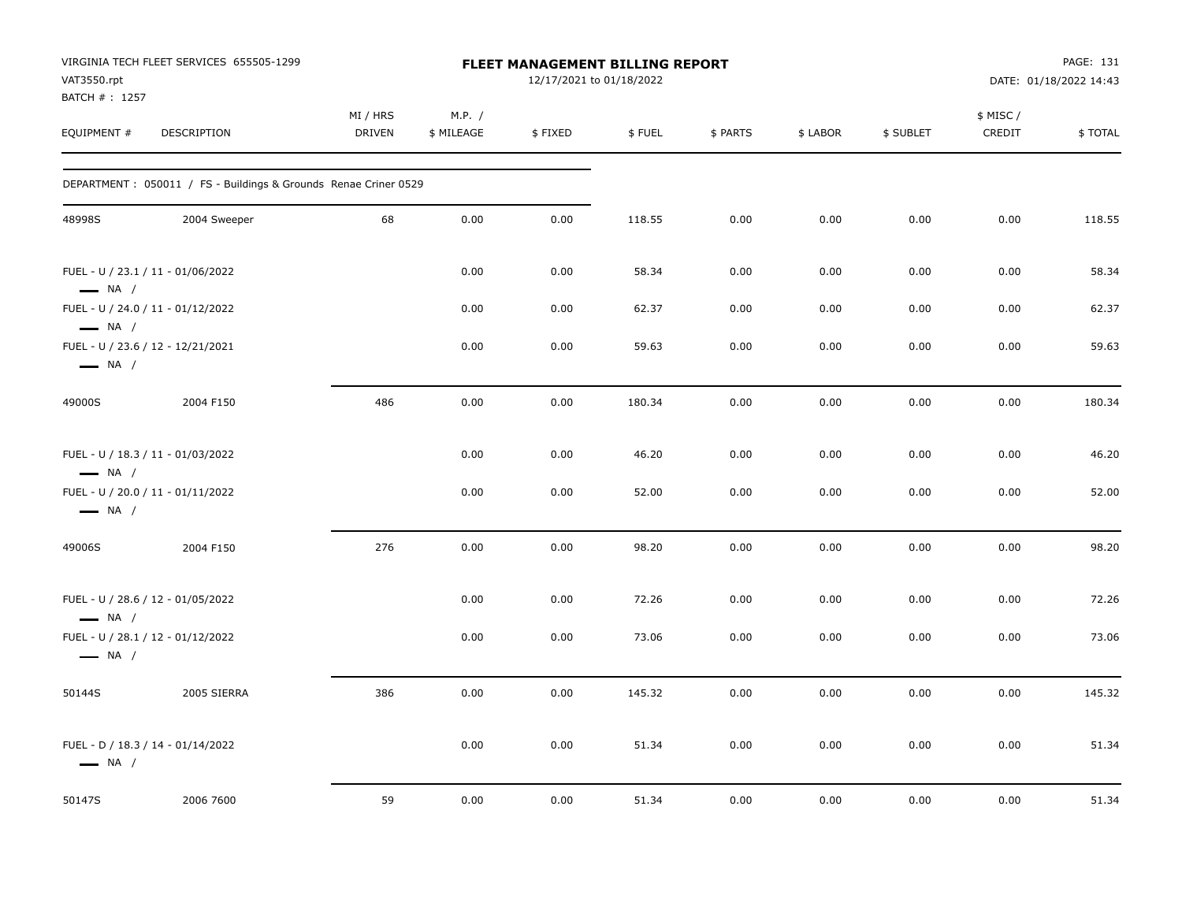| VAT3550.rpt<br>BATCH #: 1257 | VIRGINIA TECH FLEET SERVICES 655505-1299                         | FLEET MANAGEMENT BILLING REPORT<br>12/17/2021 to 01/18/2022 |                      |         |        |          |          |           | PAGE: 131<br>DATE: 01/18/2022 14:43 |         |  |
|------------------------------|------------------------------------------------------------------|-------------------------------------------------------------|----------------------|---------|--------|----------|----------|-----------|-------------------------------------|---------|--|
| EQUIPMENT #                  | DESCRIPTION                                                      | MI / HRS<br><b>DRIVEN</b>                                   | M.P. /<br>\$ MILEAGE | \$FIXED | \$FUEL | \$ PARTS | \$ LABOR | \$ SUBLET | \$ MISC /<br>CREDIT                 | \$TOTAL |  |
|                              | DEPARTMENT : 050011 / FS - Buildings & Grounds Renae Criner 0529 |                                                             |                      |         |        |          |          |           |                                     |         |  |
| 48998S                       | 2004 Sweeper                                                     | 68                                                          | 0.00                 | 0.00    | 118.55 | 0.00     | 0.00     | 0.00      | 0.00                                | 118.55  |  |
| $\longrightarrow$ NA /       | FUEL - U / 23.1 / 11 - 01/06/2022                                |                                                             | 0.00                 | 0.00    | 58.34  | 0.00     | 0.00     | 0.00      | 0.00                                | 58.34   |  |
| $\longrightarrow$ NA /       | FUEL - U / 24.0 / 11 - 01/12/2022                                |                                                             | 0.00                 | 0.00    | 62.37  | 0.00     | 0.00     | 0.00      | 0.00                                | 62.37   |  |
| $\longrightarrow$ NA /       | FUEL - U / 23.6 / 12 - 12/21/2021                                |                                                             | 0.00                 | 0.00    | 59.63  | 0.00     | 0.00     | 0.00      | 0.00                                | 59.63   |  |
| 49000S                       | 2004 F150                                                        | 486                                                         | 0.00                 | 0.00    | 180.34 | 0.00     | 0.00     | 0.00      | 0.00                                | 180.34  |  |
| $\longrightarrow$ NA /       | FUEL - U / 18.3 / 11 - 01/03/2022                                |                                                             | 0.00                 | 0.00    | 46.20  | 0.00     | 0.00     | 0.00      | 0.00                                | 46.20   |  |
| $\longrightarrow$ NA /       | FUEL - U / 20.0 / 11 - 01/11/2022                                |                                                             | 0.00                 | 0.00    | 52.00  | 0.00     | 0.00     | 0.00      | 0.00                                | 52.00   |  |
| 49006S                       | 2004 F150                                                        | 276                                                         | 0.00                 | 0.00    | 98.20  | 0.00     | 0.00     | 0.00      | 0.00                                | 98.20   |  |
| $\longrightarrow$ NA /       | FUEL - U / 28.6 / 12 - 01/05/2022                                |                                                             | 0.00                 | 0.00    | 72.26  | 0.00     | 0.00     | 0.00      | 0.00                                | 72.26   |  |
| $\longrightarrow$ NA /       | FUEL - U / 28.1 / 12 - 01/12/2022                                |                                                             | 0.00                 | 0.00    | 73.06  | 0.00     | 0.00     | 0.00      | 0.00                                | 73.06   |  |
| 50144S                       | 2005 SIERRA                                                      | 386                                                         | 0.00                 | 0.00    | 145.32 | 0.00     | 0.00     | 0.00      | 0.00                                | 145.32  |  |
| $\longrightarrow$ NA /       | FUEL - D / 18.3 / 14 - 01/14/2022                                |                                                             | 0.00                 | 0.00    | 51.34  | 0.00     | 0.00     | 0.00      | 0.00                                | 51.34   |  |
| 50147S                       | 2006 7600                                                        | 59                                                          | 0.00                 | 0.00    | 51.34  | 0.00     | 0.00     | 0.00      | 0.00                                | 51.34   |  |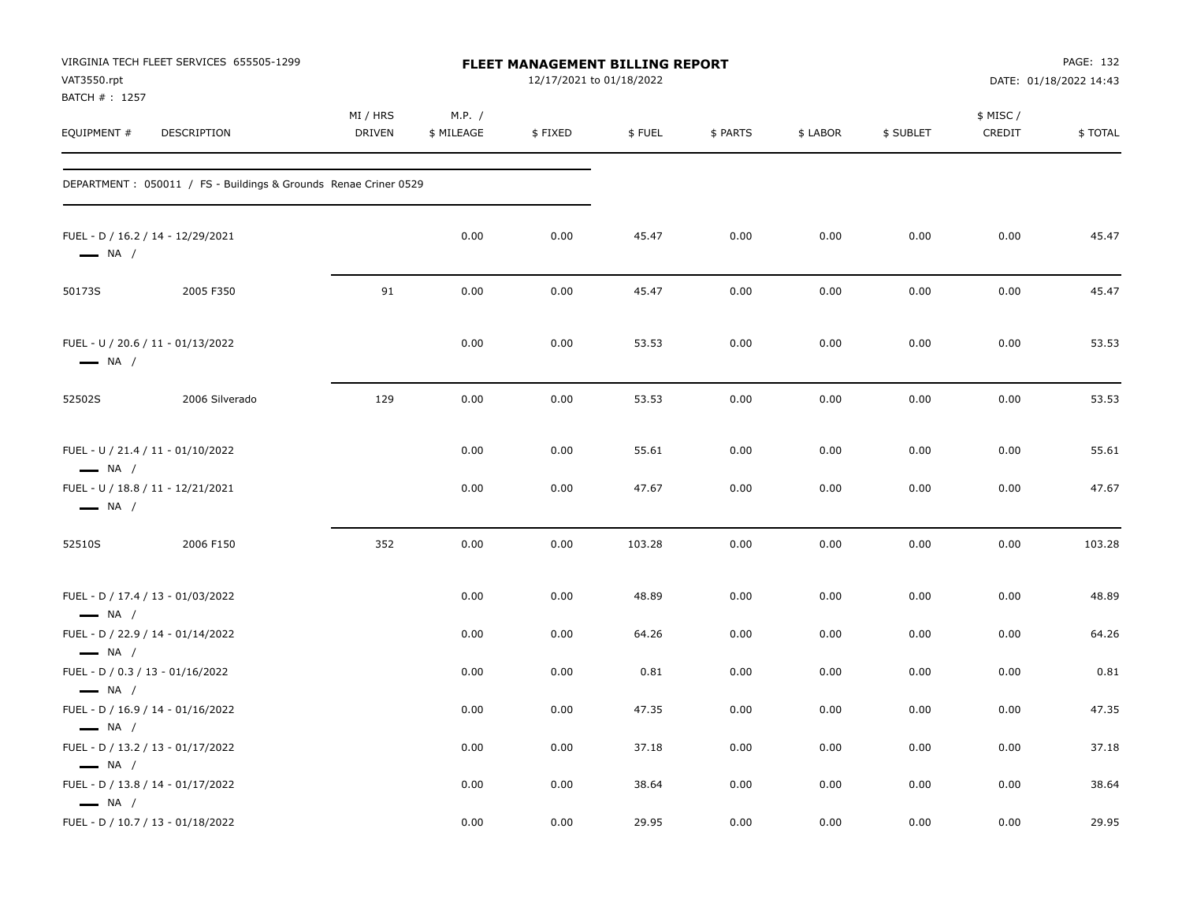| VAT3550.rpt<br>BATCH #: 1257                                                         | VIRGINIA TECH FLEET SERVICES 655505-1299                         |                           |                      | FLEET MANAGEMENT BILLING REPORT<br>12/17/2021 to 01/18/2022 |        |          |          |           |                    | PAGE: 132<br>DATE: 01/18/2022 14:43 |
|--------------------------------------------------------------------------------------|------------------------------------------------------------------|---------------------------|----------------------|-------------------------------------------------------------|--------|----------|----------|-----------|--------------------|-------------------------------------|
| EQUIPMENT #                                                                          | DESCRIPTION                                                      | MI / HRS<br><b>DRIVEN</b> | M.P. /<br>\$ MILEAGE | \$FIXED                                                     | \$FUEL | \$ PARTS | \$ LABOR | \$ SUBLET | \$ MISC/<br>CREDIT | \$TOTAL                             |
|                                                                                      | DEPARTMENT : 050011 / FS - Buildings & Grounds Renae Criner 0529 |                           |                      |                                                             |        |          |          |           |                    |                                     |
| $\longrightarrow$ NA /                                                               | FUEL - D / 16.2 / 14 - 12/29/2021                                |                           | 0.00                 | 0.00                                                        | 45.47  | 0.00     | 0.00     | 0.00      | 0.00               | 45.47                               |
| 50173S                                                                               | 2005 F350                                                        | 91                        | 0.00                 | 0.00                                                        | 45.47  | 0.00     | 0.00     | 0.00      | 0.00               | 45.47                               |
| $\longrightarrow$ NA /                                                               | FUEL - U / 20.6 / 11 - 01/13/2022                                |                           | 0.00                 | 0.00                                                        | 53.53  | 0.00     | 0.00     | 0.00      | 0.00               | 53.53                               |
| 52502S                                                                               | 2006 Silverado                                                   | 129                       | 0.00                 | 0.00                                                        | 53.53  | 0.00     | 0.00     | 0.00      | 0.00               | 53.53                               |
| $\longrightarrow$ NA /                                                               | FUEL - U / 21.4 / 11 - 01/10/2022                                |                           | 0.00                 | 0.00                                                        | 55.61  | 0.00     | 0.00     | 0.00      | 0.00               | 55.61                               |
| $\longrightarrow$ NA /                                                               | FUEL - U / 18.8 / 11 - 12/21/2021                                |                           | 0.00                 | 0.00                                                        | 47.67  | 0.00     | 0.00     | 0.00      | 0.00               | 47.67                               |
| 52510S                                                                               | 2006 F150                                                        | 352                       | 0.00                 | 0.00                                                        | 103.28 | 0.00     | 0.00     | 0.00      | 0.00               | 103.28                              |
| $\longrightarrow$ NA /                                                               | FUEL - D / 17.4 / 13 - 01/03/2022                                |                           | 0.00                 | 0.00                                                        | 48.89  | 0.00     | 0.00     | 0.00      | 0.00               | 48.89                               |
|                                                                                      | FUEL - D / 22.9 / 14 - 01/14/2022                                |                           | 0.00                 | 0.00                                                        | 64.26  | 0.00     | 0.00     | 0.00      | 0.00               | 64.26                               |
| $\longrightarrow$ NA /<br>FUEL - D / 0.3 / 13 - 01/16/2022<br>$\longrightarrow$ NA / |                                                                  |                           | 0.00                 | 0.00                                                        | 0.81   | 0.00     | 0.00     | 0.00      | 0.00               | 0.81                                |
|                                                                                      | FUEL - D / 16.9 / 14 - 01/16/2022                                |                           | 0.00                 | 0.00                                                        | 47.35  | 0.00     | 0.00     | 0.00      | 0.00               | 47.35                               |
| $\longrightarrow$ NA /<br>$\longrightarrow$ NA /                                     | FUEL - D / 13.2 / 13 - 01/17/2022                                |                           | 0.00                 | 0.00                                                        | 37.18  | 0.00     | 0.00     | 0.00      | 0.00               | 37.18                               |
| $\longrightarrow$ NA /                                                               | FUEL - D / 13.8 / 14 - 01/17/2022                                |                           | 0.00                 | 0.00                                                        | 38.64  | 0.00     | 0.00     | 0.00      | 0.00               | 38.64                               |
|                                                                                      | FUEL - D / 10.7 / 13 - 01/18/2022                                |                           | 0.00                 | 0.00                                                        | 29.95  | 0.00     | 0.00     | 0.00      | 0.00               | 29.95                               |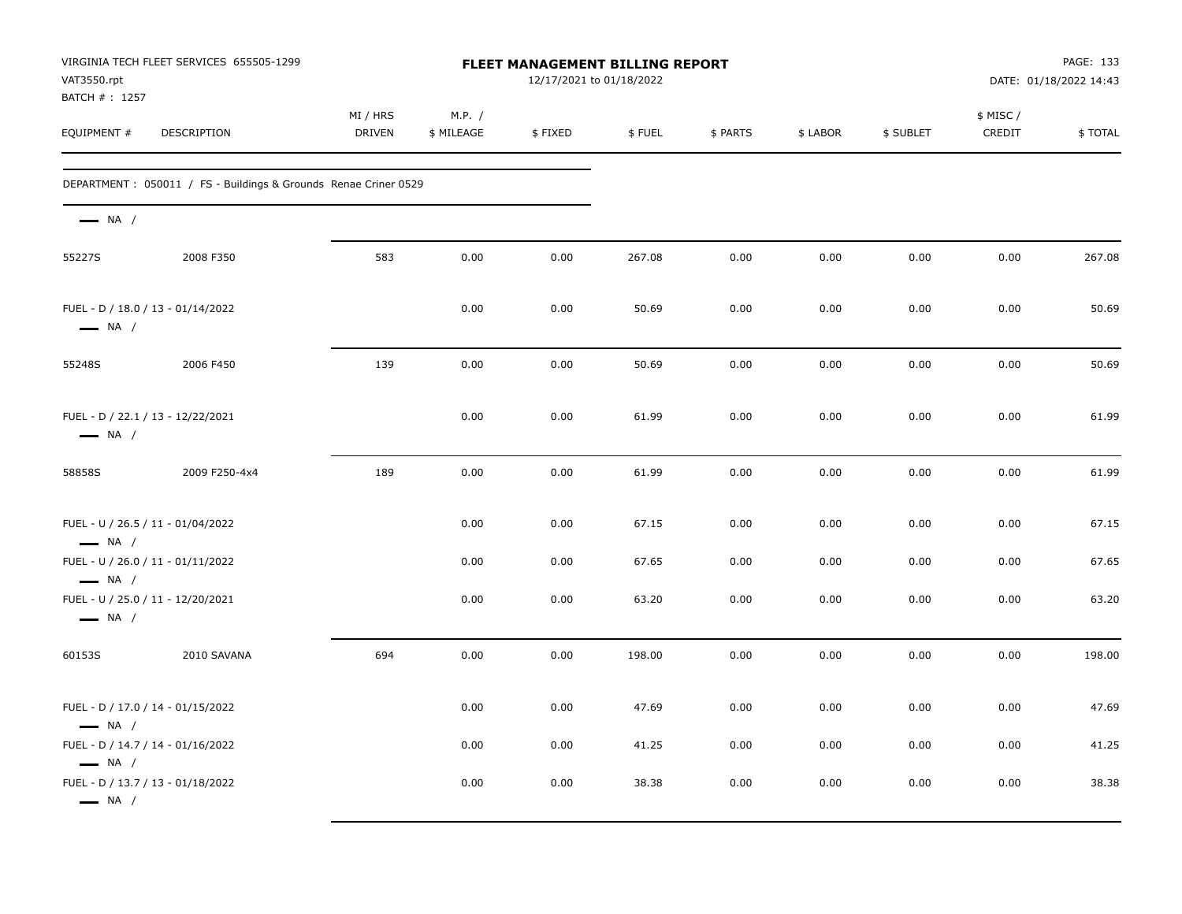| VIRGINIA TECH FLEET SERVICES 655505-1299<br>VAT3550.rpt<br>BATCH #: 1257 |                                                                  | <b>FLEET MANAGEMENT BILLING REPORT</b><br>12/17/2021 to 01/18/2022 |                      |         |        |          |          |           | PAGE: 133<br>DATE: 01/18/2022 14:43 |         |
|--------------------------------------------------------------------------|------------------------------------------------------------------|--------------------------------------------------------------------|----------------------|---------|--------|----------|----------|-----------|-------------------------------------|---------|
| EQUIPMENT #                                                              | DESCRIPTION                                                      | MI / HRS<br><b>DRIVEN</b>                                          | M.P. /<br>\$ MILEAGE | \$FIXED | \$FUEL | \$ PARTS | \$ LABOR | \$ SUBLET | \$ MISC/<br>CREDIT                  | \$TOTAL |
|                                                                          | DEPARTMENT : 050011 / FS - Buildings & Grounds Renae Criner 0529 |                                                                    |                      |         |        |          |          |           |                                     |         |
| $\longrightarrow$ NA /                                                   |                                                                  |                                                                    |                      |         |        |          |          |           |                                     |         |
| 55227S                                                                   | 2008 F350                                                        | 583                                                                | 0.00                 | 0.00    | 267.08 | 0.00     | 0.00     | 0.00      | 0.00                                | 267.08  |
| FUEL - D / 18.0 / 13 - 01/14/2022<br>$\longrightarrow$ NA /              |                                                                  |                                                                    | 0.00                 | 0.00    | 50.69  | 0.00     | 0.00     | 0.00      | 0.00                                | 50.69   |
| 55248S                                                                   | 2006 F450                                                        | 139                                                                | 0.00                 | 0.00    | 50.69  | 0.00     | 0.00     | 0.00      | 0.00                                | 50.69   |
| FUEL - D / 22.1 / 13 - 12/22/2021<br>$\longrightarrow$ NA /              |                                                                  |                                                                    | 0.00                 | 0.00    | 61.99  | 0.00     | 0.00     | 0.00      | 0.00                                | 61.99   |
| 58858S                                                                   | 2009 F250-4x4                                                    | 189                                                                | 0.00                 | 0.00    | 61.99  | 0.00     | 0.00     | 0.00      | 0.00                                | 61.99   |
| FUEL - U / 26.5 / 11 - 01/04/2022<br>$\longrightarrow$ NA /              |                                                                  |                                                                    | 0.00                 | 0.00    | 67.15  | 0.00     | 0.00     | 0.00      | 0.00                                | 67.15   |
| FUEL - U / 26.0 / 11 - 01/11/2022<br>$\longrightarrow$ NA /              |                                                                  |                                                                    | 0.00                 | 0.00    | 67.65  | 0.00     | 0.00     | 0.00      | 0.00                                | 67.65   |
| FUEL - U / 25.0 / 11 - 12/20/2021<br>$\longrightarrow$ NA /              |                                                                  |                                                                    | 0.00                 | 0.00    | 63.20  | 0.00     | 0.00     | 0.00      | 0.00                                | 63.20   |
| 60153S                                                                   | 2010 SAVANA                                                      | 694                                                                | 0.00                 | 0.00    | 198.00 | 0.00     | 0.00     | 0.00      | 0.00                                | 198.00  |
| FUEL - D / 17.0 / 14 - 01/15/2022<br>$\longrightarrow$ NA /              |                                                                  |                                                                    | 0.00                 | 0.00    | 47.69  | 0.00     | 0.00     | 0.00      | 0.00                                | 47.69   |
| FUEL - D / 14.7 / 14 - 01/16/2022<br>$\longrightarrow$ NA /              |                                                                  |                                                                    | 0.00                 | 0.00    | 41.25  | 0.00     | 0.00     | 0.00      | 0.00                                | 41.25   |
| FUEL - D / 13.7 / 13 - 01/18/2022<br>$\longrightarrow$ NA /              |                                                                  |                                                                    | 0.00                 | 0.00    | 38.38  | 0.00     | 0.00     | 0.00      | 0.00                                | 38.38   |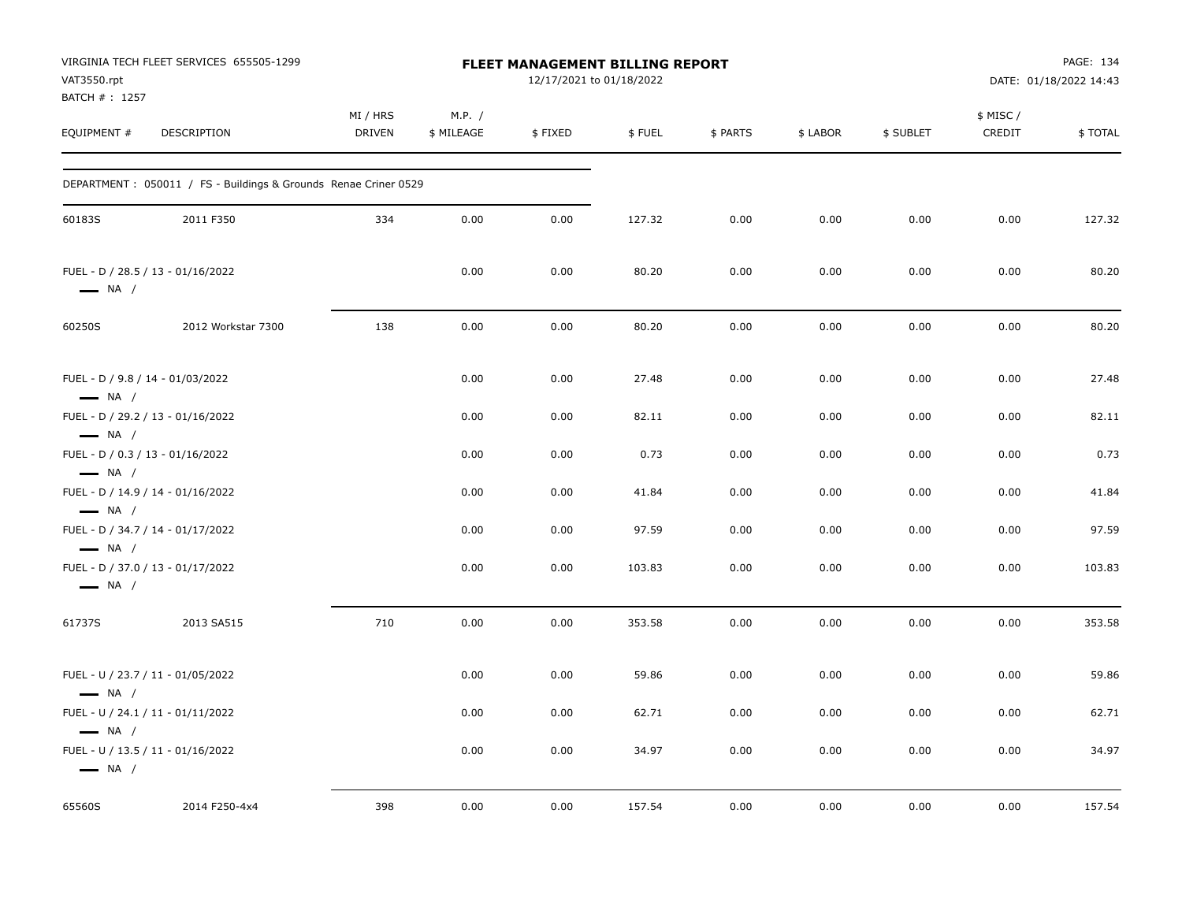| VAT3550.rpt<br>BATCH #: 1257                               | VIRGINIA TECH FLEET SERVICES 655505-1299                         | FLEET MANAGEMENT BILLING REPORT<br>12/17/2021 to 01/18/2022 |                      |         |        |          |          |           |                     | PAGE: 134<br>DATE: 01/18/2022 14:43 |  |
|------------------------------------------------------------|------------------------------------------------------------------|-------------------------------------------------------------|----------------------|---------|--------|----------|----------|-----------|---------------------|-------------------------------------|--|
| EQUIPMENT #                                                | DESCRIPTION                                                      | MI / HRS<br><b>DRIVEN</b>                                   | M.P. /<br>\$ MILEAGE | \$FIXED | \$FUEL | \$ PARTS | \$ LABOR | \$ SUBLET | \$ MISC /<br>CREDIT | \$TOTAL                             |  |
|                                                            | DEPARTMENT : 050011 / FS - Buildings & Grounds Renae Criner 0529 |                                                             |                      |         |        |          |          |           |                     |                                     |  |
| 60183S                                                     | 2011 F350                                                        | 334                                                         | 0.00                 | 0.00    | 127.32 | 0.00     | 0.00     | 0.00      | 0.00                | 127.32                              |  |
| $\longrightarrow$ NA /                                     | FUEL - D / 28.5 / 13 - 01/16/2022                                |                                                             | 0.00                 | 0.00    | 80.20  | 0.00     | 0.00     | 0.00      | 0.00                | 80.20                               |  |
| 60250S                                                     | 2012 Workstar 7300                                               | 138                                                         | 0.00                 | 0.00    | 80.20  | 0.00     | 0.00     | 0.00      | 0.00                | 80.20                               |  |
| FUEL - D / 9.8 / 14 - 01/03/2022<br>$\longrightarrow$ NA / |                                                                  |                                                             | 0.00                 | 0.00    | 27.48  | 0.00     | 0.00     | 0.00      | 0.00                | 27.48                               |  |
| $\longrightarrow$ NA /                                     | FUEL - D / 29.2 / 13 - 01/16/2022                                |                                                             | 0.00                 | 0.00    | 82.11  | 0.00     | 0.00     | 0.00      | 0.00                | 82.11                               |  |
| FUEL - D / 0.3 / 13 - 01/16/2022<br>$\longrightarrow$ NA / |                                                                  |                                                             | 0.00                 | 0.00    | 0.73   | 0.00     | 0.00     | 0.00      | 0.00                | 0.73                                |  |
| $\longrightarrow$ NA /                                     | FUEL - D / 14.9 / 14 - 01/16/2022                                |                                                             | 0.00                 | 0.00    | 41.84  | 0.00     | 0.00     | 0.00      | 0.00                | 41.84                               |  |
| $\longrightarrow$ NA /                                     | FUEL - D / 34.7 / 14 - 01/17/2022                                |                                                             | 0.00                 | 0.00    | 97.59  | 0.00     | 0.00     | 0.00      | 0.00                | 97.59                               |  |
| $\longrightarrow$ NA /                                     | FUEL - D / 37.0 / 13 - 01/17/2022                                |                                                             | 0.00                 | 0.00    | 103.83 | 0.00     | 0.00     | 0.00      | 0.00                | 103.83                              |  |
| 61737S                                                     | 2013 SA515                                                       | 710                                                         | 0.00                 | 0.00    | 353.58 | 0.00     | 0.00     | 0.00      | 0.00                | 353.58                              |  |
| $\longrightarrow$ NA /                                     | FUEL - U / 23.7 / 11 - 01/05/2022                                |                                                             | 0.00                 | 0.00    | 59.86  | 0.00     | 0.00     | 0.00      | 0.00                | 59.86                               |  |
| $\longrightarrow$ NA /                                     | FUEL - U / 24.1 / 11 - 01/11/2022                                |                                                             | 0.00                 | 0.00    | 62.71  | 0.00     | 0.00     | 0.00      | 0.00                | 62.71                               |  |
| $\longrightarrow$ NA /                                     | FUEL - U / 13.5 / 11 - 01/16/2022                                |                                                             | 0.00                 | 0.00    | 34.97  | 0.00     | 0.00     | 0.00      | 0.00                | 34.97                               |  |
| 65560S                                                     | 2014 F250-4x4                                                    | 398                                                         | 0.00                 | 0.00    | 157.54 | 0.00     | 0.00     | 0.00      | 0.00                | 157.54                              |  |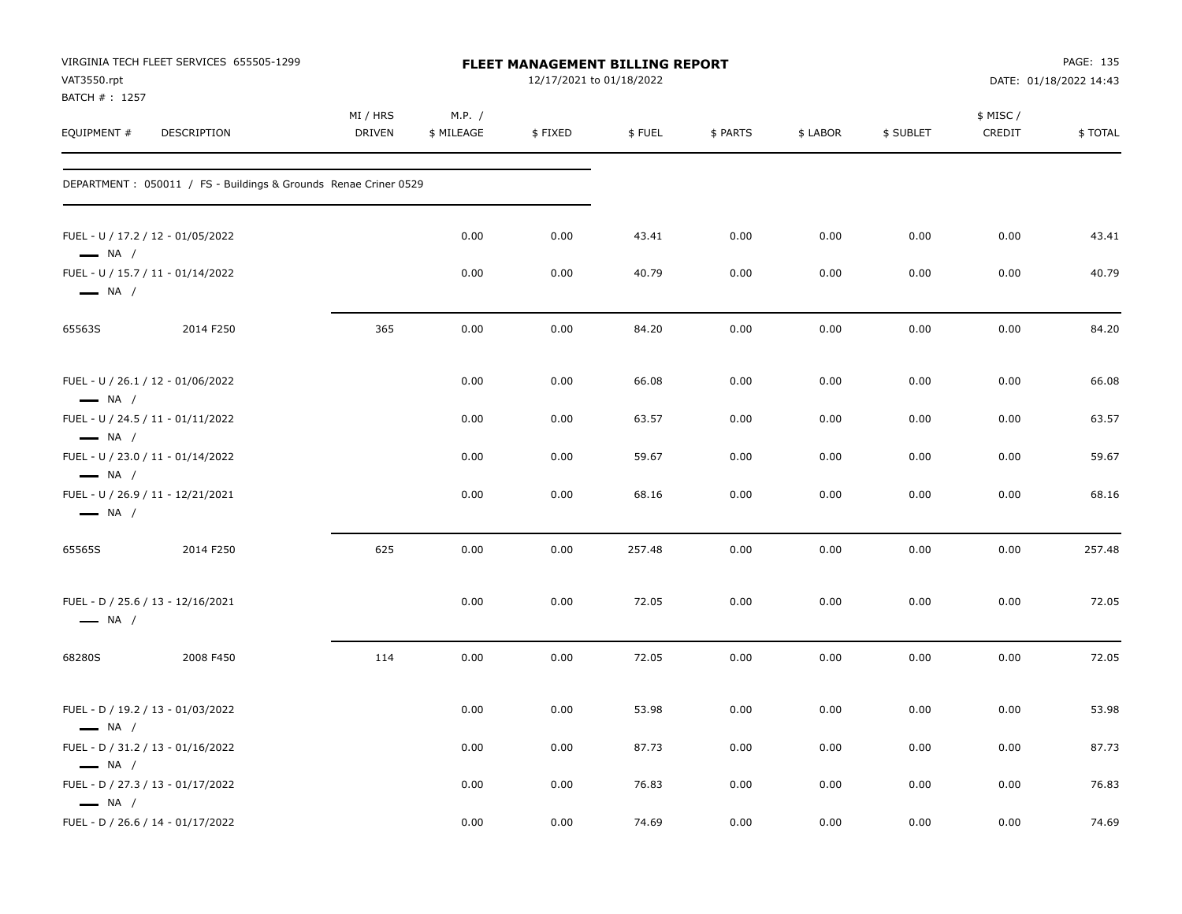| VAT3550.rpt<br>BATCH #: 1257                                                          | VIRGINIA TECH FLEET SERVICES 655505-1299                         |                           | FLEET MANAGEMENT BILLING REPORT |         | PAGE: 135<br>DATE: 01/18/2022 14:43 |          |          |           |                    |         |
|---------------------------------------------------------------------------------------|------------------------------------------------------------------|---------------------------|---------------------------------|---------|-------------------------------------|----------|----------|-----------|--------------------|---------|
| EQUIPMENT #                                                                           | DESCRIPTION                                                      | MI / HRS<br><b>DRIVEN</b> | M.P. /<br>\$ MILEAGE            | \$FIXED | \$FUEL                              | \$ PARTS | \$ LABOR | \$ SUBLET | \$ MISC/<br>CREDIT | \$TOTAL |
|                                                                                       | DEPARTMENT : 050011 / FS - Buildings & Grounds Renae Criner 0529 |                           |                                 |         |                                     |          |          |           |                    |         |
| FUEL - U / 17.2 / 12 - 01/05/2022<br>$\longrightarrow$ NA /                           |                                                                  |                           | 0.00                            | 0.00    | 43.41                               | 0.00     | 0.00     | 0.00      | 0.00               | 43.41   |
| FUEL - U / 15.7 / 11 - 01/14/2022<br>$\longrightarrow$ NA /                           |                                                                  |                           | 0.00                            | 0.00    | 40.79                               | 0.00     | 0.00     | 0.00      | 0.00               | 40.79   |
| 65563S                                                                                | 2014 F250                                                        | 365                       | 0.00                            | 0.00    | 84.20                               | 0.00     | 0.00     | 0.00      | 0.00               | 84.20   |
| FUEL - U / 26.1 / 12 - 01/06/2022<br>$\longrightarrow$ NA /                           |                                                                  |                           | 0.00                            | 0.00    | 66.08                               | 0.00     | 0.00     | 0.00      | 0.00               | 66.08   |
| FUEL - U / 24.5 / 11 - 01/11/2022                                                     |                                                                  |                           | 0.00                            | 0.00    | 63.57                               | 0.00     | 0.00     | 0.00      | 0.00               | 63.57   |
| $\longrightarrow$ NA /<br>FUEL - U / 23.0 / 11 - 01/14/2022<br>$\longrightarrow$ NA / |                                                                  |                           | 0.00                            | 0.00    | 59.67                               | 0.00     | 0.00     | 0.00      | 0.00               | 59.67   |
| FUEL - U / 26.9 / 11 - 12/21/2021<br>$\longrightarrow$ NA /                           |                                                                  |                           | 0.00                            | 0.00    | 68.16                               | 0.00     | 0.00     | 0.00      | 0.00               | 68.16   |
| 65565S                                                                                | 2014 F250                                                        | 625                       | 0.00                            | 0.00    | 257.48                              | 0.00     | 0.00     | 0.00      | 0.00               | 257.48  |
| FUEL - D / 25.6 / 13 - 12/16/2021<br>$\longrightarrow$ NA /                           |                                                                  |                           | 0.00                            | 0.00    | 72.05                               | 0.00     | 0.00     | 0.00      | 0.00               | 72.05   |
| 68280S                                                                                | 2008 F450                                                        | 114                       | 0.00                            | 0.00    | 72.05                               | 0.00     | 0.00     | 0.00      | 0.00               | 72.05   |
| FUEL - D / 19.2 / 13 - 01/03/2022<br>$\longrightarrow$ NA /                           |                                                                  |                           | 0.00                            | 0.00    | 53.98                               | 0.00     | 0.00     | 0.00      | 0.00               | 53.98   |
| FUEL - D / 31.2 / 13 - 01/16/2022<br>$\longrightarrow$ NA /                           |                                                                  |                           | 0.00                            | 0.00    | 87.73                               | 0.00     | 0.00     | 0.00      | 0.00               | 87.73   |
| FUEL - D / 27.3 / 13 - 01/17/2022<br>$\longrightarrow$ NA /                           |                                                                  |                           | 0.00                            | 0.00    | 76.83                               | 0.00     | 0.00     | 0.00      | 0.00               | 76.83   |
| FUEL - D / 26.6 / 14 - 01/17/2022                                                     |                                                                  |                           | 0.00                            | 0.00    | 74.69                               | 0.00     | 0.00     | 0.00      | 0.00               | 74.69   |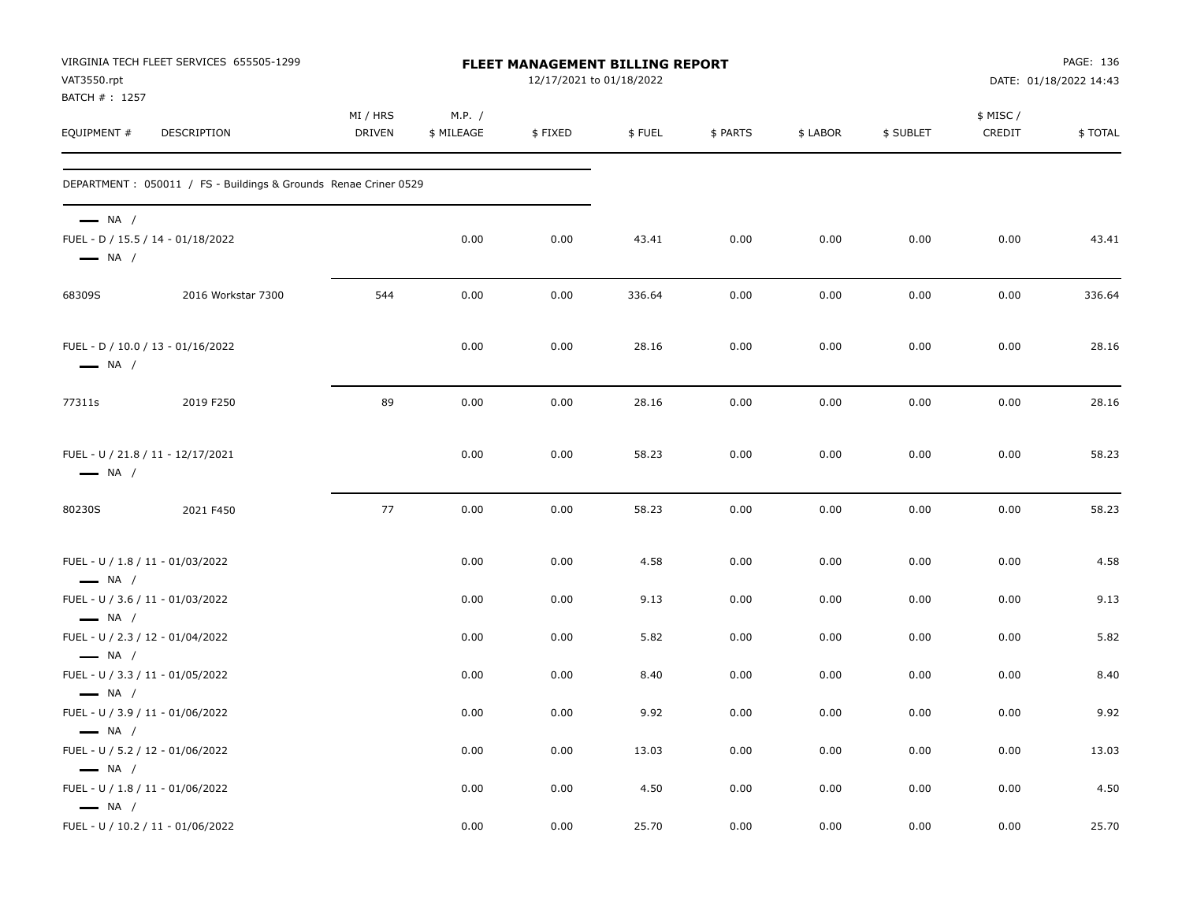| VAT3550.rpt<br>BATCH #: 1257                     | VIRGINIA TECH FLEET SERVICES 655505-1299                             |                    | <b>FLEET MANAGEMENT BILLING REPORT</b> |              | PAGE: 136<br>DATE: 01/18/2022 14:43 |              |              |              |                     |              |
|--------------------------------------------------|----------------------------------------------------------------------|--------------------|----------------------------------------|--------------|-------------------------------------|--------------|--------------|--------------|---------------------|--------------|
| EQUIPMENT #                                      | DESCRIPTION                                                          | MI / HRS<br>DRIVEN | M.P. /<br>\$ MILEAGE                   | \$FIXED      | \$FUEL                              | \$ PARTS     | \$ LABOR     | \$ SUBLET    | \$ MISC /<br>CREDIT | \$TOTAL      |
|                                                  | DEPARTMENT : 050011 / FS - Buildings & Grounds Renae Criner 0529     |                    |                                        |              |                                     |              |              |              |                     |              |
| $-$ NA $/$<br>$\longrightarrow$ NA /             | FUEL - D / 15.5 / 14 - 01/18/2022                                    |                    | 0.00                                   | 0.00         | 43.41                               | 0.00         | 0.00         | 0.00         | 0.00                | 43.41        |
| 68309S                                           | 2016 Workstar 7300                                                   | 544                | 0.00                                   | 0.00         | 336.64                              | 0.00         | 0.00         | 0.00         | 0.00                | 336.64       |
| $\longrightarrow$ NA /                           | FUEL - D / 10.0 / 13 - 01/16/2022                                    |                    | 0.00                                   | 0.00         | 28.16                               | 0.00         | 0.00         | 0.00         | 0.00                | 28.16        |
| 77311s                                           | 2019 F250                                                            | 89                 | 0.00                                   | 0.00         | 28.16                               | 0.00         | 0.00         | 0.00         | 0.00                | 28.16        |
| $\longrightarrow$ NA /                           | FUEL - U / 21.8 / 11 - 12/17/2021                                    |                    | 0.00                                   | 0.00         | 58.23                               | 0.00         | 0.00         | 0.00         | 0.00                | 58.23        |
| 80230S                                           | 2021 F450                                                            | 77                 | 0.00                                   | 0.00         | 58.23                               | 0.00         | 0.00         | 0.00         | 0.00                | 58.23        |
| $\longrightarrow$ NA /                           | FUEL - U / 1.8 / 11 - 01/03/2022                                     |                    | 0.00                                   | 0.00         | 4.58                                | 0.00         | 0.00         | 0.00         | 0.00                | 4.58         |
| $\longrightarrow$ NA /                           | FUEL - U / 3.6 / 11 - 01/03/2022                                     |                    | 0.00                                   | 0.00         | 9.13                                | 0.00         | 0.00         | 0.00         | 0.00                | 9.13         |
| $\longrightarrow$ NA /                           | FUEL - U / 2.3 / 12 - 01/04/2022<br>FUEL - U / 3.3 / 11 - 01/05/2022 |                    | 0.00<br>0.00                           | 0.00<br>0.00 | 5.82<br>8.40                        | 0.00<br>0.00 | 0.00<br>0.00 | 0.00<br>0.00 | 0.00<br>0.00        | 5.82<br>8.40 |
| $\longrightarrow$ NA /                           | FUEL - U / 3.9 / 11 - 01/06/2022                                     |                    | 0.00                                   | 0.00         | 9.92                                | 0.00         | 0.00         | 0.00         | 0.00                | 9.92         |
| $\longrightarrow$ NA /                           | FUEL - U / 5.2 / 12 - 01/06/2022                                     |                    | 0.00                                   | 0.00         | 13.03                               | 0.00         | 0.00         | 0.00         | 0.00                | 13.03        |
| $\longrightarrow$ NA /<br>$\longrightarrow$ NA / | FUEL - U / 1.8 / 11 - 01/06/2022                                     |                    | 0.00                                   | 0.00         | 4.50                                | 0.00         | 0.00         | 0.00         | 0.00                | 4.50         |
|                                                  | FUEL - U / 10.2 / 11 - 01/06/2022                                    |                    | 0.00                                   | 0.00         | 25.70                               | 0.00         | 0.00         | 0.00         | 0.00                | 25.70        |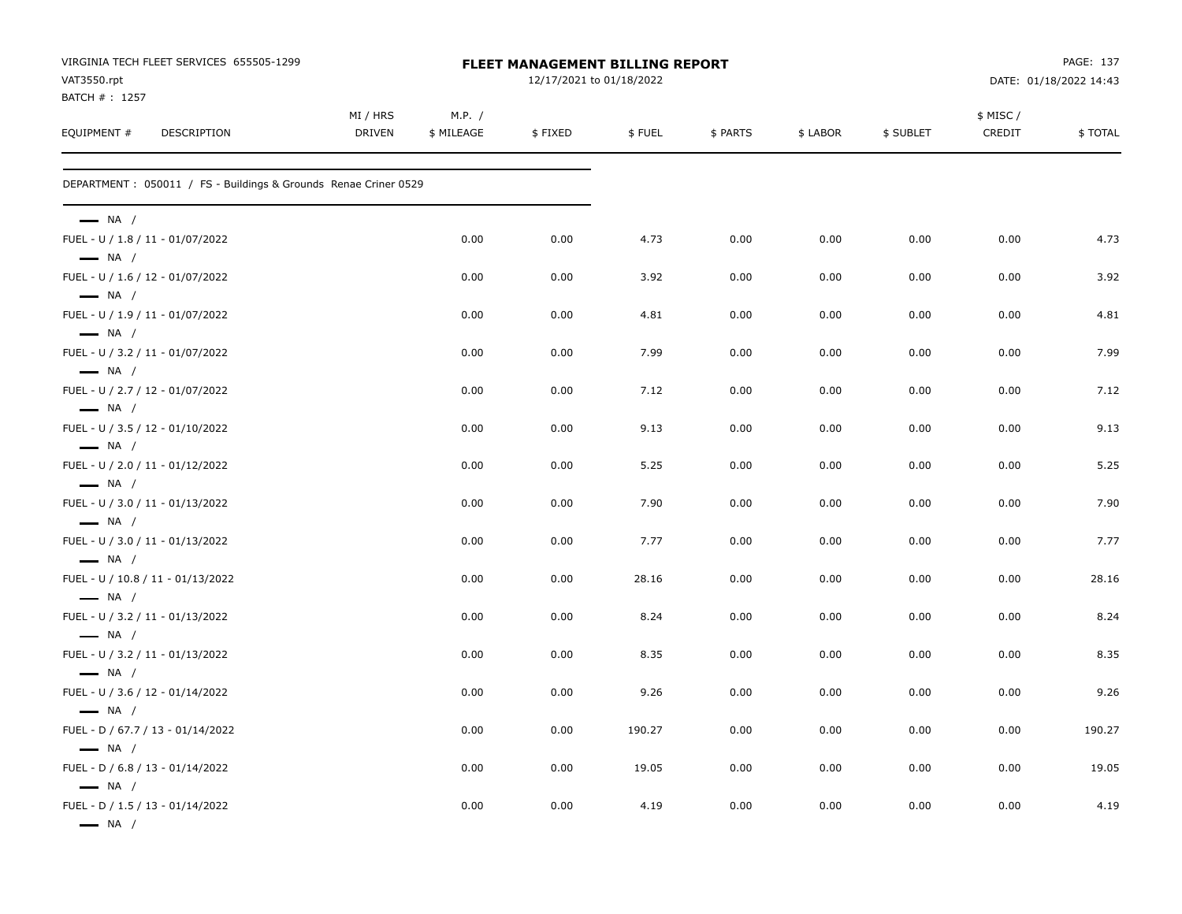| VIRGINIA TECH FLEET SERVICES 655505-1299<br>VAT3550.rpt                              |                           | <b>FLEET MANAGEMENT BILLING REPORT</b><br>12/17/2021 to 01/18/2022 |         |        |          |          |           |                     | PAGE: 137<br>DATE: 01/18/2022 14:43 |  |  |
|--------------------------------------------------------------------------------------|---------------------------|--------------------------------------------------------------------|---------|--------|----------|----------|-----------|---------------------|-------------------------------------|--|--|
| BATCH # : 1257<br>EQUIPMENT #<br>DESCRIPTION                                         | MI / HRS<br><b>DRIVEN</b> | M.P. /<br>\$ MILEAGE                                               | \$FIXED | \$FUEL | \$ PARTS | \$ LABOR | \$ SUBLET | \$ MISC /<br>CREDIT | \$TOTAL                             |  |  |
| DEPARTMENT : 050011 / FS - Buildings & Grounds Renae Criner 0529                     |                           |                                                                    |         |        |          |          |           |                     |                                     |  |  |
| $\longrightarrow$ NA /                                                               |                           |                                                                    |         |        |          |          |           |                     |                                     |  |  |
| FUEL - U / 1.8 / 11 - 01/07/2022<br>$\longrightarrow$ NA /                           |                           | 0.00                                                               | 0.00    | 4.73   | 0.00     | 0.00     | 0.00      | 0.00                | 4.73                                |  |  |
| FUEL - U / 1.6 / 12 - 01/07/2022<br>$\longrightarrow$ NA /                           |                           | 0.00                                                               | 0.00    | 3.92   | 0.00     | 0.00     | 0.00      | 0.00                | 3.92                                |  |  |
| FUEL - U / 1.9 / 11 - 01/07/2022<br>$\longrightarrow$ NA /                           |                           | 0.00                                                               | 0.00    | 4.81   | 0.00     | 0.00     | 0.00      | 0.00                | 4.81                                |  |  |
| FUEL - U / 3.2 / 11 - 01/07/2022<br>$\longrightarrow$ NA /                           |                           | 0.00                                                               | 0.00    | 7.99   | 0.00     | 0.00     | 0.00      | 0.00                | 7.99                                |  |  |
| FUEL - U / 2.7 / 12 - 01/07/2022<br>$\longrightarrow$ NA /                           |                           | 0.00                                                               | 0.00    | 7.12   | 0.00     | 0.00     | 0.00      | 0.00                | 7.12                                |  |  |
| FUEL - U / 3.5 / 12 - 01/10/2022<br>$\longrightarrow$ NA /                           |                           | 0.00                                                               | 0.00    | 9.13   | 0.00     | 0.00     | 0.00      | 0.00                | 9.13                                |  |  |
| FUEL - U / 2.0 / 11 - 01/12/2022<br>$\longrightarrow$ NA /                           |                           | 0.00                                                               | 0.00    | 5.25   | 0.00     | 0.00     | 0.00      | 0.00                | 5.25                                |  |  |
| FUEL - U / 3.0 / 11 - 01/13/2022                                                     |                           | 0.00                                                               | 0.00    | 7.90   | 0.00     | 0.00     | 0.00      | 0.00                | 7.90                                |  |  |
| $\longrightarrow$ NA /<br>FUEL - U / 3.0 / 11 - 01/13/2022                           |                           | 0.00                                                               | 0.00    | 7.77   | 0.00     | 0.00     | 0.00      | 0.00                | 7.77                                |  |  |
| $\longrightarrow$ NA /<br>FUEL - U / 10.8 / 11 - 01/13/2022                          |                           | 0.00                                                               | 0.00    | 28.16  | 0.00     | 0.00     | 0.00      | 0.00                | 28.16                               |  |  |
| $\longrightarrow$ NA /<br>FUEL - U / 3.2 / 11 - 01/13/2022                           |                           | 0.00                                                               | 0.00    | 8.24   | 0.00     | 0.00     | 0.00      | 0.00                | 8.24                                |  |  |
| $\longrightarrow$ NA /<br>FUEL - U / 3.2 / 11 - 01/13/2022                           |                           | 0.00                                                               | 0.00    | 8.35   | 0.00     | 0.00     | 0.00      | 0.00                | 8.35                                |  |  |
| $\longrightarrow$ NA /<br>FUEL - U / 3.6 / 12 - 01/14/2022                           |                           | 0.00                                                               | 0.00    | 9.26   | 0.00     | 0.00     | 0.00      | 0.00                | 9.26                                |  |  |
| $\longrightarrow$ NA /<br>FUEL - D / 67.7 / 13 - 01/14/2022                          |                           | 0.00                                                               | 0.00    | 190.27 | 0.00     | 0.00     | 0.00      | 0.00                | 190.27                              |  |  |
| $\longrightarrow$ NA /<br>FUEL - D / 6.8 / 13 - 01/14/2022                           |                           | 0.00                                                               | 0.00    | 19.05  | 0.00     | 0.00     | 0.00      | 0.00                | 19.05                               |  |  |
| $\longrightarrow$ NA /<br>FUEL - D / 1.5 / 13 - 01/14/2022<br>$\longrightarrow$ NA / |                           | 0.00                                                               | 0.00    | 4.19   | 0.00     | 0.00     | 0.00      | 0.00                | 4.19                                |  |  |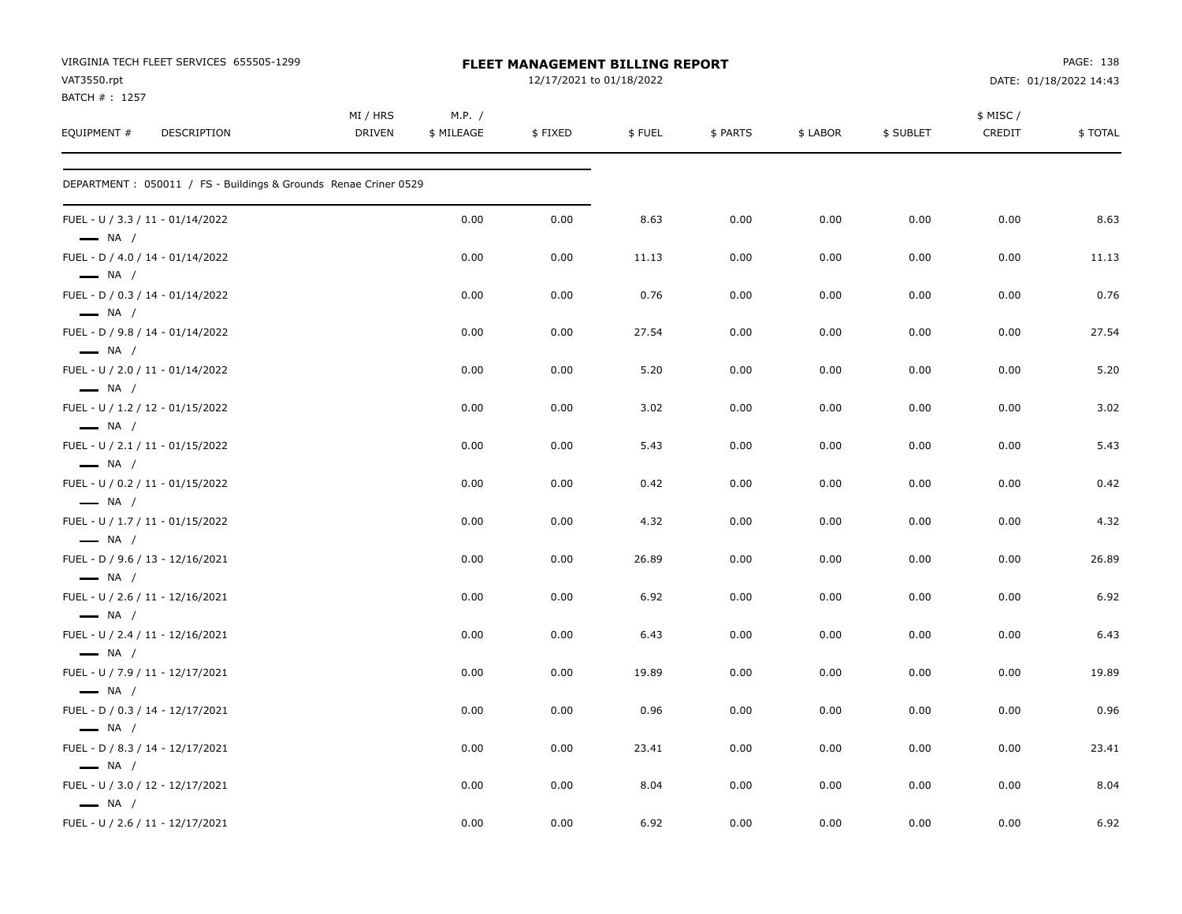| VIRGINIA TECH FLEET SERVICES 655505-1299<br>VAT3550.rpt<br>BATCH #: 1257 |                           |                      | FLEET MANAGEMENT BILLING REPORT<br>12/17/2021 to 01/18/2022 |        |          |          |           | PAGE: 138<br>DATE: 01/18/2022 14:43 |         |  |
|--------------------------------------------------------------------------|---------------------------|----------------------|-------------------------------------------------------------|--------|----------|----------|-----------|-------------------------------------|---------|--|
| EQUIPMENT #<br><b>DESCRIPTION</b>                                        | MI / HRS<br><b>DRIVEN</b> | M.P. /<br>\$ MILEAGE | \$FIXED                                                     | \$FUEL | \$ PARTS | \$ LABOR | \$ SUBLET | \$ MISC/<br>CREDIT                  | \$TOTAL |  |
| DEPARTMENT: 050011 / FS - Buildings & Grounds Renae Criner 0529          |                           |                      |                                                             |        |          |          |           |                                     |         |  |
| FUEL - U / 3.3 / 11 - 01/14/2022<br>$\longrightarrow$ NA /               |                           | 0.00                 | 0.00                                                        | 8.63   | 0.00     | 0.00     | 0.00      | 0.00                                | 8.63    |  |
| FUEL - D / 4.0 / 14 - 01/14/2022<br>$\longrightarrow$ NA /               |                           | 0.00                 | 0.00                                                        | 11.13  | 0.00     | 0.00     | 0.00      | 0.00                                | 11.13   |  |
| FUEL - D / 0.3 / 14 - 01/14/2022<br>$\longrightarrow$ NA /               |                           | 0.00                 | 0.00                                                        | 0.76   | 0.00     | 0.00     | 0.00      | 0.00                                | 0.76    |  |
| FUEL - D / 9.8 / 14 - 01/14/2022<br>$\longrightarrow$ NA /               |                           | 0.00                 | 0.00                                                        | 27.54  | 0.00     | 0.00     | 0.00      | 0.00                                | 27.54   |  |
| FUEL - U / 2.0 / 11 - 01/14/2022<br>$\longrightarrow$ NA /               |                           | 0.00                 | 0.00                                                        | 5.20   | 0.00     | 0.00     | 0.00      | 0.00                                | 5.20    |  |
| FUEL - U / 1.2 / 12 - 01/15/2022<br>$\longrightarrow$ NA /               |                           | 0.00                 | 0.00                                                        | 3.02   | 0.00     | 0.00     | 0.00      | 0.00                                | 3.02    |  |
| FUEL - U / 2.1 / 11 - 01/15/2022<br>$\longrightarrow$ NA /               |                           | 0.00                 | 0.00                                                        | 5.43   | 0.00     | 0.00     | 0.00      | 0.00                                | 5.43    |  |
| FUEL - U / 0.2 / 11 - 01/15/2022<br>$\longrightarrow$ NA /               |                           | 0.00                 | 0.00                                                        | 0.42   | 0.00     | 0.00     | 0.00      | 0.00                                | 0.42    |  |
| FUEL - U / 1.7 / 11 - 01/15/2022<br>$\longrightarrow$ NA /               |                           | 0.00                 | 0.00                                                        | 4.32   | 0.00     | 0.00     | 0.00      | 0.00                                | 4.32    |  |
| FUEL - D / 9.6 / 13 - 12/16/2021<br>$\longrightarrow$ NA /               |                           | 0.00                 | 0.00                                                        | 26.89  | 0.00     | 0.00     | 0.00      | 0.00                                | 26.89   |  |
| FUEL - U / 2.6 / 11 - 12/16/2021<br>$\longrightarrow$ NA /               |                           | 0.00                 | 0.00                                                        | 6.92   | 0.00     | 0.00     | 0.00      | 0.00                                | 6.92    |  |
| FUEL - U / 2.4 / 11 - 12/16/2021<br>$\longrightarrow$ NA /               |                           | 0.00                 | 0.00                                                        | 6.43   | 0.00     | 0.00     | 0.00      | 0.00                                | 6.43    |  |
| FUEL - U / 7.9 / 11 - 12/17/2021<br>$\longrightarrow$ NA /               |                           | 0.00                 | 0.00                                                        | 19.89  | 0.00     | 0.00     | 0.00      | 0.00                                | 19.89   |  |
| FUEL - D / 0.3 / 14 - 12/17/2021<br>$\longrightarrow$ NA /               |                           | 0.00                 | 0.00                                                        | 0.96   | 0.00     | 0.00     | 0.00      | 0.00                                | 0.96    |  |
| FUEL - D / 8.3 / 14 - 12/17/2021<br>$\longrightarrow$ NA /               |                           | 0.00                 | 0.00                                                        | 23.41  | 0.00     | 0.00     | 0.00      | 0.00                                | 23.41   |  |
| FUEL - U / 3.0 / 12 - 12/17/2021<br>$\longrightarrow$ NA /               |                           | 0.00                 | 0.00                                                        | 8.04   | 0.00     | 0.00     | 0.00      | 0.00                                | 8.04    |  |
| FUEL - U / 2.6 / 11 - 12/17/2021                                         |                           | 0.00                 | 0.00                                                        | 6.92   | 0.00     | 0.00     | 0.00      | 0.00                                | 6.92    |  |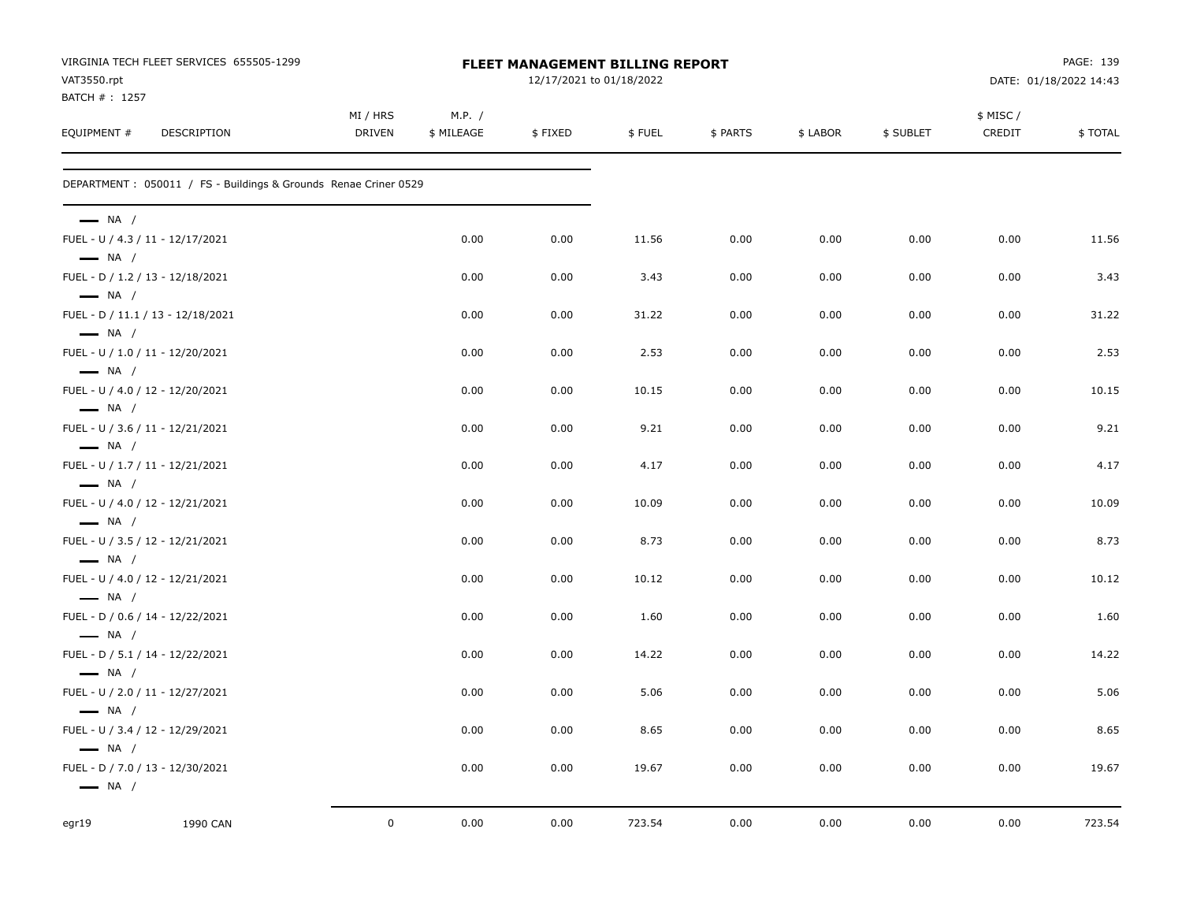|                                                            | VIRGINIA TECH FLEET SERVICES 655505-1299                         |             | PAGE: 139<br><b>FLEET MANAGEMENT BILLING REPORT</b> |                          |        |          |          |           |           |                        |
|------------------------------------------------------------|------------------------------------------------------------------|-------------|-----------------------------------------------------|--------------------------|--------|----------|----------|-----------|-----------|------------------------|
| VAT3550.rpt<br>BATCH #: 1257                               |                                                                  |             |                                                     | 12/17/2021 to 01/18/2022 |        |          |          |           |           | DATE: 01/18/2022 14:43 |
|                                                            |                                                                  | MI / HRS    | M.P. /                                              |                          |        |          |          |           | \$ MISC / |                        |
| EQUIPMENT #                                                | DESCRIPTION                                                      | DRIVEN      | \$ MILEAGE                                          | \$FIXED                  | \$FUEL | \$ PARTS | \$ LABOR | \$ SUBLET | CREDIT    | \$ TOTAL               |
|                                                            | DEPARTMENT : 050011 / FS - Buildings & Grounds Renae Criner 0529 |             |                                                     |                          |        |          |          |           |           |                        |
| $\longrightarrow$ NA /                                     |                                                                  |             |                                                     |                          |        |          |          |           |           |                        |
| FUEL - U / 4.3 / 11 - 12/17/2021                           |                                                                  |             | 0.00                                                | 0.00                     | 11.56  | 0.00     | 0.00     | 0.00      | 0.00      | 11.56                  |
| $\longrightarrow$ NA /<br>FUEL - D / 1.2 / 13 - 12/18/2021 |                                                                  |             | 0.00                                                | 0.00                     | 3.43   | 0.00     | 0.00     | 0.00      | 0.00      | 3.43                   |
| $\longrightarrow$ NA /                                     |                                                                  |             |                                                     |                          |        |          |          |           |           |                        |
| $\longrightarrow$ NA /                                     | FUEL - D / 11.1 / 13 - 12/18/2021                                |             | 0.00                                                | 0.00                     | 31.22  | 0.00     | 0.00     | 0.00      | 0.00      | 31.22                  |
| FUEL - U / 1.0 / 11 - 12/20/2021                           |                                                                  |             | 0.00                                                | 0.00                     | 2.53   | 0.00     | 0.00     | 0.00      | 0.00      | 2.53                   |
| $\longrightarrow$ NA /                                     |                                                                  |             |                                                     |                          |        |          |          |           |           |                        |
| FUEL - U / 4.0 / 12 - 12/20/2021<br>$\longrightarrow$ NA / |                                                                  |             | 0.00                                                | 0.00                     | 10.15  | 0.00     | 0.00     | 0.00      | 0.00      | 10.15                  |
| FUEL - U / 3.6 / 11 - 12/21/2021                           |                                                                  |             | 0.00                                                | 0.00                     | 9.21   | 0.00     | 0.00     | 0.00      | 0.00      | 9.21                   |
| $\longrightarrow$ NA /                                     |                                                                  |             |                                                     |                          |        |          |          |           |           |                        |
| FUEL - U / 1.7 / 11 - 12/21/2021                           |                                                                  |             | 0.00                                                | 0.00                     | 4.17   | 0.00     | 0.00     | 0.00      | 0.00      | 4.17                   |
| $\longrightarrow$ NA /<br>FUEL - U / 4.0 / 12 - 12/21/2021 |                                                                  |             | 0.00                                                | 0.00                     | 10.09  | 0.00     | 0.00     | 0.00      | 0.00      | 10.09                  |
| $\longrightarrow$ NA /                                     |                                                                  |             |                                                     |                          |        |          |          |           |           |                        |
| FUEL - U / 3.5 / 12 - 12/21/2021                           |                                                                  |             | 0.00                                                | 0.00                     | 8.73   | 0.00     | 0.00     | 0.00      | 0.00      | 8.73                   |
| $\longrightarrow$ NA /<br>FUEL - U / 4.0 / 12 - 12/21/2021 |                                                                  |             | 0.00                                                | 0.00                     | 10.12  | 0.00     | 0.00     | 0.00      | 0.00      | 10.12                  |
| $\longrightarrow$ NA /                                     |                                                                  |             |                                                     |                          |        |          |          |           |           |                        |
| FUEL - D / 0.6 / 14 - 12/22/2021                           |                                                                  |             | 0.00                                                | 0.00                     | 1.60   | 0.00     | 0.00     | 0.00      | 0.00      | 1.60                   |
| $\longrightarrow$ NA /<br>FUEL - D / 5.1 / 14 - 12/22/2021 |                                                                  |             | 0.00                                                | 0.00                     | 14.22  | 0.00     | 0.00     | 0.00      | 0.00      | 14.22                  |
| $\longrightarrow$ NA /                                     |                                                                  |             |                                                     |                          |        |          |          |           |           |                        |
| FUEL - U / 2.0 / 11 - 12/27/2021                           |                                                                  |             | 0.00                                                | 0.00                     | 5.06   | 0.00     | 0.00     | 0.00      | 0.00      | 5.06                   |
| $\longrightarrow$ NA /                                     |                                                                  |             |                                                     |                          |        |          |          |           |           |                        |
| FUEL - U / 3.4 / 12 - 12/29/2021<br>$\longrightarrow$ NA / |                                                                  |             | 0.00                                                | 0.00                     | 8.65   | 0.00     | 0.00     | 0.00      | 0.00      | 8.65                   |
| FUEL - D / 7.0 / 13 - 12/30/2021                           |                                                                  |             | 0.00                                                | 0.00                     | 19.67  | 0.00     | 0.00     | 0.00      | 0.00      | 19.67                  |
| $\longrightarrow$ NA /                                     |                                                                  |             |                                                     |                          |        |          |          |           |           |                        |
| egr19                                                      | 1990 CAN                                                         | $\mathbf 0$ | 0.00                                                | 0.00                     | 723.54 | 0.00     | 0.00     | 0.00      | 0.00      | 723.54                 |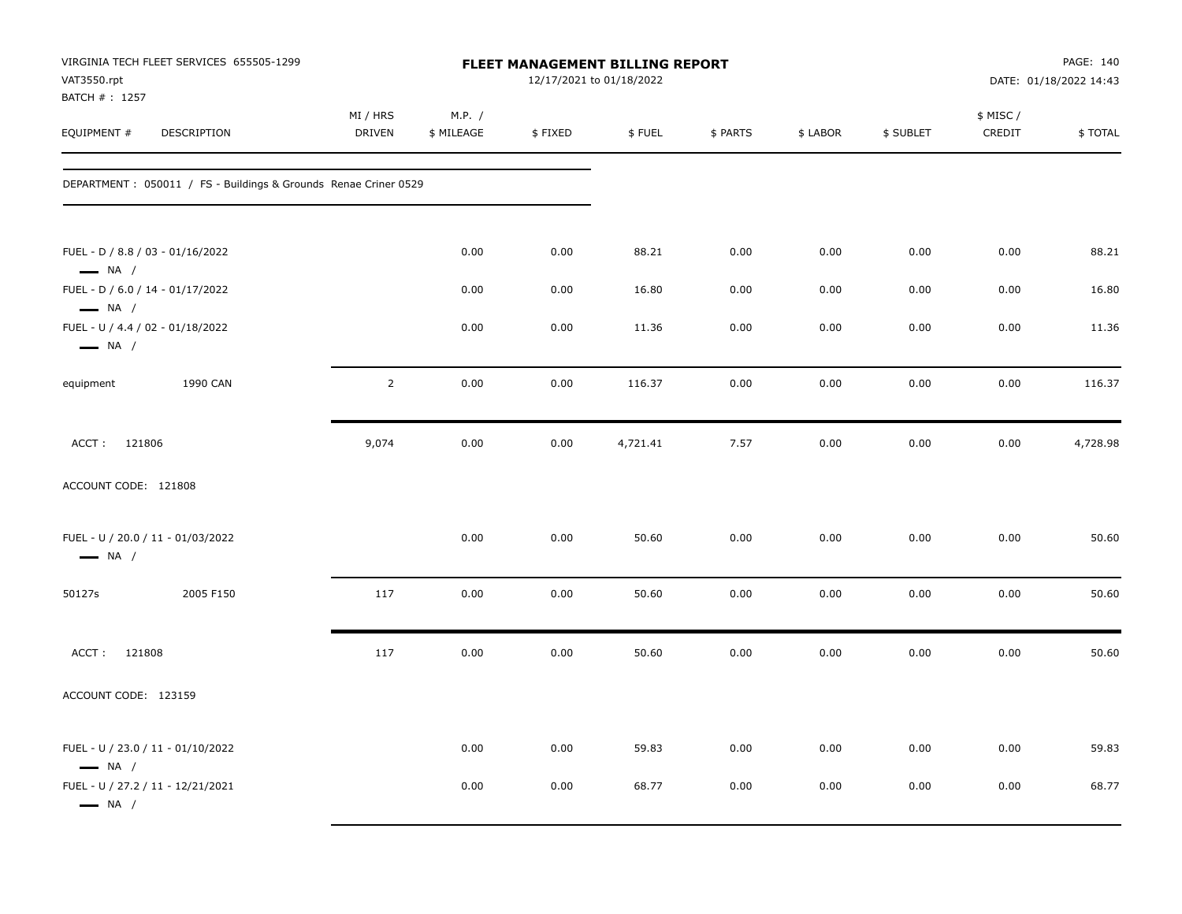| VAT3550.rpt<br>BATCH #: 1257                                                         | VIRGINIA TECH FLEET SERVICES 655505-1299                         | FLEET MANAGEMENT BILLING REPORT<br>12/17/2021 to 01/18/2022 |                      |         |          |          |          |           |                     | PAGE: 140<br>DATE: 01/18/2022 14:43 |  |
|--------------------------------------------------------------------------------------|------------------------------------------------------------------|-------------------------------------------------------------|----------------------|---------|----------|----------|----------|-----------|---------------------|-------------------------------------|--|
| EQUIPMENT #                                                                          | <b>DESCRIPTION</b>                                               | MI / HRS<br><b>DRIVEN</b>                                   | M.P. /<br>\$ MILEAGE | \$FIXED | \$FUEL   | \$ PARTS | \$ LABOR | \$ SUBLET | \$ MISC /<br>CREDIT | \$TOTAL                             |  |
|                                                                                      | DEPARTMENT : 050011 / FS - Buildings & Grounds Renae Criner 0529 |                                                             |                      |         |          |          |          |           |                     |                                     |  |
| FUEL - D / 8.8 / 03 - 01/16/2022<br>$\longrightarrow$ NA /                           |                                                                  |                                                             | 0.00                 | 0.00    | 88.21    | 0.00     | 0.00     | 0.00      | 0.00                | 88.21                               |  |
| FUEL - D / 6.0 / 14 - 01/17/2022                                                     |                                                                  |                                                             | 0.00                 | 0.00    | 16.80    | 0.00     | 0.00     | 0.00      | 0.00                | 16.80                               |  |
| $\longrightarrow$ NA /<br>FUEL - U / 4.4 / 02 - 01/18/2022<br>$\longrightarrow$ NA / |                                                                  |                                                             | 0.00                 | 0.00    | 11.36    | 0.00     | 0.00     | 0.00      | 0.00                | 11.36                               |  |
| equipment                                                                            | 1990 CAN                                                         | $\overline{2}$                                              | 0.00                 | 0.00    | 116.37   | 0.00     | 0.00     | 0.00      | 0.00                | 116.37                              |  |
| ACCT: 121806                                                                         |                                                                  | 9,074                                                       | 0.00                 | 0.00    | 4,721.41 | 7.57     | 0.00     | 0.00      | 0.00                | 4,728.98                            |  |
| ACCOUNT CODE: 121808                                                                 |                                                                  |                                                             |                      |         |          |          |          |           |                     |                                     |  |
| FUEL - U / 20.0 / 11 - 01/03/2022<br>$\longrightarrow$ NA /                          |                                                                  |                                                             | 0.00                 | 0.00    | 50.60    | 0.00     | 0.00     | 0.00      | 0.00                | 50.60                               |  |
| 50127s                                                                               | 2005 F150                                                        | 117                                                         | 0.00                 | 0.00    | 50.60    | 0.00     | 0.00     | 0.00      | 0.00                | 50.60                               |  |
| ACCT:<br>121808                                                                      |                                                                  | 117                                                         | 0.00                 | 0.00    | 50.60    | 0.00     | 0.00     | 0.00      | 0.00                | 50.60                               |  |
| ACCOUNT CODE: 123159                                                                 |                                                                  |                                                             |                      |         |          |          |          |           |                     |                                     |  |
| FUEL - U / 23.0 / 11 - 01/10/2022<br>$\longrightarrow$ NA /                          |                                                                  |                                                             | 0.00                 | 0.00    | 59.83    | 0.00     | 0.00     | 0.00      | 0.00                | 59.83                               |  |
| FUEL - U / 27.2 / 11 - 12/21/2021<br>$\longrightarrow$ NA /                          |                                                                  |                                                             | 0.00                 | 0.00    | 68.77    | 0.00     | 0.00     | 0.00      | 0.00                | 68.77                               |  |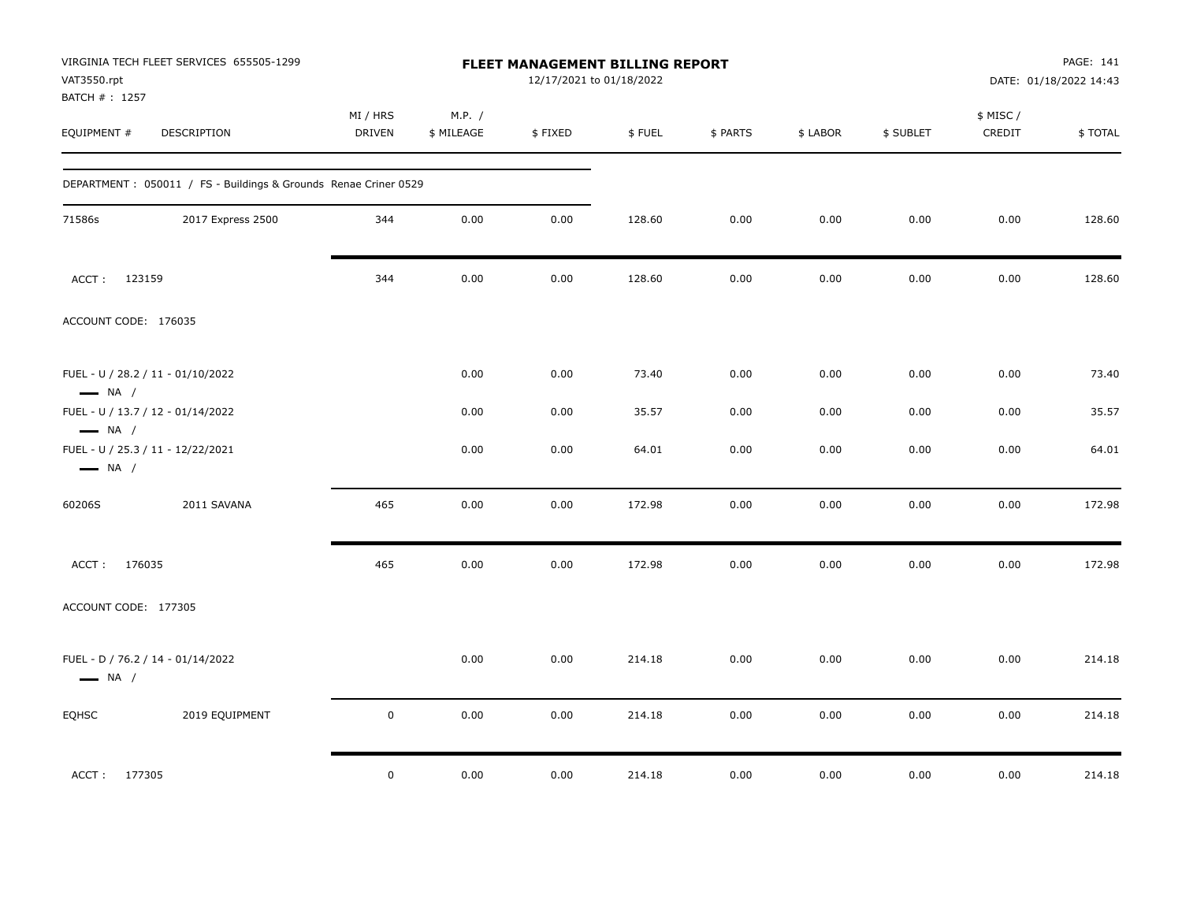| VIRGINIA TECH FLEET SERVICES 655505-1299<br>VAT3550.rpt          |                    | FLEET MANAGEMENT BILLING REPORT<br>12/17/2021 to 01/18/2022 |         |        |          |          |           |                     | PAGE: 141<br>DATE: 01/18/2022 14:43 |  |  |
|------------------------------------------------------------------|--------------------|-------------------------------------------------------------|---------|--------|----------|----------|-----------|---------------------|-------------------------------------|--|--|
| BATCH #: 1257<br>EQUIPMENT #<br>DESCRIPTION                      | MI / HRS<br>DRIVEN | M.P. /<br>\$ MILEAGE                                        | \$FIXED | \$FUEL | \$ PARTS | \$ LABOR | \$ SUBLET | \$ MISC /<br>CREDIT | \$TOTAL                             |  |  |
| DEPARTMENT : 050011 / FS - Buildings & Grounds Renae Criner 0529 |                    |                                                             |         |        |          |          |           |                     |                                     |  |  |
| 2017 Express 2500<br>71586s                                      | 344                | 0.00                                                        | 0.00    | 128.60 | 0.00     | 0.00     | 0.00      | 0.00                | 128.60                              |  |  |
| ACCT: 123159                                                     | 344                | 0.00                                                        | 0.00    | 128.60 | 0.00     | 0.00     | 0.00      | 0.00                | 128.60                              |  |  |
| ACCOUNT CODE: 176035                                             |                    |                                                             |         |        |          |          |           |                     |                                     |  |  |
| FUEL - U / 28.2 / 11 - 01/10/2022<br>$\longrightarrow$ NA /      |                    | 0.00                                                        | 0.00    | 73.40  | 0.00     | 0.00     | 0.00      | 0.00                | 73.40                               |  |  |
| FUEL - U / 13.7 / 12 - 01/14/2022<br>$\longrightarrow$ NA /      |                    | 0.00                                                        | 0.00    | 35.57  | 0.00     | 0.00     | 0.00      | 0.00                | 35.57                               |  |  |
| FUEL - U / 25.3 / 11 - 12/22/2021<br>$\longrightarrow$ NA /      |                    | 0.00                                                        | 0.00    | 64.01  | 0.00     | 0.00     | 0.00      | 0.00                | 64.01                               |  |  |
| 60206S<br>2011 SAVANA                                            | 465                | 0.00                                                        | 0.00    | 172.98 | 0.00     | 0.00     | 0.00      | 0.00                | 172.98                              |  |  |
| ACCT: 176035                                                     | 465                | 0.00                                                        | 0.00    | 172.98 | 0.00     | 0.00     | 0.00      | 0.00                | 172.98                              |  |  |
| ACCOUNT CODE: 177305                                             |                    |                                                             |         |        |          |          |           |                     |                                     |  |  |
| FUEL - D / 76.2 / 14 - 01/14/2022<br>$\longrightarrow$ NA /      |                    | 0.00                                                        | 0.00    | 214.18 | 0.00     | 0.00     | 0.00      | 0.00                | 214.18                              |  |  |
| <b>EQHSC</b><br>2019 EQUIPMENT                                   | $\mathsf 0$        | 0.00                                                        | 0.00    | 214.18 | 0.00     | 0.00     | 0.00      | 0.00                | 214.18                              |  |  |
| ACCT: 177305                                                     | $\mathbf 0$        | 0.00                                                        | 0.00    | 214.18 | 0.00     | 0.00     | 0.00      | 0.00                | 214.18                              |  |  |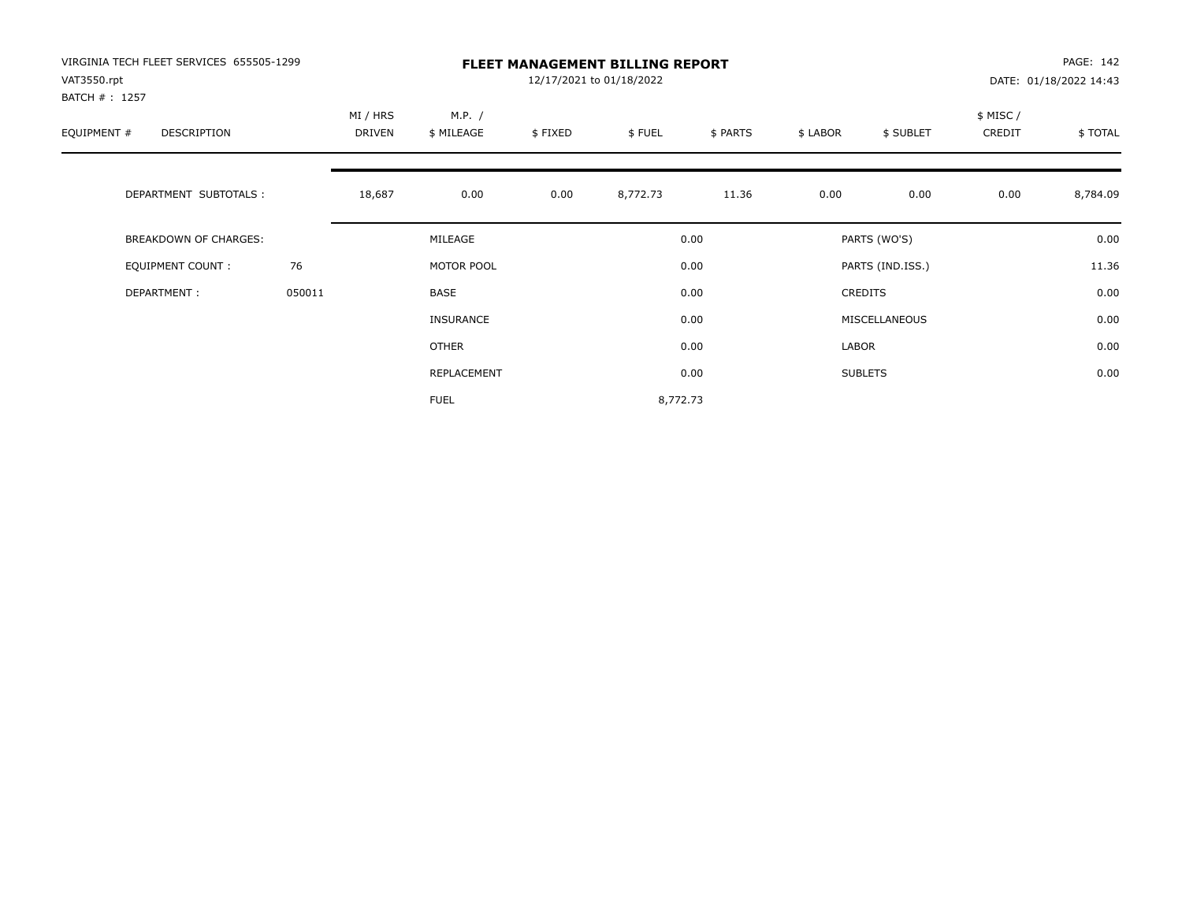| VIRGINIA TECH FLEET SERVICES 655505-1299<br>VAT3550.rpt<br>BATCH # : 1257 |        | <b>FLEET MANAGEMENT BILLING REPORT</b><br>12/17/2021 to 01/18/2022 |                      |         |          |          |          |                  |                     | PAGE: 142<br>DATE: 01/18/2022 14:43 |  |
|---------------------------------------------------------------------------|--------|--------------------------------------------------------------------|----------------------|---------|----------|----------|----------|------------------|---------------------|-------------------------------------|--|
| EQUIPMENT #<br>DESCRIPTION                                                |        | MI / HRS<br>DRIVEN                                                 | M.P. /<br>\$ MILEAGE | \$FIXED | \$FUEL   | \$ PARTS | \$ LABOR | \$ SUBLET        | \$ MISC /<br>CREDIT | \$TOTAL                             |  |
| DEPARTMENT SUBTOTALS :                                                    |        | 18,687                                                             | 0.00                 | 0.00    | 8,772.73 | 11.36    | 0.00     | 0.00             | 0.00                | 8,784.09                            |  |
| <b>BREAKDOWN OF CHARGES:</b>                                              |        |                                                                    | MILEAGE              |         |          | 0.00     |          | PARTS (WO'S)     |                     | 0.00                                |  |
| <b>EQUIPMENT COUNT:</b>                                                   | 76     |                                                                    | MOTOR POOL           |         |          | 0.00     |          | PARTS (IND.ISS.) |                     | 11.36                               |  |
| DEPARTMENT:                                                               | 050011 |                                                                    | BASE                 |         |          | 0.00     |          | <b>CREDITS</b>   |                     | 0.00                                |  |
|                                                                           |        |                                                                    | <b>INSURANCE</b>     |         |          | 0.00     |          | MISCELLANEOUS    |                     | 0.00                                |  |
|                                                                           |        |                                                                    | <b>OTHER</b>         |         |          | 0.00     | LABOR    |                  |                     | 0.00                                |  |
|                                                                           |        |                                                                    | REPLACEMENT          |         |          | 0.00     |          | <b>SUBLETS</b>   |                     | 0.00                                |  |
|                                                                           |        |                                                                    | <b>FUEL</b>          |         | 8,772.73 |          |          |                  |                     |                                     |  |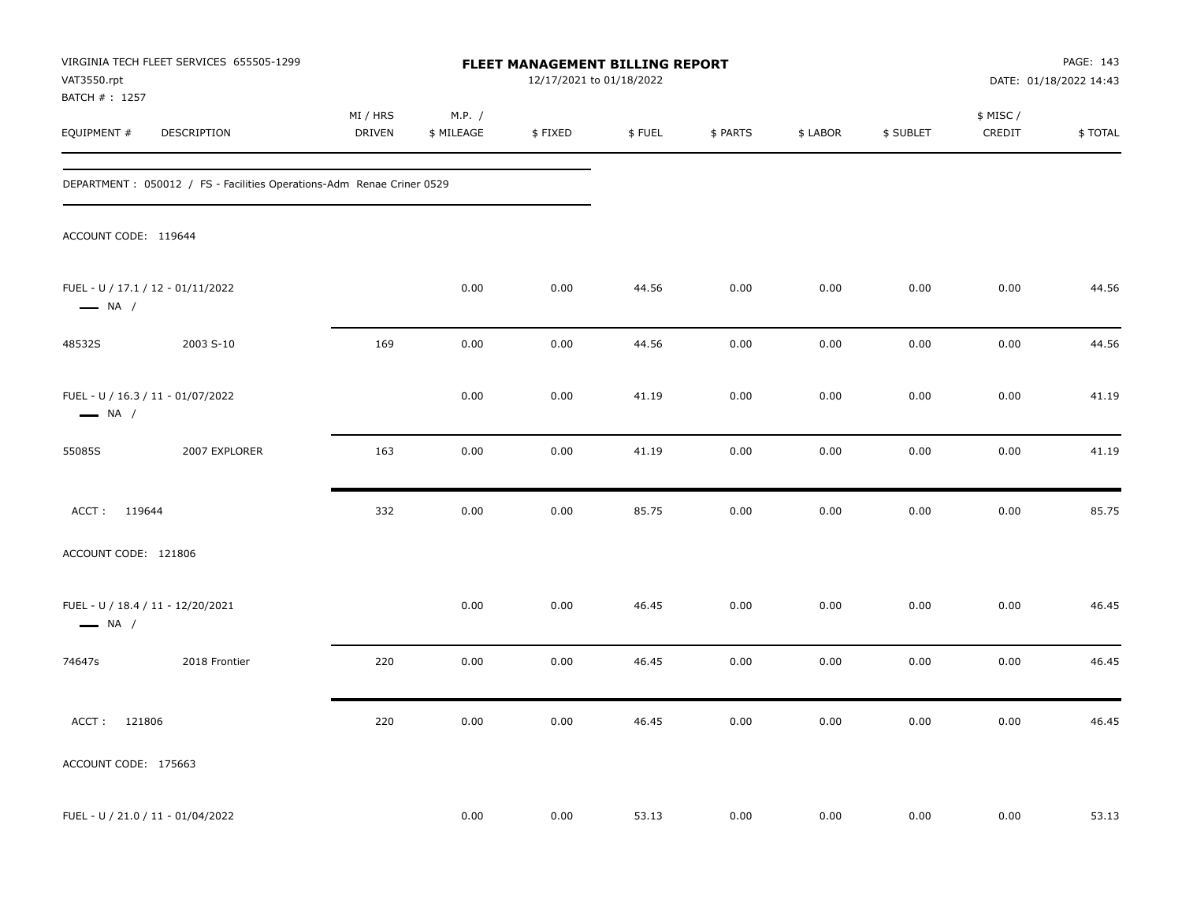| VAT3550.rpt<br>BATCH # : 1257 | VIRGINIA TECH FLEET SERVICES 655505-1299                               | FLEET MANAGEMENT BILLING REPORT<br>12/17/2021 to 01/18/2022 |                      |         |        |          |          |           |                     | PAGE: 143<br>DATE: 01/18/2022 14:43 |  |
|-------------------------------|------------------------------------------------------------------------|-------------------------------------------------------------|----------------------|---------|--------|----------|----------|-----------|---------------------|-------------------------------------|--|
| EQUIPMENT #                   | DESCRIPTION                                                            | MI / HRS<br><b>DRIVEN</b>                                   | M.P. /<br>\$ MILEAGE | \$FIXED | \$FUEL | \$ PARTS | \$ LABOR | \$ SUBLET | \$ MISC /<br>CREDIT | \$TOTAL                             |  |
|                               | DEPARTMENT : 050012 / FS - Facilities Operations-Adm Renae Criner 0529 |                                                             |                      |         |        |          |          |           |                     |                                     |  |
| ACCOUNT CODE: 119644          |                                                                        |                                                             |                      |         |        |          |          |           |                     |                                     |  |
| $\longrightarrow$ NA /        | FUEL - U / 17.1 / 12 - 01/11/2022                                      |                                                             | 0.00                 | 0.00    | 44.56  | 0.00     | 0.00     | 0.00      | 0.00                | 44.56                               |  |
| 48532S                        | 2003 S-10                                                              | 169                                                         | 0.00                 | 0.00    | 44.56  | 0.00     | 0.00     | 0.00      | 0.00                | 44.56                               |  |
| $\longrightarrow$ NA /        | FUEL - U / 16.3 / 11 - 01/07/2022                                      |                                                             | 0.00                 | 0.00    | 41.19  | 0.00     | 0.00     | 0.00      | 0.00                | 41.19                               |  |
| 55085S                        | 2007 EXPLORER                                                          | 163                                                         | 0.00                 | 0.00    | 41.19  | 0.00     | 0.00     | 0.00      | 0.00                | 41.19                               |  |
| ACCT: 119644                  |                                                                        | 332                                                         | 0.00                 | 0.00    | 85.75  | 0.00     | 0.00     | 0.00      | 0.00                | 85.75                               |  |
| ACCOUNT CODE: 121806          |                                                                        |                                                             |                      |         |        |          |          |           |                     |                                     |  |
| $\longrightarrow$ NA /        | FUEL - U / 18.4 / 11 - 12/20/2021                                      |                                                             | 0.00                 | 0.00    | 46.45  | 0.00     | 0.00     | 0.00      | 0.00                | 46.45                               |  |
| 74647s                        | 2018 Frontier                                                          | 220                                                         | 0.00                 | 0.00    | 46.45  | 0.00     | 0.00     | 0.00      | 0.00                | 46.45                               |  |
| ACCT: 121806                  |                                                                        | 220                                                         | 0.00                 | 0.00    | 46.45  | 0.00     | 0.00     | 0.00      | 0.00                | 46.45                               |  |
| ACCOUNT CODE: 175663          |                                                                        |                                                             |                      |         |        |          |          |           |                     |                                     |  |
|                               | FUEL - U / 21.0 / 11 - 01/04/2022                                      |                                                             | 0.00                 | 0.00    | 53.13  | 0.00     | 0.00     | 0.00      | 0.00                | 53.13                               |  |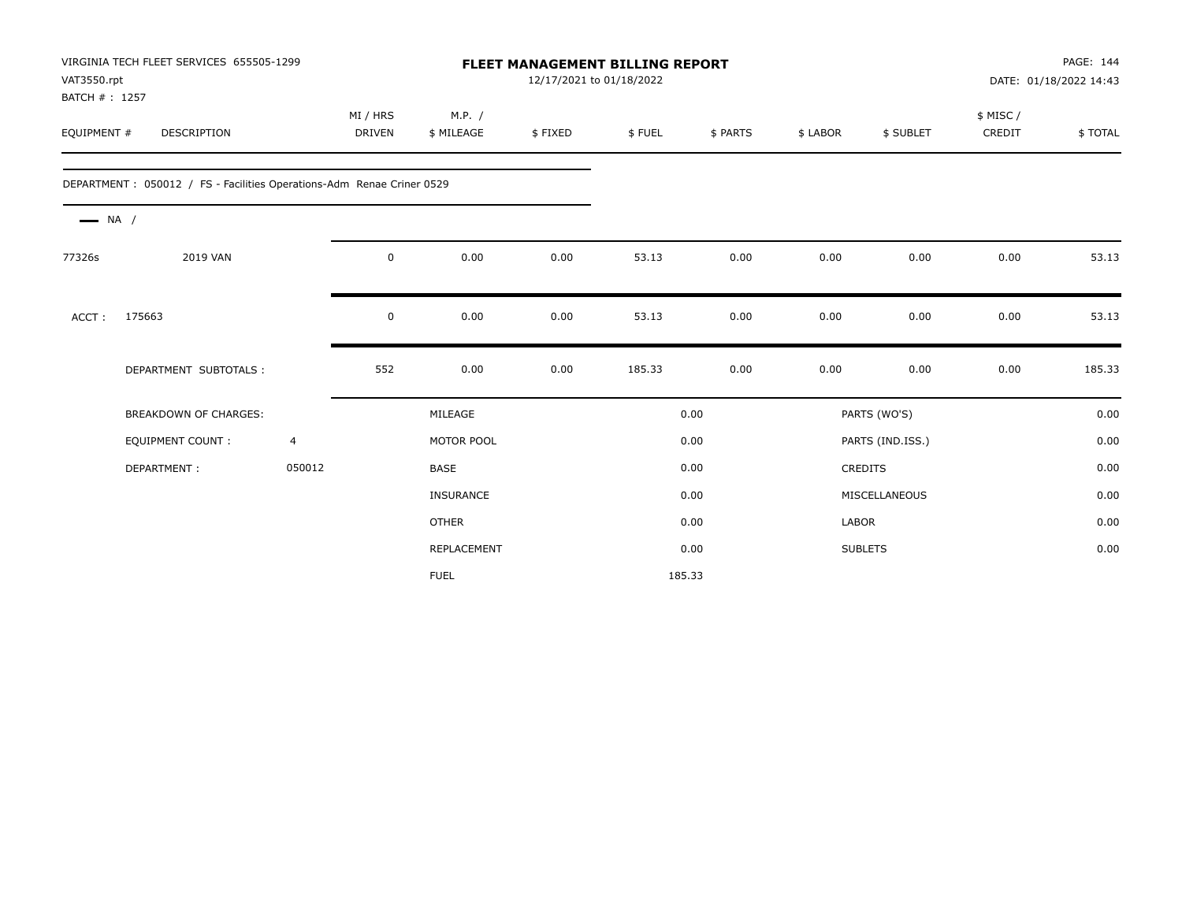| VAT3550.rpt<br>BATCH #: 1257 | VIRGINIA TECH FLEET SERVICES 655505-1299                               |                | <b>FLEET MANAGEMENT BILLING REPORT</b><br>12/17/2021 to 01/18/2022 |                      |         |        |          |          |                  | PAGE: 144<br>DATE: 01/18/2022 14:43 |         |
|------------------------------|------------------------------------------------------------------------|----------------|--------------------------------------------------------------------|----------------------|---------|--------|----------|----------|------------------|-------------------------------------|---------|
| EQUIPMENT #                  | DESCRIPTION                                                            |                | MI / HRS<br>DRIVEN                                                 | M.P. /<br>\$ MILEAGE | \$FIXED | \$FUEL | \$ PARTS | \$ LABOR | \$ SUBLET        | \$ MISC/<br>CREDIT                  | \$TOTAL |
|                              | DEPARTMENT : 050012 / FS - Facilities Operations-Adm Renae Criner 0529 |                |                                                                    |                      |         |        |          |          |                  |                                     |         |
| $\longrightarrow$ NA /       |                                                                        |                |                                                                    |                      |         |        |          |          |                  |                                     |         |
| 77326s                       | 2019 VAN                                                               |                | 0                                                                  | 0.00                 | 0.00    | 53.13  | 0.00     | 0.00     | 0.00             | 0.00                                | 53.13   |
| ACCT:                        | 175663                                                                 |                | 0                                                                  | 0.00                 | 0.00    | 53.13  | 0.00     | 0.00     | 0.00             | 0.00                                | 53.13   |
|                              | DEPARTMENT SUBTOTALS :                                                 |                | 552                                                                | 0.00                 | 0.00    | 185.33 | 0.00     | 0.00     | 0.00             | 0.00                                | 185.33  |
|                              | BREAKDOWN OF CHARGES:                                                  |                |                                                                    | MILEAGE              |         |        | 0.00     |          | PARTS (WO'S)     |                                     | 0.00    |
|                              | <b>EQUIPMENT COUNT:</b>                                                | $\overline{4}$ |                                                                    | MOTOR POOL           |         |        | 0.00     |          | PARTS (IND.ISS.) |                                     | 0.00    |
|                              | DEPARTMENT:                                                            | 050012         |                                                                    | <b>BASE</b>          |         |        | 0.00     |          | <b>CREDITS</b>   |                                     | 0.00    |
|                              |                                                                        |                |                                                                    | <b>INSURANCE</b>     |         |        | 0.00     |          | MISCELLANEOUS    |                                     | 0.00    |
|                              |                                                                        |                |                                                                    | <b>OTHER</b>         |         |        | 0.00     | LABOR    |                  |                                     | 0.00    |
|                              |                                                                        |                |                                                                    | REPLACEMENT          |         |        | 0.00     |          | <b>SUBLETS</b>   |                                     | 0.00    |
|                              |                                                                        |                |                                                                    | <b>FUEL</b>          |         | 185.33 |          |          |                  |                                     |         |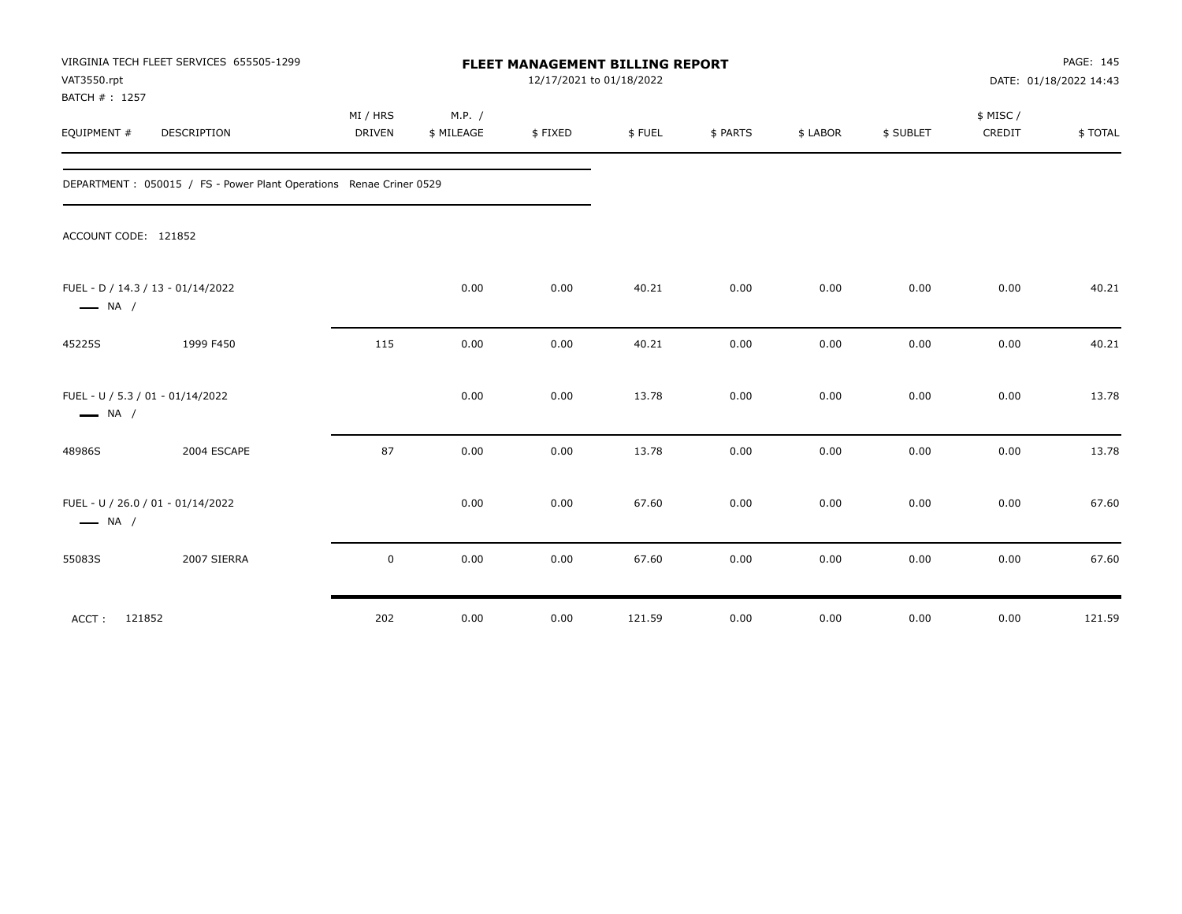| VAT3550.rpt<br>BATCH #: 1257 | VIRGINIA TECH FLEET SERVICES 655505-1299                            | FLEET MANAGEMENT BILLING REPORT<br>12/17/2021 to 01/18/2022 |                      |         |        |          |          |           | PAGE: 145<br>DATE: 01/18/2022 14:43 |         |
|------------------------------|---------------------------------------------------------------------|-------------------------------------------------------------|----------------------|---------|--------|----------|----------|-----------|-------------------------------------|---------|
| EQUIPMENT #                  | DESCRIPTION                                                         | MI / HRS<br><b>DRIVEN</b>                                   | M.P. /<br>\$ MILEAGE | \$FIXED | \$FUEL | \$ PARTS | \$ LABOR | \$ SUBLET | \$ MISC/<br>CREDIT                  | \$TOTAL |
|                              | DEPARTMENT : 050015 / FS - Power Plant Operations Renae Criner 0529 |                                                             |                      |         |        |          |          |           |                                     |         |
| ACCOUNT CODE: 121852         |                                                                     |                                                             |                      |         |        |          |          |           |                                     |         |
| $\longrightarrow$ NA /       | FUEL - D / 14.3 / 13 - 01/14/2022                                   |                                                             | 0.00                 | 0.00    | 40.21  | 0.00     | 0.00     | 0.00      | 0.00                                | 40.21   |
| 45225S                       | 1999 F450                                                           | 115                                                         | 0.00                 | 0.00    | 40.21  | 0.00     | 0.00     | 0.00      | 0.00                                | 40.21   |
| $\longrightarrow$ NA /       | FUEL - U / 5.3 / 01 - 01/14/2022                                    |                                                             | 0.00                 | 0.00    | 13.78  | 0.00     | 0.00     | 0.00      | 0.00                                | 13.78   |
| 48986S                       | 2004 ESCAPE                                                         | 87                                                          | 0.00                 | 0.00    | 13.78  | 0.00     | 0.00     | 0.00      | 0.00                                | 13.78   |
| $\longrightarrow$ NA /       | FUEL - U / 26.0 / 01 - 01/14/2022                                   |                                                             | 0.00                 | 0.00    | 67.60  | 0.00     | 0.00     | 0.00      | 0.00                                | 67.60   |
| 55083S                       | 2007 SIERRA                                                         | 0                                                           | 0.00                 | 0.00    | 67.60  | 0.00     | 0.00     | 0.00      | 0.00                                | 67.60   |
| 121852<br>ACCT:              |                                                                     | 202                                                         | 0.00                 | 0.00    | 121.59 | 0.00     | 0.00     | 0.00      | 0.00                                | 121.59  |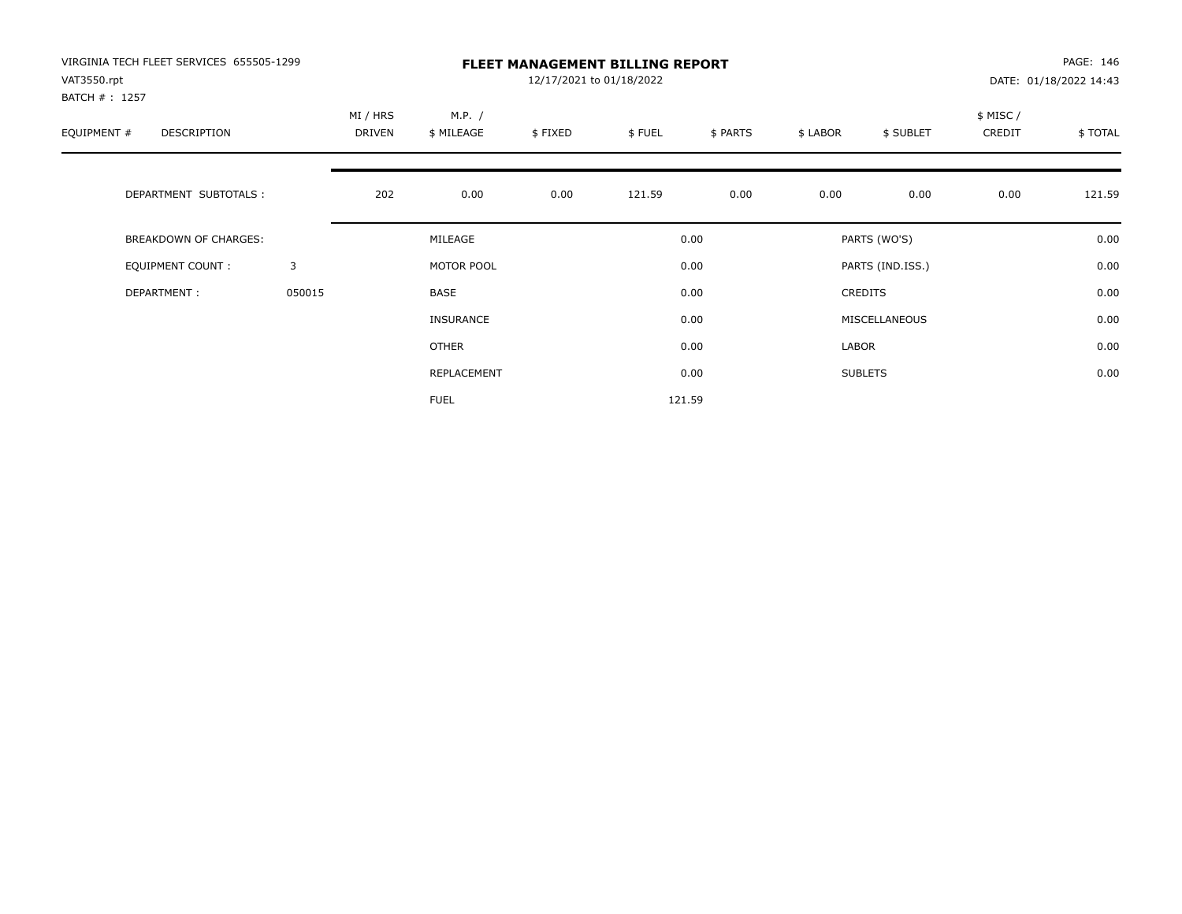| VIRGINIA TECH FLEET SERVICES 655505-1299<br>VAT3550.rpt<br>BATCH #: 1257 |        | <b>FLEET MANAGEMENT BILLING REPORT</b><br>12/17/2021 to 01/18/2022 |                      |         |        |          |          |                  |                     | PAGE: 146<br>DATE: 01/18/2022 14:43 |  |
|--------------------------------------------------------------------------|--------|--------------------------------------------------------------------|----------------------|---------|--------|----------|----------|------------------|---------------------|-------------------------------------|--|
| EQUIPMENT #<br><b>DESCRIPTION</b>                                        |        | MI / HRS<br><b>DRIVEN</b>                                          | M.P. /<br>\$ MILEAGE | \$FIXED | \$FUEL | \$ PARTS | \$ LABOR | \$ SUBLET        | \$ MISC /<br>CREDIT | \$TOTAL                             |  |
| DEPARTMENT SUBTOTALS :                                                   |        | 202                                                                | 0.00                 | 0.00    | 121.59 | 0.00     | 0.00     | 0.00             | 0.00                | 121.59                              |  |
| <b>BREAKDOWN OF CHARGES:</b>                                             |        |                                                                    | MILEAGE              |         |        | 0.00     |          | PARTS (WO'S)     |                     | 0.00                                |  |
| EQUIPMENT COUNT:                                                         | 3      |                                                                    | MOTOR POOL           |         |        | 0.00     |          | PARTS (IND.ISS.) |                     | 0.00                                |  |
| DEPARTMENT:                                                              | 050015 |                                                                    | <b>BASE</b>          |         |        | 0.00     |          | <b>CREDITS</b>   |                     | 0.00                                |  |
|                                                                          |        |                                                                    | INSURANCE            |         |        | 0.00     |          | MISCELLANEOUS    |                     | 0.00                                |  |
|                                                                          |        |                                                                    | OTHER                |         |        | 0.00     | LABOR    |                  |                     | 0.00                                |  |
|                                                                          |        |                                                                    | REPLACEMENT          |         |        | 0.00     |          | <b>SUBLETS</b>   |                     | 0.00                                |  |
|                                                                          |        |                                                                    | <b>FUEL</b>          |         |        | 121.59   |          |                  |                     |                                     |  |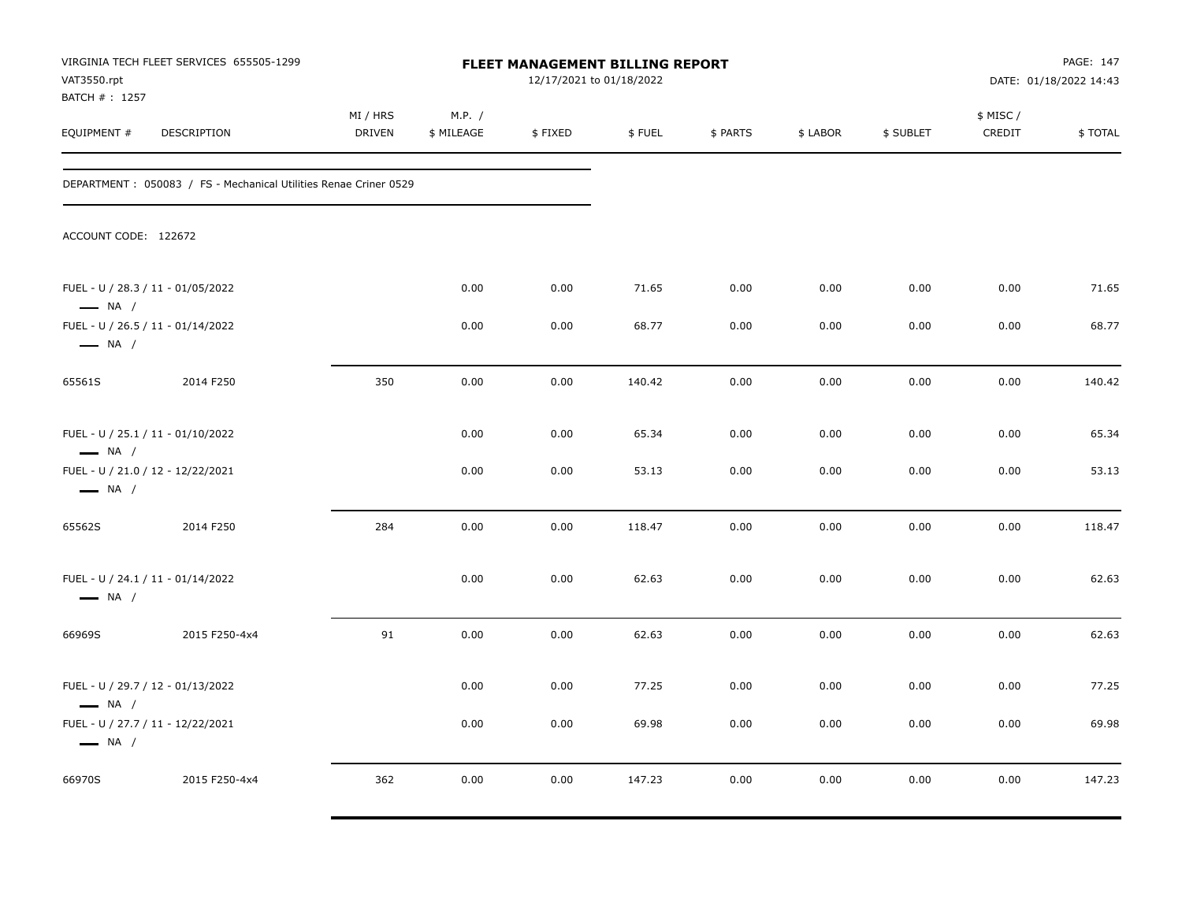| VAT3550.rpt<br>BATCH #: 1257                                | VIRGINIA TECH FLEET SERVICES 655505-1299                          |                           |                      |         | <b>FLEET MANAGEMENT BILLING REPORT</b><br>12/17/2021 to 01/18/2022 |          |          |           | PAGE: 147<br>DATE: 01/18/2022 14:43 |         |
|-------------------------------------------------------------|-------------------------------------------------------------------|---------------------------|----------------------|---------|--------------------------------------------------------------------|----------|----------|-----------|-------------------------------------|---------|
| EQUIPMENT #                                                 | DESCRIPTION                                                       | MI / HRS<br><b>DRIVEN</b> | M.P. /<br>\$ MILEAGE | \$FIXED | \$FUEL                                                             | \$ PARTS | \$ LABOR | \$ SUBLET | \$ MISC /<br>CREDIT                 | \$TOTAL |
|                                                             | DEPARTMENT : 050083 / FS - Mechanical Utilities Renae Criner 0529 |                           |                      |         |                                                                    |          |          |           |                                     |         |
| ACCOUNT CODE: 122672                                        |                                                                   |                           |                      |         |                                                                    |          |          |           |                                     |         |
| FUEL - U / 28.3 / 11 - 01/05/2022<br>$\longrightarrow$ NA / |                                                                   |                           | 0.00                 | 0.00    | 71.65                                                              | 0.00     | 0.00     | 0.00      | 0.00                                | 71.65   |
| FUEL - U / 26.5 / 11 - 01/14/2022<br>$\longrightarrow$ NA / |                                                                   |                           | 0.00                 | 0.00    | 68.77                                                              | 0.00     | 0.00     | 0.00      | 0.00                                | 68.77   |
| 65561S                                                      | 2014 F250                                                         | 350                       | 0.00                 | 0.00    | 140.42                                                             | 0.00     | 0.00     | 0.00      | 0.00                                | 140.42  |
| FUEL - U / 25.1 / 11 - 01/10/2022<br>$\longrightarrow$ NA / |                                                                   |                           | 0.00                 | 0.00    | 65.34                                                              | 0.00     | 0.00     | 0.00      | 0.00                                | 65.34   |
| FUEL - U / 21.0 / 12 - 12/22/2021<br>$\longrightarrow$ NA / |                                                                   |                           | 0.00                 | 0.00    | 53.13                                                              | 0.00     | 0.00     | 0.00      | 0.00                                | 53.13   |
| 65562S                                                      | 2014 F250                                                         | 284                       | 0.00                 | 0.00    | 118.47                                                             | 0.00     | 0.00     | 0.00      | 0.00                                | 118.47  |
| FUEL - U / 24.1 / 11 - 01/14/2022<br>$\longrightarrow$ NA / |                                                                   |                           | 0.00                 | 0.00    | 62.63                                                              | 0.00     | 0.00     | 0.00      | 0.00                                | 62.63   |
| 66969S                                                      | 2015 F250-4x4                                                     | 91                        | 0.00                 | 0.00    | 62.63                                                              | 0.00     | 0.00     | 0.00      | 0.00                                | 62.63   |
| FUEL - U / 29.7 / 12 - 01/13/2022<br>$\longrightarrow$ NA / |                                                                   |                           | 0.00                 | 0.00    | 77.25                                                              | 0.00     | 0.00     | 0.00      | 0.00                                | 77.25   |
| FUEL - U / 27.7 / 11 - 12/22/2021<br>$\longrightarrow$ NA / |                                                                   |                           | 0.00                 | 0.00    | 69.98                                                              | 0.00     | 0.00     | 0.00      | 0.00                                | 69.98   |
| 66970S                                                      | 2015 F250-4x4                                                     | 362                       | 0.00                 | 0.00    | 147.23                                                             | 0.00     | 0.00     | 0.00      | 0.00                                | 147.23  |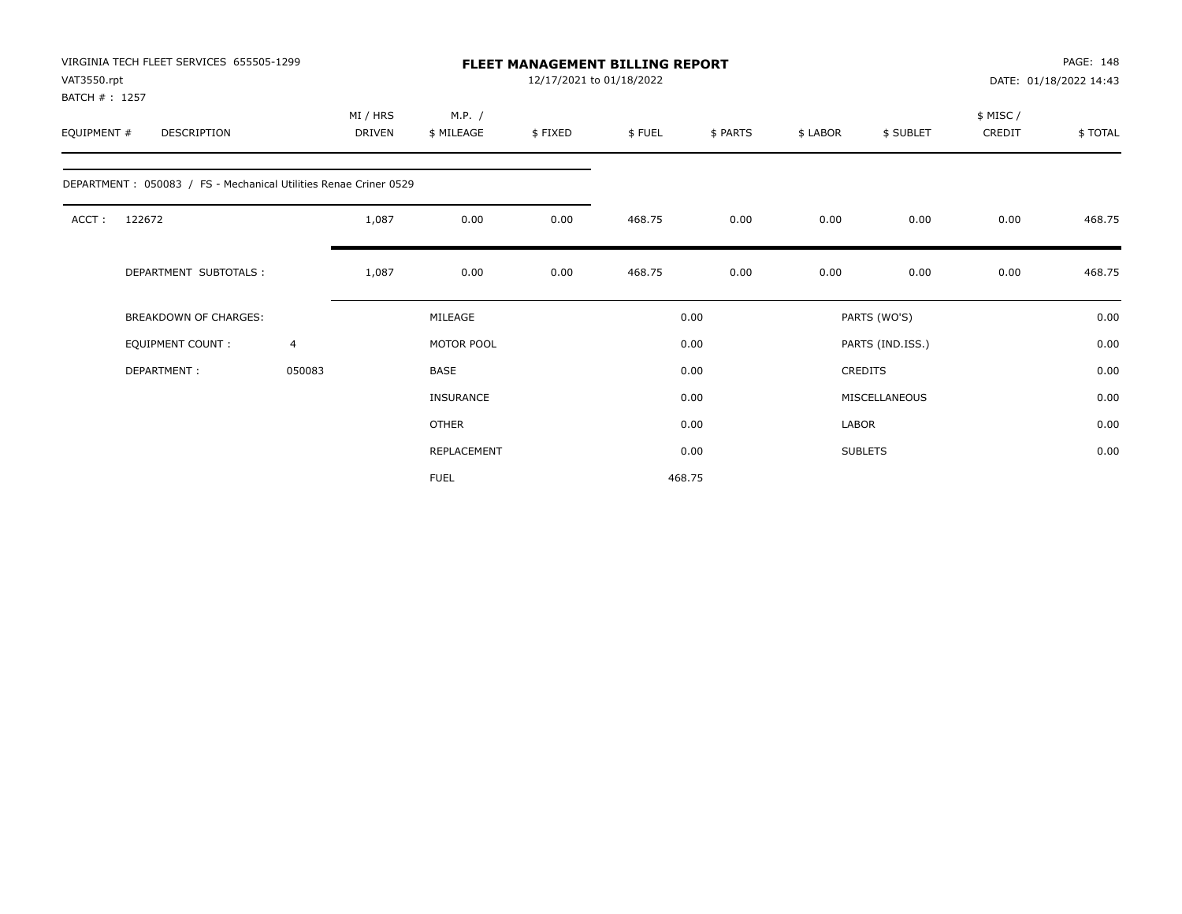| VAT3550.rpt                  | VIRGINIA TECH FLEET SERVICES 655505-1299                         |                |                           |                      |         | FLEET MANAGEMENT BILLING REPORT<br>12/17/2021 to 01/18/2022 |          |              |                  |                    | PAGE: 148<br>DATE: 01/18/2022 14:43 |
|------------------------------|------------------------------------------------------------------|----------------|---------------------------|----------------------|---------|-------------------------------------------------------------|----------|--------------|------------------|--------------------|-------------------------------------|
| BATCH #: 1257<br>EQUIPMENT # | DESCRIPTION                                                      |                | MI / HRS<br><b>DRIVEN</b> | M.P. /<br>\$ MILEAGE | \$FIXED | \$FUEL                                                      | \$ PARTS | \$ LABOR     | \$ SUBLET        | \$ MISC/<br>CREDIT | \$TOTAL                             |
|                              | DEPARTMENT: 050083 / FS - Mechanical Utilities Renae Criner 0529 |                |                           |                      |         |                                                             |          |              |                  |                    |                                     |
| ACCT:                        | 122672                                                           |                | 1,087                     | 0.00                 | 0.00    | 468.75                                                      | 0.00     | 0.00         | 0.00             | 0.00               | 468.75                              |
|                              | DEPARTMENT SUBTOTALS :                                           |                | 1,087                     | 0.00                 | 0.00    | 468.75                                                      | 0.00     | 0.00         | 0.00             | 0.00               | 468.75                              |
|                              | <b>BREAKDOWN OF CHARGES:</b>                                     |                |                           | MILEAGE              |         |                                                             | 0.00     |              | PARTS (WO'S)     |                    | 0.00                                |
|                              | <b>EQUIPMENT COUNT:</b>                                          | $\overline{4}$ |                           | MOTOR POOL           |         |                                                             | 0.00     |              | PARTS (IND.ISS.) |                    | 0.00                                |
|                              | DEPARTMENT:                                                      | 050083         |                           | <b>BASE</b>          |         |                                                             | 0.00     |              | <b>CREDITS</b>   |                    | 0.00                                |
|                              |                                                                  |                |                           | <b>INSURANCE</b>     |         |                                                             | 0.00     |              | MISCELLANEOUS    |                    | 0.00                                |
|                              |                                                                  |                |                           | <b>OTHER</b>         |         |                                                             | 0.00     | <b>LABOR</b> |                  |                    | 0.00                                |
|                              |                                                                  |                |                           | REPLACEMENT          |         |                                                             | 0.00     |              | <b>SUBLETS</b>   |                    | 0.00                                |
|                              | <b>FUEL</b>                                                      |                |                           |                      |         |                                                             | 468.75   |              |                  |                    |                                     |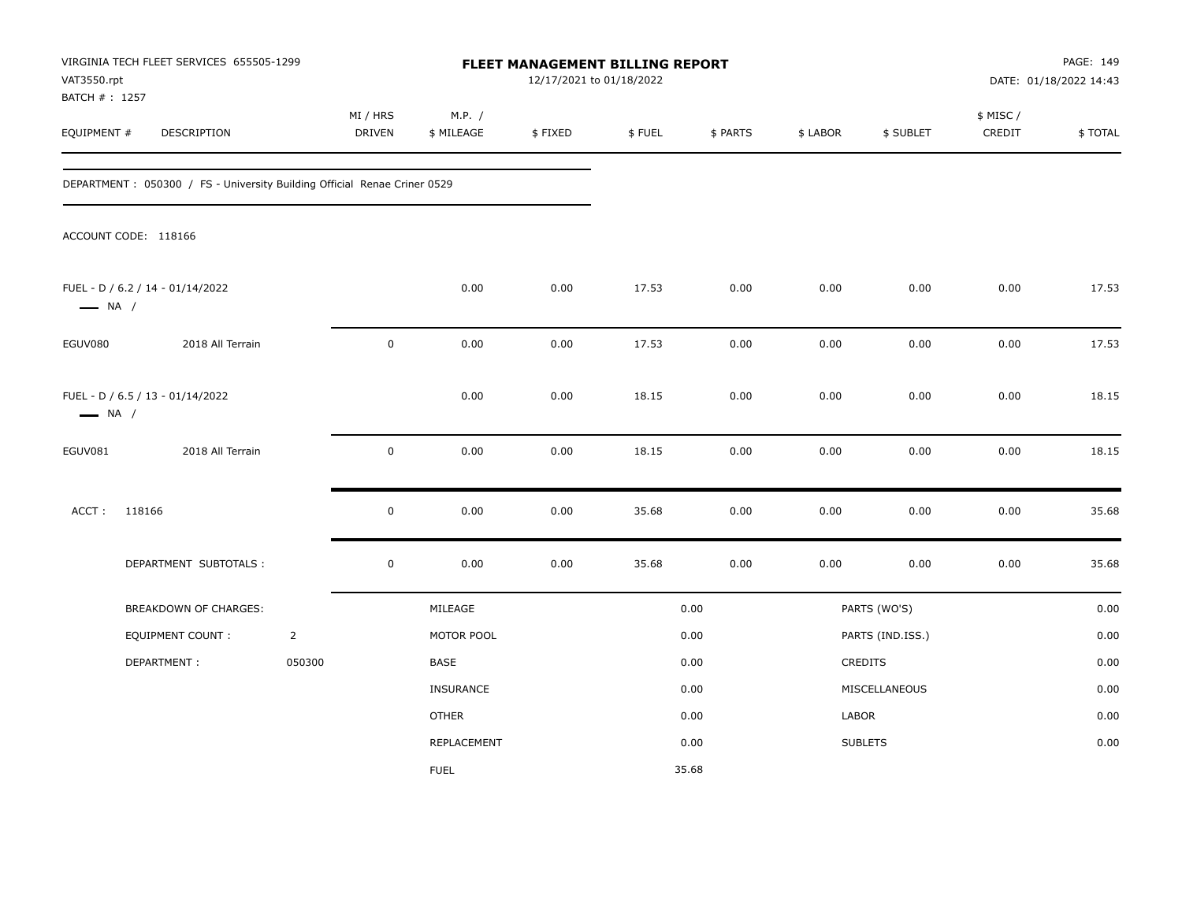| VAT3550.rpt            | VIRGINIA TECH FLEET SERVICES 655505-1299<br>BATCH #: 1257                |                |                    |                      |         | FLEET MANAGEMENT BILLING REPORT<br>12/17/2021 to 01/18/2022 |          |          |                  | PAGE: 149<br>DATE: 01/18/2022 14:43 |         |  |
|------------------------|--------------------------------------------------------------------------|----------------|--------------------|----------------------|---------|-------------------------------------------------------------|----------|----------|------------------|-------------------------------------|---------|--|
| EQUIPMENT #            | DESCRIPTION                                                              |                | MI / HRS<br>DRIVEN | M.P. /<br>\$ MILEAGE | \$FIXED | \$FUEL                                                      | \$ PARTS | \$ LABOR | \$ SUBLET        | \$ MISC /<br>CREDIT                 | \$TOTAL |  |
|                        | DEPARTMENT: 050300 / FS - University Building Official Renae Criner 0529 |                |                    |                      |         |                                                             |          |          |                  |                                     |         |  |
|                        | ACCOUNT CODE: 118166                                                     |                |                    |                      |         |                                                             |          |          |                  |                                     |         |  |
| $\longrightarrow$ NA / | FUEL - D / 6.2 / 14 - 01/14/2022                                         |                |                    | 0.00                 | 0.00    | 17.53                                                       | 0.00     | 0.00     | 0.00             | 0.00                                | 17.53   |  |
| EGUV080                | 2018 All Terrain                                                         |                | $\mathbf 0$        | 0.00                 | 0.00    | 17.53                                                       | 0.00     | 0.00     | 0.00             | 0.00                                | 17.53   |  |
| $\longrightarrow$ NA / | FUEL - D / 6.5 / 13 - 01/14/2022                                         |                |                    | 0.00                 | 0.00    | 18.15                                                       | 0.00     | 0.00     | 0.00             | 0.00                                | 18.15   |  |
| EGUV081                | 2018 All Terrain                                                         |                | $\pmb{0}$          | 0.00                 | 0.00    | 18.15                                                       | 0.00     | 0.00     | 0.00             | 0.00                                | 18.15   |  |
| ACCT:                  | 118166                                                                   |                | $\mathbf 0$        | 0.00                 | 0.00    | 35.68                                                       | 0.00     | 0.00     | 0.00             | 0.00                                | 35.68   |  |
|                        | DEPARTMENT SUBTOTALS :                                                   |                | $\pmb{0}$          | 0.00                 | 0.00    | 35.68                                                       | 0.00     | 0.00     | 0.00             | 0.00                                | 35.68   |  |
|                        | BREAKDOWN OF CHARGES:                                                    |                |                    | MILEAGE              |         |                                                             | 0.00     |          | PARTS (WO'S)     |                                     | 0.00    |  |
|                        | <b>EQUIPMENT COUNT:</b>                                                  | $\overline{2}$ |                    | MOTOR POOL           |         |                                                             | 0.00     |          | PARTS (IND.ISS.) |                                     | 0.00    |  |
|                        | DEPARTMENT:                                                              | 050300         |                    | <b>BASE</b>          |         |                                                             | 0.00     |          | CREDITS          |                                     | 0.00    |  |
|                        |                                                                          |                |                    | INSURANCE            |         |                                                             | 0.00     |          | MISCELLANEOUS    |                                     | 0.00    |  |
|                        |                                                                          |                |                    | <b>OTHER</b>         |         |                                                             | 0.00     | LABOR    |                  |                                     | 0.00    |  |
|                        |                                                                          |                |                    | REPLACEMENT          |         |                                                             | 0.00     |          | <b>SUBLETS</b>   |                                     | 0.00    |  |
|                        |                                                                          |                |                    | <b>FUEL</b>          |         |                                                             | 35.68    |          |                  |                                     |         |  |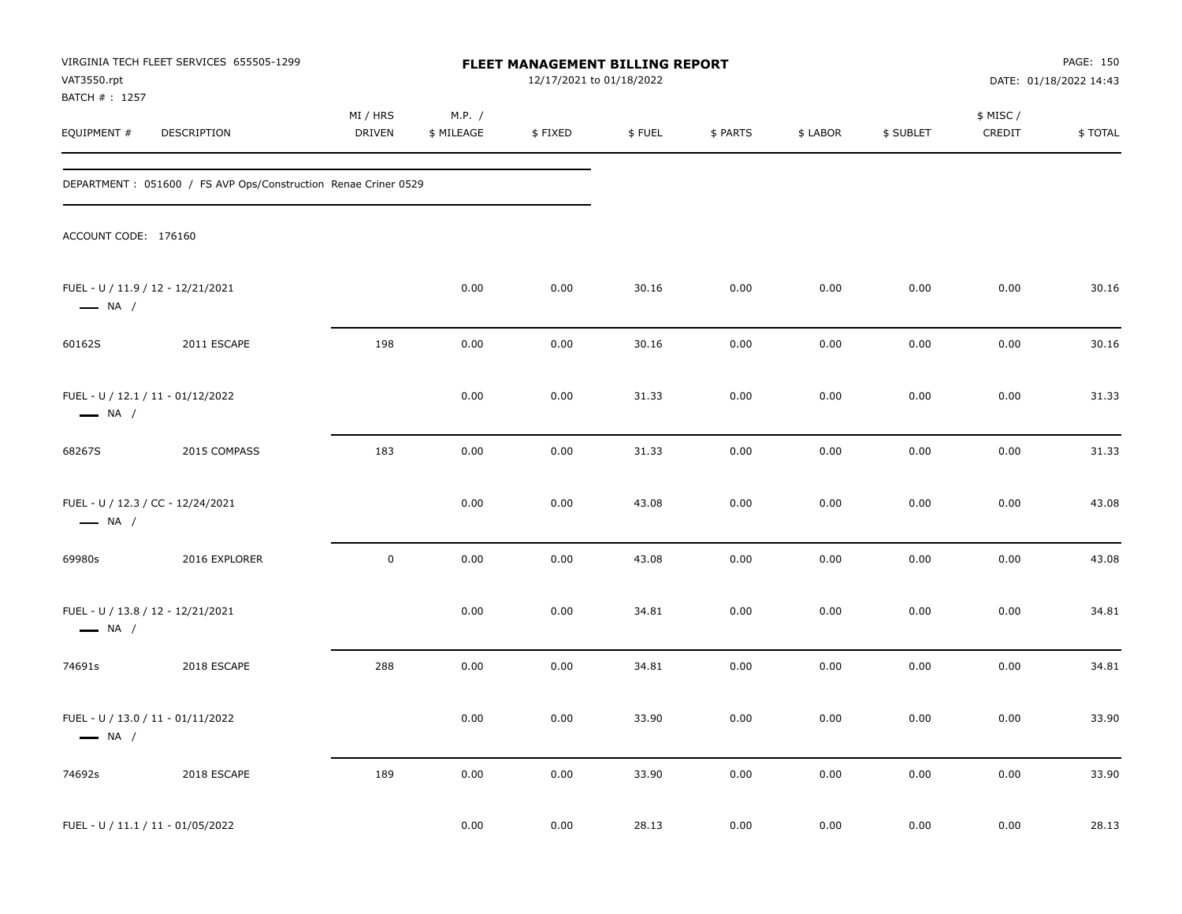| VAT3550.rpt                  | VIRGINIA TECH FLEET SERVICES 655505-1299                        |                    |                      | FLEET MANAGEMENT BILLING REPORT<br>12/17/2021 to 01/18/2022 |        |          |          |           |                     | PAGE: 150<br>DATE: 01/18/2022 14:43 |
|------------------------------|-----------------------------------------------------------------|--------------------|----------------------|-------------------------------------------------------------|--------|----------|----------|-----------|---------------------|-------------------------------------|
| BATCH #: 1257<br>EQUIPMENT # | DESCRIPTION                                                     | MI / HRS<br>DRIVEN | M.P. /<br>\$ MILEAGE | \$FIXED                                                     | \$FUEL | \$ PARTS | \$ LABOR | \$ SUBLET | \$ MISC /<br>CREDIT | \$TOTAL                             |
|                              | DEPARTMENT : 051600 / FS AVP Ops/Construction Renae Criner 0529 |                    |                      |                                                             |        |          |          |           |                     |                                     |
| ACCOUNT CODE: 176160         |                                                                 |                    |                      |                                                             |        |          |          |           |                     |                                     |
| $\longrightarrow$ NA /       | FUEL - U / 11.9 / 12 - 12/21/2021                               |                    | 0.00                 | 0.00                                                        | 30.16  | 0.00     | 0.00     | 0.00      | 0.00                | 30.16                               |
| 60162S                       | 2011 ESCAPE                                                     | 198                | 0.00                 | 0.00                                                        | 30.16  | 0.00     | 0.00     | 0.00      | 0.00                | 30.16                               |
| $\longrightarrow$ NA /       | FUEL - U / 12.1 / 11 - 01/12/2022                               |                    | 0.00                 | 0.00                                                        | 31.33  | 0.00     | 0.00     | 0.00      | 0.00                | 31.33                               |
| 68267S                       | 2015 COMPASS                                                    | 183                | 0.00                 | 0.00                                                        | 31.33  | 0.00     | 0.00     | 0.00      | 0.00                | 31.33                               |
| $\longrightarrow$ NA /       | FUEL - U / 12.3 / CC - 12/24/2021                               |                    | 0.00                 | 0.00                                                        | 43.08  | 0.00     | 0.00     | 0.00      | 0.00                | 43.08                               |
| 69980s                       | 2016 EXPLORER                                                   | $\mathbf 0$        | 0.00                 | 0.00                                                        | 43.08  | 0.00     | 0.00     | 0.00      | 0.00                | 43.08                               |
| $\longrightarrow$ NA /       | FUEL - U / 13.8 / 12 - 12/21/2021                               |                    | 0.00                 | 0.00                                                        | 34.81  | 0.00     | 0.00     | 0.00      | 0.00                | 34.81                               |
| 74691s                       | 2018 ESCAPE                                                     | 288                | 0.00                 | 0.00                                                        | 34.81  | 0.00     | 0.00     | 0.00      | 0.00                | 34.81                               |
| $\longrightarrow$ NA /       | FUEL - U / 13.0 / 11 - 01/11/2022                               |                    | 0.00                 | 0.00                                                        | 33.90  | 0.00     | 0.00     | 0.00      | 0.00                | 33.90                               |
| 74692s                       | 2018 ESCAPE                                                     | 189                | $0.00\,$             | 0.00                                                        | 33.90  | 0.00     | $0.00\,$ | 0.00      | 0.00                | 33.90                               |
|                              | FUEL - U / 11.1 / 11 - 01/05/2022                               |                    | 0.00                 | 0.00                                                        | 28.13  | 0.00     | 0.00     | 0.00      | $0.00\,$            | 28.13                               |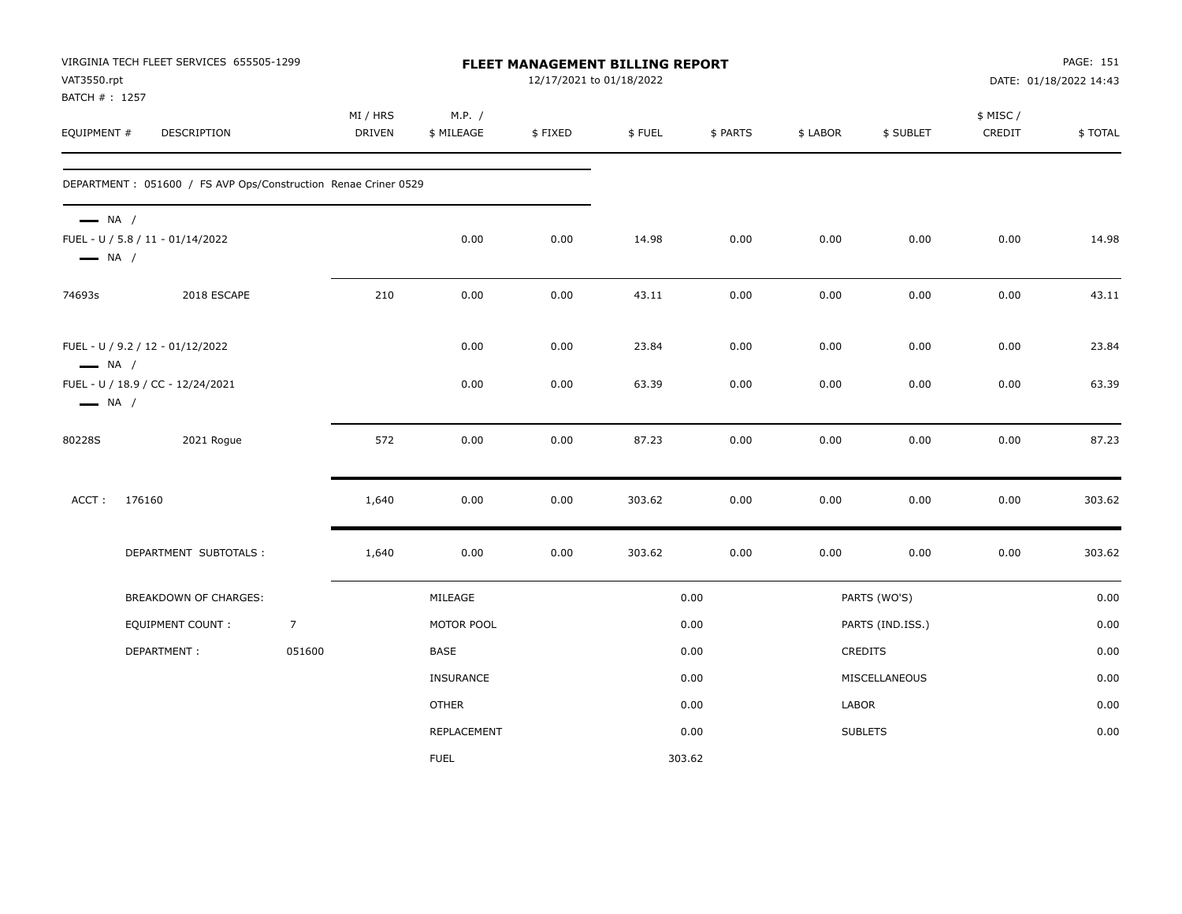| VAT3550.rpt<br>BATCH # : 1257                    | VIRGINIA TECH FLEET SERVICES 655505-1299                        |                |                           |                      |         | FLEET MANAGEMENT BILLING REPORT<br>12/17/2021 to 01/18/2022 |          |          |                  | PAGE: 151<br>DATE: 01/18/2022 14:43 |         |  |
|--------------------------------------------------|-----------------------------------------------------------------|----------------|---------------------------|----------------------|---------|-------------------------------------------------------------|----------|----------|------------------|-------------------------------------|---------|--|
| EQUIPMENT #                                      | DESCRIPTION                                                     |                | MI / HRS<br><b>DRIVEN</b> | M.P. /<br>\$ MILEAGE | \$FIXED | \$FUEL                                                      | \$ PARTS | \$ LABOR | \$ SUBLET        | \$ MISC /<br>CREDIT                 | \$TOTAL |  |
|                                                  | DEPARTMENT : 051600 / FS AVP Ops/Construction Renae Criner 0529 |                |                           |                      |         |                                                             |          |          |                  |                                     |         |  |
| $\longrightarrow$ NA /<br>$\longrightarrow$ NA / | FUEL - U / 5.8 / 11 - 01/14/2022                                |                |                           | 0.00                 | 0.00    | 14.98                                                       | 0.00     | 0.00     | 0.00             | 0.00                                | 14.98   |  |
| 74693s                                           | 2018 ESCAPE                                                     |                | 210                       | 0.00                 | 0.00    | 43.11                                                       | 0.00     | 0.00     | 0.00             | 0.00                                | 43.11   |  |
| $\longrightarrow$ NA /                           | FUEL - U / 9.2 / 12 - 01/12/2022                                |                |                           | 0.00                 | 0.00    | 23.84                                                       | 0.00     | 0.00     | 0.00             | 0.00                                | 23.84   |  |
| $\longrightarrow$ NA /                           | FUEL - U / 18.9 / CC - 12/24/2021                               |                |                           | 0.00                 | 0.00    | 63.39                                                       | 0.00     | 0.00     | 0.00             | 0.00                                | 63.39   |  |
| 80228S                                           | 2021 Rogue                                                      |                | 572                       | 0.00                 | 0.00    | 87.23                                                       | 0.00     | 0.00     | 0.00             | 0.00                                | 87.23   |  |
| ACCT:                                            | 176160                                                          |                | 1,640                     | 0.00                 | 0.00    | 303.62                                                      | 0.00     | 0.00     | 0.00             | 0.00                                | 303.62  |  |
|                                                  | DEPARTMENT SUBTOTALS :                                          |                | 1,640                     | 0.00                 | 0.00    | 303.62                                                      | 0.00     | 0.00     | 0.00             | 0.00                                | 303.62  |  |
|                                                  | BREAKDOWN OF CHARGES:                                           |                |                           | MILEAGE              |         |                                                             | 0.00     |          | PARTS (WO'S)     |                                     | 0.00    |  |
|                                                  | <b>EQUIPMENT COUNT:</b>                                         | $\overline{7}$ |                           | MOTOR POOL           |         |                                                             | 0.00     |          | PARTS (IND.ISS.) |                                     | 0.00    |  |
|                                                  | DEPARTMENT:                                                     | 051600         |                           | <b>BASE</b>          |         |                                                             | 0.00     |          | CREDITS          |                                     | 0.00    |  |
|                                                  |                                                                 |                |                           | <b>INSURANCE</b>     |         |                                                             | 0.00     |          | MISCELLANEOUS    |                                     | 0.00    |  |
|                                                  |                                                                 |                |                           | <b>OTHER</b>         |         |                                                             | 0.00     | LABOR    |                  |                                     | 0.00    |  |
|                                                  |                                                                 |                |                           | REPLACEMENT          |         |                                                             | 0.00     |          | <b>SUBLETS</b>   |                                     | 0.00    |  |
|                                                  |                                                                 |                |                           | <b>FUEL</b>          |         |                                                             | 303.62   |          |                  |                                     |         |  |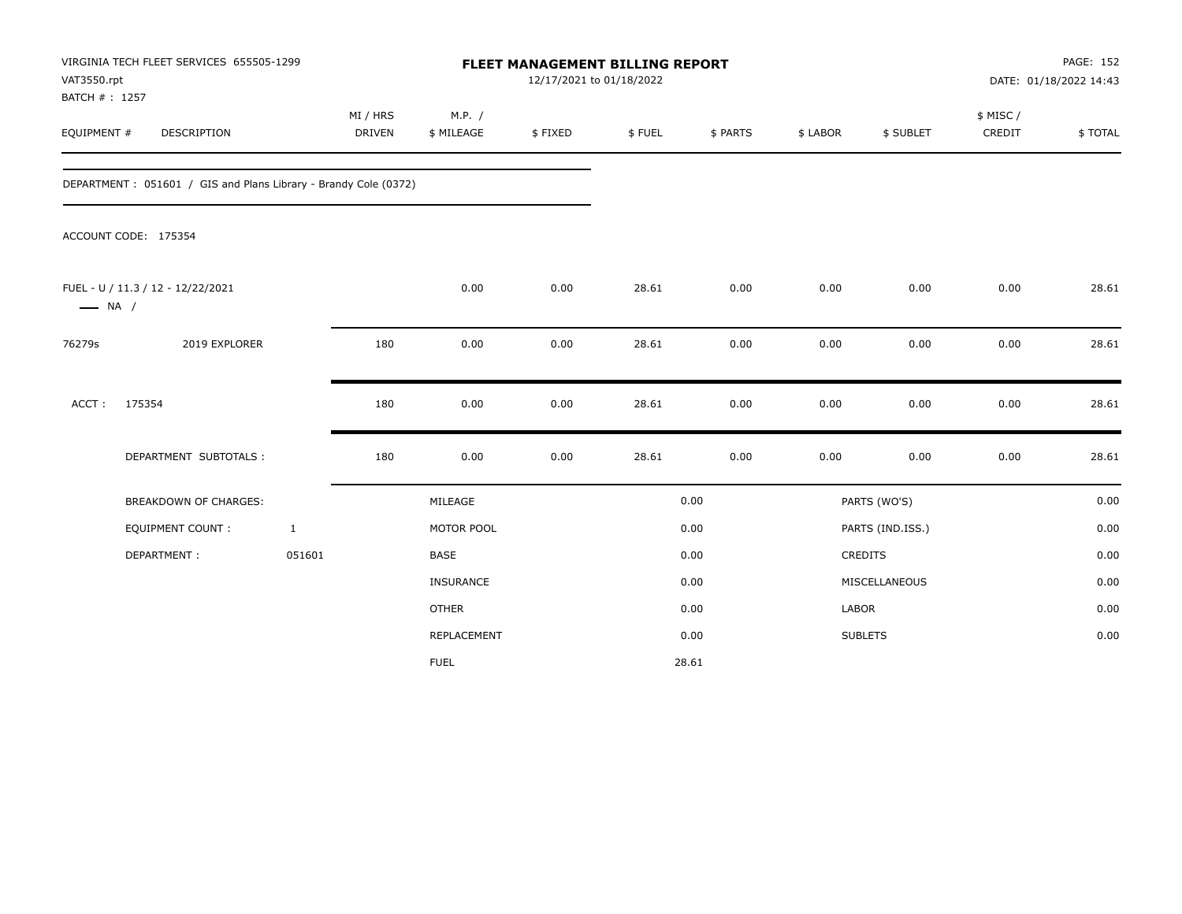| VAT3550.rpt<br>BATCH #: 1257 | VIRGINIA TECH FLEET SERVICES 655505-1299                        |                           |                      |         | <b>FLEET MANAGEMENT BILLING REPORT</b><br>12/17/2021 to 01/18/2022 |          |          |                  | <b>PAGE: 152</b><br>DATE: 01/18/2022 14:43 |         |  |
|------------------------------|-----------------------------------------------------------------|---------------------------|----------------------|---------|--------------------------------------------------------------------|----------|----------|------------------|--------------------------------------------|---------|--|
| EQUIPMENT #                  | DESCRIPTION                                                     | MI / HRS<br><b>DRIVEN</b> | M.P. /<br>\$ MILEAGE | \$FIXED | \$FUEL                                                             | \$ PARTS | \$ LABOR | \$ SUBLET        | \$ MISC/<br>CREDIT                         | \$TOTAL |  |
|                              | DEPARTMENT: 051601 / GIS and Plans Library - Brandy Cole (0372) |                           |                      |         |                                                                    |          |          |                  |                                            |         |  |
|                              | ACCOUNT CODE: 175354                                            |                           |                      |         |                                                                    |          |          |                  |                                            |         |  |
| $\longrightarrow$ NA /       | FUEL - U / 11.3 / 12 - 12/22/2021                               |                           | 0.00                 | 0.00    | 28.61                                                              | 0.00     | 0.00     | 0.00             | 0.00                                       | 28.61   |  |
| 76279s                       | 2019 EXPLORER                                                   | 180                       | 0.00                 | 0.00    | 28.61                                                              | 0.00     | 0.00     | 0.00             | 0.00                                       | 28.61   |  |
| ACCT:                        | 175354                                                          | 180                       | 0.00                 | 0.00    | 28.61                                                              | 0.00     | 0.00     | 0.00             | 0.00                                       | 28.61   |  |
|                              | DEPARTMENT SUBTOTALS :                                          | 180                       | 0.00                 | 0.00    | 28.61                                                              | 0.00     | 0.00     | 0.00             | 0.00                                       | 28.61   |  |
|                              | <b>BREAKDOWN OF CHARGES:</b>                                    |                           | MILEAGE              |         |                                                                    | 0.00     |          | PARTS (WO'S)     |                                            | 0.00    |  |
|                              | EQUIPMENT COUNT:                                                | $\mathbf{1}$              | MOTOR POOL           |         |                                                                    | 0.00     |          | PARTS (IND.ISS.) |                                            | 0.00    |  |
|                              | DEPARTMENT:                                                     | 051601                    | <b>BASE</b>          |         |                                                                    | 0.00     |          | <b>CREDITS</b>   |                                            | 0.00    |  |
|                              |                                                                 |                           | INSURANCE            |         |                                                                    | 0.00     |          | MISCELLANEOUS    |                                            | 0.00    |  |
|                              |                                                                 |                           | <b>OTHER</b>         |         |                                                                    | 0.00     | LABOR    |                  |                                            | 0.00    |  |
|                              |                                                                 |                           | REPLACEMENT          |         |                                                                    | 0.00     |          | <b>SUBLETS</b>   |                                            | 0.00    |  |
|                              |                                                                 |                           | <b>FUEL</b>          |         |                                                                    | 28.61    |          |                  |                                            |         |  |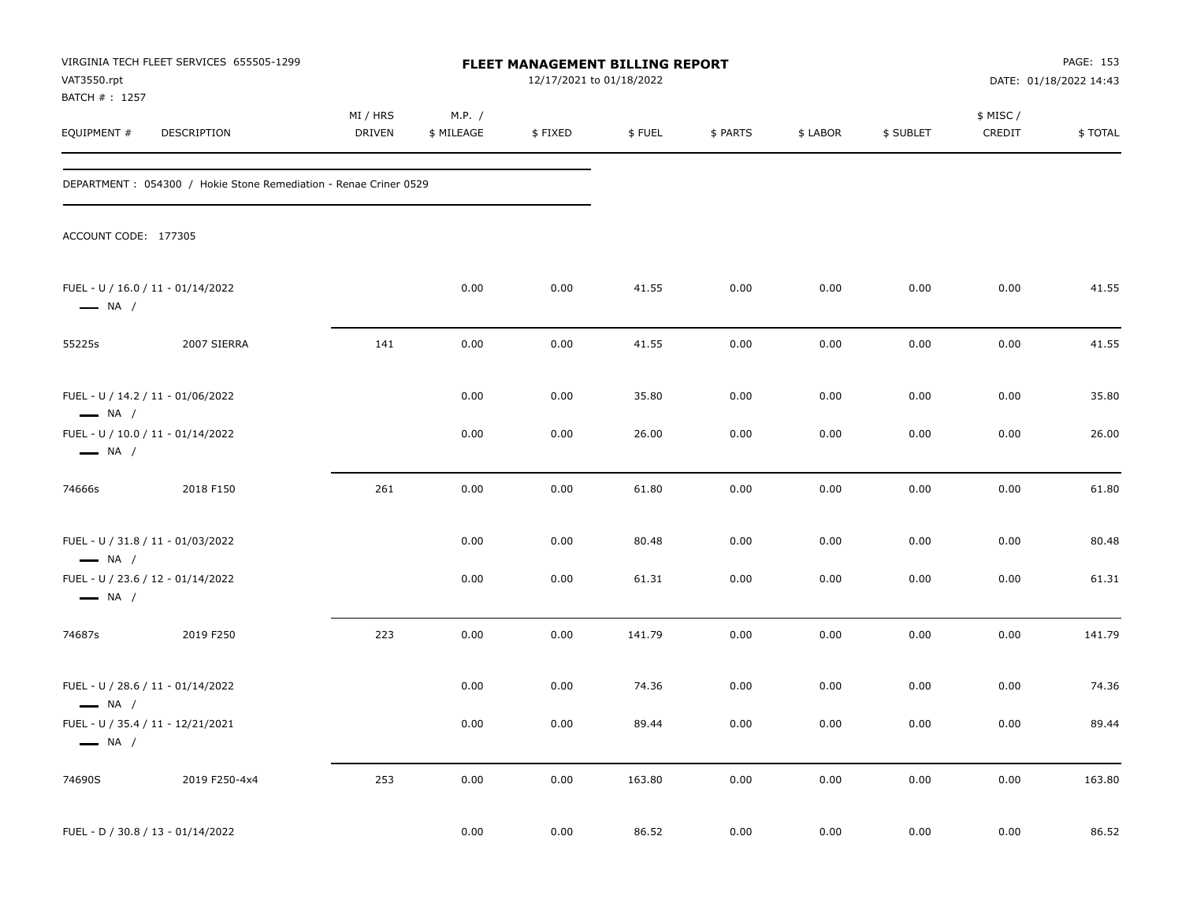| VAT3550.rpt                                                 | VIRGINIA TECH FLEET SERVICES 655505-1299                          |                    |                      |         | FLEET MANAGEMENT BILLING REPORT<br>12/17/2021 to 01/18/2022 |          |          |           | PAGE: 153<br>DATE: 01/18/2022 14:43 |         |
|-------------------------------------------------------------|-------------------------------------------------------------------|--------------------|----------------------|---------|-------------------------------------------------------------|----------|----------|-----------|-------------------------------------|---------|
| BATCH #: 1257<br>EQUIPMENT #                                | DESCRIPTION                                                       | MI / HRS<br>DRIVEN | M.P. /<br>\$ MILEAGE | \$FIXED | \$FUEL                                                      | \$ PARTS | \$ LABOR | \$ SUBLET | \$ MISC /<br>CREDIT                 | \$TOTAL |
|                                                             | DEPARTMENT : 054300 / Hokie Stone Remediation - Renae Criner 0529 |                    |                      |         |                                                             |          |          |           |                                     |         |
| ACCOUNT CODE: 177305                                        |                                                                   |                    |                      |         |                                                             |          |          |           |                                     |         |
| FUEL - U / 16.0 / 11 - 01/14/2022<br>$\longrightarrow$ NA / |                                                                   |                    | 0.00                 | 0.00    | 41.55                                                       | 0.00     | 0.00     | 0.00      | 0.00                                | 41.55   |
| 55225s                                                      | 2007 SIERRA                                                       | 141                | 0.00                 | 0.00    | 41.55                                                       | 0.00     | 0.00     | 0.00      | 0.00                                | 41.55   |
| FUEL - U / 14.2 / 11 - 01/06/2022<br>$\longrightarrow$ NA / |                                                                   |                    | 0.00                 | 0.00    | 35.80                                                       | 0.00     | 0.00     | 0.00      | 0.00                                | 35.80   |
| FUEL - U / 10.0 / 11 - 01/14/2022<br>$\longrightarrow$ NA / |                                                                   |                    | 0.00                 | 0.00    | 26.00                                                       | 0.00     | 0.00     | 0.00      | 0.00                                | 26.00   |
| 74666s                                                      | 2018 F150                                                         | 261                | 0.00                 | 0.00    | 61.80                                                       | 0.00     | 0.00     | 0.00      | 0.00                                | 61.80   |
| FUEL - U / 31.8 / 11 - 01/03/2022<br>$\longrightarrow$ NA / |                                                                   |                    | 0.00                 | 0.00    | 80.48                                                       | 0.00     | 0.00     | 0.00      | 0.00                                | 80.48   |
| FUEL - U / 23.6 / 12 - 01/14/2022<br>$\longrightarrow$ NA / |                                                                   |                    | 0.00                 | 0.00    | 61.31                                                       | 0.00     | 0.00     | 0.00      | 0.00                                | 61.31   |
| 74687s                                                      | 2019 F250                                                         | 223                | 0.00                 | 0.00    | 141.79                                                      | 0.00     | 0.00     | 0.00      | 0.00                                | 141.79  |
| FUEL - U / 28.6 / 11 - 01/14/2022<br>$\longrightarrow$ NA / |                                                                   |                    | 0.00                 | 0.00    | 74.36                                                       | 0.00     | 0.00     | 0.00      | 0.00                                | 74.36   |
| FUEL - U / 35.4 / 11 - 12/21/2021<br>$\longrightarrow$ NA / |                                                                   |                    | $0.00\,$             | 0.00    | 89.44                                                       | 0.00     | $0.00\,$ | 0.00      | 0.00                                | 89.44   |
| 74690S                                                      | 2019 F250-4x4                                                     | 253                | 0.00                 | 0.00    | 163.80                                                      | 0.00     | 0.00     | 0.00      | $0.00\,$                            | 163.80  |
| FUEL - D / 30.8 / 13 - 01/14/2022                           |                                                                   |                    | 0.00                 | 0.00    | 86.52                                                       | 0.00     | 0.00     | 0.00      | 0.00                                | 86.52   |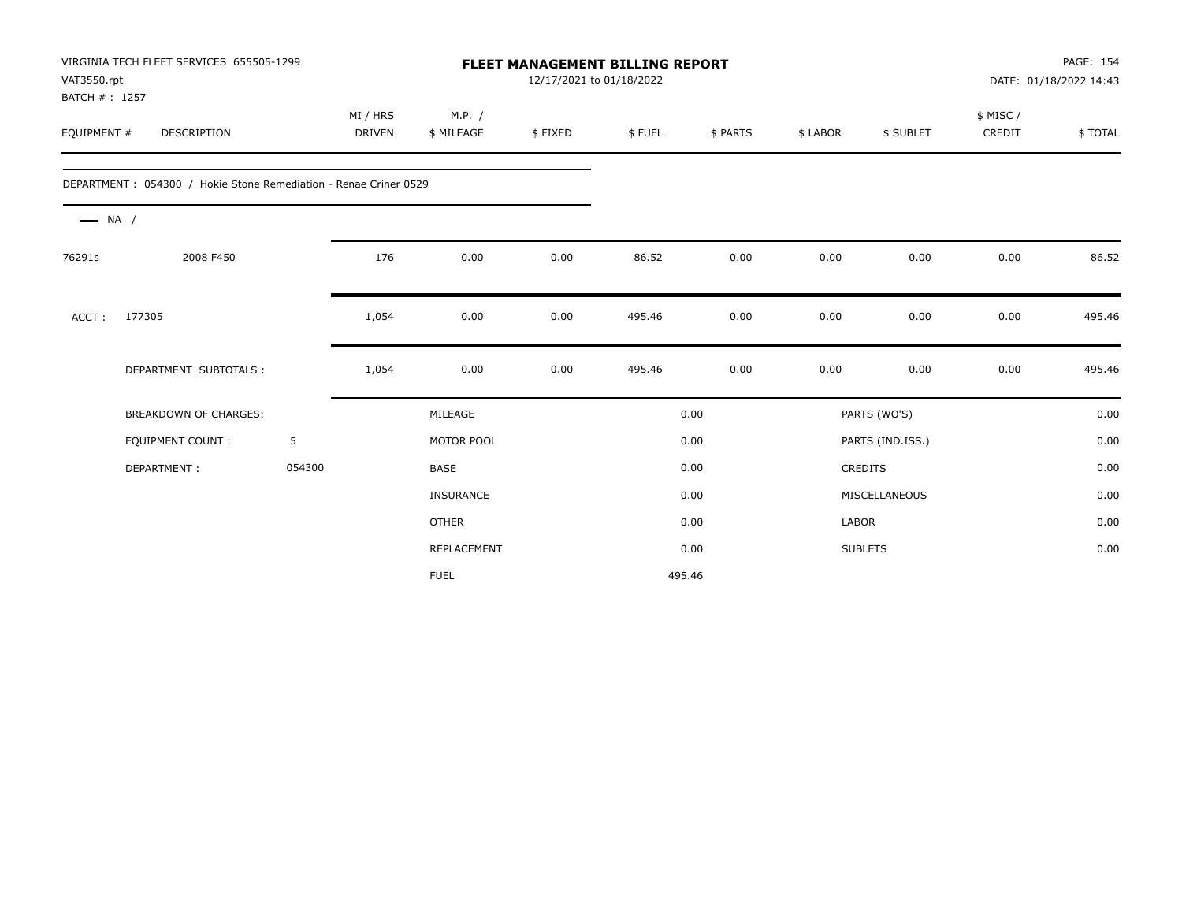| VAT3550.rpt<br>BATCH #: 1257 | VIRGINIA TECH FLEET SERVICES 655505-1299                          |        | <b>FLEET MANAGEMENT BILLING REPORT</b><br>12/17/2021 to 01/18/2022 |                      |         |        |          |          |                  | PAGE: 154<br>DATE: 01/18/2022 14:43 |         |
|------------------------------|-------------------------------------------------------------------|--------|--------------------------------------------------------------------|----------------------|---------|--------|----------|----------|------------------|-------------------------------------|---------|
| EQUIPMENT #                  | <b>DESCRIPTION</b>                                                |        | MI / HRS<br>DRIVEN                                                 | M.P. /<br>\$ MILEAGE | \$FIXED | \$FUEL | \$ PARTS | \$ LABOR | \$ SUBLET        | \$ MISC/<br>CREDIT                  | \$TOTAL |
|                              | DEPARTMENT : 054300 / Hokie Stone Remediation - Renae Criner 0529 |        |                                                                    |                      |         |        |          |          |                  |                                     |         |
| $\longrightarrow$ NA /       |                                                                   |        |                                                                    |                      |         |        |          |          |                  |                                     |         |
| 76291s                       | 2008 F450                                                         |        | 176                                                                | 0.00                 | 0.00    | 86.52  | 0.00     | 0.00     | 0.00             | 0.00                                | 86.52   |
| ACCT:                        | 177305                                                            |        | 1,054                                                              | 0.00                 | 0.00    | 495.46 | 0.00     | 0.00     | 0.00             | 0.00                                | 495.46  |
|                              | DEPARTMENT SUBTOTALS :                                            |        | 1,054                                                              | 0.00                 | 0.00    | 495.46 | 0.00     | 0.00     | 0.00             | 0.00                                | 495.46  |
|                              | <b>BREAKDOWN OF CHARGES:</b>                                      |        |                                                                    | MILEAGE              |         |        | 0.00     |          | PARTS (WO'S)     |                                     | 0.00    |
|                              | <b>EQUIPMENT COUNT:</b>                                           | 5      |                                                                    | MOTOR POOL           |         |        | 0.00     |          | PARTS (IND.ISS.) |                                     | 0.00    |
|                              | DEPARTMENT:                                                       | 054300 |                                                                    | <b>BASE</b>          |         |        | 0.00     |          | CREDITS          |                                     | 0.00    |
|                              |                                                                   |        |                                                                    | INSURANCE            |         |        | 0.00     |          | MISCELLANEOUS    |                                     | 0.00    |
|                              |                                                                   |        |                                                                    | <b>OTHER</b>         |         |        | 0.00     | LABOR    |                  |                                     | 0.00    |
|                              |                                                                   |        |                                                                    | REPLACEMENT          |         |        | 0.00     |          | <b>SUBLETS</b>   |                                     | 0.00    |
|                              |                                                                   |        |                                                                    | <b>FUEL</b>          |         | 495.46 |          |          |                  |                                     |         |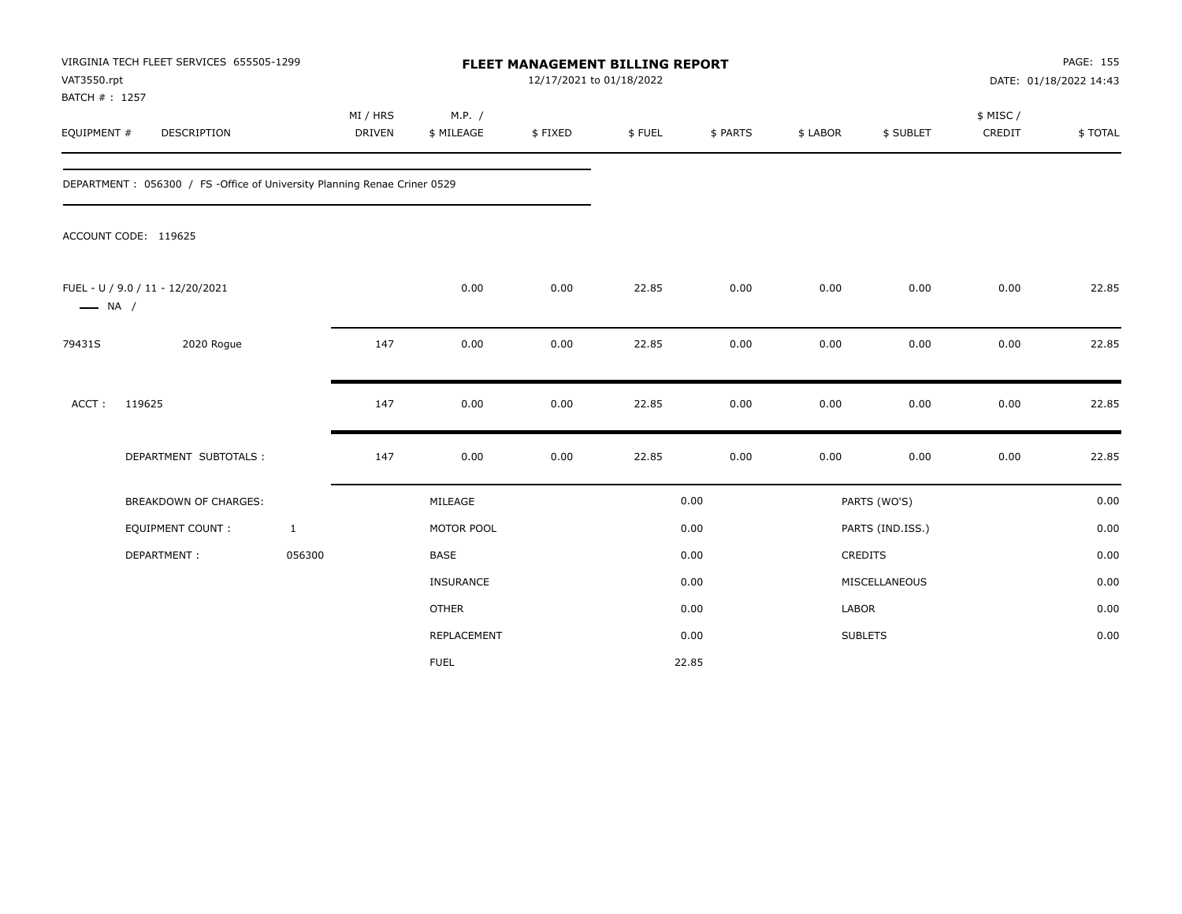| VAT3550.rpt<br>BATCH #: 1257 | VIRGINIA TECH FLEET SERVICES 655505-1299                                 |                           |                      | FLEET MANAGEMENT BILLING REPORT<br>12/17/2021 to 01/18/2022 |        |          |          |                  |                     | PAGE: 155<br>DATE: 01/18/2022 14:43 |
|------------------------------|--------------------------------------------------------------------------|---------------------------|----------------------|-------------------------------------------------------------|--------|----------|----------|------------------|---------------------|-------------------------------------|
| EQUIPMENT #                  | DESCRIPTION                                                              | MI / HRS<br><b>DRIVEN</b> | M.P. /<br>\$ MILEAGE | \$FIXED                                                     | \$FUEL | \$ PARTS | \$ LABOR | \$ SUBLET        | \$ MISC /<br>CREDIT | \$TOTAL                             |
|                              | DEPARTMENT: 056300 / FS -Office of University Planning Renae Criner 0529 |                           |                      |                                                             |        |          |          |                  |                     |                                     |
|                              | ACCOUNT CODE: 119625                                                     |                           |                      |                                                             |        |          |          |                  |                     |                                     |
| $\longrightarrow$ NA /       | FUEL - U / 9.0 / 11 - 12/20/2021                                         |                           | 0.00                 | 0.00                                                        | 22.85  | 0.00     | 0.00     | 0.00             | 0.00                | 22.85                               |
| 79431S                       | 2020 Rogue                                                               | 147                       | 0.00                 | 0.00                                                        | 22.85  | 0.00     | 0.00     | 0.00             | 0.00                | 22.85                               |
| ACCT:                        | 119625                                                                   | 147                       | 0.00                 | 0.00                                                        | 22.85  | 0.00     | 0.00     | 0.00             | 0.00                | 22.85                               |
|                              | DEPARTMENT SUBTOTALS :                                                   | 147                       | 0.00                 | 0.00                                                        | 22.85  | 0.00     | 0.00     | 0.00             | 0.00                | 22.85                               |
|                              | <b>BREAKDOWN OF CHARGES:</b>                                             |                           | MILEAGE              |                                                             |        | 0.00     |          | PARTS (WO'S)     |                     | 0.00                                |
|                              | <b>EQUIPMENT COUNT:</b>                                                  | $\mathbf{1}$              | MOTOR POOL           |                                                             |        | 0.00     |          | PARTS (IND.ISS.) |                     | 0.00                                |
|                              | DEPARTMENT:                                                              | 056300                    | <b>BASE</b>          |                                                             |        | 0.00     |          | CREDITS          |                     | 0.00                                |
|                              |                                                                          |                           | INSURANCE            |                                                             |        | 0.00     |          | MISCELLANEOUS    |                     | 0.00                                |
|                              |                                                                          |                           | <b>OTHER</b>         |                                                             |        | 0.00     | LABOR    |                  |                     | 0.00                                |
|                              |                                                                          |                           | REPLACEMENT          |                                                             |        | 0.00     |          | <b>SUBLETS</b>   |                     | 0.00                                |
|                              |                                                                          |                           | <b>FUEL</b>          |                                                             |        | 22.85    |          |                  |                     |                                     |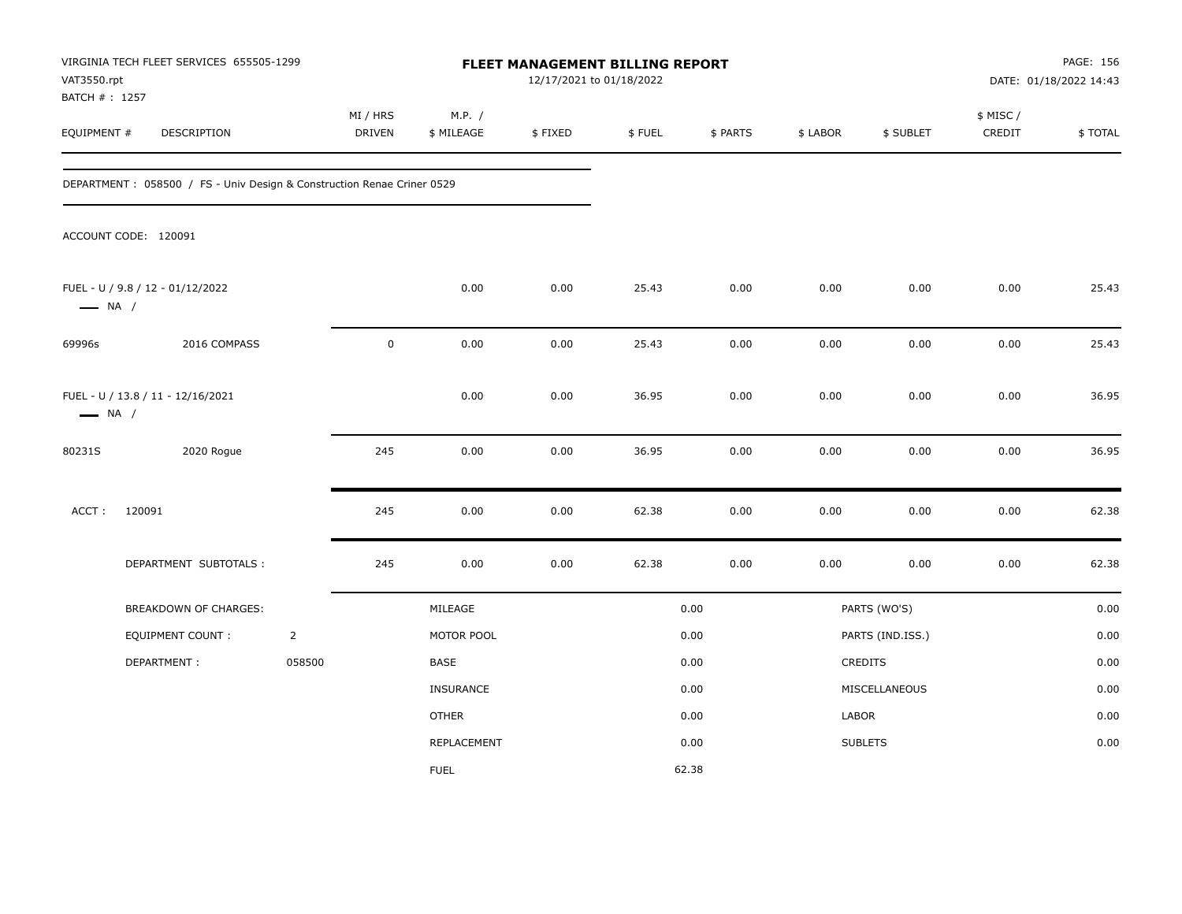| VAT3550.rpt<br>BATCH # : 1257 | VIRGINIA TECH FLEET SERVICES 655505-1299                               |                | FLEET MANAGEMENT BILLING REPORT<br>12/17/2021 to 01/18/2022 |                      |         |        |          |          |                  |                     | PAGE: 156<br>DATE: 01/18/2022 14:43 |
|-------------------------------|------------------------------------------------------------------------|----------------|-------------------------------------------------------------|----------------------|---------|--------|----------|----------|------------------|---------------------|-------------------------------------|
| EQUIPMENT #                   | DESCRIPTION                                                            |                | MI / HRS<br><b>DRIVEN</b>                                   | M.P. /<br>\$ MILEAGE | \$FIXED | \$FUEL | \$ PARTS | \$ LABOR | \$ SUBLET        | \$ MISC /<br>CREDIT | \$TOTAL                             |
|                               | DEPARTMENT: 058500 / FS - Univ Design & Construction Renae Criner 0529 |                |                                                             |                      |         |        |          |          |                  |                     |                                     |
|                               | ACCOUNT CODE: 120091                                                   |                |                                                             |                      |         |        |          |          |                  |                     |                                     |
| $\longrightarrow$ NA /        | FUEL - U / 9.8 / 12 - 01/12/2022                                       |                |                                                             | 0.00                 | 0.00    | 25.43  | 0.00     | 0.00     | 0.00             | 0.00                | 25.43                               |
| 69996s                        | 2016 COMPASS                                                           |                | $\pmb{0}$                                                   | 0.00                 | 0.00    | 25.43  | 0.00     | 0.00     | 0.00             | 0.00                | 25.43                               |
| $\longrightarrow$ NA /        | FUEL - U / 13.8 / 11 - 12/16/2021                                      |                |                                                             | 0.00                 | 0.00    | 36.95  | 0.00     | 0.00     | 0.00             | 0.00                | 36.95                               |
| 80231S                        | 2020 Rogue                                                             |                | 245                                                         | 0.00                 | 0.00    | 36.95  | 0.00     | 0.00     | 0.00             | 0.00                | 36.95                               |
| ACCT:                         | 120091                                                                 |                | 245                                                         | 0.00                 | 0.00    | 62.38  | 0.00     | 0.00     | 0.00             | 0.00                | 62.38                               |
|                               | DEPARTMENT SUBTOTALS :                                                 |                | 245                                                         | 0.00                 | 0.00    | 62.38  | 0.00     | 0.00     | 0.00             | 0.00                | 62.38                               |
|                               | BREAKDOWN OF CHARGES:                                                  |                |                                                             | MILEAGE              |         |        | 0.00     |          | PARTS (WO'S)     |                     | 0.00                                |
|                               | <b>EQUIPMENT COUNT:</b>                                                | $\overline{2}$ |                                                             | MOTOR POOL           |         |        | 0.00     |          | PARTS (IND.ISS.) |                     | 0.00                                |
|                               | DEPARTMENT:                                                            | 058500         |                                                             | <b>BASE</b>          |         |        | 0.00     |          | CREDITS          |                     | 0.00                                |
|                               |                                                                        |                |                                                             | INSURANCE            |         |        | 0.00     |          | MISCELLANEOUS    |                     | 0.00                                |
|                               |                                                                        |                |                                                             | OTHER                |         |        | 0.00     | LABOR    |                  |                     | 0.00                                |
|                               |                                                                        |                |                                                             | REPLACEMENT          |         |        | 0.00     |          | <b>SUBLETS</b>   |                     | 0.00                                |
|                               |                                                                        |                |                                                             | <b>FUEL</b>          |         |        | 62.38    |          |                  |                     |                                     |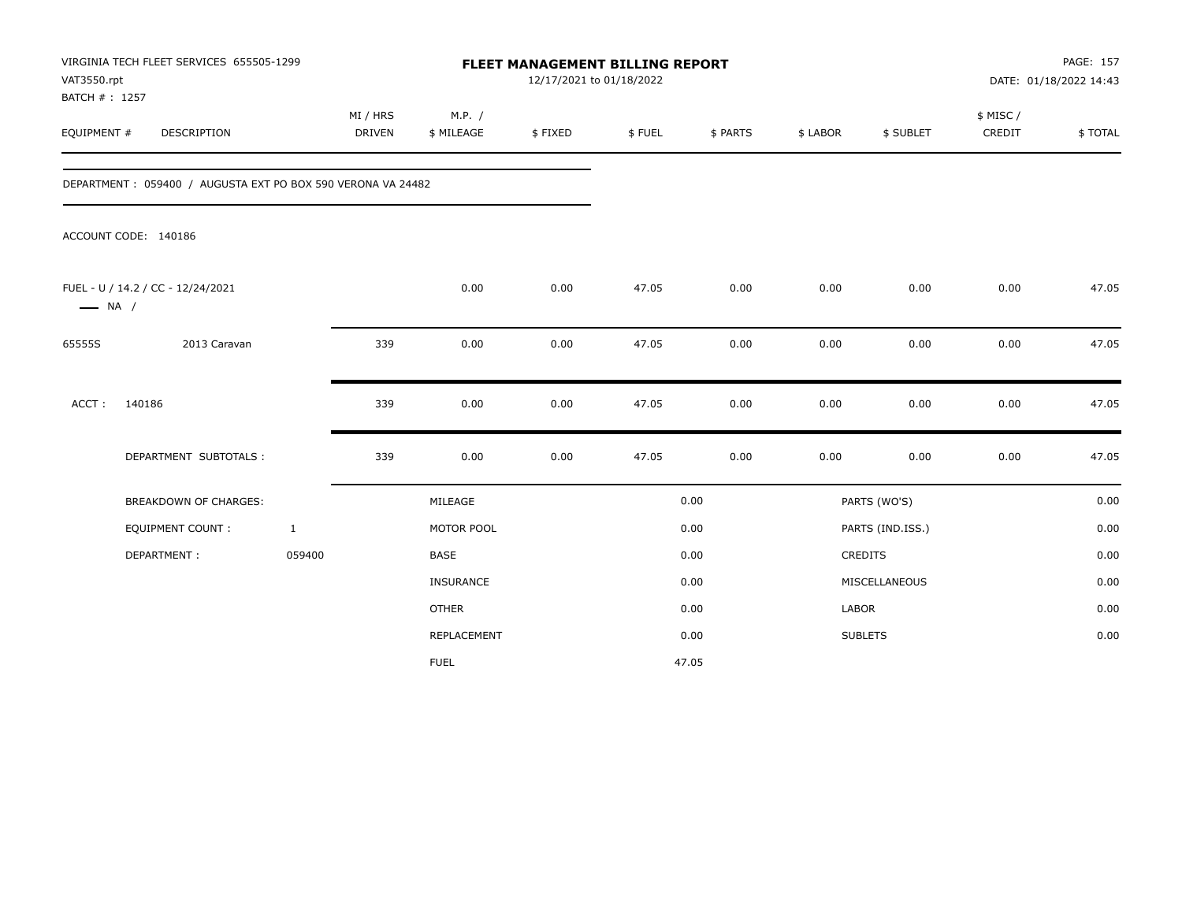| VAT3550.rpt<br>BATCH #: 1257 | VIRGINIA TECH FLEET SERVICES 655505-1299                    |                           |                      | FLEET MANAGEMENT BILLING REPORT<br>12/17/2021 to 01/18/2022 |        |          |          |                  |                     | PAGE: 157<br>DATE: 01/18/2022 14:43 |
|------------------------------|-------------------------------------------------------------|---------------------------|----------------------|-------------------------------------------------------------|--------|----------|----------|------------------|---------------------|-------------------------------------|
| EQUIPMENT #                  | DESCRIPTION                                                 | MI / HRS<br><b>DRIVEN</b> | M.P. /<br>\$ MILEAGE | \$FIXED                                                     | \$FUEL | \$ PARTS | \$ LABOR | \$ SUBLET        | \$ MISC /<br>CREDIT | \$TOTAL                             |
|                              | DEPARTMENT: 059400 / AUGUSTA EXT PO BOX 590 VERONA VA 24482 |                           |                      |                                                             |        |          |          |                  |                     |                                     |
|                              | ACCOUNT CODE: 140186                                        |                           |                      |                                                             |        |          |          |                  |                     |                                     |
| $\longrightarrow$ NA /       | FUEL - U / 14.2 / CC - 12/24/2021                           |                           | 0.00                 | 0.00                                                        | 47.05  | 0.00     | 0.00     | 0.00             | 0.00                | 47.05                               |
| 65555S                       | 2013 Caravan                                                | 339                       | 0.00                 | 0.00                                                        | 47.05  | 0.00     | 0.00     | 0.00             | 0.00                | 47.05                               |
| ACCT:                        | 140186                                                      | 339                       | 0.00                 | 0.00                                                        | 47.05  | 0.00     | 0.00     | 0.00             | 0.00                | 47.05                               |
|                              | DEPARTMENT SUBTOTALS :                                      | 339                       | 0.00                 | 0.00                                                        | 47.05  | 0.00     | 0.00     | 0.00             | 0.00                | 47.05                               |
|                              | <b>BREAKDOWN OF CHARGES:</b>                                |                           | MILEAGE              |                                                             |        | 0.00     |          | PARTS (WO'S)     |                     | 0.00                                |
|                              | <b>EQUIPMENT COUNT:</b>                                     | $\mathbf{1}$              | MOTOR POOL           |                                                             |        | 0.00     |          | PARTS (IND.ISS.) |                     | 0.00                                |
|                              | DEPARTMENT:                                                 | 059400                    | <b>BASE</b>          |                                                             |        | 0.00     |          | <b>CREDITS</b>   |                     | 0.00                                |
|                              |                                                             |                           | <b>INSURANCE</b>     |                                                             |        | 0.00     |          | MISCELLANEOUS    |                     | 0.00                                |
|                              |                                                             |                           | <b>OTHER</b>         |                                                             |        | 0.00     | LABOR    |                  |                     | 0.00                                |
|                              |                                                             |                           | REPLACEMENT          |                                                             |        | 0.00     |          | <b>SUBLETS</b>   |                     | 0.00                                |
|                              |                                                             |                           | <b>FUEL</b>          |                                                             |        | 47.05    |          |                  |                     |                                     |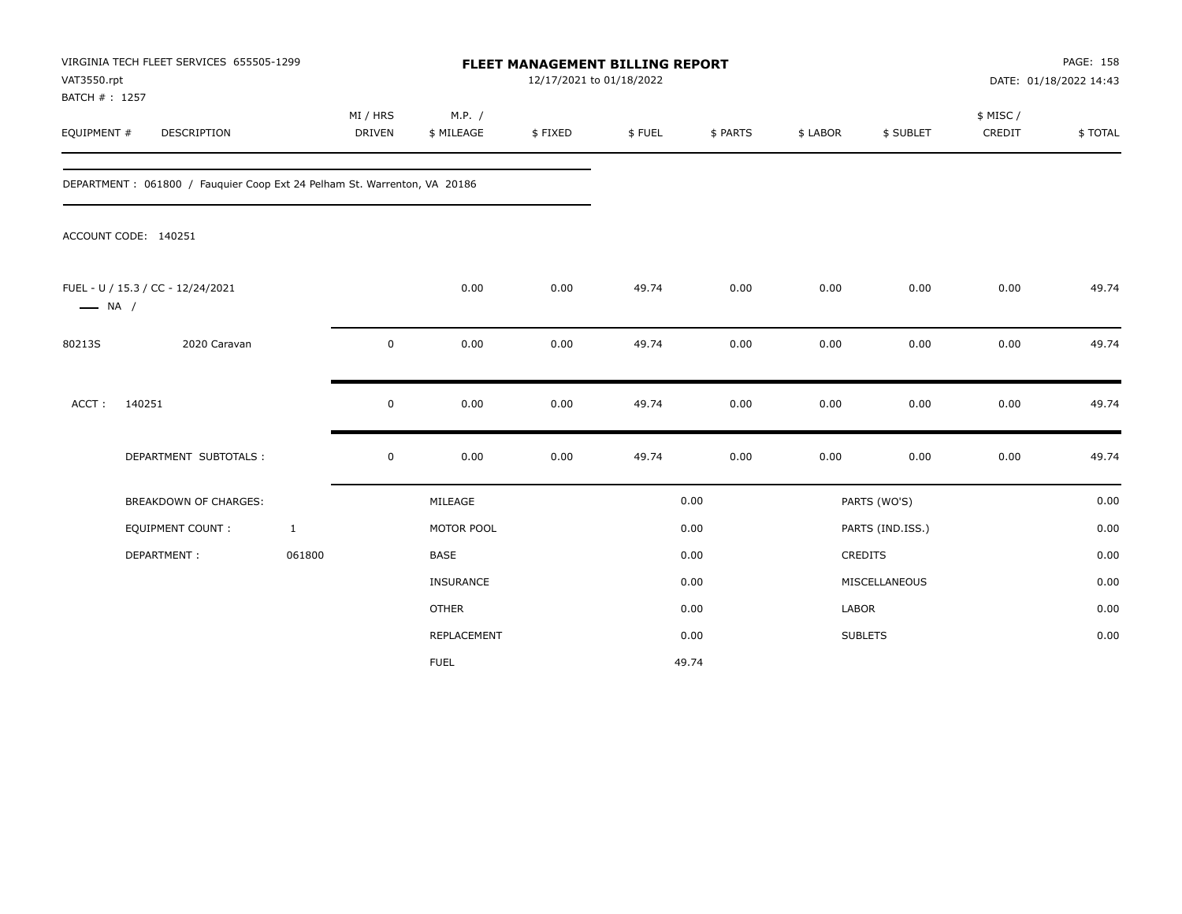| VAT3550.rpt<br>BATCH #: 1257 | VIRGINIA TECH FLEET SERVICES 655505-1299                                 |                           |                      | FLEET MANAGEMENT BILLING REPORT<br>12/17/2021 to 01/18/2022 |        |          |              |                  |                     | PAGE: 158<br>DATE: 01/18/2022 14:43 |
|------------------------------|--------------------------------------------------------------------------|---------------------------|----------------------|-------------------------------------------------------------|--------|----------|--------------|------------------|---------------------|-------------------------------------|
| EQUIPMENT #                  | DESCRIPTION                                                              | MI / HRS<br><b>DRIVEN</b> | M.P. /<br>\$ MILEAGE | \$FIXED                                                     | \$FUEL | \$ PARTS | \$ LABOR     | \$ SUBLET        | \$ MISC /<br>CREDIT | \$TOTAL                             |
|                              | DEPARTMENT: 061800 / Fauguier Coop Ext 24 Pelham St. Warrenton, VA 20186 |                           |                      |                                                             |        |          |              |                  |                     |                                     |
|                              | ACCOUNT CODE: 140251                                                     |                           |                      |                                                             |        |          |              |                  |                     |                                     |
| $\longrightarrow$ NA /       | FUEL - U / 15.3 / CC - 12/24/2021                                        |                           | 0.00                 | 0.00                                                        | 49.74  | 0.00     | 0.00         | 0.00             | 0.00                | 49.74                               |
| 80213S                       | 2020 Caravan                                                             | $\mathbf 0$               | 0.00                 | 0.00                                                        | 49.74  | 0.00     | 0.00         | 0.00             | 0.00                | 49.74                               |
| ACCT:                        | 140251                                                                   | 0                         | 0.00                 | 0.00                                                        | 49.74  | 0.00     | 0.00         | 0.00             | 0.00                | 49.74                               |
|                              | DEPARTMENT SUBTOTALS :                                                   | $\mathsf 0$               | 0.00                 | 0.00                                                        | 49.74  | 0.00     | 0.00         | 0.00             | 0.00                | 49.74                               |
|                              | <b>BREAKDOWN OF CHARGES:</b>                                             |                           | MILEAGE              |                                                             |        | 0.00     |              | PARTS (WO'S)     |                     | 0.00                                |
|                              | <b>EQUIPMENT COUNT:</b>                                                  | $\mathbf{1}$              | MOTOR POOL           |                                                             |        | 0.00     |              | PARTS (IND.ISS.) |                     | 0.00                                |
|                              | DEPARTMENT:                                                              | 061800                    | BASE                 |                                                             |        | 0.00     |              | CREDITS          |                     | 0.00                                |
|                              |                                                                          |                           | INSURANCE            |                                                             |        | 0.00     |              | MISCELLANEOUS    |                     | 0.00                                |
|                              |                                                                          |                           | <b>OTHER</b>         |                                                             |        | 0.00     | <b>LABOR</b> |                  |                     | 0.00                                |
|                              |                                                                          |                           | REPLACEMENT          |                                                             |        | 0.00     |              | <b>SUBLETS</b>   |                     | 0.00                                |
|                              |                                                                          |                           | <b>FUEL</b>          |                                                             |        | 49.74    |              |                  |                     |                                     |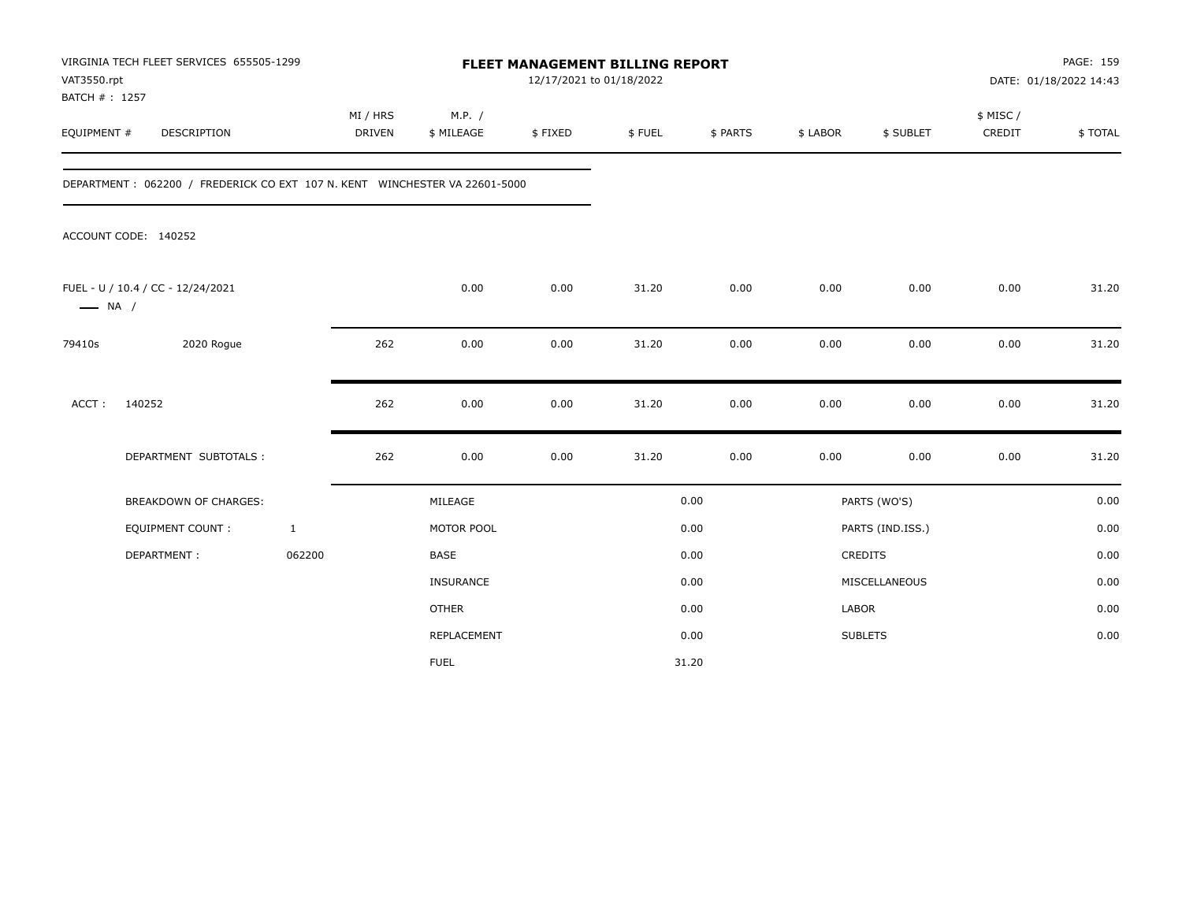| VAT3550.rpt<br>BATCH #: 1257 | VIRGINIA TECH FLEET SERVICES 655505-1299                                   |                    |                      | <b>FLEET MANAGEMENT BILLING REPORT</b><br>12/17/2021 to 01/18/2022 |        |          |          |                  |                     | PAGE: 159<br>DATE: 01/18/2022 14:43 |
|------------------------------|----------------------------------------------------------------------------|--------------------|----------------------|--------------------------------------------------------------------|--------|----------|----------|------------------|---------------------|-------------------------------------|
| EQUIPMENT #                  | <b>DESCRIPTION</b>                                                         | MI / HRS<br>DRIVEN | M.P. /<br>\$ MILEAGE | \$FIXED                                                            | \$FUEL | \$ PARTS | \$ LABOR | \$ SUBLET        | \$ MISC /<br>CREDIT | \$TOTAL                             |
|                              | DEPARTMENT: 062200 / FREDERICK CO EXT 107 N. KENT WINCHESTER VA 22601-5000 |                    |                      |                                                                    |        |          |          |                  |                     |                                     |
|                              | ACCOUNT CODE: 140252                                                       |                    |                      |                                                                    |        |          |          |                  |                     |                                     |
| $\longrightarrow$ NA /       | FUEL - U / 10.4 / CC - 12/24/2021                                          |                    | 0.00                 | 0.00                                                               | 31.20  | 0.00     | 0.00     | 0.00             | 0.00                | 31.20                               |
| 79410s                       | 2020 Rogue                                                                 | 262                | 0.00                 | 0.00                                                               | 31.20  | 0.00     | 0.00     | 0.00             | 0.00                | 31.20                               |
| ACCT:                        | 140252                                                                     | 262                | 0.00                 | 0.00                                                               | 31.20  | 0.00     | 0.00     | 0.00             | 0.00                | 31.20                               |
|                              | DEPARTMENT SUBTOTALS :                                                     | 262                | 0.00                 | 0.00                                                               | 31.20  | 0.00     | 0.00     | 0.00             | 0.00                | 31.20                               |
|                              | <b>BREAKDOWN OF CHARGES:</b>                                               |                    | MILEAGE              |                                                                    |        | 0.00     |          | PARTS (WO'S)     |                     | 0.00                                |
|                              | <b>EQUIPMENT COUNT:</b>                                                    | $\mathbf{1}$       | MOTOR POOL           |                                                                    |        | 0.00     |          | PARTS (IND.ISS.) |                     | 0.00                                |
|                              | DEPARTMENT:                                                                | 062200             | <b>BASE</b>          |                                                                    |        | 0.00     |          | <b>CREDITS</b>   |                     | 0.00                                |
|                              |                                                                            |                    | <b>INSURANCE</b>     |                                                                    |        | 0.00     |          | MISCELLANEOUS    |                     | 0.00                                |
|                              |                                                                            |                    | <b>OTHER</b>         |                                                                    |        | 0.00     | LABOR    |                  |                     | 0.00                                |
|                              |                                                                            |                    | REPLACEMENT          |                                                                    |        | 0.00     |          | <b>SUBLETS</b>   |                     | 0.00                                |
|                              |                                                                            |                    | <b>FUEL</b>          |                                                                    |        | 31.20    |          |                  |                     |                                     |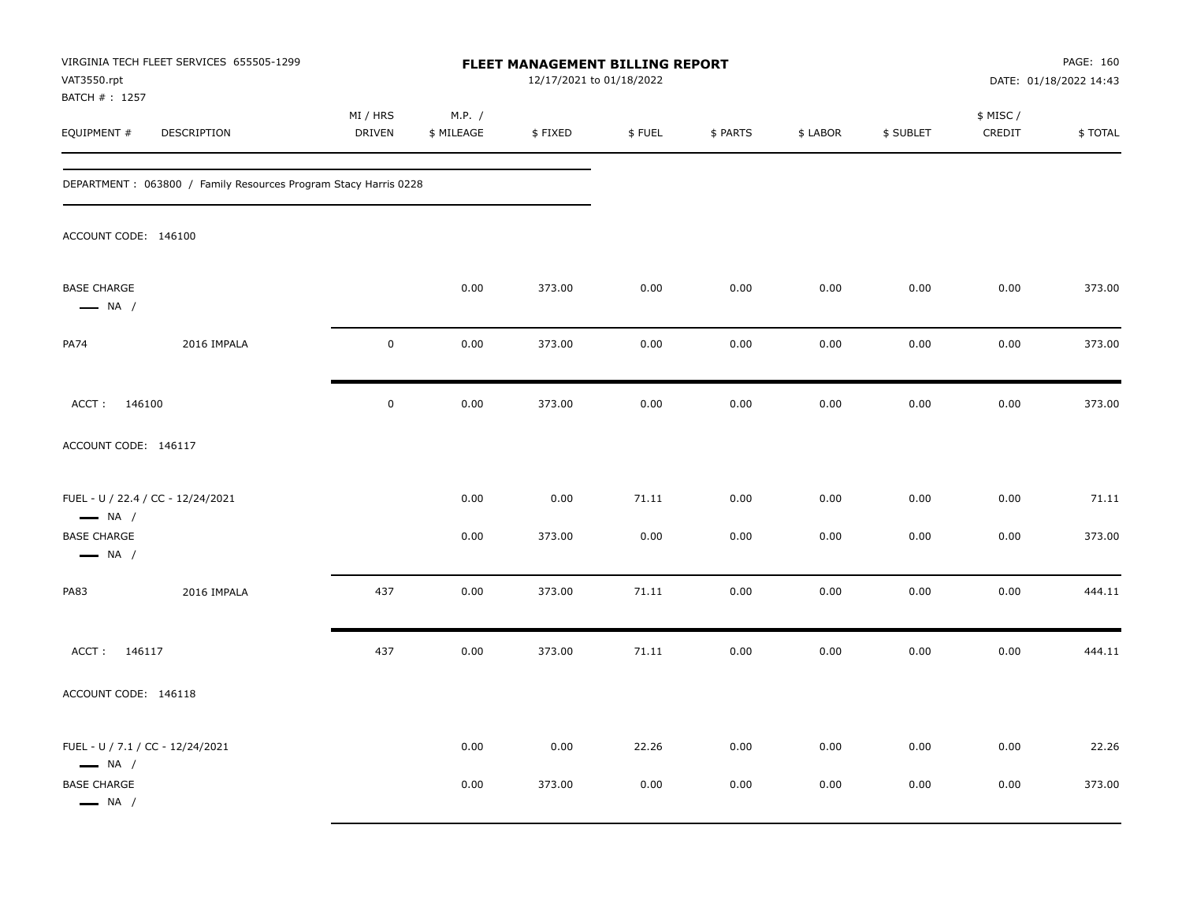| VAT3550.rpt<br>BATCH #: 1257                                | VIRGINIA TECH FLEET SERVICES 655505-1299                        |                           |                      |         | FLEET MANAGEMENT BILLING REPORT<br>12/17/2021 to 01/18/2022 |          |          |           |                     | PAGE: 160<br>DATE: 01/18/2022 14:43 |
|-------------------------------------------------------------|-----------------------------------------------------------------|---------------------------|----------------------|---------|-------------------------------------------------------------|----------|----------|-----------|---------------------|-------------------------------------|
| EQUIPMENT #                                                 | DESCRIPTION                                                     | MI / HRS<br><b>DRIVEN</b> | M.P. /<br>\$ MILEAGE | \$FIXED | \$FUEL                                                      | \$ PARTS | \$ LABOR | \$ SUBLET | \$ MISC /<br>CREDIT | \$TOTAL                             |
|                                                             | DEPARTMENT: 063800 / Family Resources Program Stacy Harris 0228 |                           |                      |         |                                                             |          |          |           |                     |                                     |
| ACCOUNT CODE: 146100                                        |                                                                 |                           |                      |         |                                                             |          |          |           |                     |                                     |
| <b>BASE CHARGE</b><br>$\longrightarrow$ NA /                |                                                                 |                           | 0.00                 | 373.00  | 0.00                                                        | 0.00     | 0.00     | 0.00      | 0.00                | 373.00                              |
| PA74                                                        | 2016 IMPALA                                                     | $\mathbf 0$               | 0.00                 | 373.00  | 0.00                                                        | 0.00     | 0.00     | 0.00      | 0.00                | 373.00                              |
| ACCT:<br>146100                                             |                                                                 | $\mathbf 0$               | 0.00                 | 373.00  | 0.00                                                        | 0.00     | 0.00     | 0.00      | 0.00                | 373.00                              |
| ACCOUNT CODE: 146117                                        |                                                                 |                           |                      |         |                                                             |          |          |           |                     |                                     |
| FUEL - U / 22.4 / CC - 12/24/2021<br>$\longrightarrow$ NA / |                                                                 |                           | 0.00                 | 0.00    | 71.11                                                       | 0.00     | 0.00     | 0.00      | 0.00                | 71.11                               |
| <b>BASE CHARGE</b><br>$\longrightarrow$ NA /                |                                                                 |                           | 0.00                 | 373.00  | 0.00                                                        | 0.00     | 0.00     | 0.00      | 0.00                | 373.00                              |
| <b>PA83</b>                                                 | 2016 IMPALA                                                     | 437                       | 0.00                 | 373.00  | 71.11                                                       | 0.00     | 0.00     | 0.00      | 0.00                | 444.11                              |
| ACCT: 146117                                                |                                                                 | 437                       | 0.00                 | 373.00  | 71.11                                                       | 0.00     | 0.00     | 0.00      | 0.00                | 444.11                              |
| ACCOUNT CODE: 146118                                        |                                                                 |                           |                      |         |                                                             |          |          |           |                     |                                     |
| FUEL - U / 7.1 / CC - 12/24/2021<br>$\longrightarrow$ NA /  |                                                                 |                           | 0.00                 | 0.00    | 22.26                                                       | 0.00     | 0.00     | 0.00      | 0.00                | 22.26                               |
| <b>BASE CHARGE</b><br>$\longrightarrow$ NA /                |                                                                 |                           | 0.00                 | 373.00  | 0.00                                                        | 0.00     | 0.00     | 0.00      | 0.00                | 373.00                              |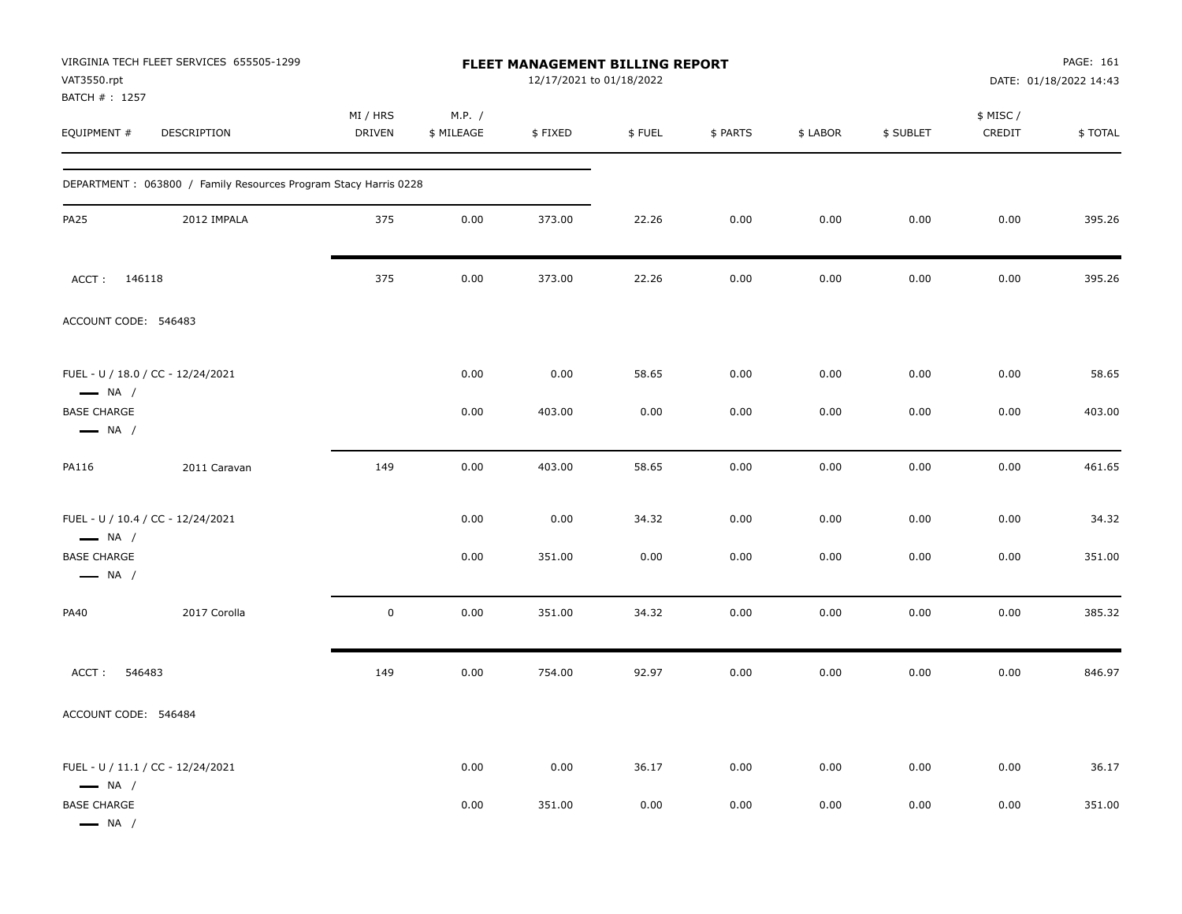| VAT3550.rpt<br>BATCH #: 1257                 | VIRGINIA TECH FLEET SERVICES 655505-1299                        |                           |                      | <b>FLEET MANAGEMENT BILLING REPORT</b><br>12/17/2021 to 01/18/2022 |        |          |          |           |                     | PAGE: 161<br>DATE: 01/18/2022 14:43 |
|----------------------------------------------|-----------------------------------------------------------------|---------------------------|----------------------|--------------------------------------------------------------------|--------|----------|----------|-----------|---------------------|-------------------------------------|
| EQUIPMENT #                                  | DESCRIPTION                                                     | MI / HRS<br><b>DRIVEN</b> | M.P. /<br>\$ MILEAGE | \$FIXED                                                            | \$FUEL | \$ PARTS | \$ LABOR | \$ SUBLET | \$ MISC /<br>CREDIT | \$TOTAL                             |
|                                              | DEPARTMENT: 063800 / Family Resources Program Stacy Harris 0228 |                           |                      |                                                                    |        |          |          |           |                     |                                     |
| <b>PA25</b>                                  | 2012 IMPALA                                                     | 375                       | 0.00                 | 373.00                                                             | 22.26  | 0.00     | 0.00     | 0.00      | 0.00                | 395.26                              |
| ACCT: 146118                                 |                                                                 | 375                       | 0.00                 | 373.00                                                             | 22.26  | 0.00     | 0.00     | 0.00      | 0.00                | 395.26                              |
| ACCOUNT CODE: 546483                         |                                                                 |                           |                      |                                                                    |        |          |          |           |                     |                                     |
| $\longrightarrow$ NA /                       | FUEL - U / 18.0 / CC - 12/24/2021                               |                           | 0.00                 | 0.00                                                               | 58.65  | 0.00     | 0.00     | 0.00      | 0.00                | 58.65                               |
| <b>BASE CHARGE</b><br>$\longrightarrow$ NA / |                                                                 |                           | 0.00                 | 403.00                                                             | 0.00   | 0.00     | 0.00     | 0.00      | 0.00                | 403.00                              |
| PA116                                        | 2011 Caravan                                                    | 149                       | 0.00                 | 403.00                                                             | 58.65  | 0.00     | 0.00     | 0.00      | 0.00                | 461.65                              |
| $\longrightarrow$ NA /                       | FUEL - U / 10.4 / CC - 12/24/2021                               |                           | 0.00                 | 0.00                                                               | 34.32  | 0.00     | 0.00     | 0.00      | 0.00                | 34.32                               |
| <b>BASE CHARGE</b><br>$\longrightarrow$ NA / |                                                                 |                           | 0.00                 | 351.00                                                             | 0.00   | 0.00     | 0.00     | 0.00      | 0.00                | 351.00                              |
| PA40                                         | 2017 Corolla                                                    | $\mathbf 0$               | 0.00                 | 351.00                                                             | 34.32  | 0.00     | 0.00     | 0.00      | 0.00                | 385.32                              |
| ACCT:<br>546483                              |                                                                 | 149                       | 0.00                 | 754.00                                                             | 92.97  | 0.00     | 0.00     | 0.00      | 0.00                | 846.97                              |
| ACCOUNT CODE: 546484                         |                                                                 |                           |                      |                                                                    |        |          |          |           |                     |                                     |
| $\longrightarrow$ NA /                       | FUEL - U / 11.1 / CC - 12/24/2021                               |                           | 0.00                 | 0.00                                                               | 36.17  | 0.00     | 0.00     | 0.00      | 0.00                | 36.17                               |
| <b>BASE CHARGE</b><br>$\longrightarrow$ NA / |                                                                 |                           | 0.00                 | 351.00                                                             | 0.00   | 0.00     | 0.00     | 0.00      | 0.00                | 351.00                              |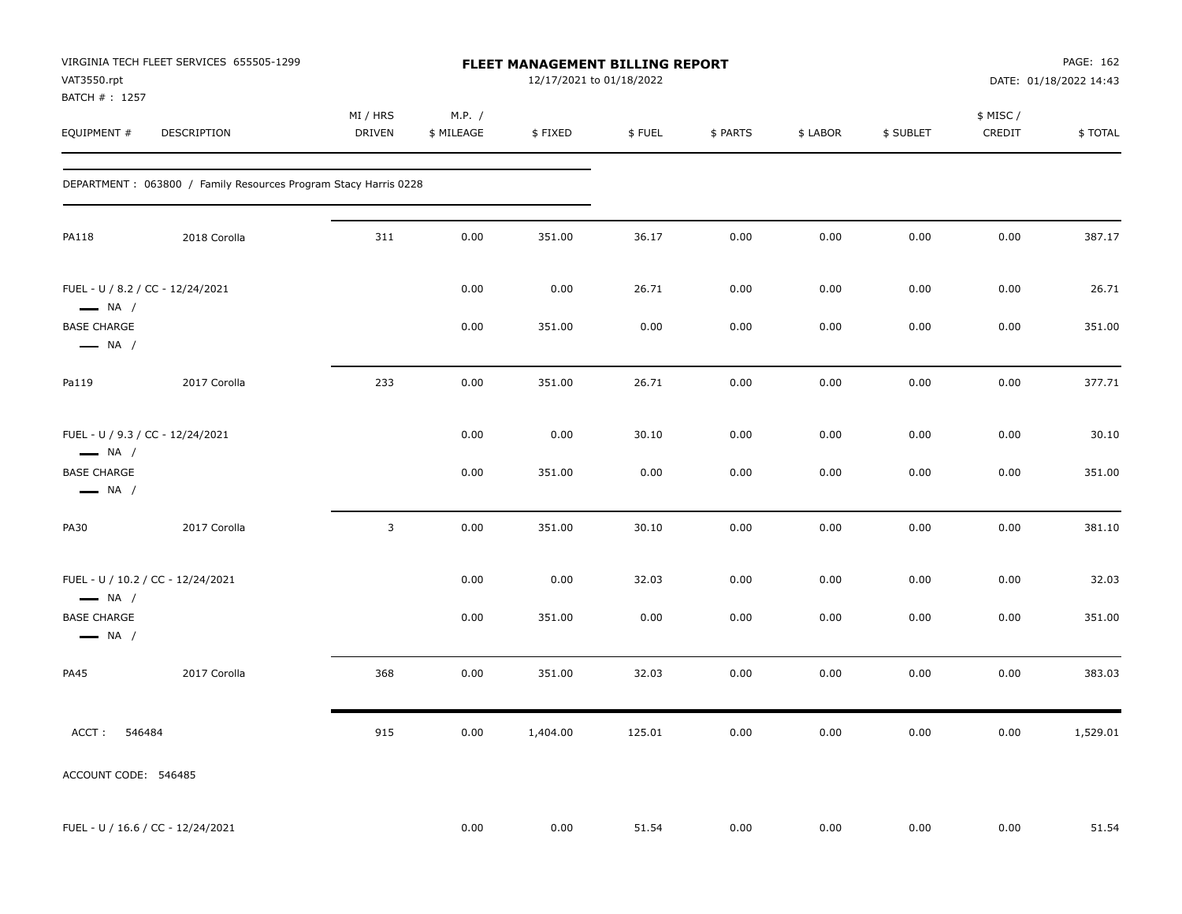| VAT3550.rpt<br>BATCH #: 1257                               | VIRGINIA TECH FLEET SERVICES 655505-1299                         |                    |                      | FLEET MANAGEMENT BILLING REPORT<br>12/17/2021 to 01/18/2022 |        |          |          |           |                    | PAGE: 162<br>DATE: 01/18/2022 14:43 |
|------------------------------------------------------------|------------------------------------------------------------------|--------------------|----------------------|-------------------------------------------------------------|--------|----------|----------|-----------|--------------------|-------------------------------------|
| EQUIPMENT #                                                | DESCRIPTION                                                      | MI / HRS<br>DRIVEN | M.P. /<br>\$ MILEAGE | \$FIXED                                                     | \$FUEL | \$ PARTS | \$ LABOR | \$ SUBLET | \$ MISC/<br>CREDIT | \$TOTAL                             |
|                                                            | DEPARTMENT : 063800 / Family Resources Program Stacy Harris 0228 |                    |                      |                                                             |        |          |          |           |                    |                                     |
| <b>PA118</b>                                               | 2018 Corolla                                                     | 311                | 0.00                 | 351.00                                                      | 36.17  | 0.00     | 0.00     | 0.00      | 0.00               | 387.17                              |
| FUEL - U / 8.2 / CC - 12/24/2021<br>$\longrightarrow$ NA / |                                                                  |                    | 0.00                 | 0.00                                                        | 26.71  | 0.00     | 0.00     | 0.00      | 0.00               | 26.71                               |
| <b>BASE CHARGE</b><br>$\longrightarrow$ NA /               |                                                                  |                    | 0.00                 | 351.00                                                      | 0.00   | 0.00     | 0.00     | 0.00      | 0.00               | 351.00                              |
| Pa119                                                      | 2017 Corolla                                                     | 233                | 0.00                 | 351.00                                                      | 26.71  | 0.00     | 0.00     | 0.00      | 0.00               | 377.71                              |
| FUEL - U / 9.3 / CC - 12/24/2021<br>$\longrightarrow$ NA / |                                                                  |                    | 0.00                 | 0.00                                                        | 30.10  | 0.00     | 0.00     | 0.00      | 0.00               | 30.10                               |
| <b>BASE CHARGE</b><br>$\longrightarrow$ NA /               |                                                                  |                    | 0.00                 | 351.00                                                      | 0.00   | 0.00     | 0.00     | 0.00      | 0.00               | 351.00                              |
| <b>PA30</b>                                                | 2017 Corolla                                                     | 3                  | 0.00                 | 351.00                                                      | 30.10  | 0.00     | 0.00     | 0.00      | 0.00               | 381.10                              |
| $\longrightarrow$ NA /                                     | FUEL - U / 10.2 / CC - 12/24/2021                                |                    | 0.00                 | 0.00                                                        | 32.03  | 0.00     | 0.00     | 0.00      | 0.00               | 32.03                               |
| <b>BASE CHARGE</b><br>$\longrightarrow$ NA /               |                                                                  |                    | 0.00                 | 351.00                                                      | 0.00   | 0.00     | 0.00     | 0.00      | 0.00               | 351.00                              |
| <b>PA45</b>                                                | 2017 Corolla                                                     | 368                | 0.00                 | 351.00                                                      | 32.03  | 0.00     | 0.00     | 0.00      | 0.00               | 383.03                              |
| ACCT:<br>546484                                            |                                                                  | 915                | 0.00                 | 1,404.00                                                    | 125.01 | 0.00     | 0.00     | 0.00      | 0.00               | 1,529.01                            |
| ACCOUNT CODE: 546485                                       |                                                                  |                    |                      |                                                             |        |          |          |           |                    |                                     |
|                                                            | FUEL - U / 16.6 / CC - 12/24/2021                                |                    | 0.00                 | 0.00                                                        | 51.54  | 0.00     | 0.00     | 0.00      | 0.00               | 51.54                               |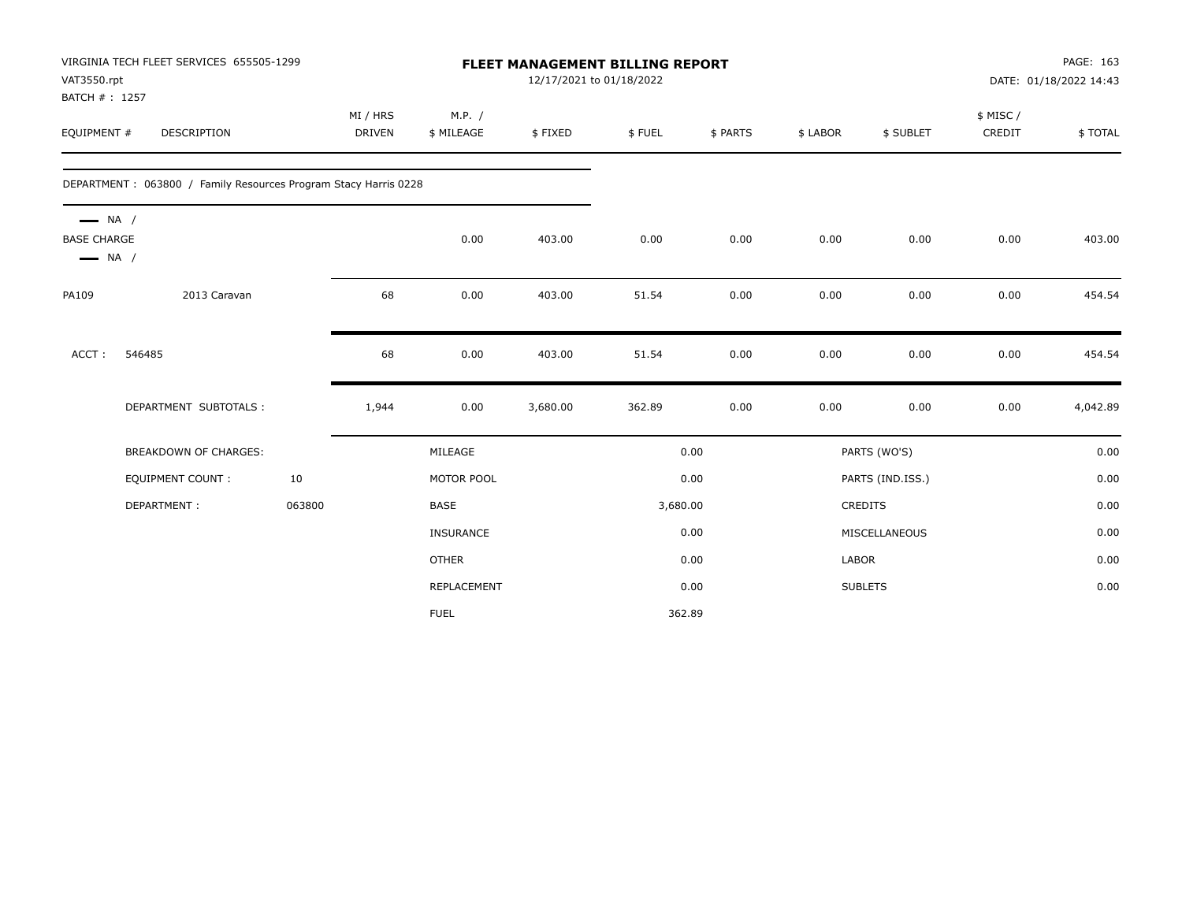| VAT3550.rpt                                  | VIRGINIA TECH FLEET SERVICES 655505-1299                        |        |               |              | <b>FLEET MANAGEMENT BILLING REPORT</b><br>12/17/2021 to 01/18/2022 |          |          |          |                  |          | PAGE: 163<br>DATE: 01/18/2022 14:43 |
|----------------------------------------------|-----------------------------------------------------------------|--------|---------------|--------------|--------------------------------------------------------------------|----------|----------|----------|------------------|----------|-------------------------------------|
| BATCH #: 1257                                |                                                                 |        |               |              |                                                                    |          |          |          |                  |          |                                     |
|                                              |                                                                 |        | MI / HRS      | M.P. /       |                                                                    |          |          |          |                  | \$ MISC/ |                                     |
| EQUIPMENT #                                  | <b>DESCRIPTION</b>                                              |        | <b>DRIVEN</b> | \$ MILEAGE   | \$FIXED                                                            | \$FUEL   | \$ PARTS | \$ LABOR | \$ SUBLET        | CREDIT   | \$TOTAL                             |
|                                              | DEPARTMENT: 063800 / Family Resources Program Stacy Harris 0228 |        |               |              |                                                                    |          |          |          |                  |          |                                     |
| $\longrightarrow$ NA /<br><b>BASE CHARGE</b> |                                                                 |        |               | 0.00         | 403.00                                                             | 0.00     | 0.00     | 0.00     | 0.00             | 0.00     | 403.00                              |
| $\longrightarrow$ NA /                       |                                                                 |        |               |              |                                                                    |          |          |          |                  |          |                                     |
| PA109                                        | 2013 Caravan                                                    |        | 68            | 0.00         | 403.00                                                             | 51.54    | 0.00     | 0.00     | 0.00             | 0.00     | 454.54                              |
| ACCT:                                        | 546485                                                          |        | 68            | 0.00         | 403.00                                                             | 51.54    | 0.00     | 0.00     | 0.00             | 0.00     | 454.54                              |
|                                              | DEPARTMENT SUBTOTALS :                                          |        | 1,944         | 0.00         | 3,680.00                                                           | 362.89   | 0.00     | 0.00     | 0.00             | 0.00     | 4,042.89                            |
|                                              | BREAKDOWN OF CHARGES:                                           |        |               | MILEAGE      |                                                                    |          | 0.00     |          | PARTS (WO'S)     |          | 0.00                                |
|                                              | <b>EQUIPMENT COUNT:</b>                                         | 10     |               | MOTOR POOL   |                                                                    |          | 0.00     |          | PARTS (IND.ISS.) |          | 0.00                                |
|                                              | DEPARTMENT:                                                     | 063800 |               | BASE         |                                                                    | 3,680.00 |          |          | CREDITS          |          | 0.00                                |
|                                              |                                                                 |        |               | INSURANCE    |                                                                    |          | 0.00     |          | MISCELLANEOUS    |          | 0.00                                |
|                                              |                                                                 |        |               | <b>OTHER</b> |                                                                    |          | 0.00     | LABOR    |                  |          | 0.00                                |
|                                              |                                                                 |        |               | REPLACEMENT  |                                                                    |          | 0.00     |          | <b>SUBLETS</b>   |          | 0.00                                |
|                                              |                                                                 |        |               | <b>FUEL</b>  |                                                                    |          | 362.89   |          |                  |          |                                     |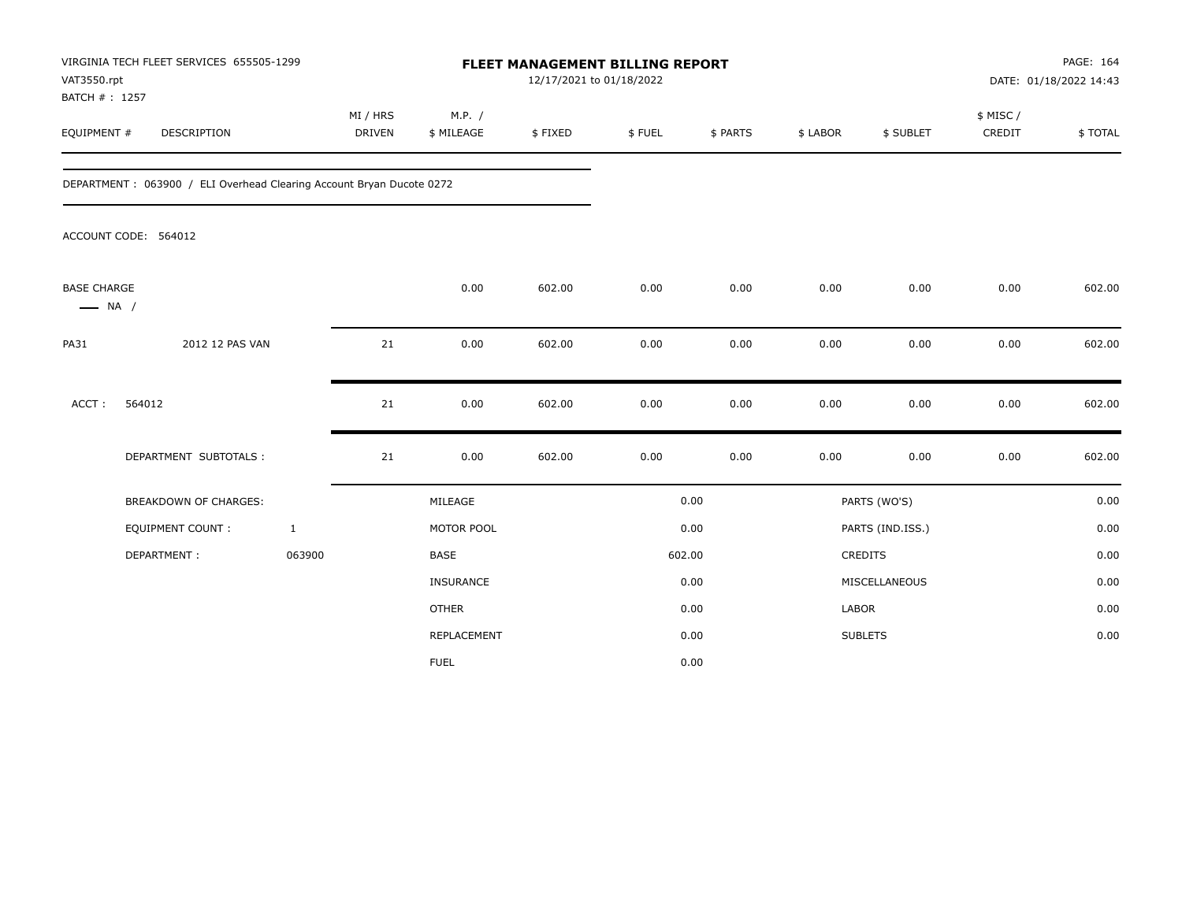| VAT3550.rpt<br>BATCH #: 1257                 | VIRGINIA TECH FLEET SERVICES 655505-1299                             |                           |                      | FLEET MANAGEMENT BILLING REPORT<br>12/17/2021 to 01/18/2022 |        |          |              |                  |                     | PAGE: 164<br>DATE: 01/18/2022 14:43 |
|----------------------------------------------|----------------------------------------------------------------------|---------------------------|----------------------|-------------------------------------------------------------|--------|----------|--------------|------------------|---------------------|-------------------------------------|
| EQUIPMENT #                                  | <b>DESCRIPTION</b>                                                   | MI / HRS<br><b>DRIVEN</b> | M.P. /<br>\$ MILEAGE | \$FIXED                                                     | \$FUEL | \$ PARTS | \$ LABOR     | \$ SUBLET        | \$ MISC /<br>CREDIT | \$TOTAL                             |
|                                              | DEPARTMENT: 063900 / ELI Overhead Clearing Account Bryan Ducote 0272 |                           |                      |                                                             |        |          |              |                  |                     |                                     |
|                                              | ACCOUNT CODE: 564012                                                 |                           |                      |                                                             |        |          |              |                  |                     |                                     |
| <b>BASE CHARGE</b><br>$\longrightarrow$ NA / |                                                                      |                           | 0.00                 | 602.00                                                      | 0.00   | 0.00     | 0.00         | 0.00             | 0.00                | 602.00                              |
| <b>PA31</b>                                  | 2012 12 PAS VAN                                                      | 21                        | 0.00                 | 602.00                                                      | 0.00   | 0.00     | 0.00         | 0.00             | 0.00                | 602.00                              |
| $ACCT$ :                                     | 564012                                                               | 21                        | 0.00                 | 602.00                                                      | 0.00   | 0.00     | 0.00         | 0.00             | 0.00                | 602.00                              |
|                                              | DEPARTMENT SUBTOTALS :                                               | 21                        | 0.00                 | 602.00                                                      | 0.00   | 0.00     | 0.00         | 0.00             | 0.00                | 602.00                              |
|                                              | <b>BREAKDOWN OF CHARGES:</b>                                         |                           | MILEAGE              |                                                             |        | 0.00     |              | PARTS (WO'S)     |                     | 0.00                                |
|                                              | <b>EQUIPMENT COUNT:</b>                                              | $\mathbf{1}$              | MOTOR POOL           |                                                             |        | 0.00     |              | PARTS (IND.ISS.) |                     | 0.00                                |
|                                              | DEPARTMENT:                                                          | 063900                    | <b>BASE</b>          |                                                             |        | 602.00   |              | <b>CREDITS</b>   |                     | 0.00                                |
|                                              |                                                                      |                           | <b>INSURANCE</b>     |                                                             |        | 0.00     |              | MISCELLANEOUS    |                     | 0.00                                |
|                                              |                                                                      |                           | <b>OTHER</b>         |                                                             |        | 0.00     | <b>LABOR</b> |                  |                     | 0.00                                |
|                                              |                                                                      |                           | REPLACEMENT          |                                                             |        | 0.00     |              | <b>SUBLETS</b>   |                     | 0.00                                |
|                                              |                                                                      |                           | <b>FUEL</b>          |                                                             |        | 0.00     |              |                  |                     |                                     |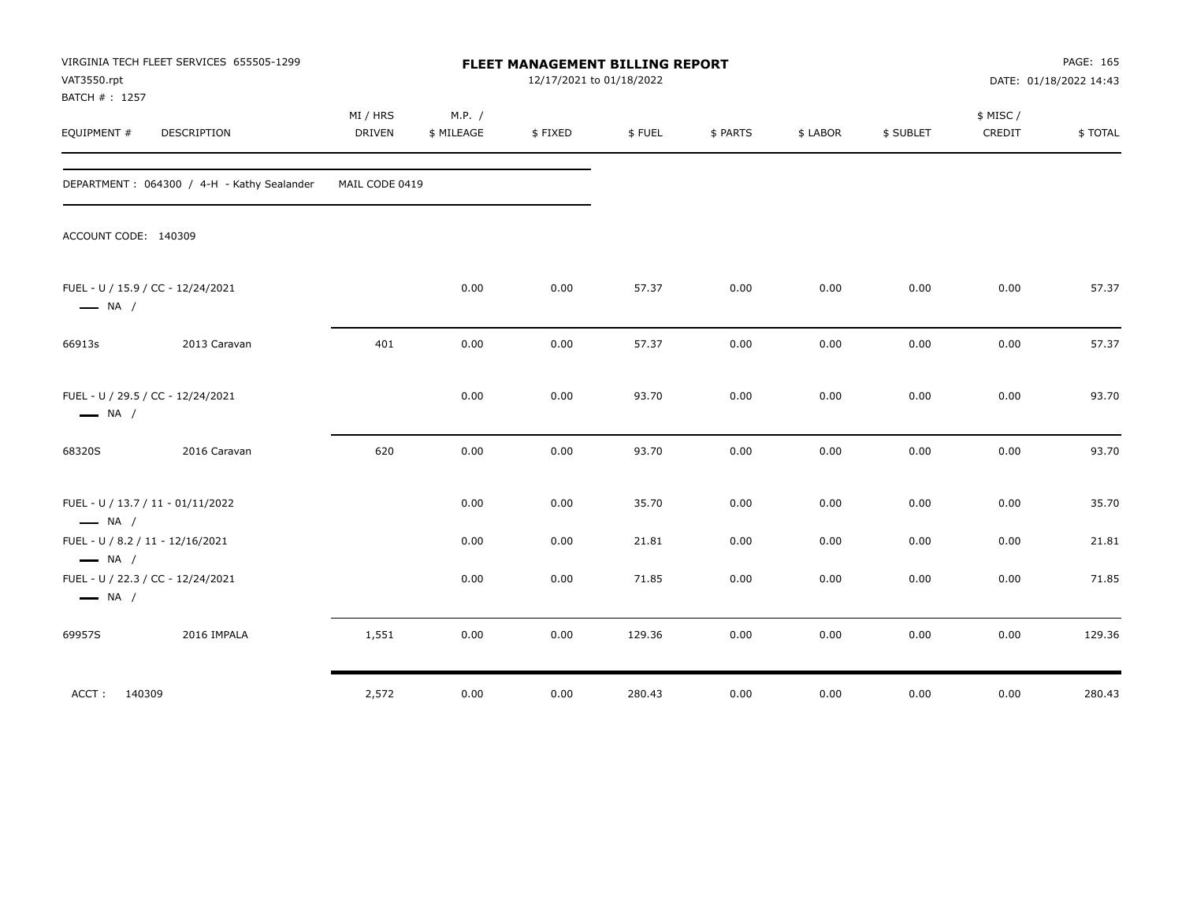| VAT3550.rpt<br>BATCH # : 1257                    | VIRGINIA TECH FLEET SERVICES 655505-1299   |                           |                      | FLEET MANAGEMENT BILLING REPORT | 12/17/2021 to 01/18/2022 |          |          |           |                    | PAGE: 165<br>DATE: 01/18/2022 14:43 |
|--------------------------------------------------|--------------------------------------------|---------------------------|----------------------|---------------------------------|--------------------------|----------|----------|-----------|--------------------|-------------------------------------|
| EQUIPMENT #                                      | <b>DESCRIPTION</b>                         | MI / HRS<br><b>DRIVEN</b> | M.P. /<br>\$ MILEAGE | \$FIXED                         | \$FUEL                   | \$ PARTS | \$ LABOR | \$ SUBLET | \$ MISC/<br>CREDIT | \$TOTAL                             |
|                                                  | DEPARTMENT: 064300 / 4-H - Kathy Sealander | MAIL CODE 0419            |                      |                                 |                          |          |          |           |                    |                                     |
| ACCOUNT CODE: 140309                             |                                            |                           |                      |                                 |                          |          |          |           |                    |                                     |
| $\longrightarrow$ NA /                           | FUEL - U / 15.9 / CC - 12/24/2021          |                           | 0.00                 | 0.00                            | 57.37                    | 0.00     | 0.00     | 0.00      | 0.00               | 57.37                               |
| 66913s                                           | 2013 Caravan                               | 401                       | 0.00                 | 0.00                            | 57.37                    | 0.00     | 0.00     | 0.00      | 0.00               | 57.37                               |
| $\longrightarrow$ NA /                           | FUEL - U / 29.5 / CC - 12/24/2021          |                           | 0.00                 | 0.00                            | 93.70                    | 0.00     | 0.00     | 0.00      | 0.00               | 93.70                               |
| 68320S                                           | 2016 Caravan                               | 620                       | 0.00                 | 0.00                            | 93.70                    | 0.00     | 0.00     | 0.00      | 0.00               | 93.70                               |
| $\longrightarrow$ NA /                           | FUEL - U / 13.7 / 11 - 01/11/2022          |                           | 0.00                 | 0.00                            | 35.70                    | 0.00     | 0.00     | 0.00      | 0.00               | 35.70                               |
| FUEL - U / 8.2 / 11 - 12/16/2021                 |                                            |                           | 0.00                 | 0.00                            | 21.81                    | 0.00     | 0.00     | 0.00      | 0.00               | 21.81                               |
| $\longrightarrow$ NA /<br>$\longrightarrow$ NA / | FUEL - U / 22.3 / CC - 12/24/2021          |                           | 0.00                 | 0.00                            | 71.85                    | 0.00     | 0.00     | 0.00      | 0.00               | 71.85                               |
| 69957S                                           | 2016 IMPALA                                | 1,551                     | 0.00                 | 0.00                            | 129.36                   | 0.00     | 0.00     | 0.00      | 0.00               | 129.36                              |
| ACCT: 140309                                     |                                            | 2,572                     | 0.00                 | 0.00                            | 280.43                   | 0.00     | 0.00     | 0.00      | 0.00               | 280.43                              |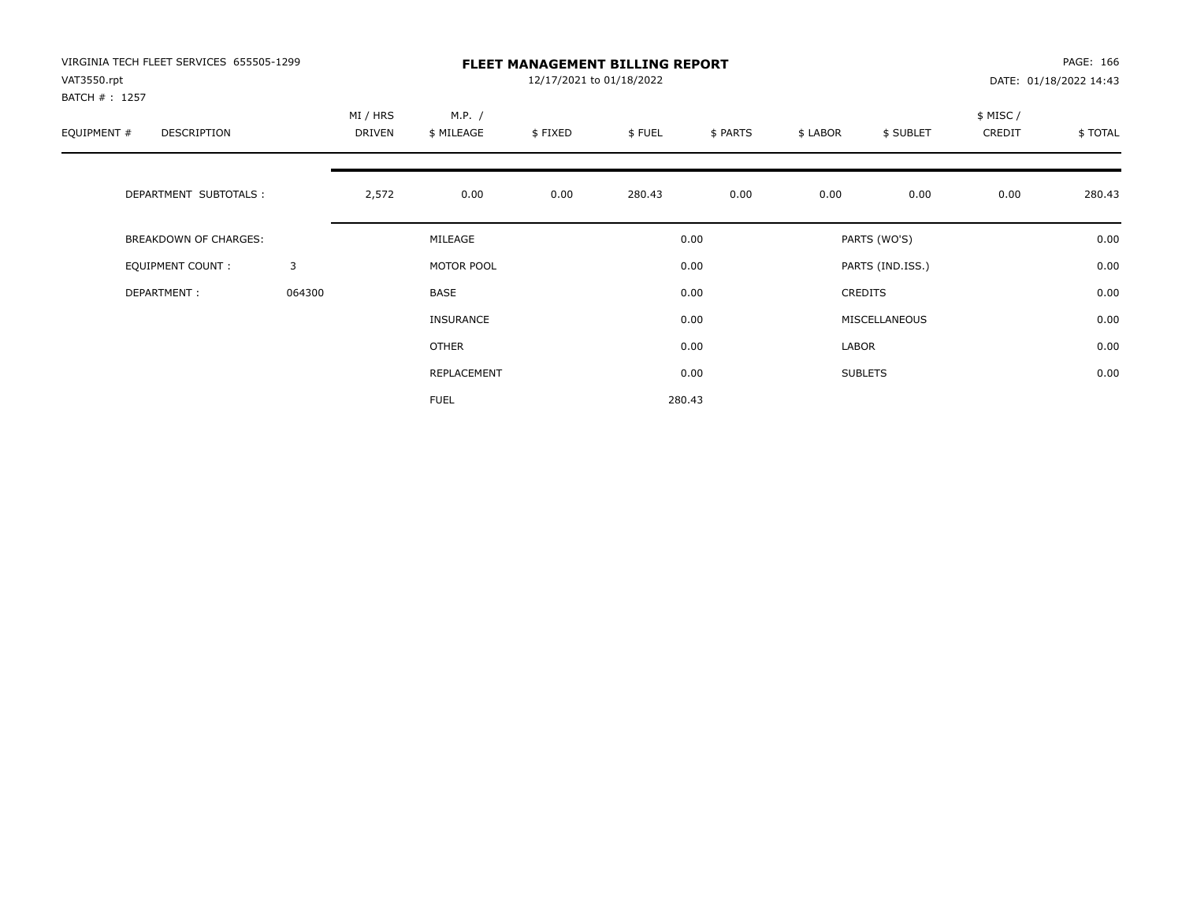| VIRGINIA TECH FLEET SERVICES 655505-1299<br>VAT3550.rpt<br>BATCH # : 1257 |        | <b>FLEET MANAGEMENT BILLING REPORT</b><br>12/17/2021 to 01/18/2022<br>DATE: 01/18/2022 14:43 |                      |         |        |          |          |                  |                     |         |  |
|---------------------------------------------------------------------------|--------|----------------------------------------------------------------------------------------------|----------------------|---------|--------|----------|----------|------------------|---------------------|---------|--|
| EQUIPMENT #<br><b>DESCRIPTION</b>                                         |        | MI / HRS<br><b>DRIVEN</b>                                                                    | M.P. /<br>\$ MILEAGE | \$FIXED | \$FUEL | \$ PARTS | \$ LABOR | \$ SUBLET        | \$ MISC /<br>CREDIT | \$TOTAL |  |
| DEPARTMENT SUBTOTALS :                                                    |        | 2,572                                                                                        | 0.00                 | 0.00    | 280.43 | 0.00     | 0.00     | 0.00             | 0.00                | 280.43  |  |
| <b>BREAKDOWN OF CHARGES:</b>                                              |        |                                                                                              | MILEAGE              |         |        | 0.00     |          | PARTS (WO'S)     |                     | 0.00    |  |
| EQUIPMENT COUNT:                                                          | 3      |                                                                                              | MOTOR POOL           |         |        | 0.00     |          | PARTS (IND.ISS.) |                     | 0.00    |  |
| DEPARTMENT:                                                               | 064300 |                                                                                              | <b>BASE</b>          |         |        | 0.00     |          | <b>CREDITS</b>   |                     | 0.00    |  |
|                                                                           |        |                                                                                              | INSURANCE            |         |        | 0.00     |          | MISCELLANEOUS    |                     | 0.00    |  |
|                                                                           |        |                                                                                              | <b>OTHER</b>         |         |        | 0.00     | LABOR    |                  |                     | 0.00    |  |
|                                                                           |        |                                                                                              | REPLACEMENT          |         |        | 0.00     |          | <b>SUBLETS</b>   |                     | 0.00    |  |
|                                                                           |        |                                                                                              | <b>FUEL</b>          |         |        | 280.43   |          |                  |                     |         |  |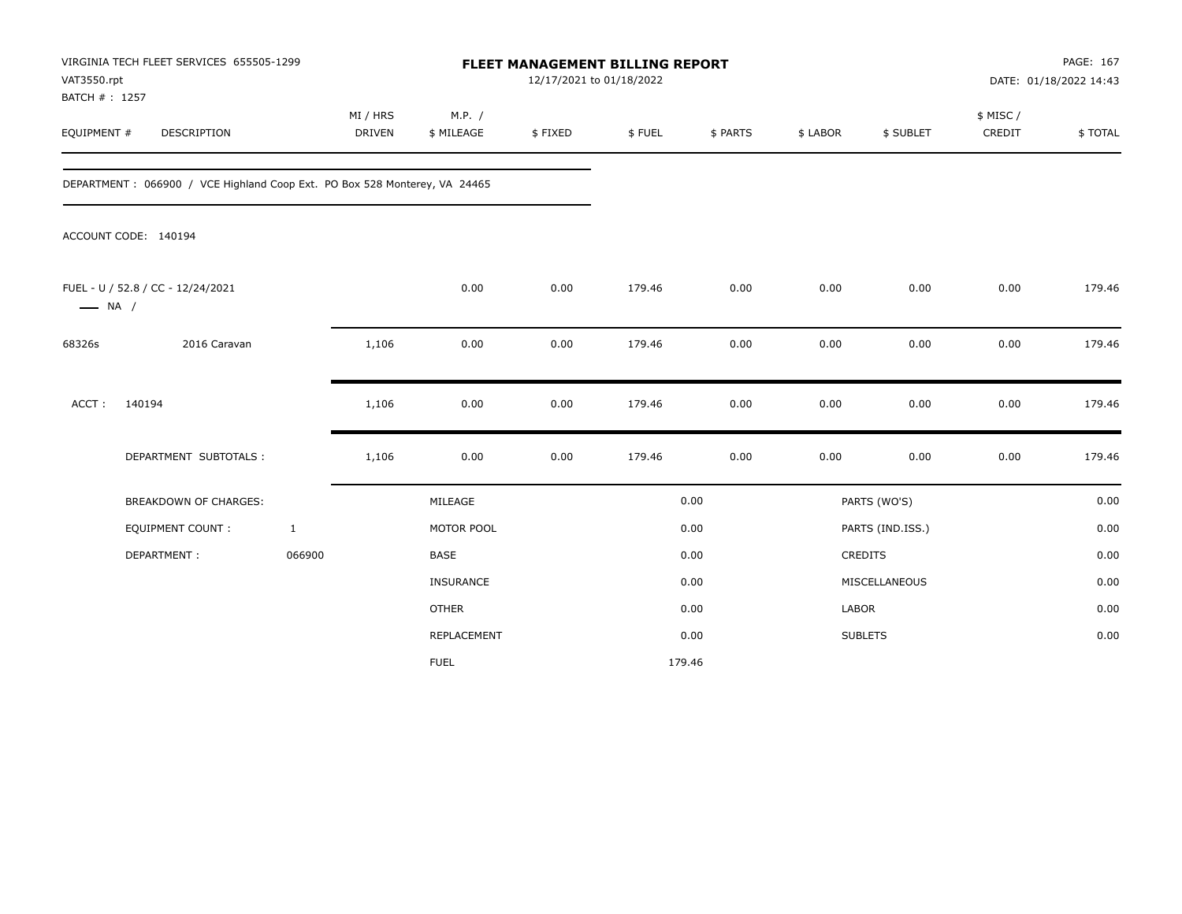| VAT3550.rpt<br>BATCH #: 1257 | VIRGINIA TECH FLEET SERVICES 655505-1299                                  |                           |                      | FLEET MANAGEMENT BILLING REPORT<br>12/17/2021 to 01/18/2022 |        |          |              |                  |                     | PAGE: 167<br>DATE: 01/18/2022 14:43 |
|------------------------------|---------------------------------------------------------------------------|---------------------------|----------------------|-------------------------------------------------------------|--------|----------|--------------|------------------|---------------------|-------------------------------------|
| EQUIPMENT #                  | <b>DESCRIPTION</b>                                                        | MI / HRS<br><b>DRIVEN</b> | M.P. /<br>\$ MILEAGE | \$FIXED                                                     | \$FUEL | \$ PARTS | \$ LABOR     | \$ SUBLET        | \$ MISC /<br>CREDIT | \$TOTAL                             |
|                              | DEPARTMENT: 066900 / VCE Highland Coop Ext. PO Box 528 Monterey, VA 24465 |                           |                      |                                                             |        |          |              |                  |                     |                                     |
|                              | ACCOUNT CODE: 140194                                                      |                           |                      |                                                             |        |          |              |                  |                     |                                     |
| $\longrightarrow$ NA /       | FUEL - U / 52.8 / CC - 12/24/2021                                         |                           | 0.00                 | 0.00                                                        | 179.46 | 0.00     | 0.00         | 0.00             | 0.00                | 179.46                              |
| 68326s                       | 2016 Caravan                                                              | 1,106                     | 0.00                 | 0.00                                                        | 179.46 | 0.00     | 0.00         | 0.00             | 0.00                | 179.46                              |
| $ACCT$ :                     | 140194                                                                    | 1,106                     | 0.00                 | 0.00                                                        | 179.46 | 0.00     | 0.00         | 0.00             | 0.00                | 179.46                              |
|                              | DEPARTMENT SUBTOTALS :                                                    | 1,106                     | 0.00                 | 0.00                                                        | 179.46 | 0.00     | 0.00         | 0.00             | 0.00                | 179.46                              |
|                              | <b>BREAKDOWN OF CHARGES:</b>                                              |                           | MILEAGE              |                                                             |        | 0.00     |              | PARTS (WO'S)     |                     | 0.00                                |
|                              | <b>EQUIPMENT COUNT:</b>                                                   | $\mathbf{1}$              | MOTOR POOL           |                                                             |        | 0.00     |              | PARTS (IND.ISS.) |                     | 0.00                                |
|                              | DEPARTMENT:                                                               | 066900                    | <b>BASE</b>          |                                                             |        | 0.00     |              | <b>CREDITS</b>   |                     | 0.00                                |
|                              |                                                                           |                           | <b>INSURANCE</b>     |                                                             |        | 0.00     |              | MISCELLANEOUS    |                     | 0.00                                |
|                              |                                                                           |                           | <b>OTHER</b>         |                                                             |        | 0.00     | <b>LABOR</b> |                  |                     | 0.00                                |
|                              |                                                                           |                           | REPLACEMENT          |                                                             |        | 0.00     |              | <b>SUBLETS</b>   |                     | 0.00                                |
|                              |                                                                           |                           | <b>FUEL</b>          |                                                             |        | 179.46   |              |                  |                     |                                     |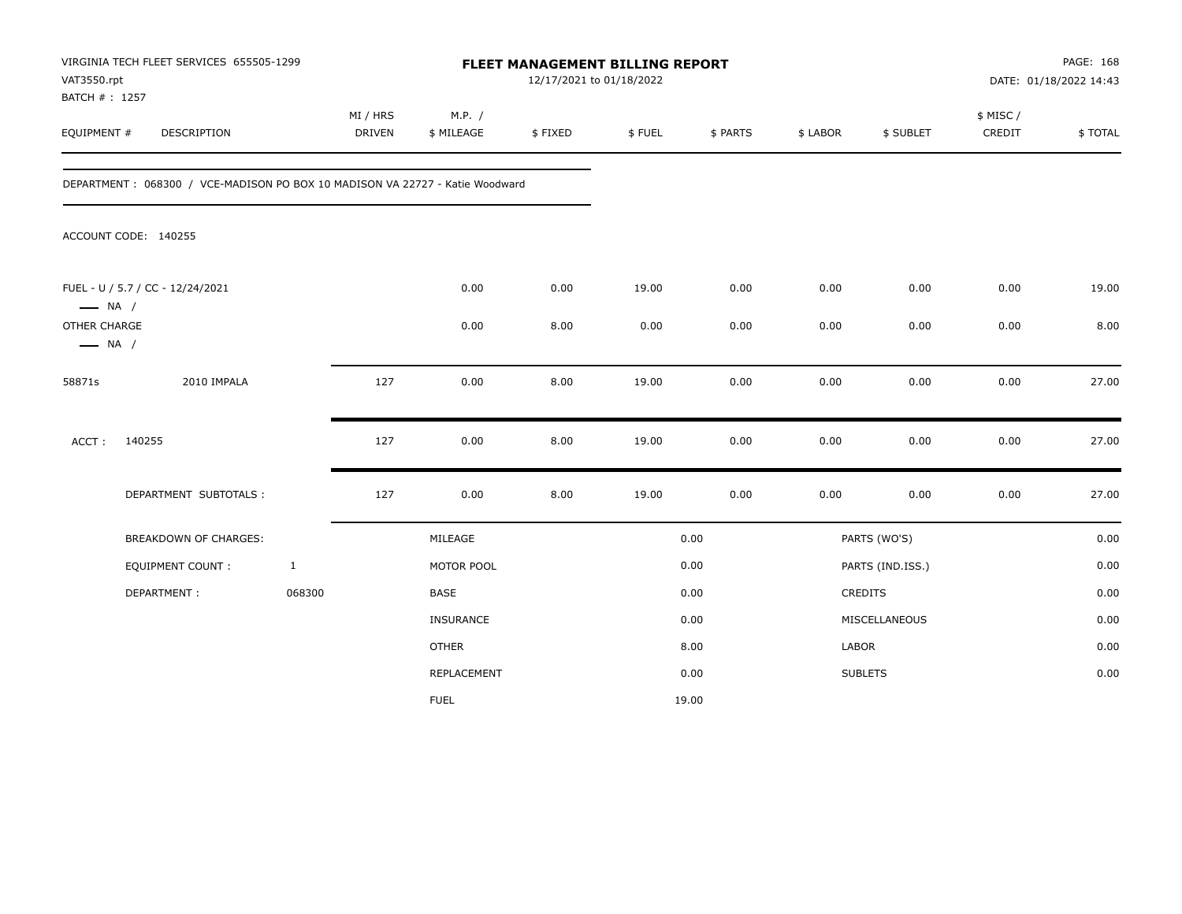| VAT3550.rpt<br>BATCH #: 1257           | VIRGINIA TECH FLEET SERVICES 655505-1299                                     |              |                    |                      | FLEET MANAGEMENT BILLING REPORT<br>12/17/2021 to 01/18/2022 |        |          |          |                  |                     | PAGE: 168<br>DATE: 01/18/2022 14:43 |
|----------------------------------------|------------------------------------------------------------------------------|--------------|--------------------|----------------------|-------------------------------------------------------------|--------|----------|----------|------------------|---------------------|-------------------------------------|
| EQUIPMENT #                            | DESCRIPTION                                                                  |              | MI / HRS<br>DRIVEN | M.P. /<br>\$ MILEAGE | \$FIXED                                                     | \$FUEL | \$ PARTS | \$ LABOR | \$ SUBLET        | \$ MISC /<br>CREDIT | \$TOTAL                             |
|                                        | DEPARTMENT: 068300 / VCE-MADISON PO BOX 10 MADISON VA 22727 - Katie Woodward |              |                    |                      |                                                             |        |          |          |                  |                     |                                     |
|                                        | ACCOUNT CODE: 140255                                                         |              |                    |                      |                                                             |        |          |          |                  |                     |                                     |
| $\longrightarrow$ NA /                 | FUEL - U / 5.7 / CC - 12/24/2021                                             |              |                    | 0.00                 | 0.00                                                        | 19.00  | 0.00     | 0.00     | 0.00             | 0.00                | 19.00                               |
| OTHER CHARGE<br>$\longrightarrow$ NA / |                                                                              |              |                    | 0.00                 | 8.00                                                        | 0.00   | 0.00     | 0.00     | 0.00             | 0.00                | 8.00                                |
| 58871s                                 | 2010 IMPALA                                                                  |              | 127                | 0.00                 | 8.00                                                        | 19.00  | 0.00     | 0.00     | 0.00             | 0.00                | 27.00                               |
| ACCT:                                  | 140255                                                                       |              | 127                | 0.00                 | 8.00                                                        | 19.00  | 0.00     | 0.00     | 0.00             | 0.00                | 27.00                               |
|                                        | DEPARTMENT SUBTOTALS :                                                       |              | 127                | 0.00                 | 8.00                                                        | 19.00  | 0.00     | 0.00     | 0.00             | 0.00                | 27.00                               |
|                                        | <b>BREAKDOWN OF CHARGES:</b>                                                 |              |                    | MILEAGE              |                                                             |        | 0.00     |          | PARTS (WO'S)     |                     | 0.00                                |
|                                        | EQUIPMENT COUNT:                                                             | $\mathbf{1}$ |                    | MOTOR POOL           |                                                             |        | 0.00     |          | PARTS (IND.ISS.) |                     | 0.00                                |
|                                        | DEPARTMENT:                                                                  | 068300       |                    | BASE                 |                                                             |        | 0.00     |          | CREDITS          |                     | 0.00                                |
|                                        |                                                                              |              |                    | INSURANCE            |                                                             |        | 0.00     |          | MISCELLANEOUS    |                     | 0.00                                |
|                                        |                                                                              |              |                    | <b>OTHER</b>         |                                                             |        | 8.00     | LABOR    |                  |                     | 0.00                                |
|                                        |                                                                              |              |                    | REPLACEMENT          |                                                             |        | 0.00     |          | <b>SUBLETS</b>   |                     | 0.00                                |
|                                        |                                                                              |              |                    | <b>FUEL</b>          |                                                             |        | 19.00    |          |                  |                     |                                     |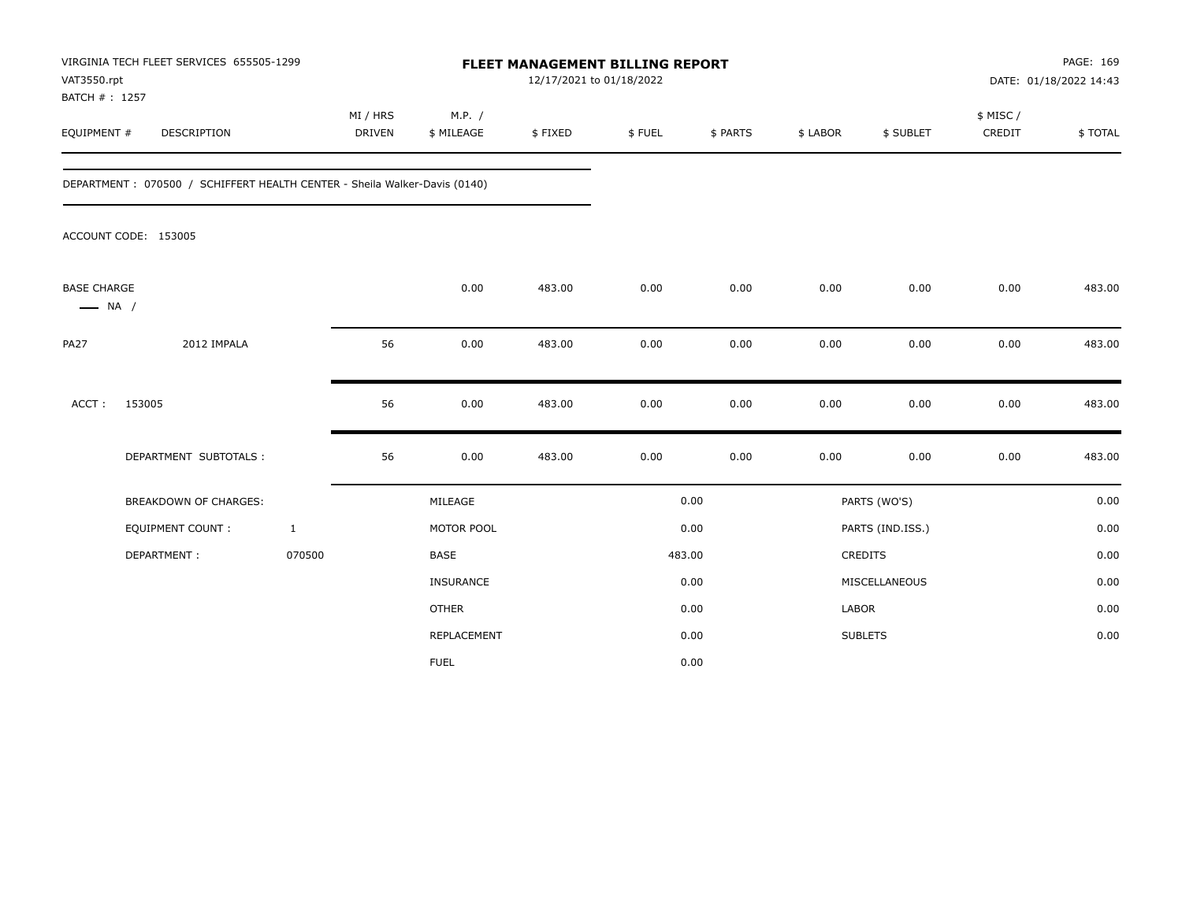| VAT3550.rpt<br>BATCH #: 1257                 | VIRGINIA TECH FLEET SERVICES 655505-1299                                  |                           |                      | FLEET MANAGEMENT BILLING REPORT<br>12/17/2021 to 01/18/2022 |        |          |              | PAGE: 169<br>DATE: 01/18/2022 14:43 |                     |         |
|----------------------------------------------|---------------------------------------------------------------------------|---------------------------|----------------------|-------------------------------------------------------------|--------|----------|--------------|-------------------------------------|---------------------|---------|
| EQUIPMENT #                                  | <b>DESCRIPTION</b>                                                        | MI / HRS<br><b>DRIVEN</b> | M.P. /<br>\$ MILEAGE | \$FIXED                                                     | \$FUEL | \$ PARTS | \$ LABOR     | \$ SUBLET                           | \$ MISC /<br>CREDIT | \$TOTAL |
|                                              | DEPARTMENT: 070500 / SCHIFFERT HEALTH CENTER - Sheila Walker-Davis (0140) |                           |                      |                                                             |        |          |              |                                     |                     |         |
|                                              | ACCOUNT CODE: 153005                                                      |                           |                      |                                                             |        |          |              |                                     |                     |         |
| <b>BASE CHARGE</b><br>$\longrightarrow$ NA / |                                                                           |                           | 0.00                 | 483.00                                                      | 0.00   | 0.00     | 0.00         | 0.00                                | 0.00                | 483.00  |
| <b>PA27</b>                                  | 2012 IMPALA                                                               | 56                        | 0.00                 | 483.00                                                      | 0.00   | 0.00     | 0.00         | 0.00                                | 0.00                | 483.00  |
| $ACCT$ :                                     | 153005                                                                    | 56                        | 0.00                 | 483.00                                                      | 0.00   | 0.00     | 0.00         | 0.00                                | 0.00                | 483.00  |
|                                              | DEPARTMENT SUBTOTALS :                                                    | 56                        | 0.00                 | 483.00                                                      | 0.00   | 0.00     | 0.00         | 0.00                                | 0.00                | 483.00  |
|                                              | <b>BREAKDOWN OF CHARGES:</b>                                              |                           | MILEAGE              |                                                             |        | 0.00     |              | PARTS (WO'S)                        |                     | 0.00    |
|                                              | <b>EQUIPMENT COUNT:</b>                                                   | $\mathbf{1}$              | MOTOR POOL           |                                                             |        | 0.00     |              | PARTS (IND.ISS.)                    |                     | 0.00    |
|                                              | DEPARTMENT:                                                               | 070500                    | <b>BASE</b>          |                                                             |        | 483.00   |              | <b>CREDITS</b>                      |                     | 0.00    |
|                                              |                                                                           |                           | <b>INSURANCE</b>     |                                                             |        | 0.00     |              | MISCELLANEOUS                       |                     | 0.00    |
|                                              |                                                                           |                           | <b>OTHER</b>         |                                                             |        | 0.00     | <b>LABOR</b> |                                     |                     | 0.00    |
|                                              |                                                                           |                           | REPLACEMENT          |                                                             |        | 0.00     |              | <b>SUBLETS</b>                      |                     | 0.00    |
|                                              |                                                                           |                           | <b>FUEL</b>          |                                                             |        | 0.00     |              |                                     |                     |         |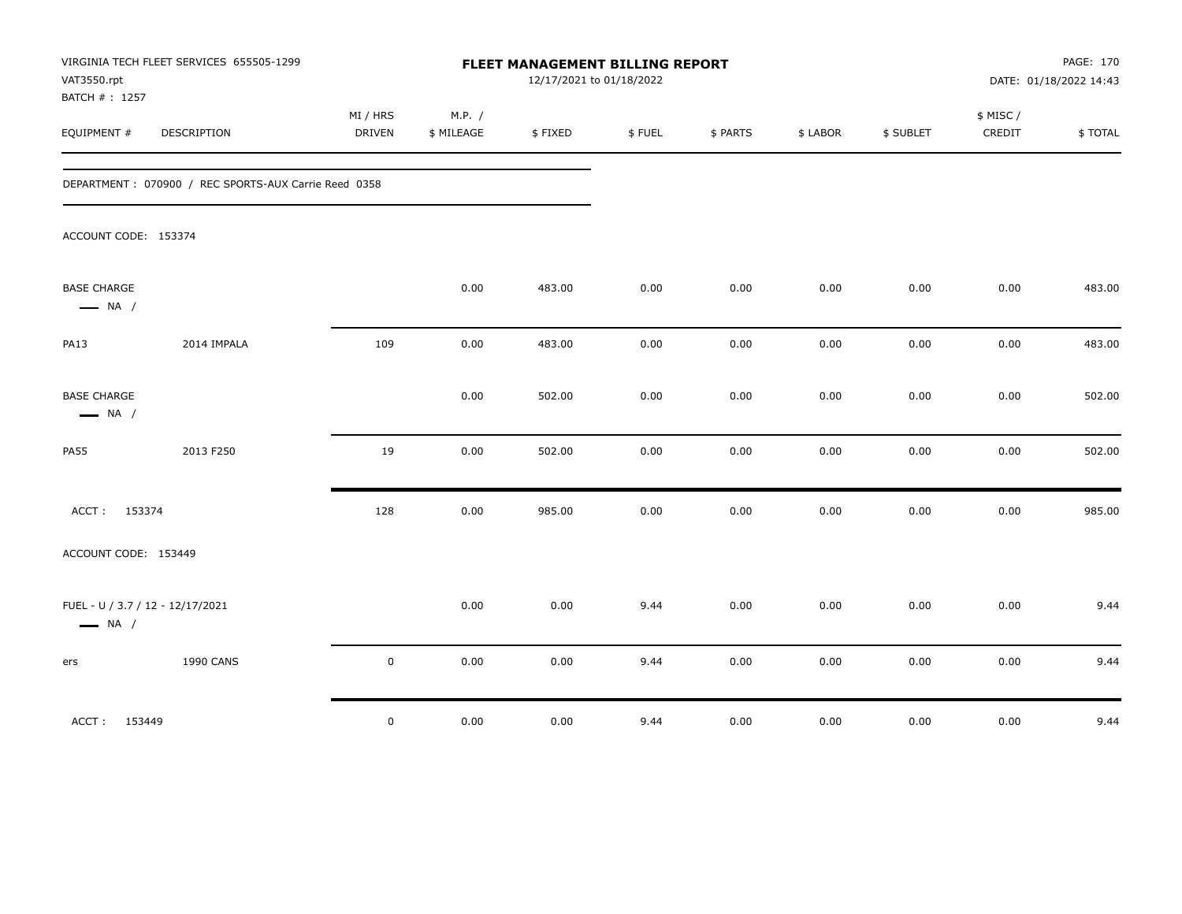| VAT3550.rpt<br>BATCH #: 1257                               | VIRGINIA TECH FLEET SERVICES 655505-1299             | FLEET MANAGEMENT BILLING REPORT<br>12/17/2021 to 01/18/2022 |                      |         |        |          |          |           |                     | PAGE: 170<br>DATE: 01/18/2022 14:43 |  |
|------------------------------------------------------------|------------------------------------------------------|-------------------------------------------------------------|----------------------|---------|--------|----------|----------|-----------|---------------------|-------------------------------------|--|
| EQUIPMENT #                                                | DESCRIPTION                                          | MI / HRS<br>DRIVEN                                          | M.P. /<br>\$ MILEAGE | \$FIXED | \$FUEL | \$ PARTS | \$ LABOR | \$ SUBLET | \$ MISC /<br>CREDIT | \$TOTAL                             |  |
|                                                            | DEPARTMENT: 070900 / REC SPORTS-AUX Carrie Reed 0358 |                                                             |                      |         |        |          |          |           |                     |                                     |  |
| ACCOUNT CODE: 153374                                       |                                                      |                                                             |                      |         |        |          |          |           |                     |                                     |  |
| <b>BASE CHARGE</b><br>$\longrightarrow$ NA /               |                                                      |                                                             | 0.00                 | 483.00  | 0.00   | 0.00     | 0.00     | 0.00      | 0.00                | 483.00                              |  |
| <b>PA13</b>                                                | 2014 IMPALA                                          | 109                                                         | 0.00                 | 483.00  | 0.00   | 0.00     | $0.00\,$ | 0.00      | 0.00                | 483.00                              |  |
| <b>BASE CHARGE</b><br>$\longrightarrow$ NA /               |                                                      |                                                             | 0.00                 | 502.00  | 0.00   | 0.00     | 0.00     | 0.00      | 0.00                | 502.00                              |  |
| <b>PA55</b>                                                | 2013 F250                                            | 19                                                          | 0.00                 | 502.00  | 0.00   | 0.00     | 0.00     | 0.00      | 0.00                | 502.00                              |  |
| ACCT: 153374                                               |                                                      | 128                                                         | 0.00                 | 985.00  | 0.00   | 0.00     | $0.00\,$ | 0.00      | 0.00                | 985.00                              |  |
| ACCOUNT CODE: 153449                                       |                                                      |                                                             |                      |         |        |          |          |           |                     |                                     |  |
| FUEL - U / 3.7 / 12 - 12/17/2021<br>$\longrightarrow$ NA / |                                                      |                                                             | 0.00                 | 0.00    | 9.44   | 0.00     | 0.00     | 0.00      | 0.00                | 9.44                                |  |
| ers                                                        | <b>1990 CANS</b>                                     | $\mathbf 0$                                                 | 0.00                 | 0.00    | 9.44   | 0.00     | 0.00     | 0.00      | 0.00                | 9.44                                |  |
| ACCT:<br>153449                                            |                                                      | $\mathbf 0$                                                 | 0.00                 | 0.00    | 9.44   | 0.00     | 0.00     | 0.00      | 0.00                | 9.44                                |  |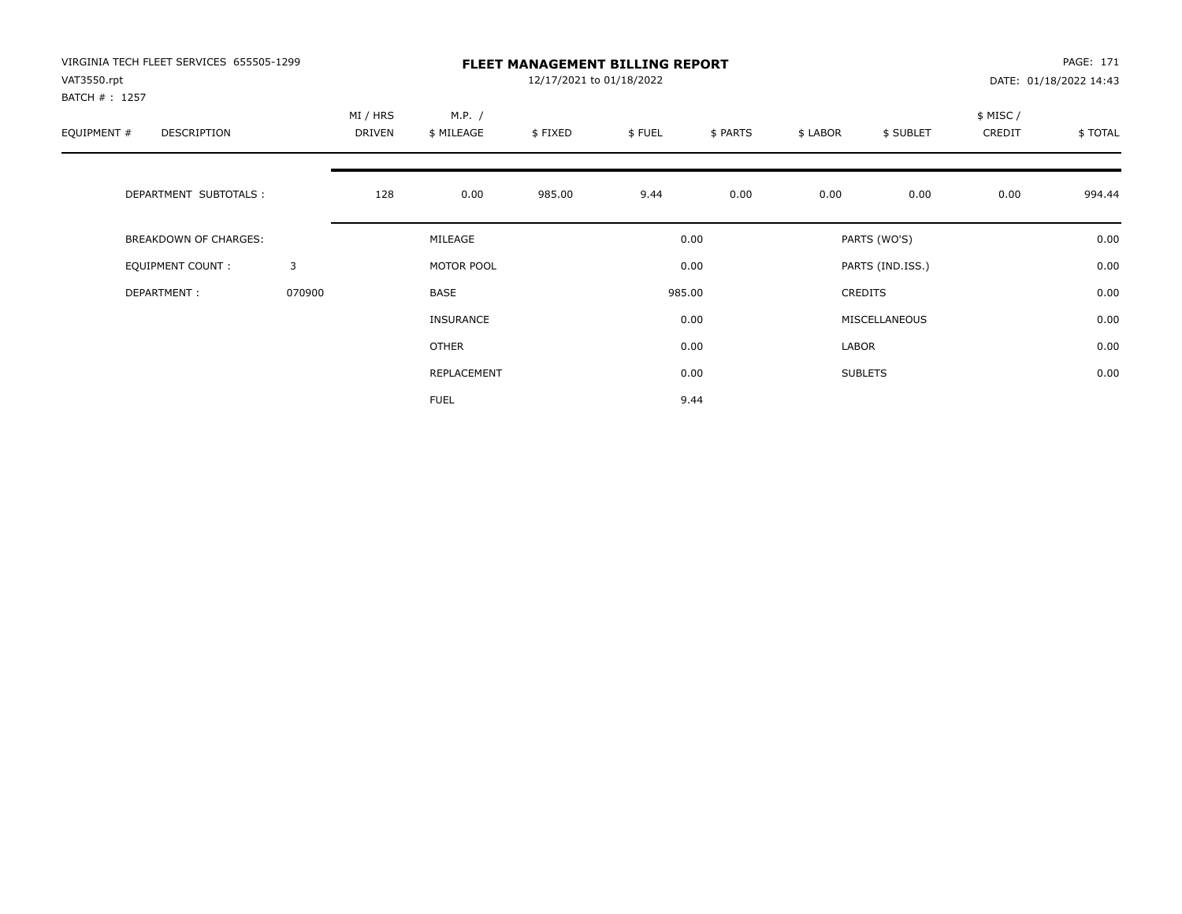| VIRGINIA TECH FLEET SERVICES 655505-1299<br>VAT3550.rpt<br>BATCH #: 1257 |        | <b>FLEET MANAGEMENT BILLING REPORT</b><br>12/17/2021 to 01/18/2022 |                      |         |        |          |          |                  |                     | PAGE: 171<br>DATE: 01/18/2022 14:43 |  |
|--------------------------------------------------------------------------|--------|--------------------------------------------------------------------|----------------------|---------|--------|----------|----------|------------------|---------------------|-------------------------------------|--|
| EQUIPMENT #<br><b>DESCRIPTION</b>                                        |        | MI / HRS<br><b>DRIVEN</b>                                          | M.P. /<br>\$ MILEAGE | \$FIXED | \$FUEL | \$ PARTS | \$ LABOR | \$ SUBLET        | \$ MISC /<br>CREDIT | \$TOTAL                             |  |
| DEPARTMENT SUBTOTALS :                                                   |        | 128                                                                | 0.00                 | 985.00  | 9.44   | 0.00     | 0.00     | 0.00             | 0.00                | 994.44                              |  |
| <b>BREAKDOWN OF CHARGES:</b>                                             |        |                                                                    | MILEAGE              |         |        | 0.00     |          | PARTS (WO'S)     |                     | 0.00                                |  |
| EQUIPMENT COUNT:                                                         | 3      |                                                                    | MOTOR POOL           |         |        | 0.00     |          | PARTS (IND.ISS.) |                     | 0.00                                |  |
| DEPARTMENT:                                                              | 070900 |                                                                    | <b>BASE</b>          |         |        | 985.00   |          | <b>CREDITS</b>   |                     | 0.00                                |  |
|                                                                          |        |                                                                    | INSURANCE            |         |        | 0.00     |          | MISCELLANEOUS    |                     | 0.00                                |  |
|                                                                          |        |                                                                    | <b>OTHER</b>         |         |        | 0.00     | LABOR    |                  |                     | 0.00                                |  |
|                                                                          |        |                                                                    | REPLACEMENT          |         |        | 0.00     |          | <b>SUBLETS</b>   |                     | 0.00                                |  |
|                                                                          |        |                                                                    | <b>FUEL</b>          |         |        | 9.44     |          |                  |                     |                                     |  |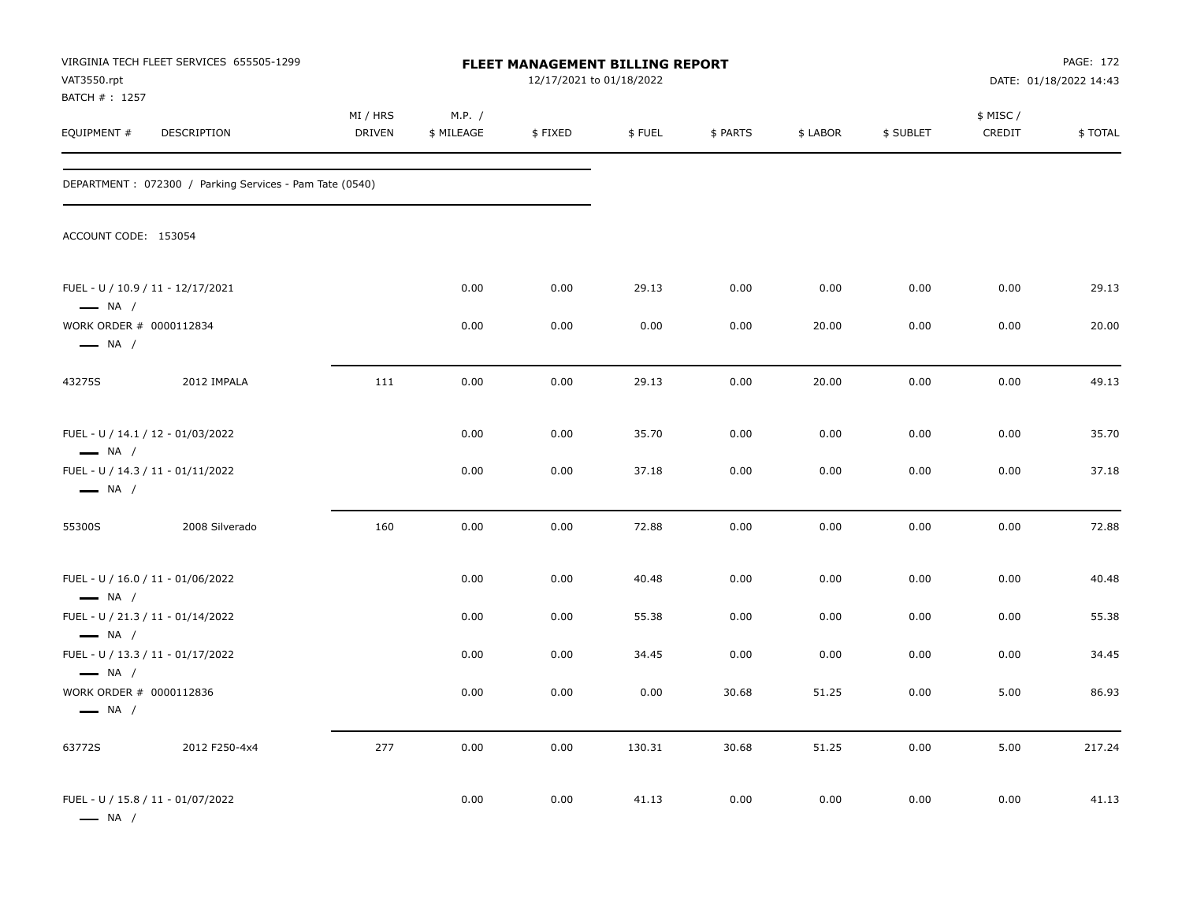| VAT3550.rpt<br>BATCH #: 1257                      | VIRGINIA TECH FLEET SERVICES 655505-1299                |                           |                      | FLEET MANAGEMENT BILLING REPORT<br>12/17/2021 to 01/18/2022 |        |          |          |           |                     | PAGE: 172<br>DATE: 01/18/2022 14:43 |
|---------------------------------------------------|---------------------------------------------------------|---------------------------|----------------------|-------------------------------------------------------------|--------|----------|----------|-----------|---------------------|-------------------------------------|
| EQUIPMENT #                                       | DESCRIPTION                                             | MI / HRS<br><b>DRIVEN</b> | M.P. /<br>\$ MILEAGE | \$FIXED                                                     | \$FUEL | \$ PARTS | \$ LABOR | \$ SUBLET | \$ MISC /<br>CREDIT | \$TOTAL                             |
|                                                   | DEPARTMENT: 072300 / Parking Services - Pam Tate (0540) |                           |                      |                                                             |        |          |          |           |                     |                                     |
| ACCOUNT CODE: 153054                              |                                                         |                           |                      |                                                             |        |          |          |           |                     |                                     |
| $\longrightarrow$ NA /                            | FUEL - U / 10.9 / 11 - 12/17/2021                       |                           | 0.00                 | 0.00                                                        | 29.13  | 0.00     | 0.00     | 0.00      | 0.00                | 29.13                               |
| WORK ORDER # 0000112834<br>$\longrightarrow$ NA / |                                                         |                           | 0.00                 | 0.00                                                        | 0.00   | 0.00     | 20.00    | 0.00      | 0.00                | 20.00                               |
| 43275S                                            | 2012 IMPALA                                             | 111                       | 0.00                 | 0.00                                                        | 29.13  | 0.00     | 20.00    | 0.00      | 0.00                | 49.13                               |
| $\longrightarrow$ NA /                            | FUEL - U / 14.1 / 12 - 01/03/2022                       |                           | 0.00                 | 0.00                                                        | 35.70  | 0.00     | 0.00     | 0.00      | 0.00                | 35.70                               |
| $\longrightarrow$ NA /                            | FUEL - U / 14.3 / 11 - 01/11/2022                       |                           | 0.00                 | 0.00                                                        | 37.18  | 0.00     | 0.00     | 0.00      | 0.00                | 37.18                               |
| 55300S                                            | 2008 Silverado                                          | 160                       | 0.00                 | 0.00                                                        | 72.88  | 0.00     | 0.00     | 0.00      | 0.00                | 72.88                               |
| $\longrightarrow$ NA /                            | FUEL - U / 16.0 / 11 - 01/06/2022                       |                           | 0.00                 | 0.00                                                        | 40.48  | 0.00     | 0.00     | 0.00      | 0.00                | 40.48                               |
| $\longrightarrow$ NA /                            | FUEL - U / 21.3 / 11 - 01/14/2022                       |                           | 0.00                 | 0.00                                                        | 55.38  | 0.00     | 0.00     | 0.00      | 0.00                | 55.38                               |
| $\longrightarrow$ NA /                            | FUEL - U / 13.3 / 11 - 01/17/2022                       |                           | 0.00                 | 0.00                                                        | 34.45  | 0.00     | 0.00     | 0.00      | 0.00                | 34.45                               |
| WORK ORDER # 0000112836<br>$\longrightarrow$ NA / |                                                         |                           | 0.00                 | 0.00                                                        | 0.00   | 30.68    | 51.25    | 0.00      | 5.00                | 86.93                               |
| 63772S                                            | 2012 F250-4x4                                           | 277                       | 0.00                 | 0.00                                                        | 130.31 | 30.68    | 51.25    | 0.00      | 5.00                | 217.24                              |
| $\longrightarrow$ NA /                            | FUEL - U / 15.8 / 11 - 01/07/2022                       |                           | 0.00                 | 0.00                                                        | 41.13  | 0.00     | 0.00     | 0.00      | 0.00                | 41.13                               |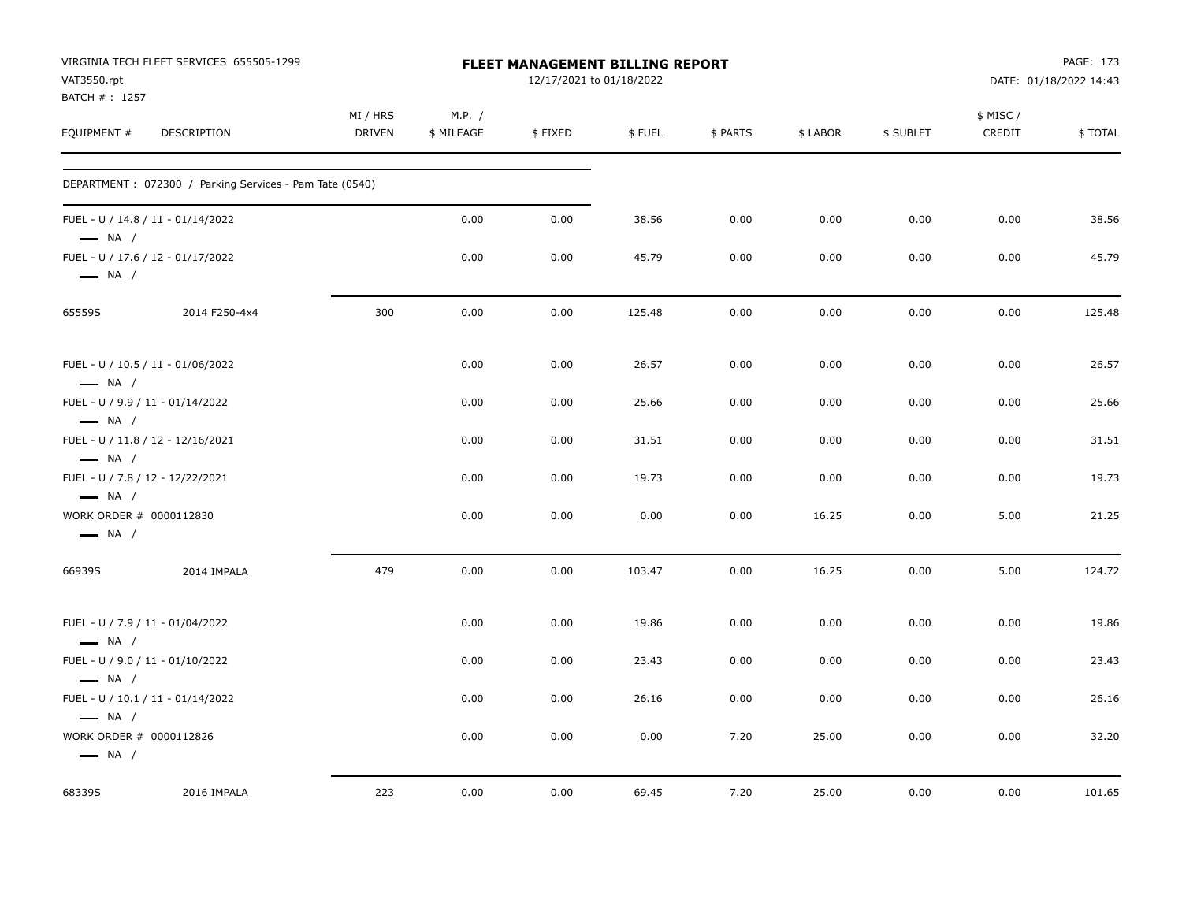| VAT3550.rpt                                                | VIRGINIA TECH FLEET SERVICES 655505-1299                |                    |                      | <b>FLEET MANAGEMENT BILLING REPORT</b><br>12/17/2021 to 01/18/2022 |        |          |          |           |                     | PAGE: 173<br>DATE: 01/18/2022 14:43 |
|------------------------------------------------------------|---------------------------------------------------------|--------------------|----------------------|--------------------------------------------------------------------|--------|----------|----------|-----------|---------------------|-------------------------------------|
| BATCH #: 1257<br>EQUIPMENT #                               | DESCRIPTION                                             | MI / HRS<br>DRIVEN | M.P. /<br>\$ MILEAGE | \$FIXED                                                            | \$FUEL | \$ PARTS | \$ LABOR | \$ SUBLET | \$ MISC /<br>CREDIT | \$TOTAL                             |
|                                                            | DEPARTMENT: 072300 / Parking Services - Pam Tate (0540) |                    |                      |                                                                    |        |          |          |           |                     |                                     |
| $\longrightarrow$ NA /                                     | FUEL - U / 14.8 / 11 - 01/14/2022                       |                    | 0.00                 | 0.00                                                               | 38.56  | 0.00     | 0.00     | 0.00      | 0.00                | 38.56                               |
| $\longrightarrow$ NA /                                     | FUEL - U / 17.6 / 12 - 01/17/2022                       |                    | 0.00                 | 0.00                                                               | 45.79  | 0.00     | 0.00     | 0.00      | 0.00                | 45.79                               |
| 65559S                                                     | 2014 F250-4x4                                           | 300                | 0.00                 | 0.00                                                               | 125.48 | 0.00     | 0.00     | 0.00      | 0.00                | 125.48                              |
| $\longrightarrow$ NA /                                     | FUEL - U / 10.5 / 11 - 01/06/2022                       |                    | 0.00                 | 0.00                                                               | 26.57  | 0.00     | 0.00     | 0.00      | 0.00                | 26.57                               |
| FUEL - U / 9.9 / 11 - 01/14/2022<br>$\longrightarrow$ NA / |                                                         |                    | 0.00                 | 0.00                                                               | 25.66  | 0.00     | 0.00     | 0.00      | 0.00                | 25.66                               |
| $\longrightarrow$ NA /                                     | FUEL - U / 11.8 / 12 - 12/16/2021                       |                    | 0.00                 | 0.00                                                               | 31.51  | 0.00     | 0.00     | 0.00      | 0.00                | 31.51                               |
| FUEL - U / 7.8 / 12 - 12/22/2021<br>$\longrightarrow$ NA / |                                                         |                    | 0.00                 | 0.00                                                               | 19.73  | 0.00     | 0.00     | 0.00      | 0.00                | 19.73                               |
| WORK ORDER # 0000112830<br>$\longrightarrow$ NA /          |                                                         |                    | 0.00                 | 0.00                                                               | 0.00   | 0.00     | 16.25    | 0.00      | 5.00                | 21.25                               |
| 66939S                                                     | 2014 IMPALA                                             | 479                | 0.00                 | 0.00                                                               | 103.47 | 0.00     | 16.25    | 0.00      | 5.00                | 124.72                              |
| FUEL - U / 7.9 / 11 - 01/04/2022<br>$\longrightarrow$ NA / |                                                         |                    | 0.00                 | 0.00                                                               | 19.86  | 0.00     | 0.00     | 0.00      | 0.00                | 19.86                               |
| FUEL - U / 9.0 / 11 - 01/10/2022<br>$\longrightarrow$ NA / |                                                         |                    | 0.00                 | 0.00                                                               | 23.43  | 0.00     | 0.00     | 0.00      | 0.00                | 23.43                               |
| $\longrightarrow$ NA /                                     | FUEL - U / 10.1 / 11 - 01/14/2022                       |                    | 0.00                 | 0.00                                                               | 26.16  | 0.00     | 0.00     | 0.00      | 0.00                | 26.16                               |
| WORK ORDER # 0000112826<br>$\longrightarrow$ NA /          |                                                         |                    | 0.00                 | 0.00                                                               | 0.00   | 7.20     | 25.00    | 0.00      | 0.00                | 32.20                               |
| 68339S                                                     | 2016 IMPALA                                             | 223                | 0.00                 | 0.00                                                               | 69.45  | 7.20     | 25.00    | 0.00      | 0.00                | 101.65                              |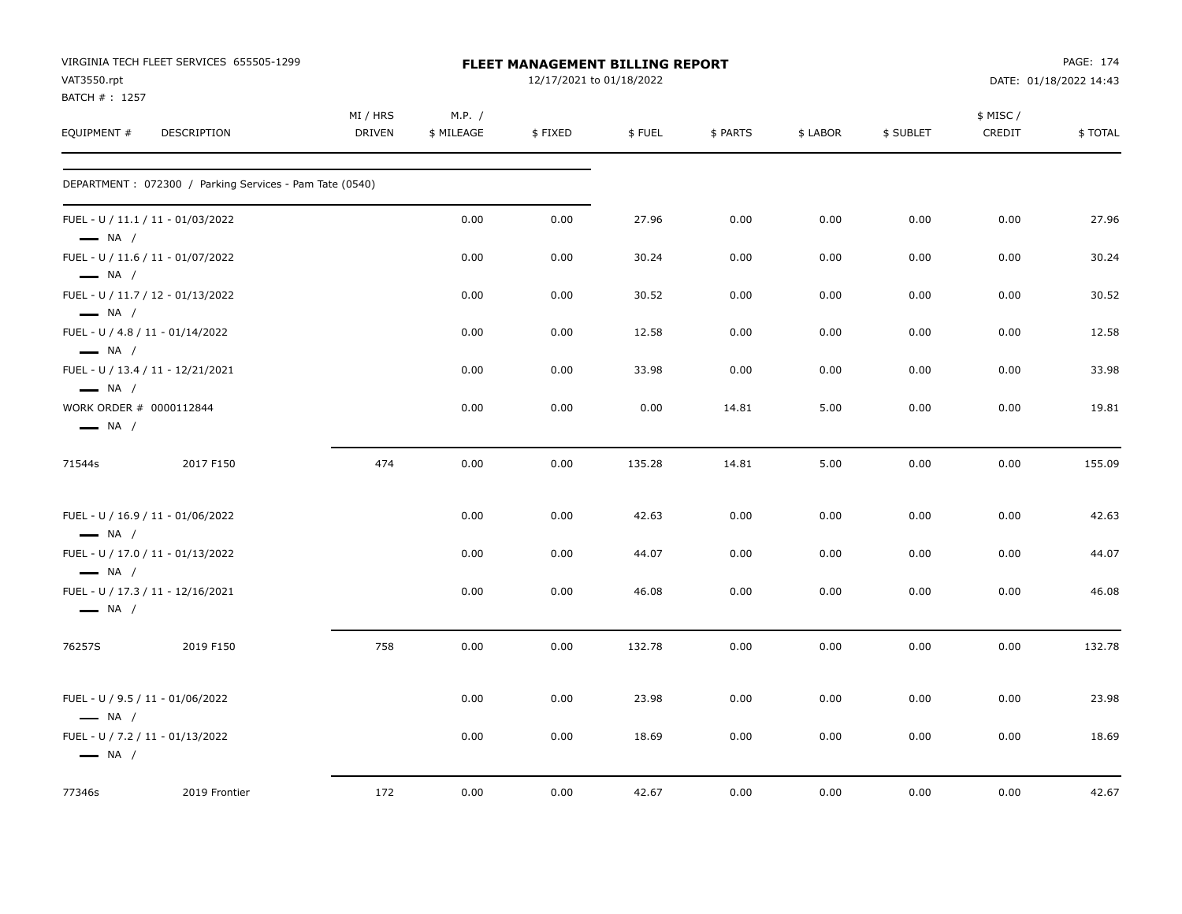| VAT3550.rpt                                       | VIRGINIA TECH FLEET SERVICES 655505-1299                |                           |                      | <b>FLEET MANAGEMENT BILLING REPORT</b><br>12/17/2021 to 01/18/2022 |        |          |          |           |                    | PAGE: 174<br>DATE: 01/18/2022 14:43 |
|---------------------------------------------------|---------------------------------------------------------|---------------------------|----------------------|--------------------------------------------------------------------|--------|----------|----------|-----------|--------------------|-------------------------------------|
| BATCH #: 1257<br>EQUIPMENT #                      | DESCRIPTION                                             | MI / HRS<br><b>DRIVEN</b> | M.P. /<br>\$ MILEAGE | \$FIXED                                                            | \$FUEL | \$ PARTS | \$ LABOR | \$ SUBLET | \$ MISC/<br>CREDIT | \$TOTAL                             |
|                                                   | DEPARTMENT: 072300 / Parking Services - Pam Tate (0540) |                           |                      |                                                                    |        |          |          |           |                    |                                     |
| $\longrightarrow$ NA /                            | FUEL - U / 11.1 / 11 - 01/03/2022                       |                           | 0.00                 | 0.00                                                               | 27.96  | 0.00     | 0.00     | 0.00      | 0.00               | 27.96                               |
| $\longrightarrow$ NA /                            | FUEL - U / 11.6 / 11 - 01/07/2022                       |                           | 0.00                 | 0.00                                                               | 30.24  | 0.00     | 0.00     | 0.00      | 0.00               | 30.24                               |
| $\longrightarrow$ NA /                            | FUEL - U / 11.7 / 12 - 01/13/2022                       |                           | 0.00                 | 0.00                                                               | 30.52  | 0.00     | 0.00     | 0.00      | 0.00               | 30.52                               |
| $\longrightarrow$ NA /                            | FUEL - U / 4.8 / 11 - 01/14/2022                        |                           | 0.00                 | 0.00                                                               | 12.58  | 0.00     | 0.00     | 0.00      | 0.00               | 12.58                               |
| $\longrightarrow$ NA /                            | FUEL - U / 13.4 / 11 - 12/21/2021                       |                           | 0.00                 | 0.00                                                               | 33.98  | 0.00     | 0.00     | 0.00      | 0.00               | 33.98                               |
| WORK ORDER # 0000112844<br>$\longrightarrow$ NA / |                                                         |                           | 0.00                 | 0.00                                                               | 0.00   | 14.81    | 5.00     | 0.00      | 0.00               | 19.81                               |
| 71544s                                            | 2017 F150                                               | 474                       | 0.00                 | 0.00                                                               | 135.28 | 14.81    | 5.00     | 0.00      | 0.00               | 155.09                              |
| $\longrightarrow$ NA /                            | FUEL - U / 16.9 / 11 - 01/06/2022                       |                           | 0.00                 | 0.00                                                               | 42.63  | 0.00     | 0.00     | 0.00      | 0.00               | 42.63                               |
| $\longrightarrow$ NA /                            | FUEL - U / 17.0 / 11 - 01/13/2022                       |                           | 0.00                 | 0.00                                                               | 44.07  | 0.00     | 0.00     | 0.00      | 0.00               | 44.07                               |
| $\longrightarrow$ NA /                            | FUEL - U / 17.3 / 11 - 12/16/2021                       |                           | 0.00                 | 0.00                                                               | 46.08  | 0.00     | 0.00     | 0.00      | 0.00               | 46.08                               |
| 76257S                                            | 2019 F150                                               | 758                       | 0.00                 | 0.00                                                               | 132.78 | 0.00     | 0.00     | 0.00      | 0.00               | 132.78                              |
| $\longrightarrow$ NA /                            | FUEL - U / 9.5 / 11 - 01/06/2022                        |                           | 0.00                 | 0.00                                                               | 23.98  | 0.00     | 0.00     | 0.00      | 0.00               | 23.98                               |
| $\longrightarrow$ NA /                            | FUEL - U / 7.2 / 11 - 01/13/2022                        |                           | 0.00                 | 0.00                                                               | 18.69  | 0.00     | 0.00     | 0.00      | 0.00               | 18.69                               |
| 77346s                                            | 2019 Frontier                                           | 172                       | 0.00                 | 0.00                                                               | 42.67  | 0.00     | 0.00     | 0.00      | 0.00               | 42.67                               |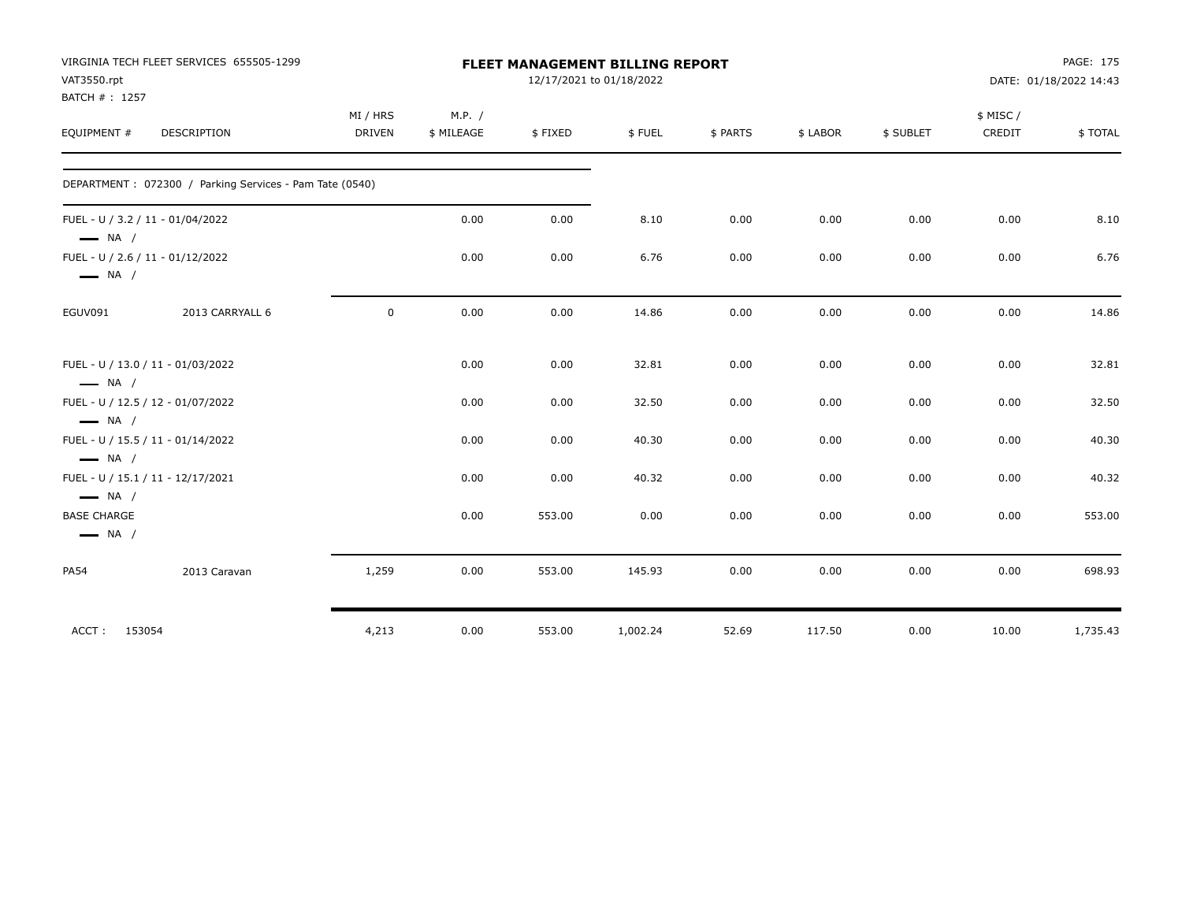|                                                                        | VIRGINIA TECH FLEET SERVICES 655505-1299                |               |            |         | FLEET MANAGEMENT BILLING REPORT |          |          |           |          | PAGE: 175              |
|------------------------------------------------------------------------|---------------------------------------------------------|---------------|------------|---------|---------------------------------|----------|----------|-----------|----------|------------------------|
| VAT3550.rpt                                                            |                                                         |               |            |         | 12/17/2021 to 01/18/2022        |          |          |           |          | DATE: 01/18/2022 14:43 |
| BATCH #: 1257                                                          |                                                         |               |            |         |                                 |          |          |           |          |                        |
|                                                                        |                                                         | MI / HRS      | M.P. /     |         |                                 |          |          |           | \$ MISC/ |                        |
| EQUIPMENT #                                                            | DESCRIPTION                                             | <b>DRIVEN</b> | \$ MILEAGE | \$FIXED | \$FUEL                          | \$ PARTS | \$ LABOR | \$ SUBLET | CREDIT   | \$TOTAL                |
|                                                                        | DEPARTMENT: 072300 / Parking Services - Pam Tate (0540) |               |            |         |                                 |          |          |           |          |                        |
|                                                                        | FUEL - U / 3.2 / 11 - 01/04/2022                        |               | 0.00       | 0.00    | 8.10                            | 0.00     | 0.00     | 0.00      | 0.00     | 8.10                   |
| $\longrightarrow$ NA /                                                 | FUEL - U / 2.6 / 11 - 01/12/2022                        |               | 0.00       | 0.00    | 6.76                            | 0.00     | 0.00     | 0.00      | 0.00     | 6.76                   |
| $\longrightarrow$ NA /                                                 |                                                         |               |            |         |                                 |          |          |           |          |                        |
| EGUV091                                                                | 2013 CARRYALL 6                                         | $\mathsf 0$   | 0.00       | 0.00    | 14.86                           | 0.00     | 0.00     | 0.00      | 0.00     | 14.86                  |
| $\longrightarrow$ NA /                                                 | FUEL - U / 13.0 / 11 - 01/03/2022                       |               | 0.00       | 0.00    | 32.81                           | 0.00     | 0.00     | 0.00      | 0.00     | 32.81                  |
| $\longrightarrow$ NA /                                                 | FUEL - U / 12.5 / 12 - 01/07/2022                       |               | 0.00       | 0.00    | 32.50                           | 0.00     | 0.00     | 0.00      | 0.00     | 32.50                  |
| $\longrightarrow$ NA /                                                 | FUEL - U / 15.5 / 11 - 01/14/2022                       |               | 0.00       | 0.00    | 40.30                           | 0.00     | 0.00     | 0.00      | 0.00     | 40.30                  |
|                                                                        | FUEL - U / 15.1 / 11 - 12/17/2021                       |               | 0.00       | 0.00    | 40.32                           | 0.00     | 0.00     | 0.00      | 0.00     | 40.32                  |
| $\longrightarrow$ NA /<br><b>BASE CHARGE</b><br>$\longrightarrow$ NA / |                                                         |               | 0.00       | 553.00  | 0.00                            | 0.00     | 0.00     | 0.00      | 0.00     | 553.00                 |
| <b>PA54</b>                                                            | 2013 Caravan                                            | 1,259         | 0.00       | 553.00  | 145.93                          | 0.00     | 0.00     | 0.00      | 0.00     | 698.93                 |
| ACCT:                                                                  | 153054                                                  | 4,213         | 0.00       | 553.00  | 1,002.24                        | 52.69    | 117.50   | 0.00      | 10.00    | 1,735.43               |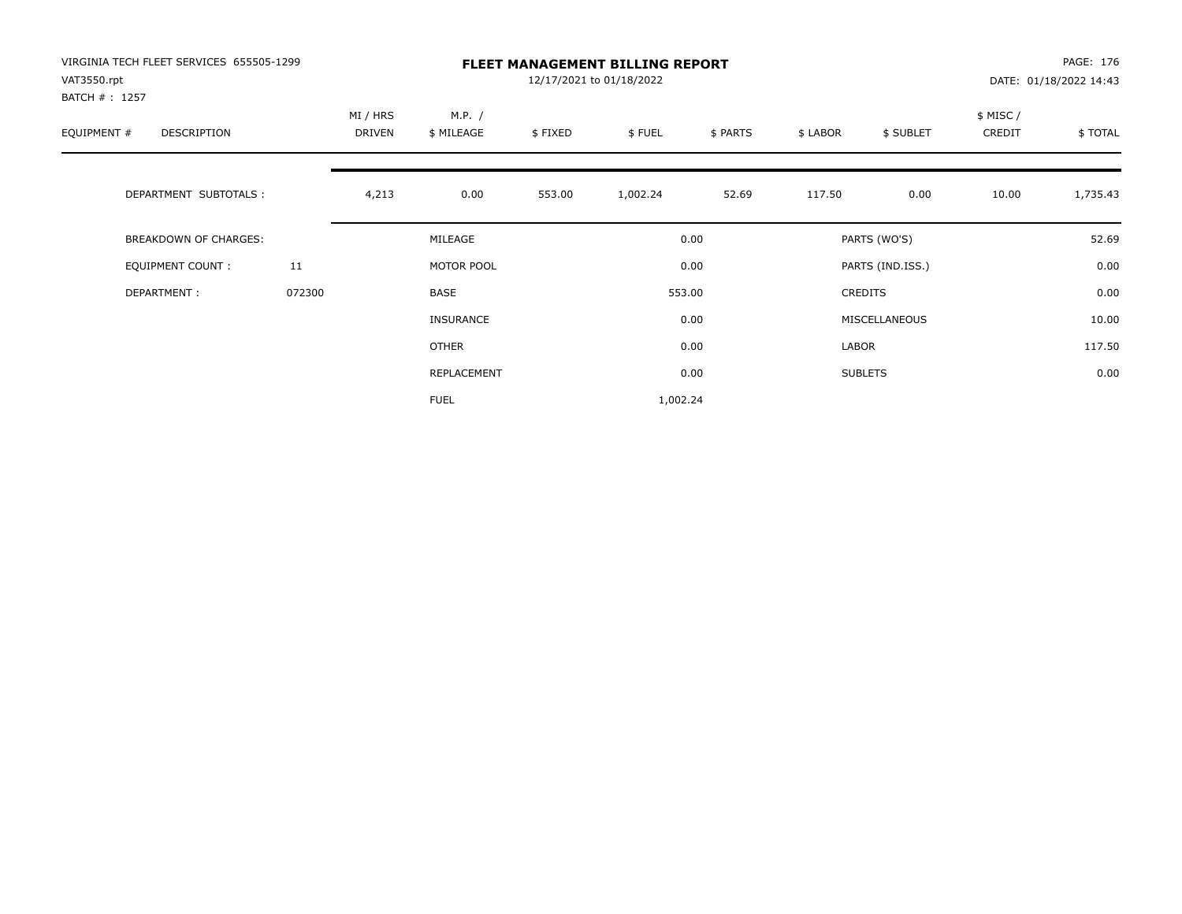| VIRGINIA TECH FLEET SERVICES 655505-1299<br>VAT3550.rpt |        | <b>FLEET MANAGEMENT BILLING REPORT</b><br>12/17/2021 to 01/18/2022 |                      |         |          |          |          |                  |                     | PAGE: 176<br>DATE: 01/18/2022 14:43 |  |
|---------------------------------------------------------|--------|--------------------------------------------------------------------|----------------------|---------|----------|----------|----------|------------------|---------------------|-------------------------------------|--|
| BATCH # : 1257<br>EQUIPMENT #<br>DESCRIPTION            |        | MI / HRS<br>DRIVEN                                                 | M.P. /<br>\$ MILEAGE | \$FIXED | \$FUEL   | \$ PARTS | \$ LABOR | \$ SUBLET        | \$ MISC /<br>CREDIT | \$TOTAL                             |  |
| DEPARTMENT SUBTOTALS :                                  |        | 4,213                                                              | 0.00                 | 553.00  | 1,002.24 | 52.69    | 117.50   | 0.00             | 10.00               | 1,735.43                            |  |
| <b>BREAKDOWN OF CHARGES:</b>                            |        |                                                                    | MILEAGE              |         |          | 0.00     |          | PARTS (WO'S)     |                     | 52.69                               |  |
| EQUIPMENT COUNT:                                        | 11     |                                                                    | MOTOR POOL           |         |          | 0.00     |          | PARTS (IND.ISS.) |                     | 0.00                                |  |
| DEPARTMENT:                                             | 072300 |                                                                    | <b>BASE</b>          |         |          | 553.00   |          | <b>CREDITS</b>   |                     | 0.00                                |  |
|                                                         |        |                                                                    | INSURANCE            |         |          | 0.00     |          | MISCELLANEOUS    |                     | 10.00                               |  |
|                                                         |        |                                                                    | <b>OTHER</b>         |         |          | 0.00     | LABOR    |                  |                     | 117.50                              |  |
|                                                         |        |                                                                    | <b>REPLACEMENT</b>   |         |          | 0.00     |          | <b>SUBLETS</b>   |                     | 0.00                                |  |
|                                                         |        |                                                                    | <b>FUEL</b>          |         | 1,002.24 |          |          |                  |                     |                                     |  |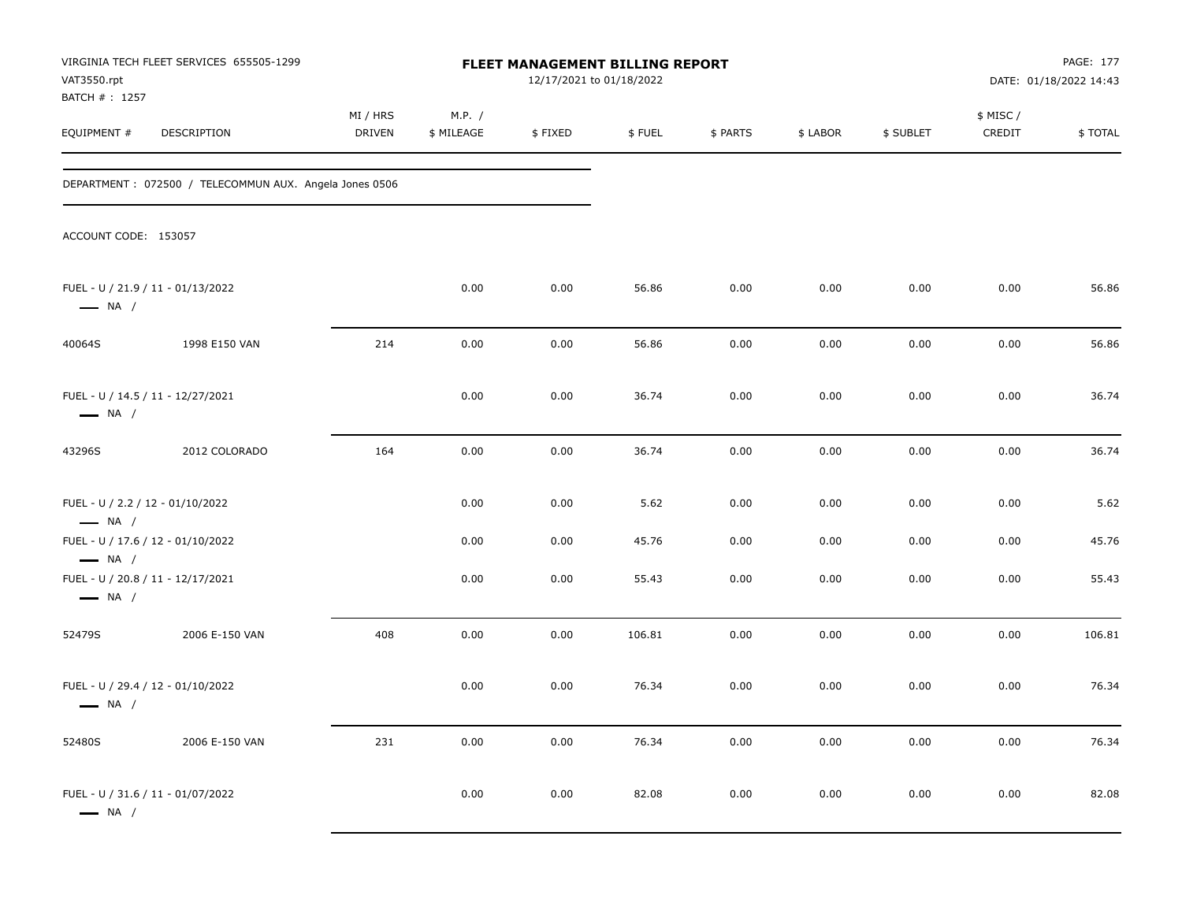| VAT3550.rpt<br>BATCH #: 1257                                | VIRGINIA TECH FLEET SERVICES 655505-1299               |                           |                      | FLEET MANAGEMENT BILLING REPORT<br>12/17/2021 to 01/18/2022 |        |          |          |           |                    | PAGE: 177<br>DATE: 01/18/2022 14:43 |
|-------------------------------------------------------------|--------------------------------------------------------|---------------------------|----------------------|-------------------------------------------------------------|--------|----------|----------|-----------|--------------------|-------------------------------------|
| EQUIPMENT #                                                 | DESCRIPTION                                            | MI / HRS<br><b>DRIVEN</b> | M.P. /<br>\$ MILEAGE | \$FIXED                                                     | \$FUEL | \$ PARTS | \$ LABOR | \$ SUBLET | \$ MISC/<br>CREDIT | \$TOTAL                             |
|                                                             | DEPARTMENT: 072500 / TELECOMMUN AUX. Angela Jones 0506 |                           |                      |                                                             |        |          |          |           |                    |                                     |
| ACCOUNT CODE: 153057                                        |                                                        |                           |                      |                                                             |        |          |          |           |                    |                                     |
| FUEL - U / 21.9 / 11 - 01/13/2022<br>$\longrightarrow$ NA / |                                                        |                           | 0.00                 | 0.00                                                        | 56.86  | 0.00     | 0.00     | 0.00      | 0.00               | 56.86                               |
| 40064S                                                      | 1998 E150 VAN                                          | 214                       | 0.00                 | 0.00                                                        | 56.86  | 0.00     | 0.00     | 0.00      | 0.00               | 56.86                               |
| FUEL - U / 14.5 / 11 - 12/27/2021<br>$\longrightarrow$ NA / |                                                        |                           | 0.00                 | 0.00                                                        | 36.74  | 0.00     | 0.00     | 0.00      | 0.00               | 36.74                               |
| 43296S                                                      | 2012 COLORADO                                          | 164                       | 0.00                 | 0.00                                                        | 36.74  | 0.00     | 0.00     | 0.00      | 0.00               | 36.74                               |
| FUEL - U / 2.2 / 12 - 01/10/2022<br>$\longrightarrow$ NA /  |                                                        |                           | 0.00                 | 0.00                                                        | 5.62   | 0.00     | 0.00     | 0.00      | 0.00               | 5.62                                |
| FUEL - U / 17.6 / 12 - 01/10/2022<br>$\longrightarrow$ NA / |                                                        |                           | 0.00                 | 0.00                                                        | 45.76  | 0.00     | 0.00     | 0.00      | 0.00               | 45.76                               |
| FUEL - U / 20.8 / 11 - 12/17/2021<br>$\longrightarrow$ NA / |                                                        |                           | 0.00                 | 0.00                                                        | 55.43  | 0.00     | 0.00     | 0.00      | 0.00               | 55.43                               |
| 52479S                                                      | 2006 E-150 VAN                                         | 408                       | 0.00                 | 0.00                                                        | 106.81 | 0.00     | 0.00     | 0.00      | 0.00               | 106.81                              |
| FUEL - U / 29.4 / 12 - 01/10/2022<br>$\longrightarrow$ NA / |                                                        |                           | 0.00                 | 0.00                                                        | 76.34  | 0.00     | 0.00     | 0.00      | 0.00               | 76.34                               |
| 52480S                                                      | 2006 E-150 VAN                                         | 231                       | 0.00                 | 0.00                                                        | 76.34  | 0.00     | 0.00     | 0.00      | 0.00               | 76.34                               |
| FUEL - U / 31.6 / 11 - 01/07/2022<br>$\longrightarrow$ NA / |                                                        |                           | 0.00                 | 0.00                                                        | 82.08  | 0.00     | 0.00     | 0.00      | 0.00               | 82.08                               |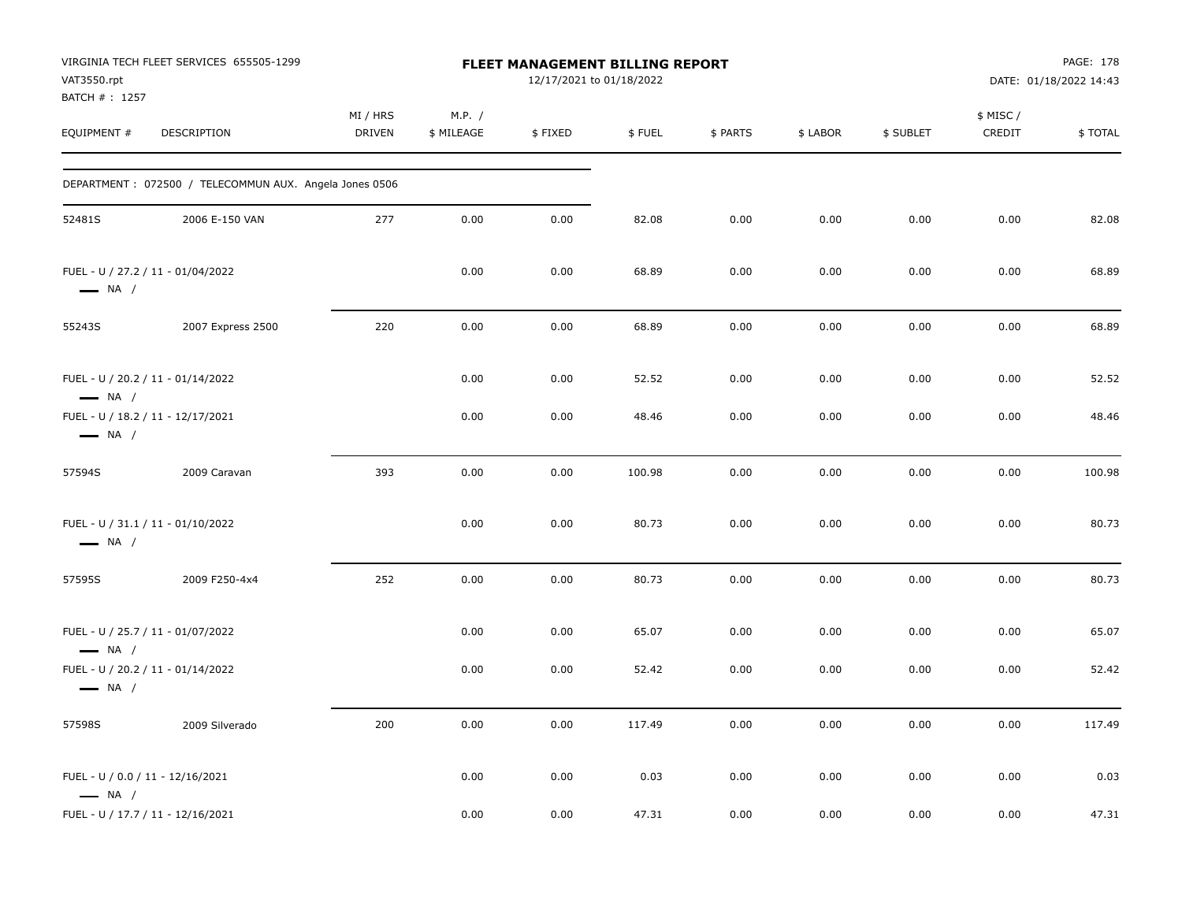| VAT3550.rpt<br>BATCH #: 1257 | VIRGINIA TECH FLEET SERVICES 655505-1299               |                           |                      | FLEET MANAGEMENT BILLING REPORT<br>12/17/2021 to 01/18/2022 |        |          |          |           |                     | PAGE: 178<br>DATE: 01/18/2022 14:43 |
|------------------------------|--------------------------------------------------------|---------------------------|----------------------|-------------------------------------------------------------|--------|----------|----------|-----------|---------------------|-------------------------------------|
| EQUIPMENT #                  | DESCRIPTION                                            | MI / HRS<br><b>DRIVEN</b> | M.P. /<br>\$ MILEAGE | \$FIXED                                                     | \$FUEL | \$ PARTS | \$ LABOR | \$ SUBLET | \$ MISC /<br>CREDIT | \$TOTAL                             |
|                              | DEPARTMENT: 072500 / TELECOMMUN AUX. Angela Jones 0506 |                           |                      |                                                             |        |          |          |           |                     |                                     |
| 52481S                       | 2006 E-150 VAN                                         | 277                       | 0.00                 | 0.00                                                        | 82.08  | 0.00     | 0.00     | 0.00      | 0.00                | 82.08                               |
| $\longrightarrow$ NA /       | FUEL - U / 27.2 / 11 - 01/04/2022                      |                           | 0.00                 | 0.00                                                        | 68.89  | 0.00     | 0.00     | 0.00      | 0.00                | 68.89                               |
| 55243S                       | 2007 Express 2500                                      | 220                       | 0.00                 | 0.00                                                        | 68.89  | 0.00     | 0.00     | 0.00      | 0.00                | 68.89                               |
| $\longrightarrow$ NA /       | FUEL - U / 20.2 / 11 - 01/14/2022                      |                           | 0.00                 | 0.00                                                        | 52.52  | 0.00     | 0.00     | 0.00      | 0.00                | 52.52                               |
| $\longrightarrow$ NA /       | FUEL - U / 18.2 / 11 - 12/17/2021                      |                           | 0.00                 | 0.00                                                        | 48.46  | 0.00     | 0.00     | 0.00      | 0.00                | 48.46                               |
| 57594S                       | 2009 Caravan                                           | 393                       | 0.00                 | 0.00                                                        | 100.98 | 0.00     | 0.00     | 0.00      | 0.00                | 100.98                              |
| $\longrightarrow$ NA /       | FUEL - U / 31.1 / 11 - 01/10/2022                      |                           | 0.00                 | 0.00                                                        | 80.73  | 0.00     | 0.00     | 0.00      | 0.00                | 80.73                               |
| 57595S                       | 2009 F250-4x4                                          | 252                       | 0.00                 | 0.00                                                        | 80.73  | 0.00     | 0.00     | 0.00      | 0.00                | 80.73                               |
| $\longrightarrow$ NA /       | FUEL - U / 25.7 / 11 - 01/07/2022                      |                           | 0.00                 | 0.00                                                        | 65.07  | 0.00     | 0.00     | 0.00      | 0.00                | 65.07                               |
| $\longrightarrow$ NA /       | FUEL - U / 20.2 / 11 - 01/14/2022                      |                           | 0.00                 | 0.00                                                        | 52.42  | 0.00     | 0.00     | 0.00      | 0.00                | 52.42                               |
| 57598S                       | 2009 Silverado                                         | 200                       | 0.00                 | 0.00                                                        | 117.49 | 0.00     | 0.00     | 0.00      | 0.00                | 117.49                              |
| $\longrightarrow$ NA /       | FUEL - U / 0.0 / 11 - 12/16/2021                       |                           | 0.00                 | 0.00                                                        | 0.03   | 0.00     | 0.00     | 0.00      | 0.00                | 0.03                                |
|                              | FUEL - U / 17.7 / 11 - 12/16/2021                      |                           | 0.00                 | 0.00                                                        | 47.31  | 0.00     | 0.00     | 0.00      | 0.00                | 47.31                               |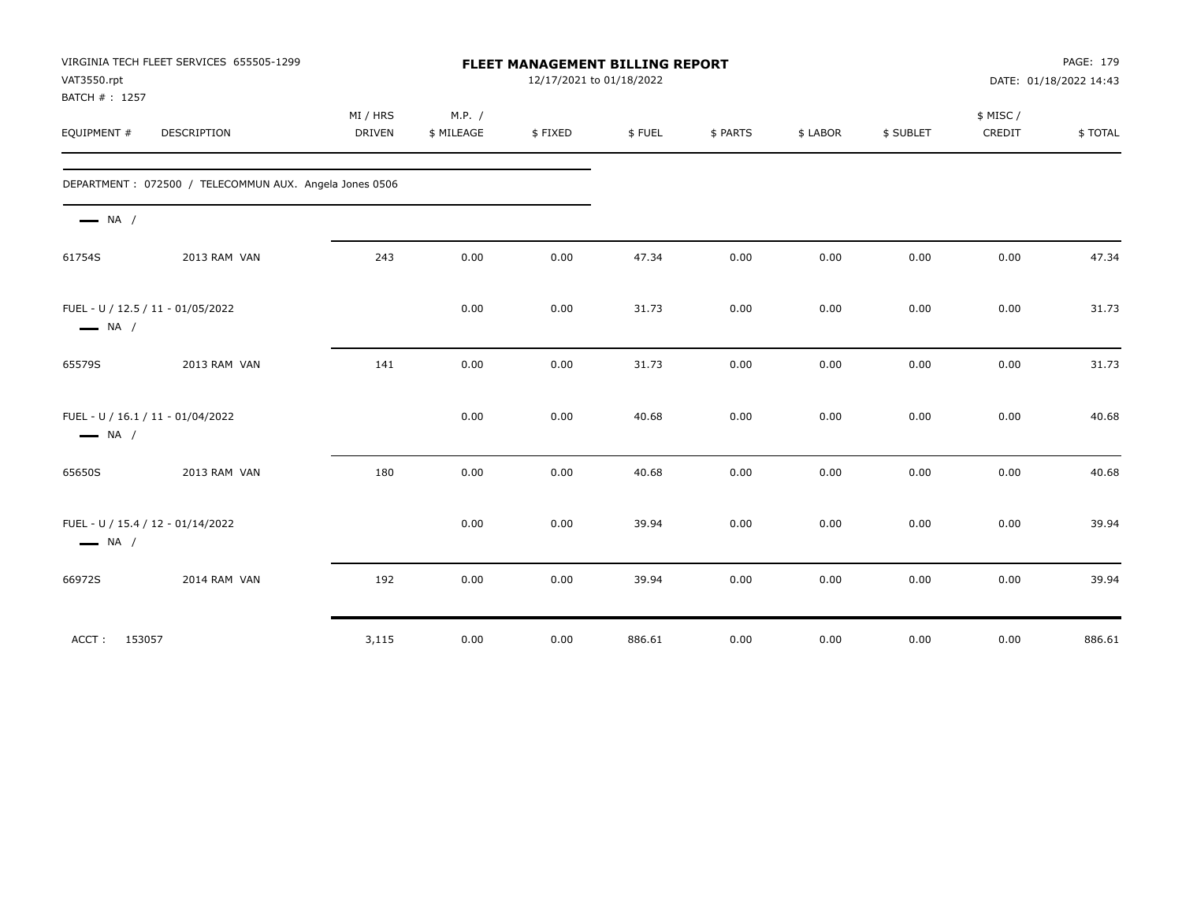| VAT3550.rpt<br>BATCH #: 1257                                | VIRGINIA TECH FLEET SERVICES 655505-1299               | FLEET MANAGEMENT BILLING REPORT<br>12/17/2021 to 01/18/2022 |                      |         |        |          |          |           | PAGE: 179<br>DATE: 01/18/2022 14:43 |         |
|-------------------------------------------------------------|--------------------------------------------------------|-------------------------------------------------------------|----------------------|---------|--------|----------|----------|-----------|-------------------------------------|---------|
| EQUIPMENT #                                                 | <b>DESCRIPTION</b>                                     | MI / HRS<br>DRIVEN                                          | M.P. /<br>\$ MILEAGE | \$FIXED | \$FUEL | \$ PARTS | \$ LABOR | \$ SUBLET | \$ MISC/<br>CREDIT                  | \$TOTAL |
|                                                             | DEPARTMENT: 072500 / TELECOMMUN AUX. Angela Jones 0506 |                                                             |                      |         |        |          |          |           |                                     |         |
| $\longrightarrow$ NA /                                      |                                                        |                                                             |                      |         |        |          |          |           |                                     |         |
| 61754S                                                      | 2013 RAM VAN                                           | 243                                                         | 0.00                 | 0.00    | 47.34  | 0.00     | 0.00     | 0.00      | 0.00                                | 47.34   |
| FUEL - U / 12.5 / 11 - 01/05/2022<br>$\longrightarrow$ NA / |                                                        |                                                             | 0.00                 | 0.00    | 31.73  | 0.00     | 0.00     | 0.00      | 0.00                                | 31.73   |
| 65579S                                                      | 2013 RAM VAN                                           | 141                                                         | 0.00                 | 0.00    | 31.73  | 0.00     | 0.00     | 0.00      | 0.00                                | 31.73   |
| FUEL - U / 16.1 / 11 - 01/04/2022<br>$\longrightarrow$ NA / |                                                        |                                                             | 0.00                 | 0.00    | 40.68  | 0.00     | 0.00     | 0.00      | 0.00                                | 40.68   |
| 65650S                                                      | 2013 RAM VAN                                           | 180                                                         | 0.00                 | 0.00    | 40.68  | 0.00     | 0.00     | 0.00      | 0.00                                | 40.68   |
| FUEL - U / 15.4 / 12 - 01/14/2022<br>$\longrightarrow$ NA / |                                                        |                                                             | 0.00                 | 0.00    | 39.94  | 0.00     | 0.00     | 0.00      | 0.00                                | 39.94   |
| 66972S                                                      | 2014 RAM VAN                                           | 192                                                         | 0.00                 | 0.00    | 39.94  | 0.00     | 0.00     | 0.00      | 0.00                                | 39.94   |
| 153057<br>ACCT:                                             |                                                        | 3,115                                                       | 0.00                 | 0.00    | 886.61 | 0.00     | 0.00     | 0.00      | 0.00                                | 886.61  |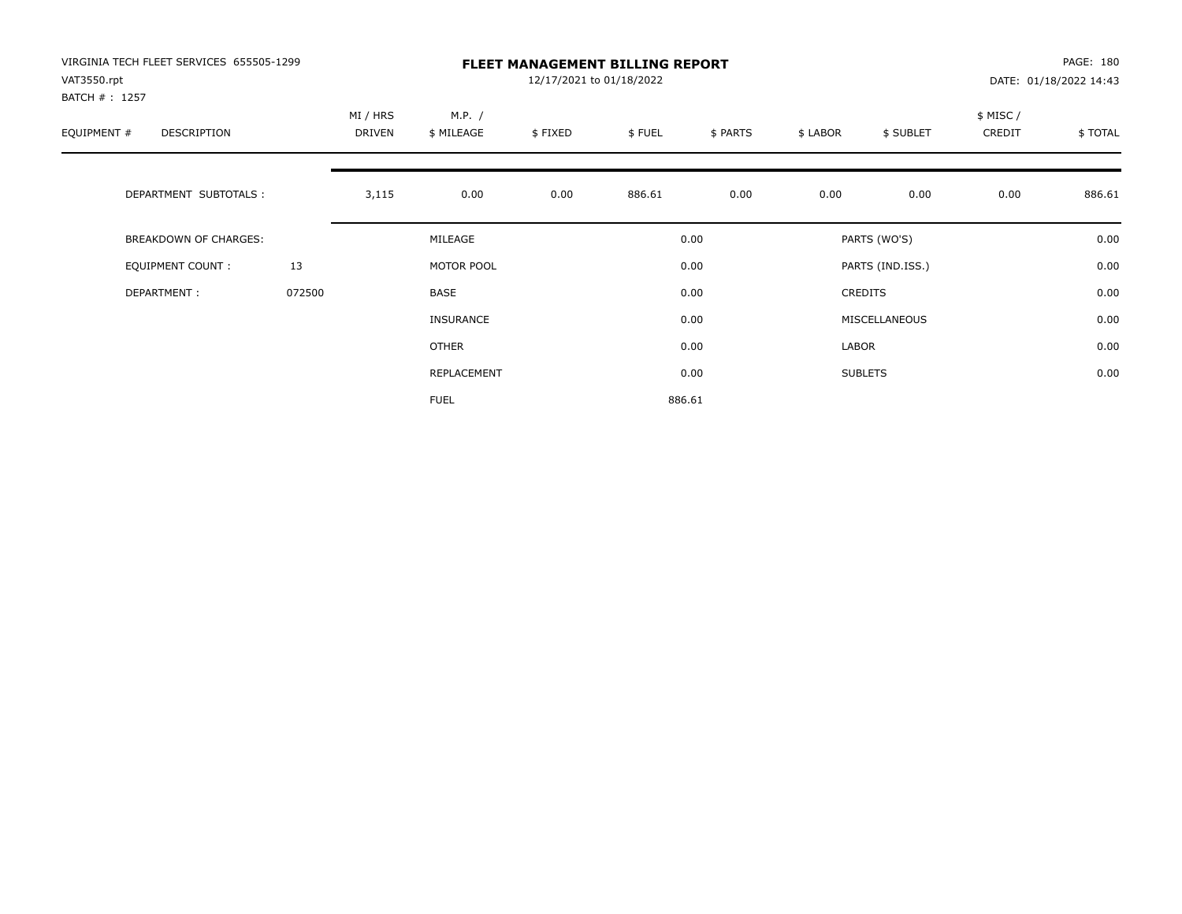| VIRGINIA TECH FLEET SERVICES 655505-1299<br>VAT3550.rpt<br>BATCH # : 1257 |        |                    |                      | PAGE: 180<br>DATE: 01/18/2022 14:43 |        |          |          |                  |                     |         |
|---------------------------------------------------------------------------|--------|--------------------|----------------------|-------------------------------------|--------|----------|----------|------------------|---------------------|---------|
| EQUIPMENT #<br><b>DESCRIPTION</b>                                         |        | MI / HRS<br>DRIVEN | M.P. /<br>\$ MILEAGE | \$FIXED                             | \$FUEL | \$ PARTS | \$ LABOR | \$ SUBLET        | \$ MISC /<br>CREDIT | \$TOTAL |
| DEPARTMENT SUBTOTALS :                                                    |        | 3,115              | 0.00                 | 0.00                                | 886.61 | 0.00     | 0.00     | 0.00             | 0.00                | 886.61  |
| <b>BREAKDOWN OF CHARGES:</b>                                              |        |                    | MILEAGE              |                                     |        | 0.00     |          | PARTS (WO'S)     |                     | 0.00    |
| EQUIPMENT COUNT:                                                          | 13     |                    | MOTOR POOL           |                                     |        | 0.00     |          | PARTS (IND.ISS.) |                     | 0.00    |
| DEPARTMENT:                                                               | 072500 |                    | <b>BASE</b>          |                                     |        | 0.00     |          | <b>CREDITS</b>   |                     | 0.00    |
|                                                                           |        |                    | INSURANCE            |                                     |        | 0.00     |          | MISCELLANEOUS    |                     | 0.00    |
|                                                                           |        |                    | OTHER                |                                     |        | 0.00     | LABOR    |                  |                     | 0.00    |
|                                                                           |        |                    | REPLACEMENT          |                                     |        | 0.00     |          | <b>SUBLETS</b>   |                     | 0.00    |
|                                                                           |        |                    | <b>FUEL</b>          |                                     |        | 886.61   |          |                  |                     |         |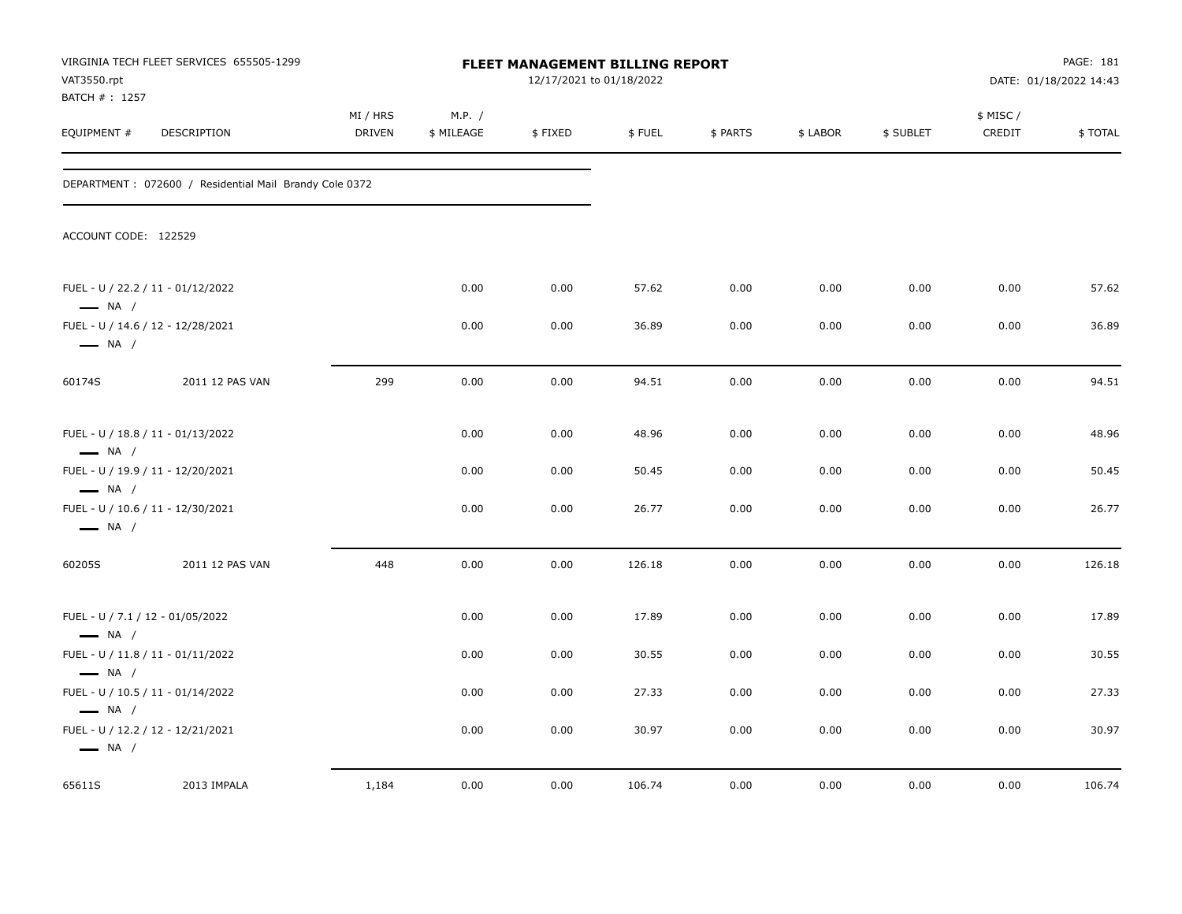| VAT3550.rpt<br>BATCH #: 1257                               | VIRGINIA TECH FLEET SERVICES 655505-1299                |                           |                      | <b>FLEET MANAGEMENT BILLING REPORT</b><br>12/17/2021 to 01/18/2022 |        |          |          |           |                     | PAGE: 181<br>DATE: 01/18/2022 14:43 |
|------------------------------------------------------------|---------------------------------------------------------|---------------------------|----------------------|--------------------------------------------------------------------|--------|----------|----------|-----------|---------------------|-------------------------------------|
| EQUIPMENT #                                                | <b>DESCRIPTION</b>                                      | MI / HRS<br><b>DRIVEN</b> | M.P. /<br>\$ MILEAGE | \$FIXED                                                            | \$FUEL | \$ PARTS | \$ LABOR | \$ SUBLET | \$ MISC /<br>CREDIT | \$TOTAL                             |
|                                                            | DEPARTMENT : 072600 / Residential Mail Brandy Cole 0372 |                           |                      |                                                                    |        |          |          |           |                     |                                     |
| ACCOUNT CODE: 122529                                       |                                                         |                           |                      |                                                                    |        |          |          |           |                     |                                     |
| $\longrightarrow$ NA /                                     | FUEL - U / 22.2 / 11 - 01/12/2022                       |                           | 0.00                 | 0.00                                                               | 57.62  | 0.00     | 0.00     | 0.00      | 0.00                | 57.62                               |
| $\longrightarrow$ NA /                                     | FUEL - U / 14.6 / 12 - 12/28/2021                       |                           | 0.00                 | 0.00                                                               | 36.89  | 0.00     | 0.00     | 0.00      | 0.00                | 36.89                               |
| 60174S                                                     | 2011 12 PAS VAN                                         | 299                       | 0.00                 | 0.00                                                               | 94.51  | 0.00     | 0.00     | 0.00      | 0.00                | 94.51                               |
| $\longrightarrow$ NA /                                     | FUEL - U / 18.8 / 11 - 01/13/2022                       |                           | 0.00                 | 0.00                                                               | 48.96  | 0.00     | 0.00     | 0.00      | 0.00                | 48.96                               |
| $\longrightarrow$ NA /                                     | FUEL - U / 19.9 / 11 - 12/20/2021                       |                           | 0.00                 | 0.00                                                               | 50.45  | 0.00     | 0.00     | 0.00      | 0.00                | 50.45                               |
| $\longrightarrow$ NA /                                     | FUEL - U / 10.6 / 11 - 12/30/2021                       |                           | 0.00                 | 0.00                                                               | 26.77  | 0.00     | 0.00     | 0.00      | 0.00                | 26.77                               |
| 60205S                                                     | 2011 12 PAS VAN                                         | 448                       | 0.00                 | 0.00                                                               | 126.18 | 0.00     | 0.00     | 0.00      | 0.00                | 126.18                              |
| FUEL - U / 7.1 / 12 - 01/05/2022<br>$\longrightarrow$ NA / |                                                         |                           | 0.00                 | 0.00                                                               | 17.89  | 0.00     | 0.00     | 0.00      | 0.00                | 17.89                               |
|                                                            | FUEL - U / 11.8 / 11 - 01/11/2022                       |                           | 0.00                 | 0.00                                                               | 30.55  | 0.00     | 0.00     | 0.00      | 0.00                | 30.55                               |
| $\longrightarrow$ NA /<br>$\longrightarrow$ NA /           | FUEL - U / 10.5 / 11 - 01/14/2022                       |                           | 0.00                 | 0.00                                                               | 27.33  | 0.00     | 0.00     | 0.00      | 0.00                | 27.33                               |
| $\longrightarrow$ NA /                                     | FUEL - U / 12.2 / 12 - 12/21/2021                       |                           | 0.00                 | 0.00                                                               | 30.97  | 0.00     | 0.00     | 0.00      | 0.00                | 30.97                               |
| 65611S                                                     | 2013 IMPALA                                             | 1,184                     | 0.00                 | 0.00                                                               | 106.74 | 0.00     | 0.00     | 0.00      | 0.00                | 106.74                              |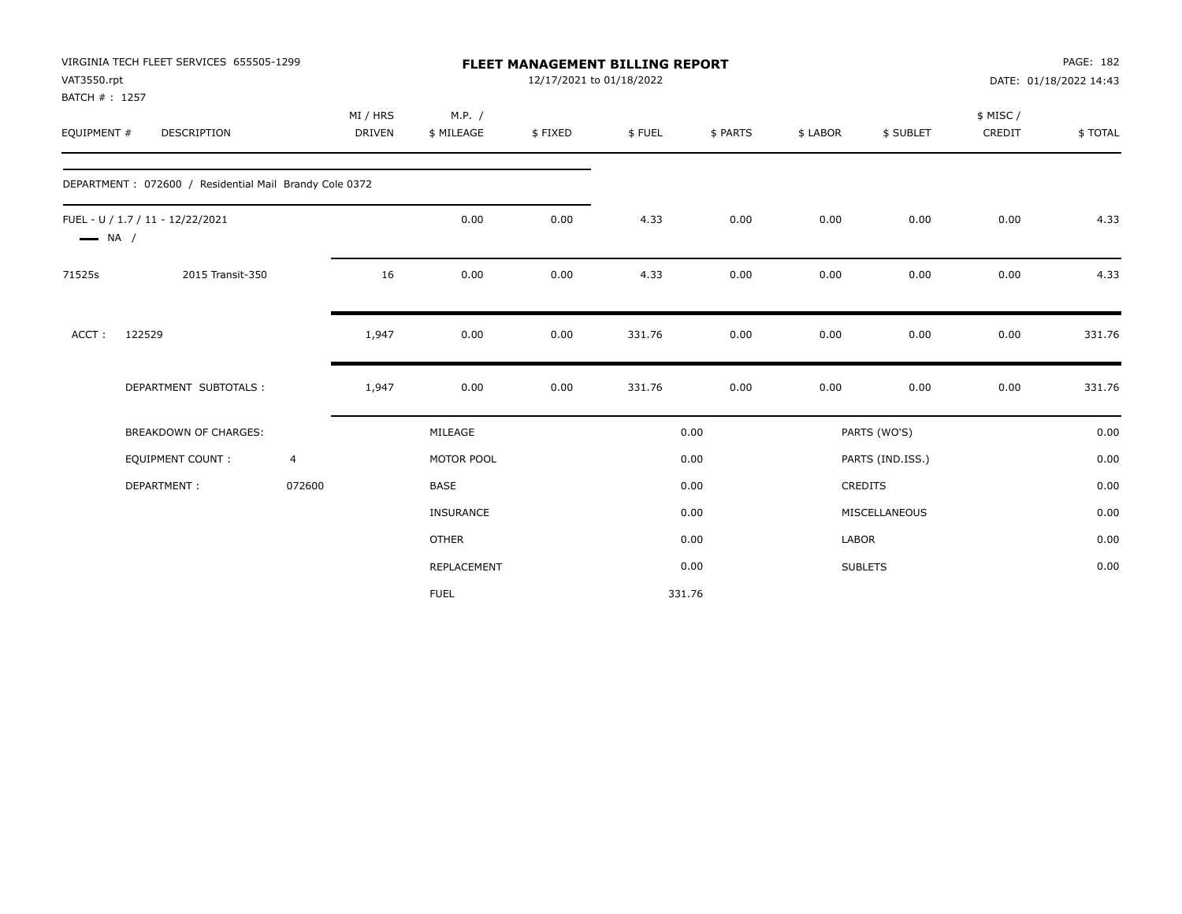| VAT3550.rpt            | VIRGINIA TECH FLEET SERVICES 655505-1299               |                | <b>FLEET MANAGEMENT BILLING REPORT</b><br>12/17/2021 to 01/18/2022 |                      |         |        |          |          | PAGE: 182<br>DATE: 01/18/2022 14:43 |                    |         |
|------------------------|--------------------------------------------------------|----------------|--------------------------------------------------------------------|----------------------|---------|--------|----------|----------|-------------------------------------|--------------------|---------|
| BATCH #: 1257          |                                                        |                |                                                                    |                      |         |        |          |          |                                     |                    |         |
| EQUIPMENT #            | <b>DESCRIPTION</b>                                     |                | MI / HRS<br>DRIVEN                                                 | M.P. /<br>\$ MILEAGE | \$FIXED | \$FUEL | \$ PARTS | \$ LABOR | \$ SUBLET                           | \$ MISC/<br>CREDIT | \$TOTAL |
|                        |                                                        |                |                                                                    |                      |         |        |          |          |                                     |                    |         |
|                        | DEPARTMENT: 072600 / Residential Mail Brandy Cole 0372 |                |                                                                    |                      |         |        |          |          |                                     |                    |         |
|                        | FUEL - U / 1.7 / 11 - 12/22/2021                       |                |                                                                    | 0.00                 | 0.00    | 4.33   | 0.00     | 0.00     | 0.00                                | 0.00               | 4.33    |
| $\longrightarrow$ NA / |                                                        |                |                                                                    |                      |         |        |          |          |                                     |                    |         |
| 71525s                 | 2015 Transit-350                                       |                | 16                                                                 | 0.00                 | 0.00    | 4.33   | 0.00     | 0.00     | 0.00                                | 0.00               | 4.33    |
| ACCT:                  | 122529                                                 |                | 1,947                                                              | 0.00                 | 0.00    | 331.76 | 0.00     | 0.00     | 0.00                                | 0.00               | 331.76  |
|                        | DEPARTMENT SUBTOTALS :                                 |                | 1,947                                                              | 0.00                 | 0.00    | 331.76 | 0.00     | 0.00     | 0.00                                | 0.00               | 331.76  |
|                        | BREAKDOWN OF CHARGES:                                  |                |                                                                    | MILEAGE              |         |        | 0.00     |          | PARTS (WO'S)                        |                    | 0.00    |
|                        | <b>EQUIPMENT COUNT:</b>                                | $\overline{4}$ |                                                                    | MOTOR POOL           |         |        | 0.00     |          | PARTS (IND.ISS.)                    |                    | 0.00    |
|                        | DEPARTMENT:                                            | 072600         |                                                                    | <b>BASE</b>          |         |        | 0.00     |          | CREDITS                             |                    | 0.00    |
|                        |                                                        |                |                                                                    | <b>INSURANCE</b>     |         |        | 0.00     |          | MISCELLANEOUS                       |                    | 0.00    |
|                        |                                                        |                |                                                                    | <b>OTHER</b>         |         |        | 0.00     | LABOR    |                                     |                    | 0.00    |
|                        |                                                        |                |                                                                    | REPLACEMENT          |         |        | 0.00     |          | <b>SUBLETS</b>                      |                    | 0.00    |
|                        |                                                        |                |                                                                    | <b>FUEL</b>          |         |        | 331.76   |          |                                     |                    |         |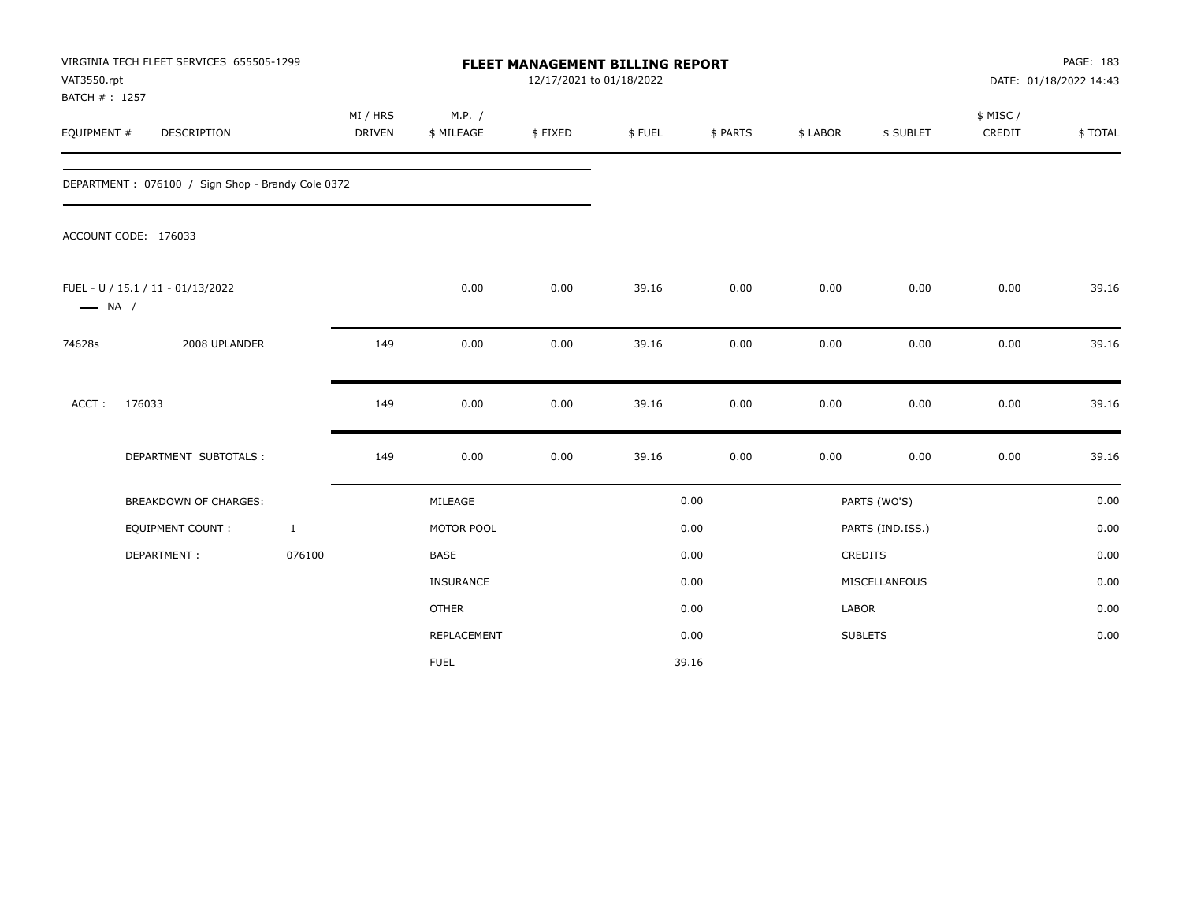| VAT3550.rpt<br>BATCH #: 1257 | VIRGINIA TECH FLEET SERVICES 655505-1299          |              |                           |                      |         | FLEET MANAGEMENT BILLING REPORT<br>12/17/2021 to 01/18/2022 |          |          |                  | PAGE: 183<br>DATE: 01/18/2022 14:43 |         |  |
|------------------------------|---------------------------------------------------|--------------|---------------------------|----------------------|---------|-------------------------------------------------------------|----------|----------|------------------|-------------------------------------|---------|--|
| EQUIPMENT #                  | <b>DESCRIPTION</b>                                |              | MI / HRS<br><b>DRIVEN</b> | M.P. /<br>\$ MILEAGE | \$FIXED | \$FUEL                                                      | \$ PARTS | \$ LABOR | \$ SUBLET        | \$ MISC /<br>CREDIT                 | \$TOTAL |  |
|                              | DEPARTMENT: 076100 / Sign Shop - Brandy Cole 0372 |              |                           |                      |         |                                                             |          |          |                  |                                     |         |  |
|                              | ACCOUNT CODE: 176033                              |              |                           |                      |         |                                                             |          |          |                  |                                     |         |  |
| $\longrightarrow$ NA /       | FUEL - U / 15.1 / 11 - 01/13/2022                 |              |                           | 0.00                 | 0.00    | 39.16                                                       | 0.00     | 0.00     | 0.00             | 0.00                                | 39.16   |  |
| 74628s                       | 2008 UPLANDER                                     |              | 149                       | 0.00                 | 0.00    | 39.16                                                       | 0.00     | 0.00     | 0.00             | 0.00                                | 39.16   |  |
| ACCT:                        | 176033                                            |              | 149                       | 0.00                 | 0.00    | 39.16                                                       | 0.00     | 0.00     | 0.00             | 0.00                                | 39.16   |  |
|                              | DEPARTMENT SUBTOTALS :                            |              | 149                       | 0.00                 | 0.00    | 39.16                                                       | 0.00     | 0.00     | 0.00             | 0.00                                | 39.16   |  |
|                              | <b>BREAKDOWN OF CHARGES:</b>                      |              |                           | MILEAGE              |         |                                                             | 0.00     |          | PARTS (WO'S)     |                                     | 0.00    |  |
|                              | <b>EQUIPMENT COUNT:</b>                           | $\mathbf{1}$ |                           | MOTOR POOL           |         |                                                             | 0.00     |          | PARTS (IND.ISS.) |                                     | 0.00    |  |
|                              | DEPARTMENT:                                       | 076100       |                           | <b>BASE</b>          |         |                                                             | 0.00     |          | <b>CREDITS</b>   |                                     | 0.00    |  |
|                              |                                                   |              |                           | INSURANCE            |         |                                                             | 0.00     |          | MISCELLANEOUS    |                                     | 0.00    |  |
|                              |                                                   |              |                           | <b>OTHER</b>         |         |                                                             | 0.00     | LABOR    |                  |                                     | 0.00    |  |
|                              |                                                   |              |                           | REPLACEMENT          |         |                                                             | 0.00     |          | <b>SUBLETS</b>   |                                     | 0.00    |  |
|                              |                                                   |              |                           | <b>FUEL</b>          |         |                                                             | 39.16    |          |                  |                                     |         |  |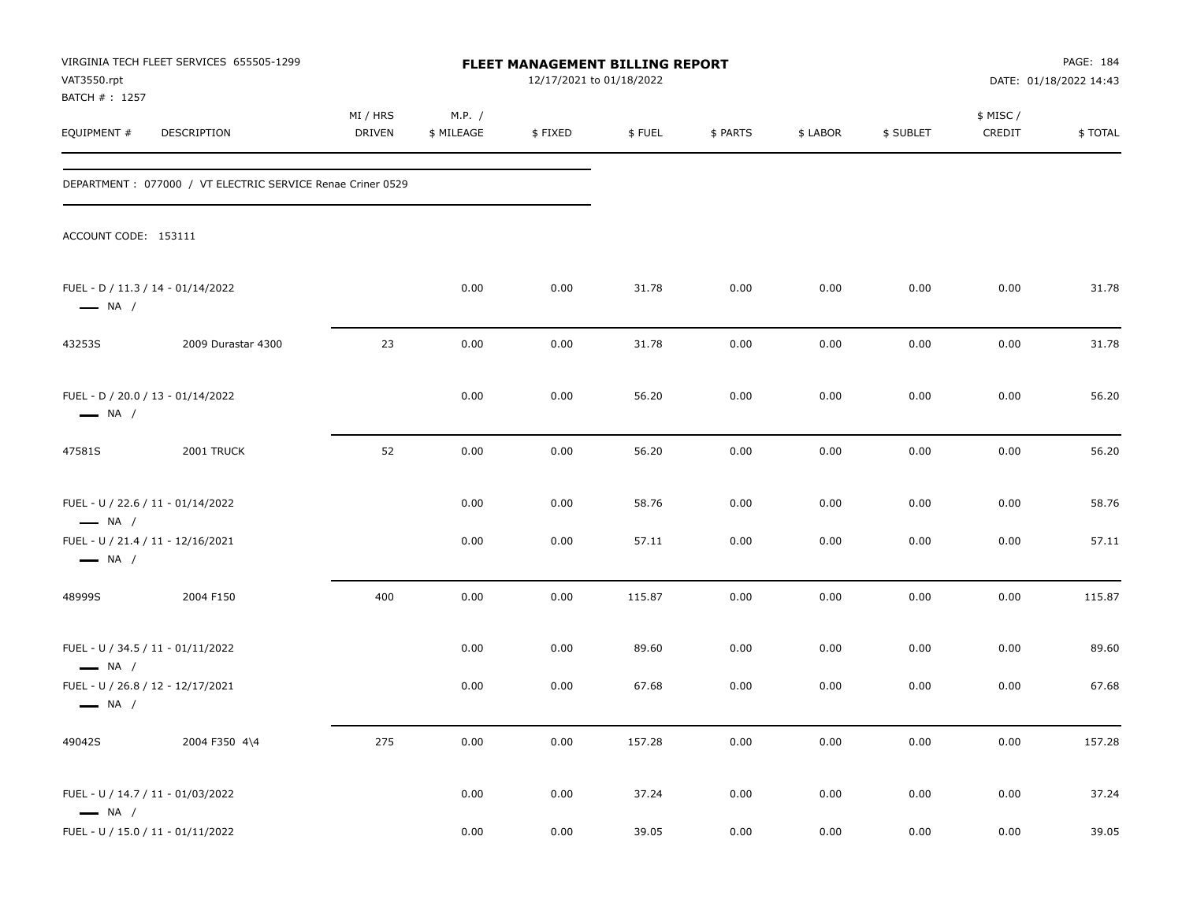| VAT3550.rpt<br>BATCH # : 1257                               | VIRGINIA TECH FLEET SERVICES 655505-1299                   |                    |                      | FLEET MANAGEMENT BILLING REPORT<br>12/17/2021 to 01/18/2022 |        |          |          |           |                     | PAGE: 184<br>DATE: 01/18/2022 14:43 |
|-------------------------------------------------------------|------------------------------------------------------------|--------------------|----------------------|-------------------------------------------------------------|--------|----------|----------|-----------|---------------------|-------------------------------------|
| EQUIPMENT #                                                 | DESCRIPTION                                                | MI / HRS<br>DRIVEN | M.P. /<br>\$ MILEAGE | \$FIXED                                                     | \$FUEL | \$ PARTS | \$ LABOR | \$ SUBLET | \$ MISC /<br>CREDIT | \$TOTAL                             |
|                                                             | DEPARTMENT: 077000 / VT ELECTRIC SERVICE Renae Criner 0529 |                    |                      |                                                             |        |          |          |           |                     |                                     |
| ACCOUNT CODE: 153111                                        |                                                            |                    |                      |                                                             |        |          |          |           |                     |                                     |
| FUEL - D / 11.3 / 14 - 01/14/2022<br>$\longrightarrow$ NA / |                                                            |                    | 0.00                 | 0.00                                                        | 31.78  | 0.00     | 0.00     | 0.00      | 0.00                | 31.78                               |
| 43253S                                                      | 2009 Durastar 4300                                         | 23                 | 0.00                 | 0.00                                                        | 31.78  | 0.00     | 0.00     | 0.00      | 0.00                | 31.78                               |
| FUEL - D / 20.0 / 13 - 01/14/2022<br>$\longrightarrow$ NA / |                                                            |                    | 0.00                 | 0.00                                                        | 56.20  | 0.00     | 0.00     | 0.00      | 0.00                | 56.20                               |
| 47581S                                                      | 2001 TRUCK                                                 | 52                 | 0.00                 | 0.00                                                        | 56.20  | 0.00     | 0.00     | 0.00      | 0.00                | 56.20                               |
| FUEL - U / 22.6 / 11 - 01/14/2022<br>$\longrightarrow$ NA / |                                                            |                    | 0.00                 | 0.00                                                        | 58.76  | 0.00     | 0.00     | 0.00      | 0.00                | 58.76                               |
| FUEL - U / 21.4 / 11 - 12/16/2021<br>$\longrightarrow$ NA / |                                                            |                    | 0.00                 | 0.00                                                        | 57.11  | 0.00     | 0.00     | 0.00      | 0.00                | 57.11                               |
| 48999S                                                      | 2004 F150                                                  | 400                | 0.00                 | 0.00                                                        | 115.87 | 0.00     | 0.00     | 0.00      | 0.00                | 115.87                              |
| FUEL - U / 34.5 / 11 - 01/11/2022<br>$\longrightarrow$ NA / |                                                            |                    | 0.00                 | 0.00                                                        | 89.60  | 0.00     | 0.00     | 0.00      | 0.00                | 89.60                               |
| FUEL - U / 26.8 / 12 - 12/17/2021<br>$\longrightarrow$ NA / |                                                            |                    | 0.00                 | 0.00                                                        | 67.68  | 0.00     | 0.00     | 0.00      | 0.00                | 67.68                               |
| 49042S                                                      | 2004 F350 4\4                                              | 275                | 0.00                 | 0.00                                                        | 157.28 | 0.00     | 0.00     | 0.00      | 0.00                | 157.28                              |
| FUEL - U / 14.7 / 11 - 01/03/2022<br>$\longrightarrow$ NA / |                                                            |                    | 0.00                 | 0.00                                                        | 37.24  | 0.00     | 0.00     | 0.00      | 0.00                | 37.24                               |
| FUEL - U / 15.0 / 11 - 01/11/2022                           |                                                            |                    | 0.00                 | 0.00                                                        | 39.05  | 0.00     | 0.00     | 0.00      | 0.00                | 39.05                               |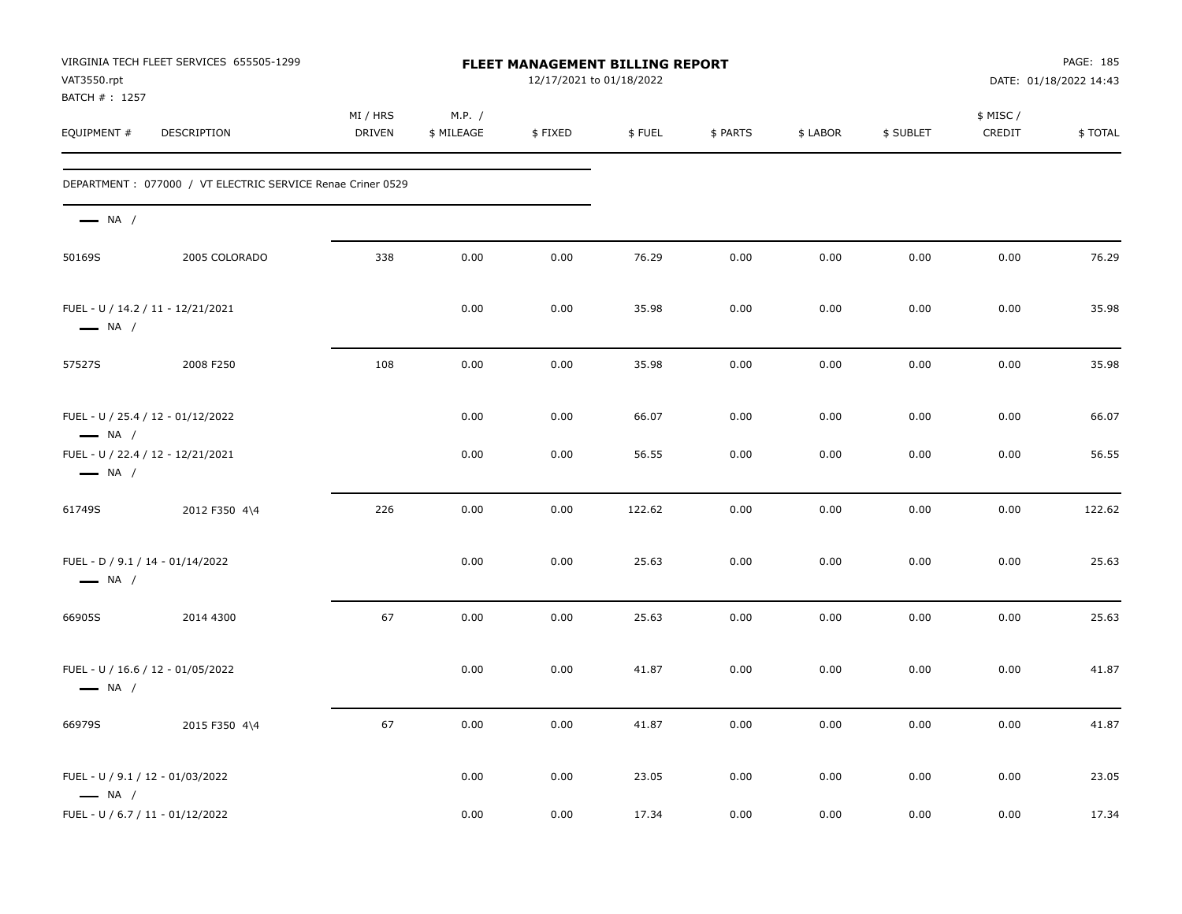| VAT3550.rpt<br>BATCH #: 1257                               | VIRGINIA TECH FLEET SERVICES 655505-1299                    |                    |                      | FLEET MANAGEMENT BILLING REPORT<br>12/17/2021 to 01/18/2022 |        |          |          |           |                     | PAGE: 185<br>DATE: 01/18/2022 14:43 |
|------------------------------------------------------------|-------------------------------------------------------------|--------------------|----------------------|-------------------------------------------------------------|--------|----------|----------|-----------|---------------------|-------------------------------------|
| EQUIPMENT #                                                | DESCRIPTION                                                 | MI / HRS<br>DRIVEN | M.P. /<br>\$ MILEAGE | \$FIXED                                                     | \$FUEL | \$ PARTS | \$ LABOR | \$ SUBLET | \$ MISC /<br>CREDIT | \$TOTAL                             |
|                                                            | DEPARTMENT : 077000 / VT ELECTRIC SERVICE Renae Criner 0529 |                    |                      |                                                             |        |          |          |           |                     |                                     |
| $\longrightarrow$ NA /                                     |                                                             |                    |                      |                                                             |        |          |          |           |                     |                                     |
| 50169S                                                     | 2005 COLORADO                                               | 338                | 0.00                 | 0.00                                                        | 76.29  | 0.00     | 0.00     | 0.00      | 0.00                | 76.29                               |
| $\longrightarrow$ NA /                                     | FUEL - U / 14.2 / 11 - 12/21/2021                           |                    | 0.00                 | 0.00                                                        | 35.98  | 0.00     | 0.00     | 0.00      | 0.00                | 35.98                               |
| 57527S                                                     | 2008 F250                                                   | 108                | 0.00                 | 0.00                                                        | 35.98  | 0.00     | 0.00     | 0.00      | 0.00                | 35.98                               |
| $\longrightarrow$ NA /                                     | FUEL - U / 25.4 / 12 - 01/12/2022                           |                    | 0.00                 | 0.00                                                        | 66.07  | 0.00     | 0.00     | 0.00      | 0.00                | 66.07                               |
| $\longrightarrow$ NA /                                     | FUEL - U / 22.4 / 12 - 12/21/2021                           |                    | 0.00                 | 0.00                                                        | 56.55  | 0.00     | 0.00     | 0.00      | 0.00                | 56.55                               |
| 61749S                                                     | 2012 F350 4\4                                               | 226                | 0.00                 | 0.00                                                        | 122.62 | 0.00     | 0.00     | 0.00      | 0.00                | 122.62                              |
| FUEL - D / 9.1 / 14 - 01/14/2022<br>$\longrightarrow$ NA / |                                                             |                    | 0.00                 | 0.00                                                        | 25.63  | 0.00     | 0.00     | 0.00      | 0.00                | 25.63                               |
| 66905S                                                     | 2014 4300                                                   | 67                 | 0.00                 | 0.00                                                        | 25.63  | 0.00     | 0.00     | 0.00      | 0.00                | 25.63                               |
| $\longrightarrow$ NA /                                     | FUEL - U / 16.6 / 12 - 01/05/2022                           |                    | 0.00                 | 0.00                                                        | 41.87  | 0.00     | 0.00     | 0.00      | 0.00                | 41.87                               |
| 66979S                                                     | 2015 F350 4\4                                               | 67                 | 0.00                 | 0.00                                                        | 41.87  | 0.00     | 0.00     | 0.00      | 0.00                | 41.87                               |
| FUEL - U / 9.1 / 12 - 01/03/2022<br>$\longrightarrow$ NA / |                                                             |                    | 0.00                 | 0.00                                                        | 23.05  | 0.00     | 0.00     | 0.00      | 0.00                | 23.05                               |
| FUEL - U / 6.7 / 11 - 01/12/2022                           |                                                             |                    | 0.00                 | 0.00                                                        | 17.34  | 0.00     | 0.00     | 0.00      | 0.00                | 17.34                               |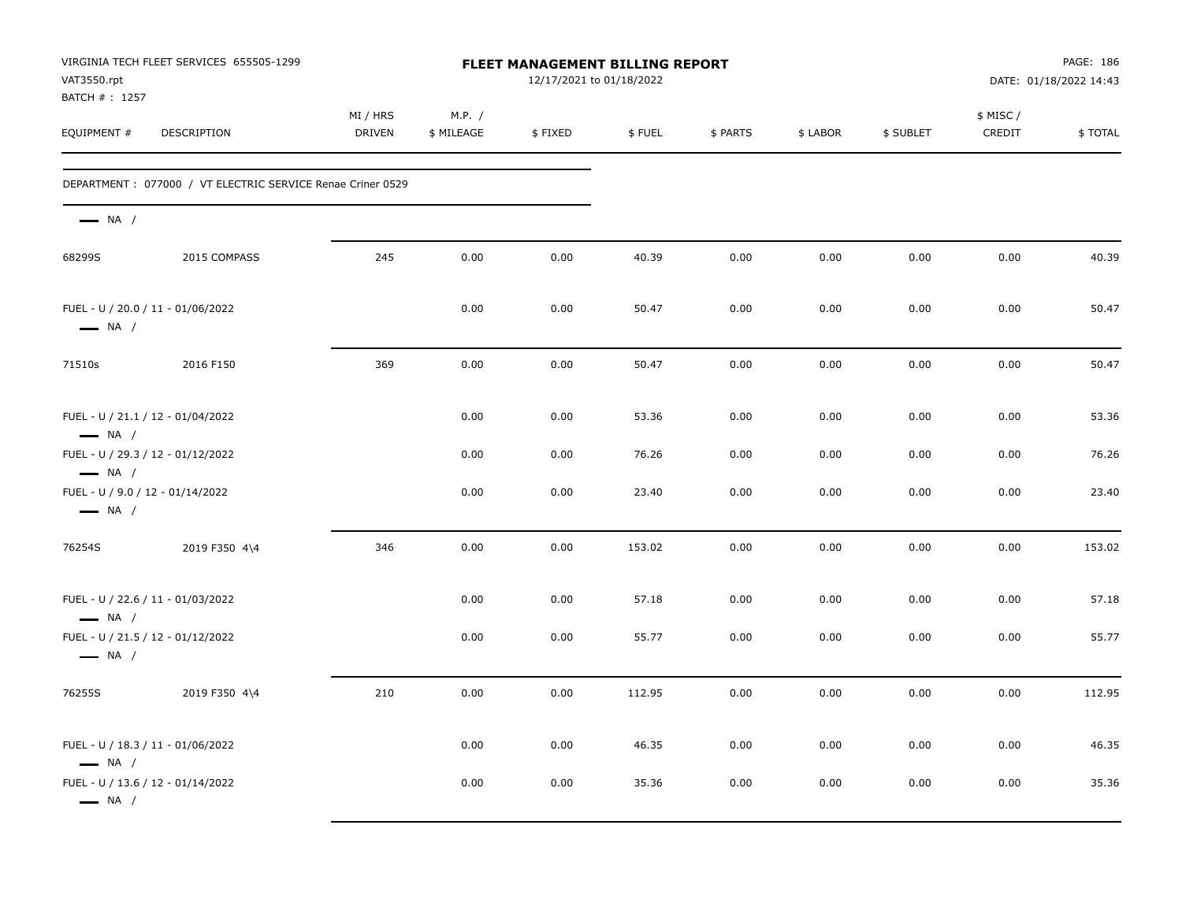| VAT3550.rpt<br>BATCH # : 1257                               | VIRGINIA TECH FLEET SERVICES 655505-1299                    |                    |                      | <b>FLEET MANAGEMENT BILLING REPORT</b><br>12/17/2021 to 01/18/2022 |        |          |          |           |                     | PAGE: 186<br>DATE: 01/18/2022 14:43 |
|-------------------------------------------------------------|-------------------------------------------------------------|--------------------|----------------------|--------------------------------------------------------------------|--------|----------|----------|-----------|---------------------|-------------------------------------|
| EQUIPMENT #                                                 | DESCRIPTION                                                 | MI / HRS<br>DRIVEN | M.P. /<br>\$ MILEAGE | \$FIXED                                                            | \$FUEL | \$ PARTS | \$ LABOR | \$ SUBLET | \$ MISC /<br>CREDIT | \$TOTAL                             |
|                                                             | DEPARTMENT : 077000 / VT ELECTRIC SERVICE Renae Criner 0529 |                    |                      |                                                                    |        |          |          |           |                     |                                     |
| $\longrightarrow$ NA /                                      |                                                             |                    |                      |                                                                    |        |          |          |           |                     |                                     |
| 68299S                                                      | 2015 COMPASS                                                | 245                | 0.00                 | 0.00                                                               | 40.39  | 0.00     | 0.00     | 0.00      | 0.00                | 40.39                               |
| FUEL - U / 20.0 / 11 - 01/06/2022<br>$\longrightarrow$ NA / |                                                             |                    | 0.00                 | 0.00                                                               | 50.47  | 0.00     | 0.00     | 0.00      | 0.00                | 50.47                               |
| 71510s                                                      | 2016 F150                                                   | 369                | 0.00                 | 0.00                                                               | 50.47  | 0.00     | 0.00     | 0.00      | 0.00                | 50.47                               |
| FUEL - U / 21.1 / 12 - 01/04/2022<br>$\longrightarrow$ NA / |                                                             |                    | 0.00                 | 0.00                                                               | 53.36  | 0.00     | 0.00     | 0.00      | 0.00                | 53.36                               |
| FUEL - U / 29.3 / 12 - 01/12/2022<br>$\longrightarrow$ NA / |                                                             |                    | 0.00                 | 0.00                                                               | 76.26  | 0.00     | 0.00     | 0.00      | 0.00                | 76.26                               |
| FUEL - U / 9.0 / 12 - 01/14/2022<br>$\longrightarrow$ NA /  |                                                             |                    | 0.00                 | 0.00                                                               | 23.40  | 0.00     | 0.00     | 0.00      | 0.00                | 23.40                               |
| 76254S                                                      | 2019 F350 4\4                                               | 346                | 0.00                 | 0.00                                                               | 153.02 | 0.00     | 0.00     | 0.00      | 0.00                | 153.02                              |
| FUEL - U / 22.6 / 11 - 01/03/2022<br>$\longrightarrow$ NA / |                                                             |                    | 0.00                 | 0.00                                                               | 57.18  | 0.00     | 0.00     | 0.00      | 0.00                | 57.18                               |
| FUEL - U / 21.5 / 12 - 01/12/2022<br>$\longrightarrow$ NA / |                                                             |                    | 0.00                 | 0.00                                                               | 55.77  | 0.00     | 0.00     | 0.00      | 0.00                | 55.77                               |
| 76255S                                                      | 2019 F350 4\4                                               | 210                | 0.00                 | 0.00                                                               | 112.95 | 0.00     | 0.00     | 0.00      | 0.00                | 112.95                              |
| FUEL - U / 18.3 / 11 - 01/06/2022<br>$\longrightarrow$ NA / |                                                             |                    | 0.00                 | 0.00                                                               | 46.35  | 0.00     | 0.00     | 0.00      | 0.00                | 46.35                               |
| FUEL - U / 13.6 / 12 - 01/14/2022<br>$\longrightarrow$ NA / |                                                             |                    | 0.00                 | 0.00                                                               | 35.36  | 0.00     | 0.00     | 0.00      | 0.00                | 35.36                               |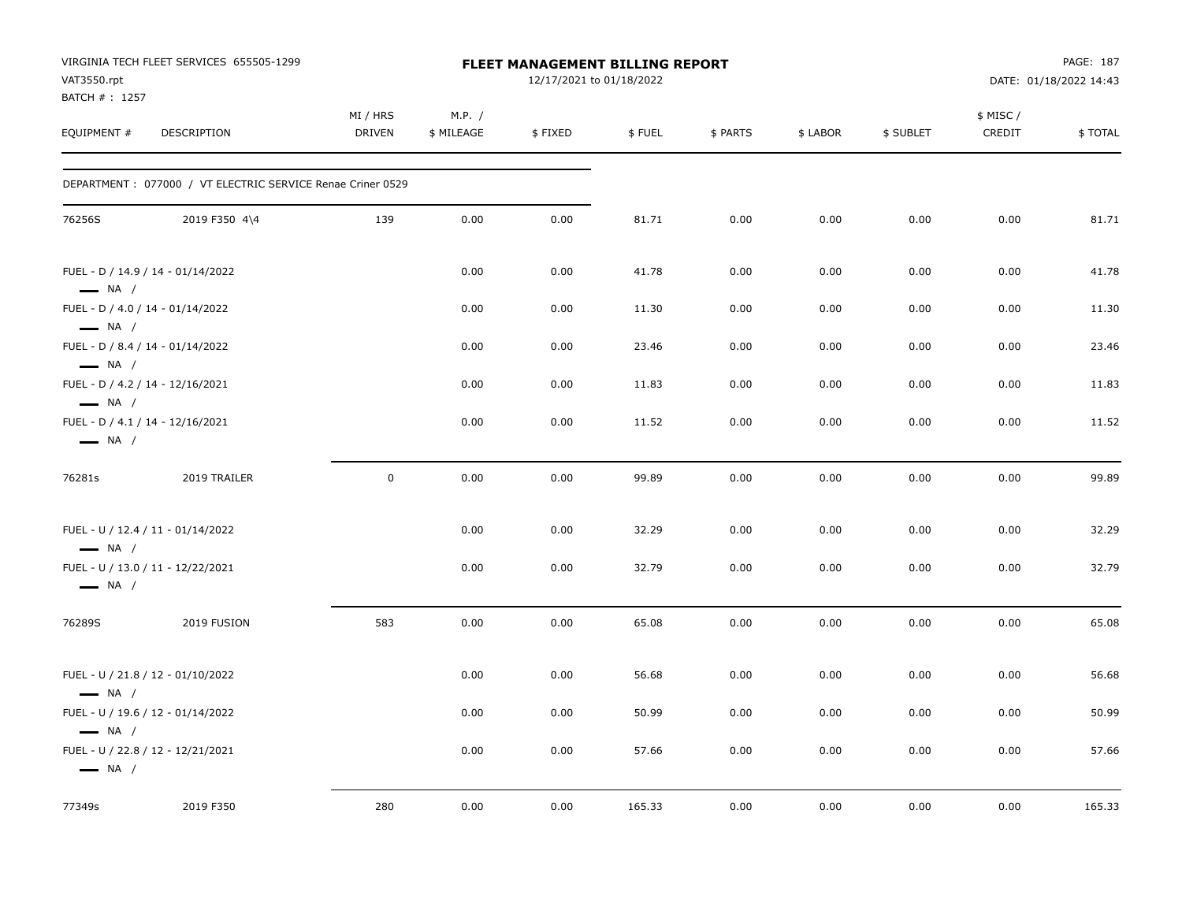| VAT3550.rpt<br>BATCH #: 1257                                                          | VIRGINIA TECH FLEET SERVICES 655505-1299                   |                           |                      | <b>FLEET MANAGEMENT BILLING REPORT</b><br>12/17/2021 to 01/18/2022 |        |          |          |           |                     | PAGE: 187<br>DATE: 01/18/2022 14:43 |
|---------------------------------------------------------------------------------------|------------------------------------------------------------|---------------------------|----------------------|--------------------------------------------------------------------|--------|----------|----------|-----------|---------------------|-------------------------------------|
| EQUIPMENT #                                                                           | DESCRIPTION                                                | MI / HRS<br><b>DRIVEN</b> | M.P. /<br>\$ MILEAGE | \$FIXED                                                            | \$FUEL | \$ PARTS | \$ LABOR | \$ SUBLET | \$ MISC /<br>CREDIT | \$TOTAL                             |
|                                                                                       | DEPARTMENT: 077000 / VT ELECTRIC SERVICE Renae Criner 0529 |                           |                      |                                                                    |        |          |          |           |                     |                                     |
| 76256S                                                                                | 2019 F350 4\4                                              | 139                       | 0.00                 | 0.00                                                               | 81.71  | 0.00     | 0.00     | 0.00      | 0.00                | 81.71                               |
| FUEL - D / 14.9 / 14 - 01/14/2022<br>$\longrightarrow$ NA /                           |                                                            |                           | 0.00                 | 0.00                                                               | 41.78  | 0.00     | 0.00     | 0.00      | 0.00                | 41.78                               |
| FUEL - D / 4.0 / 14 - 01/14/2022<br>$\longrightarrow$ NA /                            |                                                            |                           | 0.00                 | 0.00                                                               | 11.30  | 0.00     | 0.00     | 0.00      | 0.00                | 11.30                               |
| FUEL - D / 8.4 / 14 - 01/14/2022<br>$\longrightarrow$ NA /                            |                                                            |                           | 0.00                 | 0.00                                                               | 23.46  | 0.00     | 0.00     | 0.00      | 0.00                | 23.46                               |
| FUEL - D / 4.2 / 14 - 12/16/2021<br>$\longrightarrow$ NA /                            |                                                            |                           | 0.00                 | 0.00                                                               | 11.83  | 0.00     | 0.00     | 0.00      | 0.00                | 11.83                               |
| FUEL - D / 4.1 / 14 - 12/16/2021<br>$\longrightarrow$ NA /                            |                                                            |                           | 0.00                 | 0.00                                                               | 11.52  | 0.00     | 0.00     | 0.00      | 0.00                | 11.52                               |
| 76281s                                                                                | 2019 TRAILER                                               | 0                         | 0.00                 | 0.00                                                               | 99.89  | 0.00     | 0.00     | 0.00      | 0.00                | 99.89                               |
| FUEL - U / 12.4 / 11 - 01/14/2022<br>$\longrightarrow$ NA /                           |                                                            |                           | 0.00                 | 0.00                                                               | 32.29  | 0.00     | 0.00     | 0.00      | 0.00                | 32.29                               |
| FUEL - U / 13.0 / 11 - 12/22/2021<br>$\longrightarrow$ NA /                           |                                                            |                           | 0.00                 | 0.00                                                               | 32.79  | 0.00     | 0.00     | 0.00      | 0.00                | 32.79                               |
| 76289S                                                                                | 2019 FUSION                                                | 583                       | 0.00                 | 0.00                                                               | 65.08  | 0.00     | 0.00     | 0.00      | 0.00                | 65.08                               |
| FUEL - U / 21.8 / 12 - 01/10/2022<br>$\longrightarrow$ NA /                           |                                                            |                           | 0.00                 | 0.00                                                               | 56.68  | 0.00     | 0.00     | 0.00      | 0.00                | 56.68                               |
| FUEL - U / 19.6 / 12 - 01/14/2022                                                     |                                                            |                           | 0.00                 | 0.00                                                               | 50.99  | 0.00     | 0.00     | 0.00      | 0.00                | 50.99                               |
| $\longrightarrow$ NA /<br>FUEL - U / 22.8 / 12 - 12/21/2021<br>$\longrightarrow$ NA / |                                                            |                           | 0.00                 | 0.00                                                               | 57.66  | 0.00     | 0.00     | 0.00      | 0.00                | 57.66                               |
| 77349s                                                                                | 2019 F350                                                  | 280                       | 0.00                 | 0.00                                                               | 165.33 | 0.00     | 0.00     | 0.00      | 0.00                | 165.33                              |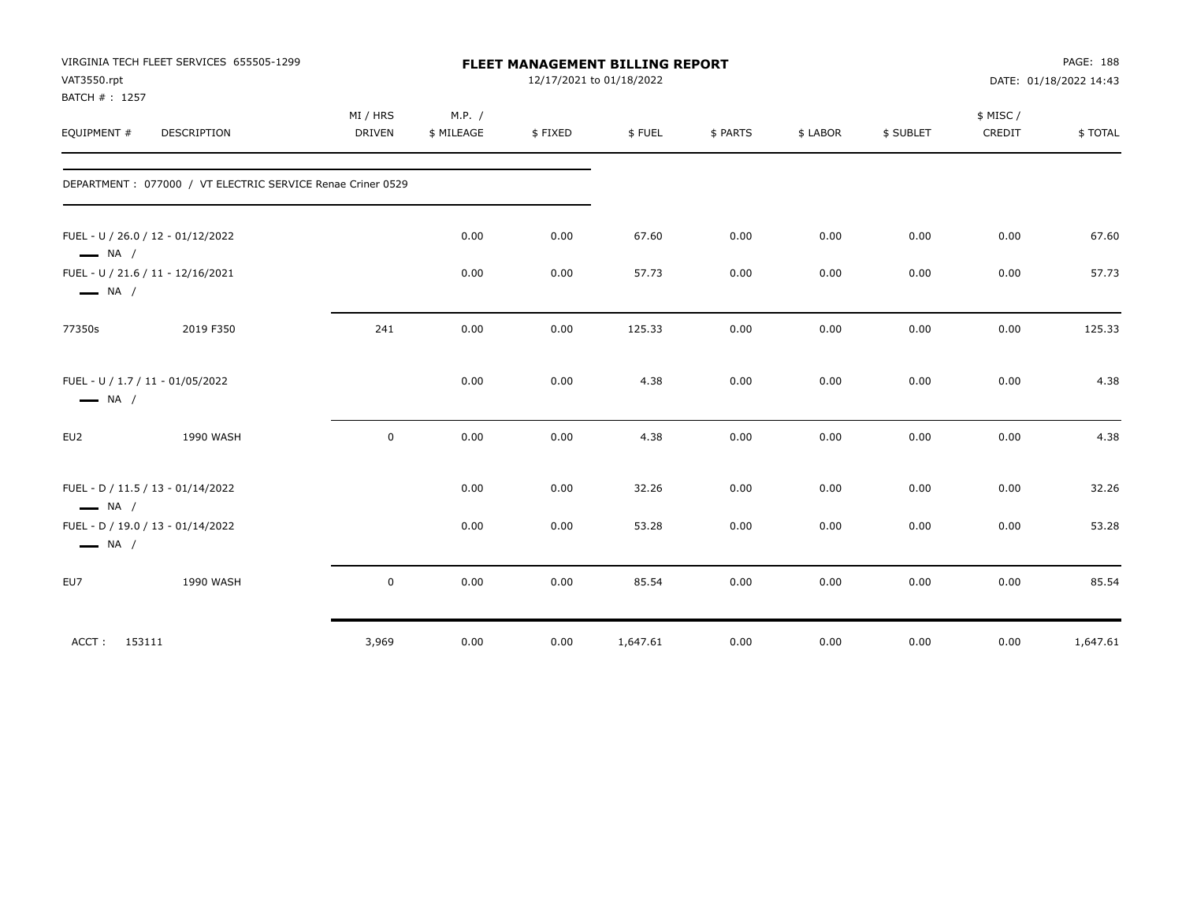| VAT3550.rpt            | VIRGINIA TECH FLEET SERVICES 655505-1299                    |               |            |         | FLEET MANAGEMENT BILLING REPORT<br>12/17/2021 to 01/18/2022 |          |          |           |                     | PAGE: 188<br>DATE: 01/18/2022 14:43 |
|------------------------|-------------------------------------------------------------|---------------|------------|---------|-------------------------------------------------------------|----------|----------|-----------|---------------------|-------------------------------------|
| BATCH #: 1257          |                                                             | MI / HRS      | M.P. /     |         |                                                             |          |          |           |                     |                                     |
| EQUIPMENT #            | DESCRIPTION                                                 | <b>DRIVEN</b> | \$ MILEAGE | \$FIXED | \$FUEL                                                      | \$ PARTS | \$ LABOR | \$ SUBLET | \$ MISC /<br>CREDIT | \$TOTAL                             |
|                        | DEPARTMENT : 077000 / VT ELECTRIC SERVICE Renae Criner 0529 |               |            |         |                                                             |          |          |           |                     |                                     |
| $\longrightarrow$ NA / | FUEL - U / 26.0 / 12 - 01/12/2022                           |               | 0.00       | 0.00    | 67.60                                                       | 0.00     | 0.00     | 0.00      | 0.00                | 67.60                               |
| $\longrightarrow$ NA / | FUEL - U / 21.6 / 11 - 12/16/2021                           |               | 0.00       | 0.00    | 57.73                                                       | 0.00     | 0.00     | 0.00      | 0.00                | 57.73                               |
| 77350s                 | 2019 F350                                                   | 241           | 0.00       | 0.00    | 125.33                                                      | 0.00     | 0.00     | 0.00      | 0.00                | 125.33                              |
| $\longrightarrow$ NA / | FUEL - U / 1.7 / 11 - 01/05/2022                            |               | 0.00       | 0.00    | 4.38                                                        | 0.00     | 0.00     | 0.00      | 0.00                | 4.38                                |
| EU2                    | 1990 WASH                                                   | $\mathsf 0$   | 0.00       | 0.00    | 4.38                                                        | 0.00     | 0.00     | 0.00      | 0.00                | 4.38                                |
| $\longrightarrow$ NA / | FUEL - D / 11.5 / 13 - 01/14/2022                           |               | 0.00       | 0.00    | 32.26                                                       | 0.00     | 0.00     | 0.00      | 0.00                | 32.26                               |
| $\longrightarrow$ NA / | FUEL - D / 19.0 / 13 - 01/14/2022                           |               | 0.00       | 0.00    | 53.28                                                       | 0.00     | 0.00     | 0.00      | 0.00                | 53.28                               |
| EU7                    | 1990 WASH                                                   | $\mathsf 0$   | 0.00       | 0.00    | 85.54                                                       | 0.00     | 0.00     | 0.00      | 0.00                | 85.54                               |
| ACCT: 153111           |                                                             | 3,969         | 0.00       | 0.00    | 1,647.61                                                    | 0.00     | 0.00     | 0.00      | 0.00                | 1,647.61                            |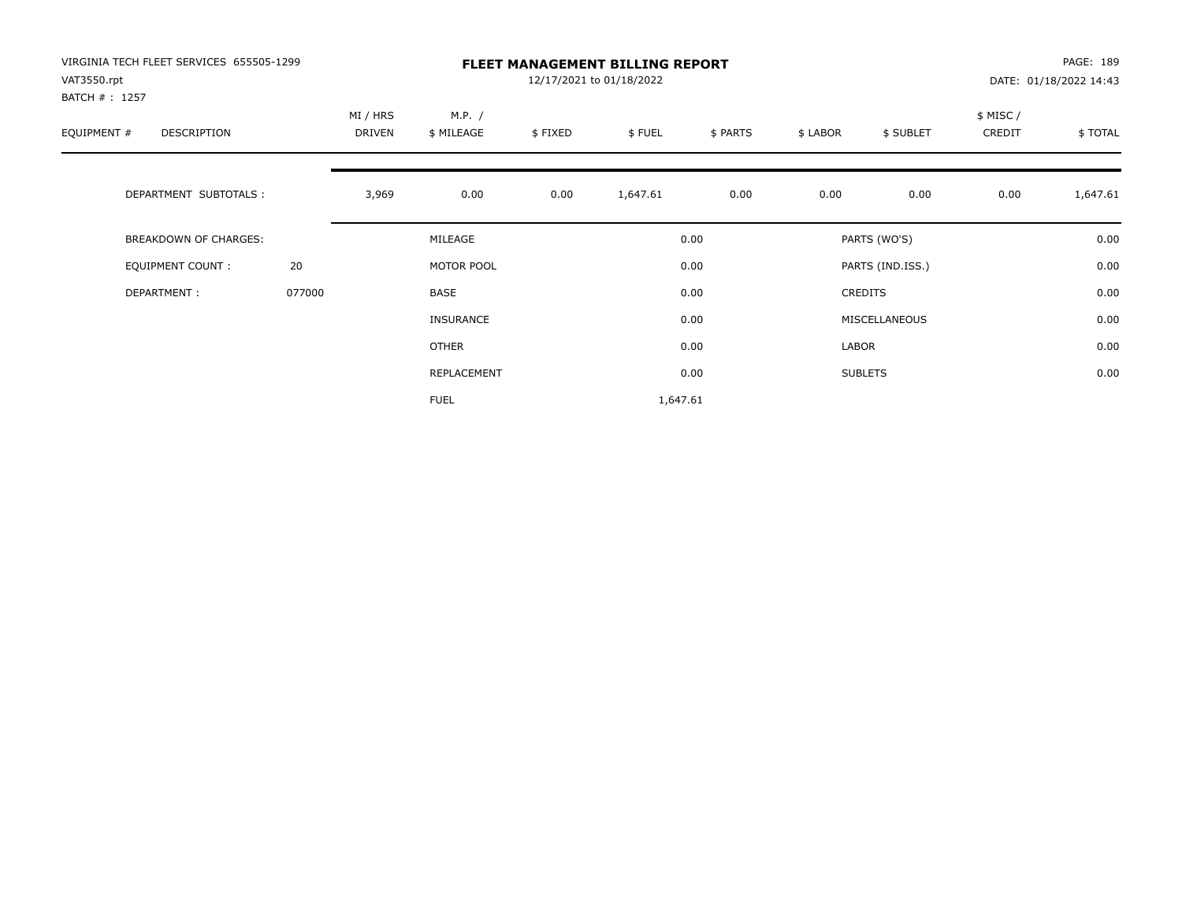| VIRGINIA TECH FLEET SERVICES 655505-1299<br>VAT3550.rpt<br>BATCH # : 1257 |        | <b>FLEET MANAGEMENT BILLING REPORT</b><br>12/17/2021 to 01/18/2022 |                      |         |          |          |          |                  |                     | PAGE: 189<br>DATE: 01/18/2022 14:43 |  |
|---------------------------------------------------------------------------|--------|--------------------------------------------------------------------|----------------------|---------|----------|----------|----------|------------------|---------------------|-------------------------------------|--|
| EQUIPMENT #<br><b>DESCRIPTION</b>                                         |        | MI / HRS<br>DRIVEN                                                 | M.P. /<br>\$ MILEAGE | \$FIXED | \$FUEL   | \$ PARTS | \$ LABOR | \$ SUBLET        | \$ MISC /<br>CREDIT | \$TOTAL                             |  |
| DEPARTMENT SUBTOTALS :                                                    |        | 3,969                                                              | 0.00                 | 0.00    | 1,647.61 | 0.00     | 0.00     | 0.00             | 0.00                | 1,647.61                            |  |
| <b>BREAKDOWN OF CHARGES:</b>                                              |        |                                                                    | MILEAGE              |         |          | 0.00     |          | PARTS (WO'S)     |                     | 0.00                                |  |
| EQUIPMENT COUNT:                                                          | 20     |                                                                    | MOTOR POOL           |         |          | 0.00     |          | PARTS (IND.ISS.) |                     | 0.00                                |  |
| DEPARTMENT:                                                               | 077000 |                                                                    | <b>BASE</b>          |         |          | 0.00     |          | <b>CREDITS</b>   |                     | 0.00                                |  |
|                                                                           |        |                                                                    | <b>INSURANCE</b>     |         |          | 0.00     |          | MISCELLANEOUS    |                     | 0.00                                |  |
|                                                                           |        |                                                                    | OTHER                |         |          | 0.00     | LABOR    |                  |                     | 0.00                                |  |
|                                                                           |        |                                                                    | REPLACEMENT          |         |          | 0.00     |          | <b>SUBLETS</b>   |                     | 0.00                                |  |
|                                                                           |        |                                                                    | <b>FUEL</b>          |         | 1,647.61 |          |          |                  |                     |                                     |  |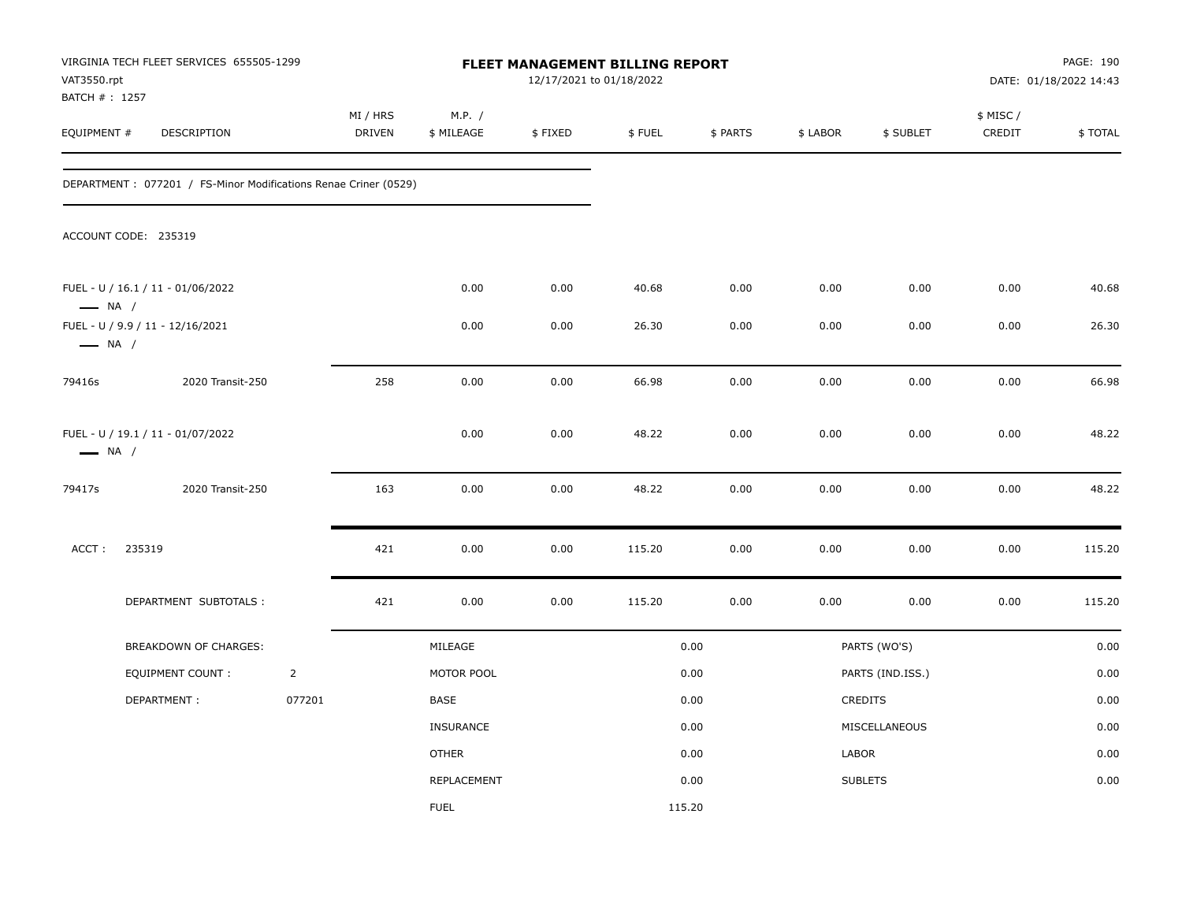| VAT3550.rpt            | VIRGINIA TECH FLEET SERVICES 655505-1299<br>BATCH # : 1257<br>DESCRIPTION |                | MI / HRS<br>M.P. / |                  |         |        | <b>FLEET MANAGEMENT BILLING REPORT</b><br>12/17/2021 to 01/18/2022 |          |                  |                     | PAGE: 190<br>DATE: 01/18/2022 14:43 |  |
|------------------------|---------------------------------------------------------------------------|----------------|--------------------|------------------|---------|--------|--------------------------------------------------------------------|----------|------------------|---------------------|-------------------------------------|--|
| EQUIPMENT #            |                                                                           |                | <b>DRIVEN</b>      | \$ MILEAGE       | \$FIXED | \$FUEL | \$ PARTS                                                           | \$ LABOR | \$ SUBLET        | \$ MISC /<br>CREDIT | \$TOTAL                             |  |
|                        | DEPARTMENT : 077201 / FS-Minor Modifications Renae Criner (0529)          |                |                    |                  |         |        |                                                                    |          |                  |                     |                                     |  |
|                        | ACCOUNT CODE: 235319                                                      |                |                    |                  |         |        |                                                                    |          |                  |                     |                                     |  |
| $\longrightarrow$ NA / | FUEL - U / 16.1 / 11 - 01/06/2022                                         |                |                    | 0.00             | 0.00    | 40.68  | 0.00                                                               | 0.00     | 0.00             | 0.00                | 40.68                               |  |
| $\longrightarrow$ NA / | FUEL - U / 9.9 / 11 - 12/16/2021                                          |                |                    | 0.00             | 0.00    | 26.30  | 0.00                                                               | 0.00     | 0.00             | 0.00                | 26.30                               |  |
| 79416s                 | 2020 Transit-250                                                          |                | 258                | 0.00             | 0.00    | 66.98  | 0.00                                                               | 0.00     | 0.00             | 0.00                | 66.98                               |  |
| $\longrightarrow$ NA / | FUEL - U / 19.1 / 11 - 01/07/2022                                         |                |                    | 0.00             | 0.00    | 48.22  | 0.00                                                               | 0.00     | 0.00             | 0.00                | 48.22                               |  |
| 79417s                 | 2020 Transit-250                                                          |                | 163                | 0.00             | 0.00    | 48.22  | 0.00                                                               | 0.00     | 0.00             | 0.00                | 48.22                               |  |
| ACCT:                  | 235319                                                                    |                | 421                | 0.00             | 0.00    | 115.20 | 0.00                                                               | 0.00     | 0.00             | 0.00                | 115.20                              |  |
|                        | DEPARTMENT SUBTOTALS :                                                    |                | 421                | 0.00             | 0.00    | 115.20 | 0.00                                                               | 0.00     | 0.00             | 0.00                | 115.20                              |  |
|                        | BREAKDOWN OF CHARGES:                                                     |                |                    | MILEAGE          |         |        | 0.00                                                               |          | PARTS (WO'S)     |                     | 0.00                                |  |
|                        | <b>EQUIPMENT COUNT:</b>                                                   | $\overline{2}$ |                    | MOTOR POOL       |         |        | 0.00                                                               |          | PARTS (IND.ISS.) |                     | 0.00                                |  |
|                        | DEPARTMENT:                                                               | 077201         |                    | BASE             |         |        | 0.00                                                               |          | CREDITS          |                     | 0.00                                |  |
|                        |                                                                           |                |                    | <b>INSURANCE</b> |         |        | 0.00                                                               |          | MISCELLANEOUS    |                     | 0.00                                |  |
|                        |                                                                           |                |                    | <b>OTHER</b>     |         |        | 0.00                                                               | LABOR    |                  |                     | 0.00                                |  |
|                        |                                                                           |                |                    | REPLACEMENT      |         |        | 0.00                                                               |          | <b>SUBLETS</b>   |                     | 0.00                                |  |
|                        |                                                                           |                |                    | <b>FUEL</b>      |         | 115.20 |                                                                    |          |                  |                     |                                     |  |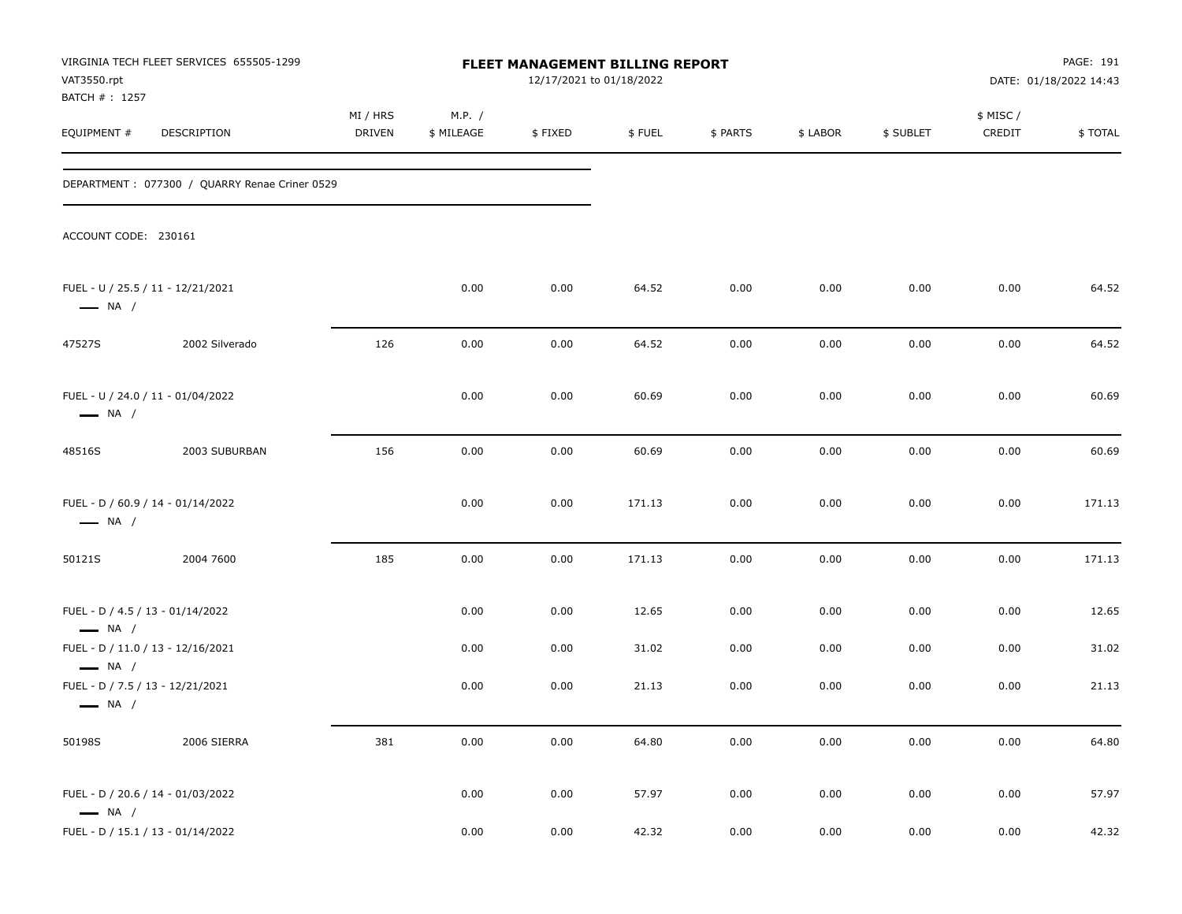| VAT3550.rpt<br>BATCH #: 1257                               | VIRGINIA TECH FLEET SERVICES 655505-1299      |                    |                      | FLEET MANAGEMENT BILLING REPORT<br>12/17/2021 to 01/18/2022 |        |          |          |           |                     | PAGE: 191<br>DATE: 01/18/2022 14:43 |
|------------------------------------------------------------|-----------------------------------------------|--------------------|----------------------|-------------------------------------------------------------|--------|----------|----------|-----------|---------------------|-------------------------------------|
| EQUIPMENT#                                                 | DESCRIPTION                                   | MI / HRS<br>DRIVEN | M.P. /<br>\$ MILEAGE | \$FIXED                                                     | \$FUEL | \$ PARTS | \$ LABOR | \$ SUBLET | \$ MISC /<br>CREDIT | <b>\$TOTAL</b>                      |
|                                                            | DEPARTMENT: 077300 / QUARRY Renae Criner 0529 |                    |                      |                                                             |        |          |          |           |                     |                                     |
| ACCOUNT CODE: 230161                                       |                                               |                    |                      |                                                             |        |          |          |           |                     |                                     |
| $\longrightarrow$ NA /                                     | FUEL - U / 25.5 / 11 - 12/21/2021             |                    | 0.00                 | 0.00                                                        | 64.52  | 0.00     | 0.00     | 0.00      | 0.00                | 64.52                               |
| 47527S                                                     | 2002 Silverado                                | 126                | 0.00                 | 0.00                                                        | 64.52  | 0.00     | 0.00     | 0.00      | 0.00                | 64.52                               |
| $\longrightarrow$ NA /                                     | FUEL - U / 24.0 / 11 - 01/04/2022             |                    | 0.00                 | 0.00                                                        | 60.69  | 0.00     | 0.00     | 0.00      | 0.00                | 60.69                               |
| 48516S                                                     | 2003 SUBURBAN                                 | 156                | 0.00                 | 0.00                                                        | 60.69  | 0.00     | 0.00     | 0.00      | 0.00                | 60.69                               |
| $\longrightarrow$ NA /                                     | FUEL - D / 60.9 / 14 - 01/14/2022             |                    | 0.00                 | 0.00                                                        | 171.13 | 0.00     | 0.00     | 0.00      | 0.00                | 171.13                              |
| 50121S                                                     | 2004 7600                                     | 185                | 0.00                 | 0.00                                                        | 171.13 | 0.00     | 0.00     | 0.00      | 0.00                | 171.13                              |
| FUEL - D / 4.5 / 13 - 01/14/2022<br>$\longrightarrow$ NA / |                                               |                    | 0.00                 | 0.00                                                        | 12.65  | 0.00     | 0.00     | 0.00      | 0.00                | 12.65                               |
| $\longrightarrow$ NA /                                     | FUEL - D / 11.0 / 13 - 12/16/2021             |                    | 0.00                 | 0.00                                                        | 31.02  | 0.00     | 0.00     | 0.00      | 0.00                | 31.02                               |
| FUEL - D / 7.5 / 13 - 12/21/2021<br>$\longrightarrow$ NA / |                                               |                    | 0.00                 | 0.00                                                        | 21.13  | 0.00     | 0.00     | 0.00      | 0.00                | 21.13                               |
| 50198S                                                     | 2006 SIERRA                                   | 381                | $0.00\,$             | 0.00                                                        | 64.80  | 0.00     | 0.00     | 0.00      | 0.00                | 64.80                               |
| $\longrightarrow$ NA /                                     | FUEL - D / 20.6 / 14 - 01/03/2022             |                    | 0.00                 | 0.00                                                        | 57.97  | 0.00     | 0.00     | 0.00      | 0.00                | 57.97                               |
|                                                            | FUEL - D / 15.1 / 13 - 01/14/2022             |                    | 0.00                 | 0.00                                                        | 42.32  | 0.00     | 0.00     | 0.00      | 0.00                | 42.32                               |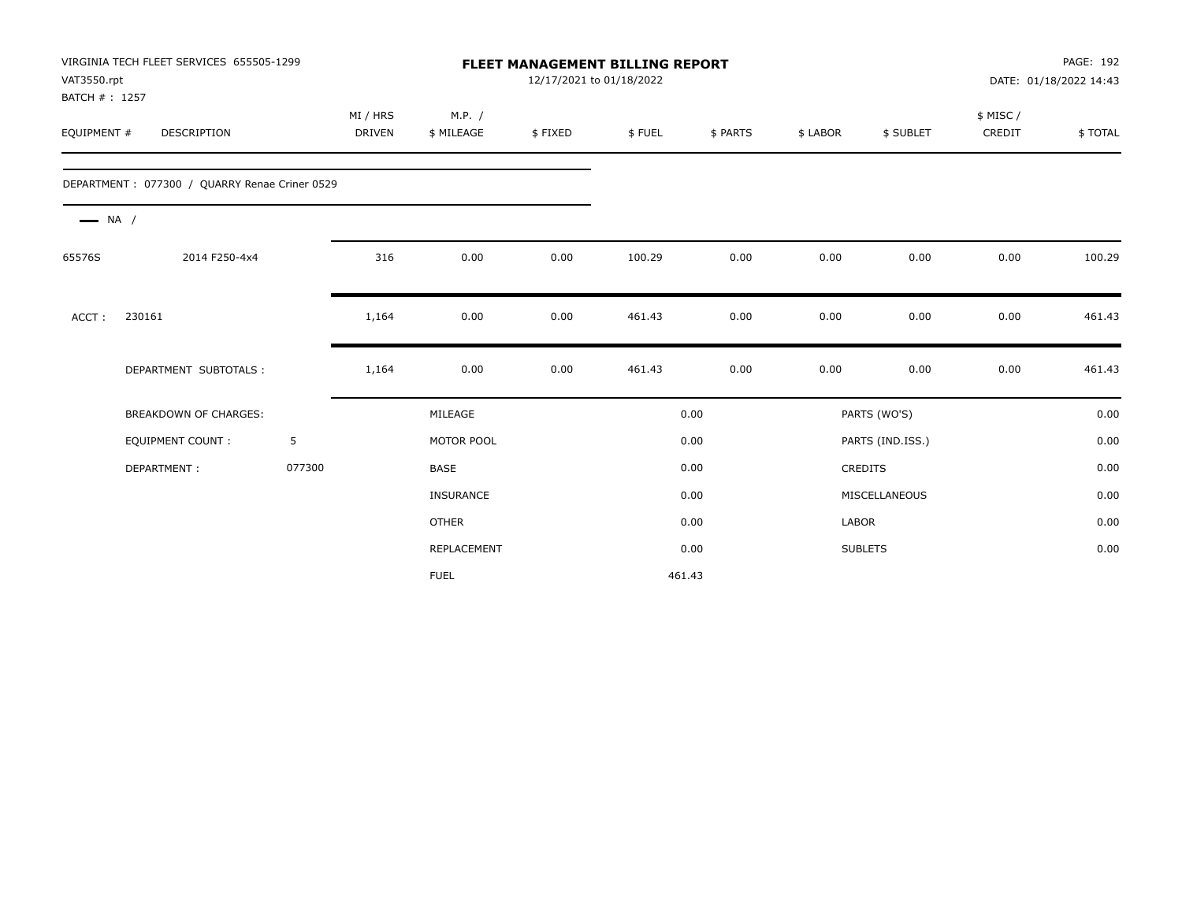| VAT3550.rpt<br>BATCH #: 1257 | VIRGINIA TECH FLEET SERVICES 655505-1299      |        |                    |                      | 12/17/2021 to 01/18/2022 | <b>FLEET MANAGEMENT BILLING REPORT</b> |          |          |                  |                    | PAGE: 192<br>DATE: 01/18/2022 14:43 |
|------------------------------|-----------------------------------------------|--------|--------------------|----------------------|--------------------------|----------------------------------------|----------|----------|------------------|--------------------|-------------------------------------|
| EQUIPMENT #                  | <b>DESCRIPTION</b>                            |        | MI / HRS<br>DRIVEN | M.P. /<br>\$ MILEAGE | \$FIXED                  | \$FUEL                                 | \$ PARTS | \$ LABOR | \$ SUBLET        | \$ MISC/<br>CREDIT | \$TOTAL                             |
|                              | DEPARTMENT: 077300 / QUARRY Renae Criner 0529 |        |                    |                      |                          |                                        |          |          |                  |                    |                                     |
| $\longrightarrow$ NA /       |                                               |        |                    |                      |                          |                                        |          |          |                  |                    |                                     |
| 65576S                       | 2014 F250-4x4                                 |        | 316                | 0.00                 | 0.00                     | 100.29                                 | 0.00     | 0.00     | 0.00             | 0.00               | 100.29                              |
| ACCT:                        | 230161                                        |        | 1,164              | 0.00                 | 0.00                     | 461.43                                 | 0.00     | 0.00     | 0.00             | 0.00               | 461.43                              |
|                              | DEPARTMENT SUBTOTALS :                        |        | 1,164              | 0.00                 | 0.00                     | 461.43                                 | 0.00     | 0.00     | 0.00             | 0.00               | 461.43                              |
|                              | <b>BREAKDOWN OF CHARGES:</b>                  |        |                    | MILEAGE              |                          |                                        | 0.00     |          | PARTS (WO'S)     |                    | 0.00                                |
|                              | <b>EQUIPMENT COUNT:</b>                       | 5      |                    | MOTOR POOL           |                          |                                        | 0.00     |          | PARTS (IND.ISS.) |                    | 0.00                                |
|                              | DEPARTMENT:                                   | 077300 |                    | <b>BASE</b>          |                          |                                        | 0.00     |          | <b>CREDITS</b>   |                    | 0.00                                |
|                              |                                               |        |                    | <b>INSURANCE</b>     |                          |                                        | 0.00     |          | MISCELLANEOUS    |                    | 0.00                                |
|                              |                                               |        |                    | <b>OTHER</b>         |                          |                                        | 0.00     | LABOR    |                  |                    | 0.00                                |
|                              |                                               |        |                    | REPLACEMENT          |                          |                                        | 0.00     |          | <b>SUBLETS</b>   |                    | 0.00                                |
|                              |                                               |        |                    | <b>FUEL</b>          |                          | 461.43                                 |          |          |                  |                    |                                     |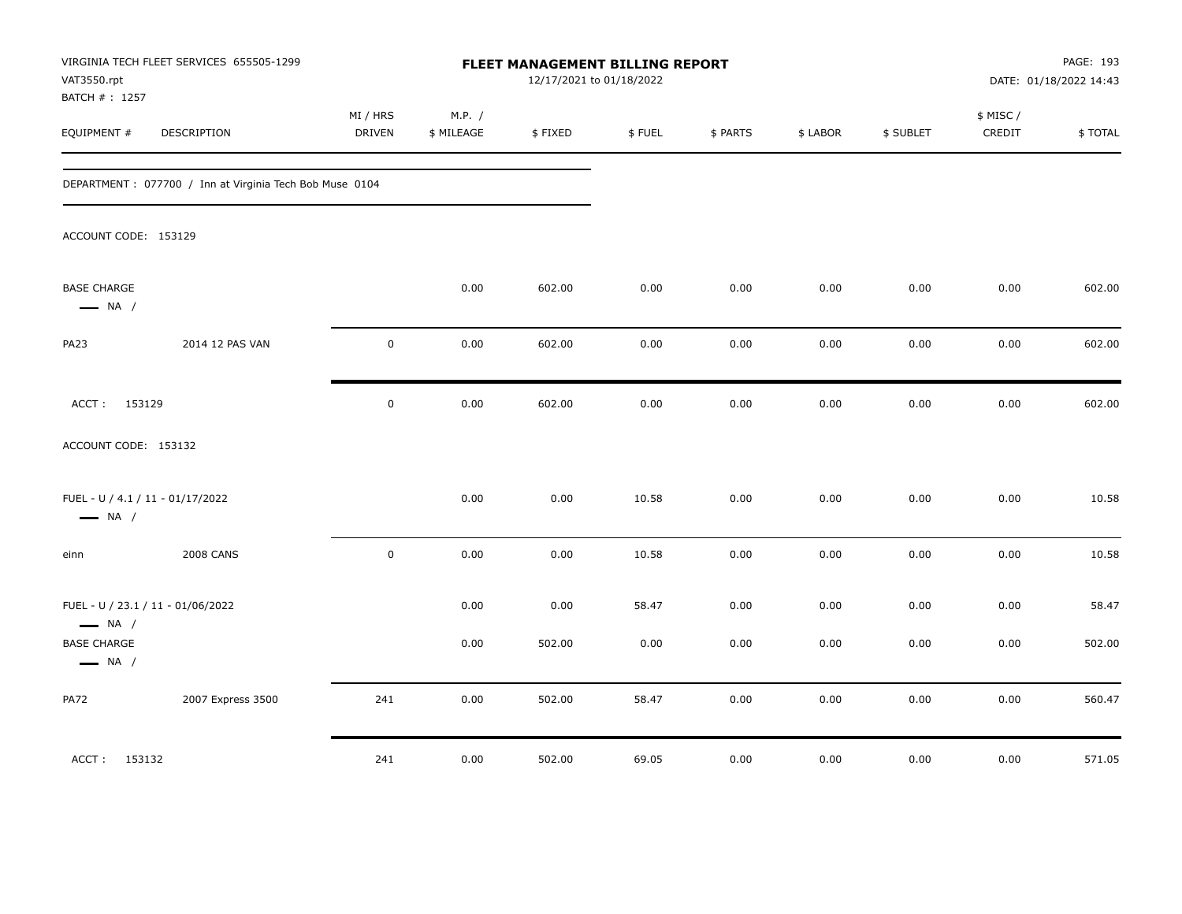| VAT3550.rpt                                                | VIRGINIA TECH FLEET SERVICES 655505-1299                 |                           |                      | FLEET MANAGEMENT BILLING REPORT<br>12/17/2021 to 01/18/2022 |        |          |          |           |                     | PAGE: 193<br>DATE: 01/18/2022 14:43 |
|------------------------------------------------------------|----------------------------------------------------------|---------------------------|----------------------|-------------------------------------------------------------|--------|----------|----------|-----------|---------------------|-------------------------------------|
| BATCH #: 1257<br>EQUIPMENT #                               | DESCRIPTION                                              | MI / HRS<br><b>DRIVEN</b> | M.P. /<br>\$ MILEAGE | \$FIXED                                                     | \$FUEL | \$ PARTS | \$ LABOR | \$ SUBLET | \$ MISC /<br>CREDIT | \$TOTAL                             |
|                                                            | DEPARTMENT : 077700 / Inn at Virginia Tech Bob Muse 0104 |                           |                      |                                                             |        |          |          |           |                     |                                     |
| ACCOUNT CODE: 153129                                       |                                                          |                           |                      |                                                             |        |          |          |           |                     |                                     |
| <b>BASE CHARGE</b><br>$\longrightarrow$ NA /               |                                                          |                           | 0.00                 | 602.00                                                      | 0.00   | 0.00     | 0.00     | 0.00      | 0.00                | 602.00                              |
| PA23                                                       | 2014 12 PAS VAN                                          | $\mathbf 0$               | 0.00                 | 602.00                                                      | 0.00   | 0.00     | 0.00     | 0.00      | 0.00                | 602.00                              |
| ACCT: 153129                                               |                                                          | $\mathbf 0$               | 0.00                 | 602.00                                                      | 0.00   | 0.00     | 0.00     | 0.00      | 0.00                | 602.00                              |
| ACCOUNT CODE: 153132                                       |                                                          |                           |                      |                                                             |        |          |          |           |                     |                                     |
| FUEL - U / 4.1 / 11 - 01/17/2022<br>$\longrightarrow$ NA / |                                                          |                           | 0.00                 | 0.00                                                        | 10.58  | 0.00     | 0.00     | 0.00      | 0.00                | 10.58                               |
| einn                                                       | <b>2008 CANS</b>                                         | $\mathbf 0$               | 0.00                 | 0.00                                                        | 10.58  | 0.00     | 0.00     | 0.00      | 0.00                | 10.58                               |
| $\longrightarrow$ NA /                                     | FUEL - U / 23.1 / 11 - 01/06/2022                        |                           | 0.00                 | 0.00                                                        | 58.47  | 0.00     | 0.00     | 0.00      | 0.00                | 58.47                               |
| <b>BASE CHARGE</b><br>$\longrightarrow$ NA /               |                                                          |                           | 0.00                 | 502.00                                                      | 0.00   | 0.00     | 0.00     | 0.00      | 0.00                | 502.00                              |
| <b>PA72</b>                                                | 2007 Express 3500                                        | 241                       | 0.00                 | 502.00                                                      | 58.47  | 0.00     | 0.00     | 0.00      | 0.00                | 560.47                              |
| ACCT: 153132                                               |                                                          | 241                       | 0.00                 | 502.00                                                      | 69.05  | $0.00\,$ | $0.00\,$ | 0.00      | 0.00                | 571.05                              |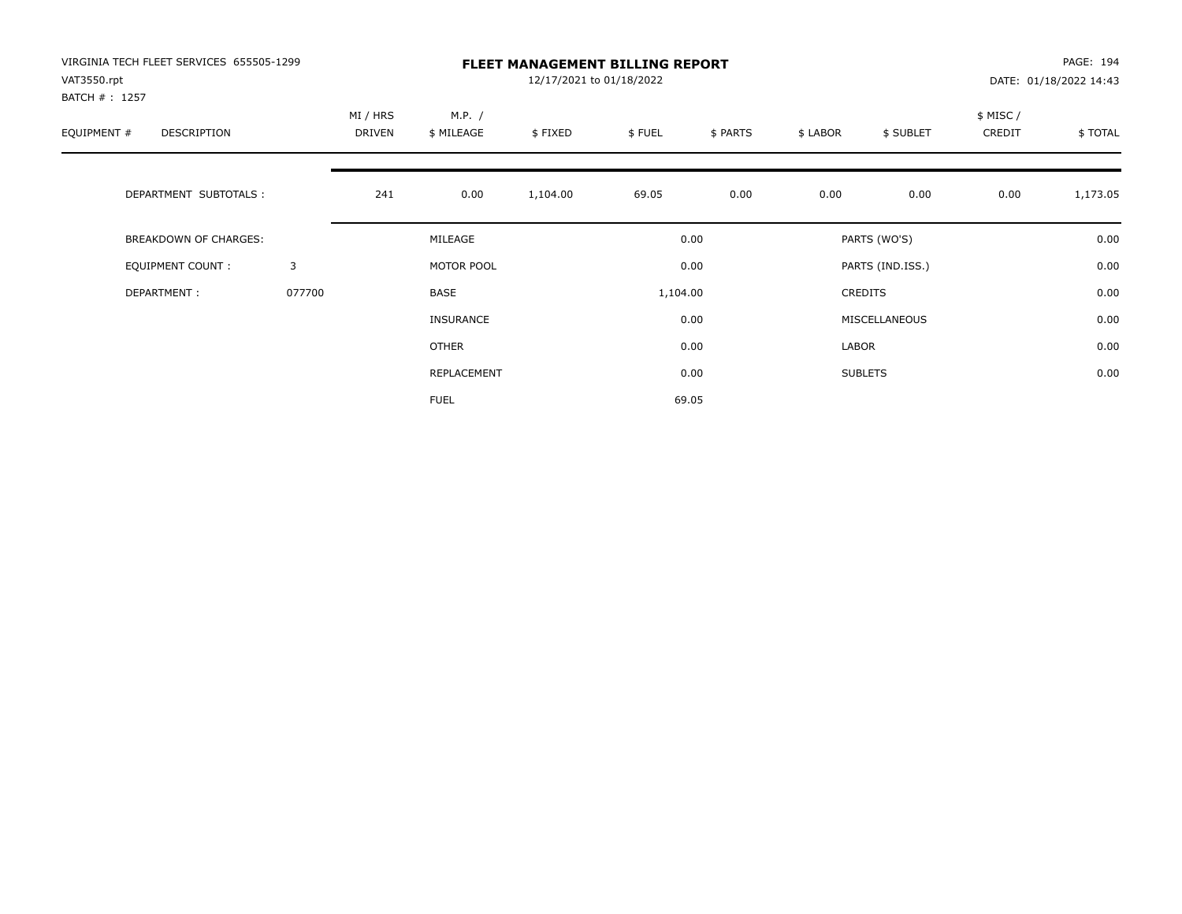| VIRGINIA TECH FLEET SERVICES 655505-1299<br>VAT3550.rpt<br>BATCH # : 1257 |        | <b>FLEET MANAGEMENT BILLING REPORT</b><br>12/17/2021 to 01/18/2022 |                      |          |          |          |          |                  |                     | PAGE: 194<br>DATE: 01/18/2022 14:43 |  |
|---------------------------------------------------------------------------|--------|--------------------------------------------------------------------|----------------------|----------|----------|----------|----------|------------------|---------------------|-------------------------------------|--|
| EQUIPMENT #<br><b>DESCRIPTION</b>                                         |        | MI / HRS<br><b>DRIVEN</b>                                          | M.P. /<br>\$ MILEAGE | \$FIXED  | \$FUEL   | \$ PARTS | \$ LABOR | \$ SUBLET        | \$ MISC /<br>CREDIT | \$TOTAL                             |  |
| DEPARTMENT SUBTOTALS :                                                    |        | 241                                                                | 0.00                 | 1,104.00 | 69.05    | 0.00     | 0.00     | 0.00             | 0.00                | 1,173.05                            |  |
| <b>BREAKDOWN OF CHARGES:</b>                                              |        |                                                                    | MILEAGE              |          |          | 0.00     |          | PARTS (WO'S)     |                     | 0.00                                |  |
| <b>EQUIPMENT COUNT:</b>                                                   | 3      |                                                                    | MOTOR POOL           |          |          | 0.00     |          | PARTS (IND.ISS.) |                     | 0.00                                |  |
| DEPARTMENT:                                                               | 077700 |                                                                    | <b>BASE</b>          |          | 1,104.00 |          |          | <b>CREDITS</b>   |                     | 0.00                                |  |
|                                                                           |        |                                                                    | INSURANCE            |          |          | 0.00     |          | MISCELLANEOUS    |                     | 0.00                                |  |
|                                                                           |        |                                                                    | OTHER                |          |          | 0.00     | LABOR    |                  |                     | 0.00                                |  |
|                                                                           |        |                                                                    | REPLACEMENT          |          |          | 0.00     |          | <b>SUBLETS</b>   |                     | 0.00                                |  |
|                                                                           |        |                                                                    | <b>FUEL</b>          |          |          | 69.05    |          |                  |                     |                                     |  |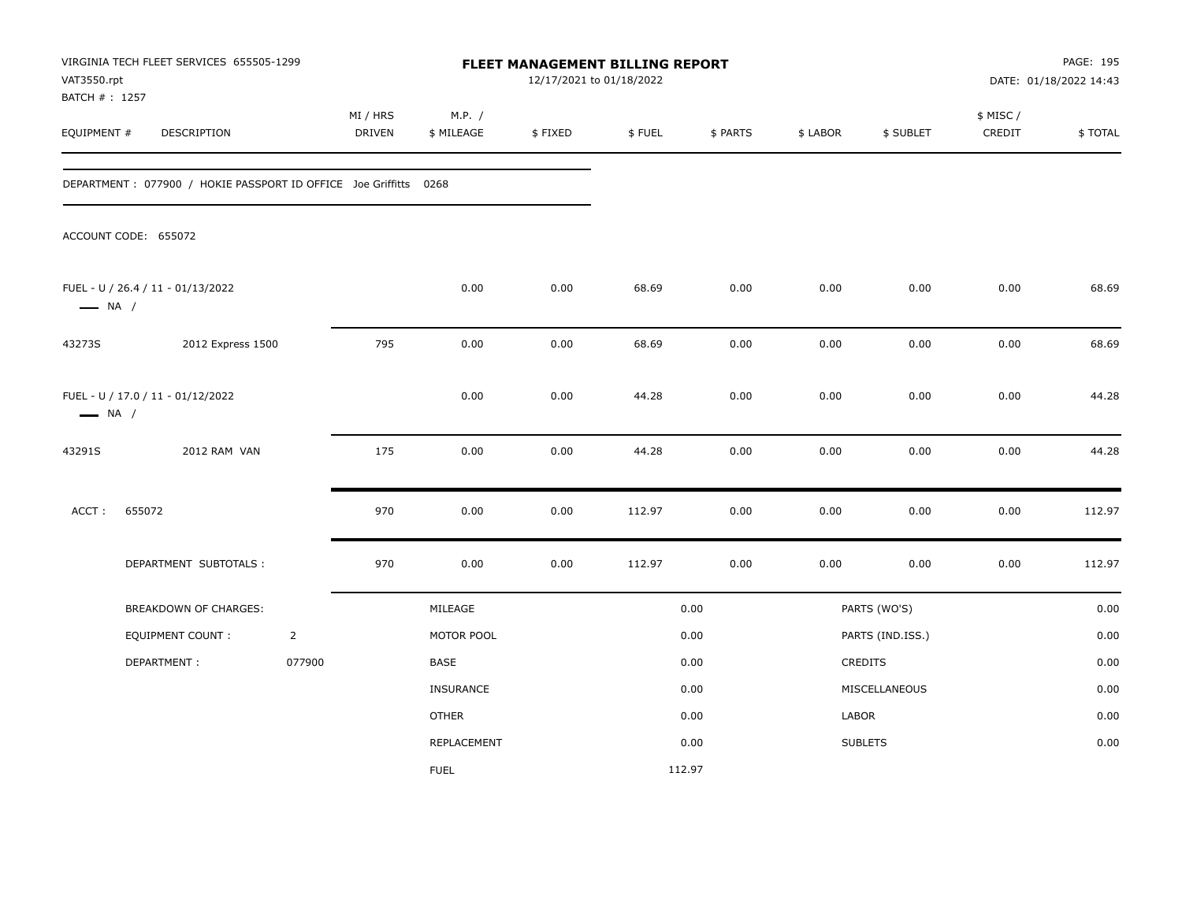| VAT3550.rpt<br>BATCH #: 1257 | VIRGINIA TECH FLEET SERVICES 655505-1299                         |                |                           |                      | 12/17/2021 to 01/18/2022 | FLEET MANAGEMENT BILLING REPORT |          |          |                  |                    | PAGE: 195<br>DATE: 01/18/2022 14:43 |
|------------------------------|------------------------------------------------------------------|----------------|---------------------------|----------------------|--------------------------|---------------------------------|----------|----------|------------------|--------------------|-------------------------------------|
| EQUIPMENT #                  | DESCRIPTION                                                      |                | MI / HRS<br><b>DRIVEN</b> | M.P. /<br>\$ MILEAGE | \$FIXED                  | \$FUEL                          | \$ PARTS | \$ LABOR | \$ SUBLET        | \$ MISC/<br>CREDIT | \$TOTAL                             |
|                              | DEPARTMENT: 077900 / HOKIE PASSPORT ID OFFICE Joe Griffitts 0268 |                |                           |                      |                          |                                 |          |          |                  |                    |                                     |
|                              | ACCOUNT CODE: 655072                                             |                |                           |                      |                          |                                 |          |          |                  |                    |                                     |
| $\longrightarrow$ NA /       | FUEL - U / 26.4 / 11 - 01/13/2022                                |                |                           | 0.00                 | 0.00                     | 68.69                           | 0.00     | 0.00     | 0.00             | 0.00               | 68.69                               |
| 43273S                       | 2012 Express 1500                                                |                | 795                       | 0.00                 | 0.00                     | 68.69                           | 0.00     | 0.00     | 0.00             | 0.00               | 68.69                               |
| $\longrightarrow$ NA /       | FUEL - U / 17.0 / 11 - 01/12/2022                                |                |                           | 0.00                 | 0.00                     | 44.28                           | 0.00     | 0.00     | 0.00             | 0.00               | 44.28                               |
| 43291S                       | 2012 RAM VAN                                                     |                | 175                       | 0.00                 | 0.00                     | 44.28                           | 0.00     | 0.00     | 0.00             | 0.00               | 44.28                               |
| ACCT:                        | 655072                                                           |                | 970                       | 0.00                 | 0.00                     | 112.97                          | 0.00     | 0.00     | 0.00             | 0.00               | 112.97                              |
|                              | DEPARTMENT SUBTOTALS :                                           |                | 970                       | 0.00                 | 0.00                     | 112.97                          | 0.00     | 0.00     | 0.00             | 0.00               | 112.97                              |
|                              | BREAKDOWN OF CHARGES:                                            |                |                           | MILEAGE              |                          |                                 | 0.00     |          | PARTS (WO'S)     |                    | 0.00                                |
|                              | EQUIPMENT COUNT :                                                | $\overline{2}$ |                           | MOTOR POOL           |                          |                                 | 0.00     |          | PARTS (IND.ISS.) |                    | 0.00                                |
|                              | DEPARTMENT:                                                      | 077900         |                           | BASE                 |                          |                                 | 0.00     |          | <b>CREDITS</b>   |                    | 0.00                                |
|                              |                                                                  |                |                           | <b>INSURANCE</b>     |                          |                                 | 0.00     |          | MISCELLANEOUS    |                    | 0.00                                |
|                              |                                                                  |                |                           | <b>OTHER</b>         |                          |                                 | 0.00     | LABOR    |                  |                    | 0.00                                |
|                              |                                                                  |                |                           | <b>REPLACEMENT</b>   |                          |                                 | 0.00     |          | <b>SUBLETS</b>   |                    | 0.00                                |
|                              |                                                                  |                |                           | <b>FUEL</b>          |                          | 112.97                          |          |          |                  |                    |                                     |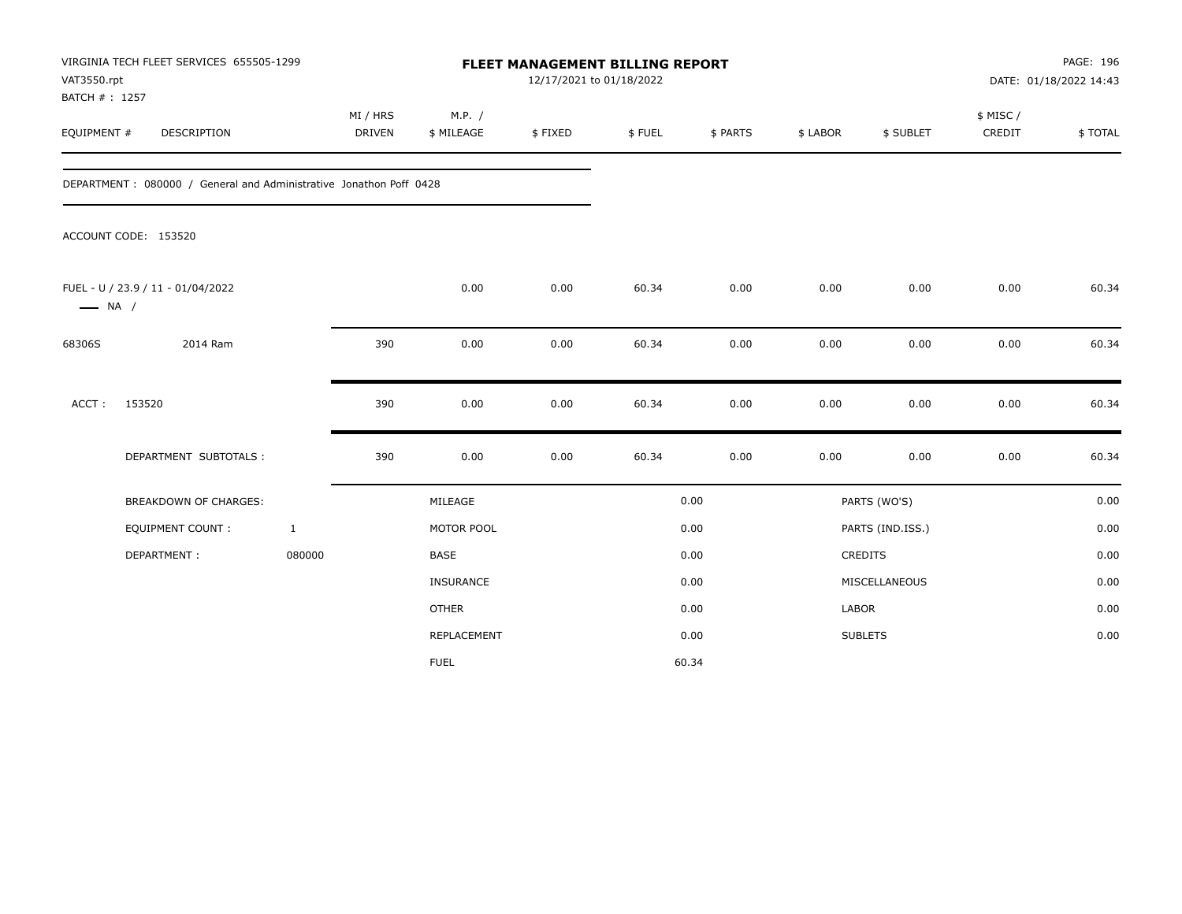| VAT3550.rpt<br>BATCH # : 1257 | VIRGINIA TECH FLEET SERVICES 655505-1299                            |                           |                      | FLEET MANAGEMENT BILLING REPORT<br>12/17/2021 to 01/18/2022 |        |          |              |                  |                     | PAGE: 196<br>DATE: 01/18/2022 14:43 |
|-------------------------------|---------------------------------------------------------------------|---------------------------|----------------------|-------------------------------------------------------------|--------|----------|--------------|------------------|---------------------|-------------------------------------|
| EQUIPMENT #                   | DESCRIPTION                                                         | MI / HRS<br><b>DRIVEN</b> | M.P. /<br>\$ MILEAGE | \$FIXED                                                     | \$FUEL | \$ PARTS | \$ LABOR     | \$ SUBLET        | \$ MISC /<br>CREDIT | \$TOTAL                             |
|                               | DEPARTMENT : 080000 / General and Administrative Jonathon Poff 0428 |                           |                      |                                                             |        |          |              |                  |                     |                                     |
|                               | ACCOUNT CODE: 153520                                                |                           |                      |                                                             |        |          |              |                  |                     |                                     |
| $\longrightarrow$ NA /        | FUEL - U / 23.9 / 11 - 01/04/2022                                   |                           | 0.00                 | 0.00                                                        | 60.34  | 0.00     | 0.00         | 0.00             | 0.00                | 60.34                               |
| 68306S                        | 2014 Ram                                                            | 390                       | 0.00                 | 0.00                                                        | 60.34  | 0.00     | 0.00         | 0.00             | 0.00                | 60.34                               |
| ACCT:                         | 153520                                                              | 390                       | 0.00                 | 0.00                                                        | 60.34  | 0.00     | 0.00         | 0.00             | 0.00                | 60.34                               |
|                               | DEPARTMENT SUBTOTALS :                                              | 390                       | 0.00                 | 0.00                                                        | 60.34  | 0.00     | 0.00         | 0.00             | 0.00                | 60.34                               |
|                               | BREAKDOWN OF CHARGES:                                               |                           | MILEAGE              |                                                             |        | 0.00     |              | PARTS (WO'S)     |                     | 0.00                                |
|                               | <b>EQUIPMENT COUNT:</b>                                             | $\mathbf{1}$              | MOTOR POOL           |                                                             |        | 0.00     |              | PARTS (IND.ISS.) |                     | 0.00                                |
|                               | DEPARTMENT:                                                         | 080000                    | BASE                 |                                                             |        | 0.00     |              | CREDITS          |                     | 0.00                                |
|                               |                                                                     |                           | INSURANCE            |                                                             |        | 0.00     |              | MISCELLANEOUS    |                     | 0.00                                |
|                               |                                                                     |                           | <b>OTHER</b>         |                                                             |        | 0.00     | <b>LABOR</b> |                  |                     | 0.00                                |
|                               |                                                                     |                           | REPLACEMENT          |                                                             |        | 0.00     |              | <b>SUBLETS</b>   |                     | 0.00                                |
|                               |                                                                     |                           | <b>FUEL</b>          |                                                             |        | 60.34    |              |                  |                     |                                     |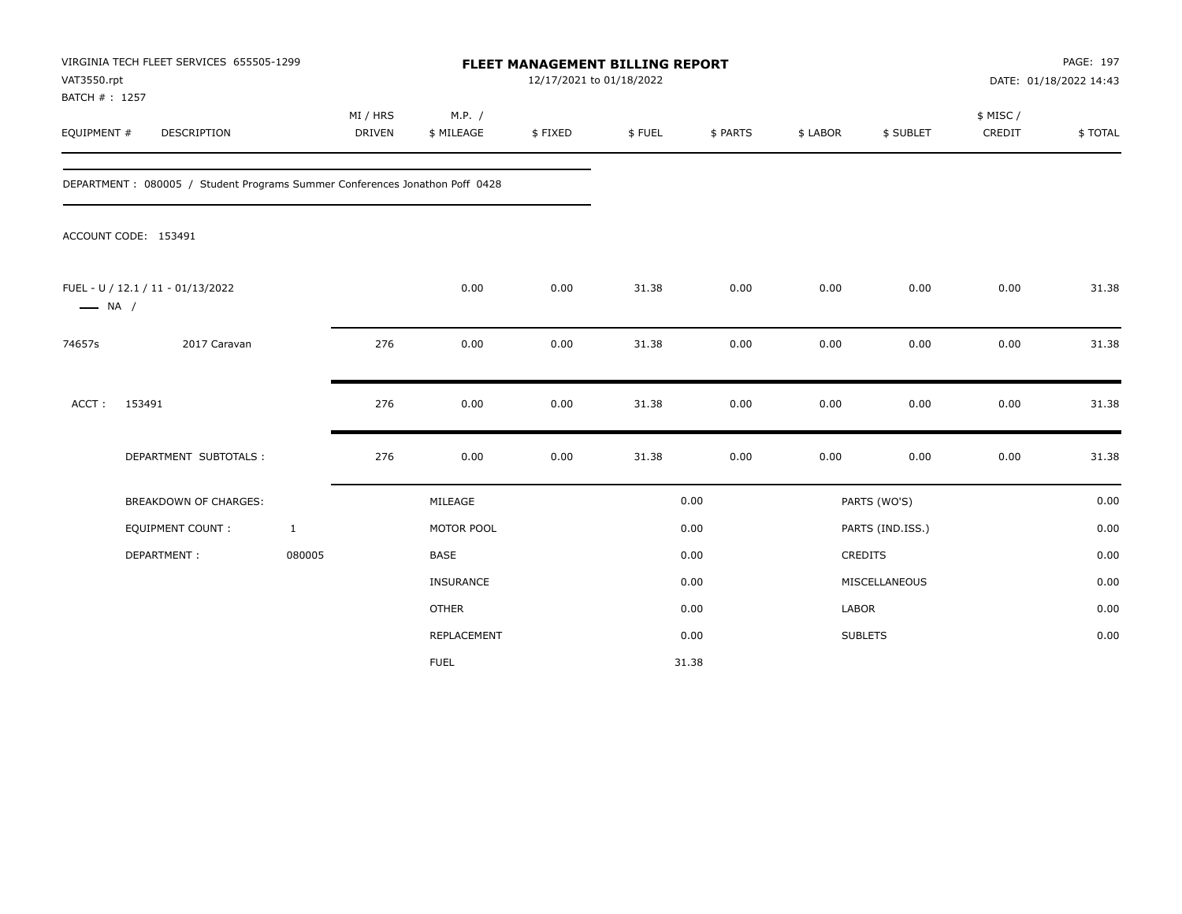| VAT3550.rpt<br>BATCH # : 1257 | VIRGINIA TECH FLEET SERVICES 655505-1299                                    |                           |                      | FLEET MANAGEMENT BILLING REPORT<br>12/17/2021 to 01/18/2022 |        |          |              |                  |                     | PAGE: 197<br>DATE: 01/18/2022 14:43 |
|-------------------------------|-----------------------------------------------------------------------------|---------------------------|----------------------|-------------------------------------------------------------|--------|----------|--------------|------------------|---------------------|-------------------------------------|
| EQUIPMENT #                   | DESCRIPTION                                                                 | MI / HRS<br><b>DRIVEN</b> | M.P. /<br>\$ MILEAGE | \$FIXED                                                     | \$FUEL | \$ PARTS | \$ LABOR     | \$ SUBLET        | \$ MISC /<br>CREDIT | \$TOTAL                             |
|                               | DEPARTMENT: 080005 / Student Programs Summer Conferences Jonathon Poff 0428 |                           |                      |                                                             |        |          |              |                  |                     |                                     |
|                               | ACCOUNT CODE: 153491                                                        |                           |                      |                                                             |        |          |              |                  |                     |                                     |
| $\longrightarrow$ NA /        | FUEL - U / 12.1 / 11 - 01/13/2022                                           |                           | 0.00                 | 0.00                                                        | 31.38  | 0.00     | 0.00         | 0.00             | 0.00                | 31.38                               |
| 74657s                        | 2017 Caravan                                                                | 276                       | 0.00                 | 0.00                                                        | 31.38  | 0.00     | 0.00         | 0.00             | 0.00                | 31.38                               |
| ACCT:                         | 153491                                                                      | 276                       | 0.00                 | 0.00                                                        | 31.38  | 0.00     | 0.00         | 0.00             | 0.00                | 31.38                               |
|                               | DEPARTMENT SUBTOTALS :                                                      | 276                       | 0.00                 | 0.00                                                        | 31.38  | 0.00     | 0.00         | 0.00             | 0.00                | 31.38                               |
|                               | <b>BREAKDOWN OF CHARGES:</b>                                                |                           | MILEAGE              |                                                             |        | 0.00     |              | PARTS (WO'S)     |                     | 0.00                                |
|                               | EQUIPMENT COUNT:                                                            | $\mathbf{1}$              | MOTOR POOL           |                                                             |        | 0.00     |              | PARTS (IND.ISS.) |                     | 0.00                                |
|                               | DEPARTMENT:                                                                 | 080005                    | BASE                 |                                                             |        | 0.00     |              | CREDITS          |                     | 0.00                                |
|                               |                                                                             |                           | INSURANCE            |                                                             |        | 0.00     |              | MISCELLANEOUS    |                     | 0.00                                |
|                               |                                                                             |                           | <b>OTHER</b>         |                                                             |        | 0.00     | <b>LABOR</b> |                  |                     | 0.00                                |
|                               |                                                                             |                           | REPLACEMENT          |                                                             |        | 0.00     |              | <b>SUBLETS</b>   |                     | 0.00                                |
|                               |                                                                             |                           | <b>FUEL</b>          |                                                             |        | 31.38    |              |                  |                     |                                     |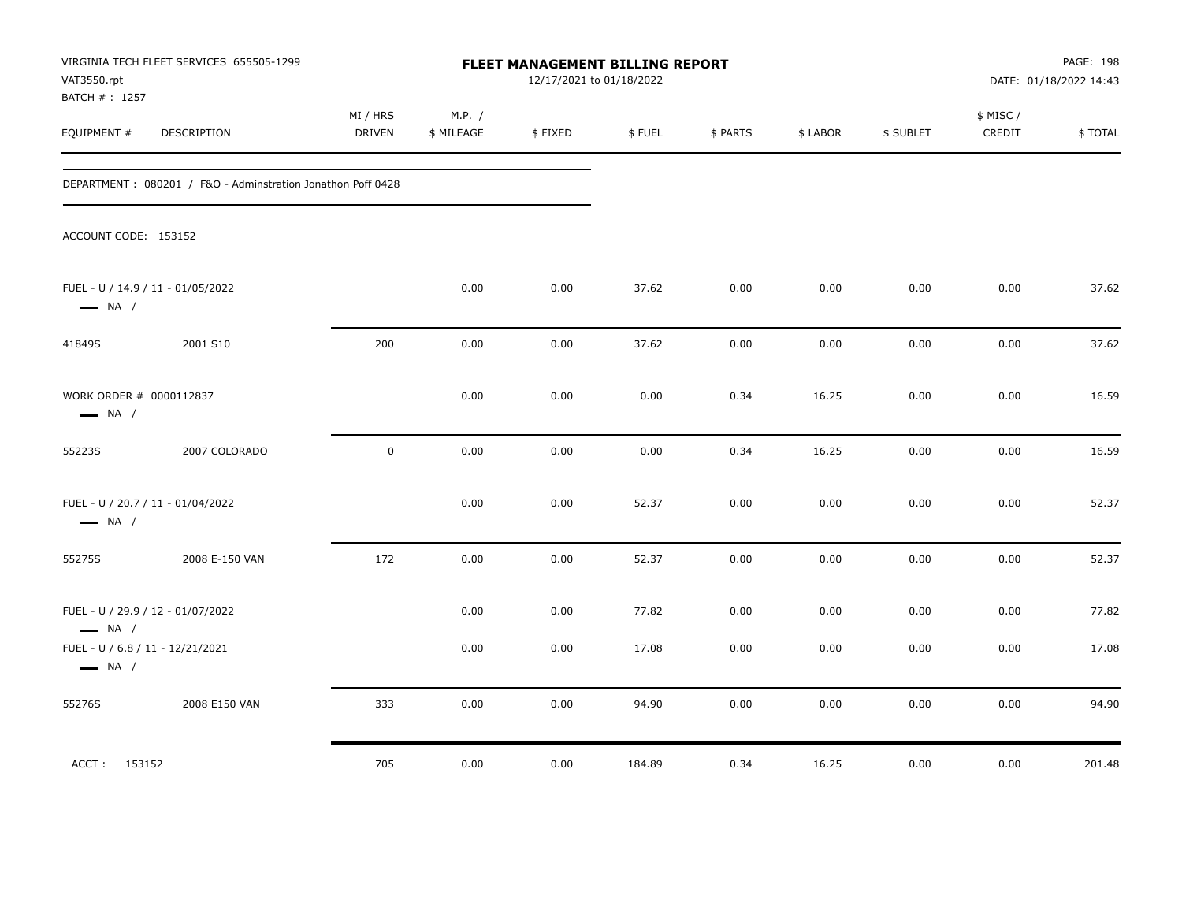| VAT3550.rpt<br>BATCH #: 1257                                | VIRGINIA TECH FLEET SERVICES 655505-1299                    |                    |                      | <b>FLEET MANAGEMENT BILLING REPORT</b><br>12/17/2021 to 01/18/2022 |        |          |          |           |                    | PAGE: 198<br>DATE: 01/18/2022 14:43 |
|-------------------------------------------------------------|-------------------------------------------------------------|--------------------|----------------------|--------------------------------------------------------------------|--------|----------|----------|-----------|--------------------|-------------------------------------|
| EQUIPMENT #                                                 | DESCRIPTION                                                 | MI / HRS<br>DRIVEN | M.P. /<br>\$ MILEAGE | \$FIXED                                                            | \$FUEL | \$ PARTS | \$ LABOR | \$ SUBLET | \$ MISC/<br>CREDIT | \$TOTAL                             |
|                                                             | DEPARTMENT: 080201 / F&O - Adminstration Jonathon Poff 0428 |                    |                      |                                                                    |        |          |          |           |                    |                                     |
| ACCOUNT CODE: 153152                                        |                                                             |                    |                      |                                                                    |        |          |          |           |                    |                                     |
| FUEL - U / 14.9 / 11 - 01/05/2022<br>$\longrightarrow$ NA / |                                                             |                    | 0.00                 | 0.00                                                               | 37.62  | 0.00     | 0.00     | 0.00      | 0.00               | 37.62                               |
| 41849S                                                      | 2001 S10                                                    | 200                | 0.00                 | 0.00                                                               | 37.62  | 0.00     | 0.00     | 0.00      | 0.00               | 37.62                               |
| WORK ORDER # 0000112837<br>$\longrightarrow$ NA /           |                                                             |                    | 0.00                 | 0.00                                                               | 0.00   | 0.34     | 16.25    | 0.00      | 0.00               | 16.59                               |
| 55223S                                                      | 2007 COLORADO                                               | $\mathbf 0$        | 0.00                 | 0.00                                                               | 0.00   | 0.34     | 16.25    | 0.00      | 0.00               | 16.59                               |
| FUEL - U / 20.7 / 11 - 01/04/2022<br>$\longrightarrow$ NA / |                                                             |                    | 0.00                 | 0.00                                                               | 52.37  | 0.00     | 0.00     | 0.00      | 0.00               | 52.37                               |
| 55275S                                                      | 2008 E-150 VAN                                              | 172                | 0.00                 | 0.00                                                               | 52.37  | 0.00     | 0.00     | 0.00      | 0.00               | 52.37                               |
| FUEL - U / 29.9 / 12 - 01/07/2022<br>$\longrightarrow$ NA / |                                                             |                    | 0.00                 | 0.00                                                               | 77.82  | 0.00     | 0.00     | 0.00      | 0.00               | 77.82                               |
| FUEL - U / 6.8 / 11 - 12/21/2021<br>$\longrightarrow$ NA /  |                                                             |                    | 0.00                 | 0.00                                                               | 17.08  | 0.00     | 0.00     | 0.00      | 0.00               | 17.08                               |
| 55276S                                                      | 2008 E150 VAN                                               | 333                | 0.00                 | 0.00                                                               | 94.90  | 0.00     | 0.00     | 0.00      | 0.00               | 94.90                               |
| ACCT: 153152                                                |                                                             | 705                | 0.00                 | 0.00                                                               | 184.89 | 0.34     | 16.25    | 0.00      | 0.00               | 201.48                              |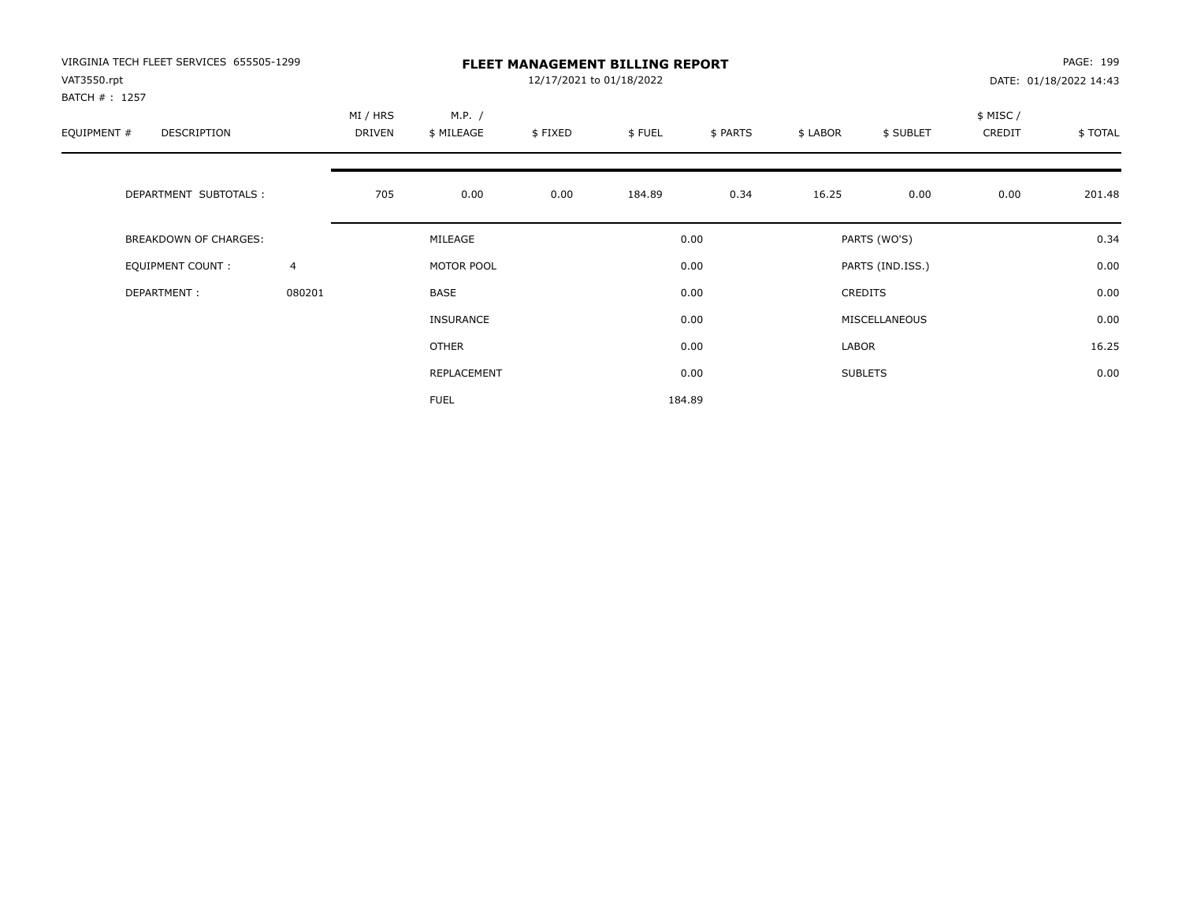| VIRGINIA TECH FLEET SERVICES 655505-1299<br>VAT3550.rpt |        |                    |                      | 12/17/2021 to 01/18/2022 | <b>FLEET MANAGEMENT BILLING REPORT</b> |          |          |                  |                    | PAGE: 199<br>DATE: 01/18/2022 14:43 |
|---------------------------------------------------------|--------|--------------------|----------------------|--------------------------|----------------------------------------|----------|----------|------------------|--------------------|-------------------------------------|
| BATCH #: 1257<br>EQUIPMENT #<br>DESCRIPTION             |        | MI / HRS<br>DRIVEN | M.P. /<br>\$ MILEAGE | \$FIXED                  | \$FUEL                                 | \$ PARTS | \$ LABOR | \$ SUBLET        | \$ MISC/<br>CREDIT | \$ TOTAL                            |
| DEPARTMENT SUBTOTALS :                                  |        | 705                | 0.00                 | 0.00                     | 184.89                                 | 0.34     | 16.25    | 0.00             | 0.00               | 201.48                              |
| BREAKDOWN OF CHARGES:                                   |        |                    | MILEAGE              |                          |                                        | 0.00     |          | PARTS (WO'S)     |                    | 0.34                                |
| <b>EQUIPMENT COUNT:</b>                                 | 4      |                    | MOTOR POOL           |                          |                                        | 0.00     |          | PARTS (IND.ISS.) |                    | 0.00                                |
| DEPARTMENT:                                             | 080201 |                    | <b>BASE</b>          |                          |                                        | 0.00     |          | <b>CREDITS</b>   |                    | 0.00                                |
|                                                         |        |                    | <b>INSURANCE</b>     |                          |                                        | 0.00     |          | MISCELLANEOUS    |                    | 0.00                                |
|                                                         |        |                    | OTHER                |                          |                                        | 0.00     | LABOR    |                  |                    | 16.25                               |
|                                                         |        |                    | REPLACEMENT          |                          |                                        | 0.00     |          | <b>SUBLETS</b>   |                    | 0.00                                |
|                                                         |        |                    | <b>FUEL</b>          |                          |                                        | 184.89   |          |                  |                    |                                     |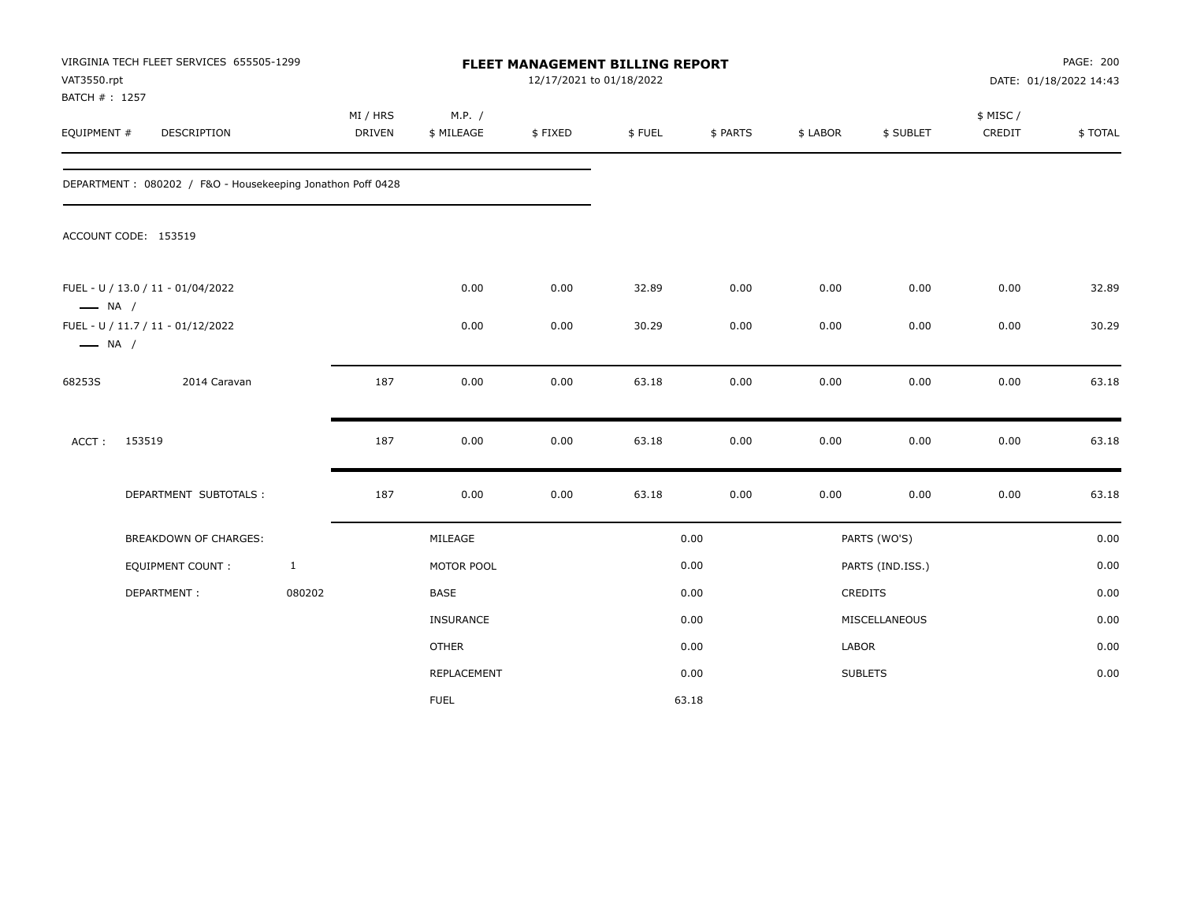| VAT3550.rpt<br>BATCH #: 1257 | VIRGINIA TECH FLEET SERVICES 655505-1299                   |              |                           |                      | FLEET MANAGEMENT BILLING REPORT<br>12/17/2021 to 01/18/2022 |        |          |          |                  |                    | PAGE: 200<br>DATE: 01/18/2022 14:43 |
|------------------------------|------------------------------------------------------------|--------------|---------------------------|----------------------|-------------------------------------------------------------|--------|----------|----------|------------------|--------------------|-------------------------------------|
| EQUIPMENT #                  | <b>DESCRIPTION</b>                                         |              | MI / HRS<br><b>DRIVEN</b> | M.P. /<br>\$ MILEAGE | \$FIXED                                                     | \$FUEL | \$ PARTS | \$ LABOR | \$ SUBLET        | \$ MISC/<br>CREDIT | \$TOTAL                             |
|                              | DEPARTMENT: 080202 / F&O - Housekeeping Jonathon Poff 0428 |              |                           |                      |                                                             |        |          |          |                  |                    |                                     |
|                              | ACCOUNT CODE: 153519                                       |              |                           |                      |                                                             |        |          |          |                  |                    |                                     |
| $\longrightarrow$ NA /       | FUEL - U / 13.0 / 11 - 01/04/2022                          |              |                           | 0.00                 | 0.00                                                        | 32.89  | 0.00     | 0.00     | 0.00             | 0.00               | 32.89                               |
| $\longrightarrow$ NA /       | FUEL - U / 11.7 / 11 - 01/12/2022                          |              |                           | 0.00                 | 0.00                                                        | 30.29  | 0.00     | 0.00     | 0.00             | 0.00               | 30.29                               |
| 68253S                       | 2014 Caravan                                               |              | 187                       | 0.00                 | 0.00                                                        | 63.18  | 0.00     | 0.00     | 0.00             | 0.00               | 63.18                               |
| ACCT:                        | 153519                                                     |              | 187                       | 0.00                 | 0.00                                                        | 63.18  | 0.00     | 0.00     | 0.00             | 0.00               | 63.18                               |
|                              | DEPARTMENT SUBTOTALS :                                     |              | 187                       | 0.00                 | 0.00                                                        | 63.18  | 0.00     | 0.00     | 0.00             | 0.00               | 63.18                               |
|                              | BREAKDOWN OF CHARGES:                                      |              |                           | MILEAGE              |                                                             |        | 0.00     |          | PARTS (WO'S)     |                    | 0.00                                |
|                              | EQUIPMENT COUNT :                                          | $\mathbf{1}$ |                           | MOTOR POOL           |                                                             |        | 0.00     |          | PARTS (IND.ISS.) |                    | 0.00                                |
|                              | DEPARTMENT:                                                | 080202       |                           | BASE                 |                                                             |        | 0.00     |          | <b>CREDITS</b>   |                    | 0.00                                |
|                              |                                                            |              |                           | <b>INSURANCE</b>     |                                                             |        | 0.00     |          | MISCELLANEOUS    |                    | 0.00                                |
|                              |                                                            |              |                           | <b>OTHER</b>         |                                                             |        | 0.00     | LABOR    |                  |                    | 0.00                                |
|                              |                                                            |              |                           | REPLACEMENT          |                                                             |        | 0.00     |          | <b>SUBLETS</b>   |                    | 0.00                                |
|                              |                                                            |              |                           | <b>FUEL</b>          |                                                             |        | 63.18    |          |                  |                    |                                     |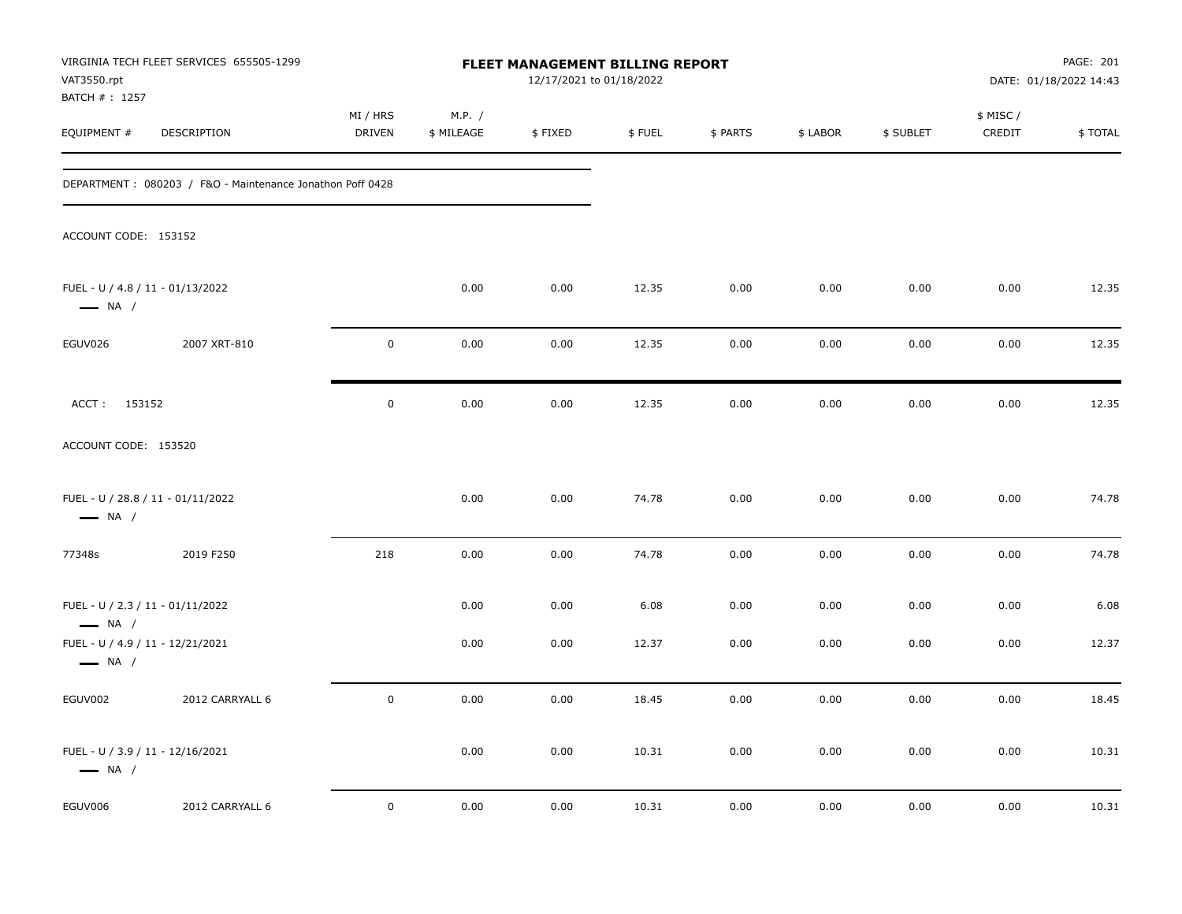| VAT3550.rpt<br>BATCH #: 1257                               | VIRGINIA TECH FLEET SERVICES 655505-1299                  |                    |                      | FLEET MANAGEMENT BILLING REPORT<br>12/17/2021 to 01/18/2022 |        |          |          |           |                     | PAGE: 201<br>DATE: 01/18/2022 14:43 |
|------------------------------------------------------------|-----------------------------------------------------------|--------------------|----------------------|-------------------------------------------------------------|--------|----------|----------|-----------|---------------------|-------------------------------------|
| EQUIPMENT #                                                | DESCRIPTION                                               | MI / HRS<br>DRIVEN | M.P. /<br>\$ MILEAGE | \$FIXED                                                     | \$FUEL | \$ PARTS | \$ LABOR | \$ SUBLET | \$ MISC /<br>CREDIT | \$TOTAL                             |
|                                                            | DEPARTMENT: 080203 / F&O - Maintenance Jonathon Poff 0428 |                    |                      |                                                             |        |          |          |           |                     |                                     |
| ACCOUNT CODE: 153152                                       |                                                           |                    |                      |                                                             |        |          |          |           |                     |                                     |
| FUEL - U / 4.8 / 11 - 01/13/2022<br>$\longrightarrow$ NA / |                                                           |                    | 0.00                 | 0.00                                                        | 12.35  | 0.00     | 0.00     | 0.00      | 0.00                | 12.35                               |
| EGUV026                                                    | 2007 XRT-810                                              | $\mathsf 0$        | 0.00                 | 0.00                                                        | 12.35  | 0.00     | 0.00     | 0.00      | 0.00                | 12.35                               |
| ACCT: 153152                                               |                                                           | $\pmb{0}$          | 0.00                 | 0.00                                                        | 12.35  | 0.00     | 0.00     | 0.00      | 0.00                | 12.35                               |
| ACCOUNT CODE: 153520                                       |                                                           |                    |                      |                                                             |        |          |          |           |                     |                                     |
| $\longrightarrow$ NA /                                     | FUEL - U / 28.8 / 11 - 01/11/2022                         |                    | 0.00                 | 0.00                                                        | 74.78  | 0.00     | 0.00     | 0.00      | 0.00                | 74.78                               |
| 77348s                                                     | 2019 F250                                                 | 218                | 0.00                 | 0.00                                                        | 74.78  | 0.00     | 0.00     | 0.00      | 0.00                | 74.78                               |
| FUEL - U / 2.3 / 11 - 01/11/2022<br>$\longrightarrow$ NA / |                                                           |                    | 0.00                 | 0.00                                                        | 6.08   | 0.00     | 0.00     | 0.00      | 0.00                | 6.08                                |
| FUEL - U / 4.9 / 11 - 12/21/2021<br>$\longrightarrow$ NA / |                                                           |                    | 0.00                 | 0.00                                                        | 12.37  | 0.00     | 0.00     | 0.00      | 0.00                | 12.37                               |
| EGUV002                                                    | 2012 CARRYALL 6                                           | $\pmb{0}$          | 0.00                 | 0.00                                                        | 18.45  | 0.00     | 0.00     | 0.00      | 0.00                | 18.45                               |
| FUEL - U / 3.9 / 11 - 12/16/2021<br>$\longrightarrow$ NA / |                                                           |                    | 0.00                 | 0.00                                                        | 10.31  | 0.00     | 0.00     | 0.00      | 0.00                | 10.31                               |
| EGUV006                                                    | 2012 CARRYALL 6                                           | $\mathbf 0$        | 0.00                 | 0.00                                                        | 10.31  | 0.00     | 0.00     | 0.00      | 0.00                | 10.31                               |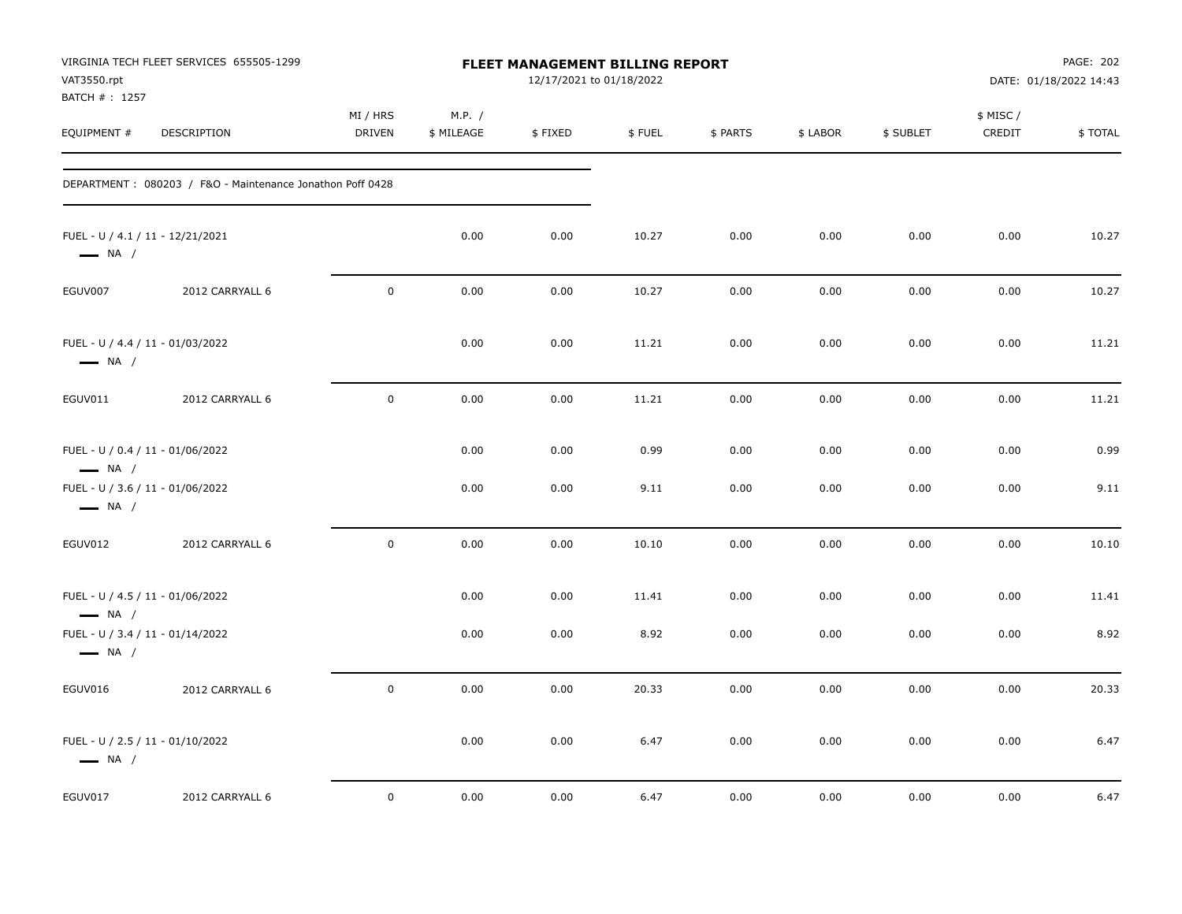| VAT3550.rpt<br>BATCH #: 1257                                                                                             | VIRGINIA TECH FLEET SERVICES 655505-1299                  |                           |                      | <b>FLEET MANAGEMENT BILLING REPORT</b><br>12/17/2021 to 01/18/2022 |               |              |              |              |                     | PAGE: 202<br>DATE: 01/18/2022 14:43 |
|--------------------------------------------------------------------------------------------------------------------------|-----------------------------------------------------------|---------------------------|----------------------|--------------------------------------------------------------------|---------------|--------------|--------------|--------------|---------------------|-------------------------------------|
| EQUIPMENT #                                                                                                              | <b>DESCRIPTION</b>                                        | MI / HRS<br><b>DRIVEN</b> | M.P. /<br>\$ MILEAGE | \$FIXED                                                            | \$FUEL        | \$ PARTS     | \$ LABOR     | \$ SUBLET    | \$ MISC /<br>CREDIT | \$TOTAL                             |
|                                                                                                                          | DEPARTMENT: 080203 / F&O - Maintenance Jonathon Poff 0428 |                           |                      |                                                                    |               |              |              |              |                     |                                     |
| FUEL - U / 4.1 / 11 - 12/21/2021<br>$\longrightarrow$ NA /                                                               |                                                           |                           | 0.00                 | 0.00                                                               | 10.27         | 0.00         | 0.00         | 0.00         | 0.00                | 10.27                               |
| EGUV007                                                                                                                  | 2012 CARRYALL 6                                           | $\mathsf{O}$              | 0.00                 | 0.00                                                               | 10.27         | 0.00         | 0.00         | 0.00         | 0.00                | 10.27                               |
| FUEL - U / 4.4 / 11 - 01/03/2022<br>$\longrightarrow$ NA /                                                               |                                                           |                           | 0.00                 | 0.00                                                               | 11.21         | 0.00         | 0.00         | 0.00         | 0.00                | 11.21                               |
| EGUV011                                                                                                                  | 2012 CARRYALL 6                                           | $\mathbf 0$               | 0.00                 | 0.00                                                               | 11.21         | 0.00         | 0.00         | 0.00         | 0.00                | 11.21                               |
| FUEL - U / 0.4 / 11 - 01/06/2022<br>$\longrightarrow$ NA /<br>FUEL - U / 3.6 / 11 - 01/06/2022<br>$\longrightarrow$ NA / |                                                           |                           | 0.00<br>0.00         | 0.00<br>0.00                                                       | 0.99<br>9.11  | 0.00<br>0.00 | 0.00<br>0.00 | 0.00<br>0.00 | 0.00<br>0.00        | 0.99<br>9.11                        |
| EGUV012                                                                                                                  | 2012 CARRYALL 6                                           | $\mathsf{O}\xspace$       | 0.00                 | 0.00                                                               | 10.10         | 0.00         | 0.00         | 0.00         | 0.00                | 10.10                               |
| FUEL - U / 4.5 / 11 - 01/06/2022<br>$\longrightarrow$ NA /<br>FUEL - U / 3.4 / 11 - 01/14/2022<br>$\longrightarrow$ NA / |                                                           |                           | 0.00<br>0.00         | 0.00<br>0.00                                                       | 11.41<br>8.92 | 0.00<br>0.00 | 0.00<br>0.00 | 0.00<br>0.00 | 0.00<br>0.00        | 11.41<br>8.92                       |
| EGUV016                                                                                                                  | 2012 CARRYALL 6                                           | $\mathsf{O}$              | 0.00                 | 0.00                                                               | 20.33         | 0.00         | 0.00         | 0.00         | 0.00                | 20.33                               |
| FUEL - U / 2.5 / 11 - 01/10/2022<br>$\longrightarrow$ NA /                                                               |                                                           |                           | 0.00                 | 0.00                                                               | 6.47          | 0.00         | 0.00         | 0.00         | 0.00                | 6.47                                |
| EGUV017                                                                                                                  | 2012 CARRYALL 6                                           | $\mathbf 0$               | 0.00                 | 0.00                                                               | 6.47          | 0.00         | 0.00         | 0.00         | 0.00                | 6.47                                |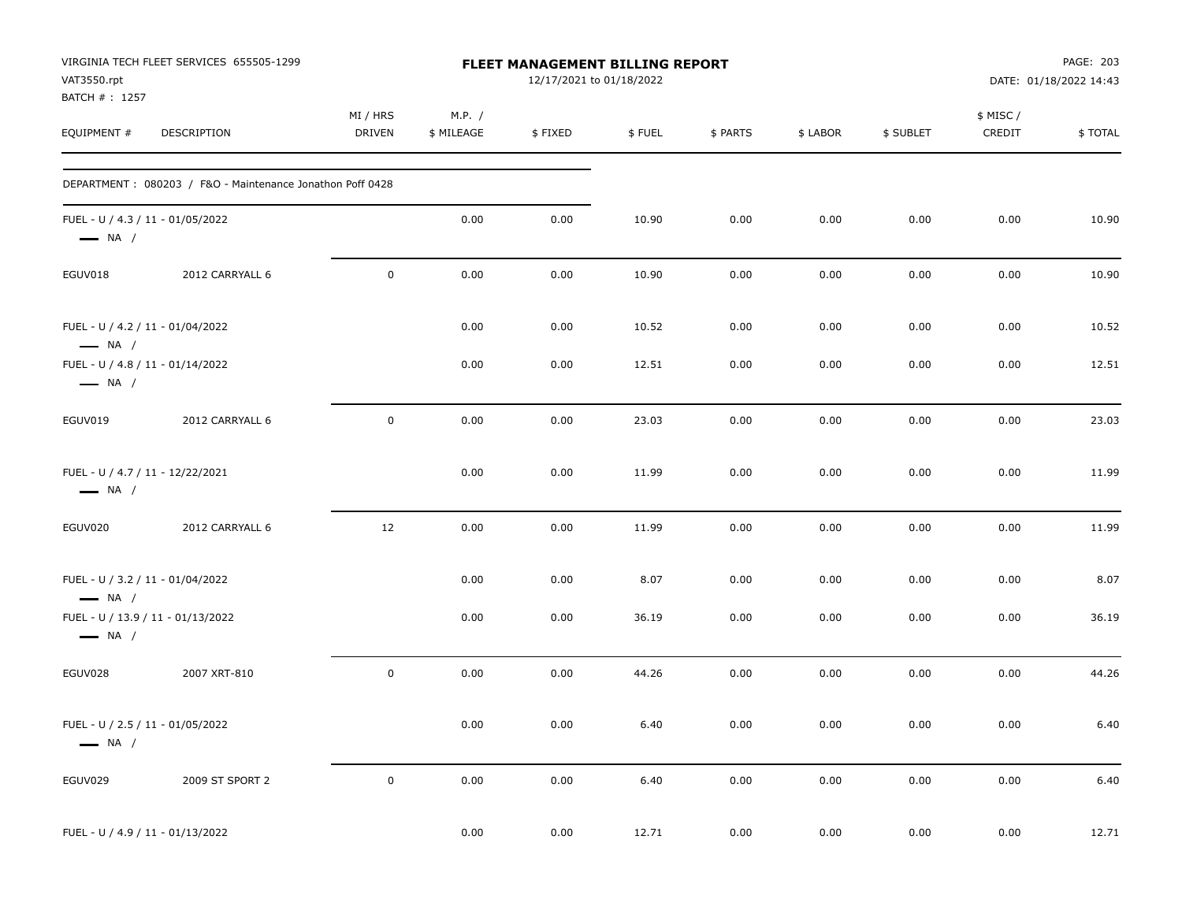| VAT3550.rpt<br>BATCH #: 1257                                | VIRGINIA TECH FLEET SERVICES 655505-1299                   |                    |                      | FLEET MANAGEMENT BILLING REPORT<br>12/17/2021 to 01/18/2022 |        |          |          |           |                     | PAGE: 203<br>DATE: 01/18/2022 14:43 |
|-------------------------------------------------------------|------------------------------------------------------------|--------------------|----------------------|-------------------------------------------------------------|--------|----------|----------|-----------|---------------------|-------------------------------------|
| EQUIPMENT #                                                 | DESCRIPTION                                                | MI / HRS<br>DRIVEN | M.P. /<br>\$ MILEAGE | \$FIXED                                                     | \$FUEL | \$ PARTS | \$ LABOR | \$ SUBLET | \$ MISC /<br>CREDIT | \$TOTAL                             |
|                                                             | DEPARTMENT : 080203 / F&O - Maintenance Jonathon Poff 0428 |                    |                      |                                                             |        |          |          |           |                     |                                     |
| FUEL - U / 4.3 / 11 - 01/05/2022<br>$\longrightarrow$ NA /  |                                                            |                    | 0.00                 | 0.00                                                        | 10.90  | 0.00     | 0.00     | 0.00      | 0.00                | 10.90                               |
| EGUV018                                                     | 2012 CARRYALL 6                                            | $\mathbf 0$        | 0.00                 | 0.00                                                        | 10.90  | 0.00     | 0.00     | 0.00      | 0.00                | 10.90                               |
| FUEL - U / 4.2 / 11 - 01/04/2022<br>$-$ NA /                |                                                            |                    | 0.00                 | 0.00                                                        | 10.52  | 0.00     | 0.00     | 0.00      | 0.00                | 10.52                               |
| FUEL - U / 4.8 / 11 - 01/14/2022<br>$\longrightarrow$ NA /  |                                                            |                    | 0.00                 | 0.00                                                        | 12.51  | 0.00     | 0.00     | 0.00      | 0.00                | 12.51                               |
| EGUV019                                                     | 2012 CARRYALL 6                                            | $\mathbf 0$        | 0.00                 | 0.00                                                        | 23.03  | 0.00     | 0.00     | 0.00      | 0.00                | 23.03                               |
| FUEL - U / 4.7 / 11 - 12/22/2021<br>$\longrightarrow$ NA /  |                                                            |                    | 0.00                 | 0.00                                                        | 11.99  | 0.00     | 0.00     | 0.00      | 0.00                | 11.99                               |
| EGUV020                                                     | 2012 CARRYALL 6                                            | 12                 | 0.00                 | 0.00                                                        | 11.99  | 0.00     | 0.00     | 0.00      | 0.00                | 11.99                               |
| FUEL - U / 3.2 / 11 - 01/04/2022<br>$\longrightarrow$ NA /  |                                                            |                    | 0.00                 | 0.00                                                        | 8.07   | 0.00     | 0.00     | 0.00      | 0.00                | 8.07                                |
| FUEL - U / 13.9 / 11 - 01/13/2022<br>$\longrightarrow$ NA / |                                                            |                    | 0.00                 | 0.00                                                        | 36.19  | 0.00     | 0.00     | 0.00      | 0.00                | 36.19                               |
| EGUV028                                                     | 2007 XRT-810                                               | $\mathbf 0$        | 0.00                 | 0.00                                                        | 44.26  | 0.00     | 0.00     | 0.00      | 0.00                | 44.26                               |
| FUEL - U / 2.5 / 11 - 01/05/2022<br>$\longrightarrow$ NA /  |                                                            |                    | 0.00                 | 0.00                                                        | 6.40   | 0.00     | 0.00     | 0.00      | 0.00                | 6.40                                |
| EGUV029                                                     | 2009 ST SPORT 2                                            | $\mathbf 0$        | $0.00\,$             | 0.00                                                        | 6.40   | 0.00     | 0.00     | $0.00\,$  | $0.00\,$            | 6.40                                |
| FUEL - U / 4.9 / 11 - 01/13/2022                            |                                                            |                    | 0.00                 | 0.00                                                        | 12.71  | 0.00     | 0.00     | 0.00      | 0.00                | 12.71                               |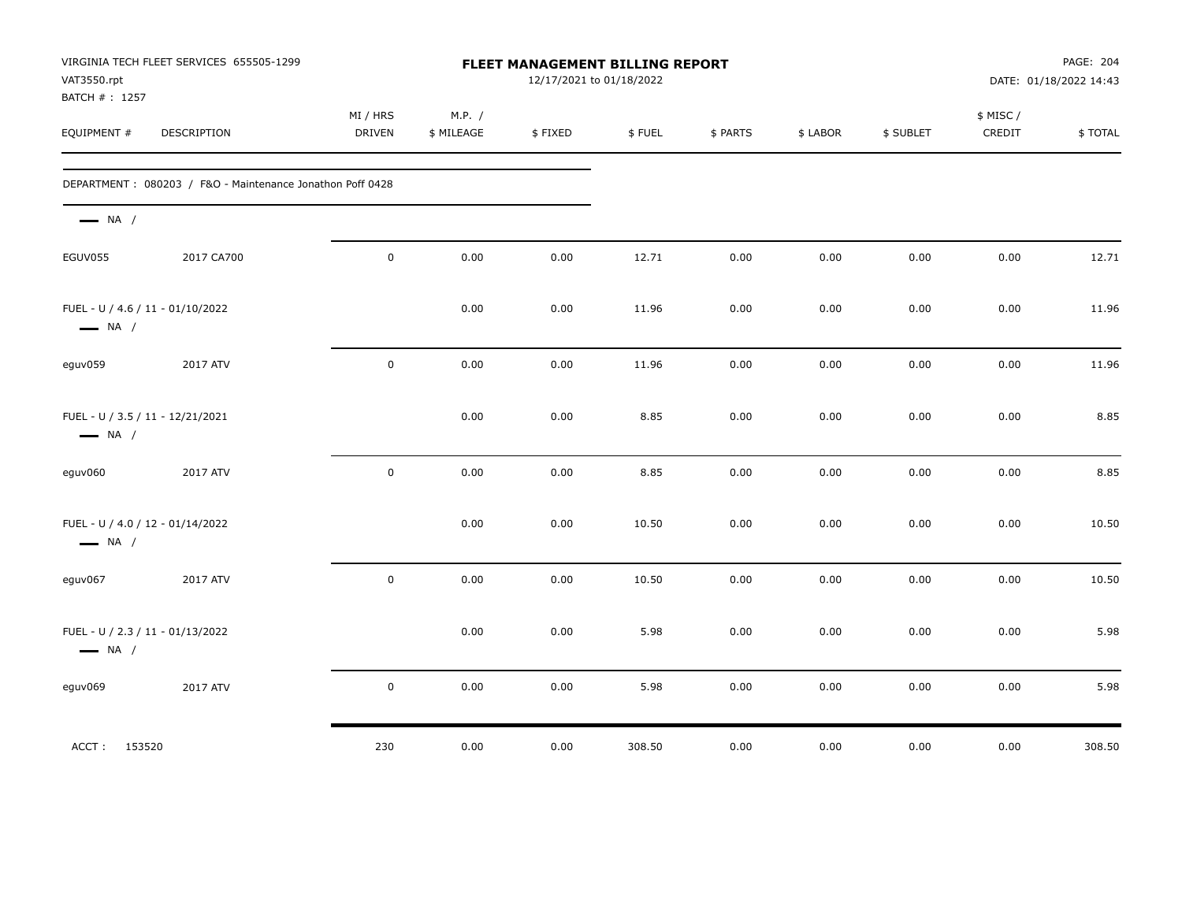| VAT3550.rpt<br>BATCH #: 1257                               | VIRGINIA TECH FLEET SERVICES 655505-1299                  |                    |                      | FLEET MANAGEMENT BILLING REPORT<br>12/17/2021 to 01/18/2022 |        |          |          |           |                     | PAGE: 204<br>DATE: 01/18/2022 14:43 |
|------------------------------------------------------------|-----------------------------------------------------------|--------------------|----------------------|-------------------------------------------------------------|--------|----------|----------|-----------|---------------------|-------------------------------------|
| EQUIPMENT #                                                | DESCRIPTION                                               | MI / HRS<br>DRIVEN | M.P. /<br>\$ MILEAGE | \$FIXED                                                     | \$FUEL | \$ PARTS | \$ LABOR | \$ SUBLET | \$ MISC /<br>CREDIT | \$TOTAL                             |
|                                                            | DEPARTMENT: 080203 / F&O - Maintenance Jonathon Poff 0428 |                    |                      |                                                             |        |          |          |           |                     |                                     |
| $\longrightarrow$ NA /                                     |                                                           |                    |                      |                                                             |        |          |          |           |                     |                                     |
| EGUV055                                                    | 2017 CA700                                                | $\mathsf 0$        | 0.00                 | 0.00                                                        | 12.71  | 0.00     | 0.00     | 0.00      | 0.00                | 12.71                               |
| FUEL - U / 4.6 / 11 - 01/10/2022<br>$\longrightarrow$ NA / |                                                           |                    | 0.00                 | 0.00                                                        | 11.96  | 0.00     | 0.00     | 0.00      | 0.00                | 11.96                               |
| eguv059                                                    | 2017 ATV                                                  | $\pmb{0}$          | 0.00                 | 0.00                                                        | 11.96  | 0.00     | 0.00     | 0.00      | 0.00                | 11.96                               |
| FUEL - U / 3.5 / 11 - 12/21/2021<br>$\longrightarrow$ NA / |                                                           |                    | 0.00                 | 0.00                                                        | 8.85   | 0.00     | 0.00     | 0.00      | 0.00                | 8.85                                |
| eguv060                                                    | 2017 ATV                                                  | $\pmb{0}$          | 0.00                 | 0.00                                                        | 8.85   | 0.00     | 0.00     | 0.00      | 0.00                | 8.85                                |
| FUEL - U / 4.0 / 12 - 01/14/2022<br>$\longrightarrow$ NA / |                                                           |                    | 0.00                 | 0.00                                                        | 10.50  | 0.00     | 0.00     | 0.00      | 0.00                | 10.50                               |
| eguv067                                                    | 2017 ATV                                                  | $\mathbf 0$        | 0.00                 | 0.00                                                        | 10.50  | 0.00     | 0.00     | 0.00      | 0.00                | 10.50                               |
| FUEL - U / 2.3 / 11 - 01/13/2022<br>$\longrightarrow$ NA / |                                                           |                    | 0.00                 | 0.00                                                        | 5.98   | 0.00     | 0.00     | 0.00      | 0.00                | 5.98                                |
| eguv069                                                    | 2017 ATV                                                  | $\mathsf 0$        | 0.00                 | 0.00                                                        | 5.98   | 0.00     | 0.00     | 0.00      | 0.00                | 5.98                                |
| ACCT: 153520                                               |                                                           | 230                | 0.00                 | 0.00                                                        | 308.50 | 0.00     | 0.00     | 0.00      | 0.00                | 308.50                              |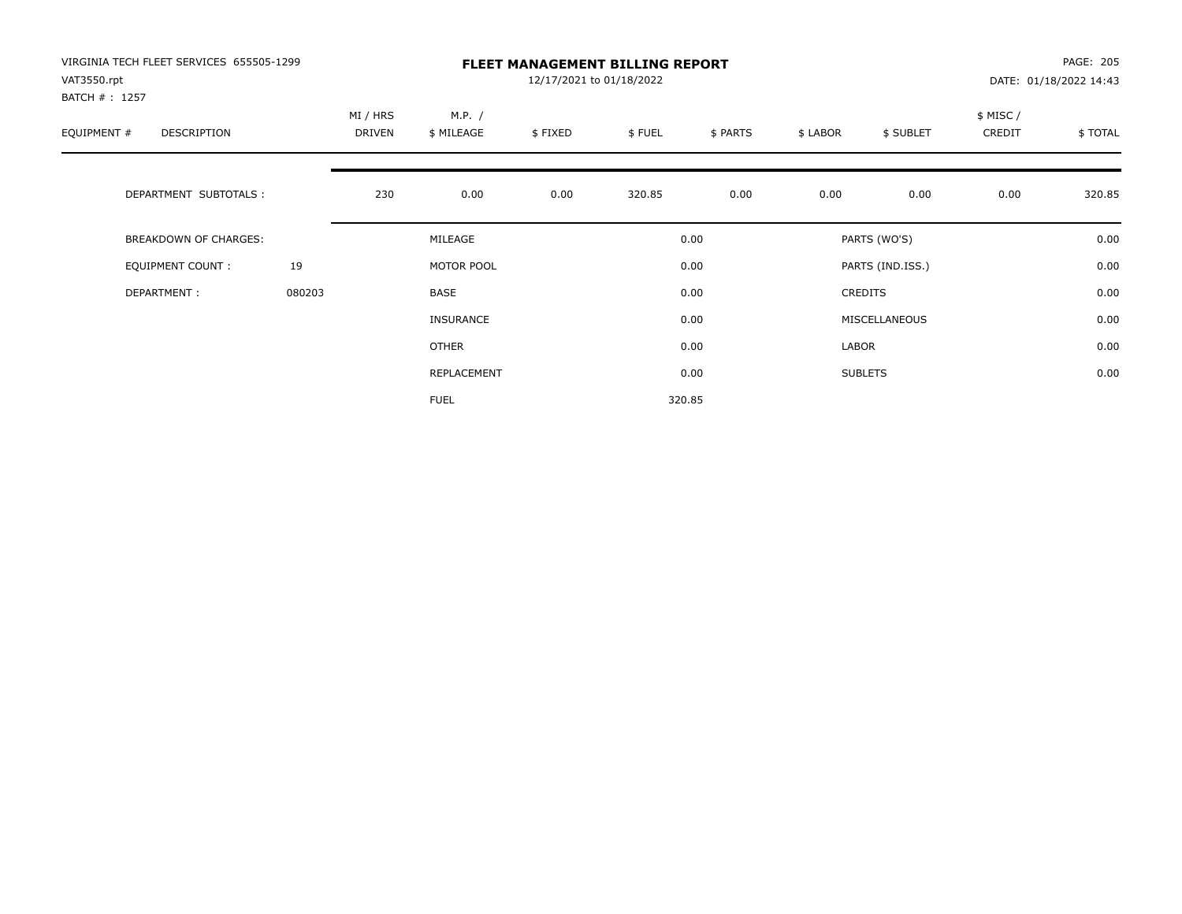| VIRGINIA TECH FLEET SERVICES 655505-1299<br>VAT3550.rpt<br>BATCH # : 1257 |        |                    |                      | 12/17/2021 to 01/18/2022 | <b>FLEET MANAGEMENT BILLING REPORT</b> |          |          |                  |                    | PAGE: 205<br>DATE: 01/18/2022 14:43 |
|---------------------------------------------------------------------------|--------|--------------------|----------------------|--------------------------|----------------------------------------|----------|----------|------------------|--------------------|-------------------------------------|
| EQUIPMENT #<br>DESCRIPTION                                                |        | MI / HRS<br>DRIVEN | M.P. /<br>\$ MILEAGE | \$FIXED                  | \$FUEL                                 | \$ PARTS | \$ LABOR | \$ SUBLET        | \$ MISC/<br>CREDIT | \$ TOTAL                            |
| DEPARTMENT SUBTOTALS :                                                    |        | 230                | 0.00                 | 0.00                     | 320.85                                 | 0.00     | 0.00     | 0.00             | 0.00               | 320.85                              |
| BREAKDOWN OF CHARGES:                                                     |        |                    | MILEAGE              |                          |                                        | 0.00     |          | PARTS (WO'S)     |                    | 0.00                                |
| <b>EQUIPMENT COUNT:</b>                                                   | 19     |                    | MOTOR POOL           |                          |                                        | 0.00     |          | PARTS (IND.ISS.) |                    | 0.00                                |
| DEPARTMENT:                                                               | 080203 |                    | <b>BASE</b>          |                          |                                        | 0.00     |          | <b>CREDITS</b>   |                    | 0.00                                |
|                                                                           |        |                    | INSURANCE            |                          |                                        | 0.00     |          | MISCELLANEOUS    |                    | 0.00                                |
|                                                                           |        |                    | OTHER                |                          |                                        | 0.00     | LABOR    |                  |                    | 0.00                                |
|                                                                           |        |                    | REPLACEMENT          |                          |                                        | 0.00     |          | <b>SUBLETS</b>   |                    | 0.00                                |
|                                                                           |        |                    | <b>FUEL</b>          |                          |                                        | 320.85   |          |                  |                    |                                     |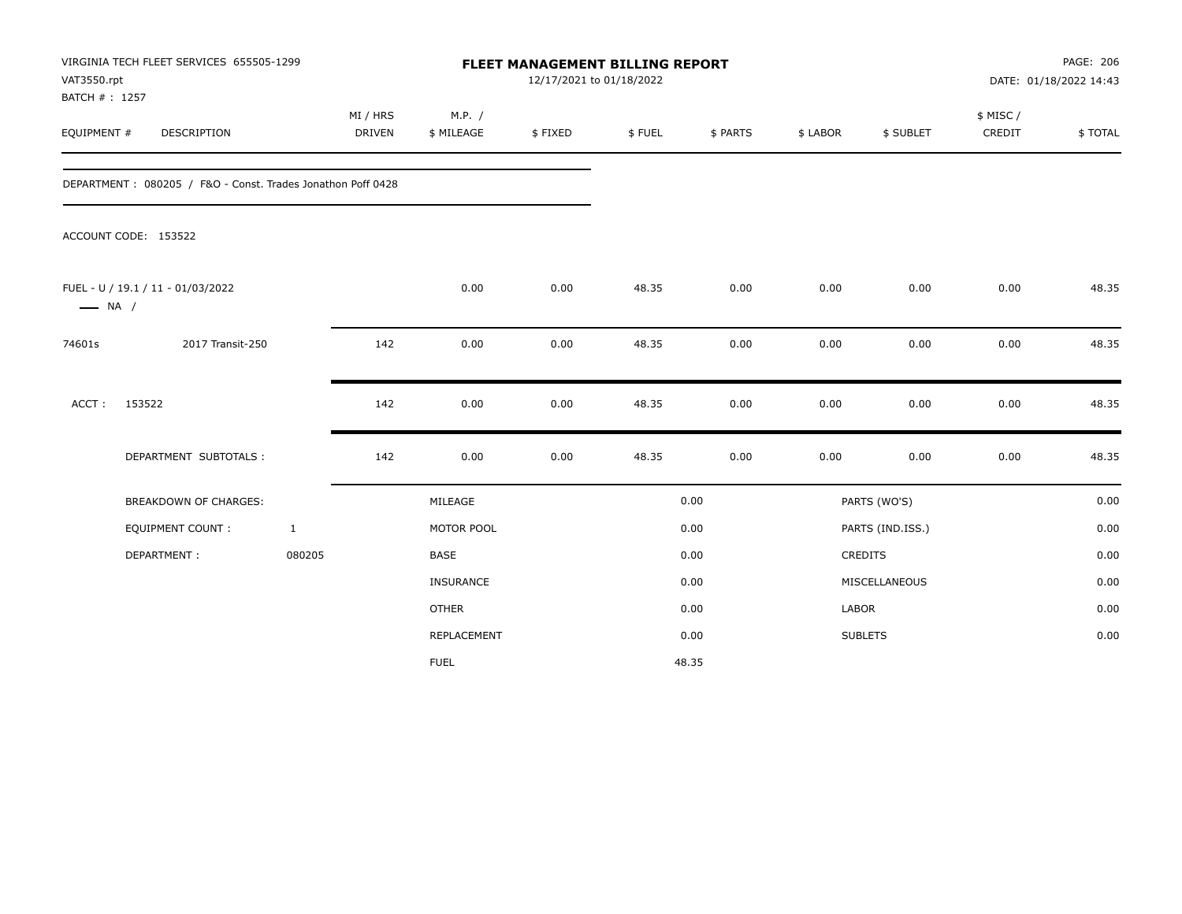| VAT3550.rpt<br>BATCH #: 1257 | VIRGINIA TECH FLEET SERVICES 655505-1299                    |                           |                      | <b>FLEET MANAGEMENT BILLING REPORT</b><br>12/17/2021 to 01/18/2022 |        |          |          |                  |                    | PAGE: 206<br>DATE: 01/18/2022 14:43 |
|------------------------------|-------------------------------------------------------------|---------------------------|----------------------|--------------------------------------------------------------------|--------|----------|----------|------------------|--------------------|-------------------------------------|
| EQUIPMENT #                  | DESCRIPTION                                                 | MI / HRS<br><b>DRIVEN</b> | M.P. /<br>\$ MILEAGE | \$FIXED                                                            | \$FUEL | \$ PARTS | \$ LABOR | \$ SUBLET        | \$ MISC/<br>CREDIT | \$TOTAL                             |
|                              | DEPARTMENT: 080205 / F&O - Const. Trades Jonathon Poff 0428 |                           |                      |                                                                    |        |          |          |                  |                    |                                     |
|                              | ACCOUNT CODE: 153522                                        |                           |                      |                                                                    |        |          |          |                  |                    |                                     |
| $\longrightarrow$ NA /       | FUEL - U / 19.1 / 11 - 01/03/2022                           |                           | 0.00                 | 0.00                                                               | 48.35  | 0.00     | 0.00     | 0.00             | 0.00               | 48.35                               |
| 74601s                       | 2017 Transit-250                                            | 142                       | 0.00                 | 0.00                                                               | 48.35  | 0.00     | 0.00     | 0.00             | 0.00               | 48.35                               |
| ACCT:                        | 153522                                                      | 142                       | 0.00                 | 0.00                                                               | 48.35  | 0.00     | 0.00     | 0.00             | 0.00               | 48.35                               |
|                              | DEPARTMENT SUBTOTALS :                                      | 142                       | 0.00                 | 0.00                                                               | 48.35  | 0.00     | 0.00     | 0.00             | 0.00               | 48.35                               |
|                              | <b>BREAKDOWN OF CHARGES:</b>                                |                           | MILEAGE              |                                                                    |        | 0.00     |          | PARTS (WO'S)     |                    | 0.00                                |
|                              | <b>EQUIPMENT COUNT:</b>                                     | $\mathbf{1}$              | MOTOR POOL           |                                                                    |        | 0.00     |          | PARTS (IND.ISS.) |                    | 0.00                                |
|                              | DEPARTMENT:                                                 | 080205                    | <b>BASE</b>          |                                                                    |        | 0.00     |          | <b>CREDITS</b>   |                    | 0.00                                |
|                              |                                                             |                           | INSURANCE            |                                                                    |        | 0.00     |          | MISCELLANEOUS    |                    | 0.00                                |
|                              |                                                             |                           | <b>OTHER</b>         |                                                                    |        | 0.00     | LABOR    |                  |                    | 0.00                                |
|                              |                                                             |                           | REPLACEMENT          |                                                                    |        | 0.00     |          | <b>SUBLETS</b>   |                    | 0.00                                |
|                              |                                                             |                           | <b>FUEL</b>          |                                                                    |        | 48.35    |          |                  |                    |                                     |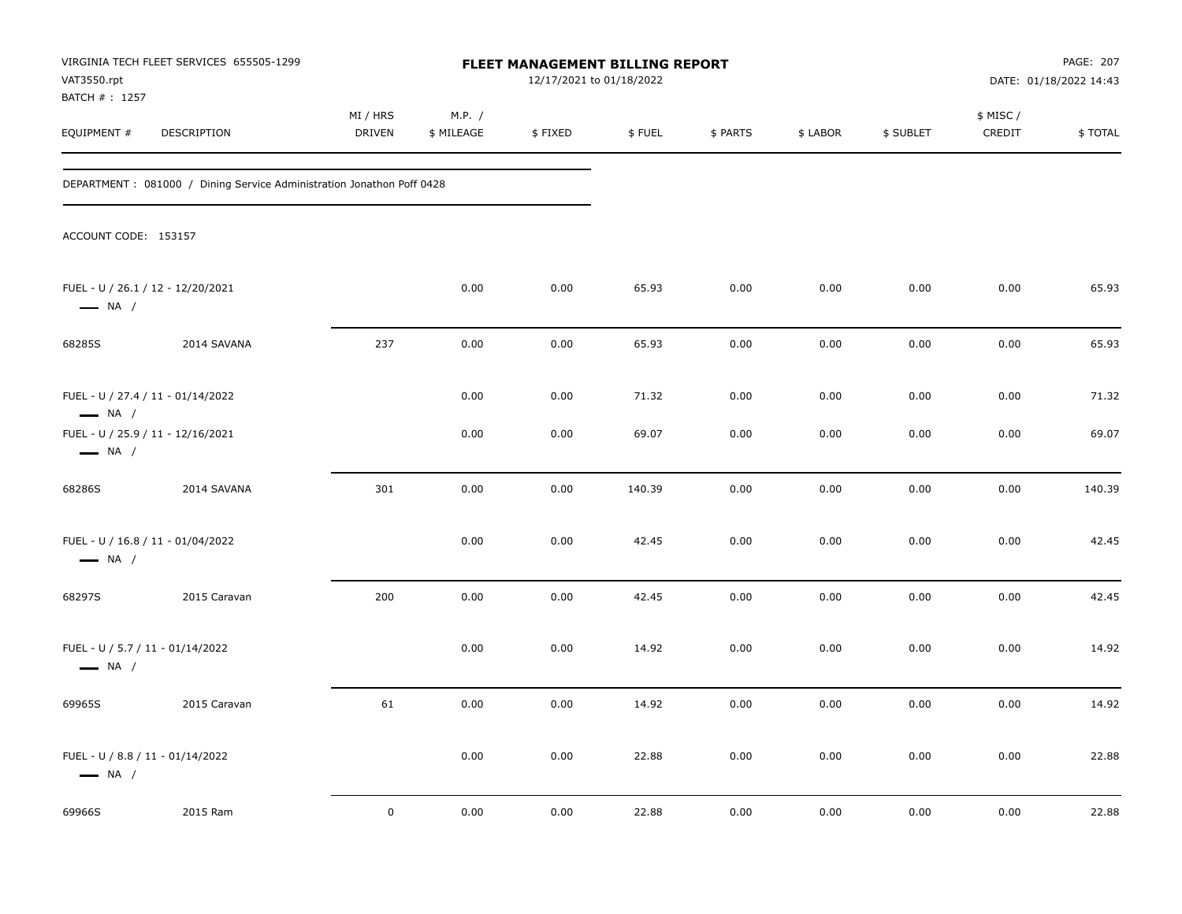| VAT3550.rpt                                                | VIRGINIA TECH FLEET SERVICES 655505-1299                               |                    |                      | FLEET MANAGEMENT BILLING REPORT<br>12/17/2021 to 01/18/2022 |        |          |          |           |                     | PAGE: 207<br>DATE: 01/18/2022 14:43 |
|------------------------------------------------------------|------------------------------------------------------------------------|--------------------|----------------------|-------------------------------------------------------------|--------|----------|----------|-----------|---------------------|-------------------------------------|
| BATCH #: 1257<br>EQUIPMENT #                               | DESCRIPTION                                                            | MI / HRS<br>DRIVEN | M.P. /<br>\$ MILEAGE | \$FIXED                                                     | \$FUEL | \$ PARTS | \$ LABOR | \$ SUBLET | \$ MISC /<br>CREDIT | \$TOTAL                             |
|                                                            | DEPARTMENT : 081000 / Dining Service Administration Jonathon Poff 0428 |                    |                      |                                                             |        |          |          |           |                     |                                     |
| ACCOUNT CODE: 153157                                       |                                                                        |                    |                      |                                                             |        |          |          |           |                     |                                     |
| $\longrightarrow$ NA /                                     | FUEL - U / 26.1 / 12 - 12/20/2021                                      |                    | 0.00                 | 0.00                                                        | 65.93  | 0.00     | 0.00     | 0.00      | 0.00                | 65.93                               |
| 68285S                                                     | 2014 SAVANA                                                            | 237                | 0.00                 | 0.00                                                        | 65.93  | 0.00     | 0.00     | 0.00      | 0.00                | 65.93                               |
| $\longrightarrow$ NA /                                     | FUEL - U / 27.4 / 11 - 01/14/2022                                      |                    | 0.00                 | 0.00                                                        | 71.32  | 0.00     | 0.00     | 0.00      | 0.00                | 71.32                               |
| $\longrightarrow$ NA /                                     | FUEL - U / 25.9 / 11 - 12/16/2021                                      |                    | 0.00                 | 0.00                                                        | 69.07  | 0.00     | 0.00     | 0.00      | 0.00                | 69.07                               |
| 68286S                                                     | 2014 SAVANA                                                            | 301                | 0.00                 | 0.00                                                        | 140.39 | 0.00     | 0.00     | 0.00      | 0.00                | 140.39                              |
| $\longrightarrow$ NA /                                     | FUEL - U / 16.8 / 11 - 01/04/2022                                      |                    | 0.00                 | 0.00                                                        | 42.45  | 0.00     | 0.00     | 0.00      | 0.00                | 42.45                               |
| 68297S                                                     | 2015 Caravan                                                           | 200                | 0.00                 | 0.00                                                        | 42.45  | 0.00     | 0.00     | 0.00      | 0.00                | 42.45                               |
| FUEL - U / 5.7 / 11 - 01/14/2022<br>$\longrightarrow$ NA / |                                                                        |                    | 0.00                 | 0.00                                                        | 14.92  | 0.00     | 0.00     | 0.00      | 0.00                | 14.92                               |
| 69965S                                                     | 2015 Caravan                                                           | 61                 | 0.00                 | 0.00                                                        | 14.92  | 0.00     | 0.00     | 0.00      | 0.00                | 14.92                               |
| FUEL - U / 8.8 / 11 - 01/14/2022<br>$\longrightarrow$ NA / |                                                                        |                    | 0.00                 | 0.00                                                        | 22.88  | 0.00     | 0.00     | 0.00      | 0.00                | 22.88                               |
| 69966S                                                     | 2015 Ram                                                               | $\mathbf 0$        | 0.00                 | 0.00                                                        | 22.88  | 0.00     | 0.00     | 0.00      | 0.00                | 22.88                               |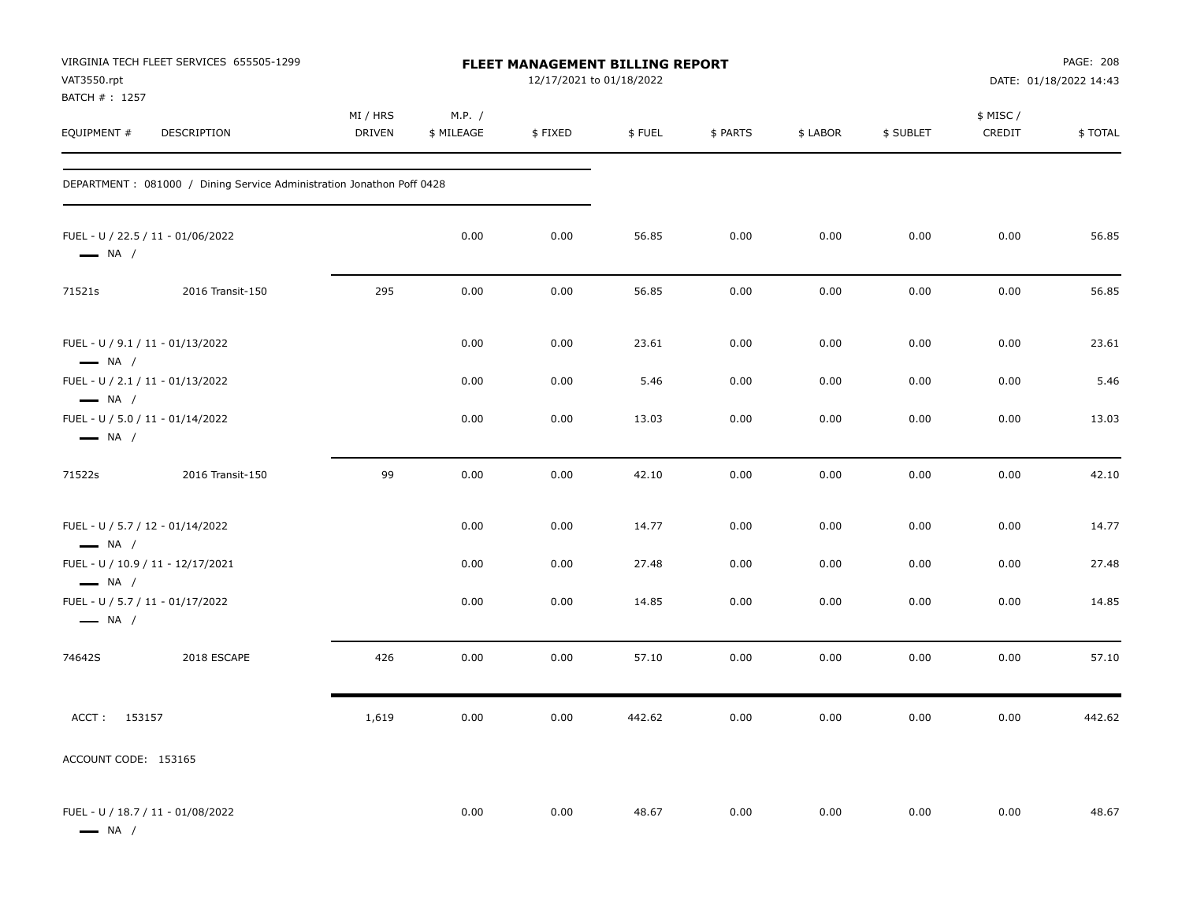| VAT3550.rpt<br>BATCH # : 1257                              | VIRGINIA TECH FLEET SERVICES 655505-1299                               |                    |                      | FLEET MANAGEMENT BILLING REPORT<br>12/17/2021 to 01/18/2022 |        |          |          |           |                     | PAGE: 208<br>DATE: 01/18/2022 14:43 |
|------------------------------------------------------------|------------------------------------------------------------------------|--------------------|----------------------|-------------------------------------------------------------|--------|----------|----------|-----------|---------------------|-------------------------------------|
| EQUIPMENT #                                                | DESCRIPTION                                                            | MI / HRS<br>DRIVEN | M.P. /<br>\$ MILEAGE | \$FIXED                                                     | \$FUEL | \$ PARTS | \$ LABOR | \$ SUBLET | \$ MISC /<br>CREDIT | \$TOTAL                             |
|                                                            | DEPARTMENT : 081000 / Dining Service Administration Jonathon Poff 0428 |                    |                      |                                                             |        |          |          |           |                     |                                     |
| $\longrightarrow$ NA /                                     | FUEL - U / 22.5 / 11 - 01/06/2022                                      |                    | 0.00                 | 0.00                                                        | 56.85  | 0.00     | 0.00     | 0.00      | 0.00                | 56.85                               |
| 71521s                                                     | 2016 Transit-150                                                       | 295                | 0.00                 | 0.00                                                        | 56.85  | 0.00     | 0.00     | 0.00      | 0.00                | 56.85                               |
| FUEL - U / 9.1 / 11 - 01/13/2022<br>$\longrightarrow$ NA / |                                                                        |                    | 0.00                 | 0.00                                                        | 23.61  | 0.00     | 0.00     | 0.00      | 0.00                | 23.61                               |
| FUEL - U / 2.1 / 11 - 01/13/2022<br>$\longrightarrow$ NA / |                                                                        |                    | 0.00                 | 0.00                                                        | 5.46   | 0.00     | 0.00     | 0.00      | 0.00                | 5.46                                |
| FUEL - U / 5.0 / 11 - 01/14/2022<br>$\longrightarrow$ NA / |                                                                        |                    | 0.00                 | 0.00                                                        | 13.03  | 0.00     | 0.00     | 0.00      | 0.00                | 13.03                               |
| 71522s                                                     | 2016 Transit-150                                                       | 99                 | 0.00                 | 0.00                                                        | 42.10  | 0.00     | 0.00     | 0.00      | 0.00                | 42.10                               |
| FUEL - U / 5.7 / 12 - 01/14/2022<br>$\longrightarrow$ NA / |                                                                        |                    | 0.00                 | 0.00                                                        | 14.77  | 0.00     | 0.00     | 0.00      | 0.00                | 14.77                               |
| $\longrightarrow$ NA /                                     | FUEL - U / 10.9 / 11 - 12/17/2021                                      |                    | 0.00                 | 0.00                                                        | 27.48  | 0.00     | 0.00     | 0.00      | 0.00                | 27.48                               |
| FUEL - U / 5.7 / 11 - 01/17/2022<br>$\longrightarrow$ NA / |                                                                        |                    | 0.00                 | 0.00                                                        | 14.85  | 0.00     | 0.00     | 0.00      | 0.00                | 14.85                               |
| 74642S                                                     | 2018 ESCAPE                                                            | 426                | 0.00                 | 0.00                                                        | 57.10  | 0.00     | 0.00     | 0.00      | 0.00                | 57.10                               |
| ACCT: 153157                                               |                                                                        | 1,619              | 0.00                 | 0.00                                                        | 442.62 | 0.00     | 0.00     | 0.00      | 0.00                | 442.62                              |
| ACCOUNT CODE: 153165                                       |                                                                        |                    |                      |                                                             |        |          |          |           |                     |                                     |
| $\longrightarrow$ NA /                                     | FUEL - U / 18.7 / 11 - 01/08/2022                                      |                    | 0.00                 | 0.00                                                        | 48.67  | 0.00     | 0.00     | 0.00      | 0.00                | 48.67                               |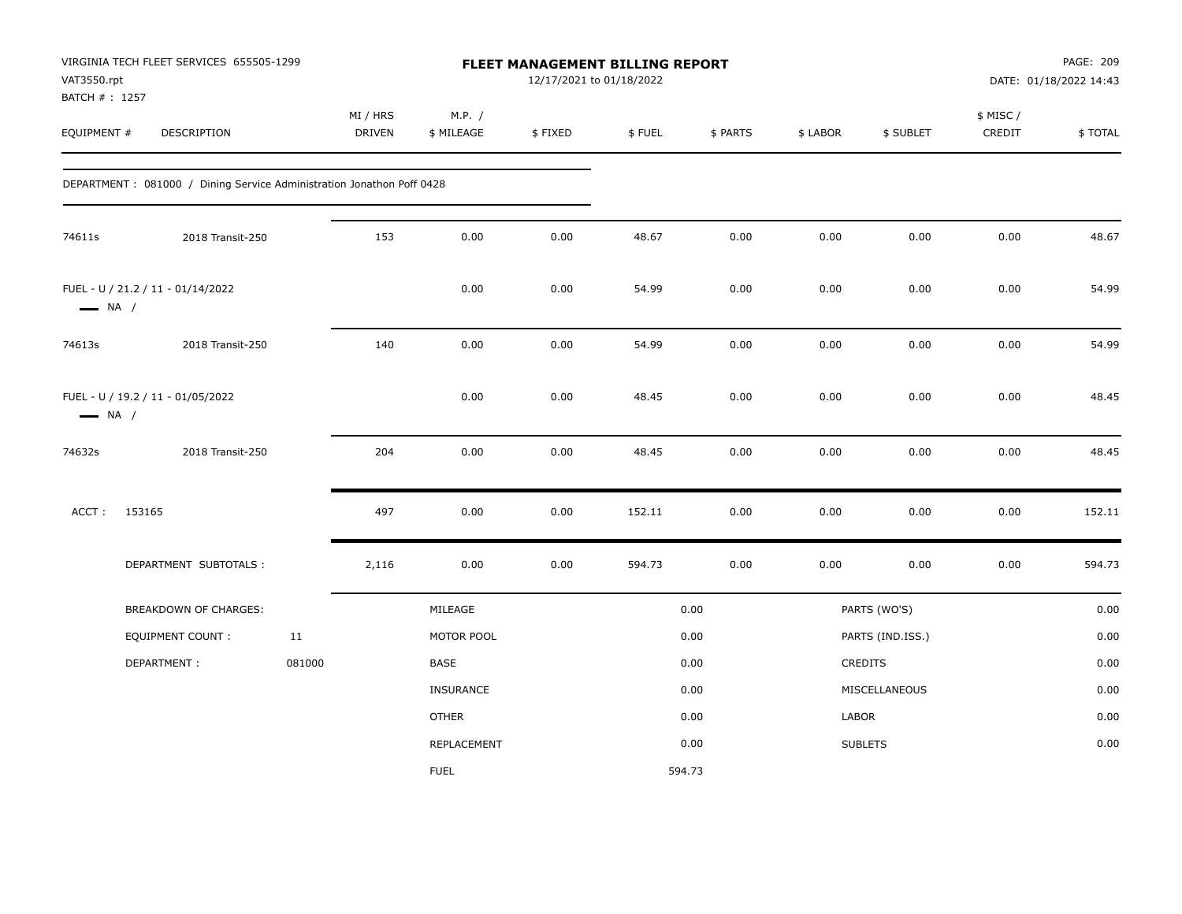| VAT3550.rpt<br>BATCH #: 1257 | VIRGINIA TECH FLEET SERVICES 655505-1299                               |        |                           |                      | 12/17/2021 to 01/18/2022 | <b>FLEET MANAGEMENT BILLING REPORT</b> |          |          |                  |                    | PAGE: 209<br>DATE: 01/18/2022 14:43 |
|------------------------------|------------------------------------------------------------------------|--------|---------------------------|----------------------|--------------------------|----------------------------------------|----------|----------|------------------|--------------------|-------------------------------------|
| EQUIPMENT #                  | <b>DESCRIPTION</b>                                                     |        | MI / HRS<br><b>DRIVEN</b> | M.P. /<br>\$ MILEAGE | \$FIXED                  | \$FUEL                                 | \$ PARTS | \$ LABOR | \$ SUBLET        | \$ MISC/<br>CREDIT | \$TOTAL                             |
|                              | DEPARTMENT : 081000 / Dining Service Administration Jonathon Poff 0428 |        |                           |                      |                          |                                        |          |          |                  |                    |                                     |
| 74611s                       | 2018 Transit-250                                                       |        | 153                       | 0.00                 | 0.00                     | 48.67                                  | 0.00     | 0.00     | 0.00             | 0.00               | 48.67                               |
| $\longrightarrow$ NA /       | FUEL - U / 21.2 / 11 - 01/14/2022                                      |        |                           | 0.00                 | 0.00                     | 54.99                                  | 0.00     | 0.00     | 0.00             | 0.00               | 54.99                               |
| 74613s                       | 2018 Transit-250                                                       |        | 140                       | 0.00                 | 0.00                     | 54.99                                  | 0.00     | 0.00     | 0.00             | 0.00               | 54.99                               |
| $\longrightarrow$ NA /       | FUEL - U / 19.2 / 11 - 01/05/2022                                      |        |                           | 0.00                 | 0.00                     | 48.45                                  | 0.00     | 0.00     | 0.00             | 0.00               | 48.45                               |
| 74632s                       | 2018 Transit-250                                                       |        | 204                       | 0.00                 | 0.00                     | 48.45                                  | 0.00     | 0.00     | 0.00             | 0.00               | 48.45                               |
| ACCT:                        | 153165                                                                 |        | 497                       | 0.00                 | 0.00                     | 152.11                                 | 0.00     | 0.00     | 0.00             | 0.00               | 152.11                              |
|                              | DEPARTMENT SUBTOTALS :                                                 |        | 2,116                     | 0.00                 | 0.00                     | 594.73                                 | 0.00     | 0.00     | 0.00             | 0.00               | 594.73                              |
|                              | <b>BREAKDOWN OF CHARGES:</b>                                           |        |                           | MILEAGE              |                          |                                        | 0.00     |          | PARTS (WO'S)     |                    | 0.00                                |
|                              | EQUIPMENT COUNT :                                                      | 11     |                           | MOTOR POOL           |                          |                                        | 0.00     |          | PARTS (IND.ISS.) |                    | 0.00                                |
|                              | DEPARTMENT:                                                            | 081000 |                           | BASE                 |                          |                                        | 0.00     |          | CREDITS          |                    | 0.00                                |
|                              |                                                                        |        |                           | <b>INSURANCE</b>     |                          |                                        | 0.00     |          | MISCELLANEOUS    |                    | 0.00                                |
|                              |                                                                        |        |                           | <b>OTHER</b>         |                          |                                        | 0.00     | LABOR    |                  |                    | 0.00                                |
|                              |                                                                        |        |                           | REPLACEMENT          |                          |                                        | 0.00     |          | <b>SUBLETS</b>   |                    | 0.00                                |
|                              |                                                                        |        |                           | <b>FUEL</b>          |                          |                                        | 594.73   |          |                  |                    |                                     |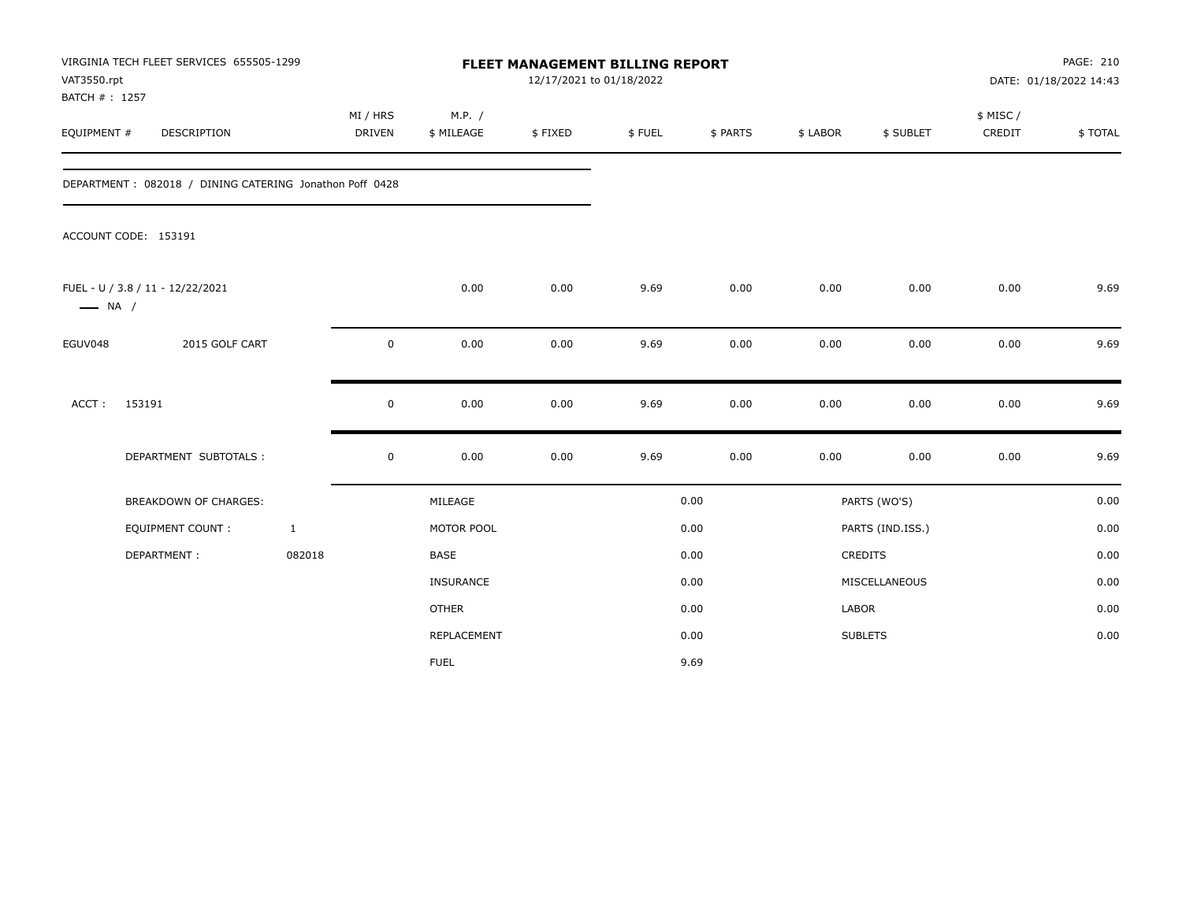| VAT3550.rpt<br>BATCH #: 1257 | VIRGINIA TECH FLEET SERVICES 655505-1299                |                           |           |                      | 12/17/2021 to 01/18/2022 | FLEET MANAGEMENT BILLING REPORT |          |          |                  |                     | PAGE: 210<br>DATE: 01/18/2022 14:43 |
|------------------------------|---------------------------------------------------------|---------------------------|-----------|----------------------|--------------------------|---------------------------------|----------|----------|------------------|---------------------|-------------------------------------|
| EQUIPMENT #                  | <b>DESCRIPTION</b>                                      | MI / HRS<br><b>DRIVEN</b> |           | M.P. /<br>\$ MILEAGE | \$FIXED                  | \$FUEL                          | \$ PARTS | \$ LABOR | \$ SUBLET        | \$ MISC /<br>CREDIT | \$TOTAL                             |
|                              | DEPARTMENT: 082018 / DINING CATERING Jonathon Poff 0428 |                           |           |                      |                          |                                 |          |          |                  |                     |                                     |
|                              | ACCOUNT CODE: 153191                                    |                           |           |                      |                          |                                 |          |          |                  |                     |                                     |
| $\longrightarrow$ NA /       | FUEL - U / 3.8 / 11 - 12/22/2021                        |                           |           | 0.00                 | 0.00                     | 9.69                            | 0.00     | 0.00     | 0.00             | 0.00                | 9.69                                |
| EGUV048                      | 2015 GOLF CART                                          |                           | $\pmb{0}$ | 0.00                 | 0.00                     | 9.69                            | 0.00     | 0.00     | 0.00             | 0.00                | 9.69                                |
| ACCT:                        | 153191                                                  |                           | 0         | 0.00                 | 0.00                     | 9.69                            | 0.00     | 0.00     | 0.00             | 0.00                | 9.69                                |
|                              | DEPARTMENT SUBTOTALS :                                  |                           | 0         | 0.00                 | 0.00                     | 9.69                            | 0.00     | 0.00     | 0.00             | 0.00                | 9.69                                |
|                              | <b>BREAKDOWN OF CHARGES:</b>                            |                           |           | MILEAGE              |                          |                                 | 0.00     |          | PARTS (WO'S)     |                     | 0.00                                |
|                              | <b>EQUIPMENT COUNT:</b>                                 | $\mathbf{1}$              |           | MOTOR POOL           |                          |                                 | 0.00     |          | PARTS (IND.ISS.) |                     | 0.00                                |
|                              | DEPARTMENT:                                             | 082018                    |           | <b>BASE</b>          |                          |                                 | 0.00     |          | <b>CREDITS</b>   |                     | 0.00                                |
|                              |                                                         |                           |           | INSURANCE            |                          |                                 | 0.00     |          | MISCELLANEOUS    |                     | 0.00                                |
|                              |                                                         |                           |           | <b>OTHER</b>         |                          |                                 | 0.00     | LABOR    |                  |                     | 0.00                                |
|                              |                                                         |                           |           | REPLACEMENT          |                          |                                 | 0.00     |          | <b>SUBLETS</b>   |                     | 0.00                                |
|                              |                                                         |                           |           | <b>FUEL</b>          |                          |                                 | 9.69     |          |                  |                     |                                     |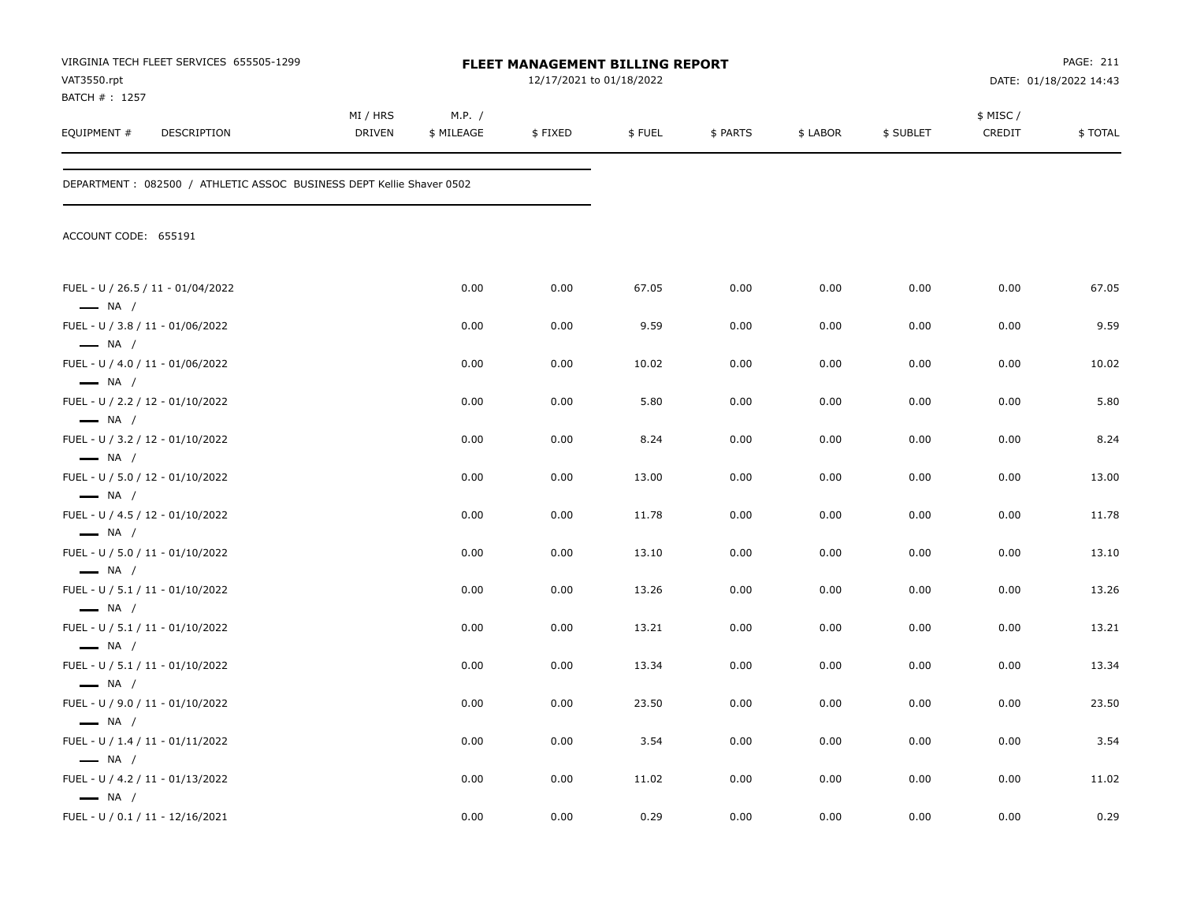| VAT3550.rpt                                                | VIRGINIA TECH FLEET SERVICES 655505-1299                              |                           |                      | <b>FLEET MANAGEMENT BILLING REPORT</b><br>12/17/2021 to 01/18/2022 |        |          |          |           |                     | PAGE: 211<br>DATE: 01/18/2022 14:43 |
|------------------------------------------------------------|-----------------------------------------------------------------------|---------------------------|----------------------|--------------------------------------------------------------------|--------|----------|----------|-----------|---------------------|-------------------------------------|
| BATCH #: 1257<br>EQUIPMENT #                               | DESCRIPTION                                                           | MI / HRS<br><b>DRIVEN</b> | M.P. /<br>\$ MILEAGE | \$FIXED                                                            | \$FUEL | \$ PARTS | \$ LABOR | \$ SUBLET | \$ MISC /<br>CREDIT | \$TOTAL                             |
|                                                            | DEPARTMENT : 082500 / ATHLETIC ASSOC BUSINESS DEPT Kellie Shaver 0502 |                           |                      |                                                                    |        |          |          |           |                     |                                     |
| ACCOUNT CODE: 655191                                       |                                                                       |                           |                      |                                                                    |        |          |          |           |                     |                                     |
| $\longrightarrow$ NA /                                     | FUEL - U / 26.5 / 11 - 01/04/2022                                     |                           | 0.00                 | 0.00                                                               | 67.05  | 0.00     | 0.00     | 0.00      | 0.00                | 67.05                               |
| FUEL - U / 3.8 / 11 - 01/06/2022                           |                                                                       |                           | 0.00                 | 0.00                                                               | 9.59   | 0.00     | 0.00     | 0.00      | 0.00                | 9.59                                |
| $\longrightarrow$ NA /<br>FUEL - U / 4.0 / 11 - 01/06/2022 |                                                                       |                           | 0.00                 | 0.00                                                               | 10.02  | 0.00     | 0.00     | 0.00      | 0.00                | 10.02                               |
| $\longrightarrow$ NA /<br>FUEL - U / 2.2 / 12 - 01/10/2022 |                                                                       |                           | 0.00                 | 0.00                                                               | 5.80   | 0.00     | 0.00     | 0.00      | 0.00                | 5.80                                |
| $\longrightarrow$ NA /<br>FUEL - U / 3.2 / 12 - 01/10/2022 |                                                                       |                           | 0.00                 | 0.00                                                               | 8.24   | 0.00     | 0.00     | 0.00      | 0.00                | 8.24                                |
| $\longrightarrow$ NA /<br>FUEL - U / 5.0 / 12 - 01/10/2022 |                                                                       |                           | 0.00                 | 0.00                                                               | 13.00  | 0.00     | 0.00     | 0.00      | 0.00                | 13.00                               |
| $\longrightarrow$ NA /<br>FUEL - U / 4.5 / 12 - 01/10/2022 |                                                                       |                           | 0.00                 | 0.00                                                               | 11.78  | 0.00     | 0.00     | 0.00      | 0.00                | 11.78                               |
| $\longrightarrow$ NA /<br>FUEL - U / 5.0 / 11 - 01/10/2022 |                                                                       |                           | 0.00                 | 0.00                                                               | 13.10  | 0.00     | 0.00     | 0.00      | 0.00                | 13.10                               |
| $\longrightarrow$ NA /<br>FUEL - U / 5.1 / 11 - 01/10/2022 |                                                                       |                           | 0.00                 | 0.00                                                               | 13.26  | 0.00     | 0.00     | 0.00      | 0.00                | 13.26                               |
| $\longrightarrow$ NA /<br>FUEL - U / 5.1 / 11 - 01/10/2022 |                                                                       |                           | 0.00                 | 0.00                                                               | 13.21  | 0.00     | 0.00     | 0.00      | 0.00                | 13.21                               |
| $\longrightarrow$ NA /<br>FUEL - U / 5.1 / 11 - 01/10/2022 |                                                                       |                           | 0.00                 | 0.00                                                               | 13.34  | 0.00     | 0.00     | 0.00      | 0.00                | 13.34                               |
| $\longrightarrow$ NA /<br>FUEL - U / 9.0 / 11 - 01/10/2022 |                                                                       |                           | 0.00                 | 0.00                                                               | 23.50  | 0.00     | 0.00     | 0.00      | 0.00                | 23.50                               |
| $\longrightarrow$ NA /<br>FUEL - U / 1.4 / 11 - 01/11/2022 |                                                                       |                           | 0.00                 | 0.00                                                               | 3.54   | 0.00     | 0.00     | 0.00      | 0.00                | 3.54                                |
| $\longrightarrow$ NA /<br>FUEL - U / 4.2 / 11 - 01/13/2022 |                                                                       |                           | 0.00                 | 0.00                                                               | 11.02  | 0.00     | 0.00     | 0.00      | 0.00                | 11.02                               |
| $\longrightarrow$ NA /<br>FUEL - U / 0.1 / 11 - 12/16/2021 |                                                                       |                           | 0.00                 | 0.00                                                               | 0.29   | 0.00     | 0.00     | 0.00      | 0.00                | 0.29                                |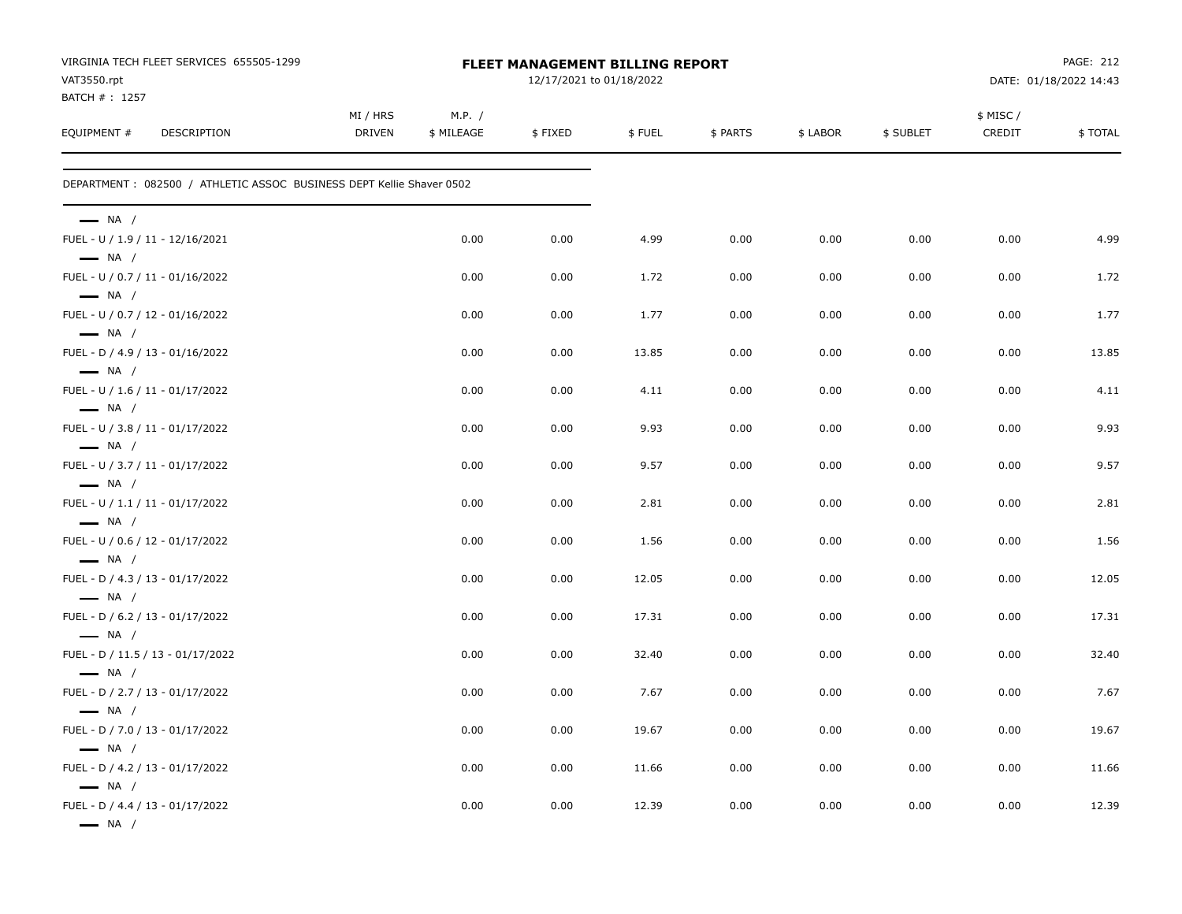| VIRGINIA TECH FLEET SERVICES 655505-1299<br>VAT3550.rpt                              |                    |                      | FLEET MANAGEMENT BILLING REPORT<br>12/17/2021 to 01/18/2022 |        |          |          |           |                    | PAGE: 212<br>DATE: 01/18/2022 14:43 |
|--------------------------------------------------------------------------------------|--------------------|----------------------|-------------------------------------------------------------|--------|----------|----------|-----------|--------------------|-------------------------------------|
| BATCH # : 1257<br>EQUIPMENT #<br>DESCRIPTION                                         | MI / HRS<br>DRIVEN | M.P. /<br>\$ MILEAGE | \$FIXED                                                     | \$FUEL | \$ PARTS | \$ LABOR | \$ SUBLET | \$ MISC/<br>CREDIT | \$TOTAL                             |
| DEPARTMENT: 082500 / ATHLETIC ASSOC BUSINESS DEPT Kellie Shaver 0502                 |                    |                      |                                                             |        |          |          |           |                    |                                     |
| $\longrightarrow$ NA /                                                               |                    |                      |                                                             |        |          |          |           |                    |                                     |
| FUEL - U / 1.9 / 11 - 12/16/2021<br>$\longrightarrow$ NA /                           |                    | 0.00                 | 0.00                                                        | 4.99   | 0.00     | 0.00     | 0.00      | 0.00               | 4.99                                |
| FUEL - U / 0.7 / 11 - 01/16/2022<br>$\longrightarrow$ NA /                           |                    | 0.00                 | 0.00                                                        | 1.72   | 0.00     | 0.00     | 0.00      | 0.00               | 1.72                                |
| FUEL - U / 0.7 / 12 - 01/16/2022<br>$\longrightarrow$ NA /                           |                    | 0.00                 | 0.00                                                        | 1.77   | 0.00     | 0.00     | 0.00      | 0.00               | 1.77                                |
| FUEL - D / 4.9 / 13 - 01/16/2022<br>$\longrightarrow$ NA /                           |                    | 0.00                 | 0.00                                                        | 13.85  | 0.00     | 0.00     | 0.00      | 0.00               | 13.85                               |
| FUEL - U / 1.6 / 11 - 01/17/2022                                                     |                    | 0.00                 | 0.00                                                        | 4.11   | 0.00     | 0.00     | 0.00      | 0.00               | 4.11                                |
| $\longrightarrow$ NA /<br>FUEL - U / 3.8 / 11 - 01/17/2022                           |                    | 0.00                 | 0.00                                                        | 9.93   | 0.00     | 0.00     | 0.00      | 0.00               | 9.93                                |
| $\longrightarrow$ NA /<br>FUEL - U / 3.7 / 11 - 01/17/2022                           |                    | 0.00                 | 0.00                                                        | 9.57   | 0.00     | 0.00     | 0.00      | 0.00               | 9.57                                |
| $\longrightarrow$ NA /<br>FUEL - U / 1.1 / 11 - 01/17/2022                           |                    | 0.00                 | 0.00                                                        | 2.81   | 0.00     | 0.00     | 0.00      | 0.00               | 2.81                                |
| $\longrightarrow$ NA /<br>FUEL - U / 0.6 / 12 - 01/17/2022                           |                    | 0.00                 | 0.00                                                        | 1.56   | 0.00     | 0.00     | 0.00      | 0.00               | 1.56                                |
| $\longrightarrow$ NA /<br>FUEL - D / 4.3 / 13 - 01/17/2022                           |                    | 0.00                 | 0.00                                                        | 12.05  | 0.00     | 0.00     | 0.00      | 0.00               | 12.05                               |
| $\longrightarrow$ NA /<br>FUEL - D / 6.2 / 13 - 01/17/2022                           |                    | 0.00                 | 0.00                                                        | 17.31  | 0.00     | 0.00     | 0.00      | 0.00               | 17.31                               |
| $\longrightarrow$ NA /<br>FUEL - D / 11.5 / 13 - 01/17/2022                          |                    | 0.00                 | 0.00                                                        | 32.40  | 0.00     | 0.00     | 0.00      | 0.00               | 32.40                               |
| $\longrightarrow$ NA /<br>FUEL - D / 2.7 / 13 - 01/17/2022                           |                    | 0.00                 | 0.00                                                        | 7.67   | 0.00     | 0.00     | 0.00      | 0.00               | 7.67                                |
| $\longrightarrow$ NA /<br>FUEL - D / 7.0 / 13 - 01/17/2022                           |                    | 0.00                 | 0.00                                                        | 19.67  | 0.00     | 0.00     | 0.00      | 0.00               | 19.67                               |
| $\longrightarrow$ NA /<br>FUEL - D / 4.2 / 13 - 01/17/2022                           |                    | 0.00                 | 0.00                                                        | 11.66  | 0.00     | 0.00     | 0.00      | 0.00               | 11.66                               |
| $\longrightarrow$ NA /<br>FUEL - D / 4.4 / 13 - 01/17/2022<br>$\longrightarrow$ NA / |                    | 0.00                 | 0.00                                                        | 12.39  | 0.00     | 0.00     | 0.00      | 0.00               | 12.39                               |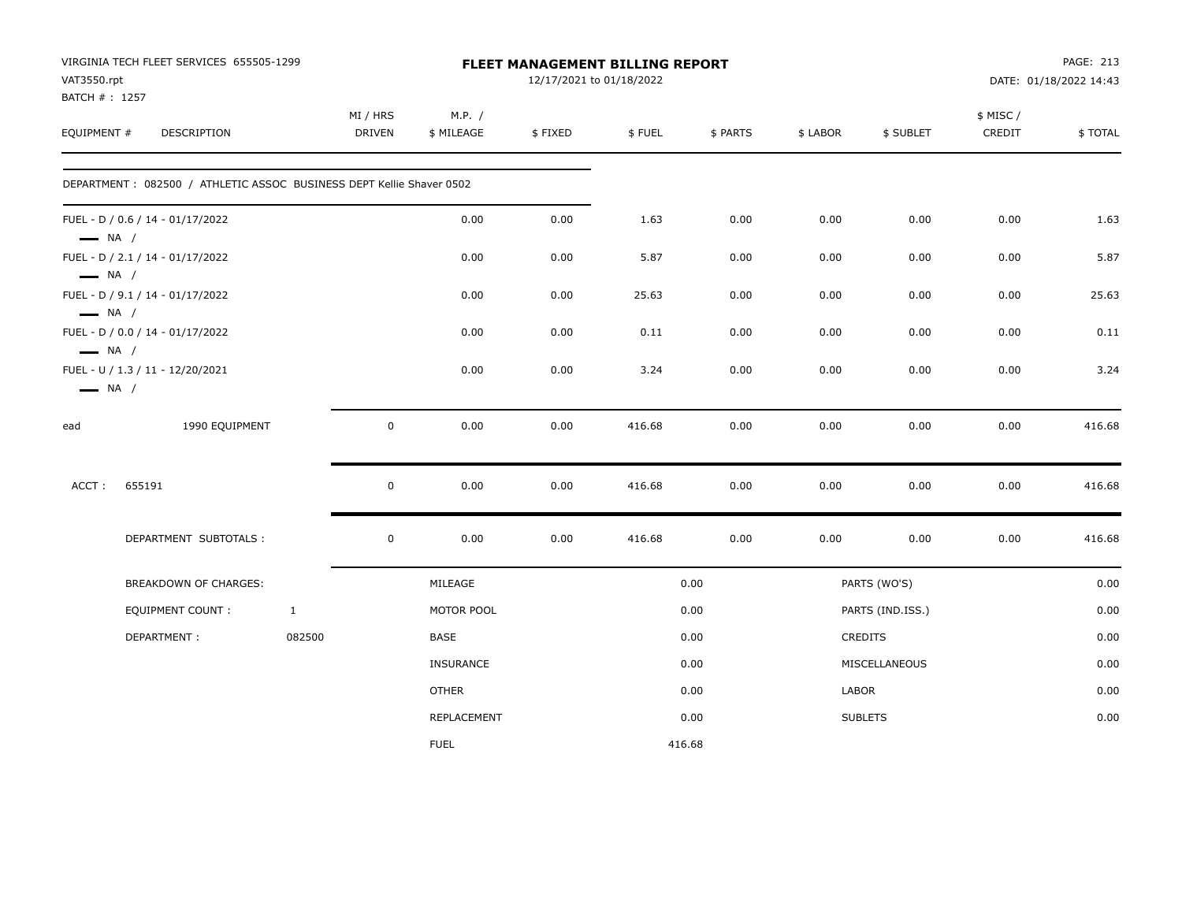|                              | VIRGINIA TECH FLEET SERVICES 655505-1299                             |              |                     |                      | FLEET MANAGEMENT BILLING REPORT |        |          |              |                  |                     | PAGE: 213              |
|------------------------------|----------------------------------------------------------------------|--------------|---------------------|----------------------|---------------------------------|--------|----------|--------------|------------------|---------------------|------------------------|
| VAT3550.rpt<br>BATCH #: 1257 |                                                                      |              |                     |                      | 12/17/2021 to 01/18/2022        |        |          |              |                  |                     | DATE: 01/18/2022 14:43 |
| EQUIPMENT #                  | DESCRIPTION                                                          |              | MI / HRS<br>DRIVEN  | M.P. /<br>\$ MILEAGE | \$FIXED                         | \$FUEL | \$ PARTS | \$ LABOR     | \$ SUBLET        | \$ MISC /<br>CREDIT | \$TOTAL                |
|                              | DEPARTMENT: 082500 / ATHLETIC ASSOC BUSINESS DEPT Kellie Shaver 0502 |              |                     |                      |                                 |        |          |              |                  |                     |                        |
| $\longrightarrow$ NA /       | FUEL - D / 0.6 / 14 - 01/17/2022                                     |              |                     | 0.00                 | 0.00                            | 1.63   | 0.00     | 0.00         | 0.00             | 0.00                | 1.63                   |
| $\longrightarrow$ NA /       | FUEL - D / 2.1 / 14 - 01/17/2022                                     |              |                     | 0.00                 | 0.00                            | 5.87   | 0.00     | 0.00         | 0.00             | 0.00                | 5.87                   |
| $\longrightarrow$ NA /       | FUEL - D / 9.1 / 14 - 01/17/2022                                     |              |                     | 0.00                 | 0.00                            | 25.63  | 0.00     | 0.00         | 0.00             | 0.00                | 25.63                  |
| $\longrightarrow$ NA /       | FUEL - D / 0.0 / 14 - 01/17/2022                                     |              |                     | 0.00                 | 0.00                            | 0.11   | 0.00     | 0.00         | 0.00             | 0.00                | 0.11                   |
| $\longrightarrow$ NA /       | FUEL - U / 1.3 / 11 - 12/20/2021                                     |              |                     | 0.00                 | 0.00                            | 3.24   | 0.00     | 0.00         | 0.00             | 0.00                | 3.24                   |
| ead                          | 1990 EQUIPMENT                                                       |              | $\mathbf 0$         | 0.00                 | 0.00                            | 416.68 | 0.00     | 0.00         | 0.00             | 0.00                | 416.68                 |
| ACCT:                        | 655191                                                               |              | $\mathbf 0$         | 0.00                 | 0.00                            | 416.68 | 0.00     | 0.00         | 0.00             | 0.00                | 416.68                 |
|                              | DEPARTMENT SUBTOTALS :                                               |              | $\mathsf{O}\xspace$ | 0.00                 | 0.00                            | 416.68 | 0.00     | 0.00         | 0.00             | 0.00                | 416.68                 |
|                              | BREAKDOWN OF CHARGES:                                                |              |                     | MILEAGE              |                                 |        | 0.00     |              | PARTS (WO'S)     |                     | 0.00                   |
|                              | <b>EQUIPMENT COUNT:</b>                                              | $\mathbf{1}$ |                     | MOTOR POOL           |                                 |        | 0.00     |              | PARTS (IND.ISS.) |                     | 0.00                   |
|                              | DEPARTMENT:                                                          | 082500       |                     | BASE                 |                                 |        | 0.00     |              | <b>CREDITS</b>   |                     | 0.00                   |
|                              |                                                                      |              |                     | <b>INSURANCE</b>     |                                 |        | 0.00     |              | MISCELLANEOUS    |                     | 0.00                   |
|                              |                                                                      |              |                     | <b>OTHER</b>         |                                 |        | 0.00     | <b>LABOR</b> |                  |                     | 0.00                   |
|                              |                                                                      |              |                     | REPLACEMENT          |                                 |        | 0.00     |              | <b>SUBLETS</b>   |                     | 0.00                   |
|                              |                                                                      |              |                     | <b>FUEL</b>          |                                 | 416.68 |          |              |                  |                     |                        |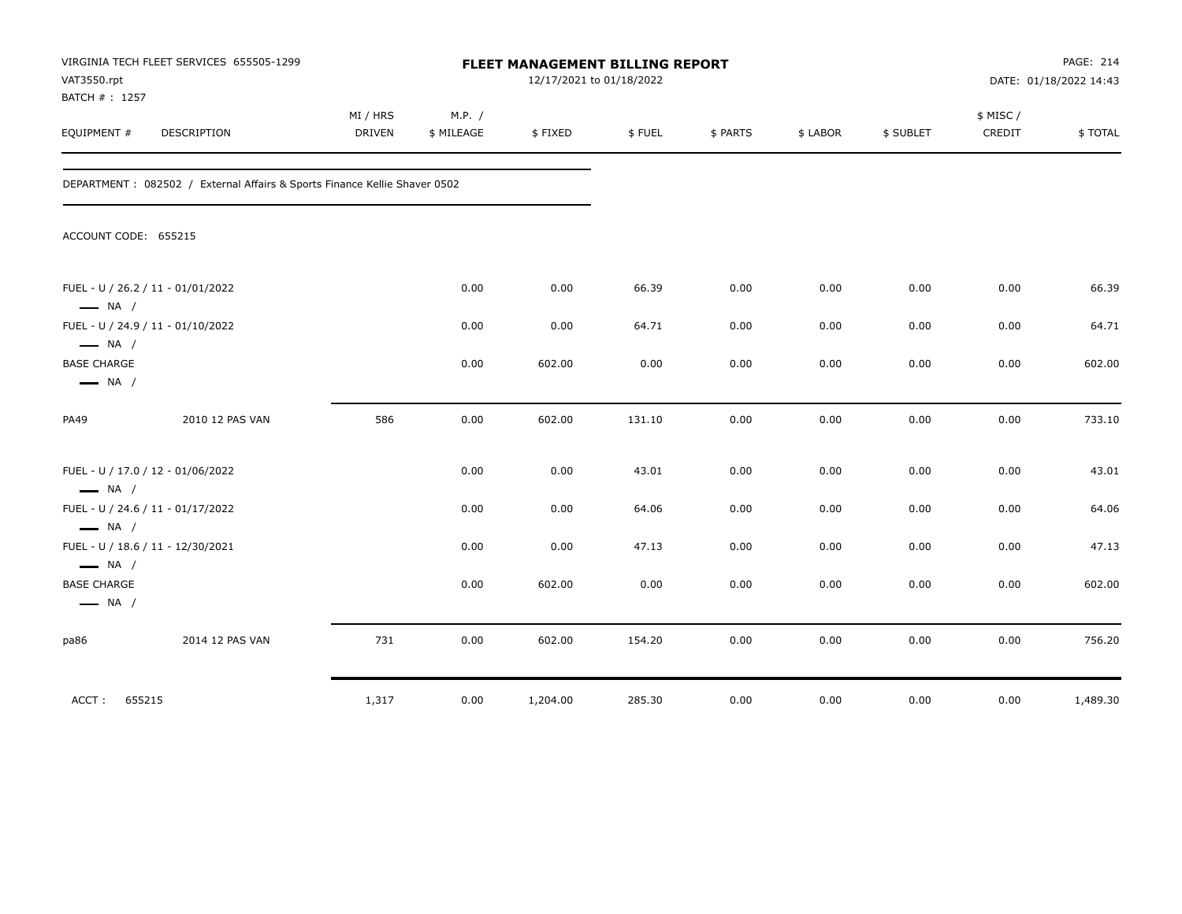| VAT3550.rpt<br>BATCH #: 1257                                | VIRGINIA TECH FLEET SERVICES 655505-1299                                   |                           |                      |          | FLEET MANAGEMENT BILLING REPORT<br>12/17/2021 to 01/18/2022 |          |          |           |                    | PAGE: 214<br>DATE: 01/18/2022 14:43 |
|-------------------------------------------------------------|----------------------------------------------------------------------------|---------------------------|----------------------|----------|-------------------------------------------------------------|----------|----------|-----------|--------------------|-------------------------------------|
| EQUIPMENT #                                                 | DESCRIPTION                                                                | MI / HRS<br><b>DRIVEN</b> | M.P. /<br>\$ MILEAGE | \$FIXED  | \$FUEL                                                      | \$ PARTS | \$ LABOR | \$ SUBLET | \$ MISC/<br>CREDIT | \$TOTAL                             |
|                                                             | DEPARTMENT : 082502 / External Affairs & Sports Finance Kellie Shaver 0502 |                           |                      |          |                                                             |          |          |           |                    |                                     |
| ACCOUNT CODE: 655215                                        |                                                                            |                           |                      |          |                                                             |          |          |           |                    |                                     |
| $\longrightarrow$ NA /                                      | FUEL - U / 26.2 / 11 - 01/01/2022                                          |                           | 0.00                 | 0.00     | 66.39                                                       | 0.00     | 0.00     | 0.00      | 0.00               | 66.39                               |
| $\longrightarrow$ NA /                                      | FUEL - U / 24.9 / 11 - 01/10/2022                                          |                           | 0.00                 | 0.00     | 64.71                                                       | 0.00     | 0.00     | 0.00      | 0.00               | 64.71                               |
| <b>BASE CHARGE</b><br>$\longrightarrow$ NA /                |                                                                            |                           | 0.00                 | 602.00   | 0.00                                                        | 0.00     | 0.00     | 0.00      | 0.00               | 602.00                              |
| PA49                                                        | 2010 12 PAS VAN                                                            | 586                       | 0.00                 | 602.00   | 131.10                                                      | 0.00     | 0.00     | 0.00      | 0.00               | 733.10                              |
| $\longrightarrow$ NA /                                      | FUEL - U / 17.0 / 12 - 01/06/2022                                          |                           | 0.00                 | 0.00     | 43.01                                                       | 0.00     | 0.00     | 0.00      | 0.00               | 43.01                               |
| FUEL - U / 24.6 / 11 - 01/17/2022<br>$\longrightarrow$ NA / |                                                                            |                           | 0.00                 | 0.00     | 64.06                                                       | 0.00     | 0.00     | 0.00      | 0.00               | 64.06                               |
| $\longrightarrow$ NA /                                      | FUEL - U / 18.6 / 11 - 12/30/2021                                          |                           | 0.00                 | 0.00     | 47.13                                                       | 0.00     | 0.00     | 0.00      | 0.00               | 47.13                               |
| <b>BASE CHARGE</b><br>$\longrightarrow$ NA /                |                                                                            |                           | 0.00                 | 602.00   | 0.00                                                        | 0.00     | 0.00     | 0.00      | 0.00               | 602.00                              |
| pa86                                                        | 2014 12 PAS VAN                                                            | 731                       | 0.00                 | 602.00   | 154.20                                                      | 0.00     | 0.00     | 0.00      | 0.00               | 756.20                              |
| 655215<br>ACCT:                                             |                                                                            | 1,317                     | 0.00                 | 1,204.00 | 285.30                                                      | 0.00     | 0.00     | 0.00      | 0.00               | 1,489.30                            |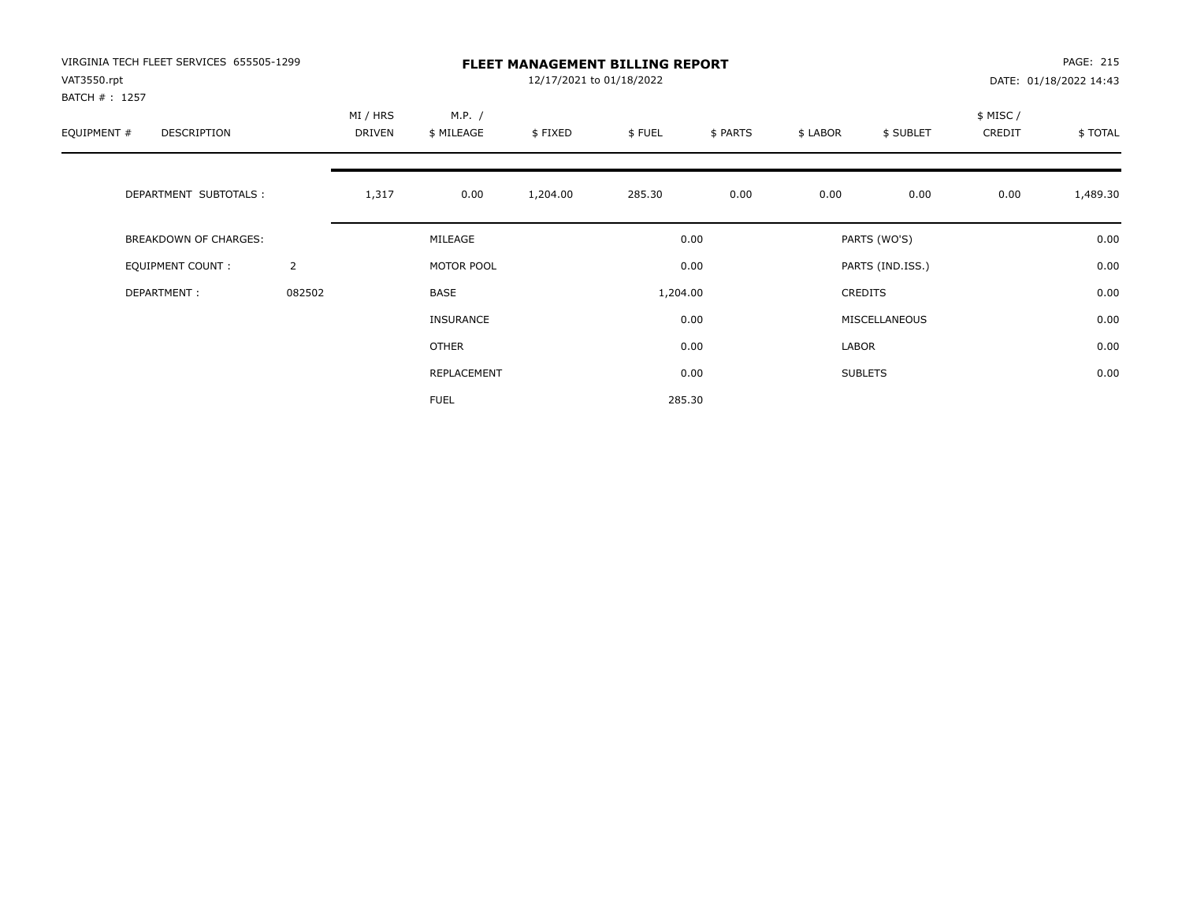| VIRGINIA TECH FLEET SERVICES 655505-1299<br>VAT3550.rpt<br>BATCH # : 1257 |                |                    |                      | 12/17/2021 to 01/18/2022 | <b>FLEET MANAGEMENT BILLING REPORT</b> |          |          |                  |                     | PAGE: 215<br>DATE: 01/18/2022 14:43 |
|---------------------------------------------------------------------------|----------------|--------------------|----------------------|--------------------------|----------------------------------------|----------|----------|------------------|---------------------|-------------------------------------|
| EQUIPMENT #<br>DESCRIPTION                                                |                | MI / HRS<br>DRIVEN | M.P. /<br>\$ MILEAGE | \$FIXED                  | \$FUEL                                 | \$ PARTS | \$ LABOR | \$ SUBLET        | \$ MISC /<br>CREDIT | \$TOTAL                             |
| DEPARTMENT SUBTOTALS :                                                    |                | 1,317              | 0.00                 | 1,204.00                 | 285.30                                 | 0.00     | 0.00     | 0.00             | 0.00                | 1,489.30                            |
| <b>BREAKDOWN OF CHARGES:</b>                                              |                |                    | MILEAGE              |                          |                                        | 0.00     |          | PARTS (WO'S)     |                     | 0.00                                |
| EQUIPMENT COUNT:                                                          | $\overline{2}$ |                    | MOTOR POOL           |                          |                                        | 0.00     |          | PARTS (IND.ISS.) |                     | 0.00                                |
| DEPARTMENT:                                                               | 082502         |                    | BASE                 |                          | 1,204.00                               |          |          | CREDITS          |                     | 0.00                                |
|                                                                           |                |                    | <b>INSURANCE</b>     |                          |                                        | 0.00     |          | MISCELLANEOUS    |                     | 0.00                                |
|                                                                           |                |                    | OTHER                |                          |                                        | 0.00     | LABOR    |                  |                     | 0.00                                |
|                                                                           |                |                    | REPLACEMENT          |                          |                                        | 0.00     |          | <b>SUBLETS</b>   |                     | 0.00                                |
|                                                                           |                |                    | <b>FUEL</b>          |                          |                                        | 285.30   |          |                  |                     |                                     |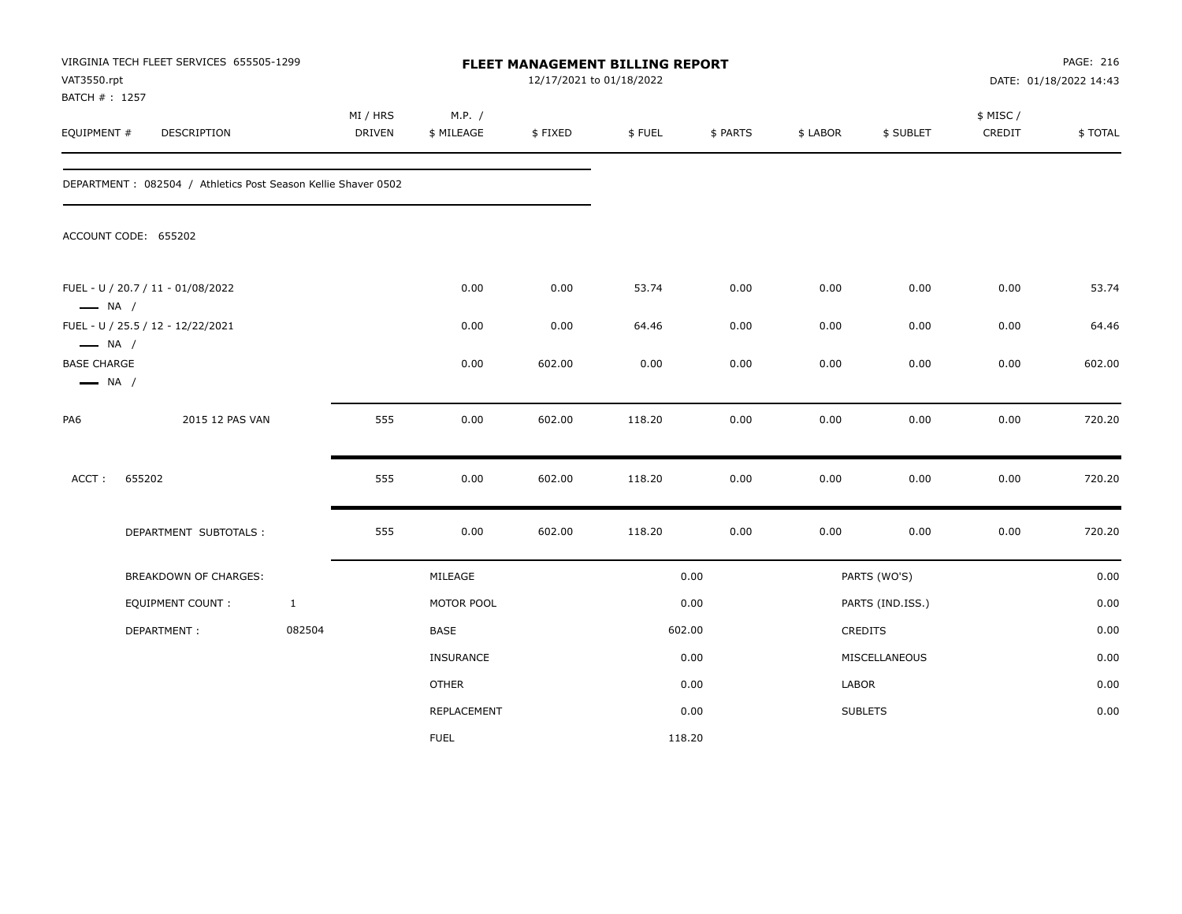| VAT3550.rpt<br>BATCH #: 1257                                           | VIRGINIA TECH FLEET SERVICES 655505-1299                      |              |                    |                      | 12/17/2021 to 01/18/2022 | FLEET MANAGEMENT BILLING REPORT |          |          |                  |                     | PAGE: 216<br>DATE: 01/18/2022 14:43 |
|------------------------------------------------------------------------|---------------------------------------------------------------|--------------|--------------------|----------------------|--------------------------|---------------------------------|----------|----------|------------------|---------------------|-------------------------------------|
| EQUIPMENT #                                                            | DESCRIPTION                                                   |              | MI / HRS<br>DRIVEN | M.P. /<br>\$ MILEAGE | \$FIXED                  | \$FUEL                          | \$ PARTS | \$ LABOR | \$ SUBLET        | \$ MISC /<br>CREDIT | \$TOTAL                             |
|                                                                        | DEPARTMENT: 082504 / Athletics Post Season Kellie Shaver 0502 |              |                    |                      |                          |                                 |          |          |                  |                     |                                     |
|                                                                        | ACCOUNT CODE: 655202                                          |              |                    |                      |                          |                                 |          |          |                  |                     |                                     |
| $\longrightarrow$ NA /                                                 | FUEL - U / 20.7 / 11 - 01/08/2022                             |              |                    | 0.00                 | 0.00                     | 53.74                           | 0.00     | 0.00     | 0.00             | 0.00                | 53.74                               |
|                                                                        | FUEL - U / 25.5 / 12 - 12/22/2021                             |              |                    | 0.00                 | 0.00                     | 64.46                           | 0.00     | 0.00     | 0.00             | 0.00                | 64.46                               |
| $\longrightarrow$ NA /<br><b>BASE CHARGE</b><br>$\longrightarrow$ NA / |                                                               |              |                    | 0.00                 | 602.00                   | 0.00                            | 0.00     | 0.00     | 0.00             | 0.00                | 602.00                              |
| PA6                                                                    | 2015 12 PAS VAN                                               |              | 555                | 0.00                 | 602.00                   | 118.20                          | 0.00     | 0.00     | 0.00             | 0.00                | 720.20                              |
| ACCT:                                                                  | 655202                                                        |              | 555                | 0.00                 | 602.00                   | 118.20                          | 0.00     | 0.00     | 0.00             | 0.00                | 720.20                              |
|                                                                        | DEPARTMENT SUBTOTALS :                                        |              | 555                | 0.00                 | 602.00                   | 118.20                          | $0.00\,$ | 0.00     | 0.00             | 0.00                | 720.20                              |
|                                                                        | BREAKDOWN OF CHARGES:                                         |              |                    | MILEAGE              |                          |                                 | 0.00     |          | PARTS (WO'S)     |                     | 0.00                                |
|                                                                        | <b>EQUIPMENT COUNT:</b>                                       | $\mathbf{1}$ |                    | MOTOR POOL           |                          |                                 | 0.00     |          | PARTS (IND.ISS.) |                     | 0.00                                |
|                                                                        | DEPARTMENT:                                                   | 082504       |                    | BASE                 |                          |                                 | 602.00   |          | <b>CREDITS</b>   |                     | 0.00                                |
|                                                                        |                                                               |              |                    | <b>INSURANCE</b>     |                          |                                 | 0.00     |          | MISCELLANEOUS    |                     | 0.00                                |
|                                                                        |                                                               |              |                    | <b>OTHER</b>         |                          |                                 | 0.00     | LABOR    |                  |                     | 0.00                                |
|                                                                        |                                                               |              |                    | <b>REPLACEMENT</b>   |                          |                                 | 0.00     |          | <b>SUBLETS</b>   |                     | 0.00                                |
|                                                                        |                                                               |              |                    | <b>FUEL</b>          |                          |                                 | 118.20   |          |                  |                     |                                     |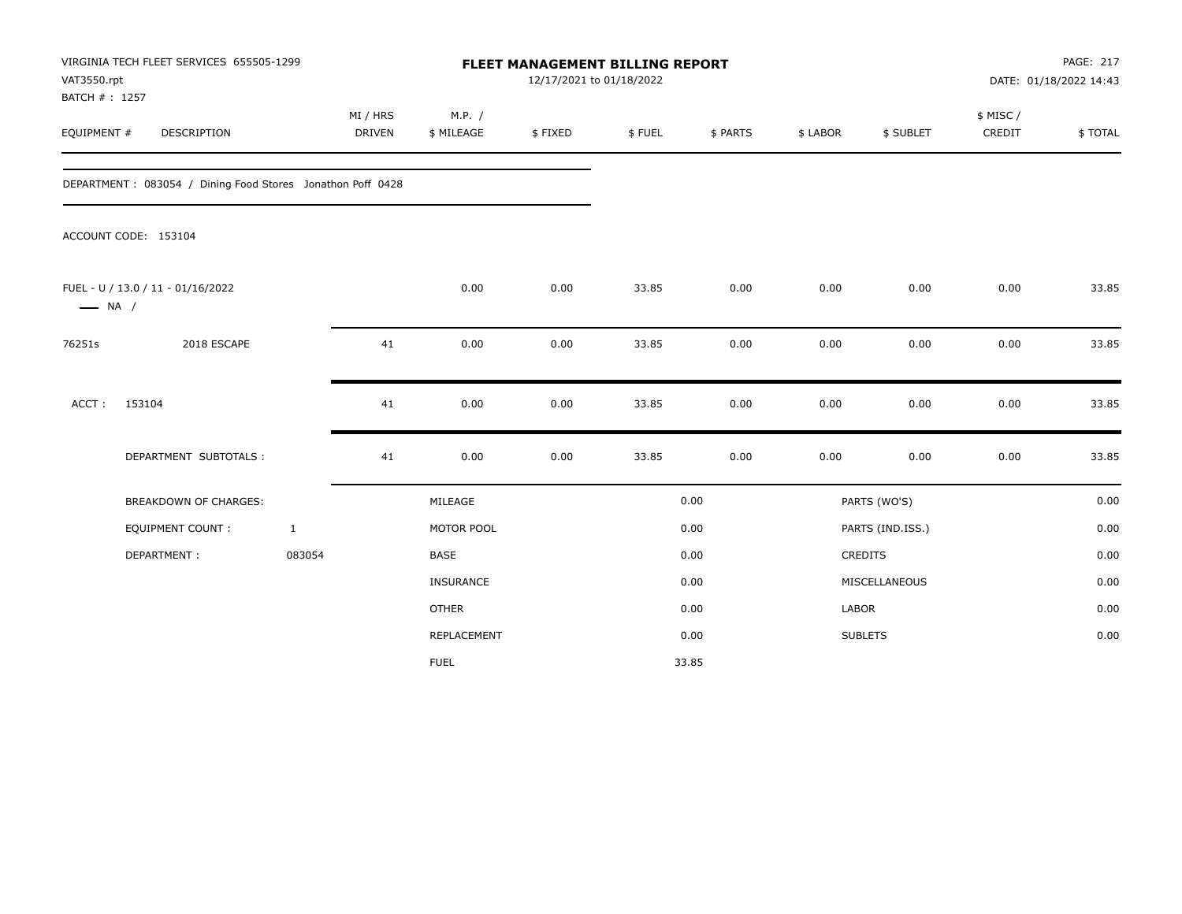| VAT3550.rpt<br>BATCH #: 1257 | VIRGINIA TECH FLEET SERVICES 655505-1299                   |                           | <b>FLEET MANAGEMENT BILLING REPORT</b><br>12/17/2021 to 01/18/2022 |         |        |          |          |                  |                    | PAGE: 217<br>DATE: 01/18/2022 14:43 |  |
|------------------------------|------------------------------------------------------------|---------------------------|--------------------------------------------------------------------|---------|--------|----------|----------|------------------|--------------------|-------------------------------------|--|
| EQUIPMENT #                  | DESCRIPTION                                                | MI / HRS<br><b>DRIVEN</b> | M.P. /<br>\$ MILEAGE                                               | \$FIXED | \$FUEL | \$ PARTS | \$ LABOR | \$ SUBLET        | \$ MISC/<br>CREDIT | \$TOTAL                             |  |
|                              | DEPARTMENT: 083054 / Dining Food Stores Jonathon Poff 0428 |                           |                                                                    |         |        |          |          |                  |                    |                                     |  |
|                              | ACCOUNT CODE: 153104                                       |                           |                                                                    |         |        |          |          |                  |                    |                                     |  |
| $\longrightarrow$ NA /       | FUEL - U / 13.0 / 11 - 01/16/2022                          |                           | 0.00                                                               | 0.00    | 33.85  | 0.00     | 0.00     | 0.00             | 0.00               | 33.85                               |  |
| 76251s                       | 2018 ESCAPE                                                | 41                        | 0.00                                                               | 0.00    | 33.85  | 0.00     | 0.00     | 0.00             | 0.00               | 33.85                               |  |
| ACCT:                        | 153104                                                     | 41                        | 0.00                                                               | 0.00    | 33.85  | 0.00     | 0.00     | 0.00             | 0.00               | 33.85                               |  |
|                              | DEPARTMENT SUBTOTALS :                                     | 41                        | 0.00                                                               | 0.00    | 33.85  | 0.00     | 0.00     | 0.00             | 0.00               | 33.85                               |  |
|                              | <b>BREAKDOWN OF CHARGES:</b>                               |                           | MILEAGE                                                            |         |        | 0.00     |          | PARTS (WO'S)     |                    | 0.00                                |  |
|                              | <b>EQUIPMENT COUNT:</b>                                    | $\mathbf{1}$              | MOTOR POOL                                                         |         |        | 0.00     |          | PARTS (IND.ISS.) |                    | 0.00                                |  |
|                              | DEPARTMENT:                                                | 083054                    | <b>BASE</b>                                                        |         |        | 0.00     |          | CREDITS          |                    | 0.00                                |  |
|                              |                                                            |                           | <b>INSURANCE</b>                                                   |         |        | 0.00     |          | MISCELLANEOUS    |                    | 0.00                                |  |
|                              |                                                            |                           | <b>OTHER</b>                                                       |         |        | 0.00     | LABOR    |                  |                    | 0.00                                |  |
|                              |                                                            |                           | REPLACEMENT                                                        |         |        | 0.00     |          | <b>SUBLETS</b>   |                    | 0.00                                |  |
|                              |                                                            |                           | <b>FUEL</b>                                                        |         |        | 33.85    |          |                  |                    |                                     |  |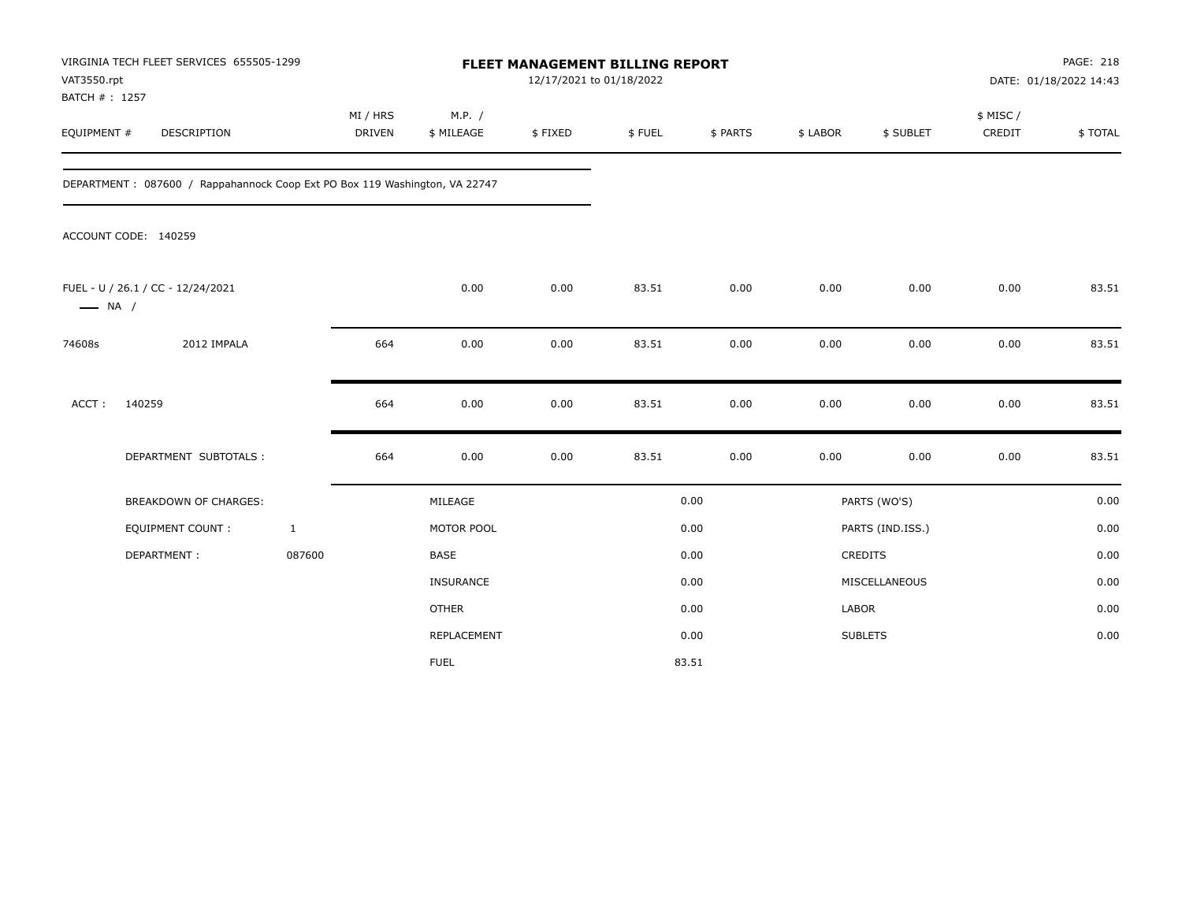|                        | VIRGINIA TECH FLEET SERVICES 655505-1299<br>VAT3550.rpt<br>BATCH #: 1257   |                    | <b>FLEET MANAGEMENT BILLING REPORT</b><br>12/17/2021 to 01/18/2022 |         |        |          |          |                  |                    | PAGE: 218<br>DATE: 01/18/2022 14:43 |  |
|------------------------|----------------------------------------------------------------------------|--------------------|--------------------------------------------------------------------|---------|--------|----------|----------|------------------|--------------------|-------------------------------------|--|
| EQUIPMENT #            | DESCRIPTION                                                                | MI / HRS<br>DRIVEN | M.P. /<br>\$ MILEAGE                                               | \$FIXED | \$FUEL | \$ PARTS | \$ LABOR | \$ SUBLET        | \$ MISC/<br>CREDIT | \$TOTAL                             |  |
|                        | DEPARTMENT: 087600 / Rappahannock Coop Ext PO Box 119 Washington, VA 22747 |                    |                                                                    |         |        |          |          |                  |                    |                                     |  |
|                        | ACCOUNT CODE: 140259                                                       |                    |                                                                    |         |        |          |          |                  |                    |                                     |  |
| $\longrightarrow$ NA / | FUEL - U / 26.1 / CC - 12/24/2021                                          |                    | 0.00                                                               | 0.00    | 83.51  | 0.00     | 0.00     | 0.00             | 0.00               | 83.51                               |  |
| 74608s                 | 2012 IMPALA                                                                | 664                | 0.00                                                               | 0.00    | 83.51  | 0.00     | 0.00     | 0.00             | 0.00               | 83.51                               |  |
| ACCT:                  | 140259                                                                     | 664                | 0.00                                                               | 0.00    | 83.51  | 0.00     | 0.00     | 0.00             | 0.00               | 83.51                               |  |
|                        | DEPARTMENT SUBTOTALS :                                                     | 664                | 0.00                                                               | 0.00    | 83.51  | 0.00     | 0.00     | 0.00             | 0.00               | 83.51                               |  |
|                        | <b>BREAKDOWN OF CHARGES:</b>                                               |                    | MILEAGE                                                            |         |        | 0.00     |          | PARTS (WO'S)     |                    | 0.00                                |  |
|                        | EQUIPMENT COUNT:                                                           | $\mathbf{1}$       | MOTOR POOL                                                         |         |        | 0.00     |          | PARTS (IND.ISS.) |                    | 0.00                                |  |
|                        | DEPARTMENT:                                                                | 087600             | <b>BASE</b>                                                        |         |        | 0.00     |          | CREDITS          |                    | 0.00                                |  |
|                        |                                                                            |                    | <b>INSURANCE</b>                                                   |         |        | 0.00     |          | MISCELLANEOUS    |                    | 0.00                                |  |
|                        |                                                                            |                    | <b>OTHER</b>                                                       |         |        | 0.00     | LABOR    |                  |                    | 0.00                                |  |
|                        |                                                                            |                    | REPLACEMENT                                                        |         |        | 0.00     |          | <b>SUBLETS</b>   |                    | 0.00                                |  |
|                        |                                                                            |                    | <b>FUEL</b>                                                        |         |        | 83.51    |          |                  |                    |                                     |  |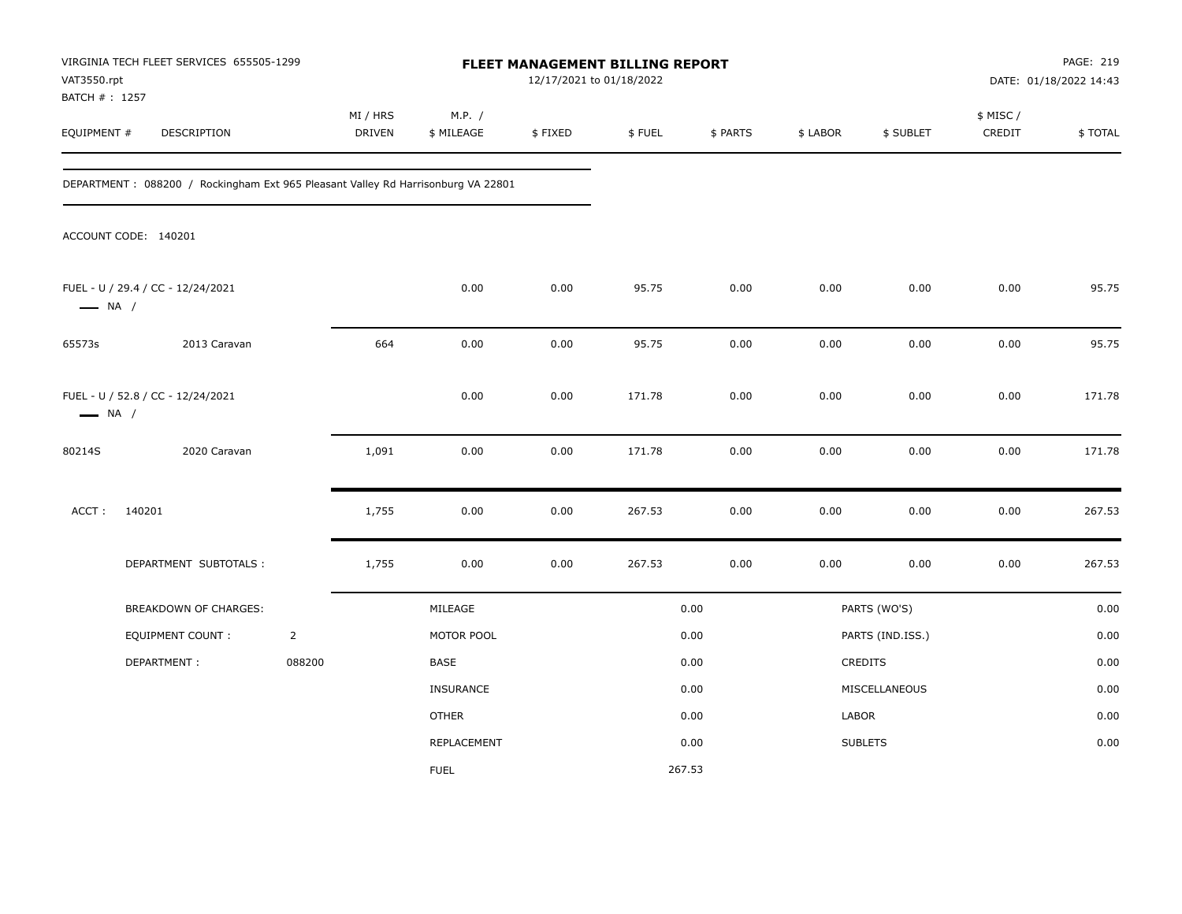| VAT3550.rpt<br>BATCH # : 1257                               | VIRGINIA TECH FLEET SERVICES 655505-1299                                         |                | FLEET MANAGEMENT BILLING REPORT<br>12/17/2021 to 01/18/2022 |                      |          |        |          |          |                  | PAGE: 219<br>DATE: 01/18/2022 14:43 |         |
|-------------------------------------------------------------|----------------------------------------------------------------------------------|----------------|-------------------------------------------------------------|----------------------|----------|--------|----------|----------|------------------|-------------------------------------|---------|
| EQUIPMENT #                                                 | DESCRIPTION                                                                      |                | MI / HRS<br>DRIVEN                                          | M.P. /<br>\$ MILEAGE | \$FIXED  | \$FUEL | \$ PARTS | \$ LABOR | \$ SUBLET        | \$ MISC /<br>CREDIT                 | \$TOTAL |
|                                                             | DEPARTMENT: 088200 / Rockingham Ext 965 Pleasant Valley Rd Harrisonburg VA 22801 |                |                                                             |                      |          |        |          |          |                  |                                     |         |
|                                                             | ACCOUNT CODE: 140201                                                             |                |                                                             |                      |          |        |          |          |                  |                                     |         |
| $\longrightarrow$ NA /                                      | FUEL - U / 29.4 / CC - 12/24/2021                                                |                |                                                             | 0.00                 | 0.00     | 95.75  | 0.00     | 0.00     | 0.00             | 0.00                                | 95.75   |
| 65573s                                                      | 2013 Caravan                                                                     |                | 664                                                         | 0.00                 | 0.00     | 95.75  | 0.00     | 0.00     | 0.00             | 0.00                                | 95.75   |
| FUEL - U / 52.8 / CC - 12/24/2021<br>$\longrightarrow$ NA / |                                                                                  |                |                                                             | 0.00                 | 0.00     | 171.78 | 0.00     | 0.00     | 0.00             | 0.00                                | 171.78  |
| 80214S                                                      | 2020 Caravan                                                                     |                | 1,091                                                       | 0.00                 | $0.00\,$ | 171.78 | 0.00     | 0.00     | 0.00             | 0.00                                | 171.78  |
| ACCT:                                                       | 140201                                                                           |                | 1,755                                                       | 0.00                 | 0.00     | 267.53 | 0.00     | 0.00     | 0.00             | 0.00                                | 267.53  |
|                                                             | DEPARTMENT SUBTOTALS :                                                           |                | 1,755                                                       | 0.00                 | 0.00     | 267.53 | 0.00     | 0.00     | 0.00             | 0.00                                | 267.53  |
|                                                             | BREAKDOWN OF CHARGES:                                                            |                |                                                             | MILEAGE              |          |        | 0.00     |          | PARTS (WO'S)     |                                     | 0.00    |
|                                                             | <b>EQUIPMENT COUNT:</b>                                                          | $\overline{2}$ |                                                             | MOTOR POOL           |          |        | 0.00     |          | PARTS (IND.ISS.) |                                     | 0.00    |
|                                                             | DEPARTMENT:                                                                      | 088200         |                                                             | <b>BASE</b>          |          |        | 0.00     |          | CREDITS          |                                     | 0.00    |
|                                                             |                                                                                  |                |                                                             | INSURANCE            |          |        | 0.00     |          | MISCELLANEOUS    |                                     | 0.00    |
|                                                             |                                                                                  |                |                                                             | <b>OTHER</b>         |          |        | 0.00     | LABOR    |                  |                                     | 0.00    |
|                                                             |                                                                                  |                |                                                             | <b>REPLACEMENT</b>   |          |        | 0.00     |          | <b>SUBLETS</b>   |                                     | 0.00    |
|                                                             |                                                                                  |                |                                                             | <b>FUEL</b>          |          | 267.53 |          |          |                  |                                     |         |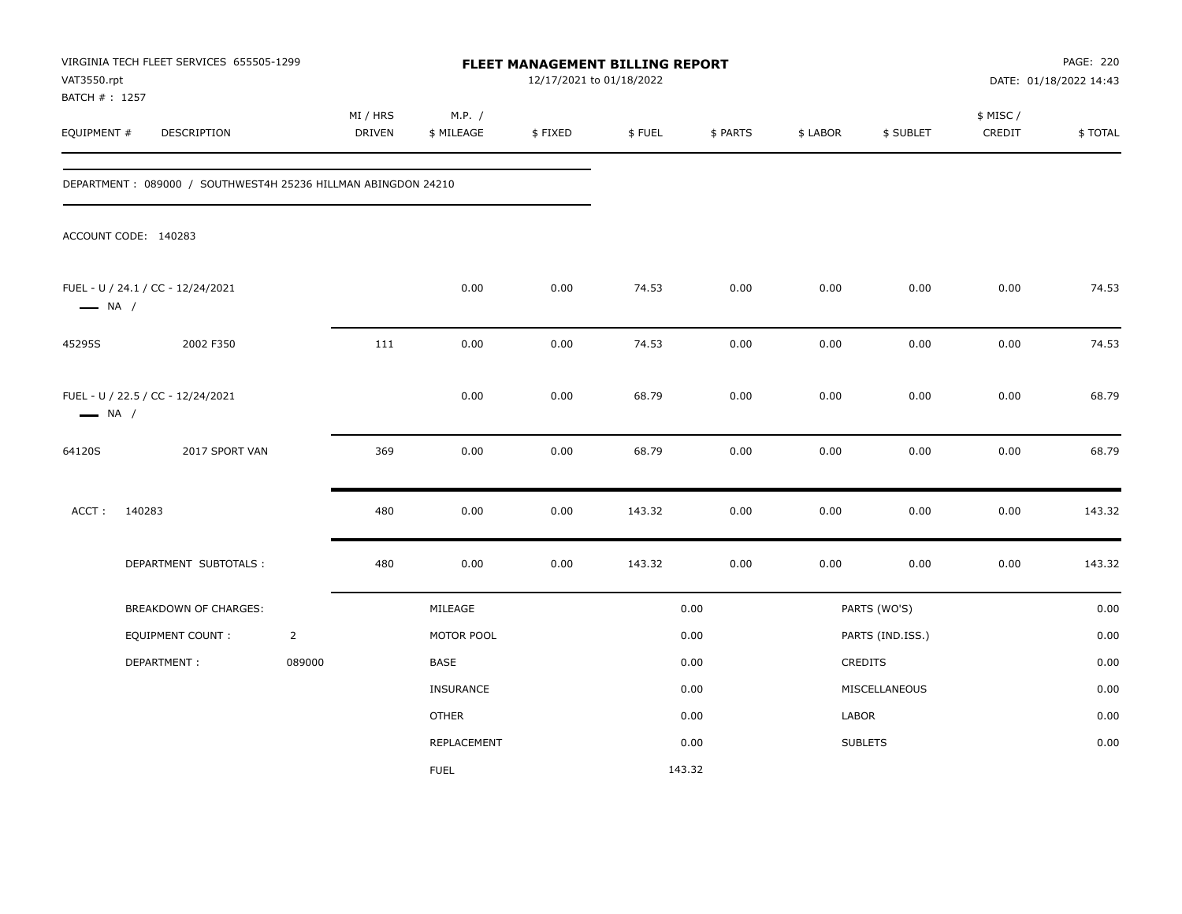| VAT3550.rpt<br>BATCH #: 1257                                | VIRGINIA TECH FLEET SERVICES 655505-1299                      |                | FLEET MANAGEMENT BILLING REPORT<br>12/17/2021 to 01/18/2022 |                      |         |        |          |          |                  | PAGE: 220<br>DATE: 01/18/2022 14:43 |         |
|-------------------------------------------------------------|---------------------------------------------------------------|----------------|-------------------------------------------------------------|----------------------|---------|--------|----------|----------|------------------|-------------------------------------|---------|
| EQUIPMENT #                                                 | DESCRIPTION                                                   |                | MI / HRS<br>DRIVEN                                          | M.P. /<br>\$ MILEAGE | \$FIXED | \$FUEL | \$ PARTS | \$ LABOR | \$ SUBLET        | \$ MISC /<br>CREDIT                 | \$TOTAL |
|                                                             | DEPARTMENT: 089000 / SOUTHWEST4H 25236 HILLMAN ABINGDON 24210 |                |                                                             |                      |         |        |          |          |                  |                                     |         |
|                                                             | ACCOUNT CODE: 140283                                          |                |                                                             |                      |         |        |          |          |                  |                                     |         |
| $\longrightarrow$ NA /                                      | FUEL - U / 24.1 / CC - 12/24/2021                             |                |                                                             | 0.00                 | 0.00    | 74.53  | 0.00     | 0.00     | 0.00             | 0.00                                | 74.53   |
| 45295S                                                      | 2002 F350                                                     |                | 111                                                         | 0.00                 | 0.00    | 74.53  | 0.00     | 0.00     | 0.00             | 0.00                                | 74.53   |
| FUEL - U / 22.5 / CC - 12/24/2021<br>$\longrightarrow$ NA / |                                                               |                |                                                             | 0.00                 | 0.00    | 68.79  | 0.00     | 0.00     | 0.00             | 0.00                                | 68.79   |
| 64120S                                                      | 2017 SPORT VAN                                                |                | 369                                                         | 0.00                 | 0.00    | 68.79  | 0.00     | 0.00     | 0.00             | 0.00                                | 68.79   |
| ACCT:                                                       | 140283                                                        |                | 480                                                         | 0.00                 | 0.00    | 143.32 | 0.00     | 0.00     | 0.00             | 0.00                                | 143.32  |
|                                                             | DEPARTMENT SUBTOTALS :                                        |                | 480                                                         | 0.00                 | 0.00    | 143.32 | 0.00     | 0.00     | 0.00             | 0.00                                | 143.32  |
|                                                             | BREAKDOWN OF CHARGES:                                         |                |                                                             | MILEAGE              |         |        | 0.00     |          | PARTS (WO'S)     |                                     | 0.00    |
|                                                             | EQUIPMENT COUNT :                                             | $\overline{2}$ |                                                             | MOTOR POOL           |         |        | 0.00     |          | PARTS (IND.ISS.) |                                     | 0.00    |
|                                                             | DEPARTMENT:                                                   | 089000         |                                                             | BASE                 |         |        | 0.00     |          | CREDITS          |                                     | 0.00    |
|                                                             |                                                               |                |                                                             | <b>INSURANCE</b>     |         |        | 0.00     |          | MISCELLANEOUS    |                                     | 0.00    |
|                                                             |                                                               |                |                                                             | OTHER                |         |        | 0.00     | LABOR    |                  |                                     | 0.00    |
|                                                             |                                                               |                |                                                             | REPLACEMENT          |         |        | 0.00     |          | <b>SUBLETS</b>   |                                     | 0.00    |
|                                                             |                                                               |                |                                                             | <b>FUEL</b>          |         |        | 143.32   |          |                  |                                     |         |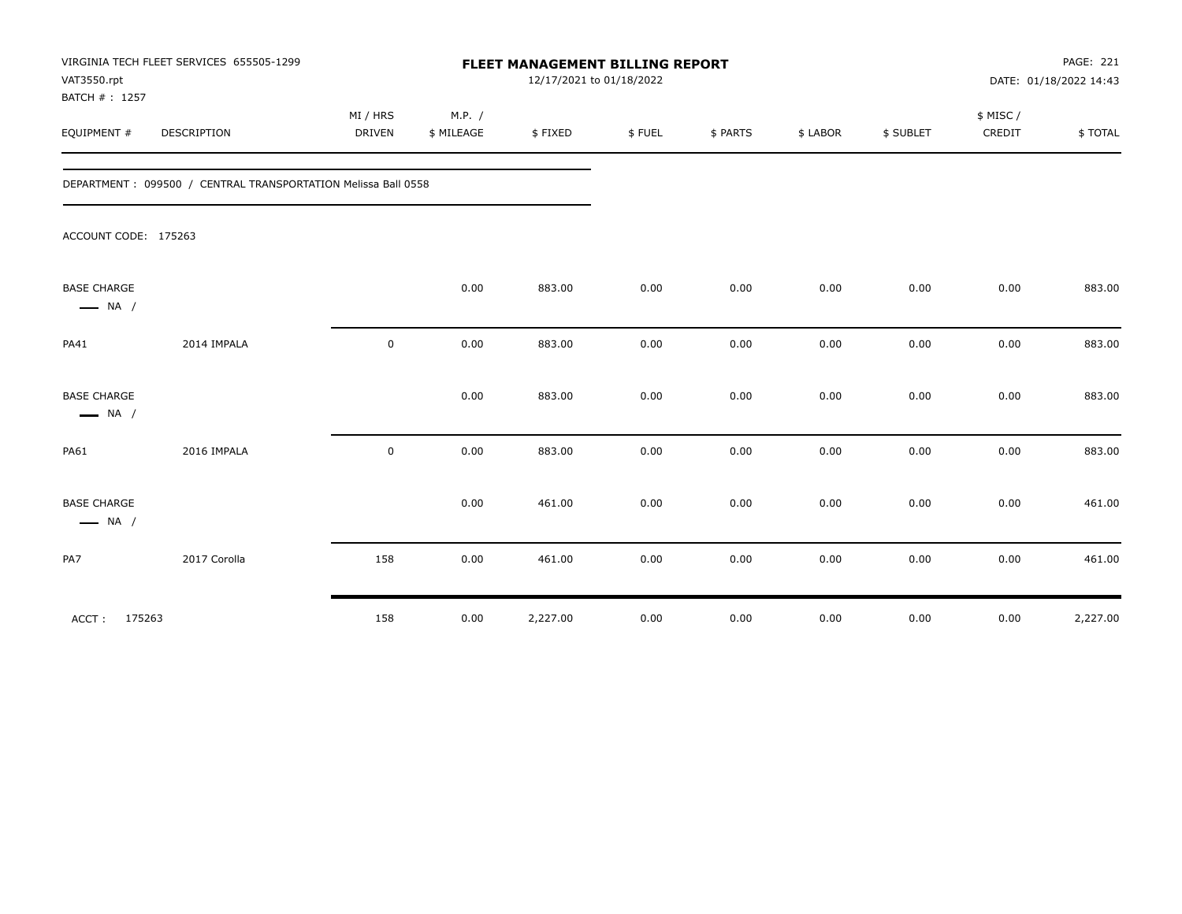| VAT3550.rpt<br>BATCH #: 1257                 | VIRGINIA TECH FLEET SERVICES 655505-1299                      | FLEET MANAGEMENT BILLING REPORT<br>12/17/2021 to 01/18/2022 |                      |          |        |          |          |           |                    | PAGE: 221<br>DATE: 01/18/2022 14:43 |  |
|----------------------------------------------|---------------------------------------------------------------|-------------------------------------------------------------|----------------------|----------|--------|----------|----------|-----------|--------------------|-------------------------------------|--|
| EQUIPMENT #                                  | DESCRIPTION                                                   | MI / HRS<br>DRIVEN                                          | M.P. /<br>\$ MILEAGE | \$FIXED  | \$FUEL | \$ PARTS | \$ LABOR | \$ SUBLET | \$ MISC/<br>CREDIT | \$TOTAL                             |  |
|                                              | DEPARTMENT: 099500 / CENTRAL TRANSPORTATION Melissa Ball 0558 |                                                             |                      |          |        |          |          |           |                    |                                     |  |
| ACCOUNT CODE: 175263                         |                                                               |                                                             |                      |          |        |          |          |           |                    |                                     |  |
| <b>BASE CHARGE</b><br>$\longrightarrow$ NA / |                                                               |                                                             | 0.00                 | 883.00   | 0.00   | 0.00     | 0.00     | 0.00      | 0.00               | 883.00                              |  |
| PA41                                         | 2014 IMPALA                                                   | $\mathbf 0$                                                 | 0.00                 | 883.00   | 0.00   | 0.00     | 0.00     | 0.00      | 0.00               | 883.00                              |  |
| <b>BASE CHARGE</b><br>$\longrightarrow$ NA / |                                                               |                                                             | 0.00                 | 883.00   | 0.00   | 0.00     | 0.00     | 0.00      | 0.00               | 883.00                              |  |
| <b>PA61</b>                                  | 2016 IMPALA                                                   | $\mathbf 0$                                                 | 0.00                 | 883.00   | 0.00   | 0.00     | 0.00     | 0.00      | 0.00               | 883.00                              |  |
| <b>BASE CHARGE</b><br>$\longrightarrow$ NA / |                                                               |                                                             | 0.00                 | 461.00   | 0.00   | 0.00     | 0.00     | 0.00      | 0.00               | 461.00                              |  |
| PA7                                          | 2017 Corolla                                                  | 158                                                         | 0.00                 | 461.00   | 0.00   | 0.00     | 0.00     | 0.00      | 0.00               | 461.00                              |  |
| 175263<br>ACCT:                              |                                                               | 158                                                         | 0.00                 | 2,227.00 | 0.00   | 0.00     | 0.00     | 0.00      | 0.00               | 2,227.00                            |  |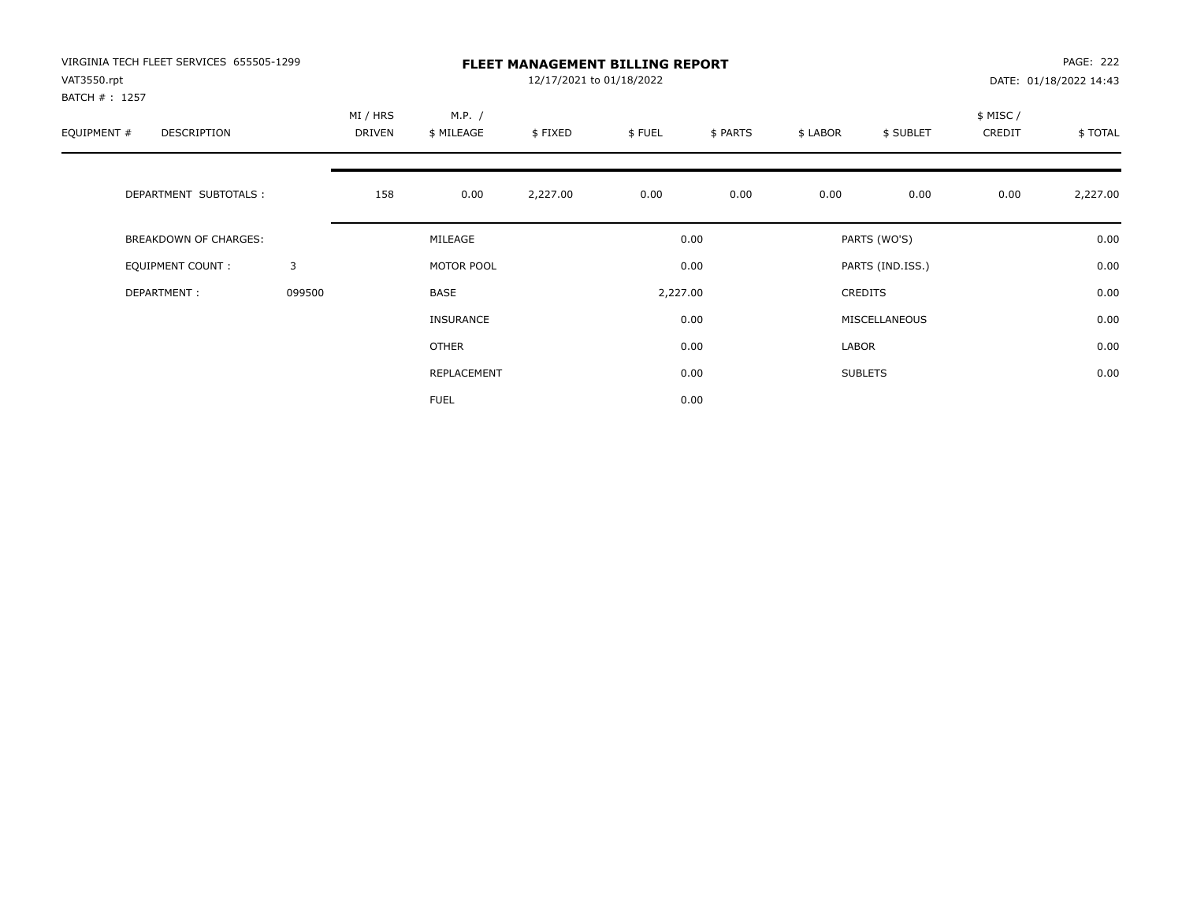| VIRGINIA TECH FLEET SERVICES 655505-1299<br>VAT3550.rpt<br>BATCH # : 1257 |        | <b>FLEET MANAGEMENT BILLING REPORT</b><br>12/17/2021 to 01/18/2022 |                      |          |          |          |                  |                |                     | <b>PAGE: 222</b><br>DATE: 01/18/2022 14:43 |  |
|---------------------------------------------------------------------------|--------|--------------------------------------------------------------------|----------------------|----------|----------|----------|------------------|----------------|---------------------|--------------------------------------------|--|
| EQUIPMENT #<br><b>DESCRIPTION</b>                                         |        | MI / HRS<br><b>DRIVEN</b>                                          | M.P. /<br>\$ MILEAGE | \$FIXED  | \$FUEL   | \$ PARTS | \$ LABOR         | \$ SUBLET      | \$ MISC /<br>CREDIT | \$TOTAL                                    |  |
| DEPARTMENT SUBTOTALS :                                                    |        | 158                                                                | 0.00                 | 2,227.00 | 0.00     | 0.00     | 0.00             | 0.00           | 0.00                | 2,227.00                                   |  |
| <b>BREAKDOWN OF CHARGES:</b>                                              |        | MILEAGE                                                            |                      |          | 0.00     |          | PARTS (WO'S)     |                |                     | 0.00                                       |  |
| EQUIPMENT COUNT:                                                          | 3      |                                                                    | MOTOR POOL           |          | 0.00     |          | PARTS (IND.ISS.) |                |                     | 0.00                                       |  |
| DEPARTMENT:                                                               | 099500 |                                                                    | <b>BASE</b>          |          | 2,227.00 |          | <b>CREDITS</b>   |                |                     | 0.00                                       |  |
|                                                                           |        |                                                                    | INSURANCE            |          |          | 0.00     |                  | MISCELLANEOUS  |                     | 0.00                                       |  |
|                                                                           |        |                                                                    | <b>OTHER</b>         |          |          | 0.00     | LABOR            |                |                     | 0.00                                       |  |
|                                                                           |        |                                                                    | REPLACEMENT          |          |          | 0.00     |                  | <b>SUBLETS</b> |                     | 0.00                                       |  |
|                                                                           |        |                                                                    | <b>FUEL</b>          |          |          | 0.00     |                  |                |                     |                                            |  |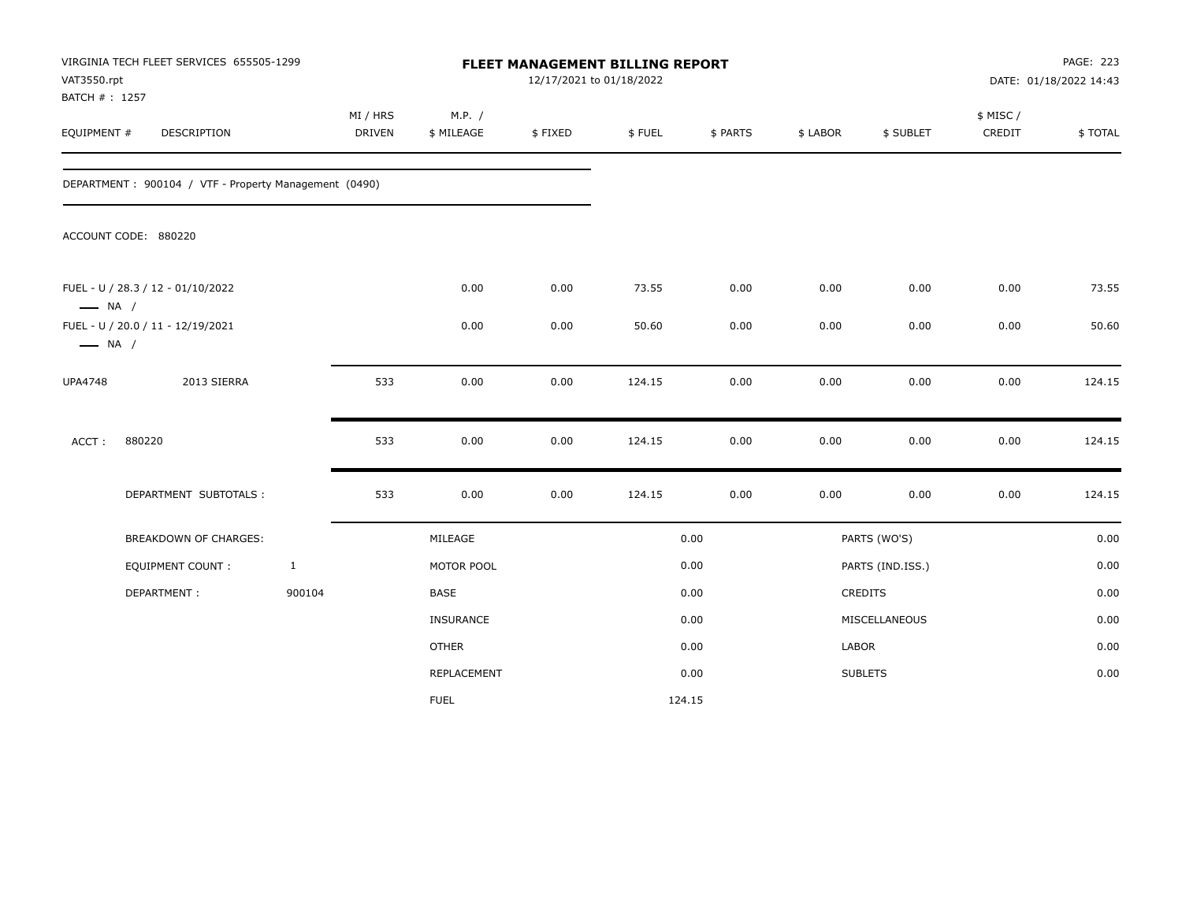| VAT3550.rpt<br>BATCH #: 1257                                | VIRGINIA TECH FLEET SERVICES 655505-1299              |              | FLEET MANAGEMENT BILLING REPORT<br>12/17/2021 to 01/18/2022 |                      |         |        |          |          |                  |                    | PAGE: 223<br>DATE: 01/18/2022 14:43 |  |
|-------------------------------------------------------------|-------------------------------------------------------|--------------|-------------------------------------------------------------|----------------------|---------|--------|----------|----------|------------------|--------------------|-------------------------------------|--|
| EQUIPMENT #                                                 | DESCRIPTION                                           |              | MI / HRS<br><b>DRIVEN</b>                                   | M.P. /<br>\$ MILEAGE | \$FIXED | \$FUEL | \$ PARTS | \$ LABOR | \$ SUBLET        | \$ MISC/<br>CREDIT | \$TOTAL                             |  |
|                                                             | DEPARTMENT: 900104 / VTF - Property Management (0490) |              |                                                             |                      |         |        |          |          |                  |                    |                                     |  |
|                                                             | ACCOUNT CODE: 880220                                  |              |                                                             |                      |         |        |          |          |                  |                    |                                     |  |
| $\longrightarrow$ NA /                                      | FUEL - U / 28.3 / 12 - 01/10/2022                     |              |                                                             | 0.00                 | 0.00    | 73.55  | 0.00     | 0.00     | 0.00             | 0.00               | 73.55                               |  |
| FUEL - U / 20.0 / 11 - 12/19/2021<br>$\longrightarrow$ NA / |                                                       |              | 0.00                                                        | 0.00                 | 50.60   | 0.00   | 0.00     | 0.00     | 0.00             | 50.60              |                                     |  |
| <b>UPA4748</b>                                              | 2013 SIERRA                                           |              | 533                                                         | 0.00                 | 0.00    | 124.15 | 0.00     | 0.00     | 0.00             | 0.00               | 124.15                              |  |
| ACCT:                                                       | 880220                                                |              | 533                                                         | 0.00                 | 0.00    | 124.15 | 0.00     | 0.00     | 0.00             | 0.00               | 124.15                              |  |
|                                                             | DEPARTMENT SUBTOTALS :                                |              | 533                                                         | 0.00                 | 0.00    | 124.15 | 0.00     | 0.00     | 0.00             | 0.00               | 124.15                              |  |
|                                                             | BREAKDOWN OF CHARGES:                                 |              |                                                             | MILEAGE              |         |        | 0.00     |          | PARTS (WO'S)     |                    | 0.00                                |  |
|                                                             | <b>EQUIPMENT COUNT:</b>                               | $\mathbf{1}$ |                                                             | MOTOR POOL           |         |        | 0.00     |          | PARTS (IND.ISS.) |                    | 0.00                                |  |
|                                                             | DEPARTMENT:                                           | 900104       |                                                             | <b>BASE</b>          |         |        | 0.00     |          | CREDITS          |                    | 0.00                                |  |
|                                                             |                                                       |              |                                                             | <b>INSURANCE</b>     |         |        | 0.00     |          | MISCELLANEOUS    |                    | 0.00                                |  |
|                                                             |                                                       |              |                                                             | <b>OTHER</b>         |         |        | 0.00     | LABOR    |                  |                    | 0.00                                |  |
|                                                             |                                                       |              |                                                             | REPLACEMENT          |         |        | 0.00     |          | <b>SUBLETS</b>   |                    | 0.00                                |  |
|                                                             |                                                       |              |                                                             | <b>FUEL</b>          |         |        | 124.15   |          |                  |                    |                                     |  |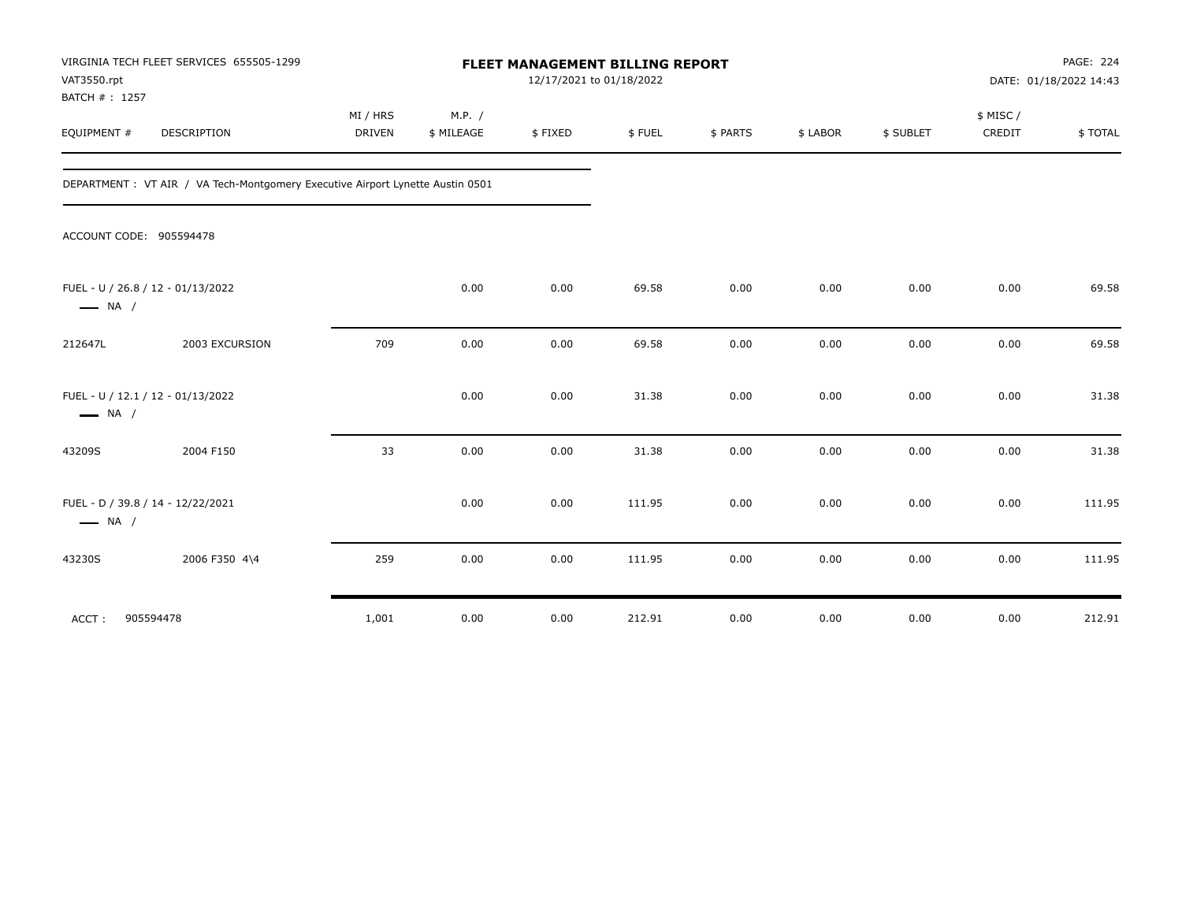| VAT3550.rpt<br>BATCH #: 1257 | VIRGINIA TECH FLEET SERVICES 655505-1299                                       | FLEET MANAGEMENT BILLING REPORT<br>12/17/2021 to 01/18/2022 |                      |         |        |          |          |           |                    | PAGE: 224<br>DATE: 01/18/2022 14:43 |  |
|------------------------------|--------------------------------------------------------------------------------|-------------------------------------------------------------|----------------------|---------|--------|----------|----------|-----------|--------------------|-------------------------------------|--|
| EQUIPMENT #                  | DESCRIPTION                                                                    | MI / HRS<br><b>DRIVEN</b>                                   | M.P. /<br>\$ MILEAGE | \$FIXED | \$FUEL | \$ PARTS | \$ LABOR | \$ SUBLET | \$ MISC/<br>CREDIT | \$TOTAL                             |  |
|                              | DEPARTMENT : VT AIR / VA Tech-Montgomery Executive Airport Lynette Austin 0501 |                                                             |                      |         |        |          |          |           |                    |                                     |  |
|                              | ACCOUNT CODE: 905594478                                                        |                                                             |                      |         |        |          |          |           |                    |                                     |  |
| $\longrightarrow$ NA /       | FUEL - U / 26.8 / 12 - 01/13/2022                                              |                                                             | 0.00                 | 0.00    | 69.58  | 0.00     | 0.00     | 0.00      | 0.00               | 69.58                               |  |
| 212647L                      | 2003 EXCURSION                                                                 | 709                                                         | 0.00                 | 0.00    | 69.58  | 0.00     | 0.00     | 0.00      | 0.00               | 69.58                               |  |
| $\longrightarrow$ NA /       | FUEL - U / 12.1 / 12 - 01/13/2022                                              |                                                             | 0.00                 | 0.00    | 31.38  | 0.00     | 0.00     | 0.00      | 0.00               | 31.38                               |  |
| 43209S                       | 2004 F150                                                                      | 33                                                          | 0.00                 | 0.00    | 31.38  | 0.00     | 0.00     | 0.00      | 0.00               | 31.38                               |  |
| $\longrightarrow$ NA /       | FUEL - D / 39.8 / 14 - 12/22/2021                                              |                                                             | 0.00                 | 0.00    | 111.95 | 0.00     | 0.00     | 0.00      | 0.00               | 111.95                              |  |
| 43230S                       | 2006 F350 4\4                                                                  | 259                                                         | 0.00                 | 0.00    | 111.95 | 0.00     | 0.00     | 0.00      | 0.00               | 111.95                              |  |
| ACCT:                        | 905594478                                                                      | 1,001                                                       | 0.00                 | 0.00    | 212.91 | 0.00     | 0.00     | 0.00      | 0.00               | 212.91                              |  |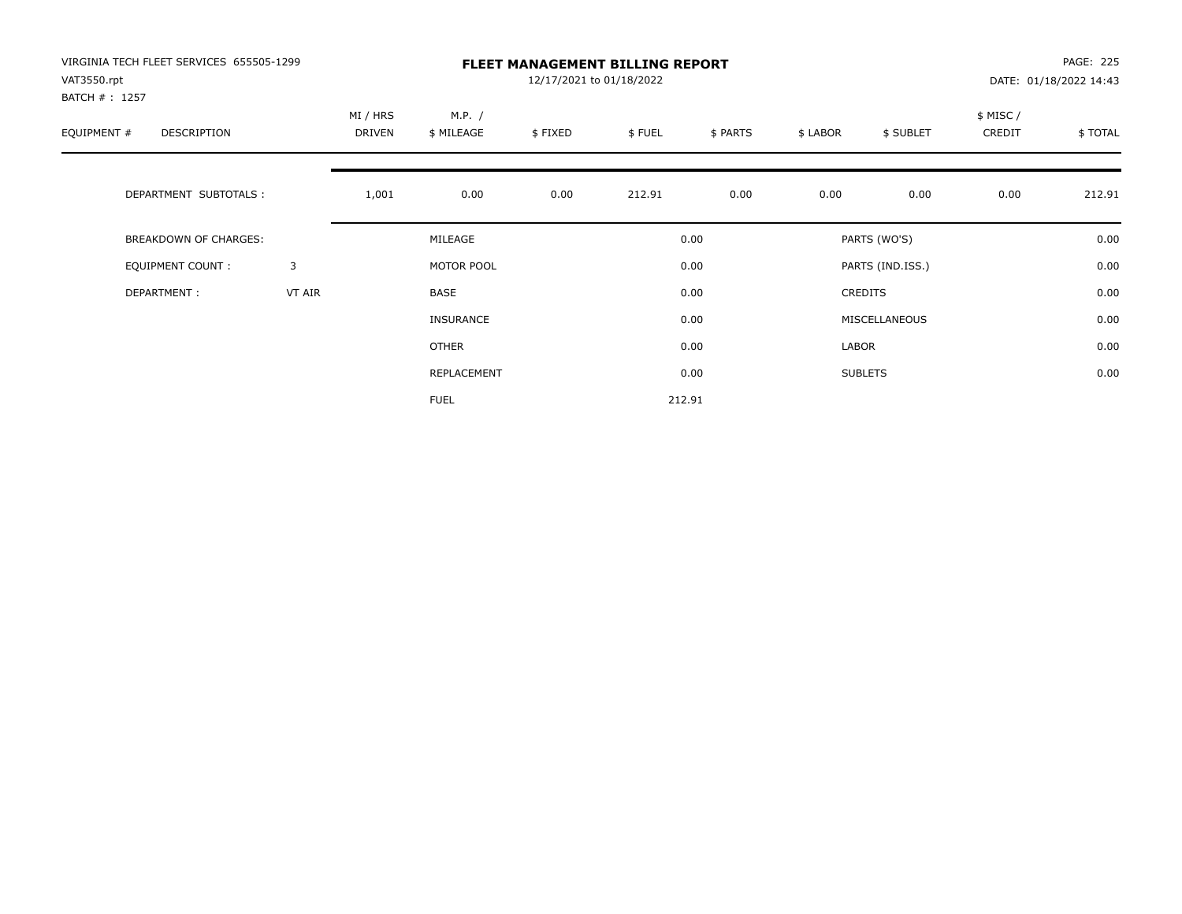| VIRGINIA TECH FLEET SERVICES 655505-1299<br>VAT3550.rpt |        | <b>FLEET MANAGEMENT BILLING REPORT</b><br>12/17/2021 to 01/18/2022 |                      |         |        |          |                  |                |                    | PAGE: 225<br>DATE: 01/18/2022 14:43 |  |
|---------------------------------------------------------|--------|--------------------------------------------------------------------|----------------------|---------|--------|----------|------------------|----------------|--------------------|-------------------------------------|--|
| BATCH #: 1257<br>EQUIPMENT #<br>DESCRIPTION             |        | MI / HRS<br>DRIVEN                                                 | M.P. /<br>\$ MILEAGE | \$FIXED | \$FUEL | \$ PARTS | \$ LABOR         | \$ SUBLET      | \$ MISC/<br>CREDIT | \$TOTAL                             |  |
| DEPARTMENT SUBTOTALS :                                  |        | 1,001                                                              | 0.00                 | 0.00    | 212.91 | 0.00     | 0.00             | 0.00           | 0.00               | 212.91                              |  |
| BREAKDOWN OF CHARGES:                                   |        |                                                                    | MILEAGE              |         |        | 0.00     |                  | PARTS (WO'S)   |                    | 0.00                                |  |
| <b>EQUIPMENT COUNT:</b>                                 | 3      |                                                                    | MOTOR POOL           |         |        | 0.00     | PARTS (IND.ISS.) |                |                    | 0.00                                |  |
| DEPARTMENT:                                             | VT AIR |                                                                    | BASE                 |         | 0.00   |          |                  | <b>CREDITS</b> |                    | 0.00                                |  |
|                                                         |        |                                                                    | <b>INSURANCE</b>     |         |        | 0.00     |                  | MISCELLANEOUS  |                    | 0.00                                |  |
|                                                         |        |                                                                    | <b>OTHER</b>         |         |        | 0.00     | LABOR            |                |                    | 0.00                                |  |
|                                                         |        |                                                                    | REPLACEMENT          |         |        | 0.00     |                  | <b>SUBLETS</b> |                    | 0.00                                |  |
|                                                         |        |                                                                    | <b>FUEL</b>          |         |        | 212.91   |                  |                |                    |                                     |  |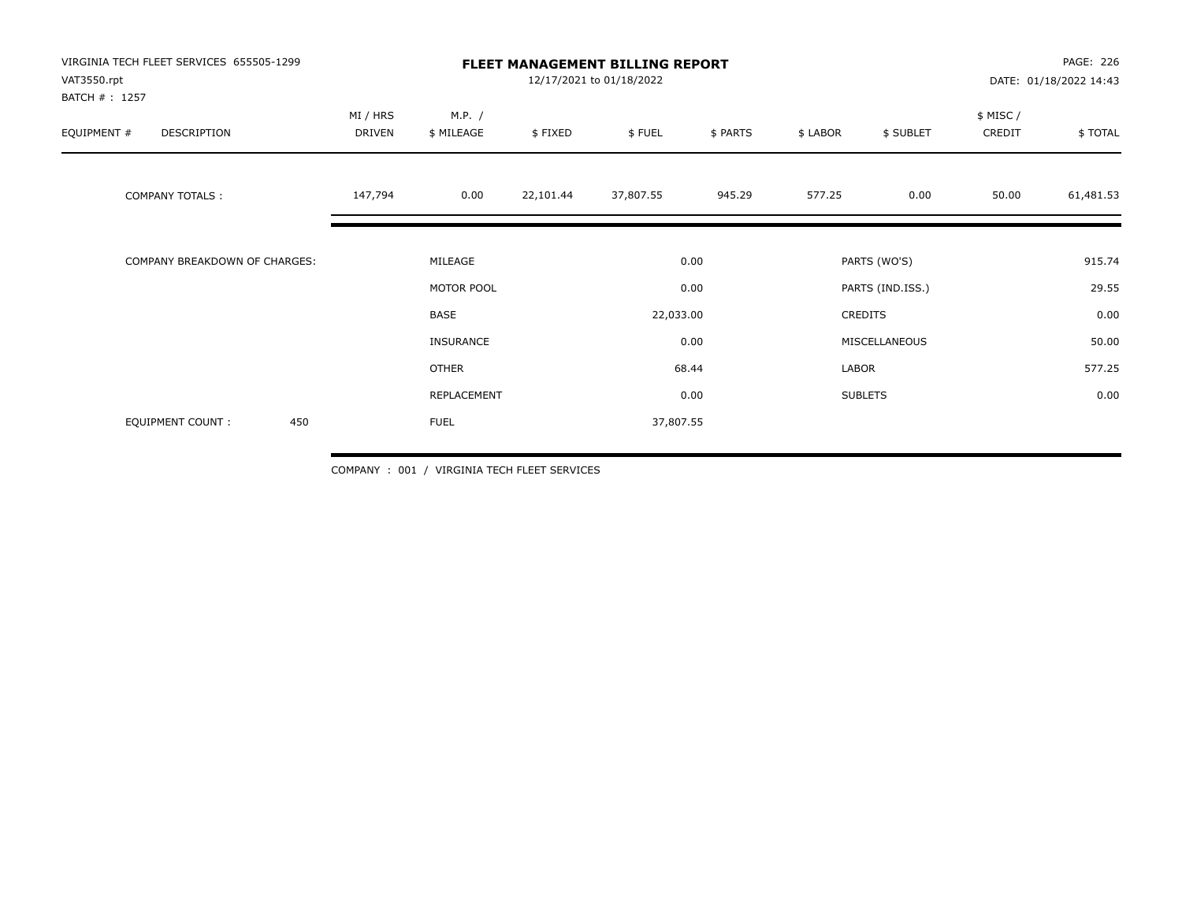| VIRGINIA TECH FLEET SERVICES 655505-1299<br>VAT3550.rpt<br>BATCH #: 1257 |                    | <b>FLEET MANAGEMENT BILLING REPORT</b><br>12/17/2021 to 01/18/2022 |           |           |          |          |                  |                    | PAGE: 226<br>DATE: 01/18/2022 14:43 |  |
|--------------------------------------------------------------------------|--------------------|--------------------------------------------------------------------|-----------|-----------|----------|----------|------------------|--------------------|-------------------------------------|--|
| DESCRIPTION<br>EQUIPMENT #                                               | MI / HRS<br>DRIVEN | M.P. /<br>\$ MILEAGE                                               | \$FIXED   | \$FUEL    | \$ PARTS | \$ LABOR | \$ SUBLET        | \$ MISC/<br>CREDIT | \$ TOTAL                            |  |
| <b>COMPANY TOTALS:</b>                                                   | 147,794            | 0.00                                                               | 22,101.44 | 37,807.55 | 945.29   | 577.25   | 0.00             | 50.00              | 61,481.53                           |  |
| COMPANY BREAKDOWN OF CHARGES:                                            |                    | MILEAGE                                                            |           |           | 0.00     |          | PARTS (WO'S)     |                    | 915.74                              |  |
|                                                                          |                    | MOTOR POOL                                                         |           |           | 0.00     |          | PARTS (IND.ISS.) |                    | 29.55                               |  |
|                                                                          |                    | <b>BASE</b>                                                        |           | 22,033.00 |          |          | CREDITS          |                    | 0.00                                |  |
|                                                                          |                    | INSURANCE                                                          |           |           | 0.00     |          | MISCELLANEOUS    |                    | 50.00                               |  |
|                                                                          |                    | <b>OTHER</b>                                                       |           |           | 68.44    | LABOR    |                  |                    | 577.25                              |  |
|                                                                          |                    | REPLACEMENT                                                        |           |           | 0.00     |          | <b>SUBLETS</b>   |                    | 0.00                                |  |
| 450<br>EQUIPMENT COUNT:                                                  |                    | <b>FUEL</b>                                                        |           | 37,807.55 |          |          |                  |                    |                                     |  |

COMPANY : 001 / VIRGINIA TECH FLEET SERVICES